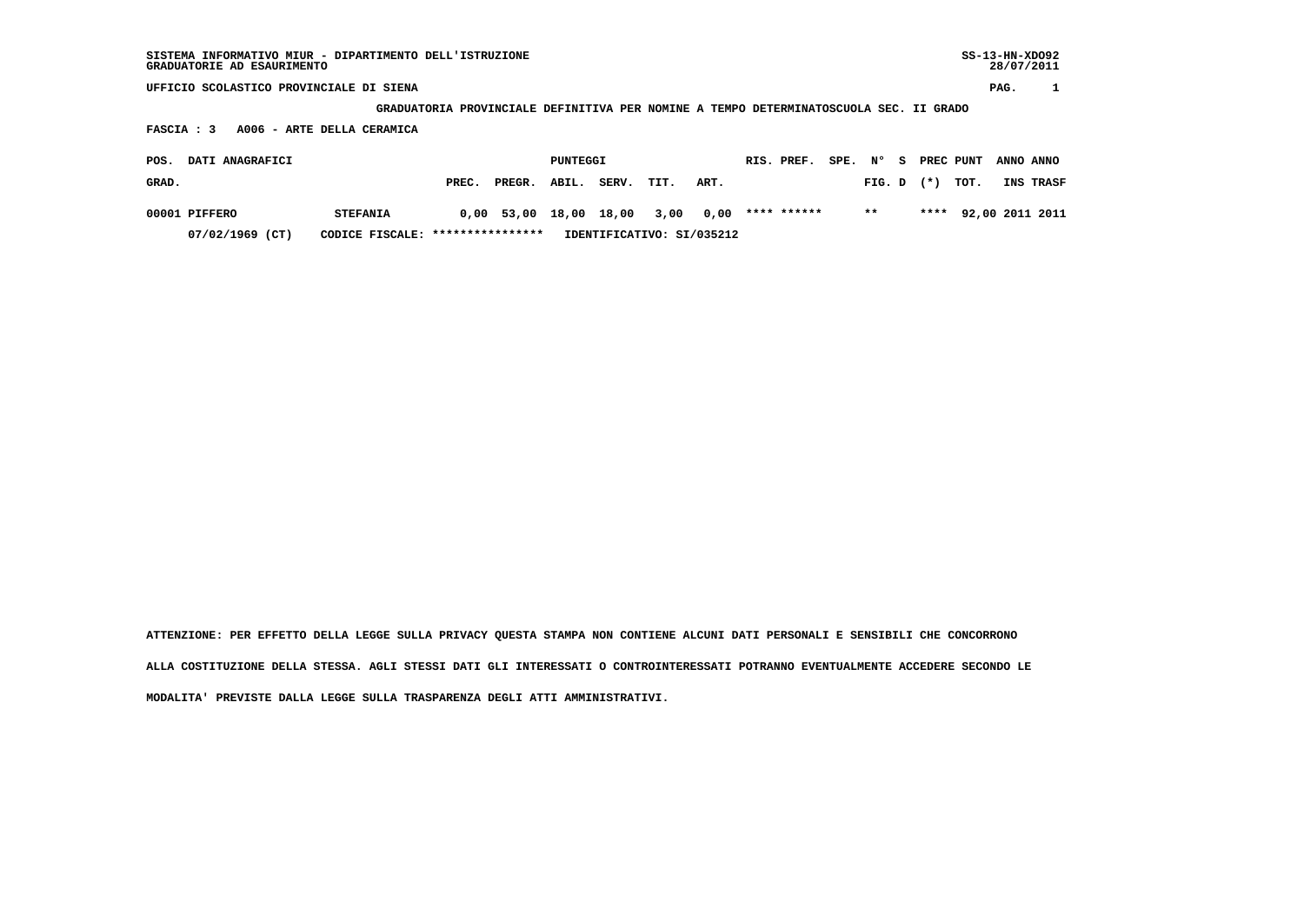| SISTEMA INFORMATIVO MIUR - DIPARTIMENTO DELL'ISTRUZIONE<br>GRADUATORIE AD ESAURIMENTO |                                                                                       |          |                           |      |      |             |         |        |    |        |           | $SS-13-HN-XDO92$<br>28/07/2011 |                 |
|---------------------------------------------------------------------------------------|---------------------------------------------------------------------------------------|----------|---------------------------|------|------|-------------|---------|--------|----|--------|-----------|--------------------------------|-----------------|
| UFFICIO SCOLASTICO PROVINCIALE DI SIENA                                               |                                                                                       |          |                           |      |      |             |         |        |    |        |           | PAG.                           |                 |
|                                                                                       | GRADUATORIA PROVINCIALE DEFINITIVA PER NOMINE A TEMPO DETERMINATOSCUOLA SEC. II GRADO |          |                           |      |      |             |         |        |    |        |           |                                |                 |
| A006 - ARTE DELLA CERAMICA<br>FASCIA : 3                                              |                                                                                       |          |                           |      |      |             |         |        |    |        |           |                                |                 |
| DATI ANAGRAFICI<br>POS.                                                               |                                                                                       | PUNTEGGI |                           |      |      | RIS. PREF.  | SPE. N° |        | S. |        | PREC PUNT | ANNO ANNO                      |                 |
| GRAD.                                                                                 | PREC.<br>PREGR.                                                                       | ABIL.    | SERV.                     | TIT. | ART. |             |         | FIG. D |    | $(* )$ | TOT.      |                                | INS TRASF       |
| 00001 PIFFERO<br><b>STEFANIA</b>                                                      | 53,00<br>0,00                                                                         | 18,00    | 18,00                     | 3,00 | 0,00 | **** ****** |         | $***$  |    | ****   |           |                                | 92,00 2011 2011 |
| $07/02/1969$ (CT)<br>CODICE FISCALE:                                                  | ****************                                                                      |          | IDENTIFICATIVO: SI/035212 |      |      |             |         |        |    |        |           |                                |                 |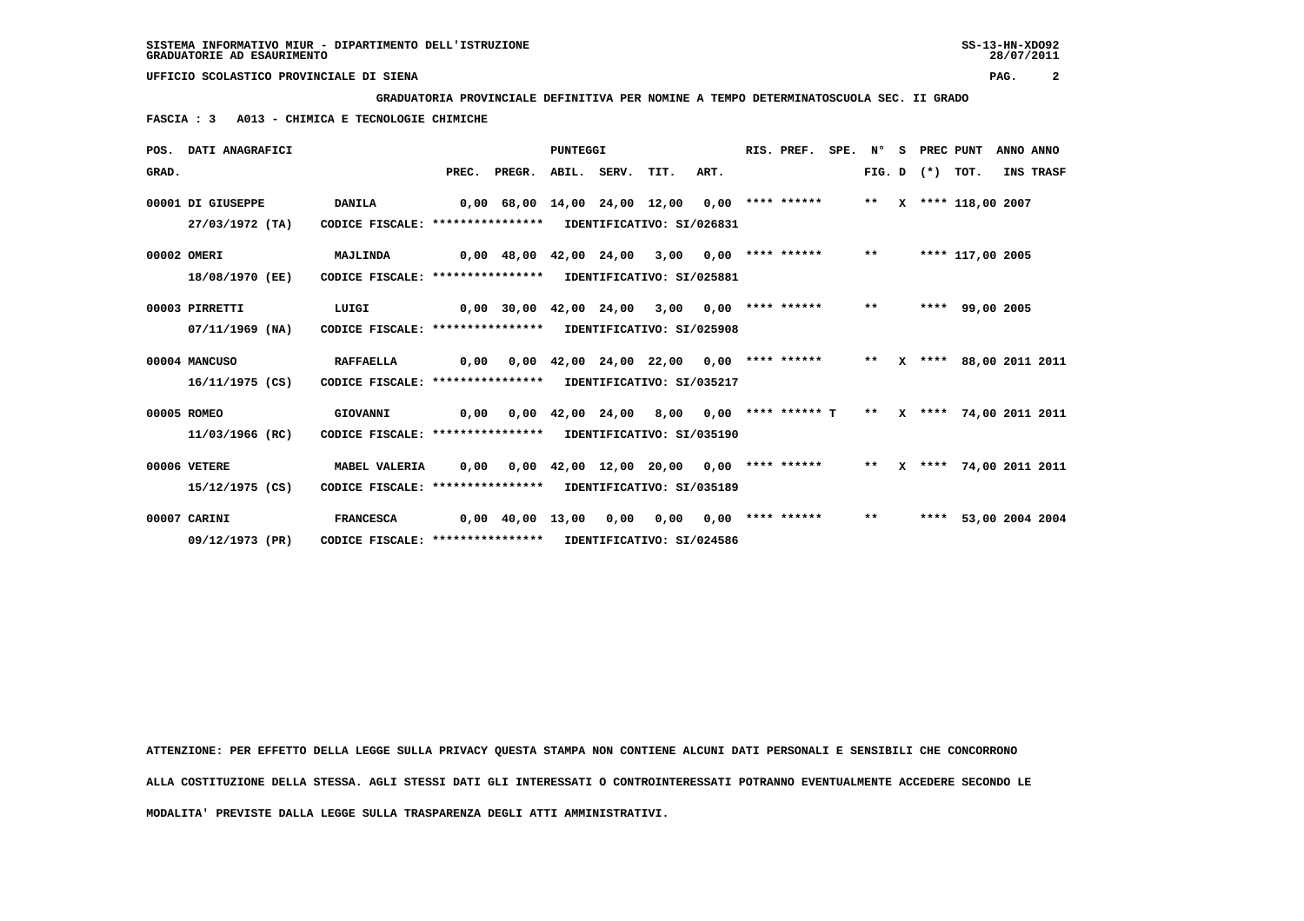**GRADUATORIA PROVINCIALE DEFINITIVA PER NOMINE A TEMPO DETERMINATOSCUOLA SEC. II GRADO**

 **FASCIA : 3 A013 - CHIMICA E TECNOLOGIE CHIMICHE**

|       | POS. DATI ANAGRAFICI |                                                            |                                                                      |                                    | <b>PUNTEGGI</b> |                                                                     |  | RIS. PREF. | SPE. N° | S PREC PUNT       |                      | ANNO ANNO |
|-------|----------------------|------------------------------------------------------------|----------------------------------------------------------------------|------------------------------------|-----------------|---------------------------------------------------------------------|--|------------|---------|-------------------|----------------------|-----------|
| GRAD. |                      |                                                            |                                                                      | PREC. PREGR. ABIL. SERV. TIT. ART. |                 |                                                                     |  |            |         | FIG. D $(*)$ TOT. |                      | INS TRASF |
|       | 00001 DI GIUSEPPE    | <b>DANILA</b>                                              | 0,00 68,00 14,00 24,00 12,00 0,00 **** ****** ** ** **** 118,00 2007 |                                    |                 |                                                                     |  |            |         |                   |                      |           |
|       | 27/03/1972 (TA)      | CODICE FISCALE: **************** IDENTIFICATIVO: SI/026831 |                                                                      |                                    |                 |                                                                     |  |            |         |                   |                      |           |
|       | 00002 OMERI          | <b>MAJLINDA</b>                                            | 0,00 48,00 42,00 24,00 3,00 0,00 **** ****** ** **** 117,00 2005     |                                    |                 |                                                                     |  |            |         |                   |                      |           |
|       | 18/08/1970 (EE)      | CODICE FISCALE: **************** IDENTIFICATIVO: SI/025881 |                                                                      |                                    |                 |                                                                     |  |            |         |                   |                      |           |
|       | 00003 PIRRETTI       | LUIGI                                                      | 0,00 30,00 42,00 24,00 3,00 0,00 **** ****** ** **                   |                                    |                 |                                                                     |  |            |         |                   | **** 99,00 2005      |           |
|       | 07/11/1969 (NA)      | CODICE FISCALE: **************** IDENTIFICATIVO: SI/025908 |                                                                      |                                    |                 |                                                                     |  |            |         |                   |                      |           |
|       | 00004 MANCUSO        | <b>RAFFAELLA</b>                                           | 0.00                                                                 |                                    |                 | $0.00$ 42.00 24.00 22.00 0.00 **** ****** ** X **** 88.00 2011 2011 |  |            |         |                   |                      |           |
|       | 16/11/1975 (CS)      | CODICE FISCALE: **************** IDENTIFICATIVO: SI/035217 |                                                                      |                                    |                 |                                                                     |  |            |         |                   |                      |           |
|       | 00005 ROMEO          | GIOVANNI                                                   |                                                                      |                                    |                 |                                                                     |  |            |         |                   |                      |           |
|       | 11/03/1966 (RC)      | CODICE FISCALE: **************** IDENTIFICATIVO: SI/035190 |                                                                      |                                    |                 |                                                                     |  |            |         |                   |                      |           |
|       | 00006 VETERE         | MABEL VALERIA                                              | 0,00                                                                 |                                    |                 | 0,00 42,00 12,00 20,00 0,00 **** ****** ** ** ** 74,00 2011 2011    |  |            |         |                   |                      |           |
|       | 15/12/1975 (CS)      | CODICE FISCALE: **************** IDENTIFICATIVO: SI/035189 |                                                                      |                                    |                 |                                                                     |  |            |         |                   |                      |           |
|       | 00007 CARINI         | <b>FRANCESCA</b>                                           | 0,00 40,00 13,00  0,00  0,00  0,00  **** ******    **                |                                    |                 |                                                                     |  |            |         |                   | **** 53,00 2004 2004 |           |
|       | 09/12/1973 (PR)      | CODICE FISCALE: **************** IDENTIFICATIVO: SI/024586 |                                                                      |                                    |                 |                                                                     |  |            |         |                   |                      |           |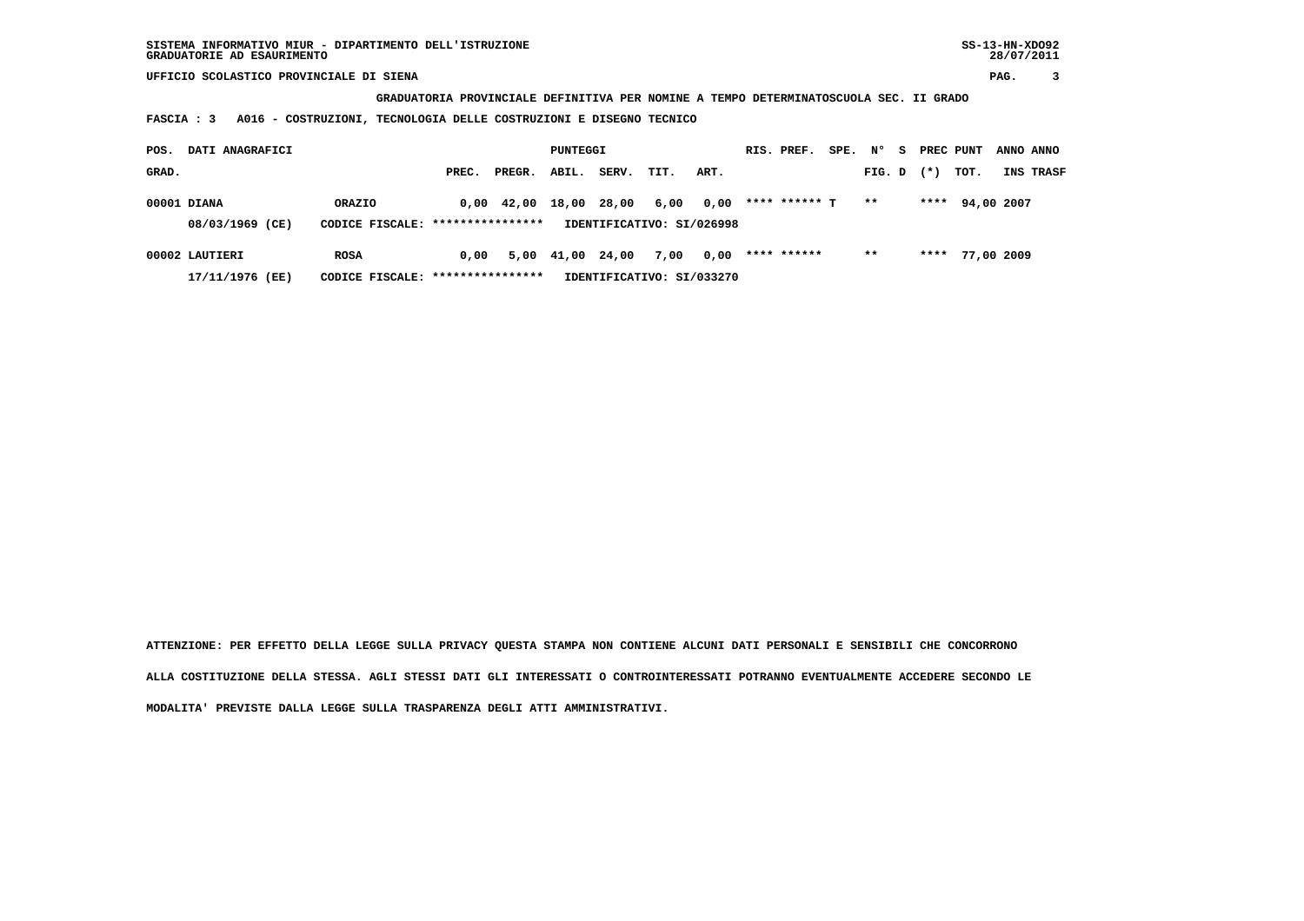**GRADUATORIA PROVINCIALE DEFINITIVA PER NOMINE A TEMPO DETERMINATOSCUOLA SEC. II GRADO**

 **FASCIA : 3 A016 - COSTRUZIONI, TECNOLOGIA DELLE COSTRUZIONI E DISEGNO TECNICO**

| POS.  | DATI ANAGRAFICI |                                   |       |                    | PUNTEGGI   |       |                           |      | RIS. PREF.    | SPE. | N°     | - S | PREC PUNT |                 | ANNO ANNO |                  |
|-------|-----------------|-----------------------------------|-------|--------------------|------------|-------|---------------------------|------|---------------|------|--------|-----|-----------|-----------------|-----------|------------------|
| GRAD. |                 |                                   | PREC. | PREGR.             | ABIL.      | SERV. | TIT.                      | ART. |               |      | FIG. D |     | $(* )$    | тот.            |           | <b>INS TRASF</b> |
|       | 00001 DIANA     | ORAZIO                            |       | $0.00 \quad 42.00$ | 18,00      | 28,00 | 6,00                      | 0,00 | **** ****** T |      | $* *$  |     | ****      | 94,00 2007      |           |                  |
|       | 08/03/1969 (CE) | CODICE FISCALE: ****************  |       |                    |            |       | IDENTIFICATIVO: SI/026998 |      |               |      |        |     |           |                 |           |                  |
|       | 00002 LAUTIERI  | ROSA                              | 0.00  |                    | 5,00 41,00 | 24,00 | 7,00                      | 0,00 | **** ******   |      | $* *$  |     |           | **** 77,00 2009 |           |                  |
|       | 17/11/1976 (EE) | CODICE FISCALE: ***************** |       |                    |            |       | IDENTIFICATIVO: SI/033270 |      |               |      |        |     |           |                 |           |                  |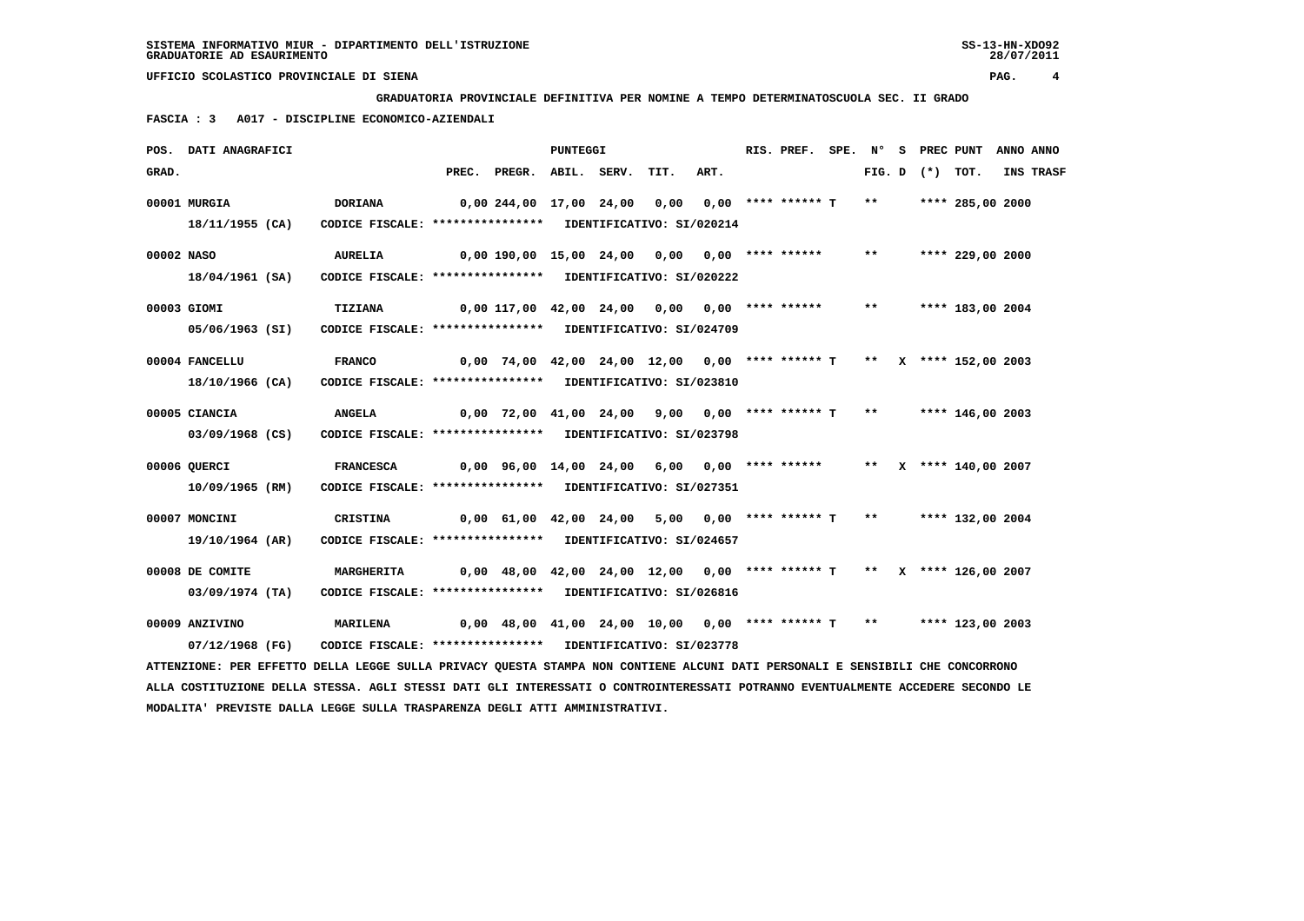**GRADUATORIA PROVINCIALE DEFINITIVA PER NOMINE A TEMPO DETERMINATOSCUOLA SEC. II GRADO**

 **FASCIA : 3 A017 - DISCIPLINE ECONOMICO-AZIENDALI**

|            | POS. DATI ANAGRAFICI                                                                                                          |                                                            |                                               |                                                                       | <b>PUNTEGGI</b> |      |      | RIS. PREF. |  |                     | SPE. N° S PREC PUNT ANNO ANNO |           |
|------------|-------------------------------------------------------------------------------------------------------------------------------|------------------------------------------------------------|-----------------------------------------------|-----------------------------------------------------------------------|-----------------|------|------|------------|--|---------------------|-------------------------------|-----------|
| GRAD.      |                                                                                                                               |                                                            |                                               | PREC. PREGR. ABIL. SERV.                                              |                 | TIT. | ART. |            |  | FIG. $D$ $(*)$ TOT. |                               | INS TRASF |
|            | 00001 MURGIA                                                                                                                  | <b>DORIANA</b>                                             |                                               | 0,00 244,00 17,00 24,00 0,00 0,00 **** ****** T **                    |                 |      |      |            |  |                     | **** 285,00 2000              |           |
|            | 18/11/1955 (CA)                                                                                                               | CODICE FISCALE: **************** IDENTIFICATIVO: SI/020214 |                                               |                                                                       |                 |      |      |            |  |                     |                               |           |
| 00002 NASO |                                                                                                                               | <b>AURELIA</b>                                             | 0,00 190,00 15,00 24,00 0,00 0,00 **** ****** |                                                                       |                 |      |      |            |  |                     | ** **** 229,00 2000           |           |
|            | 18/04/1961 (SA)                                                                                                               | CODICE FISCALE: **************** IDENTIFICATIVO: SI/020222 |                                               |                                                                       |                 |      |      |            |  |                     |                               |           |
|            | 00003 GIOMI                                                                                                                   | TIZIANA                                                    |                                               | $0,00$ 117,00 42,00 24,00 0,00 0,00 **** ****** ** **** 183,00 2004   |                 |      |      |            |  |                     |                               |           |
|            | 05/06/1963 (SI)                                                                                                               | CODICE FISCALE: **************** IDENTIFICATIVO: SI/024709 |                                               |                                                                       |                 |      |      |            |  |                     |                               |           |
|            | 00004 FANCELLU                                                                                                                | <b>FRANCO</b>                                              |                                               | 0,00 74,00 42,00 24,00 12,00 0,00 **** ****** T ** X **** 152,00 2003 |                 |      |      |            |  |                     |                               |           |
|            | 18/10/1966 (CA)                                                                                                               | CODICE FISCALE: **************** IDENTIFICATIVO: SI/023810 |                                               |                                                                       |                 |      |      |            |  |                     |                               |           |
|            | 00005 CIANCIA                                                                                                                 | <b>ANGELA</b>                                              |                                               | $0.00$ 72.00 41.00 24.00 9.00 0.00 **** ****** T ** ***** 146.00 2003 |                 |      |      |            |  |                     |                               |           |
|            | 03/09/1968 (CS)                                                                                                               | CODICE FISCALE: **************** IDENTIFICATIVO: SI/023798 |                                               |                                                                       |                 |      |      |            |  |                     |                               |           |
|            | 00006 QUERCI                                                                                                                  | <b>FRANCESCA</b>                                           |                                               | 0,00 96,00 14,00 24,00 6,00 0,00 **** ******                          |                 |      |      |            |  |                     | ** $X$ **** 140,00 2007       |           |
|            | 10/09/1965 (RM)                                                                                                               | CODICE FISCALE: **************** IDENTIFICATIVO: SI/027351 |                                               |                                                                       |                 |      |      |            |  |                     |                               |           |
|            | 00007 MONCINI                                                                                                                 | CRISTINA                                                   |                                               | 0,00 61,00 42,00 24,00 5,00 0,00 **** ****** T ** ***** 132,00 2004   |                 |      |      |            |  |                     |                               |           |
|            | 19/10/1964 (AR)                                                                                                               | CODICE FISCALE: **************** IDENTIFICATIVO: SI/024657 |                                               |                                                                       |                 |      |      |            |  |                     |                               |           |
|            | 00008 DE COMITE                                                                                                               | <b>MARGHERITA</b>                                          |                                               | 0,00 48,00 42,00 24,00 12,00 0,00 **** ****** T ** X **** 126,00 2007 |                 |      |      |            |  |                     |                               |           |
|            | 03/09/1974 (TA)                                                                                                               | CODICE FISCALE: **************** IDENTIFICATIVO: SI/026816 |                                               |                                                                       |                 |      |      |            |  |                     |                               |           |
|            | 00009 ANZIVINO                                                                                                                | <b>MARILENA</b>                                            |                                               | 0,00 48,00 41,00 24,00 10,00 0,00 **** ****** T ** ***** 123,00 2003  |                 |      |      |            |  |                     |                               |           |
|            | 07/12/1968 (FG)                                                                                                               | CODICE FISCALE: **************** IDENTIFICATIVO: SI/023778 |                                               |                                                                       |                 |      |      |            |  |                     |                               |           |
|            | ATTENZIONE: PER EFFETTO DELLA LEGGE SULLA PRIVACY QUESTA STAMPA NON CONTIENE ALCUNI DATI PERSONALI E SENSIBILI CHE CONCORRONO |                                                            |                                               |                                                                       |                 |      |      |            |  |                     |                               |           |

 **ALLA COSTITUZIONE DELLA STESSA. AGLI STESSI DATI GLI INTERESSATI O CONTROINTERESSATI POTRANNO EVENTUALMENTE ACCEDERE SECONDO LE MODALITA' PREVISTE DALLA LEGGE SULLA TRASPARENZA DEGLI ATTI AMMINISTRATIVI.**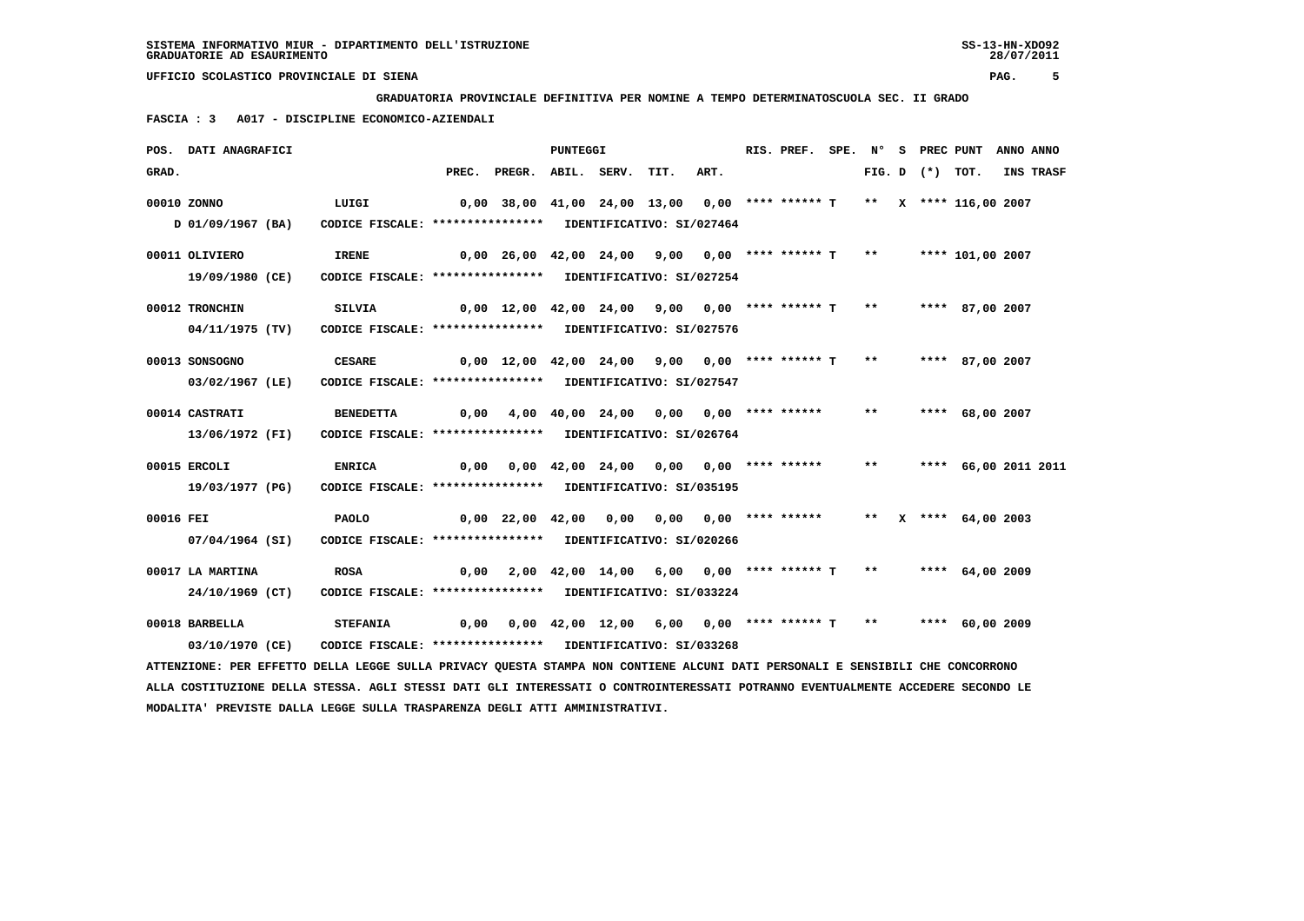**GRADUATORIA PROVINCIALE DEFINITIVA PER NOMINE A TEMPO DETERMINATOSCUOLA SEC. II GRADO**

 **FASCIA : 3 A017 - DISCIPLINE ECONOMICO-AZIENDALI**

|           | POS. DATI ANAGRAFICI                                                                                                            |                                                            |       |                                                     | <b>PUNTEGGI</b> |      |                                             |                       | RIS. PREF. | SPE. N° |       |                   | S PREC PUNT ANNO ANNO  |           |
|-----------|---------------------------------------------------------------------------------------------------------------------------------|------------------------------------------------------------|-------|-----------------------------------------------------|-----------------|------|---------------------------------------------|-----------------------|------------|---------|-------|-------------------|------------------------|-----------|
| GRAD.     |                                                                                                                                 |                                                            | PREC. | PREGR. ABIL. SERV.                                  |                 |      | TIT.                                        | ART.                  |            |         |       | FIG. D $(*)$ TOT. |                        | INS TRASF |
|           | 00010 ZONNO                                                                                                                     | LUIGI                                                      |       | 0,00 38,00 41,00 24,00 13,00 0,00 **** ****** T     |                 |      |                                             |                       |            |         |       |                   | ** X **** 116,00 2007  |           |
|           | D 01/09/1967 (BA)                                                                                                               | CODICE FISCALE: **************** IDENTIFICATIVO: SI/027464 |       |                                                     |                 |      |                                             |                       |            |         |       |                   |                        |           |
|           | 00011 OLIVIERO                                                                                                                  | <b>IRENE</b>                                               |       | $0,00$ 26,00 42,00 24,00 9,00 0,00 **** ****** T ** |                 |      |                                             |                       |            |         |       |                   | **** 101,00 2007       |           |
|           | 19/09/1980 (CE)                                                                                                                 | CODICE FISCALE: **************** IDENTIFICATIVO: SI/027254 |       |                                                     |                 |      |                                             |                       |            |         |       |                   |                        |           |
|           | 00012 TRONCHIN                                                                                                                  | <b>SILVIA</b>                                              |       | $0,00$ 12,00 42,00 24,00 9,00 0,00 **** ****** T    |                 |      |                                             |                       |            |         | $***$ |                   | **** 87,00 2007        |           |
|           | 04/11/1975 (TV)                                                                                                                 | CODICE FISCALE: **************** IDENTIFICATIVO: SI/027576 |       |                                                     |                 |      |                                             |                       |            |         |       |                   |                        |           |
|           | 00013 SONSOGNO                                                                                                                  | <b>CESARE</b>                                              |       | $0,00$ 12,00 42,00 24,00 9,00 0,00 **** ****** T    |                 |      |                                             |                       |            |         | $***$ |                   | **** 87,00 2007        |           |
|           | 03/02/1967 (LE)                                                                                                                 | CODICE FISCALE: **************** IDENTIFICATIVO: SI/027547 |       |                                                     |                 |      |                                             |                       |            |         |       |                   |                        |           |
|           | 00014 CASTRATI                                                                                                                  | <b>BENEDETTA</b>                                           |       | $0,00$ 4,00 40,00 24,00 0,00 0,00 **** ******       |                 |      |                                             |                       |            |         | $* *$ |                   | **** 68,00 2007        |           |
|           | 13/06/1972 (FI)                                                                                                                 | CODICE FISCALE: **************** IDENTIFICATIVO: SI/026764 |       |                                                     |                 |      |                                             |                       |            |         |       |                   |                        |           |
|           | 00015 ERCOLI                                                                                                                    | <b>ENRICA</b>                                              |       | $0,00$ $0,00$ $42,00$ $24,00$ $0,00$ $0,00$ $***$   |                 |      |                                             |                       |            |         | $***$ |                   | **** 66,00 2011 2011   |           |
|           | 19/03/1977 (PG)                                                                                                                 | CODICE FISCALE: **************** IDENTIFICATIVO: SI/035195 |       |                                                     |                 |      |                                             |                       |            |         |       |                   |                        |           |
| 00016 FEI |                                                                                                                                 | <b>PAOLO</b>                                               |       | 0,00 22,00 42,00                                    |                 | 0,00 |                                             | 0,00 0,00 **** ****** |            |         |       |                   | ** $X$ **** 64,00 2003 |           |
|           | 07/04/1964 (SI)                                                                                                                 | CODICE FISCALE: **************** IDENTIFICATIVO: SI/020266 |       |                                                     |                 |      |                                             |                       |            |         |       |                   |                        |           |
|           | 00017 LA MARTINA                                                                                                                | <b>ROSA</b>                                                |       | $0,00$ 2,00 42,00 14,00 6,00 0,00 **** ****** T     |                 |      |                                             |                       |            |         | $**$  |                   | **** $64,00$ 2009      |           |
|           | 24/10/1969 (CT)                                                                                                                 | CODICE FISCALE: **************** IDENTIFICATIVO: SI/033224 |       |                                                     |                 |      |                                             |                       |            |         |       |                   |                        |           |
|           | 00018 BARBELLA                                                                                                                  | <b>STEFANIA</b>                                            | 0,00  |                                                     |                 |      | 0,00 42,00 12,00 6,00 0,00 **** ****** T ** |                       |            |         |       |                   | **** 60,00 2009        |           |
|           | 03/10/1970 (CE)                                                                                                                 | CODICE FISCALE: **************** IDENTIFICATIVO: SI/033268 |       |                                                     |                 |      |                                             |                       |            |         |       |                   |                        |           |
|           | ATTENZIONE: PER EFFETTO DELLA LEGGE SULLA PRIVACY QUESTA STAMPA NON CONTIENE ALCUNI DATI PERSONALI E SENSIBILI CHE CONCORRONO   |                                                            |       |                                                     |                 |      |                                             |                       |            |         |       |                   |                        |           |
|           | ALLA COSTITUZIONE DELLA STESSA. AGLI STESSI DATI GLI INTERESSATI O CONTROINTERESSATI POTRANNO EVENTUALMENTE ACCEDERE SECONDO LE |                                                            |       |                                                     |                 |      |                                             |                       |            |         |       |                   |                        |           |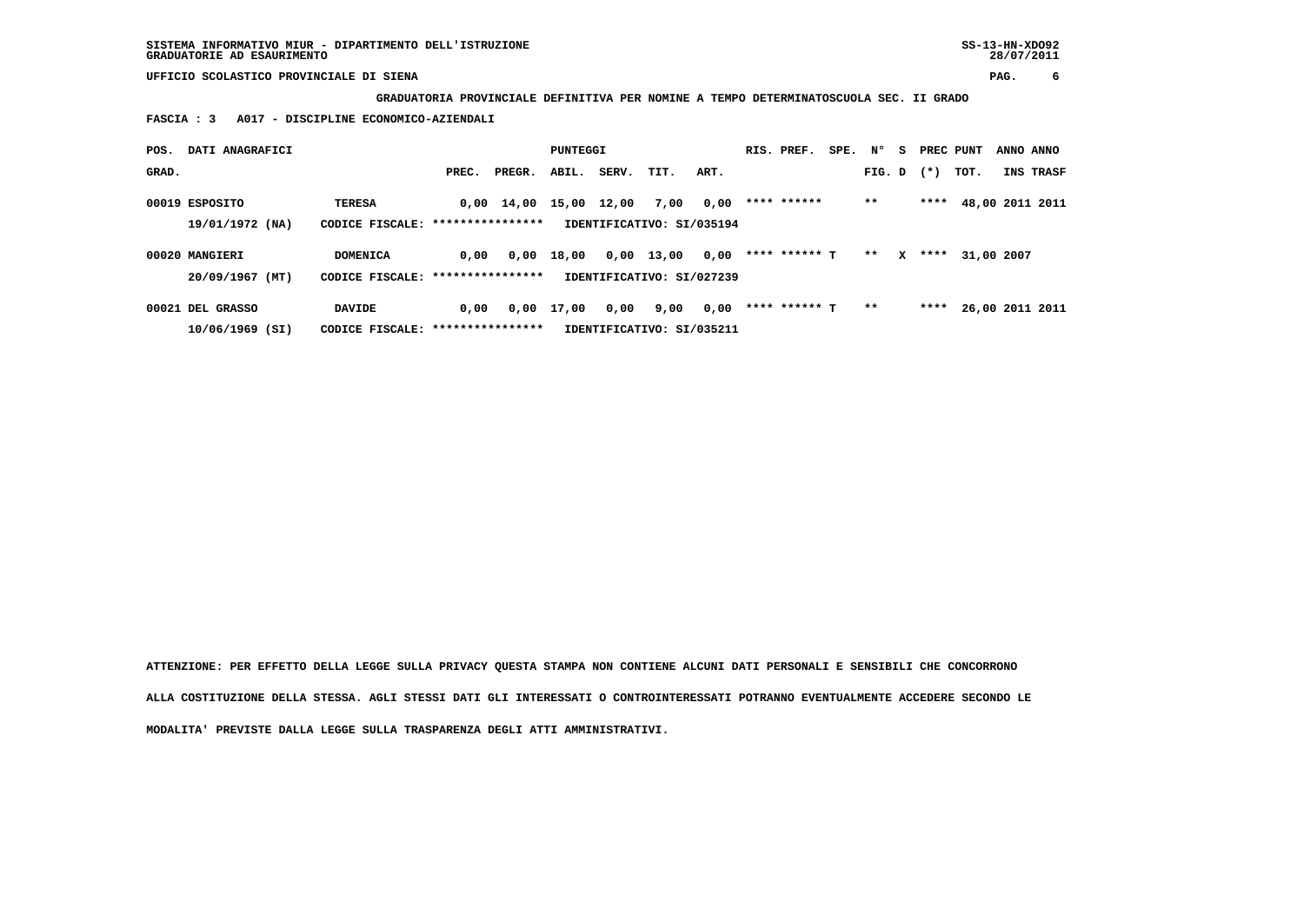**GRADUATORIA PROVINCIALE DEFINITIVA PER NOMINE A TEMPO DETERMINATOSCUOLA SEC. II GRADO**

 **FASCIA : 3 A017 - DISCIPLINE ECONOMICO-AZIENDALI**

| POS.  | DATI ANAGRAFICI                   |                                                    |                  |                    | PUNTEGGI |       |                                   |      | RIS. PREF.    | SPE. | N°     | s | PREC PUNT |            | ANNO ANNO |                 |
|-------|-----------------------------------|----------------------------------------------------|------------------|--------------------|----------|-------|-----------------------------------|------|---------------|------|--------|---|-----------|------------|-----------|-----------------|
| GRAD. |                                   |                                                    | PREC.            | PREGR.             | ABIL.    | SERV. | TIT.                              | ART. |               |      | FIG. D |   | $(*)$     | тот.       |           | INS TRASF       |
|       | 00019 ESPOSITO<br>19/01/1972 (NA) | <b>TERESA</b><br>CODICE FISCALE: ***************** |                  | $0,00 \quad 14,00$ | 15,00    | 12,00 | 7,00<br>IDENTIFICATIVO: SI/035194 | 0,00 | **** ******   |      | $***$  |   | ****      |            |           | 48,00 2011 2011 |
|       | 00020 MANGIERI                    | DOMENICA                                           | 0,00             | 0,00               | 18,00    |       | $0,00$ 13,00                      | 0,00 | **** ****** T |      | $* *$  | x | ****      | 31,00 2007 |           |                 |
|       | 20/09/1967 (MT)                   | CODICE FISCALE:                                    | **************** |                    |          |       | IDENTIFICATIVO: SI/027239         |      |               |      |        |   |           |            |           |                 |
|       | 00021 DEL GRASSO                  | <b>DAVIDE</b>                                      | 0.00             | 0,00               | 17,00    | 0,00  | 9,00                              | 0,00 | **** ****** T |      | $* *$  |   | ****      |            |           | 26,00 2011 2011 |
|       | $10/06/1969$ (SI)                 | CODICE FISCALE: ****************                   |                  |                    |          |       | IDENTIFICATIVO: SI/035211         |      |               |      |        |   |           |            |           |                 |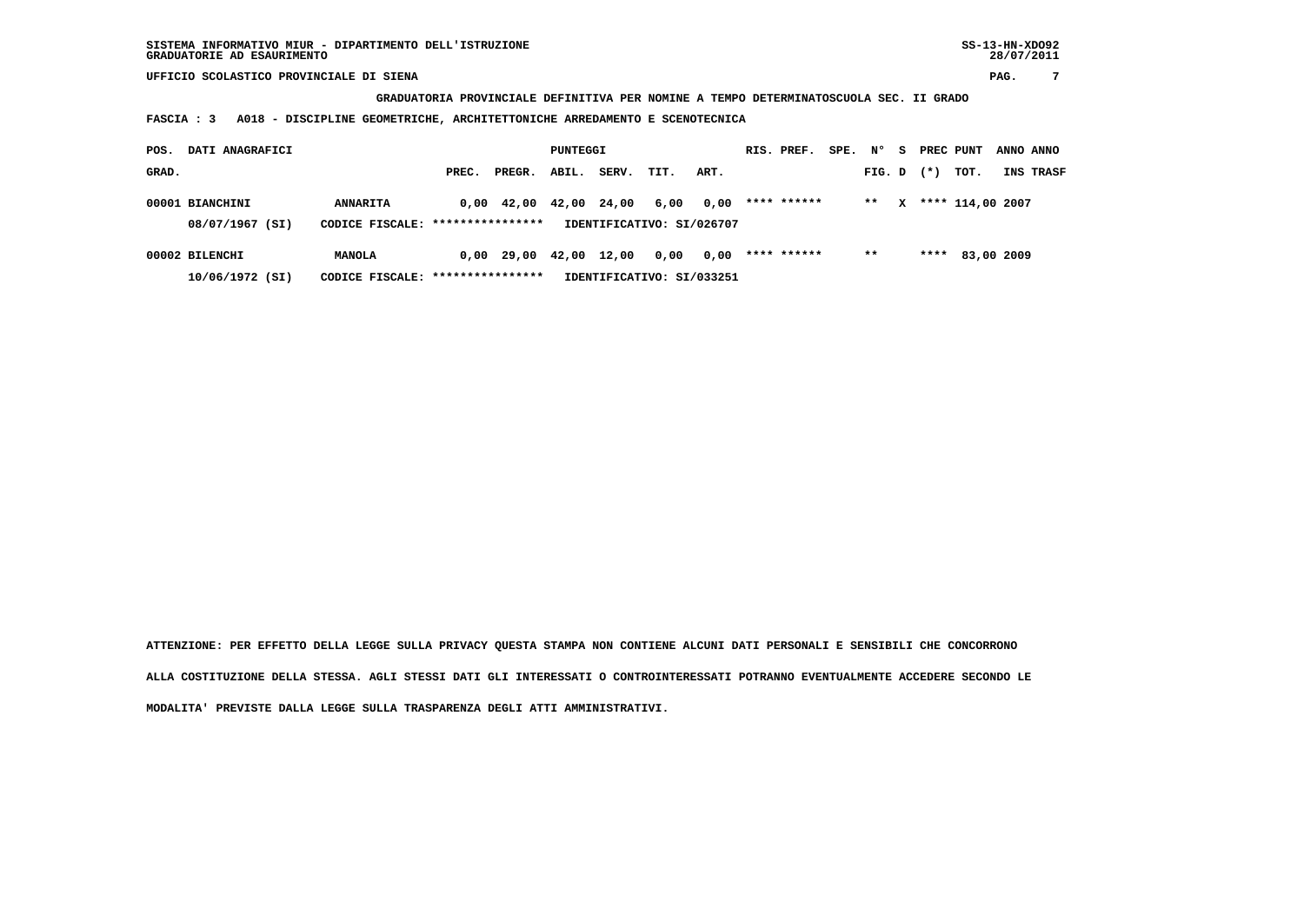**GRADUATORIA PROVINCIALE DEFINITIVA PER NOMINE A TEMPO DETERMINATOSCUOLA SEC. II GRADO**

 **FASCIA : 3 A018 - DISCIPLINE GEOMETRICHE, ARCHITETTONICHE ARREDAMENTO E SCENOTECNICA**

| POS.  | DATI ANAGRAFICI                    |                                                     |       |                    | PUNTEGGI |       |                           |      | RIS. PREF.  | $SPE.$ N° |        | - S | PREC PUNT |                  | ANNO ANNO        |
|-------|------------------------------------|-----------------------------------------------------|-------|--------------------|----------|-------|---------------------------|------|-------------|-----------|--------|-----|-----------|------------------|------------------|
| GRAD. |                                    |                                                     | PREC. | PREGR.             | ABIL.    | SERV. | TIT.                      | ART. |             |           | FIG. D |     | $(*)$     | тот.             | <b>INS TRASF</b> |
|       | 00001 BIANCHINI<br>08/07/1967 (SI) | <b>ANNARITA</b><br>CODICE FISCALE: **************** |       | $0,00 \quad 42,00$ | 42,00    | 24,00 | 6,00                      | 0,00 | **** ****** |           | $***$  | x   |           | **** 114,00 2007 |                  |
|       |                                    |                                                     |       |                    |          |       | IDENTIFICATIVO: SI/026707 |      |             |           |        |     |           |                  |                  |
|       | 00002 BILENCHI                     | <b>MANOLA</b>                                       |       | $0,00$ 29,00       | 42,00    | 12,00 | 0,00                      | 0,00 | **** ****** |           | $* *$  |     |           | **** 83,00 2009  |                  |
|       | 10/06/1972 (SI)                    | IDENTIFICATIVO: SI/033251                           |       |                    |          |       |                           |      |             |           |        |     |           |                  |                  |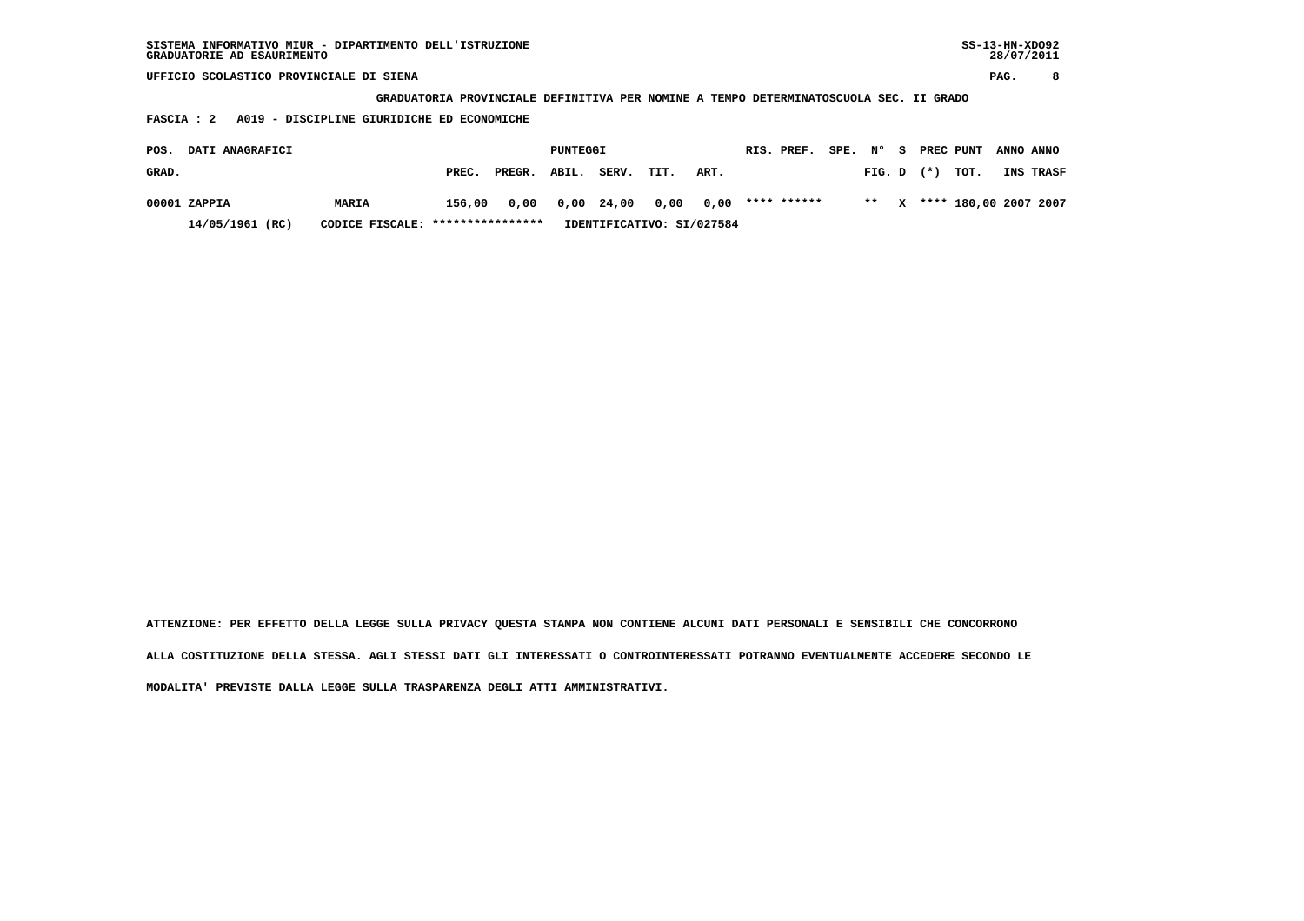**GRADUATORIA PROVINCIALE DEFINITIVA PER NOMINE A TEMPO DETERMINATOSCUOLA SEC. II GRADO**

 **FASCIA : 2 A019 - DISCIPLINE GIURIDICHE ED ECONOMICHE**

| POS.  | <b>DATI ANAGRAFICI</b> |                                  |        |              | PUNTEGGI |       |      |                           | RIS. PREF.  | SPE. N° |                | - S | PREC PUNT ANNO ANNO        |                  |
|-------|------------------------|----------------------------------|--------|--------------|----------|-------|------|---------------------------|-------------|---------|----------------|-----|----------------------------|------------------|
| GRAD. |                        |                                  | PREC.  | PREGR. ABIL. |          | SERV. | TIT. | ART.                      |             |         | $FIG. D$ $(*)$ |     | тот.                       | <b>INS TRASF</b> |
|       | 00001 ZAPPIA           | MARIA                            | 156,00 |              |          |       |      | 0,00 0,00 24,00 0,00 0,00 | **** ****** |         |                |     | ** X **** 180,00 2007 2007 |                  |
|       | 14/05/1961 (RC)        | CODICE FISCALE: **************** |        |              |          |       |      | IDENTIFICATIVO: SI/027584 |             |         |                |     |                            |                  |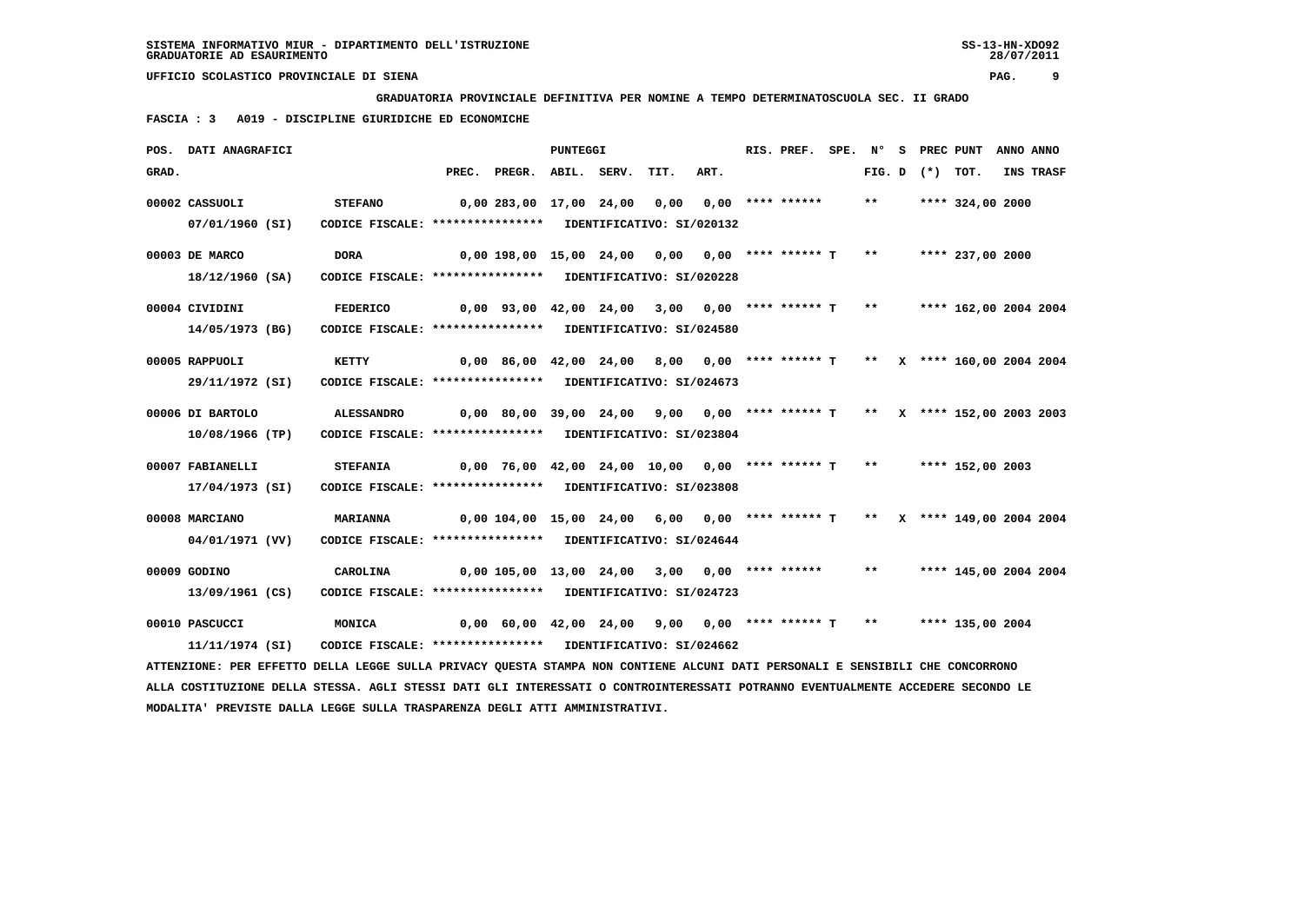**GRADUATORIA PROVINCIALE DEFINITIVA PER NOMINE A TEMPO DETERMINATOSCUOLA SEC. II GRADO**

 **FASCIA : 3 A019 - DISCIPLINE GIURIDICHE ED ECONOMICHE**

|       | POS. DATI ANAGRAFICI                                                                                                          |                                                            |       |                                                                               | PUNTEGGI    |      |                                                    | RIS. PREF.         | SPE. N° |       | S PREC PUNT       |                       | ANNO ANNO |           |
|-------|-------------------------------------------------------------------------------------------------------------------------------|------------------------------------------------------------|-------|-------------------------------------------------------------------------------|-------------|------|----------------------------------------------------|--------------------|---------|-------|-------------------|-----------------------|-----------|-----------|
| GRAD. |                                                                                                                               |                                                            | PREC. | PREGR.                                                                        | ABIL. SERV. | TIT. | ART.                                               |                    |         |       | FIG. D $(*)$ TOT. |                       |           | INS TRASF |
|       | 00002 CASSUOLI                                                                                                                | <b>STEFANO</b>                                             |       | 0,00 283,00 17,00 24,00                                                       |             | 0,00 |                                                    | $0.00$ **** ****** |         | $***$ |                   | **** 324,00 2000      |           |           |
|       | 07/01/1960 (SI)                                                                                                               | CODICE FISCALE: **************** IDENTIFICATIVO: SI/020132 |       |                                                                               |             |      |                                                    |                    |         |       |                   |                       |           |           |
|       | 00003 DE MARCO                                                                                                                | <b>DORA</b>                                                |       | $0,00$ 198,00 15,00 24,00 0,00 0,00 **** ****** T **                          |             |      |                                                    |                    |         |       |                   | **** 237,00 2000      |           |           |
|       | 18/12/1960 (SA)                                                                                                               | CODICE FISCALE: **************** IDENTIFICATIVO: SI/020228 |       |                                                                               |             |      |                                                    |                    |         |       |                   |                       |           |           |
|       | 00004 CIVIDINI                                                                                                                | <b>FEDERICO</b>                                            |       | 0,00 93,00 42,00 24,00                                                        |             |      | $3,00$ 0,00 **** ****** T **                       |                    |         |       |                   | **** 162,00 2004 2004 |           |           |
|       | 14/05/1973 (BG)                                                                                                               | CODICE FISCALE: **************** IDENTIFICATIVO: SI/024580 |       |                                                                               |             |      |                                                    |                    |         |       |                   |                       |           |           |
|       | 00005 RAPPUOLI                                                                                                                | KETTY                                                      |       | 0,00 86,00 42,00 24,00  8,00  0,00 **** ****** T  **  X **** 160,00 2004 2004 |             |      |                                                    |                    |         |       |                   |                       |           |           |
|       | 29/11/1972 (SI)                                                                                                               | CODICE FISCALE: **************** IDENTIFICATIVO: SI/024673 |       |                                                                               |             |      |                                                    |                    |         |       |                   |                       |           |           |
|       | 00006 DI BARTOLO                                                                                                              | <b>ALESSANDRO</b>                                          |       | 0,00 80,00 39,00 24,00                                                        |             |      | 9,00 0,00 **** ****** T ** X **** 152,00 2003 2003 |                    |         |       |                   |                       |           |           |
|       | 10/08/1966 (TP)                                                                                                               | CODICE FISCALE: **************** IDENTIFICATIVO: SI/023804 |       |                                                                               |             |      |                                                    |                    |         |       |                   |                       |           |           |
|       | 00007 FABIANELLI                                                                                                              | <b>STEFANIA</b>                                            |       | $0,00$ 76,00 42,00 24,00 10,00 0,00 **** ****** T **                          |             |      |                                                    |                    |         |       |                   | **** 152,00 2003      |           |           |
|       | 17/04/1973 (SI)                                                                                                               | CODICE FISCALE: **************** IDENTIFICATIVO: SI/023808 |       |                                                                               |             |      |                                                    |                    |         |       |                   |                       |           |           |
|       | 00008 MARCIANO                                                                                                                | MARIANNA                                                   |       | 0,00 104,00 15,00 24,00 6,00 0,00 **** ****** T ** X **** 149,00 2004 2004    |             |      |                                                    |                    |         |       |                   |                       |           |           |
|       | 04/01/1971 (VV)                                                                                                               | CODICE FISCALE: **************** IDENTIFICATIVO: SI/024644 |       |                                                                               |             |      |                                                    |                    |         |       |                   |                       |           |           |
|       | 00009 GODINO                                                                                                                  | CAROLINA                                                   |       | 0,00 105,00 13,00 24,00                                                       |             |      | $3,00$ $0,00$ **** ******                          |                    |         | $***$ |                   | **** 145,00 2004 2004 |           |           |
|       | 13/09/1961 (CS)                                                                                                               | CODICE FISCALE: **************** IDENTIFICATIVO: SI/024723 |       |                                                                               |             |      |                                                    |                    |         |       |                   |                       |           |           |
|       | 00010 PASCUCCI                                                                                                                | MONICA                                                     |       | $0,00$ 60,00 42,00 24,00 9,00 0,00 **** ****** T **                           |             |      |                                                    |                    |         |       |                   | **** 135,00 2004      |           |           |
|       | 11/11/1974 (SI)                                                                                                               | CODICE FISCALE: **************** IDENTIFICATIVO: SI/024662 |       |                                                                               |             |      |                                                    |                    |         |       |                   |                       |           |           |
|       | ATTENZIONE: PER EFFETTO DELLA LEGGE SULLA PRIVACY QUESTA STAMPA NON CONTIENE ALCUNI DATI PERSONALI E SENSIBILI CHE CONCORRONO |                                                            |       |                                                                               |             |      |                                                    |                    |         |       |                   |                       |           |           |

 **ALLA COSTITUZIONE DELLA STESSA. AGLI STESSI DATI GLI INTERESSATI O CONTROINTERESSATI POTRANNO EVENTUALMENTE ACCEDERE SECONDO LE MODALITA' PREVISTE DALLA LEGGE SULLA TRASPARENZA DEGLI ATTI AMMINISTRATIVI.**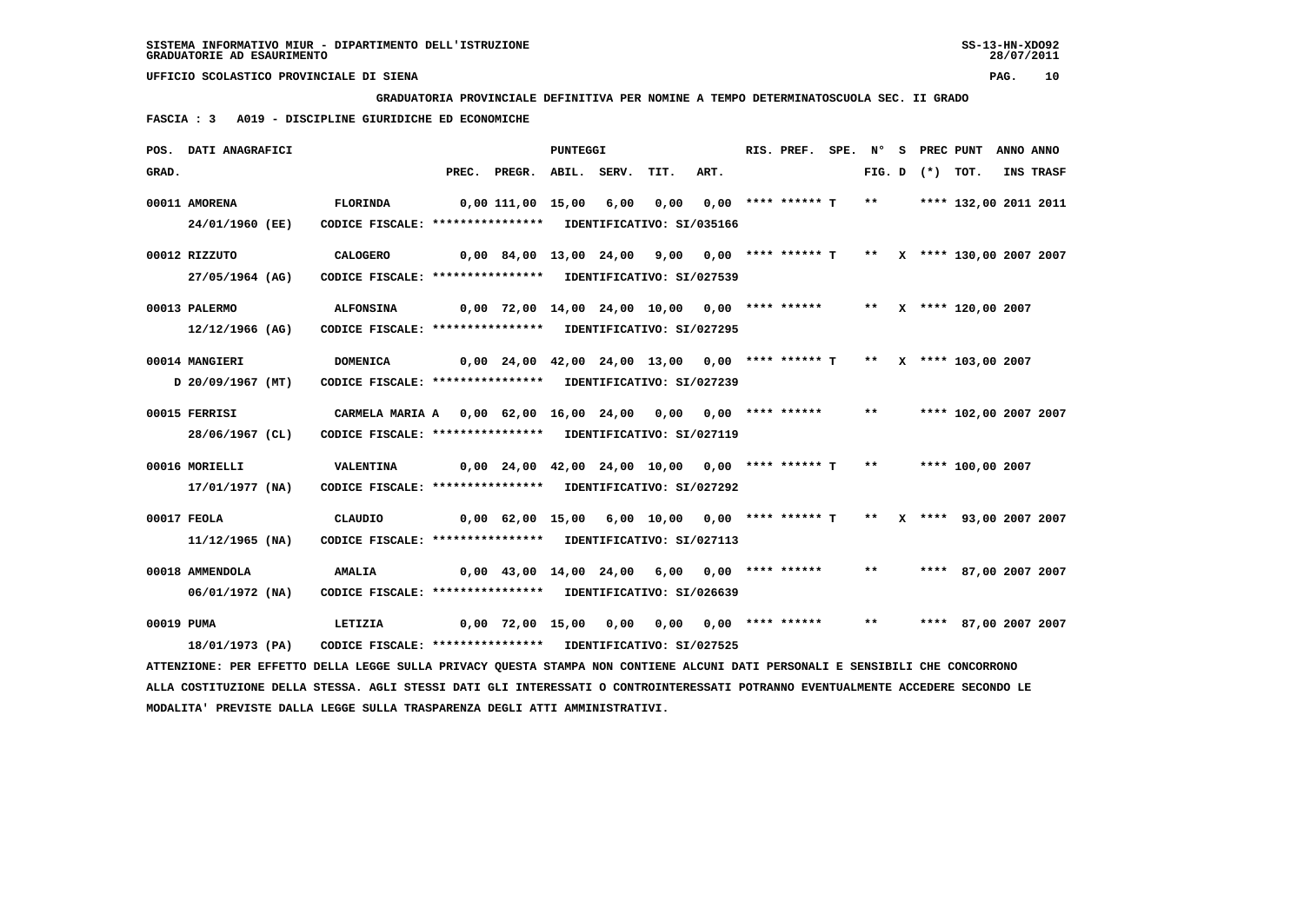**GRADUATORIA PROVINCIALE DEFINITIVA PER NOMINE A TEMPO DETERMINATOSCUOLA SEC. II GRADO**

 **FASCIA : 3 A019 - DISCIPLINE GIURIDICHE ED ECONOMICHE**

|            | POS. DATI ANAGRAFICI                                                                                                            |                                                              |                                                                           | PUNTEGGI |      |      | RIS. PREF. SPE. Nº              |       | S PREC PUNT       |                       | ANNO ANNO |
|------------|---------------------------------------------------------------------------------------------------------------------------------|--------------------------------------------------------------|---------------------------------------------------------------------------|----------|------|------|---------------------------------|-------|-------------------|-----------------------|-----------|
| GRAD.      |                                                                                                                                 |                                                              | PREC. PREGR. ABIL. SERV.                                                  |          | TIT. | ART. |                                 |       | FIG. D $(*)$ TOT. |                       | INS TRASF |
|            | 00011 AMORENA                                                                                                                   | FLORINDA                                                     | 0,00 111,00 15,00 6,00                                                    |          | 0,00 |      | 0,00 **** ****** T              | $***$ |                   | **** 132,00 2011 2011 |           |
|            | 24/01/1960 (EE)                                                                                                                 | CODICE FISCALE: **************** IDENTIFICATIVO: SI/035166   |                                                                           |          |      |      |                                 |       |                   |                       |           |
|            | 00012 RIZZUTO                                                                                                                   | <b>CALOGERO</b>                                              | 0,00 84,00 13,00 24,00 9,00 0,00 **** ****** T ** X **** 130,00 2007 2007 |          |      |      |                                 |       |                   |                       |           |
|            | 27/05/1964 (AG)                                                                                                                 | CODICE FISCALE: **************** IDENTIFICATIVO: SI/027539   |                                                                           |          |      |      |                                 |       |                   |                       |           |
|            | 00013 PALERMO                                                                                                                   | <b>ALFONSINA</b>                                             | $0,00$ 72,00 14,00 24,00 10,00 0,00 **** ****** ** ** X **** 120,00 2007  |          |      |      |                                 |       |                   |                       |           |
|            | 12/12/1966 (AG)                                                                                                                 | CODICE FISCALE: **************** IDENTIFICATIVO: SI/027295   |                                                                           |          |      |      |                                 |       |                   |                       |           |
|            | 00014 MANGIERI                                                                                                                  | DOMENICA                                                     | $0,00$ 24,00 42,00 24,00 13,00 0,00 **** ****** T ** X **** 103,00 2007   |          |      |      |                                 |       |                   |                       |           |
|            | D 20/09/1967 (MT)                                                                                                               | CODICE FISCALE: **************** IDENTIFICATIVO: SI/027239   |                                                                           |          |      |      |                                 |       |                   |                       |           |
|            | 00015 FERRISI                                                                                                                   | CARMELA MARIA A 0,00 62,00 16,00 24,00 0,00 0,00 **** ****** |                                                                           |          |      |      |                                 | $***$ |                   | **** 102,00 2007 2007 |           |
|            | 28/06/1967 (CL)                                                                                                                 | CODICE FISCALE: **************** IDENTIFICATIVO: SI/027119   |                                                                           |          |      |      |                                 |       |                   |                       |           |
|            | 00016 MORIELLI                                                                                                                  | <b>VALENTINA</b>                                             | $0,00$ 24,00 42,00 24,00 10,00 0,00 **** ****** T ** ***** 100,00 2007    |          |      |      |                                 |       |                   |                       |           |
|            | 17/01/1977 (NA)                                                                                                                 | CODICE FISCALE: **************** IDENTIFICATIVO: SI/027292   |                                                                           |          |      |      |                                 |       |                   |                       |           |
|            | 00017 FEOLA                                                                                                                     | CLAUDIO                                                      | 0,00 62,00 15,00 6,00 10,00 0,00 **** ****** T ** X **** 93,00 2007 2007  |          |      |      |                                 |       |                   |                       |           |
|            | 11/12/1965 (NA)                                                                                                                 | CODICE FISCALE: **************** IDENTIFICATIVO: SI/027113   |                                                                           |          |      |      |                                 |       |                   |                       |           |
|            | 00018 AMMENDOLA                                                                                                                 | <b>AMALIA</b>                                                | $0,00$ 43,00 14,00 24,00 6,00 0,00 **** ******                            |          |      |      |                                 | $***$ |                   | **** 87,00 2007 2007  |           |
|            | 06/01/1972 (NA)                                                                                                                 | CODICE FISCALE: **************** IDENTIFICATIVO: SI/026639   |                                                                           |          |      |      |                                 |       |                   |                       |           |
| 00019 PUMA |                                                                                                                                 | LETIZIA                                                      | 0,00 72,00 15,00 0,00                                                     |          |      |      | $0.00$ $0.00$ $***$ $***$ $***$ | $***$ |                   | **** 87,00 2007 2007  |           |
|            | 18/01/1973 (PA)                                                                                                                 | CODICE FISCALE: **************** IDENTIFICATIVO: SI/027525   |                                                                           |          |      |      |                                 |       |                   |                       |           |
|            | ATTENZIONE: PER EFFETTO DELLA LEGGE SULLA PRIVACY QUESTA STAMPA NON CONTIENE ALCUNI DATI PERSONALI E SENSIBILI CHE CONCORRONO   |                                                              |                                                                           |          |      |      |                                 |       |                   |                       |           |
|            | ALLA COSTITUZIONE DELLA STESSA. AGLI STESSI DATI GLI INTERESSATI O CONTROINTERESSATI POTRANNO EVENTUALMENTE ACCEDERE SECONDO LE |                                                              |                                                                           |          |      |      |                                 |       |                   |                       |           |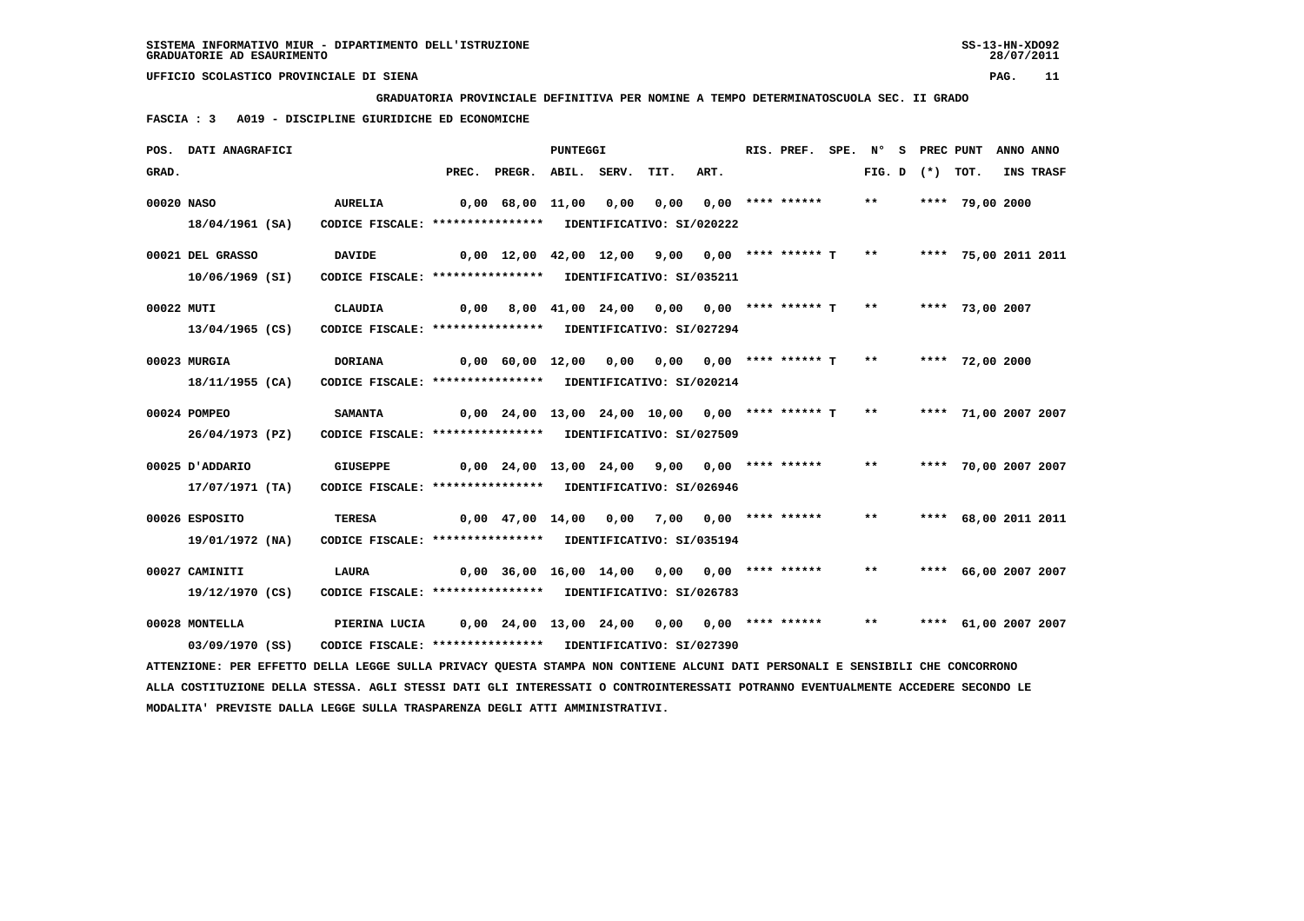**GRADUATORIA PROVINCIALE DEFINITIVA PER NOMINE A TEMPO DETERMINATOSCUOLA SEC. II GRADO**

 **FASCIA : 3 A019 - DISCIPLINE GIURIDICHE ED ECONOMICHE**

|            | POS. DATI ANAGRAFICI                                                                                                            |                                                            |       |                                                   | PUNTEGGI    |      |      |                             | RIS. PREF.         | SPE. | N°    | S PREC PUNT  |                      | ANNO ANNO |           |
|------------|---------------------------------------------------------------------------------------------------------------------------------|------------------------------------------------------------|-------|---------------------------------------------------|-------------|------|------|-----------------------------|--------------------|------|-------|--------------|----------------------|-----------|-----------|
| GRAD.      |                                                                                                                                 |                                                            | PREC. | PREGR.                                            | ABIL. SERV. |      | TIT. | ART.                        |                    |      |       | FIG. D $(*)$ | тот.                 |           | INS TRASF |
| 00020 NASO |                                                                                                                                 | <b>AURELIA</b>                                             |       | 0,00 68,00 11,00                                  |             | 0,00 | 0,00 |                             | $0.00$ **** ****** |      | $***$ |              | **** 79,00 2000      |           |           |
|            | 18/04/1961 (SA)                                                                                                                 | CODICE FISCALE: **************** IDENTIFICATIVO: SI/020222 |       |                                                   |             |      |      |                             |                    |      |       |              |                      |           |           |
|            | 00021 DEL GRASSO                                                                                                                | <b>DAVIDE</b>                                              |       | $0,00$ 12,00 42,00 12,00 9,00 0,00 **** ****** T  |             |      |      |                             |                    |      | $***$ |              | **** 75,00 2011 2011 |           |           |
|            | 10/06/1969 (SI)                                                                                                                 | CODICE FISCALE: **************** IDENTIFICATIVO: SI/035211 |       |                                                   |             |      |      |                             |                    |      |       |              |                      |           |           |
| 00022 MUTI |                                                                                                                                 | <b>CLAUDIA</b>                                             |       | $0,00$ 8,00 41,00 24,00 0,00 0,00 **** ****** T   |             |      |      |                             |                    |      | $***$ |              | **** 73,00 2007      |           |           |
|            | 13/04/1965 (CS)                                                                                                                 | CODICE FISCALE: **************** IDENTIFICATIVO: SI/027294 |       |                                                   |             |      |      |                             |                    |      |       |              |                      |           |           |
|            | 00023 MURGIA                                                                                                                    | <b>DORIANA</b>                                             |       | $0,00$ 60,00 12,00 0,00                           |             |      |      | $0,00$ $0,00$ **** ****** T |                    |      | $***$ |              | **** 72,00 2000      |           |           |
|            | 18/11/1955 (CA)                                                                                                                 | CODICE FISCALE: **************** IDENTIFICATIVO: SI/020214 |       |                                                   |             |      |      |                             |                    |      |       |              |                      |           |           |
|            | 00024 POMPEO                                                                                                                    | <b>SAMANTA</b>                                             |       | $0,00$ 24,00 13,00 24,00 10,00 0,00 **** ****** T |             |      |      |                             |                    |      | $***$ |              | **** 71,00 2007 2007 |           |           |
|            | 26/04/1973 (PZ)                                                                                                                 | CODICE FISCALE: **************** IDENTIFICATIVO: SI/027509 |       |                                                   |             |      |      |                             |                    |      |       |              |                      |           |           |
|            | 00025 D'ADDARIO                                                                                                                 | <b>GIUSEPPE</b>                                            |       | $0,00$ 24,00 13,00 24,00 9,00 0,00 **** ******    |             |      |      |                             |                    |      | $***$ |              | **** 70,00 2007 2007 |           |           |
|            | 17/07/1971 (TA)                                                                                                                 | CODICE FISCALE: **************** IDENTIFICATIVO: SI/026946 |       |                                                   |             |      |      |                             |                    |      |       |              |                      |           |           |
|            | 00026 ESPOSITO                                                                                                                  | <b>TERESA</b>                                              |       | $0,00$ 47,00 14,00 0,00 7,00 0,00 **** ******     |             |      |      |                             |                    |      | $***$ |              | **** 68,00 2011 2011 |           |           |
|            | 19/01/1972 (NA)                                                                                                                 | CODICE FISCALE: **************** IDENTIFICATIVO: SI/035194 |       |                                                   |             |      |      |                             |                    |      |       |              |                      |           |           |
|            | 00027 CAMINITI                                                                                                                  | <b>LAURA</b>                                               |       | $0,00$ 36,00 16,00 14,00 0,00 0,00 **** ******    |             |      |      |                             |                    |      | $* *$ |              | **** 66,00 2007 2007 |           |           |
|            | 19/12/1970 (CS)                                                                                                                 | CODICE FISCALE: **************** IDENTIFICATIVO: SI/026783 |       |                                                   |             |      |      |                             |                    |      |       |              |                      |           |           |
|            | 00028 MONTELLA                                                                                                                  | PIERINA LUCIA                                              |       | $0,00$ 24,00 13,00 24,00 0,00 0,00 **** ******    |             |      |      |                             |                    |      | $***$ |              | **** 61,00 2007 2007 |           |           |
|            | 03/09/1970 (SS)                                                                                                                 | CODICE FISCALE: **************** IDENTIFICATIVO: SI/027390 |       |                                                   |             |      |      |                             |                    |      |       |              |                      |           |           |
|            | ATTENZIONE: PER EFFETTO DELLA LEGGE SULLA PRIVACY QUESTA STAMPA NON CONTIENE ALCUNI DATI PERSONALI E SENSIBILI CHE CONCORRONO   |                                                            |       |                                                   |             |      |      |                             |                    |      |       |              |                      |           |           |
|            | ALLA COSTITUZIONE DELLA STESSA. AGLI STESSI DATI GLI INTERESSATI O CONTROINTERESSATI POTRANNO EVENTUALMENTE ACCEDERE SECONDO LE |                                                            |       |                                                   |             |      |      |                             |                    |      |       |              |                      |           |           |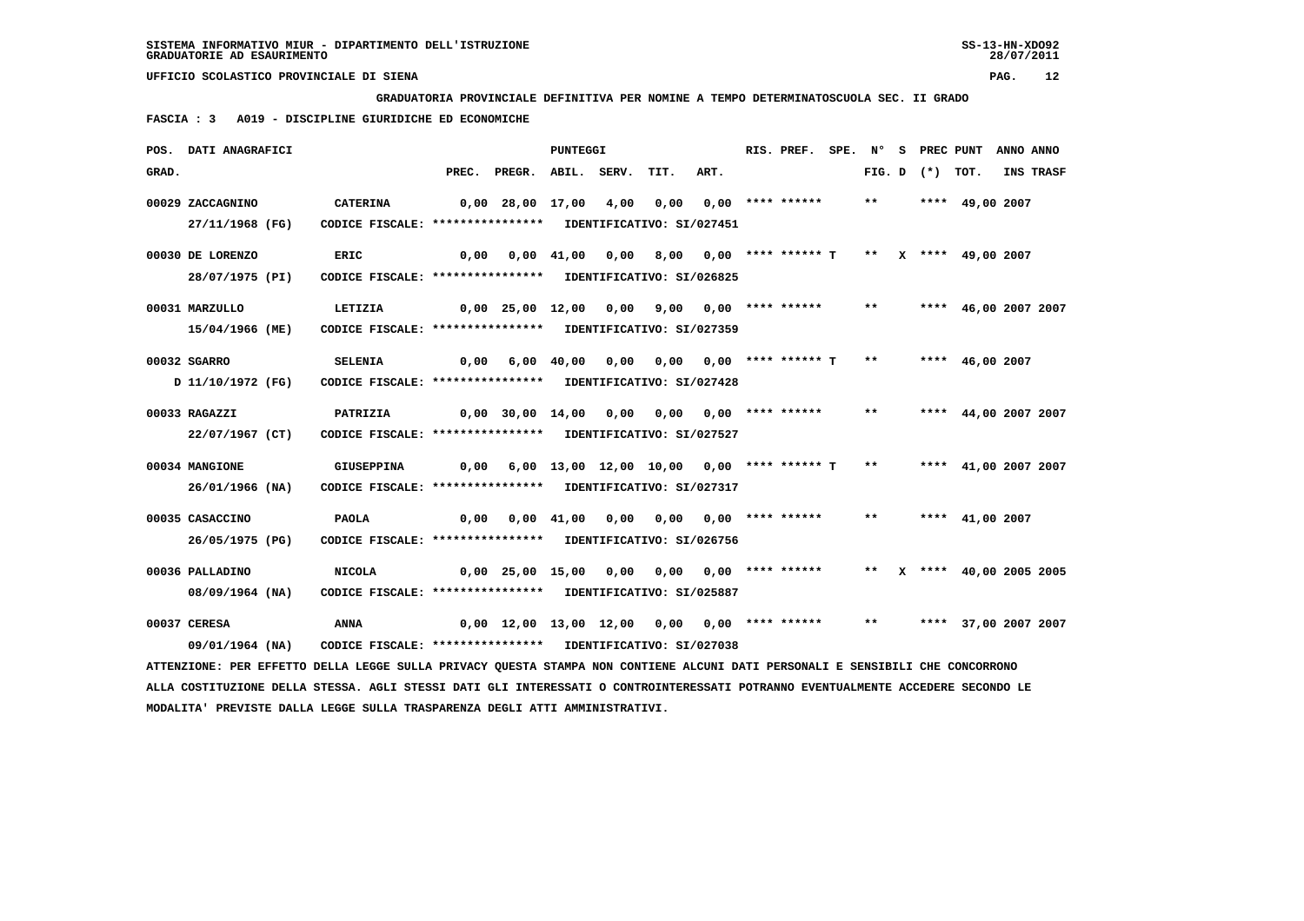**GRADUATORIA PROVINCIALE DEFINITIVA PER NOMINE A TEMPO DETERMINATOSCUOLA SEC. II GRADO**

 **FASCIA : 3 A019 - DISCIPLINE GIURIDICHE ED ECONOMICHE**

|       | POS. DATI ANAGRAFICI |                                                                                                                                 |      |                                                  | PUNTEGGI                      |                                              |                                              | RIS. PREF. SPE. Nº S PREC PUNT |       |                   |                        | ANNO ANNO |           |
|-------|----------------------|---------------------------------------------------------------------------------------------------------------------------------|------|--------------------------------------------------|-------------------------------|----------------------------------------------|----------------------------------------------|--------------------------------|-------|-------------------|------------------------|-----------|-----------|
| GRAD. |                      |                                                                                                                                 |      | PREC. PREGR. ABIL. SERV.                         |                               | TIT.                                         | ART.                                         |                                |       | FIG. D $(*)$ TOT. |                        |           | INS TRASF |
|       | 00029 ZACCAGNINO     | <b>CATERINA</b>                                                                                                                 |      | 0,00 28,00 17,00 4,00                            |                               | 0,00                                         |                                              | 0,00 **** ******               | $***$ |                   | **** 49,00 2007        |           |           |
|       | 27/11/1968 (FG)      | CODICE FISCALE: **************** IDENTIFICATIVO: SI/027451                                                                      |      |                                                  |                               |                                              |                                              |                                |       |                   |                        |           |           |
|       | 00030 DE LORENZO     | ERIC                                                                                                                            | 0,00 |                                                  | $0,00 \quad 41,00 \quad 0,00$ |                                              | 8,00 0,00 **** ****** T ** X **** 49,00 2007 |                                |       |                   |                        |           |           |
|       | 28/07/1975 (PI)      | CODICE FISCALE: **************** IDENTIFICATIVO: SI/026825                                                                      |      |                                                  |                               |                                              |                                              |                                |       |                   |                        |           |           |
|       | 00031 MARZULLO       | LETIZIA                                                                                                                         |      | $0,00$ 25,00 12,00 0,00 9,00 0,00 **** ****** ** |                               |                                              |                                              |                                |       |                   | **** 46,00 2007 2007   |           |           |
|       | 15/04/1966 (ME)      | CODICE FISCALE: **************** IDENTIFICATIVO: SI/027359                                                                      |      |                                                  |                               |                                              |                                              |                                |       |                   |                        |           |           |
|       | 00032 SGARRO         | <b>SELENIA</b>                                                                                                                  | 0,00 |                                                  | $6,00$ $40,00$ $0,00$         |                                              | $0,00$ $0,00$ **** ****** T **               |                                |       |                   | **** 46,00 2007        |           |           |
|       | D 11/10/1972 (FG)    | CODICE FISCALE: **************** IDENTIFICATIVO: SI/027428                                                                      |      |                                                  |                               |                                              |                                              |                                |       |                   |                        |           |           |
|       | 00033 RAGAZZI        | PATRIZIA                                                                                                                        |      | $0,00$ 30,00 14,00 0,00                          |                               | $0,00$ $0,00$ **** ****** **                 |                                              |                                |       |                   | **** 44,00 2007 2007   |           |           |
|       | 22/07/1967 (CT)      | CODICE FISCALE: **************** IDENTIFICATIVO: SI/027527                                                                      |      |                                                  |                               |                                              |                                              |                                |       |                   |                        |           |           |
|       | 00034 MANGIONE       | <b>GIUSEPPINA</b>                                                                                                               | 0,00 |                                                  |                               | 6,00 13,00 12,00 10,00 0,00 **** ****** T ** |                                              |                                |       |                   | **** 41,00 2007 2007   |           |           |
|       | 26/01/1966 (NA)      | CODICE FISCALE: **************** IDENTIFICATIVO: SI/027317                                                                      |      |                                                  |                               |                                              |                                              |                                |       |                   |                        |           |           |
|       | 00035 CASACCINO      | <b>PAOLA</b>                                                                                                                    | 0,00 |                                                  | $0,00$ $41,00$ $0,00$         |                                              | 0,00 0,00 **** ******                        |                                | $***$ |                   | **** $41,00$ 2007      |           |           |
|       | 26/05/1975 (PG)      | CODICE FISCALE: **************** IDENTIFICATIVO: SI/026756                                                                      |      |                                                  |                               |                                              |                                              |                                |       |                   |                        |           |           |
|       | 00036 PALLADINO      | <b>NICOLA</b>                                                                                                                   |      | $0,00$ 25,00 15,00 0,00                          |                               | 0.00                                         |                                              | 0,00 **** ******               | $***$ |                   | X **** 40,00 2005 2005 |           |           |
|       | 08/09/1964 (NA)      | CODICE FISCALE: **************** IDENTIFICATIVO: SI/025887                                                                      |      |                                                  |                               |                                              |                                              |                                |       |                   |                        |           |           |
|       | 00037 CERESA         | <b>ANNA</b>                                                                                                                     |      | $0,00$ 12,00 13,00 12,00 0,00 0,00 **** ******   |                               |                                              |                                              |                                | $***$ |                   | **** 37,00 2007 2007   |           |           |
|       | 09/01/1964 (NA)      | CODICE FISCALE: **************** IDENTIFICATIVO: SI/027038                                                                      |      |                                                  |                               |                                              |                                              |                                |       |                   |                        |           |           |
|       |                      | ATTENZIONE: PER EFFETTO DELLA LEGGE SULLA PRIVACY OUESTA STAMPA NON CONTIENE ALCUNI DATI PERSONALI E SENSIBILI CHE CONCORRONO   |      |                                                  |                               |                                              |                                              |                                |       |                   |                        |           |           |
|       |                      | ALLA COSTITUZIONE DELLA STESSA. AGLI STESSI DATI GLI INTERESSATI O CONTROINTERESSATI POTRANNO EVENTUALMENTE ACCEDERE SECONDO LE |      |                                                  |                               |                                              |                                              |                                |       |                   |                        |           |           |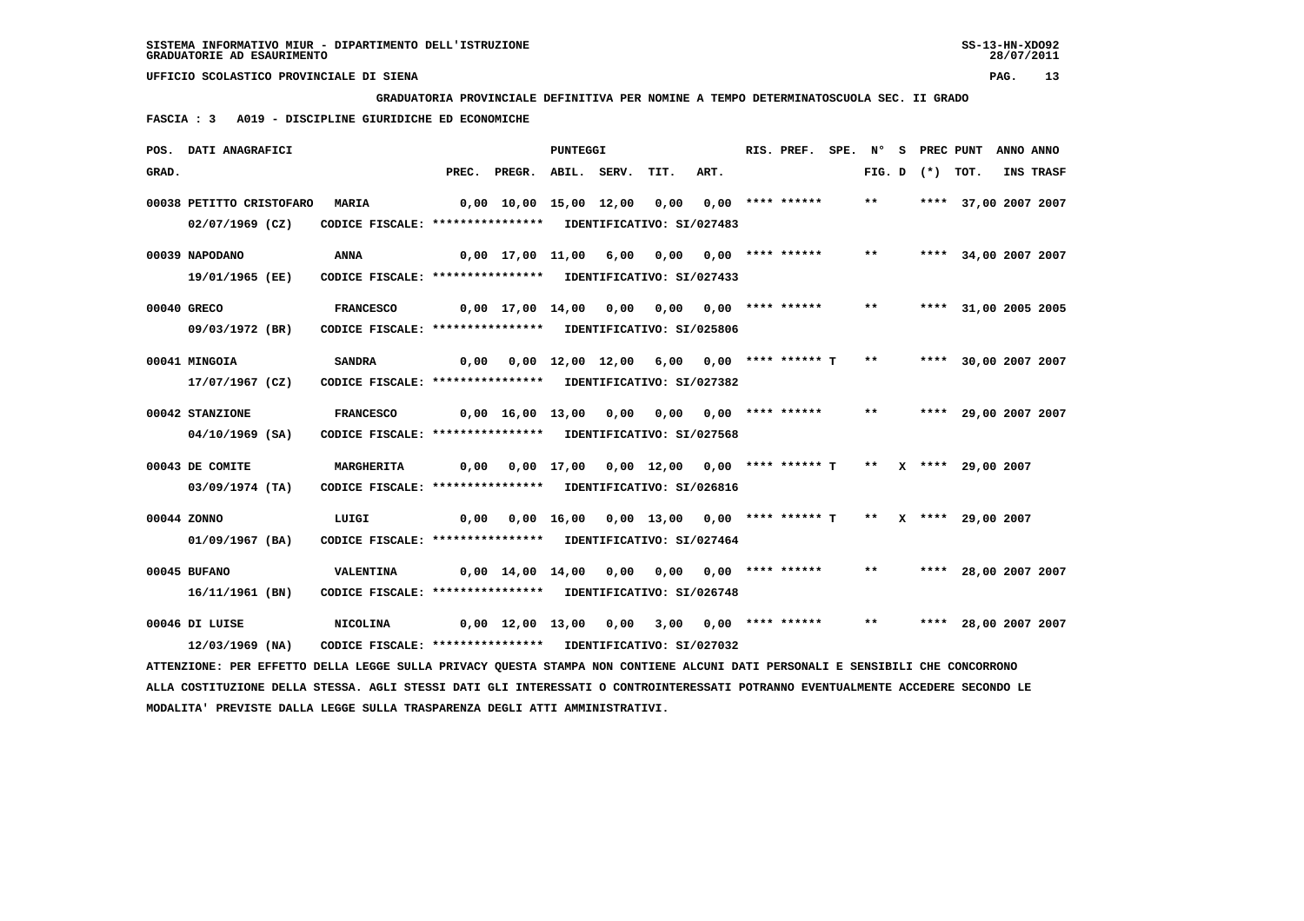**GRADUATORIA PROVINCIALE DEFINITIVA PER NOMINE A TEMPO DETERMINATOSCUOLA SEC. II GRADO**

 **FASCIA : 3 A019 - DISCIPLINE GIURIDICHE ED ECONOMICHE**

|       | POS. DATI ANAGRAFICI                                                                                                            |                                                            |      |                                                                    | PUNTEGGI |      |                                                                 |                       | RIS. PREF. SPE. Nº S PREC PUNT |       |                   |                      | ANNO ANNO |
|-------|---------------------------------------------------------------------------------------------------------------------------------|------------------------------------------------------------|------|--------------------------------------------------------------------|----------|------|-----------------------------------------------------------------|-----------------------|--------------------------------|-------|-------------------|----------------------|-----------|
| GRAD. |                                                                                                                                 |                                                            |      | PREC. PREGR. ABIL. SERV.                                           |          |      | TIT.                                                            | ART.                  |                                |       | FIG. D $(*)$ TOT. |                      | INS TRASF |
|       | 00038 PETITTO CRISTOFARO                                                                                                        | <b>MARIA</b>                                               |      | $0.00$ 10.00 15.00 12.00 0.00 0.00 **** ******                     |          |      |                                                                 |                       |                                | $***$ |                   | **** 37,00 2007 2007 |           |
|       | $02/07/1969$ (CZ)                                                                                                               | CODICE FISCALE: **************** IDENTIFICATIVO: SI/027483 |      |                                                                    |          |      |                                                                 |                       |                                |       |                   |                      |           |
|       | 00039 NAPODANO                                                                                                                  | ANNA                                                       |      | $0.00 \quad 17.00 \quad 11.00 \quad 6.00$                          |          |      |                                                                 | 0,00 0,00 **** ****** |                                | $***$ |                   | **** 34,00 2007 2007 |           |
|       | 19/01/1965 (EE)                                                                                                                 | CODICE FISCALE: **************** IDENTIFICATIVO: SI/027433 |      |                                                                    |          |      |                                                                 |                       |                                |       |                   |                      |           |
|       | 00040 GRECO                                                                                                                     | <b>FRANCESCO</b>                                           |      | 0,00 17,00 14,00 0,00 0,00 0,00 **** ******                        |          |      |                                                                 |                       |                                | $**$  |                   | **** 31,00 2005 2005 |           |
|       | 09/03/1972 (BR)                                                                                                                 | CODICE FISCALE: **************** IDENTIFICATIVO: SI/025806 |      |                                                                    |          |      |                                                                 |                       |                                |       |                   |                      |           |
|       | 00041 MINGOIA                                                                                                                   | <b>SANDRA</b>                                              | 0,00 |                                                                    |          |      | $0,00$ 12,00 12,00 6,00 0,00 **** ****** T                      |                       |                                | $***$ |                   | **** 30,00 2007 2007 |           |
|       | 17/07/1967 (CZ)                                                                                                                 | CODICE FISCALE: **************** IDENTIFICATIVO: SI/027382 |      |                                                                    |          |      |                                                                 |                       |                                |       |                   |                      |           |
|       |                                                                                                                                 |                                                            |      |                                                                    |          |      |                                                                 |                       |                                |       |                   |                      |           |
|       | 00042 STANZIONE                                                                                                                 | <b>FRANCESCO</b>                                           |      | $0,00$ 16,00 13,00 0,00 0,00 0,00 **** ******                      |          |      |                                                                 |                       |                                | $***$ |                   | **** 29,00 2007 2007 |           |
|       | 04/10/1969 (SA)                                                                                                                 | CODICE FISCALE: **************** IDENTIFICATIVO: SI/027568 |      |                                                                    |          |      |                                                                 |                       |                                |       |                   |                      |           |
|       | 00043 DE COMITE                                                                                                                 | <b>MARGHERITA</b>                                          | 0,00 |                                                                    |          |      | $0,00$ 17,00 0,00 12,00 0,00 **** ****** T ** X **** 29,00 2007 |                       |                                |       |                   |                      |           |
|       | 03/09/1974 (TA)                                                                                                                 | CODICE FISCALE: **************** IDENTIFICATIVO: SI/026816 |      |                                                                    |          |      |                                                                 |                       |                                |       |                   |                      |           |
|       | 00044 ZONNO                                                                                                                     | LUIGI                                                      |      | 0,00 0,00 16,00 0,00 13,00 0,00 **** ****** T ** X **** 29,00 2007 |          |      |                                                                 |                       |                                |       |                   |                      |           |
|       | 01/09/1967 (BA)                                                                                                                 | CODICE FISCALE: **************** IDENTIFICATIVO: SI/027464 |      |                                                                    |          |      |                                                                 |                       |                                |       |                   |                      |           |
|       | 00045 BUFANO                                                                                                                    | <b>VALENTINA</b>                                           |      | 0,00 14,00 14,00                                                   |          | 0,00 | 0,00                                                            |                       | 0,00 **** ******               | $* *$ |                   | **** 28,00 2007 2007 |           |
|       | 16/11/1961 (BN)                                                                                                                 | CODICE FISCALE: **************** IDENTIFICATIVO: SI/026748 |      |                                                                    |          |      |                                                                 |                       |                                |       |                   |                      |           |
|       |                                                                                                                                 |                                                            |      |                                                                    |          |      |                                                                 |                       |                                |       |                   |                      |           |
|       | 00046 DI LUISE                                                                                                                  | <b>NICOLINA</b>                                            |      | 0,00 12,00 13,00 0,00                                              |          |      | 3,00 0,00 **** ******                                           |                       |                                | $***$ |                   | **** 28,00 2007 2007 |           |
|       | $12/03/1969$ (NA)                                                                                                               | CODICE FISCALE: **************** IDENTIFICATIVO: SI/027032 |      |                                                                    |          |      |                                                                 |                       |                                |       |                   |                      |           |
|       | ATTENZIONE: PER EFFETTO DELLA LEGGE SULLA PRIVACY QUESTA STAMPA NON CONTIENE ALCUNI DATI PERSONALI E SENSIBILI CHE CONCORRONO   |                                                            |      |                                                                    |          |      |                                                                 |                       |                                |       |                   |                      |           |
|       | ALLA COSTITUZIONE DELLA STESSA. AGLI STESSI DATI GLI INTERESSATI O CONTROINTERESSATI POTRANNO EVENTUALMENTE ACCEDERE SECONDO LE |                                                            |      |                                                                    |          |      |                                                                 |                       |                                |       |                   |                      |           |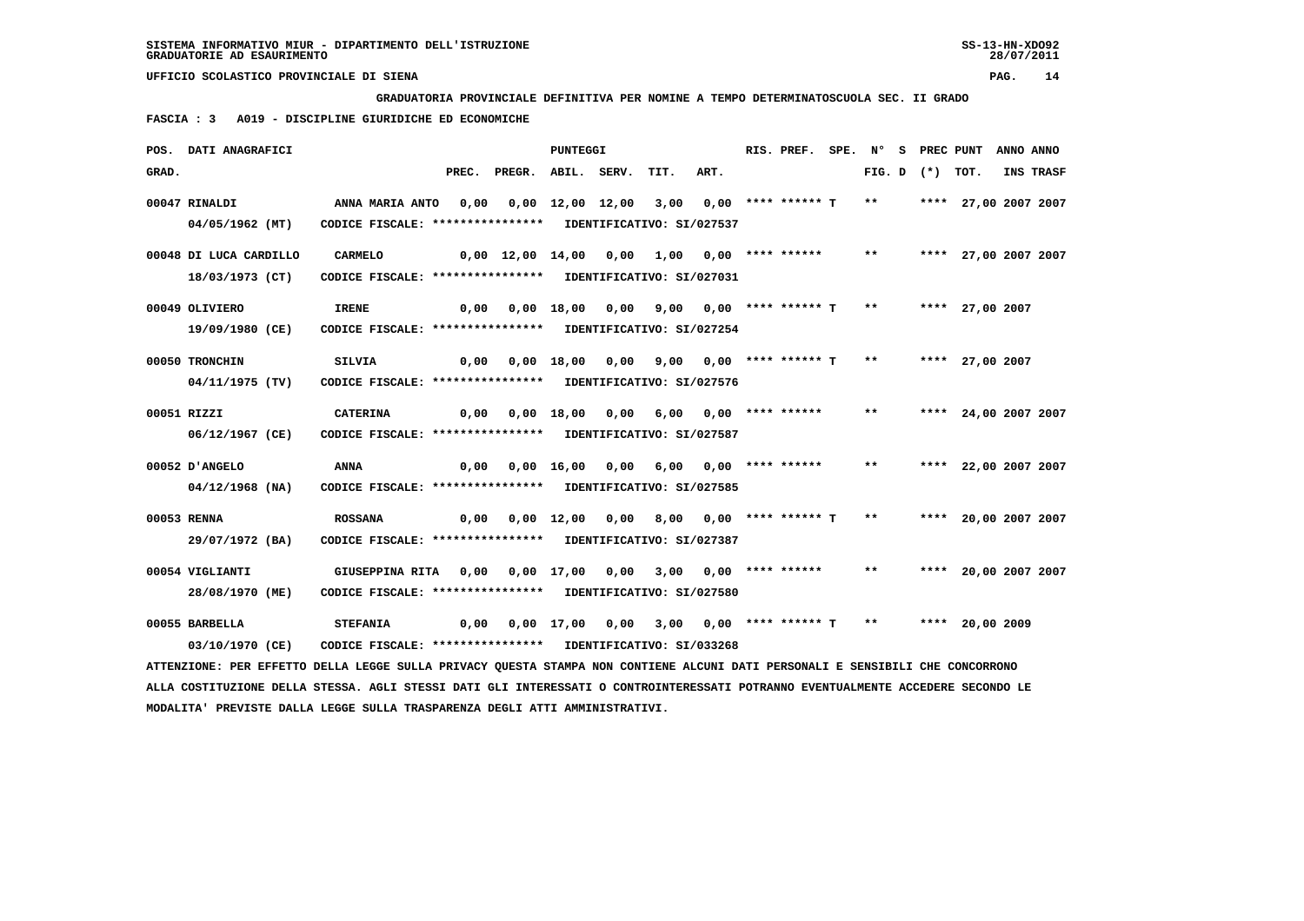**GRADUATORIA PROVINCIALE DEFINITIVA PER NOMINE A TEMPO DETERMINATOSCUOLA SEC. II GRADO**

 **FASCIA : 3 A019 - DISCIPLINE GIURIDICHE ED ECONOMICHE**

|       | POS. DATI ANAGRAFICI   |                                                                                                                                 |       |                                                                  | PUNTEGGI   |                 |                                          |      | RIS. PREF. SPE. N° S PREC PUNT ANNO ANNO      |              |  |                         |                  |
|-------|------------------------|---------------------------------------------------------------------------------------------------------------------------------|-------|------------------------------------------------------------------|------------|-----------------|------------------------------------------|------|-----------------------------------------------|--------------|--|-------------------------|------------------|
| GRAD. |                        |                                                                                                                                 | PREC. | PREGR. ABIL. SERV. TIT.                                          |            |                 |                                          | ART. |                                               |              |  | FIG. D $(*)$ TOT.       | <b>INS TRASF</b> |
|       | 00047 RINALDI          | ANNA MARIA ANTO 0,00                                                                                                            |       |                                                                  |            |                 | 0,00 12,00 12,00 3,00 0,00 **** ****** T |      |                                               |              |  | ** **** 27,00 2007 2007 |                  |
|       | 04/05/1962 (MT)        | CODICE FISCALE: **************** IDENTIFICATIVO: SI/027537                                                                      |       |                                                                  |            |                 |                                          |      |                                               |              |  |                         |                  |
|       | 00048 DI LUCA CARDILLO | CARMELO                                                                                                                         |       | 0,00 12,00 14,00 0,00                                            |            |                 | 1,00 0,00 **** ******                    |      |                                               | $***$        |  | **** 27,00 2007 2007    |                  |
|       | 18/03/1973 (CT)        | CODICE FISCALE: **************** IDENTIFICATIVO: SI/027031                                                                      |       |                                                                  |            |                 |                                          |      |                                               |              |  |                         |                  |
|       | 00049 OLIVIERO         | <b>IRENE</b>                                                                                                                    |       | $0,00$ $0,00$ $18,00$ $0,00$ $9,00$ $0,00$ $***$ **** ***** T ** |            |                 |                                          |      |                                               |              |  | **** 27,00 2007         |                  |
|       | 19/09/1980 (CE)        | CODICE FISCALE: **************** IDENTIFICATIVO: SI/027254                                                                      |       |                                                                  |            |                 |                                          |      |                                               |              |  |                         |                  |
|       | 00050 TRONCHIN         | <b>SILVIA</b>                                                                                                                   | 0,00  |                                                                  | 0,00 18,00 | 0,00            |                                          |      | 9,00 0,00 **** ****** T ** **** 27,00 2007    |              |  |                         |                  |
|       | 04/11/1975 (TV)        | CODICE FISCALE: **************** IDENTIFICATIVO: SI/027576                                                                      |       |                                                                  |            |                 |                                          |      |                                               |              |  |                         |                  |
|       |                        |                                                                                                                                 |       |                                                                  |            |                 |                                          |      |                                               |              |  |                         |                  |
|       | 00051 RIZZI            | CATERINA                                                                                                                        |       | 0,00 0,00 18,00 0,00                                             |            |                 |                                          |      | 6,00 0,00 **** ******                         | $* *$        |  | **** 24,00 2007 2007    |                  |
|       | 06/12/1967 (CE)        | CODICE FISCALE: **************** IDENTIFICATIVO: SI/027587                                                                      |       |                                                                  |            |                 |                                          |      |                                               |              |  |                         |                  |
|       | 00052 D'ANGELO         | ANNA                                                                                                                            | 0,00  |                                                                  |            | 0,00 16,00 0,00 |                                          |      | 6,00 0,00 **** ******                         | $\star\star$ |  | **** 22,00 2007 2007    |                  |
|       | 04/12/1968 (NA)        | CODICE FISCALE: **************** IDENTIFICATIVO: SI/027585                                                                      |       |                                                                  |            |                 |                                          |      |                                               |              |  |                         |                  |
|       | 00053 RENNA            | <b>ROSSANA</b>                                                                                                                  |       | 0,00 0,00 12,00 0,00                                             |            |                 |                                          |      | 8,00 0,00 **** ****** T                       | $***$        |  | **** 20,00 2007 2007    |                  |
|       | 29/07/1972 (BA)        | CODICE FISCALE: **************** IDENTIFICATIVO: SI/027387                                                                      |       |                                                                  |            |                 |                                          |      |                                               |              |  |                         |                  |
|       | 00054 VIGLIANTI        | GIUSEPPINA RITA 0,00 0,00 17,00 0,00                                                                                            |       |                                                                  |            |                 |                                          |      | 3,00 0,00 **** ****** ** **** 20,00 2007 2007 |              |  |                         |                  |
|       | 28/08/1970 (ME)        | CODICE FISCALE: **************** IDENTIFICATIVO: SI/027580                                                                      |       |                                                                  |            |                 |                                          |      |                                               |              |  |                         |                  |
|       |                        |                                                                                                                                 |       |                                                                  |            |                 |                                          |      |                                               |              |  |                         |                  |
|       | 00055 BARBELLA         | <b>STEFANIA</b>                                                                                                                 | 0,00  | 0,00 17,00 0,00                                                  |            |                 |                                          |      | 3,00 0,00 **** ****** T ** **** 20,00 2009    |              |  |                         |                  |
|       | 03/10/1970 (CE)        | CODICE FISCALE: **************** IDENTIFICATIVO: SI/033268                                                                      |       |                                                                  |            |                 |                                          |      |                                               |              |  |                         |                  |
|       |                        | ATTENZIONE: PER EFFETTO DELLA LEGGE SULLA PRIVACY QUESTA STAMPA NON CONTIENE ALCUNI DATI PERSONALI E SENSIBILI CHE CONCORRONO   |       |                                                                  |            |                 |                                          |      |                                               |              |  |                         |                  |
|       |                        | ALLA COSTITUZIONE DELLA STESSA. AGLI STESSI DATI GLI INTERESSATI O CONTROINTERESSATI POTRANNO EVENTUALMENTE ACCEDERE SECONDO LE |       |                                                                  |            |                 |                                          |      |                                               |              |  |                         |                  |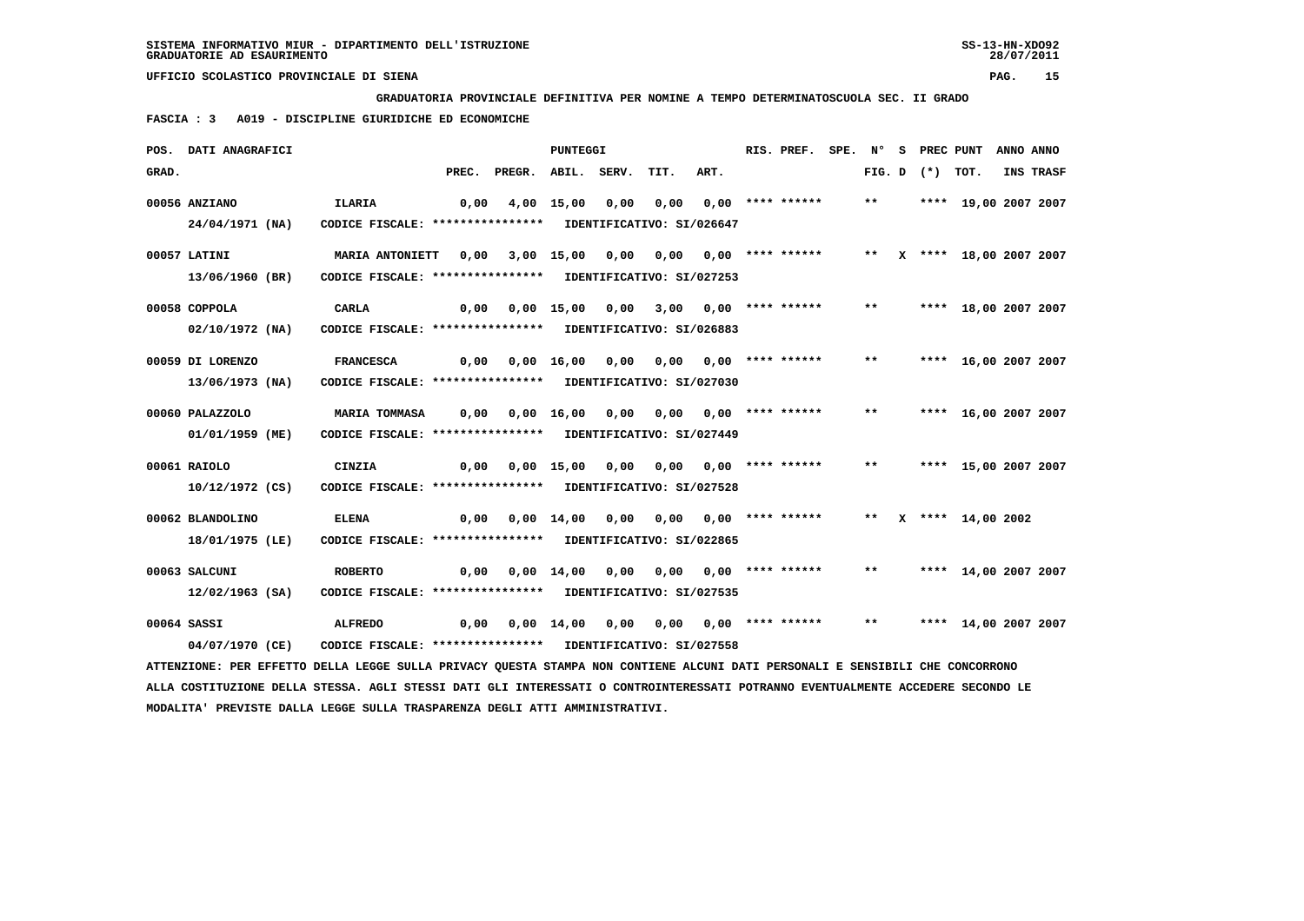**GRADUATORIA PROVINCIALE DEFINITIVA PER NOMINE A TEMPO DETERMINATOSCUOLA SEC. II GRADO**

 **FASCIA : 3 A019 - DISCIPLINE GIURIDICHE ED ECONOMICHE**

|       | POS. DATI ANAGRAFICI                                                                                                            |                                                                              |       |                                                        | PUNTEGGI                      |      |                       |                                 | RIS. PREF.         | SPE. N° |       | S PREC PUNT       |                           | ANNO ANNO |                  |
|-------|---------------------------------------------------------------------------------------------------------------------------------|------------------------------------------------------------------------------|-------|--------------------------------------------------------|-------------------------------|------|-----------------------|---------------------------------|--------------------|---------|-------|-------------------|---------------------------|-----------|------------------|
| GRAD. |                                                                                                                                 |                                                                              | PREC. | PREGR.                                                 | ABIL. SERV.                   |      | TIT.                  | ART.                            |                    |         |       | FIG. D $(*)$ TOT. |                           |           | <b>INS TRASF</b> |
|       | 00056 ANZIANO                                                                                                                   | <b>ILARIA</b>                                                                | 0,00  |                                                        | 4,00 15,00                    | 0,00 | 0,00                  |                                 | $0.00$ **** ****** |         | $***$ |                   | **** 19,00 2007 2007      |           |                  |
|       | 24/04/1971 (NA)                                                                                                                 | CODICE FISCALE: **************** IDENTIFICATIVO: SI/026647                   |       |                                                        |                               |      |                       |                                 |                    |         |       |                   |                           |           |                  |
|       | 00057 LATINI                                                                                                                    | <b>MARIA ANTONIETT</b>                                                       | 0,00  |                                                        | 3,00 15,00 0,00               |      |                       | 0,00 0,00 **** ******           |                    |         |       |                   | ** X **** 18,00 2007 2007 |           |                  |
|       | 13/06/1960 (BR)                                                                                                                 | CODICE FISCALE: **************** IDENTIFICATIVO: SI/027253                   |       |                                                        |                               |      |                       |                                 |                    |         |       |                   |                           |           |                  |
|       | 00058 COPPOLA                                                                                                                   | <b>CARLA</b>                                                                 |       | $0,00$ $0,00$ $15,00$ $0,00$ $3,00$ $0,00$ **** ****** |                               |      |                       |                                 |                    |         | $***$ |                   | **** 18,00 2007 2007      |           |                  |
|       | $02/10/1972$ (NA)                                                                                                               | CODICE FISCALE: **************** IDENTIFICATIVO: SI/026883                   |       |                                                        |                               |      |                       |                                 |                    |         |       |                   |                           |           |                  |
|       | 00059 DI LORENZO                                                                                                                | <b>FRANCESCA</b>                                                             | 0,00  |                                                        | 0,00 16,00 0,00               |      |                       | $0.00$ $0.00$ $***$ **** ****** |                    |         | $* *$ |                   | **** 16,00 2007 2007      |           |                  |
|       | 13/06/1973 (NA)                                                                                                                 | CODICE FISCALE: **************** IDENTIFICATIVO: SI/027030                   |       |                                                        |                               |      |                       |                                 |                    |         |       |                   |                           |           |                  |
|       | 00060 PALAZZOLO                                                                                                                 | <b>MARIA TOMMASA</b>                                                         |       | $0,00$ $0,00$ $16,00$ $0,00$ $0,00$ $0,00$ $***$       |                               |      |                       |                                 |                    |         | $***$ |                   | **** 16,00 2007 2007      |           |                  |
|       | 01/01/1959 (ME)                                                                                                                 | CODICE FISCALE: **************** IDENTIFICATIVO: SI/027449                   |       |                                                        |                               |      |                       |                                 |                    |         |       |                   |                           |           |                  |
|       | 00061 RAIOLO                                                                                                                    | CINZIA                                                                       | 0,00  |                                                        | 0,00 15,00 0,00               |      |                       | 0,00 0,00 **** ******           |                    |         | $***$ |                   | **** 15,00 2007 2007      |           |                  |
|       | 10/12/1972 (CS)                                                                                                                 | CODICE FISCALE: **************** IDENTIFICATIVO: SI/027528                   |       |                                                        |                               |      |                       |                                 |                    |         |       |                   |                           |           |                  |
|       |                                                                                                                                 |                                                                              |       |                                                        |                               |      |                       |                                 |                    |         |       |                   |                           |           |                  |
|       | 00062 BLANDOLINO<br>18/01/1975 (LE)                                                                                             | <b>ELENA</b><br>CODICE FISCALE: **************** IDENTIFICATIVO: SI/022865   |       | 0,00 0,00 14,00 0,00                                   |                               |      | 0,00 0,00 **** ****** |                                 |                    |         |       |                   | ** $X$ **** 14,00 2002    |           |                  |
|       |                                                                                                                                 |                                                                              |       |                                                        |                               |      |                       |                                 |                    |         |       |                   |                           |           |                  |
|       | 00063 SALCUNI<br>12/02/1963 (SA)                                                                                                | <b>ROBERTO</b><br>CODICE FISCALE: **************** IDENTIFICATIVO: SI/027535 | 0,00  |                                                        | $0,00 \quad 14,00 \quad 0,00$ |      |                       | $0.00$ $0.00$ **** ******       |                    |         | $***$ |                   | **** 14,00 2007 2007      |           |                  |
|       |                                                                                                                                 |                                                                              |       |                                                        |                               |      |                       |                                 |                    |         |       |                   |                           |           |                  |
|       | 00064 SASSI                                                                                                                     | <b>ALFREDO</b>                                                               | 0,00  |                                                        | 0,00 14,00 0,00               |      | 0,00 0,00 **** ****** |                                 |                    |         | $* *$ |                   | **** 14,00 2007 2007      |           |                  |
|       | 04/07/1970 (CE)                                                                                                                 | CODICE FISCALE: **************** IDENTIFICATIVO: SI/027558                   |       |                                                        |                               |      |                       |                                 |                    |         |       |                   |                           |           |                  |
|       | ATTENZIONE: PER EFFETTO DELLA LEGGE SULLA PRIVACY QUESTA STAMPA NON CONTIENE ALCUNI DATI PERSONALI E SENSIBILI CHE CONCORRONO   |                                                                              |       |                                                        |                               |      |                       |                                 |                    |         |       |                   |                           |           |                  |
|       | ALLA COSTITUZIONE DELLA STESSA. AGLI STESSI DATI GLI INTERESSATI O CONTROINTERESSATI POTRANNO EVENTUALMENTE ACCEDERE SECONDO LE |                                                                              |       |                                                        |                               |      |                       |                                 |                    |         |       |                   |                           |           |                  |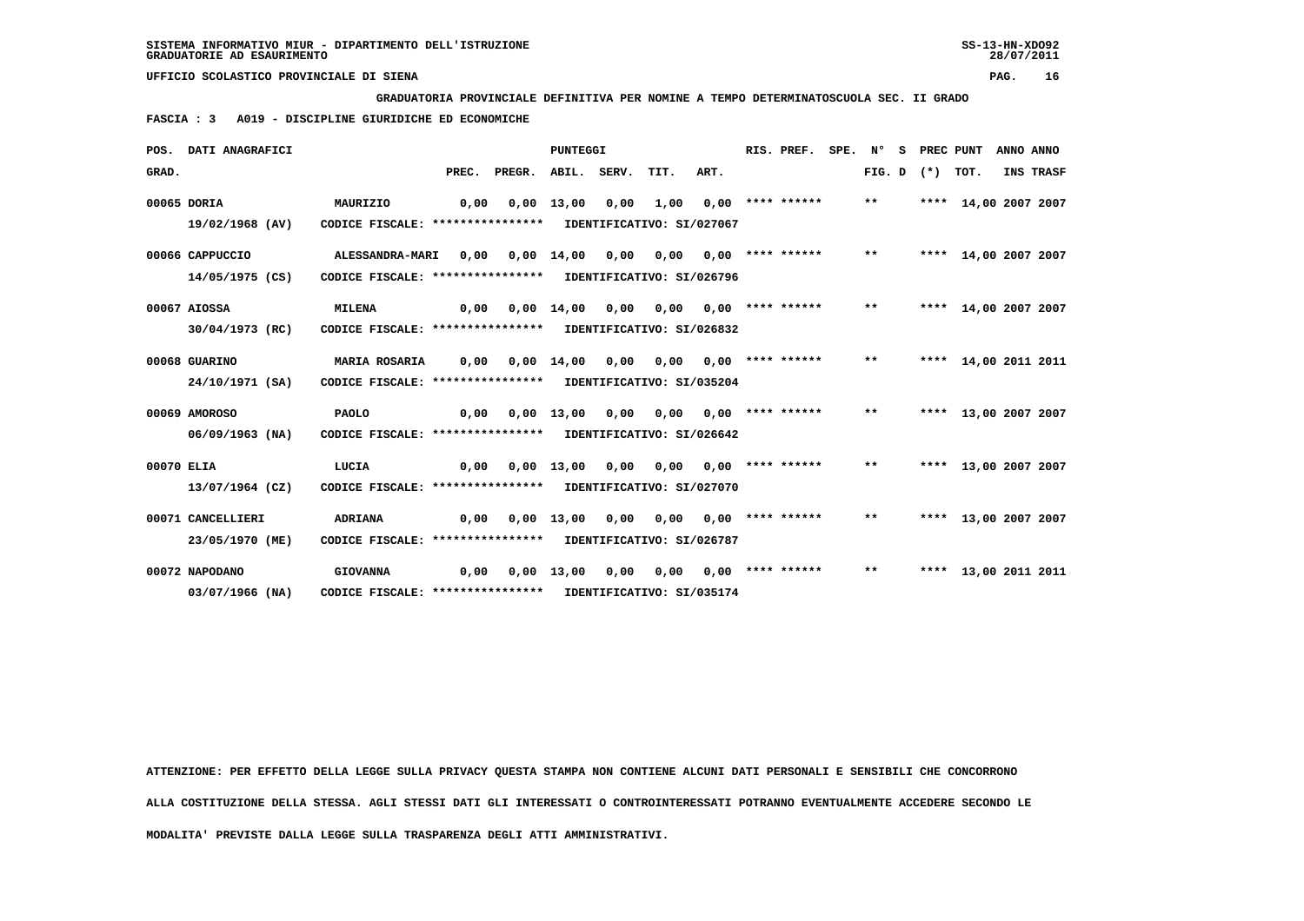**GRADUATORIA PROVINCIALE DEFINITIVA PER NOMINE A TEMPO DETERMINATOSCUOLA SEC. II GRADO**

 **FASCIA : 3 A019 - DISCIPLINE GIURIDICHE ED ECONOMICHE**

|            | POS. DATI ANAGRAFICI |                                                            |       |        | PUNTEGGI     |                       |                           |                                 | RIS. PREF. | SPE. N° |        | s | PREC PUNT |                      | ANNO ANNO |           |
|------------|----------------------|------------------------------------------------------------|-------|--------|--------------|-----------------------|---------------------------|---------------------------------|------------|---------|--------|---|-----------|----------------------|-----------|-----------|
| GRAD.      |                      |                                                            | PREC. | PREGR. |              | ABIL. SERV. TIT.      |                           | ART.                            |            |         | FIG. D |   | (*) TOT.  |                      |           | INS TRASF |
|            | 00065 DORIA          | MAURIZIO                                                   | 0.00  |        | 0,00 13,00   | 0,00                  |                           | $1,00$ $0,00$ **** ******       |            |         | $***$  |   |           | **** 14,00 2007 2007 |           |           |
|            | 19/02/1968 (AV)      | CODICE FISCALE: ****************                           |       |        |              |                       | IDENTIFICATIVO: SI/027067 |                                 |            |         |        |   |           |                      |           |           |
|            | 00066 CAPPUCCIO      | <b>ALESSANDRA-MARI</b>                                     | 0,00  | 0,00   | 14,00        | 0,00                  |                           | $0,00$ $0,00$ **** ******       |            |         | $* *$  |   |           | **** 14,00 2007 2007 |           |           |
|            | 14/05/1975 (CS)      | CODICE FISCALE: **************** IDENTIFICATIVO: SI/026796 |       |        |              |                       |                           |                                 |            |         |        |   |           |                      |           |           |
|            | 00067 AIOSSA         | <b>MILENA</b>                                              | 0.00  |        | 0,00 14,00   | 0,00                  |                           | $0,00$ $0,00$ $***$ **** *****  |            |         | $***$  |   |           | **** 14,00 2007 2007 |           |           |
|            | 30/04/1973 (RC)      | CODICE FISCALE: **************** IDENTIFICATIVO: SI/026832 |       |        |              |                       |                           |                                 |            |         |        |   |           |                      |           |           |
|            | 00068 GUARINO        | <b>MARIA ROSARIA</b>                                       | 0.00  | 0.00   | 14,00        | 0,00                  |                           | $0,00$ $0,00$ **** ******       |            |         | $* *$  |   |           | **** 14,00 2011 2011 |           |           |
|            | 24/10/1971 (SA)      | CODICE FISCALE: **************** IDENTIFICATIVO: SI/035204 |       |        |              |                       |                           |                                 |            |         |        |   |           |                      |           |           |
|            | 00069 AMOROSO        | PAOLO                                                      | 0.00  |        | $0,00$ 13,00 | 0,00                  |                           | $0.00$ $0.00$ **** ****** **    |            |         |        |   |           | **** 13,00 2007 2007 |           |           |
|            | $06/09/1963$ (NA)    | CODICE FISCALE: **************** IDENTIFICATIVO: SI/026642 |       |        |              |                       |                           |                                 |            |         |        |   |           |                      |           |           |
| 00070 ELIA |                      | LUCIA                                                      | 0.00  |        | $0,00$ 13,00 | 0,00                  |                           | $0,00$ $0,00$ $***$ **** ****** |            |         | $***$  |   |           | **** 13,00 2007 2007 |           |           |
|            | 13/07/1964 (CZ)      | CODICE FISCALE: **************** IDENTIFICATIVO: SI/027070 |       |        |              |                       |                           |                                 |            |         |        |   |           |                      |           |           |
|            | 00071 CANCELLIERI    | <b>ADRIANA</b>                                             | 0,00  |        |              | $0,00$ $13,00$ $0,00$ |                           | $0,00$ $0,00$ **** ******       |            |         | $* *$  |   |           | **** 13,00 2007 2007 |           |           |
|            | 23/05/1970 (ME)      | CODICE FISCALE: **************** IDENTIFICATIVO: SI/026787 |       |        |              |                       |                           |                                 |            |         |        |   |           |                      |           |           |
|            | 00072 NAPODANO       | <b>GIOVANNA</b>                                            | 0.00  |        | $0,00$ 13,00 | 0,00                  | 0.00                      | 0,00 **** ******                |            |         | $***$  |   |           | **** 13,00 2011 2011 |           |           |
|            | 03/07/1966 (NA)      | CODICE FISCALE: **************** IDENTIFICATIVO: SI/035174 |       |        |              |                       |                           |                                 |            |         |        |   |           |                      |           |           |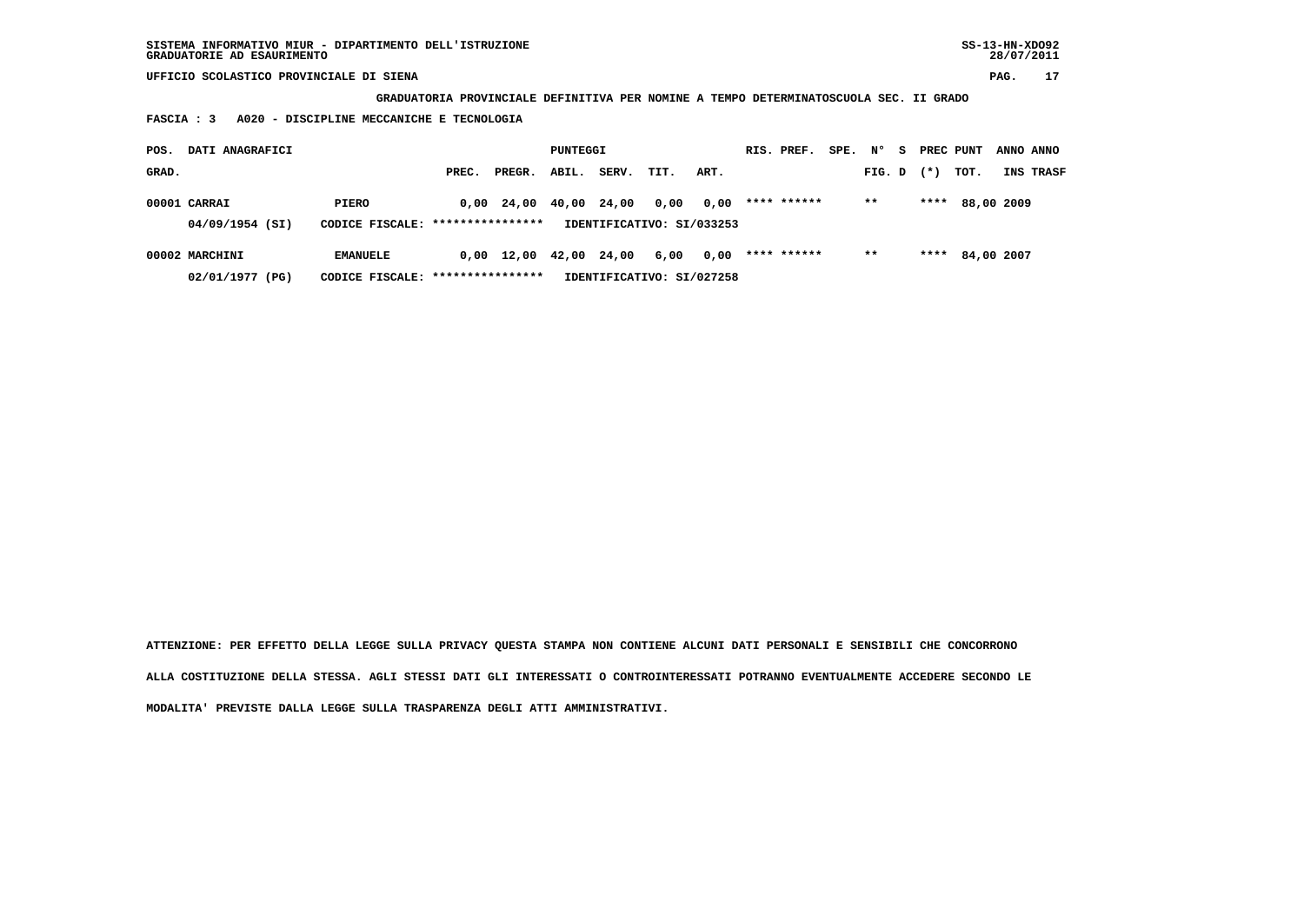**GRADUATORIA PROVINCIALE DEFINITIVA PER NOMINE A TEMPO DETERMINATOSCUOLA SEC. II GRADO**

 **FASCIA : 3 A020 - DISCIPLINE MECCANICHE E TECNOLOGIA**

| POS.  | DATI ANAGRAFICI                 |                                           | PUNTEGGI |            |       |       | RIS. PREF.                        | SPE. N° |             | - S | PREC PUNT |  | ANNO ANNO |                 |  |           |
|-------|---------------------------------|-------------------------------------------|----------|------------|-------|-------|-----------------------------------|---------|-------------|-----|-----------|--|-----------|-----------------|--|-----------|
| GRAD. |                                 |                                           | PREC.    | PREGR.     | ABIL. | SERV. | TIT.                              | ART.    |             |     | FIG. D    |  | $(*)$     | тот.            |  | INS TRASF |
|       | 00001 CARRAI<br>04/09/1954 (SI) | PIERO<br>CODICE FISCALE: **************** |          | 0,00 24,00 | 40,00 | 24,00 | 0,00<br>IDENTIFICATIVO: SI/033253 | 0,00    | **** ****** |     | $* *$     |  | ****      | 88,00 2009      |  |           |
|       |                                 |                                           |          |            |       |       |                                   |         |             |     |           |  |           |                 |  |           |
|       | 00002 MARCHINI                  | <b>EMANUELE</b>                           |          | 0,00 12,00 | 42,00 | 24,00 | 6,00                              | 0,00    | **** ****** |     | $* *$     |  |           | **** 84,00 2007 |  |           |
|       | 02/01/1977 (PG)                 | CODICE FISCALE: ****************          |          |            |       |       | IDENTIFICATIVO: SI/027258         |         |             |     |           |  |           |                 |  |           |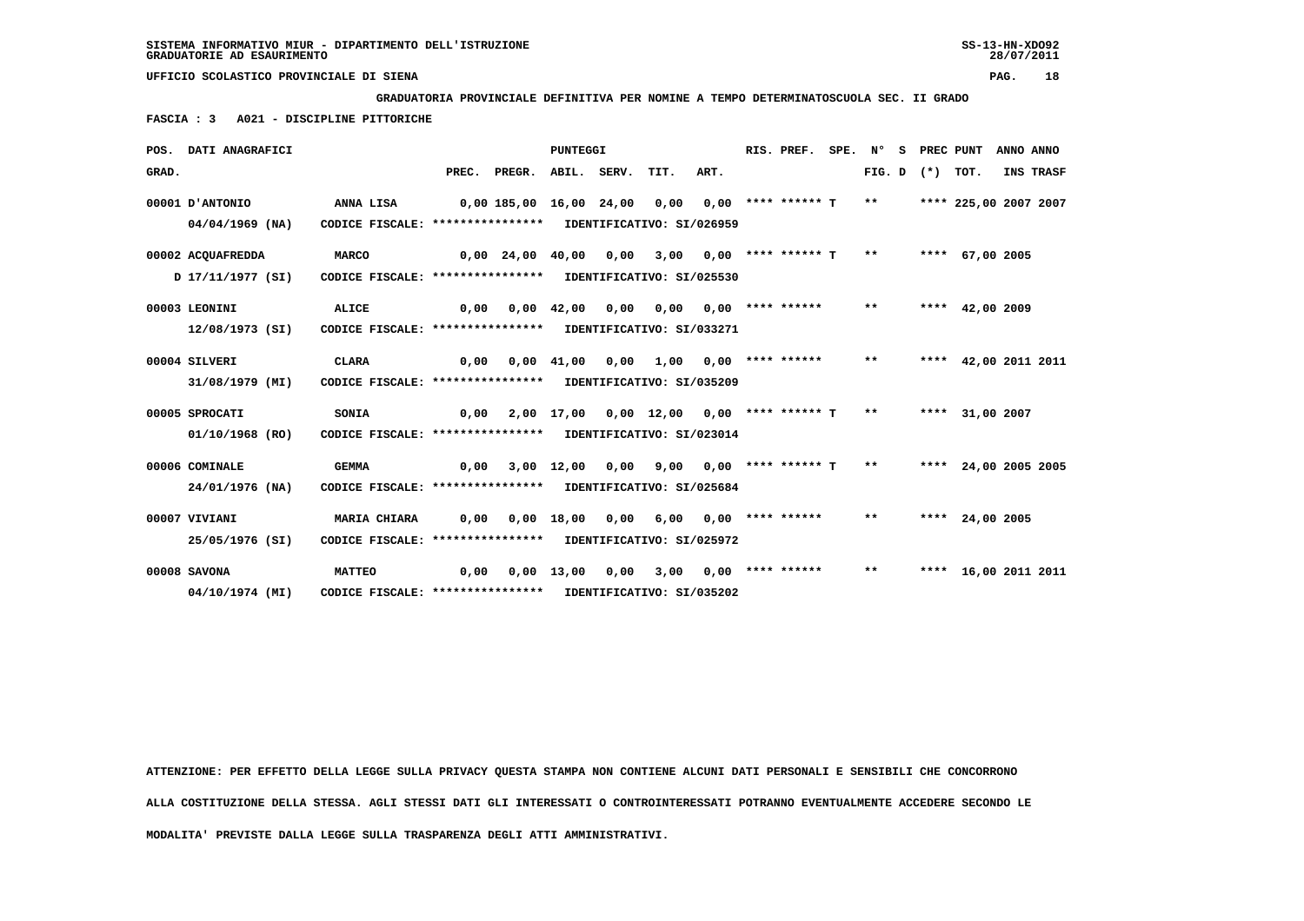**GRADUATORIA PROVINCIALE DEFINITIVA PER NOMINE A TEMPO DETERMINATOSCUOLA SEC. II GRADO**

 **FASCIA : 3 A021 - DISCIPLINE PITTORICHE**

|       | POS. DATI ANAGRAFICI                 |                                                                                   |                         |                       | <b>PUNTEGGI</b> |      |                                             |      | RIS. PREF.                   | SPE. Nº |               | s |        | PREC PUNT             | ANNO ANNO |
|-------|--------------------------------------|-----------------------------------------------------------------------------------|-------------------------|-----------------------|-----------------|------|---------------------------------------------|------|------------------------------|---------|---------------|---|--------|-----------------------|-----------|
| GRAD. |                                      |                                                                                   | PREC.                   | PREGR.                | ABIL. SERV.     |      | TIT.                                        | ART. |                              |         | FIG. D        |   | $(* )$ | TOT.                  | INS TRASF |
|       | 00001 D'ANTONIO<br>$04/04/1969$ (NA) | <b>ANNA LISA</b><br>CODICE FISCALE: **************** IDENTIFICATIVO: SI/026959    | 0,00 185,00 16,00 24,00 |                       |                 |      | 0,00                                        |      | $0.00$ **** ****** T         |         | $\star \star$ |   |        | **** 225,00 2007 2007 |           |
|       | 00002 ACQUAFREDDA<br>17/11/1977 (SI) | <b>MARCO</b><br>CODICE FISCALE: **************** IDENTIFICATIVO: SI/025530        |                         | 0,00 24,00 40,00 0,00 |                 |      |                                             |      | $3,00$ 0,00 **** ****** T ** |         |               |   |        | **** 67,00 2005       |           |
|       | 00003 LEONINI<br>12/08/1973 (SI)     | ALICE<br>CODICE FISCALE: **************** IDENTIFICATIVO: SI/033271               | 0,00                    |                       | $0,00$ 42,00    | 0,00 | 0,00                                        |      | $0.00$ **** ******           |         | $***$         |   |        | **** $42,00$ 2009     |           |
|       | 00004 SILVERI<br>31/08/1979 (MI)     | <b>CLARA</b><br>CODICE FISCALE: **************** IDENTIFICATIVO: SI/035209        | 0,00                    | 0,00                  |                 |      | 41,00  0,00  1,00  0,00  ****  ******       |      |                              |         | $***$         |   |        | **** 42,00 2011 2011  |           |
|       | 00005 SPROCATI<br>01/10/1968 (RO)    | SONIA<br>CODICE FISCALE: **************** IDENTIFICATIVO: SI/023014               | 0.00                    |                       |                 |      | 2,00 17,00 0,00 12,00 0,00 **** ****** T ** |      |                              |         |               |   |        | **** 31,00 2007       |           |
|       | 00006 COMINALE<br>24/01/1976 (NA)    | <b>GEMMA</b><br>CODICE FISCALE: **************** IDENTIFICATIVO: SI/025684        | 0,00                    |                       | $3,00$ 12,00    | 0,00 | 9,00                                        |      | $0.00$ **** ****** T **      |         |               |   |        | **** 24,00 2005 2005  |           |
|       | 00007 VIVIANI<br>25/05/1976 (SI)     | <b>MARIA CHIARA</b><br>CODICE FISCALE: **************** IDENTIFICATIVO: SI/025972 | 0,00                    | 0,00                  | 18,00 0,00      |      |                                             |      | 6,00 0,00 **** ******        |         | $***$         |   |        | **** 24,00 2005       |           |
|       | 00008 SAVONA<br>04/10/1974 (MI)      | <b>MATTEO</b><br>CODICE FISCALE: **************** IDENTIFICATIVO: SI/035202       | 0,00                    |                       | $0,00$ 13,00    | 0,00 | 3,00                                        |      | $0,00$ **** ******           |         | $***$         |   |        | **** 16,00 2011 2011  |           |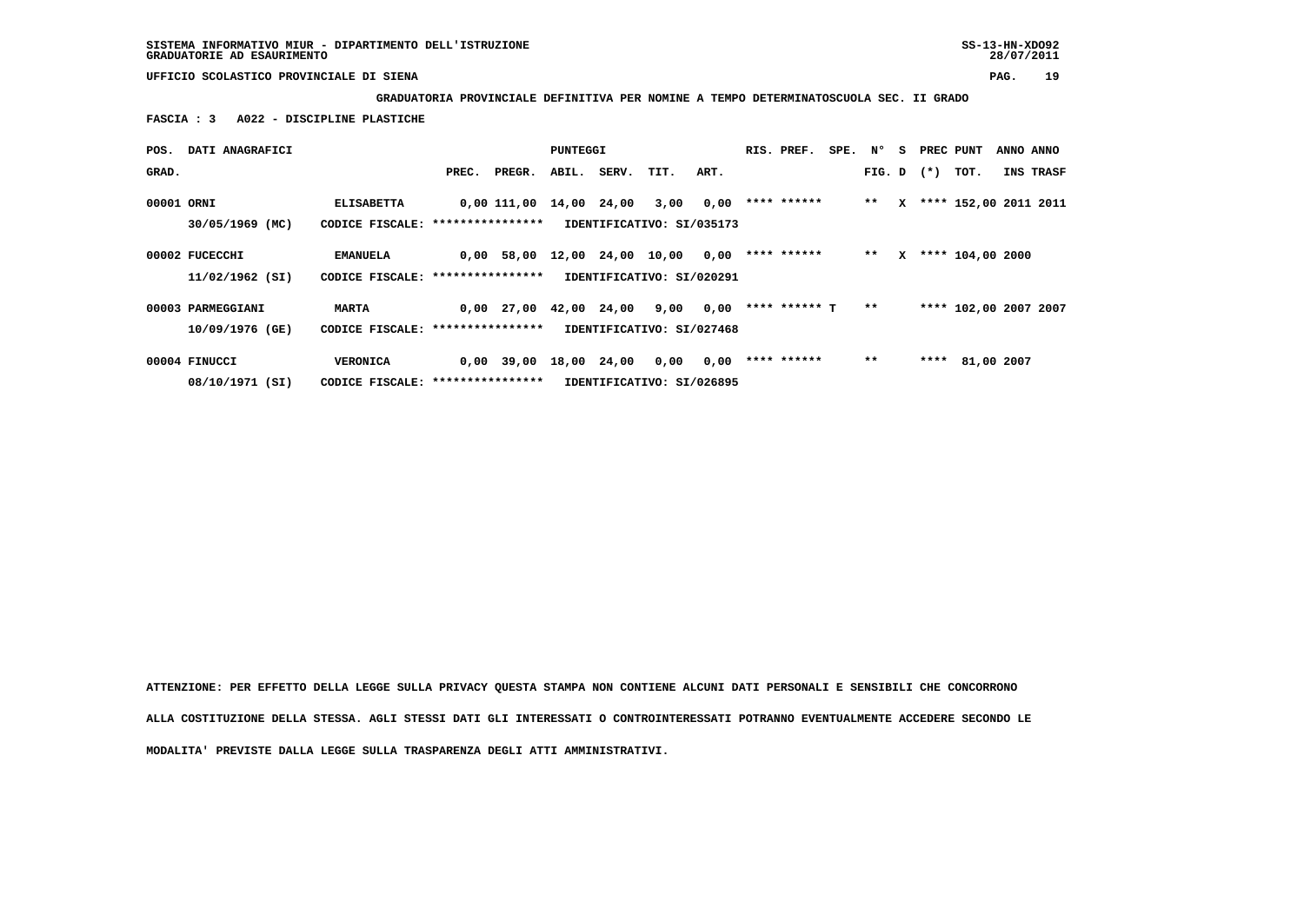**GRADUATORIA PROVINCIALE DEFINITIVA PER NOMINE A TEMPO DETERMINATOSCUOLA SEC. II GRADO**

 **FASCIA : 3 A022 - DISCIPLINE PLASTICHE**

| POS.       | DATI ANAGRAFICI                   |                                                        |       |                          | PUNTEGGI    |                   |                                   |      | RIS. PREF.    | SPE. | N°             | s | PREC PUNT |                       | ANNO ANNO |
|------------|-----------------------------------|--------------------------------------------------------|-------|--------------------------|-------------|-------------------|-----------------------------------|------|---------------|------|----------------|---|-----------|-----------------------|-----------|
| GRAD.      |                                   |                                                        | PREC. | PREGR.                   | ABIL.       | SERV. TIT.        |                                   | ART. |               |      | $FIG. D$ $(*)$ |   |           | тот.                  | INS TRASF |
| 00001 ORNI | 30/05/1969 (MC)                   | <b>ELISABETTA</b><br>CODICE FISCALE: ***************** |       | 0,00 111,00              | 14,00 24,00 |                   | 3,00<br>IDENTIFICATIVO: SI/035173 | 0,00 | **** ******   |      | $***$          | x |           | **** 152,00 2011 2011 |           |
|            | 00002 FUCECCHI<br>11/02/1962 (SI) | <b>EMANUELA</b><br>CODICE FISCALE: ****************    |       | 0,00 58,00               |             | 12,00 24,00 10,00 | IDENTIFICATIVO: SI/020291         | 0,00 | **** ******   |      | $* *$          | x |           | **** 104,00 2000      |           |
|            | 00003 PARMEGGIANI                 | <b>MARTA</b>                                           |       | $0,00$ 27,00 42,00 24,00 |             |                   | 9,00                              | 0,00 | **** ****** T |      | $* *$          |   |           | **** 102,00 2007 2007 |           |
|            | 10/09/1976 (GE)                   | CODICE FISCALE: ****************                       |       |                          |             |                   | IDENTIFICATIVO: SI/027468         |      |               |      |                |   |           |                       |           |
|            | 00004 FINUCCI                     | <b>VERONICA</b>                                        |       | $0,00$ 39,00             | 18,00 24,00 |                   | 0,00                              | 0,00 | **** ******   |      | $**$           |   | ****      | 81,00 2007            |           |
|            | 08/10/1971 (SI)                   | CODICE FISCALE: *****************                      |       |                          |             |                   | IDENTIFICATIVO: SI/026895         |      |               |      |                |   |           |                       |           |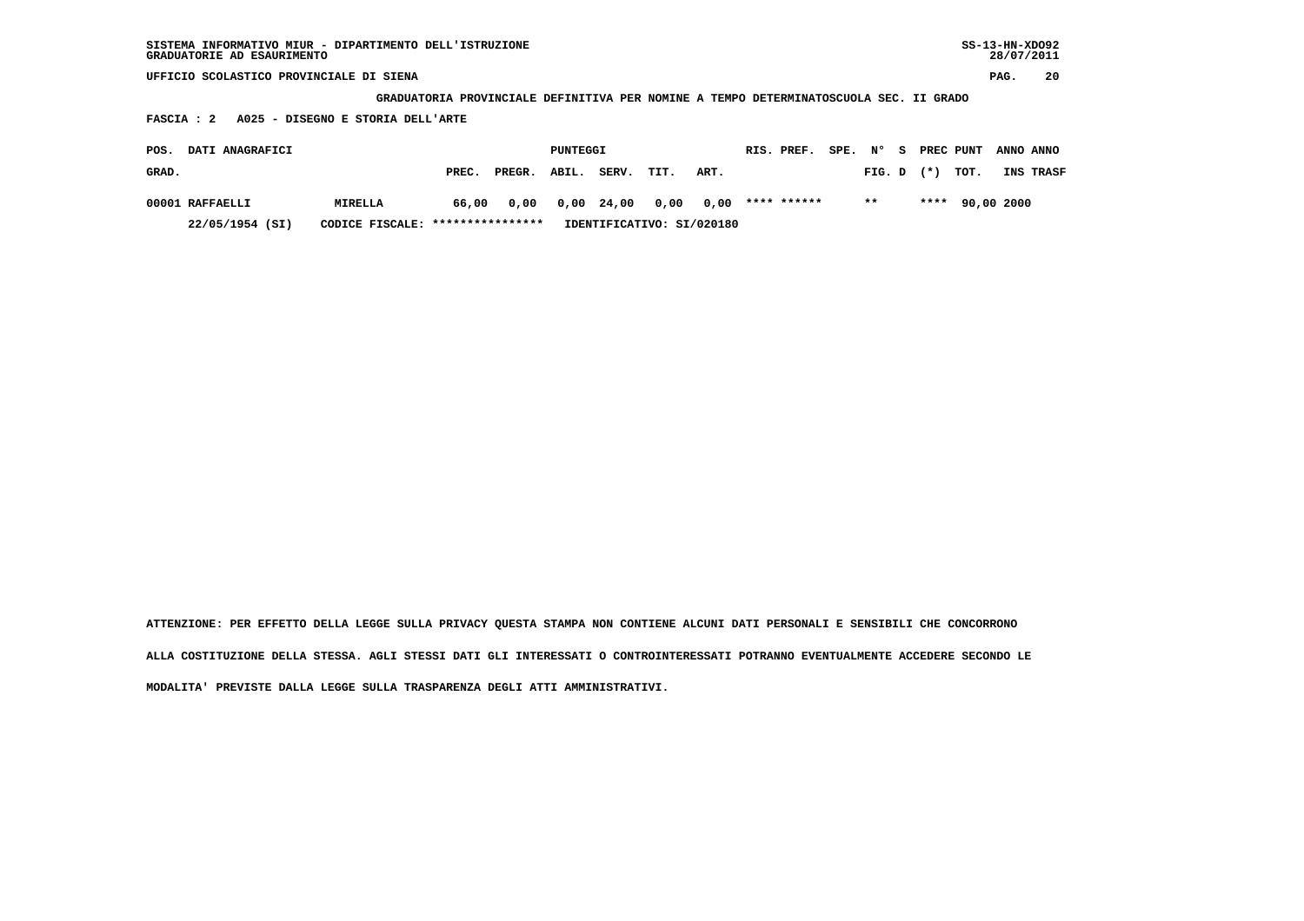| SISTEMA INFORMATIVO MIUR - DIPARTIMENTO DELL'ISTRUZIONE | SS-13-HN-XD092 |
|---------------------------------------------------------|----------------|
| GRADUATORIE AD ESAURIMENTO                              | 28/07/2011     |

 **GRADUATORIA PROVINCIALE DEFINITIVA PER NOMINE A TEMPO DETERMINATOSCUOLA SEC. II GRADO**

 **FASCIA : 2 A025 - DISEGNO E STORIA DELL'ARTE**

| POS.  | <b>DATI ANAGRAFICI</b> |                                  |       |              | PUNTEGGI |                           |      |                           | RIS. PREF.  | SPE. N° |                | - S | PREC PUNT ANNO ANNO |                  |
|-------|------------------------|----------------------------------|-------|--------------|----------|---------------------------|------|---------------------------|-------------|---------|----------------|-----|---------------------|------------------|
| GRAD. |                        |                                  | PREC. | PREGR. ABIL. |          | SERV.                     | TIT. | ART.                      |             |         | $FIG. D$ $(*)$ |     | тот.                | <b>INS TRASF</b> |
|       | 00001 RAFFAELLI        | <b>MIRELLA</b>                   | 66,00 |              |          | 0,00 0,00 24,00 0,00 0,00 |      |                           | **** ****** |         | $***$          |     | **** 90,00 2000     |                  |
|       | 22/05/1954 (SI)        | CODICE FISCALE: **************** |       |              |          |                           |      | IDENTIFICATIVO: SI/020180 |             |         |                |     |                     |                  |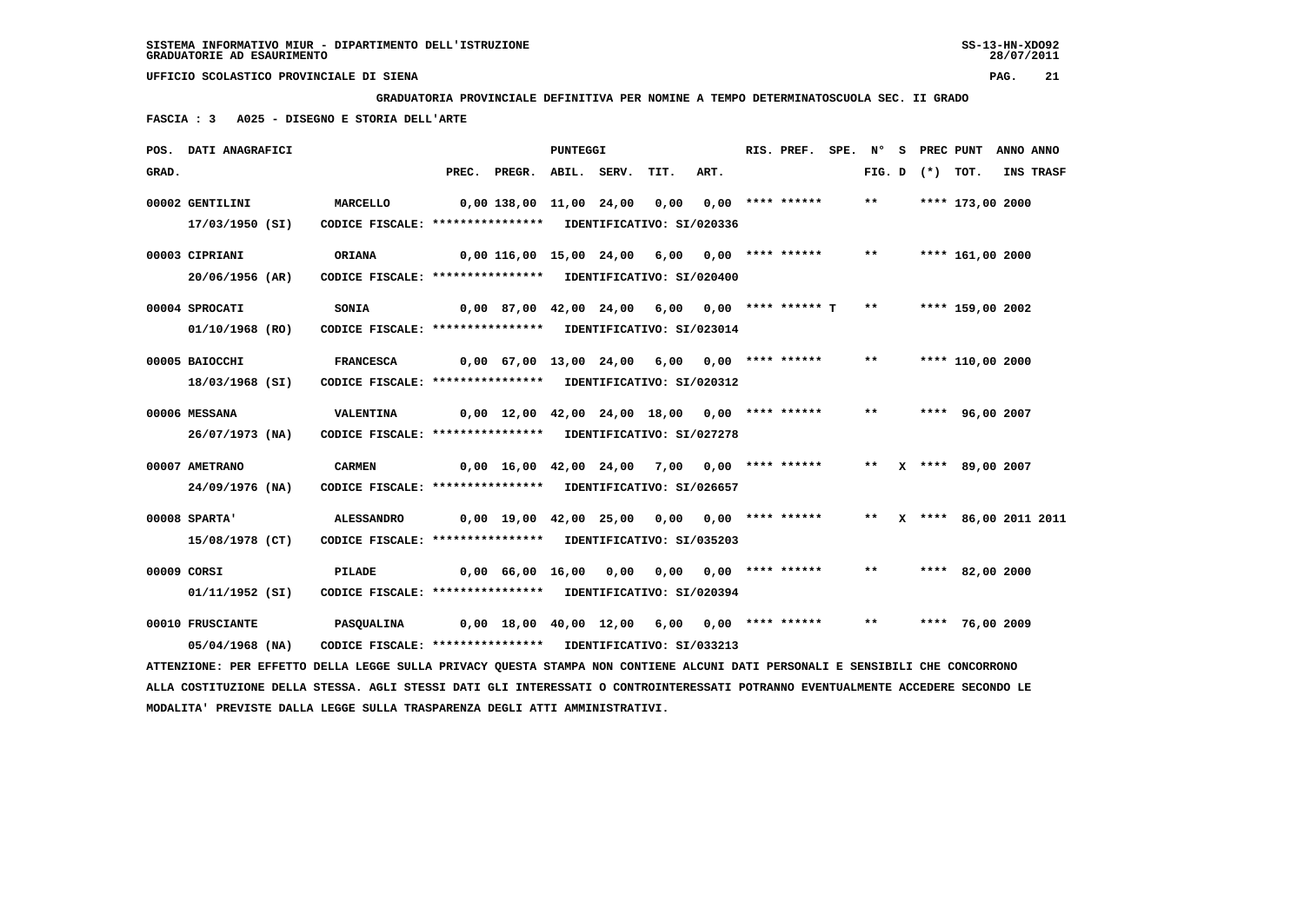**GRADUATORIA PROVINCIALE DEFINITIVA PER NOMINE A TEMPO DETERMINATOSCUOLA SEC. II GRADO**

 **FASCIA : 3 A025 - DISEGNO E STORIA DELL'ARTE**

|       | POS. DATI ANAGRAFICI                                                                                                            |                                                            |       |                                                  | <b>PUNTEGGI</b> |      |      | RIS. PREF.         | SPE. N° |        |                | S PREC PUNT            | ANNO ANNO |
|-------|---------------------------------------------------------------------------------------------------------------------------------|------------------------------------------------------------|-------|--------------------------------------------------|-----------------|------|------|--------------------|---------|--------|----------------|------------------------|-----------|
| GRAD. |                                                                                                                                 |                                                            | PREC. | PREGR. ABIL. SERV.                               |                 | TIT. | ART. |                    |         | FIG. D | $(\star)$ TOT. |                        | INS TRASF |
|       | 00002 GENTILINI                                                                                                                 | <b>MARCELLO</b>                                            |       | 0,00 138,00 11,00 24,00 0,00                     |                 |      |      | $0.00$ **** ****** |         | $***$  |                | **** 173,00 2000       |           |
|       | 17/03/1950 (SI)                                                                                                                 | CODICE FISCALE: **************** IDENTIFICATIVO: SI/020336 |       |                                                  |                 |      |      |                    |         |        |                |                        |           |
|       | 00003 CIPRIANI                                                                                                                  | ORIANA                                                     |       | $0,00$ 116,00 15,00 24,00 6,00 0,00 **** ******  |                 |      |      |                    |         | $***$  |                | **** 161,00 2000       |           |
|       | 20/06/1956 (AR)                                                                                                                 | CODICE FISCALE: **************** IDENTIFICATIVO: SI/020400 |       |                                                  |                 |      |      |                    |         |        |                |                        |           |
|       | 00004 SPROCATI                                                                                                                  | <b>SONIA</b>                                               |       | $0,00$ 87,00 42,00 24,00 6,00 0,00 **** ****** T |                 |      |      |                    |         | $***$  |                | **** 159,00 2002       |           |
|       | 01/10/1968 (RO)                                                                                                                 | CODICE FISCALE: **************** IDENTIFICATIVO: SI/023014 |       |                                                  |                 |      |      |                    |         |        |                |                        |           |
|       | 00005 BAIOCCHI                                                                                                                  | <b>FRANCESCA</b>                                           |       | $0.00$ 67.00 13.00 24.00 6.00 0.00 **** ******   |                 |      |      |                    |         | $***$  |                | **** 110,00 2000       |           |
|       | 18/03/1968 (SI)                                                                                                                 | CODICE FISCALE: **************** IDENTIFICATIVO: SI/020312 |       |                                                  |                 |      |      |                    |         |        |                |                        |           |
|       | 00006 MESSANA                                                                                                                   | VALENTINA                                                  |       | $0,00$ 12,00 42,00 24,00 18,00 0,00 **** ******  |                 |      |      |                    |         | $***$  |                | **** 96,00 2007        |           |
|       | 26/07/1973 (NA)                                                                                                                 | CODICE FISCALE: **************** IDENTIFICATIVO: SI/027278 |       |                                                  |                 |      |      |                    |         |        |                |                        |           |
|       | 00007 AMETRANO                                                                                                                  | <b>CARMEN</b>                                              |       | $0,00$ 16,00 42,00 24,00 7,00 0,00 **** ******   |                 |      |      |                    |         |        |                | X **** 89,00 2007      |           |
|       | 24/09/1976 (NA)                                                                                                                 | CODICE FISCALE: **************** IDENTIFICATIVO: SI/026657 |       |                                                  |                 |      |      |                    |         |        |                |                        |           |
|       | 00008 SPARTA'                                                                                                                   | <b>ALESSANDRO</b>                                          |       | $0,00$ 19,00 42,00 25,00 0,00 0,00 **** ******   |                 |      |      |                    |         | $***$  |                | X **** 86,00 2011 2011 |           |
|       | 15/08/1978 (CT)                                                                                                                 | CODICE FISCALE: **************** IDENTIFICATIVO: SI/035203 |       |                                                  |                 |      |      |                    |         |        |                |                        |           |
|       | 00009 CORSI                                                                                                                     | PILADE                                                     |       | $0,00$ 66,00 16,00 0,00 0,00 0,00 **** ******    |                 |      |      |                    |         | **     |                | **** 82,00 2000        |           |
|       | 01/11/1952 (SI)                                                                                                                 | CODICE FISCALE: **************** IDENTIFICATIVO: SI/020394 |       |                                                  |                 |      |      |                    |         |        |                |                        |           |
|       | 00010 FRUSCIANTE                                                                                                                | <b>PASQUALINA</b>                                          |       | $0,00$ 18,00 40,00 12,00 6,00 0,00 **** ******   |                 |      |      |                    |         | **     |                | **** 76,00 2009        |           |
|       | 05/04/1968 (NA)                                                                                                                 | CODICE FISCALE: **************** IDENTIFICATIVO: SI/033213 |       |                                                  |                 |      |      |                    |         |        |                |                        |           |
|       | ATTENZIONE: PER EFFETTO DELLA LEGGE SULLA PRIVACY QUESTA STAMPA NON CONTIENE ALCUNI DATI PERSONALI E SENSIBILI CHE CONCORRONO   |                                                            |       |                                                  |                 |      |      |                    |         |        |                |                        |           |
|       | ALLA COSTITUZIONE DELLA STESSA. AGLI STESSI DATI GLI INTERESSATI O CONTROINTERESSATI POTRANNO EVENTUALMENTE ACCEDERE SECONDO LE |                                                            |       |                                                  |                 |      |      |                    |         |        |                |                        |           |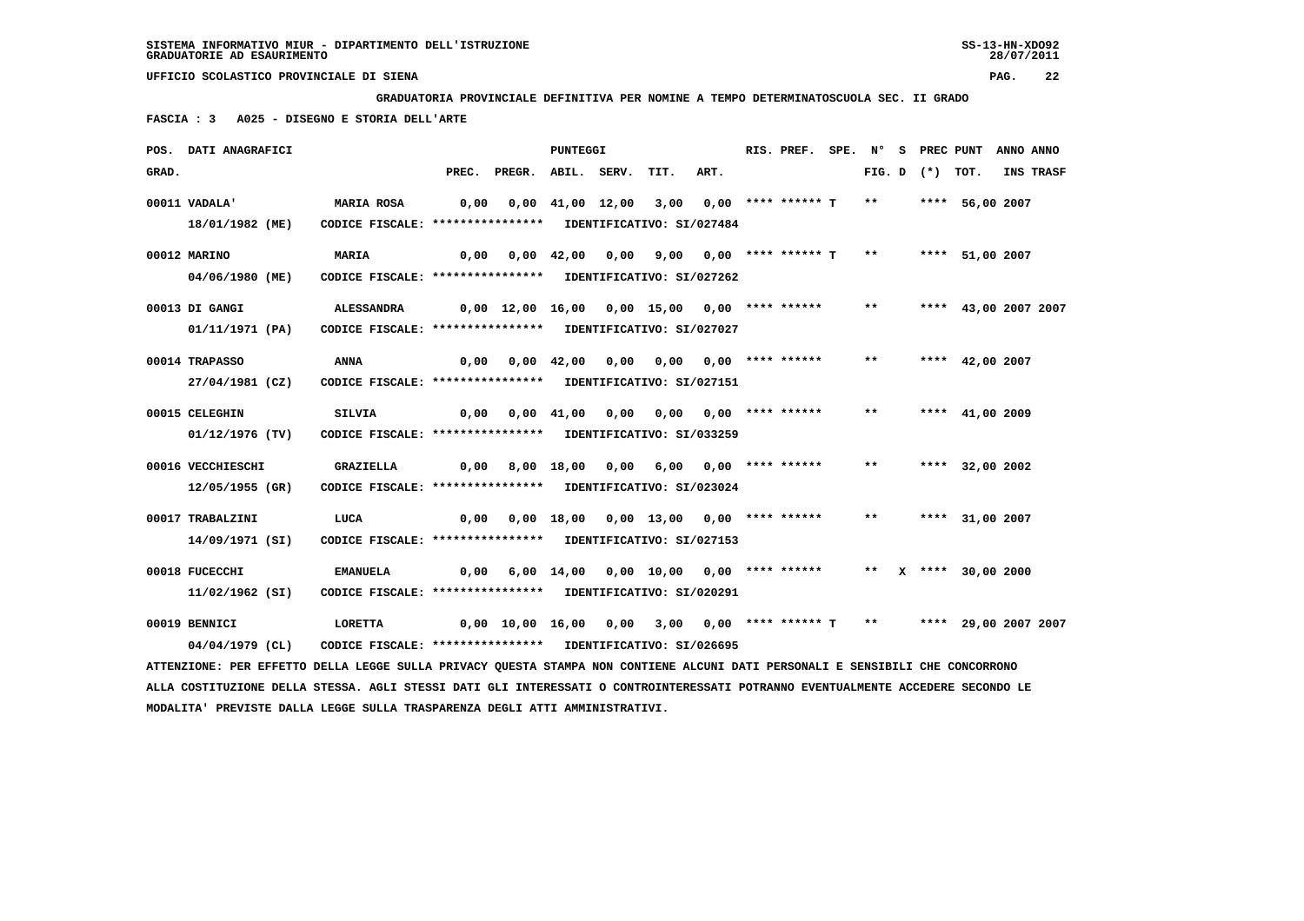**GRADUATORIA PROVINCIALE DEFINITIVA PER NOMINE A TEMPO DETERMINATOSCUOLA SEC. II GRADO**

 **FASCIA : 3 A025 - DISEGNO E STORIA DELL'ARTE**

|       | POS. DATI ANAGRAFICI                                                                                                            |                                                                    |      |                                                                        | <b>PUNTEGGI</b> |                                            |      | RIS. PREF. SPE. N° S PREC PUNT |       |                   |                      | ANNO ANNO |
|-------|---------------------------------------------------------------------------------------------------------------------------------|--------------------------------------------------------------------|------|------------------------------------------------------------------------|-----------------|--------------------------------------------|------|--------------------------------|-------|-------------------|----------------------|-----------|
| GRAD. |                                                                                                                                 |                                                                    |      | PREC. PREGR. ABIL. SERV.                                               |                 | TIT.                                       | ART. |                                |       | FIG. D $(*)$ TOT. |                      | INS TRASF |
|       | 00011 VADALA'                                                                                                                   | <b>MARIA ROSA</b>                                                  | 0,00 |                                                                        |                 | $0,00$ 41,00 12,00 3,00 0,00 **** ****** T |      |                                | $***$ |                   | **** 56,00 2007      |           |
|       | 18/01/1982 (ME)                                                                                                                 | CODICE FISCALE: **************** IDENTIFICATIVO: SI/027484         |      |                                                                        |                 |                                            |      |                                |       |                   |                      |           |
|       | 00012 MARINO                                                                                                                    | MARIA                                                              | 0,00 |                                                                        |                 | 0,00 42,00 0,00 9,00 0,00 **** ****** T    |      |                                | $***$ |                   | **** 51,00 2007      |           |
|       | 04/06/1980 (ME)                                                                                                                 | CODICE FISCALE: **************** IDENTIFICATIVO: SI/027262         |      |                                                                        |                 |                                            |      |                                |       |                   |                      |           |
|       | 00013 DI GANGI                                                                                                                  | ALESSANDRA                                                         |      | 0,00 12,00 16,00 0,00 15,00 0,00 **** ******                           |                 |                                            |      |                                | $***$ |                   | **** 43,00 2007 2007 |           |
|       | 01/11/1971 (PA)                                                                                                                 | CODICE FISCALE: **************** IDENTIFICATIVO: SI/027027         |      |                                                                        |                 |                                            |      |                                |       |                   |                      |           |
|       |                                                                                                                                 |                                                                    |      |                                                                        |                 |                                            |      |                                | $***$ |                   |                      |           |
|       | 00014 TRAPASSO<br>27/04/1981 (CZ)                                                                                               | ANNA<br>CODICE FISCALE: **************** IDENTIFICATIVO: SI/027151 |      | $0,00$ $0,00$ $42,00$ $0,00$ $0,00$ $0,00$ $***$                       |                 |                                            |      |                                |       |                   | **** $42,00$ 2007    |           |
|       |                                                                                                                                 |                                                                    |      |                                                                        |                 |                                            |      |                                |       |                   |                      |           |
|       | 00015 CELEGHIN                                                                                                                  | SILVIA                                                             |      | $0,00$ $0,00$ $41,00$ $0,00$ $0,00$ $0,00$ $***$ **** ******           |                 |                                            |      |                                | $***$ |                   | **** 41,00 2009      |           |
|       | 01/12/1976 (TV)                                                                                                                 | CODICE FISCALE: **************** IDENTIFICATIVO: SI/033259         |      |                                                                        |                 |                                            |      |                                |       |                   |                      |           |
|       | 00016 VECCHIESCHI                                                                                                               | <b>GRAZIELLA</b>                                                   | 0,00 |                                                                        |                 |                                            |      |                                | $***$ |                   | **** 32,00 2002      |           |
|       | 12/05/1955 (GR)                                                                                                                 | CODICE FISCALE: **************** IDENTIFICATIVO: SI/023024         |      |                                                                        |                 |                                            |      |                                |       |                   |                      |           |
|       | 00017 TRABALZINI                                                                                                                | LUCA                                                               |      | $0,00$ $0,00$ $18,00$ $0,00$ $13,00$ $0,00$ $***$                      |                 |                                            |      |                                | $***$ |                   | **** 31,00 2007      |           |
|       | 14/09/1971 (SI)                                                                                                                 | CODICE FISCALE: **************** IDENTIFICATIVO: SI/027153         |      |                                                                        |                 |                                            |      |                                |       |                   |                      |           |
|       |                                                                                                                                 |                                                                    |      |                                                                        |                 |                                            |      |                                |       |                   |                      |           |
|       | 00018 FUCECCHI                                                                                                                  | <b>EMANUELA</b>                                                    |      | 0,00 6,00 14,00 0,00 10,00 0,00 **** ******                            |                 |                                            |      |                                |       |                   | ** X **** 30,00 2000 |           |
|       | 11/02/1962 (SI)                                                                                                                 | CODICE FISCALE: **************** IDENTIFICATIVO: SI/020291         |      |                                                                        |                 |                                            |      |                                |       |                   |                      |           |
|       | 00019 BENNICI                                                                                                                   | <b>LORETTA</b>                                                     |      | 0,00 10,00 16,00 0,00 3,00 0,00 **** ****** T ** ***** 29,00 2007 2007 |                 |                                            |      |                                |       |                   |                      |           |
|       | 04/04/1979 (CL)                                                                                                                 | CODICE FISCALE: **************** IDENTIFICATIVO: SI/026695         |      |                                                                        |                 |                                            |      |                                |       |                   |                      |           |
|       | ATTENZIONE: PER EFFETTO DELLA LEGGE SULLA PRIVACY QUESTA STAMPA NON CONTIENE ALCUNI DATI PERSONALI E SENSIBILI CHE CONCORRONO   |                                                                    |      |                                                                        |                 |                                            |      |                                |       |                   |                      |           |
|       | ALLA COSTITUZIONE DELLA STESSA. AGLI STESSI DATI GLI INTERESSATI O CONTROINTERESSATI POTRANNO EVENTUALMENTE ACCEDERE SECONDO LE |                                                                    |      |                                                                        |                 |                                            |      |                                |       |                   |                      |           |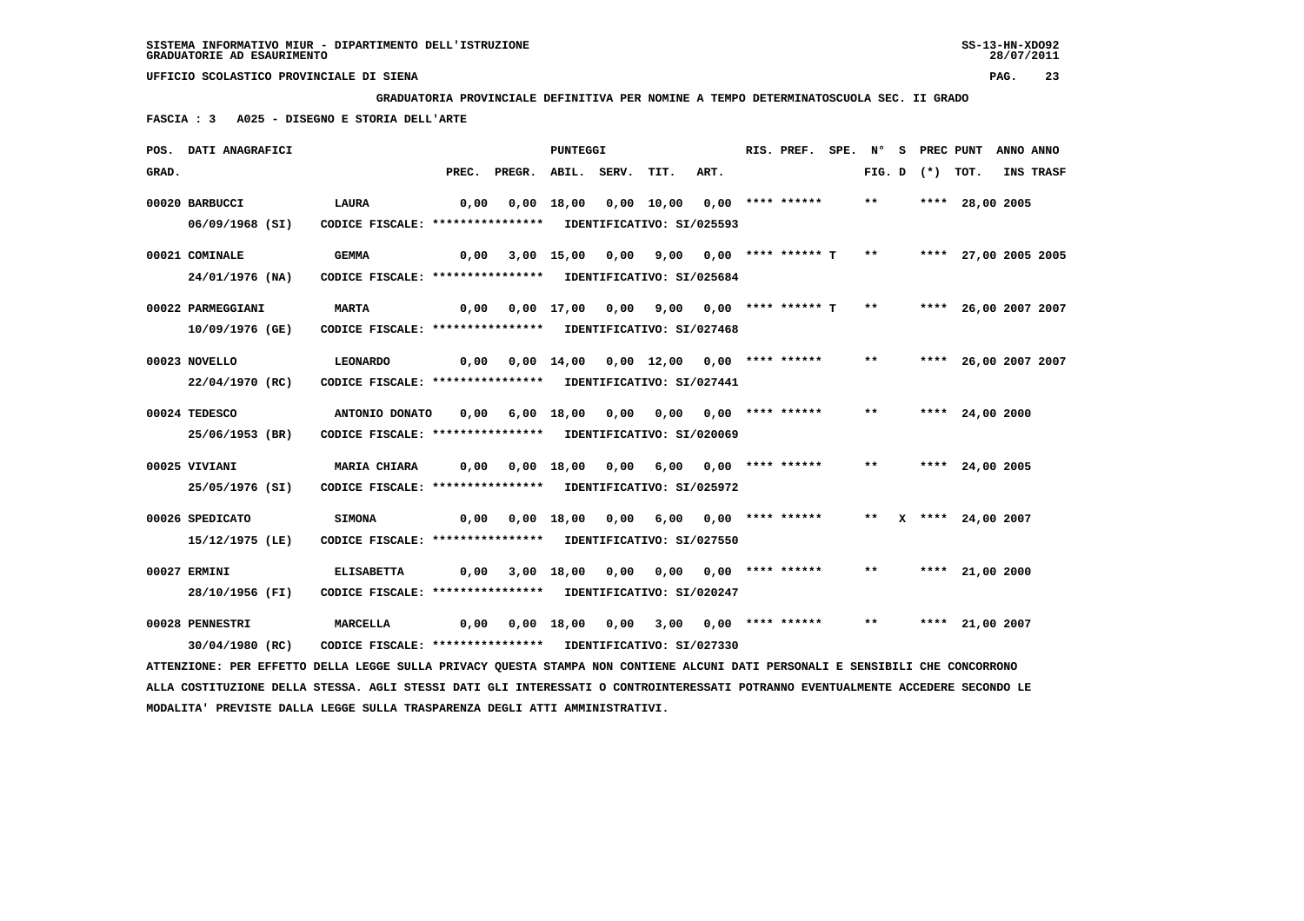**GRADUATORIA PROVINCIALE DEFINITIVA PER NOMINE A TEMPO DETERMINATOSCUOLA SEC. II GRADO**

 **FASCIA : 3 A025 - DISEGNO E STORIA DELL'ARTE**

|       | POS. DATI ANAGRAFICI                                                                                                          |                                                            |      |                                                            | <b>PUNTEGGI</b> |                                                                  |      | RIS. PREF. SPE. N° S PREC PUNT ANNO ANNO |       |  |                      |                  |
|-------|-------------------------------------------------------------------------------------------------------------------------------|------------------------------------------------------------|------|------------------------------------------------------------|-----------------|------------------------------------------------------------------|------|------------------------------------------|-------|--|----------------------|------------------|
| GRAD. |                                                                                                                               |                                                            |      | PREC. PREGR. ABIL. SERV.                                   |                 | TIT.                                                             | ART. |                                          |       |  | FIG. D $(*)$ TOT.    | <b>INS TRASF</b> |
|       | 00020 BARBUCCI                                                                                                                | <b>LAURA</b>                                               | 0,00 |                                                            |                 | 0,00 18,00 0,00 10,00 0,00 **** ******                           |      |                                          | $***$ |  | **** 28,00 2005      |                  |
|       | 06/09/1968 (SI)                                                                                                               | CODICE FISCALE: **************** IDENTIFICATIVO: SI/025593 |      |                                                            |                 |                                                                  |      |                                          |       |  |                      |                  |
|       | 00021 COMINALE                                                                                                                | <b>GEMMA</b>                                               | 0,00 |                                                            |                 | 3,00 15,00 0,00 9,00 0,00 **** ****** T ** ***** 27,00 2005 2005 |      |                                          |       |  |                      |                  |
|       | 24/01/1976 (NA)                                                                                                               | CODICE FISCALE: **************** IDENTIFICATIVO: SI/025684 |      |                                                            |                 |                                                                  |      |                                          |       |  |                      |                  |
|       | 00022 PARMEGGIANI                                                                                                             | <b>MARTA</b>                                               | 0,00 |                                                            |                 | 0,00 17,00 0,00 9,00 0,00 **** ****** T                          |      |                                          | $***$ |  | **** 26,00 2007 2007 |                  |
|       | 10/09/1976 (GE)                                                                                                               | CODICE FISCALE: **************** IDENTIFICATIVO: SI/027468 |      |                                                            |                 |                                                                  |      |                                          |       |  |                      |                  |
|       | 00023 NOVELLO                                                                                                                 | LEONARDO                                                   |      | $0,00$ $0,00$ $14,00$ $0,00$ $12,00$ $0,00$ **** ****** ** |                 |                                                                  |      |                                          |       |  | **** 26,00 2007 2007 |                  |
|       | 22/04/1970 (RC)                                                                                                               | CODICE FISCALE: **************** IDENTIFICATIVO: SI/027441 |      |                                                            |                 |                                                                  |      |                                          |       |  |                      |                  |
|       | 00024 TEDESCO                                                                                                                 | ANTONIO DONATO 0,00                                        |      |                                                            |                 | 6,00 18,00 0,00 0,00 0,00 **** ******                            |      |                                          | $***$ |  | **** 24,00 2000      |                  |
|       | 25/06/1953 (BR)                                                                                                               | CODICE FISCALE: **************** IDENTIFICATIVO: SI/020069 |      |                                                            |                 |                                                                  |      |                                          |       |  |                      |                  |
|       | 00025 VIVIANI                                                                                                                 | <b>MARIA CHIARA</b>                                        |      |                                                            |                 |                                                                  |      |                                          | $***$ |  | **** 24,00 2005      |                  |
|       | 25/05/1976 (SI)                                                                                                               | CODICE FISCALE: **************** IDENTIFICATIVO: SI/025972 |      |                                                            |                 |                                                                  |      |                                          |       |  |                      |                  |
|       | 00026 SPEDICATO                                                                                                               | <b>SIMONA</b>                                              |      | 0,00  0,00  18,00  0,00  6,00  0,00  ****  ******          |                 |                                                                  |      |                                          |       |  | ** X **** 24,00 2007 |                  |
|       | 15/12/1975 (LE)                                                                                                               | CODICE FISCALE: **************** IDENTIFICATIVO: SI/027550 |      |                                                            |                 |                                                                  |      |                                          |       |  |                      |                  |
|       | 00027 ERMINI                                                                                                                  | <b>ELISABETTA</b>                                          | 0,00 |                                                            |                 | 3,00 18,00 0,00 0,00 0,00 **** ******                            |      |                                          | $***$ |  | **** 21,00 2000      |                  |
|       | 28/10/1956 (FI)                                                                                                               | CODICE FISCALE: **************** IDENTIFICATIVO: SI/020247 |      |                                                            |                 |                                                                  |      |                                          |       |  |                      |                  |
|       | 00028 PENNESTRI                                                                                                               | <b>MARCELLA</b>                                            | 0,00 |                                                            |                 | $0,00$ 18,00 0,00 3,00 0,00 **** ****** **                       |      |                                          |       |  | **** 21,00 2007      |                  |
|       | 30/04/1980 (RC)                                                                                                               | CODICE FISCALE: **************** IDENTIFICATIVO: SI/027330 |      |                                                            |                 |                                                                  |      |                                          |       |  |                      |                  |
|       | ATTENZIONE: PER EFFETTO DELLA LEGGE SULLA PRIVACY QUESTA STAMPA NON CONTIENE ALCUNI DATI PERSONALI E SENSIBILI CHE CONCORRONO |                                                            |      |                                                            |                 |                                                                  |      |                                          |       |  |                      |                  |

 **ALLA COSTITUZIONE DELLA STESSA. AGLI STESSI DATI GLI INTERESSATI O CONTROINTERESSATI POTRANNO EVENTUALMENTE ACCEDERE SECONDO LE MODALITA' PREVISTE DALLA LEGGE SULLA TRASPARENZA DEGLI ATTI AMMINISTRATIVI.**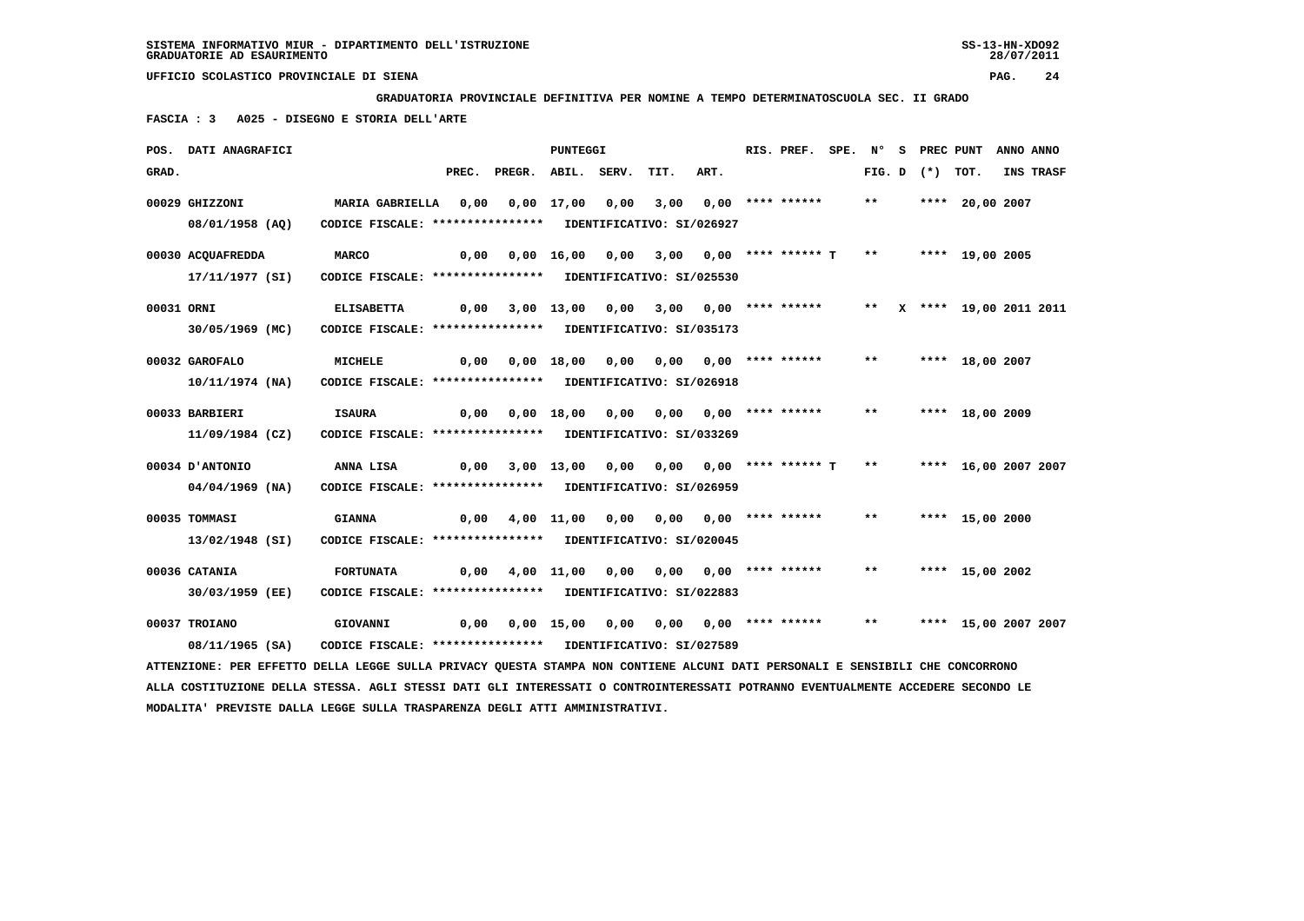**GRADUATORIA PROVINCIALE DEFINITIVA PER NOMINE A TEMPO DETERMINATOSCUOLA SEC. II GRADO**

 **FASCIA : 3 A025 - DISEGNO E STORIA DELL'ARTE**

|            | POS. DATI ANAGRAFICI                                                                                                            |                                                            |       |                                                                | PUNTEGGI        |      |                                              |                           | RIS. PREF.         | SPE. N° |       | s | PREC PUNT         |                           | ANNO ANNO |           |
|------------|---------------------------------------------------------------------------------------------------------------------------------|------------------------------------------------------------|-------|----------------------------------------------------------------|-----------------|------|----------------------------------------------|---------------------------|--------------------|---------|-------|---|-------------------|---------------------------|-----------|-----------|
| GRAD.      |                                                                                                                                 |                                                            | PREC. | PREGR. ABIL. SERV.                                             |                 |      | TIT.                                         | ART.                      |                    |         |       |   | FIG. D $(*)$ TOT. |                           |           | INS TRASF |
|            | 00029 GHIZZONI                                                                                                                  | MARIA GABRIELLA 0,00                                       |       |                                                                | $0.00$ 17.00    | 0.00 | 3,00                                         |                           | $0.00$ **** ****** |         | $* *$ |   |                   | **** 20,00 2007           |           |           |
|            |                                                                                                                                 |                                                            |       |                                                                |                 |      |                                              |                           |                    |         |       |   |                   |                           |           |           |
|            | 08/01/1958 (AQ)                                                                                                                 | CODICE FISCALE: **************** IDENTIFICATIVO: SI/026927 |       |                                                                |                 |      |                                              |                           |                    |         |       |   |                   |                           |           |           |
|            | 00030 ACQUAFREDDA                                                                                                               | <b>MARCO</b>                                               | 0,00  |                                                                |                 |      | $0,00$ 16,00 0,00 3,00 0,00 **** ****** T ** |                           |                    |         |       |   |                   | **** 19,00 2005           |           |           |
|            | 17/11/1977 (SI)                                                                                                                 | CODICE FISCALE: **************** IDENTIFICATIVO: SI/025530 |       |                                                                |                 |      |                                              |                           |                    |         |       |   |                   |                           |           |           |
| 00031 ORNI |                                                                                                                                 | <b>ELISABETTA</b>                                          | 0,00  |                                                                | 3,00 13,00 0,00 |      | 3,00 0,00 **** ******                        |                           |                    |         |       |   |                   | ** X **** 19,00 2011 2011 |           |           |
|            |                                                                                                                                 |                                                            |       |                                                                |                 |      |                                              |                           |                    |         |       |   |                   |                           |           |           |
|            | 30/05/1969 (MC)                                                                                                                 | CODICE FISCALE: **************** IDENTIFICATIVO: SI/035173 |       |                                                                |                 |      |                                              |                           |                    |         |       |   |                   |                           |           |           |
|            | 00032 GAROFALO                                                                                                                  | <b>MICHELE</b>                                             |       | $0,00$ $0,00$ $18,00$ $0,00$ $0,00$ $0,00$ $***$ **** ***** ** |                 |      |                                              |                           |                    |         |       |   |                   | **** 18,00 2007           |           |           |
|            | 10/11/1974 (NA)                                                                                                                 | CODICE FISCALE: **************** IDENTIFICATIVO: SI/026918 |       |                                                                |                 |      |                                              |                           |                    |         |       |   |                   |                           |           |           |
|            |                                                                                                                                 |                                                            |       |                                                                |                 |      |                                              |                           |                    |         |       |   |                   |                           |           |           |
|            | 00033 BARBIERI                                                                                                                  | <b>ISAURA</b>                                              | 0,00  |                                                                | 0,00 18,00      | 0,00 |                                              | $0,00$ $0,00$ **** ****** |                    |         | $***$ |   |                   | **** 18,00 2009           |           |           |
|            | 11/09/1984 (CZ)                                                                                                                 | CODICE FISCALE: **************** IDENTIFICATIVO: SI/033269 |       |                                                                |                 |      |                                              |                           |                    |         |       |   |                   |                           |           |           |
|            |                                                                                                                                 |                                                            |       |                                                                |                 |      |                                              |                           |                    |         |       |   |                   |                           |           |           |
|            | 00034 D'ANTONIO                                                                                                                 | ANNA LISA                                                  | 0,00  |                                                                |                 |      | 3,00 13,00 0,00 0,00 0,00 **** ****** T **   |                           |                    |         |       |   |                   | **** 16,00 2007 2007      |           |           |
|            | $04/04/1969$ (NA)                                                                                                               | CODICE FISCALE: **************** IDENTIFICATIVO: SI/026959 |       |                                                                |                 |      |                                              |                           |                    |         |       |   |                   |                           |           |           |
|            | 00035 TOMMASI                                                                                                                   | <b>GIANNA</b>                                              |       | 0,00 4,00 11,00                                                |                 | 0,00 |                                              | $0,00$ $0,00$ **** ****** |                    |         | $* *$ |   |                   | **** 15,00 2000           |           |           |
|            | 13/02/1948 (SI)                                                                                                                 | CODICE FISCALE: **************** IDENTIFICATIVO: SI/020045 |       |                                                                |                 |      |                                              |                           |                    |         |       |   |                   |                           |           |           |
|            |                                                                                                                                 |                                                            |       |                                                                |                 |      |                                              |                           |                    |         |       |   |                   |                           |           |           |
|            | 00036 CATANIA                                                                                                                   | <b>FORTUNATA</b>                                           | 0,00  |                                                                | 4,00 11,00      | 0,00 |                                              | 0,00 0,00 **** ******     |                    |         | $***$ |   |                   | **** 15,00 2002           |           |           |
|            | 30/03/1959 (EE)                                                                                                                 | CODICE FISCALE: **************** IDENTIFICATIVO: SI/022883 |       |                                                                |                 |      |                                              |                           |                    |         |       |   |                   |                           |           |           |
|            |                                                                                                                                 |                                                            |       |                                                                |                 |      |                                              |                           |                    |         |       |   |                   |                           |           |           |
|            | 00037 TROIANO                                                                                                                   | GIOVANNI                                                   |       | 0,00  0,00  15,00  0,00  0,00  0,00  ****  ******              |                 |      |                                              |                           |                    |         | $***$ |   |                   | **** 15,00 2007 2007      |           |           |
|            | 08/11/1965 (SA)                                                                                                                 | CODICE FISCALE: **************** IDENTIFICATIVO: SI/027589 |       |                                                                |                 |      |                                              |                           |                    |         |       |   |                   |                           |           |           |
|            | ATTENZIONE: PER EFFETTO DELLA LEGGE SULLA PRIVACY OUESTA STAMPA NON CONTIENE ALCUNI DATI PERSONALI E SENSIBILI CHE CONCORRONO   |                                                            |       |                                                                |                 |      |                                              |                           |                    |         |       |   |                   |                           |           |           |
|            | ALLA COSTITUZIONE DELLA STESSA. AGLI STESSI DATI GLI INTERESSATI O CONTROINTERESSATI POTRANNO EVENTUALMENTE ACCEDERE SECONDO LE |                                                            |       |                                                                |                 |      |                                              |                           |                    |         |       |   |                   |                           |           |           |
|            | MODALITA' PREVISTE DALLA LEGGE SULLA TRASPARENZA DEGLI ATTI AMMINISTRATIVI.                                                     |                                                            |       |                                                                |                 |      |                                              |                           |                    |         |       |   |                   |                           |           |           |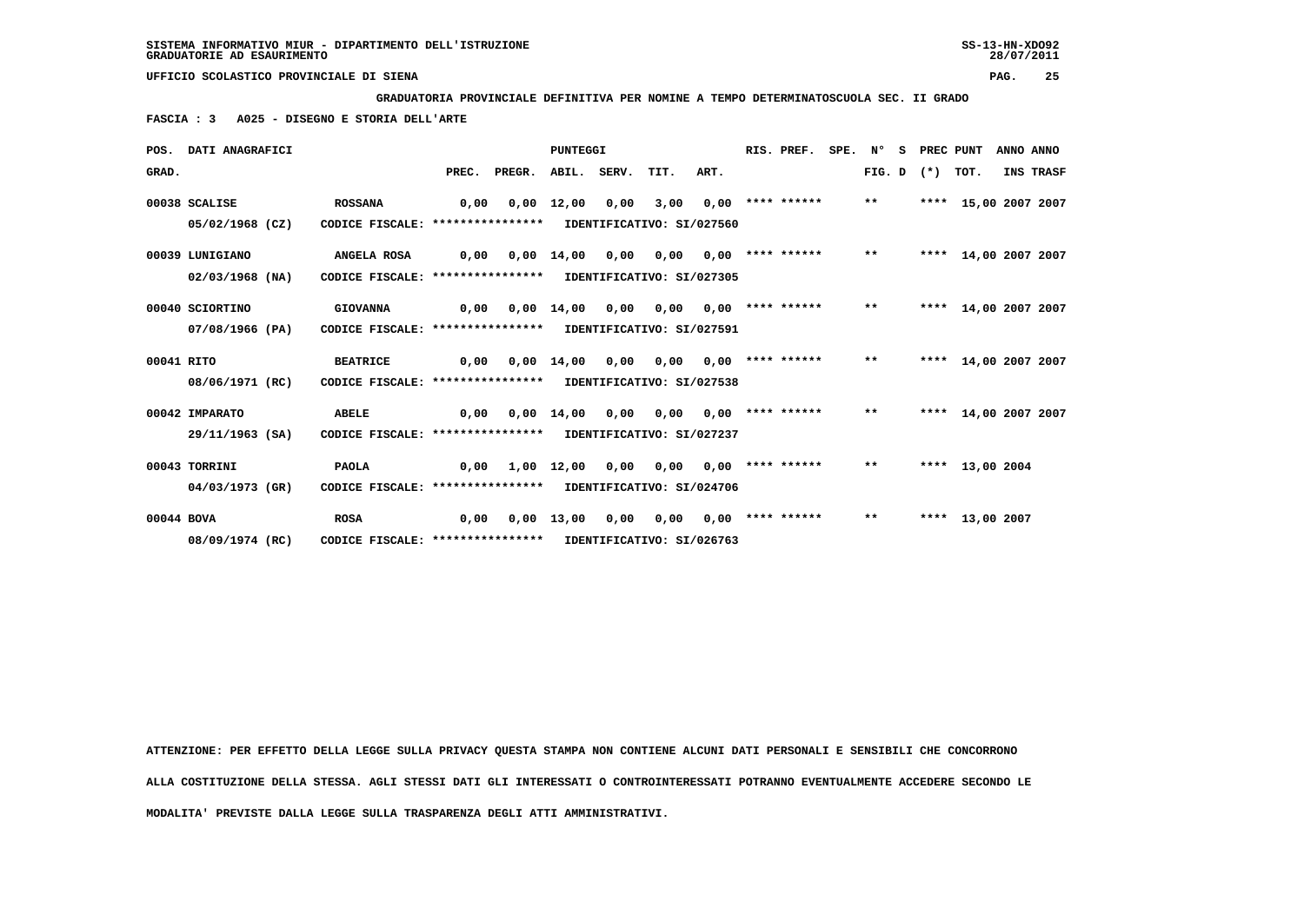**GRADUATORIA PROVINCIALE DEFINITIVA PER NOMINE A TEMPO DETERMINATOSCUOLA SEC. II GRADO**

 **FASCIA : 3 A025 - DISEGNO E STORIA DELL'ARTE**

|            | POS. DATI ANAGRAFICI |                                                            |      |                          | <b>PUNTEGGI</b> |                               |      |      | RIS. PREF.            | SPE. N° |       | s | PREC PUNT         |                      | ANNO ANNO |
|------------|----------------------|------------------------------------------------------------|------|--------------------------|-----------------|-------------------------------|------|------|-----------------------|---------|-------|---|-------------------|----------------------|-----------|
| GRAD.      |                      |                                                            |      | PREC. PREGR. ABIL. SERV. |                 |                               | TIT. | ART. |                       |         |       |   | FIG. D $(*)$ TOT. |                      | INS TRASF |
|            | 00038 SCALISE        | <b>ROSSANA</b>                                             | 0.00 |                          | 0,00 12,00      | 0,00                          | 3,00 |      | $0,00$ **** ******    |         | $***$ |   |                   | **** 15,00 2007 2007 |           |
|            | 05/02/1968 (CZ)      | CODICE FISCALE: **************** IDENTIFICATIVO: SI/027560 |      |                          |                 |                               |      |      |                       |         |       |   |                   |                      |           |
|            | 00039 LUNIGIANO      | <b>ANGELA ROSA</b>                                         | 0,00 |                          | $0,00$ 14,00    | 0,00                          | 0,00 |      | $0,00$ **** ****** ** |         |       |   |                   | **** 14,00 2007 2007 |           |
|            | $02/03/1968$ (NA)    | CODICE FISCALE: **************** IDENTIFICATIVO: SI/027305 |      |                          |                 |                               |      |      |                       |         |       |   |                   |                      |           |
|            | 00040 SCIORTINO      | <b>GIOVANNA</b>                                            | 0,00 |                          | $0,00$ 14,00    | 0,00                          | 0.00 |      | $0.00$ **** ****** ** |         |       |   |                   | **** 14,00 2007 2007 |           |
|            | 07/08/1966 (PA)      | CODICE FISCALE: **************** IDENTIFICATIVO: SI/027591 |      |                          |                 |                               |      |      |                       |         |       |   |                   |                      |           |
| 00041 RITO |                      | <b>BEATRICE</b>                                            | 0,00 |                          | 0,00 14,00      | 0,00                          | 0,00 |      | $0.00$ **** ****** ** |         |       |   |                   | **** 14,00 2007 2007 |           |
|            | 08/06/1971 (RC)      | CODICE FISCALE: **************** IDENTIFICATIVO: SI/027538 |      |                          |                 |                               |      |      |                       |         |       |   |                   |                      |           |
|            | 00042 IMPARATO       | <b>ABELE</b>                                               | 0,00 |                          |                 | $0.00 \quad 14.00 \quad 0.00$ | 0,00 |      | $0.00$ **** ****** ** |         |       |   |                   | **** 14,00 2007 2007 |           |
|            | 29/11/1963 (SA)      | CODICE FISCALE: **************** IDENTIFICATIVO: SI/027237 |      |                          |                 |                               |      |      |                       |         |       |   |                   |                      |           |
|            | 00043 TORRINI        | PAOLA                                                      | 0,00 |                          |                 | 1,00 12,00 0,00               | 0,00 |      | $0.00$ **** ****** ** |         |       |   |                   | **** 13,00 2004      |           |
|            | 04/03/1973 (GR)      | CODICE FISCALE: **************** IDENTIFICATIVO: SI/024706 |      |                          |                 |                               |      |      |                       |         |       |   |                   |                      |           |
| 00044 BOVA |                      | <b>ROSA</b>                                                | 0,00 |                          |                 | $0,00$ $13,00$ $0,00$         | 0,00 |      | $0.00$ **** ******    |         | $***$ |   |                   | **** 13,00 2007      |           |
|            | 08/09/1974 (RC)      | CODICE FISCALE: **************** IDENTIFICATIVO: SI/026763 |      |                          |                 |                               |      |      |                       |         |       |   |                   |                      |           |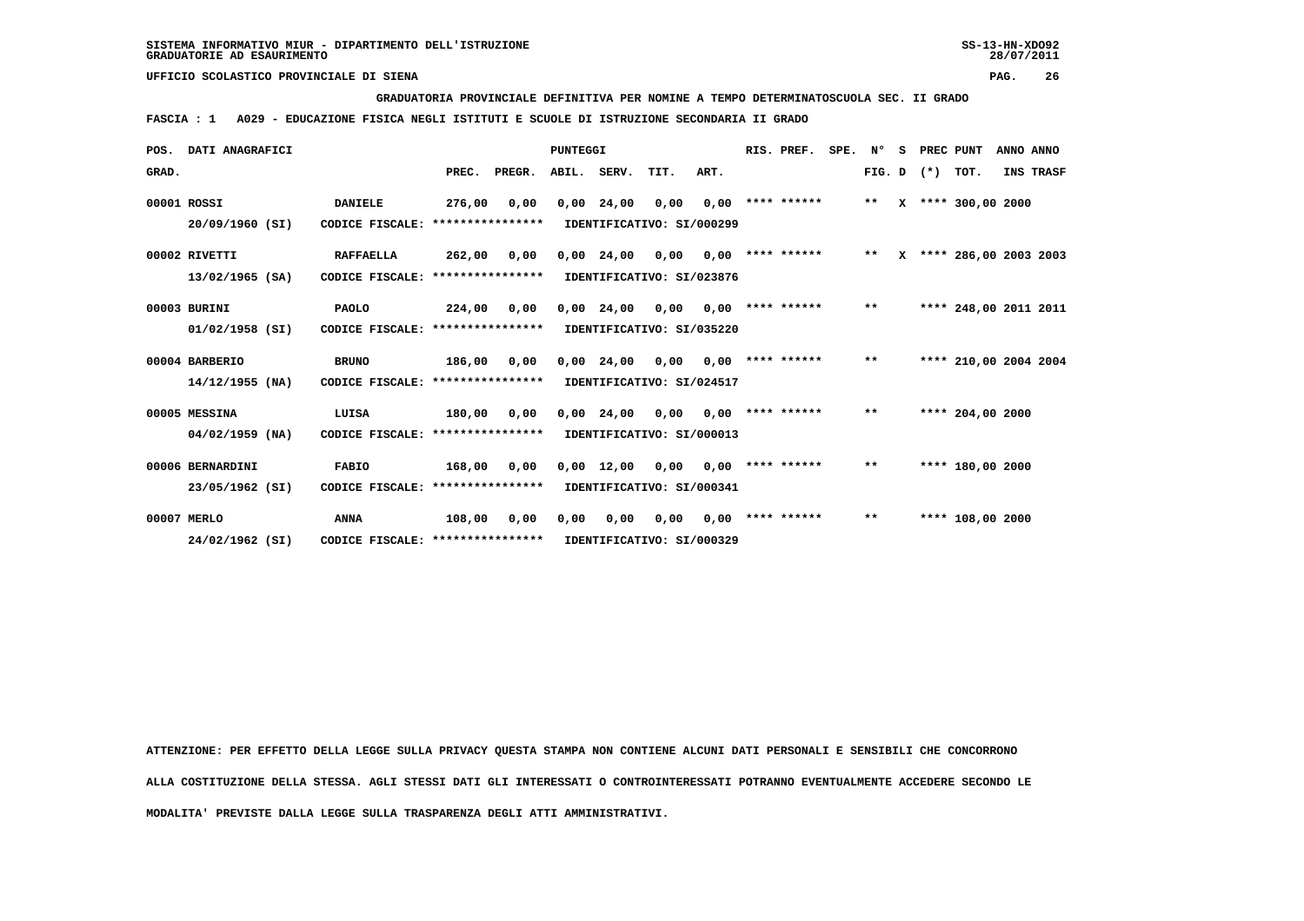**GRADUATORIA PROVINCIALE DEFINITIVA PER NOMINE A TEMPO DETERMINATOSCUOLA SEC. II GRADO**

 **FASCIA : 1 A029 - EDUCAZIONE FISICA NEGLI ISTITUTI E SCUOLE DI ISTRUZIONE SECONDARIA II GRADO**

| POS.  | DATI ANAGRAFICI   |                                   |                  |        | <b>PUNTEGGI</b> |                    |                           |      | RIS. PREF.         | SPE. N° |       | s | PREC PUNT    |                         | ANNO ANNO |           |
|-------|-------------------|-----------------------------------|------------------|--------|-----------------|--------------------|---------------------------|------|--------------------|---------|-------|---|--------------|-------------------------|-----------|-----------|
| GRAD. |                   |                                   | PREC.            | PREGR. |                 | ABIL. SERV.        | TIT.                      | ART. |                    |         |       |   | FIG. D $(*)$ | TOT.                    |           | INS TRASF |
|       | 00001 ROSSI       | DANIELE                           | 276,00           | 0,00   |                 | $0,00$ 24,00       | 0,00                      | 0,00 | **** ******        |         | $***$ |   |              | X **** 300,00 2000      |           |           |
|       | 20/09/1960 (SI)   | CODICE FISCALE:                   | **************** |        |                 |                    | IDENTIFICATIVO: SI/000299 |      |                    |         |       |   |              |                         |           |           |
|       | 00002 RIVETTI     | <b>RAFFAELLA</b>                  | 262,00           | 0,00   |                 | $0,00$ 24,00       | 0,00                      | 0,00 | **** ******        |         | $***$ |   |              | X **** 286,00 2003 2003 |           |           |
|       | 13/02/1965 (SA)   | CODICE FISCALE:                   | **************** |        |                 |                    | IDENTIFICATIVO: SI/023876 |      |                    |         |       |   |              |                         |           |           |
|       | 00003 BURINI      | <b>PAOLO</b>                      | 224,00           | 0,00   |                 | $0,00$ 24,00       | 0,00                      | 0,00 | **** ******        |         | $* *$ |   |              | **** 248,00 2011 2011   |           |           |
|       | $01/02/1958$ (SI) | CODICE FISCALE: ***************** |                  |        |                 |                    | IDENTIFICATIVO: SI/035220 |      |                    |         |       |   |              |                         |           |           |
|       | 00004 BARBERIO    | <b>BRUNO</b>                      | 186,00           | 0,00   |                 | $0,00$ 24,00       | 0,00                      | 0,00 | **** ******        |         | $***$ |   |              | **** 210,00 2004 2004   |           |           |
|       | $14/12/1955$ (NA) | CODICE FISCALE:                   | **************** |        |                 |                    | IDENTIFICATIVO: SI/024517 |      |                    |         |       |   |              |                         |           |           |
|       | 00005 MESSINA     | LUISA                             | 180,00           | 0,00   |                 | $0,00$ 24,00       | 0.00                      | 0.00 | **** ******        |         | $***$ |   |              | **** 204,00 2000        |           |           |
|       | $04/02/1959$ (NA) | CODICE FISCALE: ****************  |                  |        |                 |                    | IDENTIFICATIVO: SI/000013 |      |                    |         |       |   |              |                         |           |           |
|       | 00006 BERNARDINI  | <b>FABIO</b>                      | 168,00           | 0,00   |                 | $0,00 \quad 12,00$ | 0,00                      |      | $0,00$ **** ****** |         | $***$ |   |              | **** 180,00 2000        |           |           |
|       | 23/05/1962 (SI)   | CODICE FISCALE: ****************  |                  |        |                 |                    | IDENTIFICATIVO: SI/000341 |      |                    |         |       |   |              |                         |           |           |
|       | 00007 MERLO       | <b>ANNA</b>                       | 108,00           | 0,00   | 0,00            | 0,00               | 0,00                      |      | $0,00$ **** ****** |         | $***$ |   |              | **** 108,00 2000        |           |           |
|       | 24/02/1962 (SI)   | CODICE FISCALE: ****************  |                  |        |                 |                    | IDENTIFICATIVO: SI/000329 |      |                    |         |       |   |              |                         |           |           |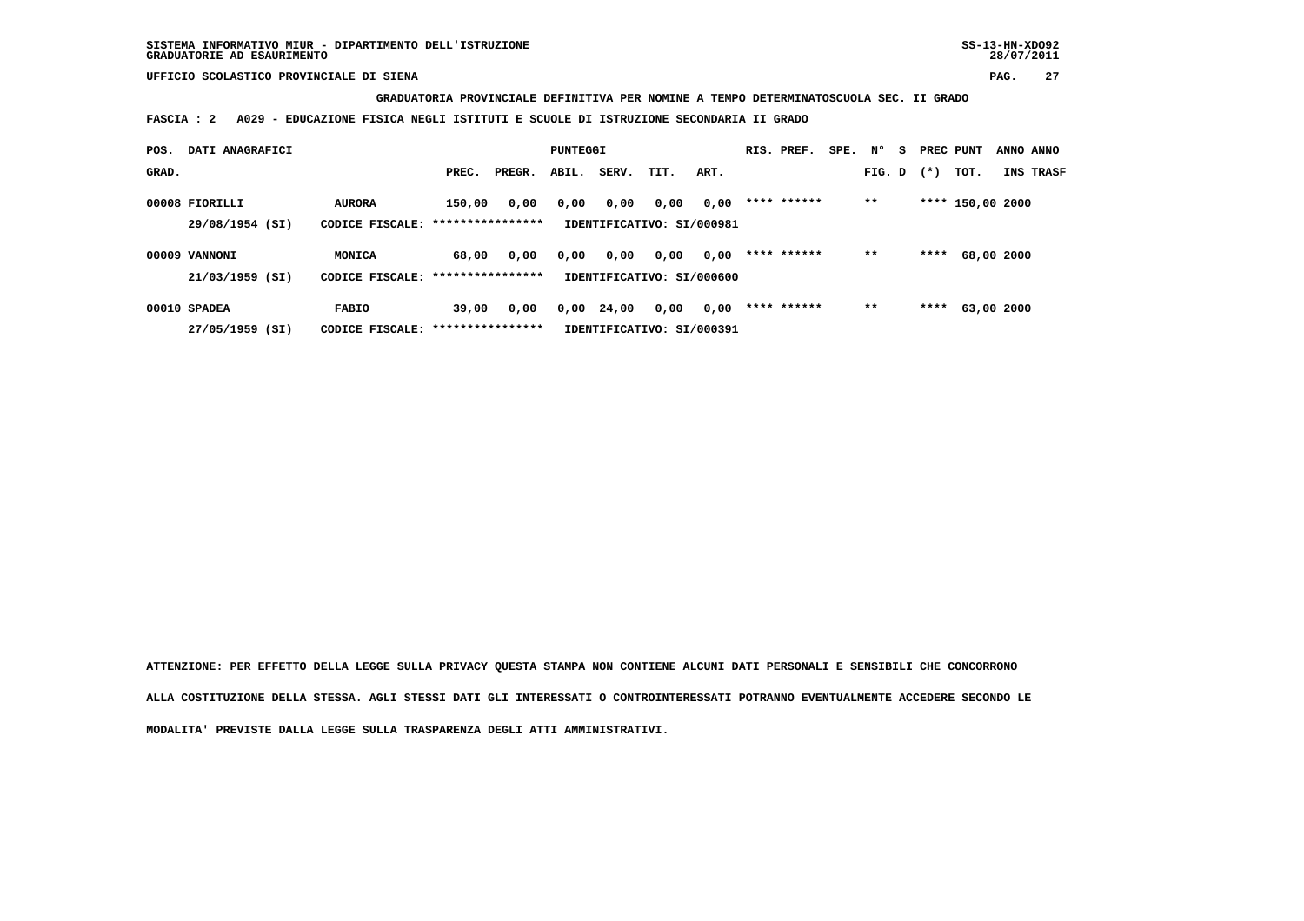**GRADUATORIA PROVINCIALE DEFINITIVA PER NOMINE A TEMPO DETERMINATOSCUOLA SEC. II GRADO**

 **FASCIA : 2 A029 - EDUCAZIONE FISICA NEGLI ISTITUTI E SCUOLE DI ISTRUZIONE SECONDARIA II GRADO**

| POS.  | DATI ANAGRAFICI |                                   |                  |        | PUNTEGGI |       |                           |      | RIS. PREF.  | SPE. | N°     | S. | PREC PUNT |                  | ANNO ANNO |
|-------|-----------------|-----------------------------------|------------------|--------|----------|-------|---------------------------|------|-------------|------|--------|----|-----------|------------------|-----------|
| GRAD. |                 |                                   | PREC.            | PREGR. | ABIL.    | SERV. | TIT.                      | ART. |             |      | FIG. D |    | $(*)$     | тот.             | INS TRASF |
|       | 00008 FIORILLI  | <b>AURORA</b>                     | 150,00           | 0,00   | 0,00     | 0,00  | 0,00                      | 0,00 | **** ****** |      | $***$  |    |           | **** 150,00 2000 |           |
|       | 29/08/1954 (SI) | CODICE FISCALE: ***************** |                  |        |          |       | IDENTIFICATIVO: SI/000981 |      |             |      |        |    |           |                  |           |
|       | 00009 VANNONI   | MONICA                            | 68,00            | 0,00   | 0,00     | 0,00  | 0,00                      | 0,00 | **** ****** |      | $* *$  |    | ****      | 68,00 2000       |           |
|       | 21/03/1959 (SI) | CODICE FISCALE: ***************** |                  |        |          |       | IDENTIFICATIVO: SI/000600 |      |             |      |        |    |           |                  |           |
|       | 00010 SPADEA    | <b>FABIO</b>                      | 39,00            | 0,00   | 0,00     | 24,00 | 0,00                      | 0,00 | **** ****** |      | $***$  |    | ****      | 63,00 2000       |           |
|       | 27/05/1959 (SI) | CODICE FISCALE:                   | **************** |        |          |       | IDENTIFICATIVO: SI/000391 |      |             |      |        |    |           |                  |           |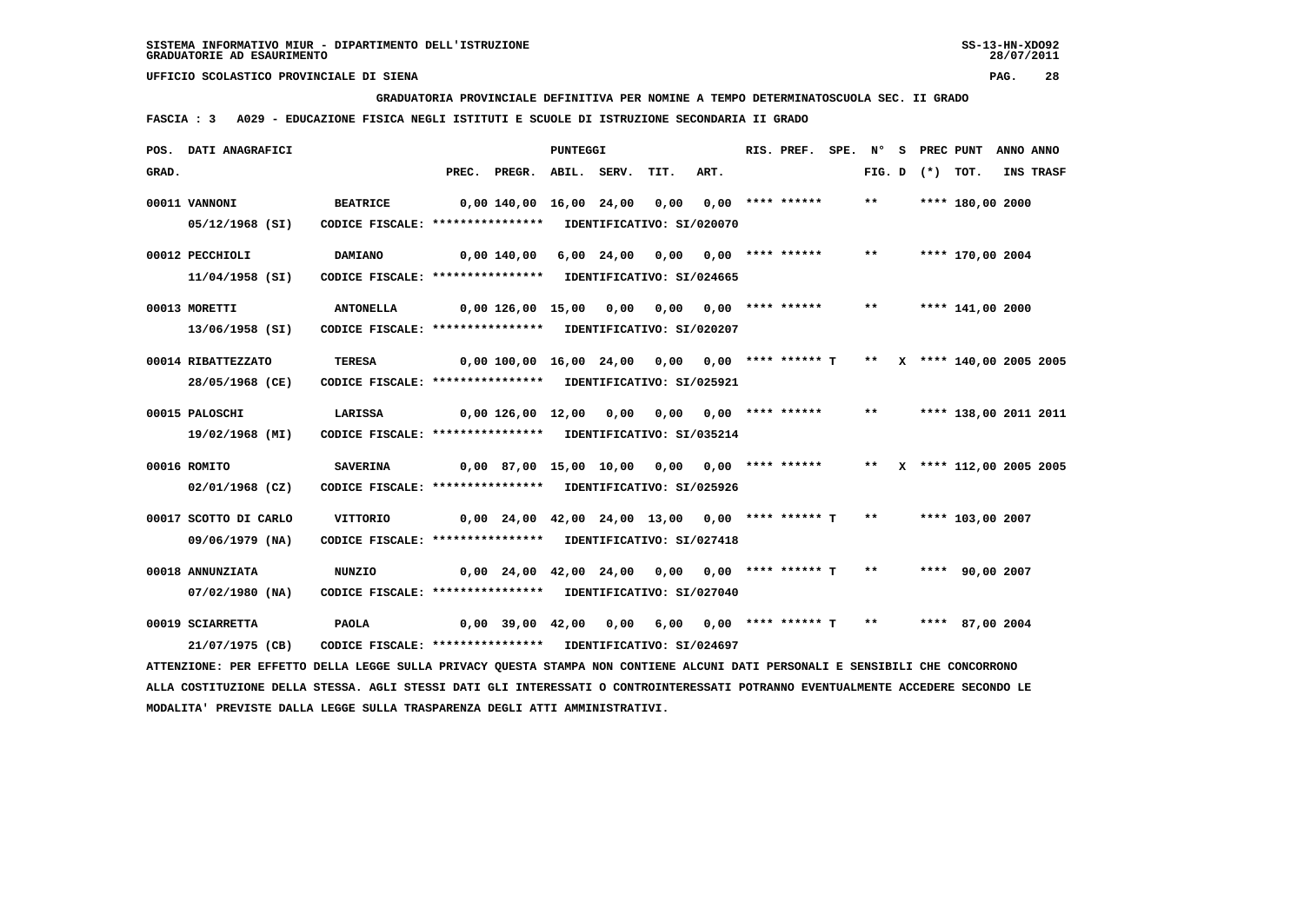**GRADUATORIA PROVINCIALE DEFINITIVA PER NOMINE A TEMPO DETERMINATOSCUOLA SEC. II GRADO**

 **FASCIA : 3 A029 - EDUCAZIONE FISICA NEGLI ISTITUTI E SCUOLE DI ISTRUZIONE SECONDARIA II GRADO**

|       | POS. DATI ANAGRAFICI                                                                                                          |                                                                               |                                               |                                                                            | PUNTEGGI |                                  |      | RIS. PREF. SPE. Nº |       | S PREC PUNT         |                          | ANNO ANNO |           |
|-------|-------------------------------------------------------------------------------------------------------------------------------|-------------------------------------------------------------------------------|-----------------------------------------------|----------------------------------------------------------------------------|----------|----------------------------------|------|--------------------|-------|---------------------|--------------------------|-----------|-----------|
| GRAD. |                                                                                                                               |                                                                               |                                               | PREC. PREGR. ABIL. SERV.                                                   |          | TIT.                             | ART. |                    |       | FIG. $D$ $(*)$ TOT. |                          |           | INS TRASF |
|       | 00011 VANNONI<br>05/12/1968 (SI)                                                                                              | <b>BEATRICE</b><br>CODICE FISCALE: **************** IDENTIFICATIVO: SI/020070 | 0,00 140,00 16,00 24,00 0,00 0,00 **** ****** |                                                                            |          |                                  |      |                    | $***$ |                     | **** 180,00 2000         |           |           |
|       |                                                                                                                               |                                                                               |                                               |                                                                            |          |                                  |      |                    |       |                     |                          |           |           |
|       | 00012 PECCHIOLI                                                                                                               | <b>DAMIANO</b>                                                                | 0,00 140,00                                   |                                                                            |          | 6,00 24,00 0,00 0,00 **** ****** |      |                    | $***$ |                     | **** 170,00 2004         |           |           |
|       | 11/04/1958 (SI)                                                                                                               | CODICE FISCALE: **************** IDENTIFICATIVO: SI/024665                    |                                               |                                                                            |          |                                  |      |                    |       |                     |                          |           |           |
|       | 00013 MORETTI                                                                                                                 | <b>ANTONELLA</b>                                                              |                                               | 0,00 126,00 15,00 0,00 0,00 0,00 **** ******                               |          |                                  |      |                    |       |                     | ** **** 141,00 2000      |           |           |
|       | 13/06/1958 (SI)                                                                                                               | CODICE FISCALE: **************** IDENTIFICATIVO: SI/020207                    |                                               |                                                                            |          |                                  |      |                    |       |                     |                          |           |           |
|       |                                                                                                                               |                                                                               |                                               |                                                                            |          |                                  |      |                    |       |                     |                          |           |           |
|       | 00014 RIBATTEZZATO                                                                                                            | <b>TERESA</b>                                                                 |                                               | 0,00 100,00 16,00 24,00 0,00 0,00 **** ****** T ** X **** 140,00 2005 2005 |          |                                  |      |                    |       |                     |                          |           |           |
|       | 28/05/1968 (CE)                                                                                                               | CODICE FISCALE: **************** IDENTIFICATIVO: SI/025921                    |                                               |                                                                            |          |                                  |      |                    |       |                     |                          |           |           |
|       | 00015 PALOSCHI                                                                                                                | LARISSA                                                                       |                                               |                                                                            |          |                                  |      |                    |       |                     | ** **** 138,00 2011 2011 |           |           |
|       | 19/02/1968 (MI)                                                                                                               | CODICE FISCALE: **************** IDENTIFICATIVO: SI/035214                    |                                               |                                                                            |          |                                  |      |                    |       |                     |                          |           |           |
|       |                                                                                                                               |                                                                               |                                               |                                                                            |          |                                  |      |                    |       |                     |                          |           |           |
|       | 00016 ROMITO                                                                                                                  | <b>SAVERINA</b>                                                               |                                               | 0,00 87,00 15,00 10,00 0,00 0,00 **** ****** ** ** ** *112,00 2005 2005    |          |                                  |      |                    |       |                     |                          |           |           |
|       | 02/01/1968 (CZ)                                                                                                               | CODICE FISCALE: **************** IDENTIFICATIVO: SI/025926                    |                                               |                                                                            |          |                                  |      |                    |       |                     |                          |           |           |
|       | 00017 SCOTTO DI CARLO                                                                                                         | VITTORIO                                                                      |                                               | $0,00$ 24,00 42,00 24,00 13,00 0,00 **** ****** T **                       |          |                                  |      |                    |       |                     | **** 103,00 2007         |           |           |
|       | 09/06/1979 (NA)                                                                                                               | CODICE FISCALE: **************** IDENTIFICATIVO: SI/027418                    |                                               |                                                                            |          |                                  |      |                    |       |                     |                          |           |           |
|       | 00018 ANNUNZIATA                                                                                                              | <b>NUNZIO</b>                                                                 |                                               | 0,00 24,00 42,00 24,00 0,00 0,00 **** ****** T ** ***** 90,00 2007         |          |                                  |      |                    |       |                     |                          |           |           |
|       | 07/02/1980 (NA)                                                                                                               | CODICE FISCALE: **************** IDENTIFICATIVO: SI/027040                    |                                               |                                                                            |          |                                  |      |                    |       |                     |                          |           |           |
|       |                                                                                                                               |                                                                               |                                               |                                                                            |          |                                  |      |                    |       |                     |                          |           |           |
|       | 00019 SCIARRETTA                                                                                                              | <b>PAOLA</b>                                                                  |                                               | $0,00$ 39,00 42,00 0,00 6,00 0,00 **** ****** T **                         |          |                                  |      |                    |       |                     | **** 87,00 2004          |           |           |
|       | 21/07/1975 (CB)                                                                                                               | CODICE FISCALE: **************** IDENTIFICATIVO: SI/024697                    |                                               |                                                                            |          |                                  |      |                    |       |                     |                          |           |           |
|       | ATTENZIONE: PER EFFETTO DELLA LEGGE SULLA PRIVACY QUESTA STAMPA NON CONTIENE ALCUNI DATI PERSONALI E SENSIBILI CHE CONCORRONO |                                                                               |                                               |                                                                            |          |                                  |      |                    |       |                     |                          |           |           |

 **ALLA COSTITUZIONE DELLA STESSA. AGLI STESSI DATI GLI INTERESSATI O CONTROINTERESSATI POTRANNO EVENTUALMENTE ACCEDERE SECONDO LE MODALITA' PREVISTE DALLA LEGGE SULLA TRASPARENZA DEGLI ATTI AMMINISTRATIVI.**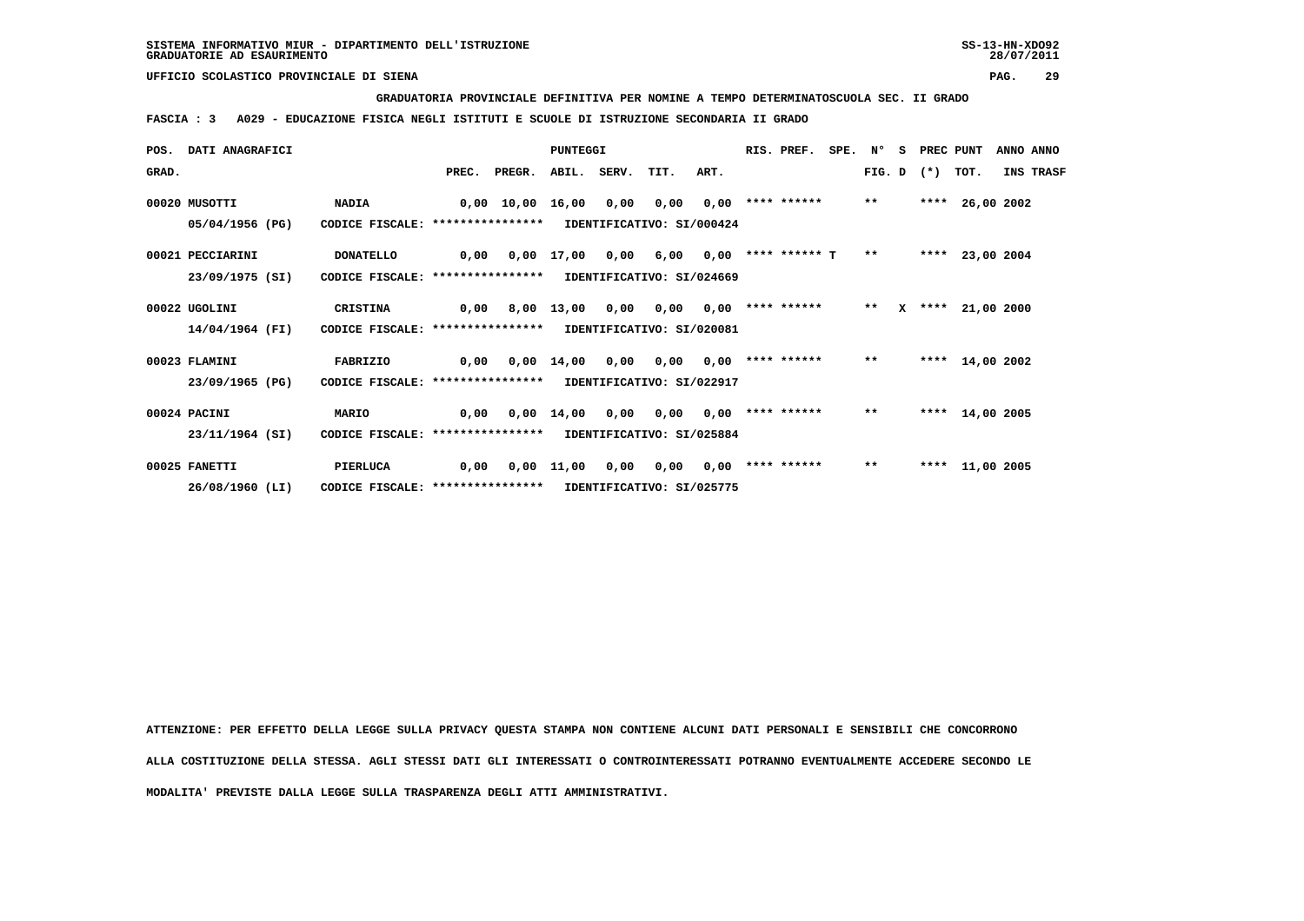**GRADUATORIA PROVINCIALE DEFINITIVA PER NOMINE A TEMPO DETERMINATOSCUOLA SEC. II GRADO**

 **FASCIA : 3 A029 - EDUCAZIONE FISICA NEGLI ISTITUTI E SCUOLE DI ISTRUZIONE SECONDARIA II GRADO**

| POS.  | <b>DATI ANAGRAFICI</b> |                                  |      |              | PUNTEGGI              |             |                           |      | RIS. PREF.           | SPE. N° |        | - S | PREC PUNT |                 | ANNO ANNO |
|-------|------------------------|----------------------------------|------|--------------|-----------------------|-------------|---------------------------|------|----------------------|---------|--------|-----|-----------|-----------------|-----------|
| GRAD. |                        |                                  |      | PREC. PREGR. |                       | ABIL. SERV. | TIT.                      | ART. |                      |         | FIG. D |     | $(*)$     | TOT.            | INS TRASF |
|       | 00020 MUSOTTI          | <b>NADIA</b>                     |      | 0,00 10,00   | 16,00                 | 0,00        | 0,00                      | 0,00 | **** ******          |         | $***$  |     |           | **** 26,00 2002 |           |
|       | 05/04/1956 (PG)        | CODICE FISCALE: **************** |      |              |                       |             | IDENTIFICATIVO: SI/000424 |      |                      |         |        |     |           |                 |           |
|       | 00021 PECCIARINI       | <b>DONATELLO</b>                 | 0,00 |              | 0,00 17,00            | 0,00        | 6,00                      |      | $0.00$ **** ****** T |         | $* *$  |     |           | **** 23,00 2004 |           |
|       | 23/09/1975 (SI)        | CODICE FISCALE: **************** |      |              |                       |             | IDENTIFICATIVO: SI/024669 |      |                      |         |        |     |           |                 |           |
|       | 00022 UGOLINI          | CRISTINA                         | 0,00 |              | 8,00 13,00            | 0,00        | 0,00                      | 0.00 | **** ******          |         | $**$   | x   | ****      | 21,00 2000      |           |
|       | 14/04/1964 (FI)        | CODICE FISCALE: **************** |      |              |                       |             | IDENTIFICATIVO: SI/020081 |      |                      |         |        |     |           |                 |           |
|       | 00023 FLAMINI          | FABRIZIO                         | 0,00 |              | $0.00$ 14.00          | 0,00        | 0.00                      | 0.00 | **** ******          |         | $***$  |     |           | **** 14,00 2002 |           |
|       | 23/09/1965 (PG)        | CODICE FISCALE: **************** |      |              |                       |             | IDENTIFICATIVO: SI/022917 |      |                      |         |        |     |           |                 |           |
|       | 00024 PACINI           | MARIO                            | 0,00 |              | $0,00$ $14,00$ $0,00$ |             | 0.00                      | 0.00 | **** ******          |         | $**$   |     |           | **** 14,00 2005 |           |
|       | 23/11/1964 (SI)        | CODICE FISCALE: **************** |      |              |                       |             | IDENTIFICATIVO: SI/025884 |      |                      |         |        |     |           |                 |           |
|       | 00025 FANETTI          | PIERLUCA                         | 0,00 | 0,00         | 11,00                 | 0,00        | 0,00                      | 0,00 | **** ******          |         | $***$  |     |           | **** 11,00 2005 |           |
|       | 26/08/1960 (LI)        | CODICE FISCALE: **************** |      |              |                       |             | IDENTIFICATIVO: SI/025775 |      |                      |         |        |     |           |                 |           |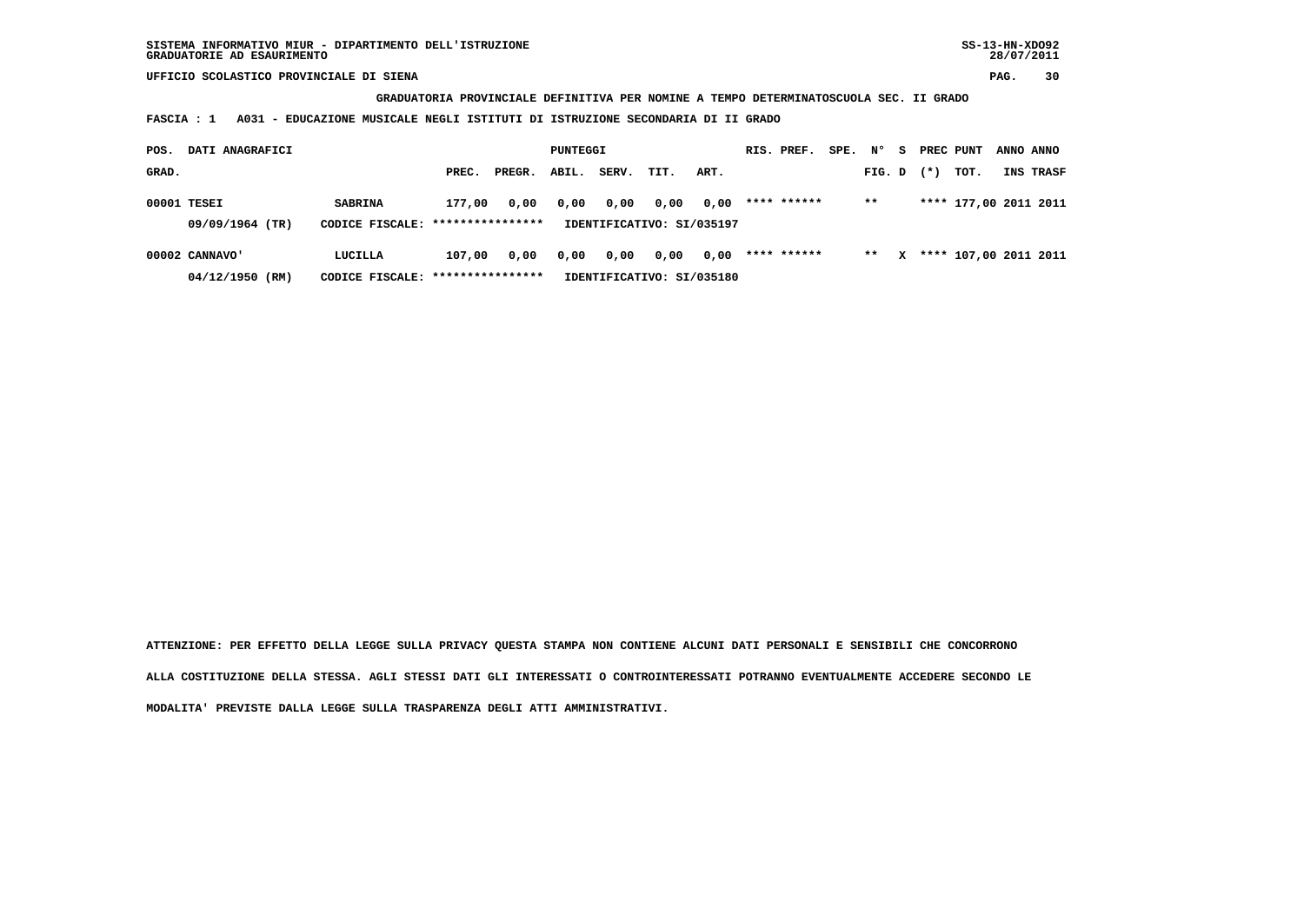**GRADUATORIA PROVINCIALE DEFINITIVA PER NOMINE A TEMPO DETERMINATOSCUOLA SEC. II GRADO**

 **FASCIA : 1 A031 - EDUCAZIONE MUSICALE NEGLI ISTITUTI DI ISTRUZIONE SECONDARIA DI II GRADO**

| POS.  | DATI ANAGRAFICI                   |                                                     |                            |        | PUNTEGGI |       |                                   |      | RIS. PREF.  | SPE. | N°     | s | PREC PUNT |                         | ANNO ANNO |
|-------|-----------------------------------|-----------------------------------------------------|----------------------------|--------|----------|-------|-----------------------------------|------|-------------|------|--------|---|-----------|-------------------------|-----------|
| GRAD. |                                   |                                                     | PREC.                      | PREGR. | ABIL.    | SERV. | TIT.                              | ART. |             |      | FIG. D |   | $(*)$     | TOT.                    | INS TRASF |
|       | 00001 TESEI<br>09/09/1964 (TR)    | <b>SABRINA</b><br>CODICE FISCALE: ***************** | 177,00                     | 0,00   | 0,00     | 0,00  | 0,00<br>IDENTIFICATIVO: SI/035197 | 0,00 | **** ****** |      | $* *$  |   |           | **** 177,00 2011 2011   |           |
|       | 00002 CANNAVO'<br>04/12/1950 (RM) | LUCILLA<br>CODICE FISCALE:                          | 107,00<br>**************** | 0.00   | 0,00     | 0,00  | 0,00<br>IDENTIFICATIVO: SI/035180 | 0,00 | **** ****** |      | $***$  |   |           | X **** 107,00 2011 2011 |           |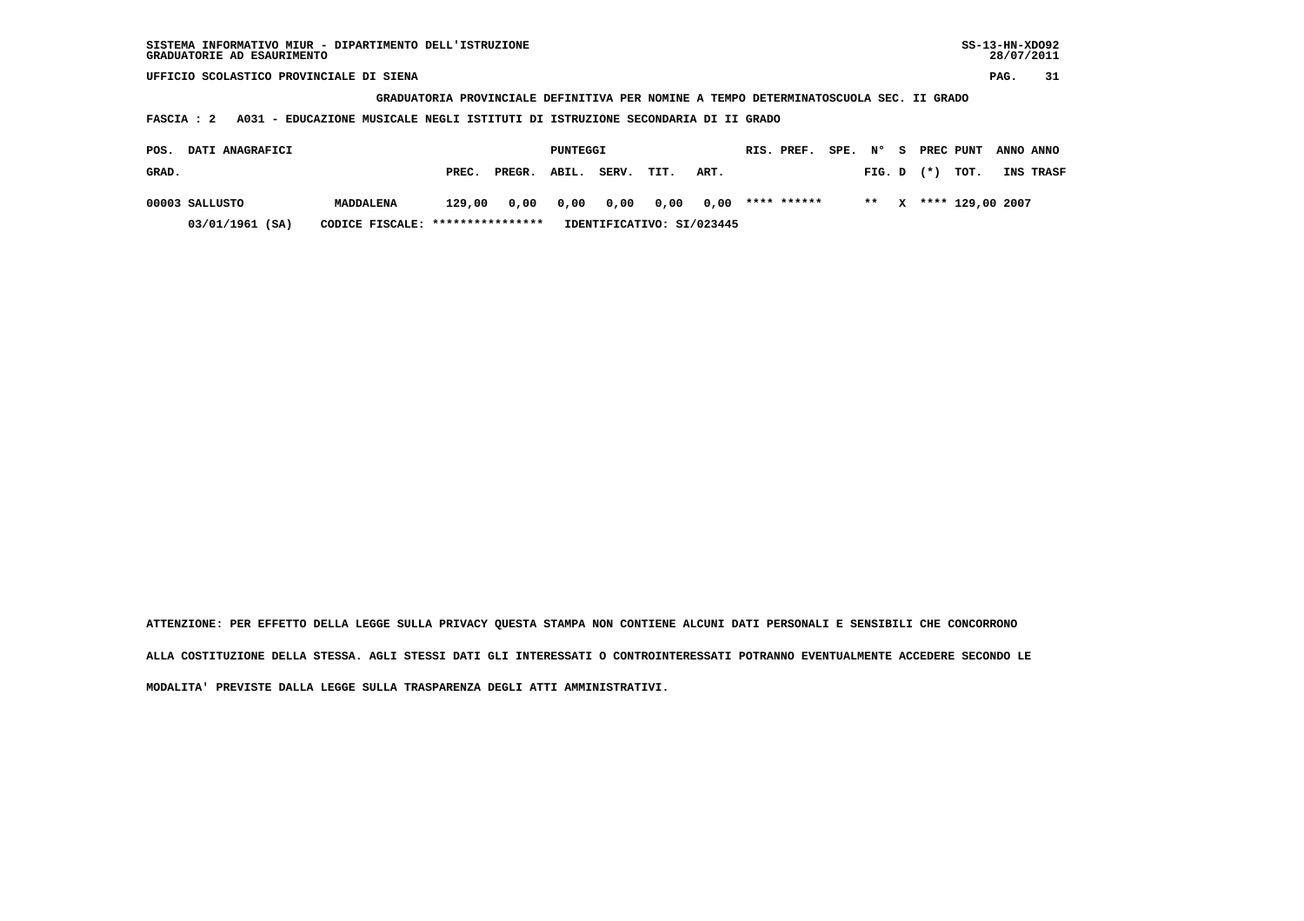**GRADUATORIA PROVINCIALE DEFINITIVA PER NOMINE A TEMPO DETERMINATOSCUOLA SEC. II GRADO**

 **FASCIA : 2 A031 - EDUCAZIONE MUSICALE NEGLI ISTITUTI DI ISTRUZIONE SECONDARIA DI II GRADO**

| POS.  | <b>DATI ANAGRAFICI</b> |                                  |        |        | PUNTEGGI |                |           |                           | RIS. PREF.  | SPE. | $N^{\circ}$    | - S | PREC PUNT             | ANNO ANNO |
|-------|------------------------|----------------------------------|--------|--------|----------|----------------|-----------|---------------------------|-------------|------|----------------|-----|-----------------------|-----------|
| GRAD. |                        |                                  | PREC.  | PREGR. | ABIL.    | SERV.          | TIT.      | ART.                      |             |      | $FIG. D$ $(*)$ |     | тот.                  | INS TRASF |
|       | 00003 SALLUSTO         | MADDALENA                        | 129,00 |        |          | 0,00 0,00 0,00 | 0,00 0,00 |                           | **** ****** |      |                |     | ** X **** 129,00 2007 |           |
|       | 03/01/1961 (SA)        | CODICE FISCALE: **************** |        |        |          |                |           | IDENTIFICATIVO: SI/023445 |             |      |                |     |                       |           |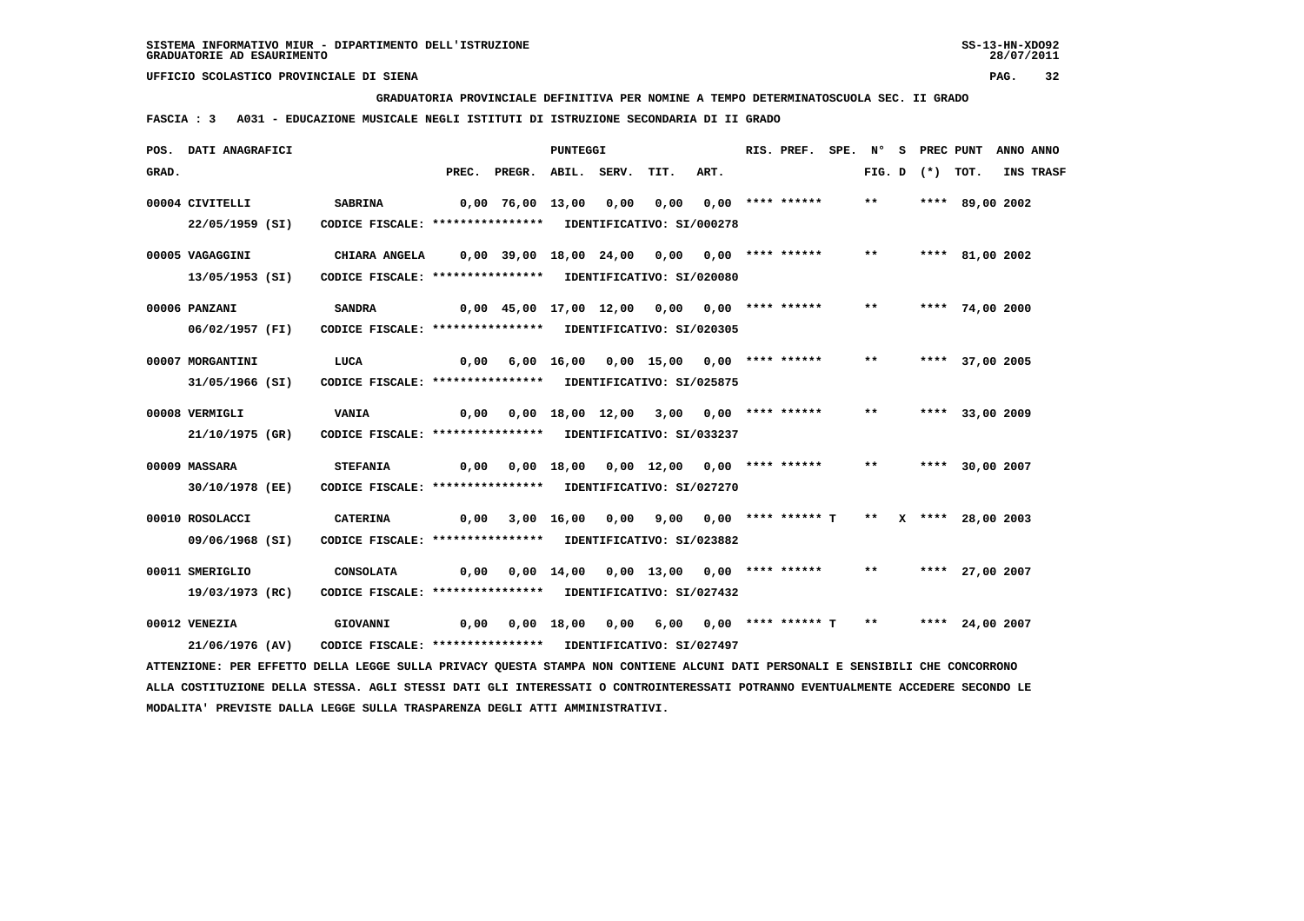**GRADUATORIA PROVINCIALE DEFINITIVA PER NOMINE A TEMPO DETERMINATOSCUOLA SEC. II GRADO**

 **FASCIA : 3 A031 - EDUCAZIONE MUSICALE NEGLI ISTITUTI DI ISTRUZIONE SECONDARIA DI II GRADO**

|       | POS. DATI ANAGRAFICI                                                                                                          |                                                            |                                                |                                                                     | PUNTEGGI |                                              |      | RIS. PREF. |       |                   | SPE. N° S PREC PUNT | ANNO ANNO |
|-------|-------------------------------------------------------------------------------------------------------------------------------|------------------------------------------------------------|------------------------------------------------|---------------------------------------------------------------------|----------|----------------------------------------------|------|------------|-------|-------------------|---------------------|-----------|
| GRAD. |                                                                                                                               |                                                            |                                                | PREC. PREGR. ABIL. SERV.                                            |          | TIT.                                         | ART. |            |       | FIG. D $(*)$ TOT. |                     | INS TRASF |
|       | 00004 CIVITELLI                                                                                                               | <b>SABRINA</b>                                             | 0,00 76,00 13,00  0,00  0,00  0,00 **** ****** |                                                                     |          |                                              |      |            | $***$ |                   | **** 89,00 2002     |           |
|       | 22/05/1959 (SI)                                                                                                               | CODICE FISCALE: **************** IDENTIFICATIVO: SI/000278 |                                                |                                                                     |          |                                              |      |            |       |                   |                     |           |
|       | 00005 VAGAGGINI                                                                                                               | <b>CHIARA ANGELA</b>                                       | 0,00 39,00 18,00 24,00 0,00 0,00 **** ******   |                                                                     |          |                                              |      |            | $***$ |                   | **** 81,00 2002     |           |
|       | 13/05/1953 (SI)                                                                                                               | CODICE FISCALE: **************** IDENTIFICATIVO: SI/020080 |                                                |                                                                     |          |                                              |      |            |       |                   |                     |           |
|       | 00006 PANZANI                                                                                                                 | <b>SANDRA</b>                                              |                                                | 0,00 45,00 17,00 12,00 0,00 0,00 **** ******                        |          |                                              |      |            | $***$ |                   | **** 74,00 2000     |           |
|       | 06/02/1957 (FI)                                                                                                               | CODICE FISCALE: **************** IDENTIFICATIVO: SI/020305 |                                                |                                                                     |          |                                              |      |            |       |                   |                     |           |
|       | 00007 MORGANTINI                                                                                                              | LUCA                                                       |                                                | 0,00 6,00 16,00 0,00 15,00 0,00 **** ******                         |          |                                              |      |            | $***$ |                   | **** 37,00 2005     |           |
|       | 31/05/1966 (SI)                                                                                                               | CODICE FISCALE: **************** IDENTIFICATIVO: SI/025875 |                                                |                                                                     |          |                                              |      |            |       |                   |                     |           |
|       | 00008 VERMIGLI                                                                                                                | <b>VANIA</b>                                               | 0,00                                           |                                                                     |          | 0,00 18,00 12,00 3,00 0,00 **** ******       |      |            | $***$ |                   | **** 33,00 2009     |           |
|       | 21/10/1975 (GR)                                                                                                               | CODICE FISCALE: **************** IDENTIFICATIVO: SI/033237 |                                                |                                                                     |          |                                              |      |            |       |                   |                     |           |
|       | 00009 MASSARA                                                                                                                 | <b>STEFANIA</b>                                            |                                                | 0,00  0,00  18,00  0,00  12,00  0,00  ****  ******                  |          |                                              |      |            | $***$ |                   | **** 30,00 2007     |           |
|       | 30/10/1978 (EE)                                                                                                               | CODICE FISCALE: **************** IDENTIFICATIVO: SI/027270 |                                                |                                                                     |          |                                              |      |            |       |                   |                     |           |
|       | 00010 ROSOLACCI                                                                                                               | <b>CATERINA</b>                                            |                                                | $0,00$ 3,00 16,00 0,00 9,00 0,00 **** ****** T ** X **** 28,00 2003 |          |                                              |      |            |       |                   |                     |           |
|       | 09/06/1968 (SI)                                                                                                               | CODICE FISCALE: **************** IDENTIFICATIVO: SI/023882 |                                                |                                                                     |          |                                              |      |            |       |                   |                     |           |
|       | 00011 SMERIGLIO                                                                                                               | <b>CONSOLATA</b>                                           | 0,00                                           |                                                                     |          | $0,00$ 14,00 0,00 13,00 0,00 **** ******     |      |            | $***$ |                   | **** 27,00 2007     |           |
|       | 19/03/1973 (RC)                                                                                                               | CODICE FISCALE: **************** IDENTIFICATIVO: SI/027432 |                                                |                                                                     |          |                                              |      |            |       |                   |                     |           |
|       | 00012 VENEZIA                                                                                                                 | <b>GIOVANNI</b>                                            | 0,00                                           |                                                                     |          | $0,00$ 18,00 0,00 6,00 0,00 **** ****** T ** |      |            |       |                   | **** 24,00 2007     |           |
|       | 21/06/1976 (AV)                                                                                                               | CODICE FISCALE: **************** IDENTIFICATIVO: SI/027497 |                                                |                                                                     |          |                                              |      |            |       |                   |                     |           |
|       | ATTENZIONE: PER EFFETTO DELLA LEGGE SULLA PRIVACY QUESTA STAMPA NON CONTIENE ALCUNI DATI PERSONALI E SENSIBILI CHE CONCORRONO |                                                            |                                                |                                                                     |          |                                              |      |            |       |                   |                     |           |

 **ALLA COSTITUZIONE DELLA STESSA. AGLI STESSI DATI GLI INTERESSATI O CONTROINTERESSATI POTRANNO EVENTUALMENTE ACCEDERE SECONDO LE MODALITA' PREVISTE DALLA LEGGE SULLA TRASPARENZA DEGLI ATTI AMMINISTRATIVI.**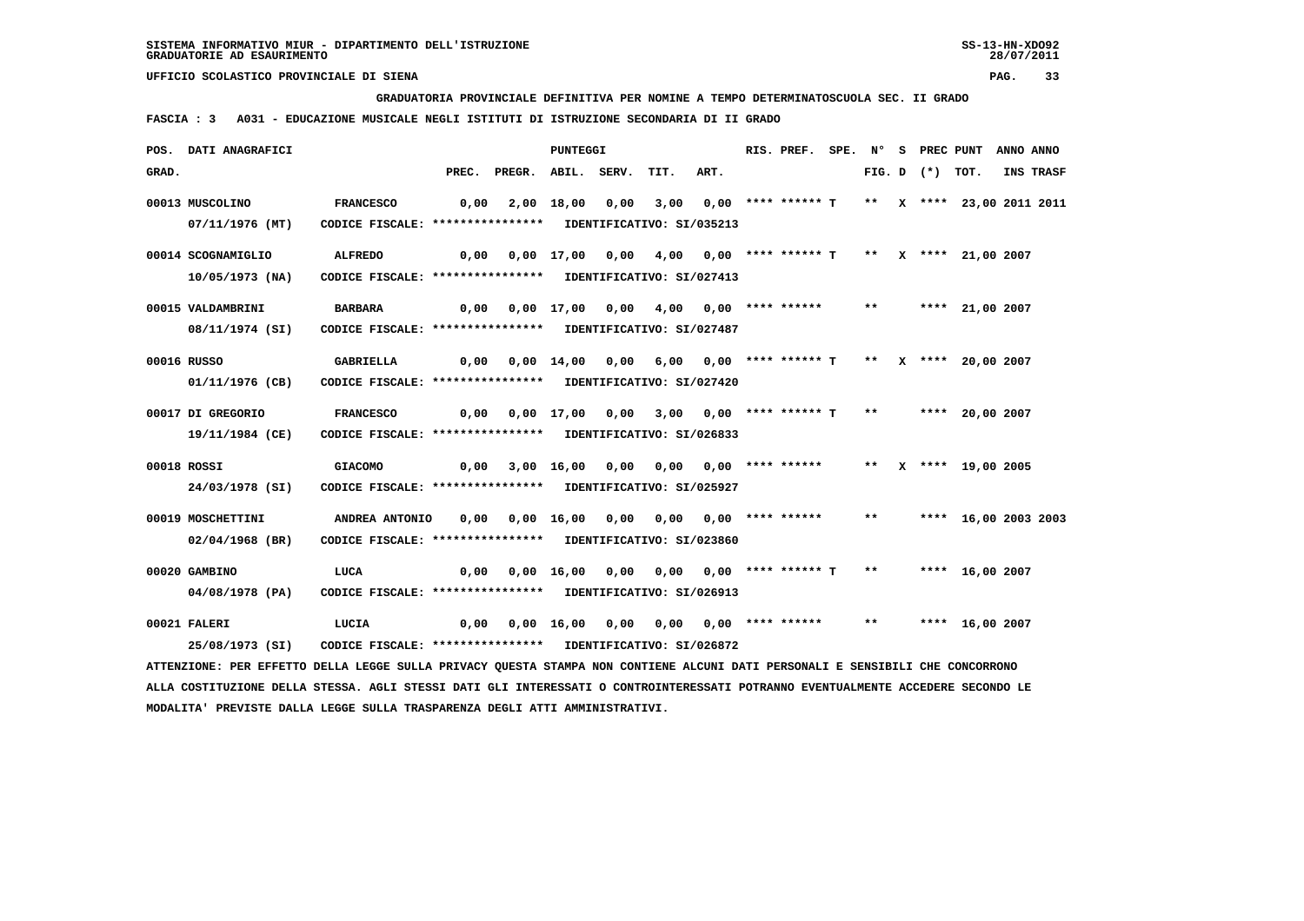**GRADUATORIA PROVINCIALE DEFINITIVA PER NOMINE A TEMPO DETERMINATOSCUOLA SEC. II GRADO**

 **FASCIA : 3 A031 - EDUCAZIONE MUSICALE NEGLI ISTITUTI DI ISTRUZIONE SECONDARIA DI II GRADO**

|       | POS. DATI ANAGRAFICI                                                                                                                                             |                                                                                |       |                                                                | <b>PUNTEGGI</b>               |                                                              |      | RIS. PREF.                                        |       |                   | SPE. N° S PREC PUNT  | ANNO ANNO |
|-------|------------------------------------------------------------------------------------------------------------------------------------------------------------------|--------------------------------------------------------------------------------|-------|----------------------------------------------------------------|-------------------------------|--------------------------------------------------------------|------|---------------------------------------------------|-------|-------------------|----------------------|-----------|
| GRAD. |                                                                                                                                                                  |                                                                                | PREC. | PREGR. ABIL. SERV.                                             |                               | TIT.                                                         | ART. |                                                   |       | FIG. D $(*)$ TOT. |                      | INS TRASF |
|       | 00013 MUSCOLINO<br>07/11/1976 (MT)                                                                                                                               | <b>FRANCESCO</b><br>CODICE FISCALE: **************** IDENTIFICATIVO: SI/035213 | 0,00  |                                                                | 2,00 18,00 0,00               |                                                              |      | 3,00 0,00 **** ****** T ** X **** 23,00 2011 2011 |       |                   |                      |           |
|       | 00014 SCOGNAMIGLIO<br>10/05/1973 (NA)                                                                                                                            | <b>ALFREDO</b><br>CODICE FISCALE: **************** IDENTIFICATIVO: SI/027413   | 0,00  |                                                                |                               | 0,00 17,00 0,00 4,00 0,00 **** ****** T ** X **** 21,00 2007 |      |                                                   |       |                   |                      |           |
|       | 00015 VALDAMBRINI<br>08/11/1974 (SI)                                                                                                                             | <b>BARBARA</b><br>CODICE FISCALE: **************** IDENTIFICATIVO: SI/027487   | 0,00  |                                                                |                               | 0,00 17,00 0,00 4,00 0,00 **** ******                        |      |                                                   |       |                   | ** **** 21,00 2007   |           |
|       | 00016 RUSSO<br>01/11/1976 (CB)                                                                                                                                   | GABRIELLA<br>CODICE FISCALE: **************** IDENTIFICATIVO: SI/027420        | 0,00  |                                                                |                               |                                                              |      |                                                   |       |                   |                      |           |
|       | 00017 DI GREGORIO<br>19/11/1984 (CE)                                                                                                                             | <b>FRANCESCO</b><br>CODICE FISCALE: **************** IDENTIFICATIVO: SI/026833 | 0,00  |                                                                |                               | 0,00 17,00 0,00 3,00 0,00 **** ****** T **                   |      |                                                   |       |                   | **** 20,00 2007      |           |
|       | 00018 ROSSI<br>24/03/1978 (SI)                                                                                                                                   | <b>GIACOMO</b><br>CODICE FISCALE: **************** IDENTIFICATIVO: SI/025927   | 0,00  |                                                                |                               | 3,00 16,00 0,00 0,00 0,00 **** ******                        |      |                                                   |       |                   | ** X **** 19,00 2005 |           |
|       | 00019 MOSCHETTINI<br>$02/04/1968$ (BR)                                                                                                                           | ANDREA ANTONIO<br>CODICE FISCALE: **************** IDENTIFICATIVO: SI/023860   | 0,00  |                                                                | 0,00 16,00                    | 0,00 0,00 0,00 **** ******                                   |      |                                                   | $***$ |                   | **** 16,00 2003 2003 |           |
|       | 00020 GAMBINO<br>04/08/1978 (PA)                                                                                                                                 | LUCA<br>CODICE FISCALE: **************** IDENTIFICATIVO: SI/026913             | 0,00  |                                                                | $0,00 \quad 16,00 \quad 0,00$ |                                                              |      | 0,00 0,00 **** ****** T                           | $***$ |                   | **** 16,00 2007      |           |
|       | 00021 FALERI<br>25/08/1973 (SI)<br>ATTENZIONE: PER EFFETTO DELLA LEGGE SULLA PRIVACY QUESTA STAMPA NON CONTIENE ALCUNI DATI PERSONALI E SENSIBILI CHE CONCORRONO | LUCIA<br>CODICE FISCALE: **************** IDENTIFICATIVO: SI/026872            |       | $0,00$ $0,00$ $16,00$ $0,00$ $0,00$ $0,00$ $***$ **** ***** ** |                               |                                                              |      |                                                   |       |                   | **** 16,00 2007      |           |
|       |                                                                                                                                                                  |                                                                                |       |                                                                |                               |                                                              |      |                                                   |       |                   |                      |           |

 **ALLA COSTITUZIONE DELLA STESSA. AGLI STESSI DATI GLI INTERESSATI O CONTROINTERESSATI POTRANNO EVENTUALMENTE ACCEDERE SECONDO LE MODALITA' PREVISTE DALLA LEGGE SULLA TRASPARENZA DEGLI ATTI AMMINISTRATIVI.**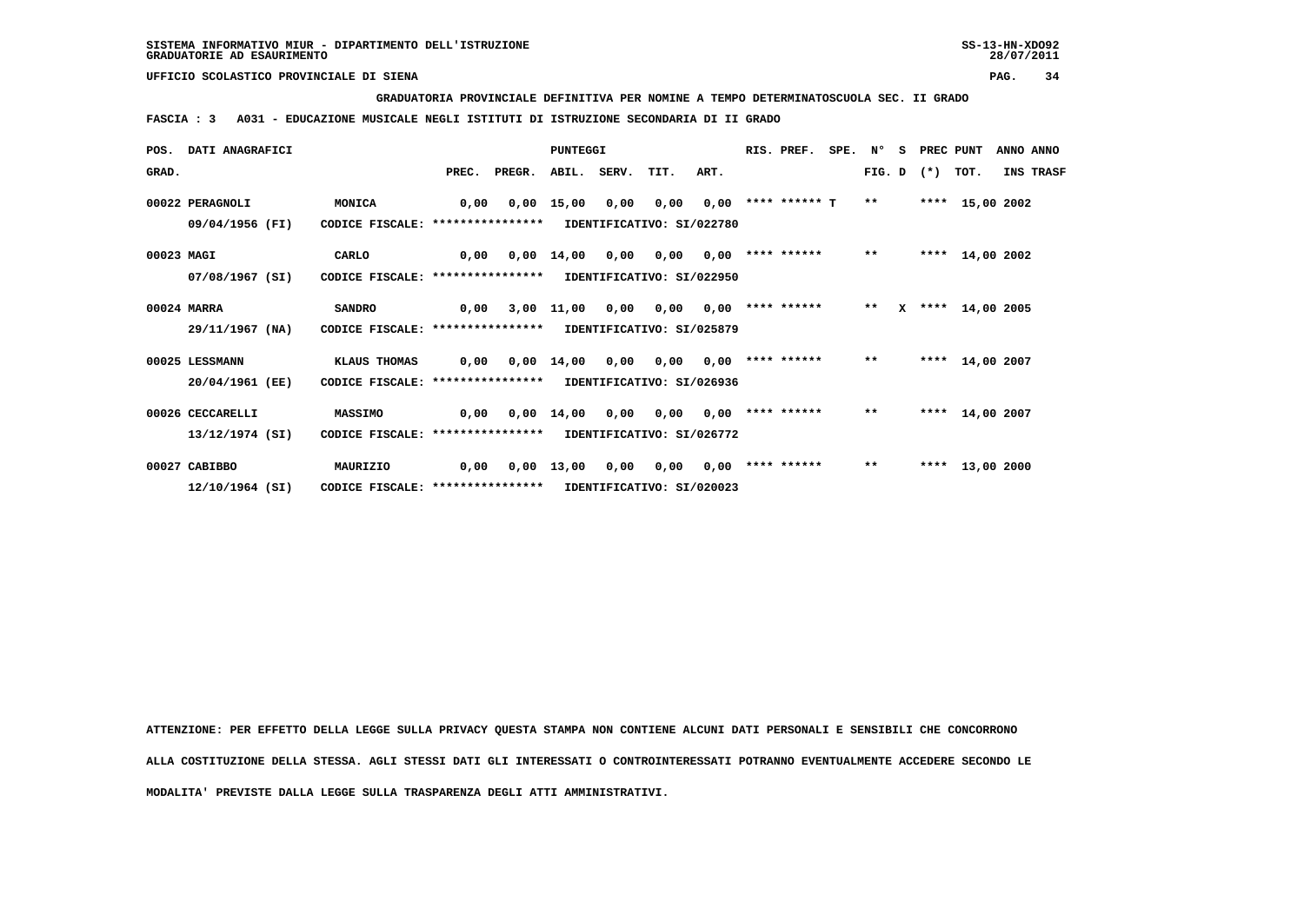**GRADUATORIA PROVINCIALE DEFINITIVA PER NOMINE A TEMPO DETERMINATOSCUOLA SEC. II GRADO**

 **FASCIA : 3 A031 - EDUCAZIONE MUSICALE NEGLI ISTITUTI DI ISTRUZIONE SECONDARIA DI II GRADO**

|            | POS. DATI ANAGRAFICI |                                  |       |        | PUNTEGGI           |             |                           |      | RIS. PREF.         | SPE. N° |        | - S | PREC PUNT |                 | ANNO ANNO |           |
|------------|----------------------|----------------------------------|-------|--------|--------------------|-------------|---------------------------|------|--------------------|---------|--------|-----|-----------|-----------------|-----------|-----------|
| GRAD.      |                      |                                  | PREC. | PREGR. |                    | ABIL. SERV. | TIT.                      | ART. |                    |         | FIG. D |     | $(*)$     | TOT.            |           | INS TRASF |
|            | 00022 PERAGNOLI      | MONICA                           | 0,00  | 0,00   | 15,00              | 0,00        | 0,00                      | 0,00 | **** ****** T      |         | $***$  |     |           | **** 15,00 2002 |           |           |
|            | 09/04/1956 (FI)      | CODICE FISCALE: **************** |       |        |                    |             | IDENTIFICATIVO: SI/022780 |      |                    |         |        |     |           |                 |           |           |
| 00023 MAGI |                      | CARLO                            | 0,00  | 0,00   | 14,00              | 0,00        | 0,00                      | 0,00 | **** ******        |         | $***$  |     |           | **** 14,00 2002 |           |           |
|            | 07/08/1967 (SI)      | CODICE FISCALE: **************** |       |        |                    |             | IDENTIFICATIVO: SI/022950 |      |                    |         |        |     |           |                 |           |           |
|            | 00024 MARRA          | <b>SANDRO</b>                    | 0.00  |        | 3,00 11,00         | 0,00        | 0,00                      | 0,00 | **** ******        |         | $***$  | x   |           | **** 14,00 2005 |           |           |
|            | 29/11/1967 (NA)      | CODICE FISCALE: **************** |       |        |                    |             | IDENTIFICATIVO: SI/025879 |      |                    |         |        |     |           |                 |           |           |
|            | 00025 LESSMANN       | KLAUS THOMAS                     | 0,00  |        | $0.00 \quad 14.00$ | 0,00        | 0.00                      | 0.00 | **** ******        |         | $**$   |     |           | **** 14,00 2007 |           |           |
|            | 20/04/1961 (EE)      | CODICE FISCALE: **************** |       |        |                    |             | IDENTIFICATIVO: SI/026936 |      |                    |         |        |     |           |                 |           |           |
|            | 00026 CECCARELLI     | <b>MASSIMO</b>                   | 0,00  |        | $0,00$ 14,00       | 0,00        | 0,00                      |      | $0,00$ **** ****** |         | $* *$  |     |           | **** 14,00 2007 |           |           |
|            | 13/12/1974 (SI)      | CODICE FISCALE: **************** |       |        |                    |             | IDENTIFICATIVO: SI/026772 |      |                    |         |        |     |           |                 |           |           |
|            | 00027 CABIBBO        | MAURIZIO                         | 0,00  | 0,00   | 13,00              | 0,00        | 0,00                      | 0,00 | **** ******        |         | $***$  |     |           | **** 13,00 2000 |           |           |
|            | 12/10/1964 (SI)      | CODICE FISCALE: **************** |       |        |                    |             | IDENTIFICATIVO: SI/020023 |      |                    |         |        |     |           |                 |           |           |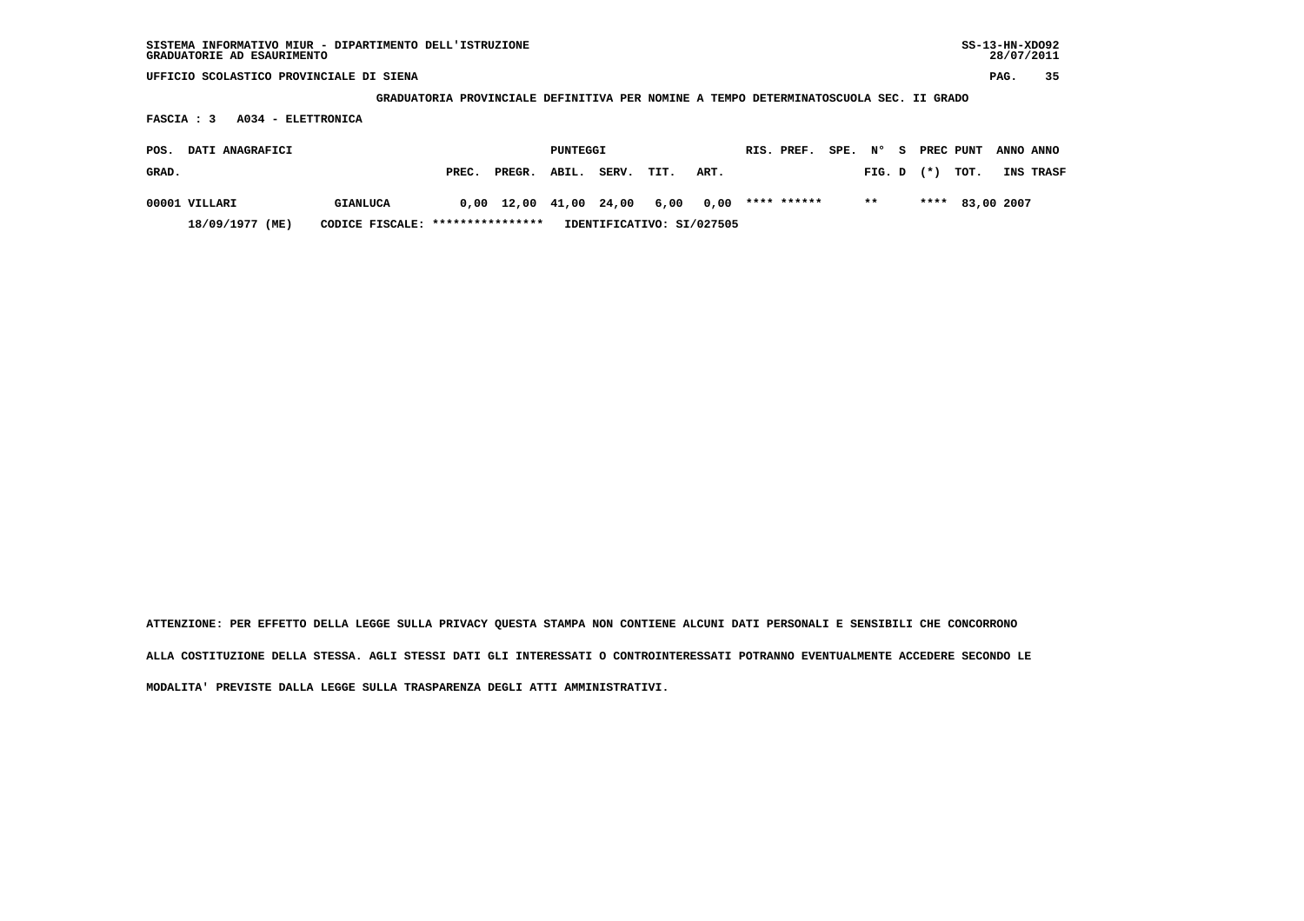**GRADUATORIA PROVINCIALE DEFINITIVA PER NOMINE A TEMPO DETERMINATOSCUOLA SEC. II GRADO**

 **FASCIA : 3 A034 - ELETTRONICA**

| POS.  | <b>DATI ANAGRAFICI</b> |                                  |       |                        | PUNTEGGI |                           |      |                       | RIS. PREF. |                |  | SPE. N° S PREC PUNT ANNO ANNO |                  |
|-------|------------------------|----------------------------------|-------|------------------------|----------|---------------------------|------|-----------------------|------------|----------------|--|-------------------------------|------------------|
| GRAD. |                        |                                  | PREC. | PREGR. ABIL.           |          | SERV.                     | TIT. | ART.                  |            | $FIG. D$ $(*)$ |  | тот.                          | <b>INS TRASF</b> |
|       | 00001 VILLARI          | <b>GIANLUCA</b>                  |       | 0,00 12,00 41,00 24,00 |          |                           |      | 6,00 0,00 **** ****** |            | $***$          |  | **** 83,00 2007               |                  |
|       | 18/09/1977 (ME)        | CODICE FISCALE: **************** |       |                        |          | IDENTIFICATIVO: SI/027505 |      |                       |            |                |  |                               |                  |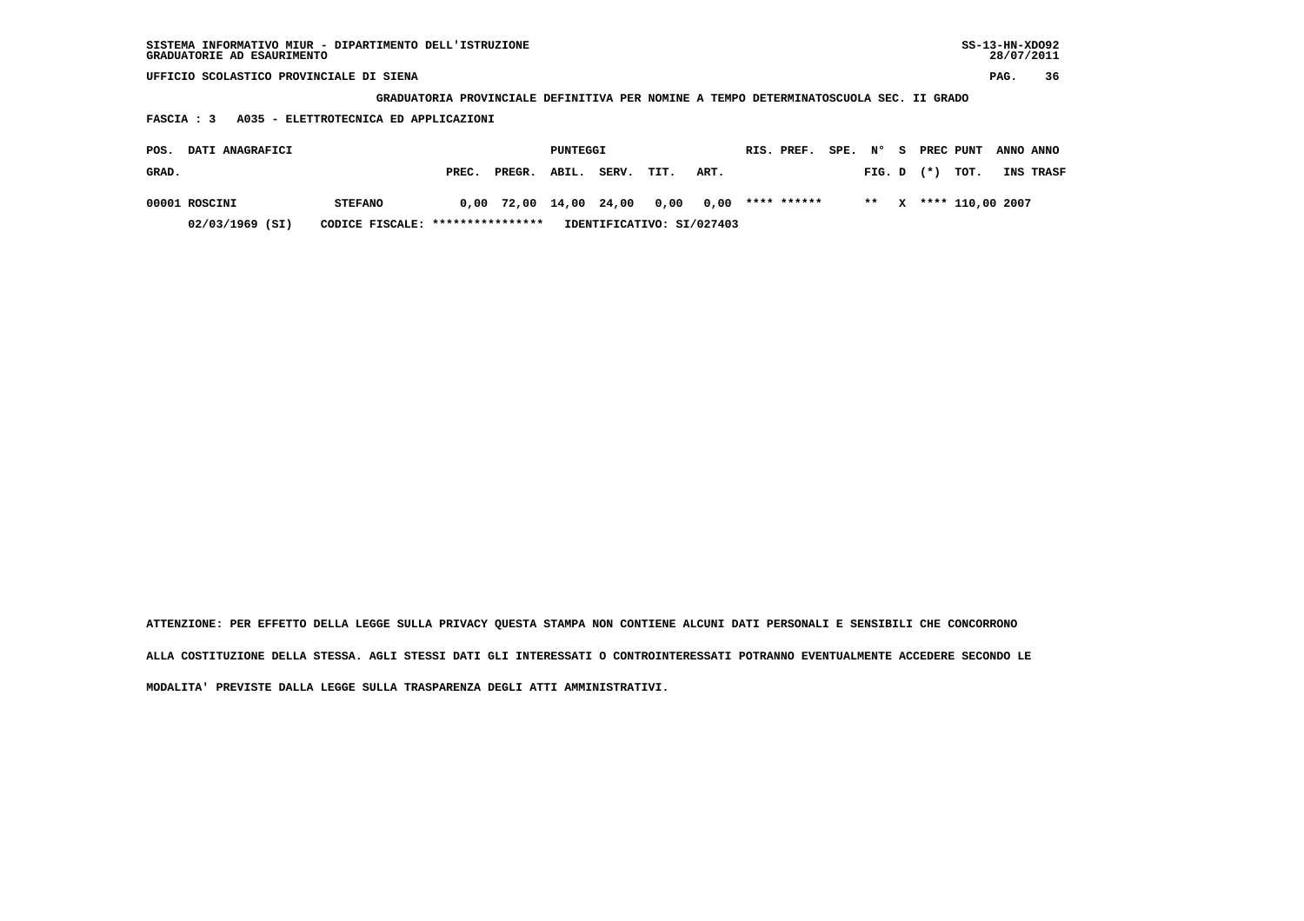| SISTEMA INFORMATIVO MIUR - DIPARTIMENTO DELL'ISTRUZIONE | SS-13-HN-XD092 |
|---------------------------------------------------------|----------------|
| GRADUATORIE AD ESAURIMENTO                              | 28/07/2011     |

 **GRADUATORIA PROVINCIALE DEFINITIVA PER NOMINE A TEMPO DETERMINATOSCUOLA SEC. II GRADO**

 **FASCIA : 3 A035 - ELETTROTECNICA ED APPLICAZIONI**

| POS.  | DATI ANAGRAFICI                                                                  |                |       |                        | PUNTEGGI |       |      |                       | RIS. PREF. | SPE. N° | - S |                | PREC PUNT             | ANNO ANNO |
|-------|----------------------------------------------------------------------------------|----------------|-------|------------------------|----------|-------|------|-----------------------|------------|---------|-----|----------------|-----------------------|-----------|
| GRAD. |                                                                                  |                | PREC. | PREGR.                 | ABIL.    | SERV. | TIT. | ART.                  |            |         |     | $FIG. D$ $(*)$ | тот.                  | INS TRASF |
|       | 00001 ROSCINI                                                                    | <b>STEFANO</b> |       | 0,00 72,00 14,00 24,00 |          |       |      | 0,00 0,00 **** ****** |            |         |     |                | ** X **** 110.00 2007 |           |
|       | IDENTIFICATIVO: SI/027403<br>CODICE FISCALE: ****************<br>02/03/1969 (SI) |                |       |                        |          |       |      |                       |            |         |     |                |                       |           |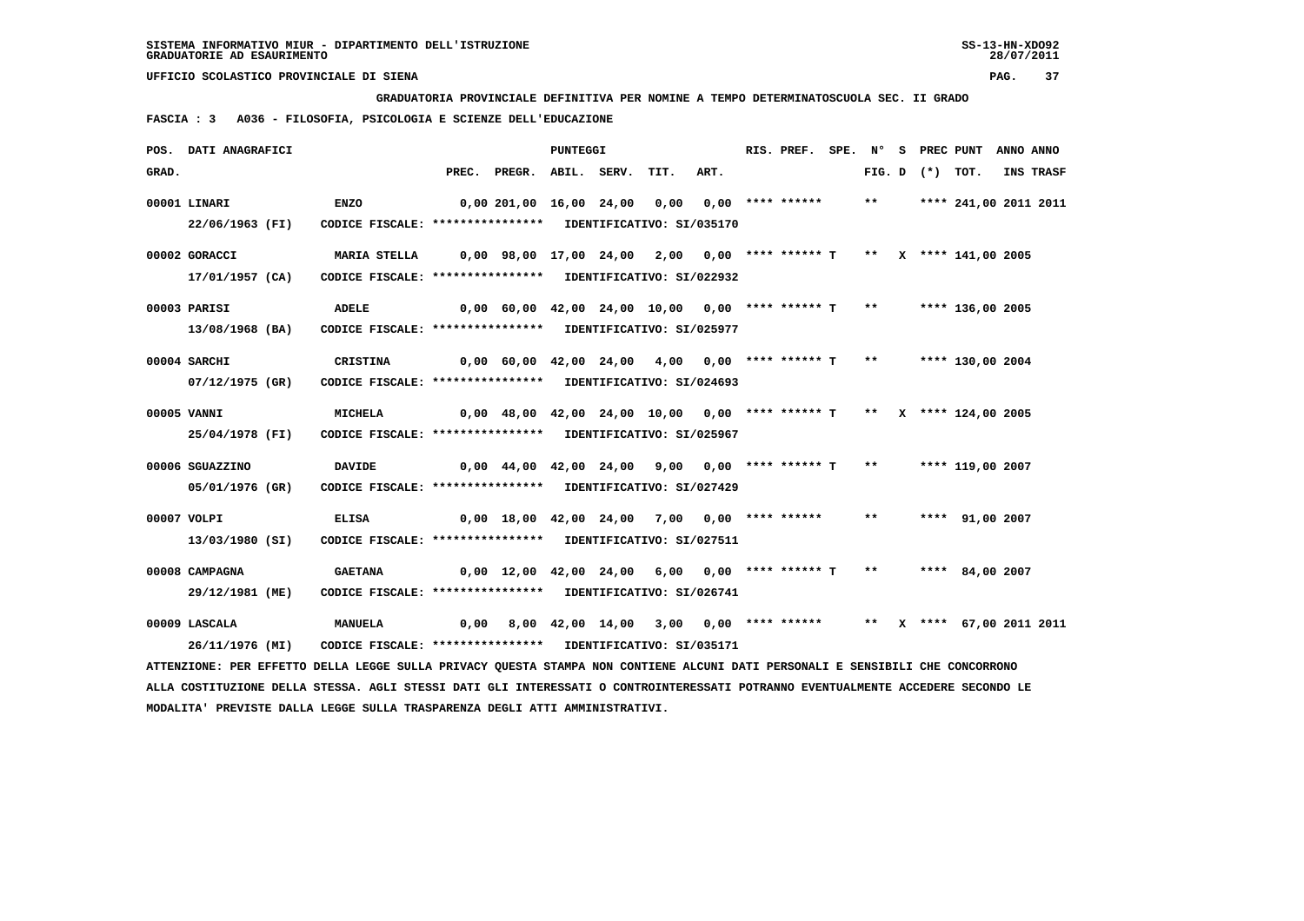**GRADUATORIA PROVINCIALE DEFINITIVA PER NOMINE A TEMPO DETERMINATOSCUOLA SEC. II GRADO**

 **FASCIA : 3 A036 - FILOSOFIA, PSICOLOGIA E SCIENZE DELL'EDUCAZIONE**

|       | POS. DATI ANAGRAFICI |                                                                                                                                 |                                                                          |                                                                         | PUNTEGGI |                                                                     |      | RIS. PREF. |       |                   | SPE. N° S PREC PUNT   | ANNO ANNO |
|-------|----------------------|---------------------------------------------------------------------------------------------------------------------------------|--------------------------------------------------------------------------|-------------------------------------------------------------------------|----------|---------------------------------------------------------------------|------|------------|-------|-------------------|-----------------------|-----------|
| GRAD. |                      |                                                                                                                                 |                                                                          | PREC. PREGR. ABIL. SERV.                                                |          | TIT.                                                                | ART. |            |       | FIG. D $(*)$ TOT. |                       | INS TRASF |
|       | 00001 LINARI         | <b>ENZO</b>                                                                                                                     |                                                                          | 0,00 201,00 16,00 24,00 0,00 0,00 **** ******                           |          |                                                                     |      |            | $***$ |                   | **** 241,00 2011 2011 |           |
|       | 22/06/1963 (FI)      | CODICE FISCALE: **************** IDENTIFICATIVO: SI/035170                                                                      |                                                                          |                                                                         |          |                                                                     |      |            |       |                   |                       |           |
|       | 00002 GORACCI        | <b>MARIA STELLA</b>                                                                                                             | 0,00 98,00 17,00 24,00  2,00  0,00 **** ****** T  **  x **** 141,00 2005 |                                                                         |          |                                                                     |      |            |       |                   |                       |           |
|       | 17/01/1957 (CA)      | CODICE FISCALE: **************** IDENTIFICATIVO: SI/022932                                                                      |                                                                          |                                                                         |          |                                                                     |      |            |       |                   |                       |           |
|       | 00003 PARISI         | <b>ADELE</b>                                                                                                                    |                                                                          | 0,00 60,00 42,00 24,00 10,00 0,00 **** ****** T **                      |          |                                                                     |      |            |       |                   | **** 136,00 2005      |           |
|       | 13/08/1968 (BA)      | CODICE FISCALE: **************** IDENTIFICATIVO: SI/025977                                                                      |                                                                          |                                                                         |          |                                                                     |      |            |       |                   |                       |           |
|       | 00004 SARCHI         | CRISTINA                                                                                                                        | 0,00 60,00 42,00 24,00  4,00  0,00 **** ****** T  **   **** 130,00 2004  |                                                                         |          |                                                                     |      |            |       |                   |                       |           |
|       | 07/12/1975 (GR)      | CODICE FISCALE: **************** IDENTIFICATIVO: SI/024693                                                                      |                                                                          |                                                                         |          |                                                                     |      |            |       |                   |                       |           |
|       | 00005 VANNI          | MICHELA                                                                                                                         |                                                                          | $0,00$ 48,00 42,00 24,00 10,00 0,00 **** ****** T ** X **** 124,00 2005 |          |                                                                     |      |            |       |                   |                       |           |
|       | 25/04/1978 (FI)      | CODICE FISCALE: **************** IDENTIFICATIVO: SI/025967                                                                      |                                                                          |                                                                         |          |                                                                     |      |            |       |                   |                       |           |
|       | 00006 SGUAZZINO      | <b>DAVIDE</b>                                                                                                                   | 0,00 44,00 42,00 24,00  9,00  0,00 **** ****** T  **   **** 119,00 2007  |                                                                         |          |                                                                     |      |            |       |                   |                       |           |
|       | 05/01/1976 (GR)      | CODICE FISCALE: **************** IDENTIFICATIVO: SI/027429                                                                      |                                                                          |                                                                         |          |                                                                     |      |            |       |                   |                       |           |
|       | 00007 VOLPI          | <b>ELISA</b>                                                                                                                    |                                                                          | $0,00$ 18,00 42,00 24,00 7,00 0,00 **** ******                          |          |                                                                     |      |            | $***$ |                   | **** 91,00 2007       |           |
|       | 13/03/1980 (SI)      | CODICE FISCALE: **************** IDENTIFICATIVO: SI/027511                                                                      |                                                                          |                                                                         |          |                                                                     |      |            |       |                   |                       |           |
|       | 00008 CAMPAGNA       | <b>GAETANA</b>                                                                                                                  |                                                                          | 0,00 12,00 42,00 24,00 6,00 0,00 **** ****** T ** ***** 84,00 2007      |          |                                                                     |      |            |       |                   |                       |           |
|       | 29/12/1981 (ME)      | CODICE FISCALE: **************** IDENTIFICATIVO: SI/026741                                                                      |                                                                          |                                                                         |          |                                                                     |      |            |       |                   |                       |           |
|       | 00009 LASCALA        | <b>MANUELA</b>                                                                                                                  | 0,00                                                                     |                                                                         |          | 8,00 42,00 14,00 3,00 0,00 **** ****** ** ** ** *** 67,00 2011 2011 |      |            |       |                   |                       |           |
|       | 26/11/1976 (MI)      | CODICE FISCALE: **************** IDENTIFICATIVO: SI/035171                                                                      |                                                                          |                                                                         |          |                                                                     |      |            |       |                   |                       |           |
|       |                      | ATTENZIONE: PER EFFETTO DELLA LEGGE SULLA PRIVACY QUESTA STAMPA NON CONTIENE ALCUNI DATI PERSONALI E SENSIBILI CHE CONCORRONO   |                                                                          |                                                                         |          |                                                                     |      |            |       |                   |                       |           |
|       |                      | ALLA COSTITUZIONE DELLA STESSA. AGLI STESSI DATI GLI INTERESSATI O CONTROINTERESSATI POTRANNO EVENTUALMENTE ACCEDERE SECONDO LE |                                                                          |                                                                         |          |                                                                     |      |            |       |                   |                       |           |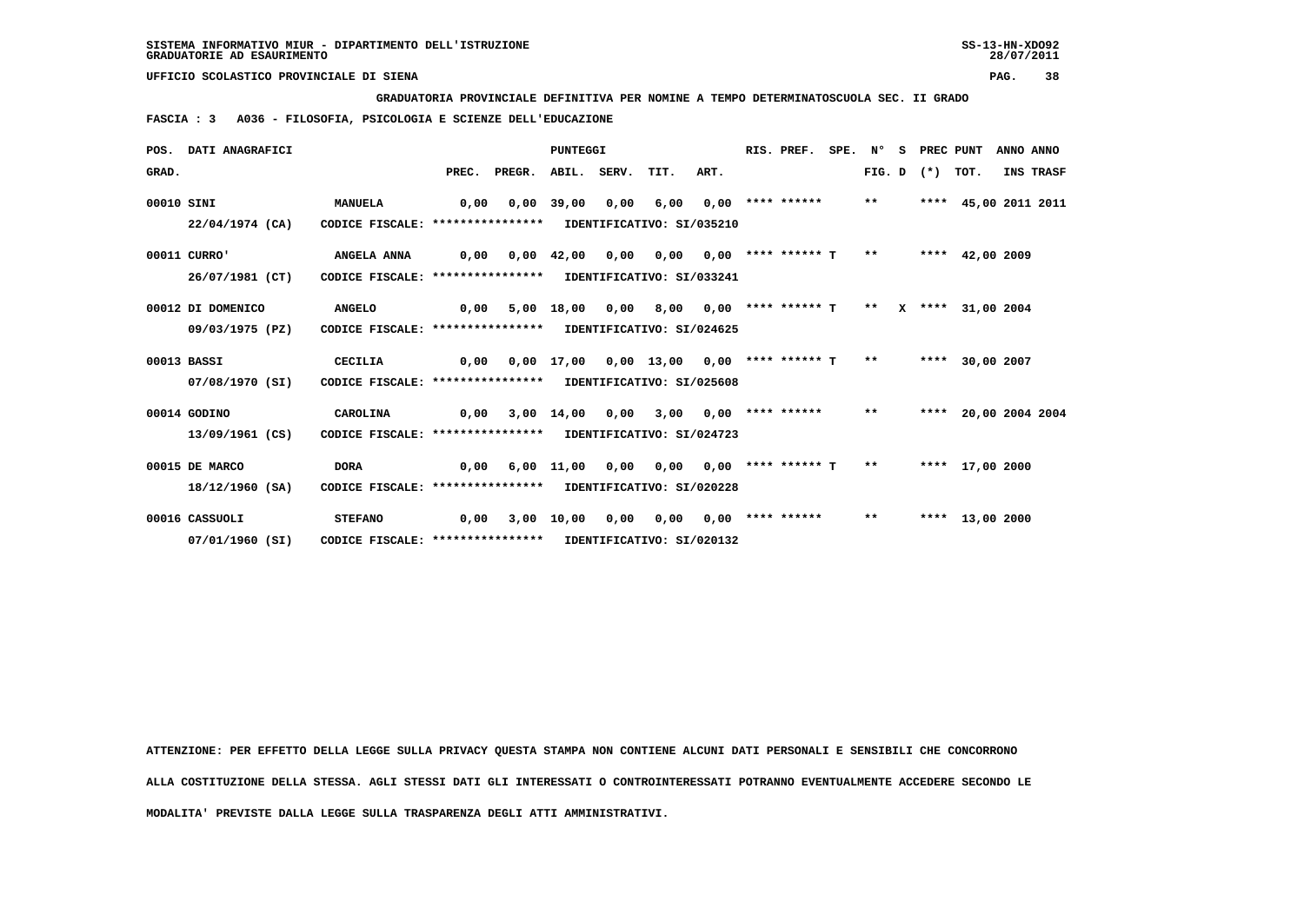**GRADUATORIA PROVINCIALE DEFINITIVA PER NOMINE A TEMPO DETERMINATOSCUOLA SEC. II GRADO**

 **FASCIA : 3 A036 - FILOSOFIA, PSICOLOGIA E SCIENZE DELL'EDUCAZIONE**

|            | POS. DATI ANAGRAFICI |                                                            |                                                 |                                                 | <b>PUNTEGGI</b> |                                                              |  | RIS. PREF. SPE. Nº    |  | S | PREC PUNT         |                      | ANNO ANNO |
|------------|----------------------|------------------------------------------------------------|-------------------------------------------------|-------------------------------------------------|-----------------|--------------------------------------------------------------|--|-----------------------|--|---|-------------------|----------------------|-----------|
| GRAD.      |                      |                                                            |                                                 | PREC. PREGR. ABIL. SERV. TIT. ART.              |                 |                                                              |  |                       |  |   | FIG. D $(*)$ TOT. |                      | INS TRASF |
| 00010 SINI |                      | <b>MANUELA</b>                                             | 0.00                                            |                                                 |                 | 0,00 39,00 0,00 6,00                                         |  | $0.00$ **** ****** ** |  |   |                   | **** 45,00 2011 2011 |           |
|            | 22/04/1974 (CA)      | CODICE FISCALE: **************** IDENTIFICATIVO: SI/035210 |                                                 |                                                 |                 |                                                              |  |                       |  |   |                   |                      |           |
|            | 00011 CURRO'         | ANGELA ANNA                                                |                                                 |                                                 |                 |                                                              |  |                       |  |   |                   |                      |           |
|            | 26/07/1981 (CT)      | CODICE FISCALE: **************** IDENTIFICATIVO: SI/033241 |                                                 |                                                 |                 |                                                              |  |                       |  |   |                   |                      |           |
|            | 00012 DI DOMENICO    | <b>ANGELO</b>                                              | 0,00                                            |                                                 |                 | 5,00 18,00 0,00 8,00 0,00 **** ****** T ** X **** 31,00 2004 |  |                       |  |   |                   |                      |           |
|            | 09/03/1975 (PZ)      | CODICE FISCALE: **************** IDENTIFICATIVO: SI/024625 |                                                 |                                                 |                 |                                                              |  |                       |  |   |                   |                      |           |
|            | 00013 BASSI          | CECILIA                                                    | 0.00                                            |                                                 |                 | 0,00 17,00 0,00 13,00 0,00 **** ****** T **                  |  |                       |  |   |                   | **** 30,00 2007      |           |
|            | 07/08/1970 (SI)      | CODICE FISCALE: **************** IDENTIFICATIVO: SI/025608 |                                                 |                                                 |                 |                                                              |  |                       |  |   |                   |                      |           |
|            | 00014 GODINO         | CAROLINA                                                   |                                                 | $0,00$ 3,00 14,00 0,00 3,00 0,00 **** ****** ** |                 |                                                              |  |                       |  |   |                   | **** 20,00 2004 2004 |           |
|            | 13/09/1961 (CS)      | CODICE FISCALE: **************** IDENTIFICATIVO: SI/024723 |                                                 |                                                 |                 |                                                              |  |                       |  |   |                   |                      |           |
|            | 00015 DE MARCO       | <b>DORA</b>                                                | 0,00 6,00 11,00 0,00 0,00 0,00 **** ****** T ** |                                                 |                 |                                                              |  |                       |  |   |                   | **** 17,00 2000      |           |
|            | 18/12/1960 (SA)      | CODICE FISCALE: **************** IDENTIFICATIVO: SI/020228 |                                                 |                                                 |                 |                                                              |  |                       |  |   |                   |                      |           |
|            | 00016 CASSUOLI       | <b>STEFANO</b>                                             | 0,00                                            |                                                 |                 | 3,00 10,00 0,00 0,00 0,00 **** ****** **                     |  |                       |  |   |                   | **** 13,00 2000      |           |
|            | 07/01/1960 (SI)      | CODICE FISCALE: **************** IDENTIFICATIVO: SI/020132 |                                                 |                                                 |                 |                                                              |  |                       |  |   |                   |                      |           |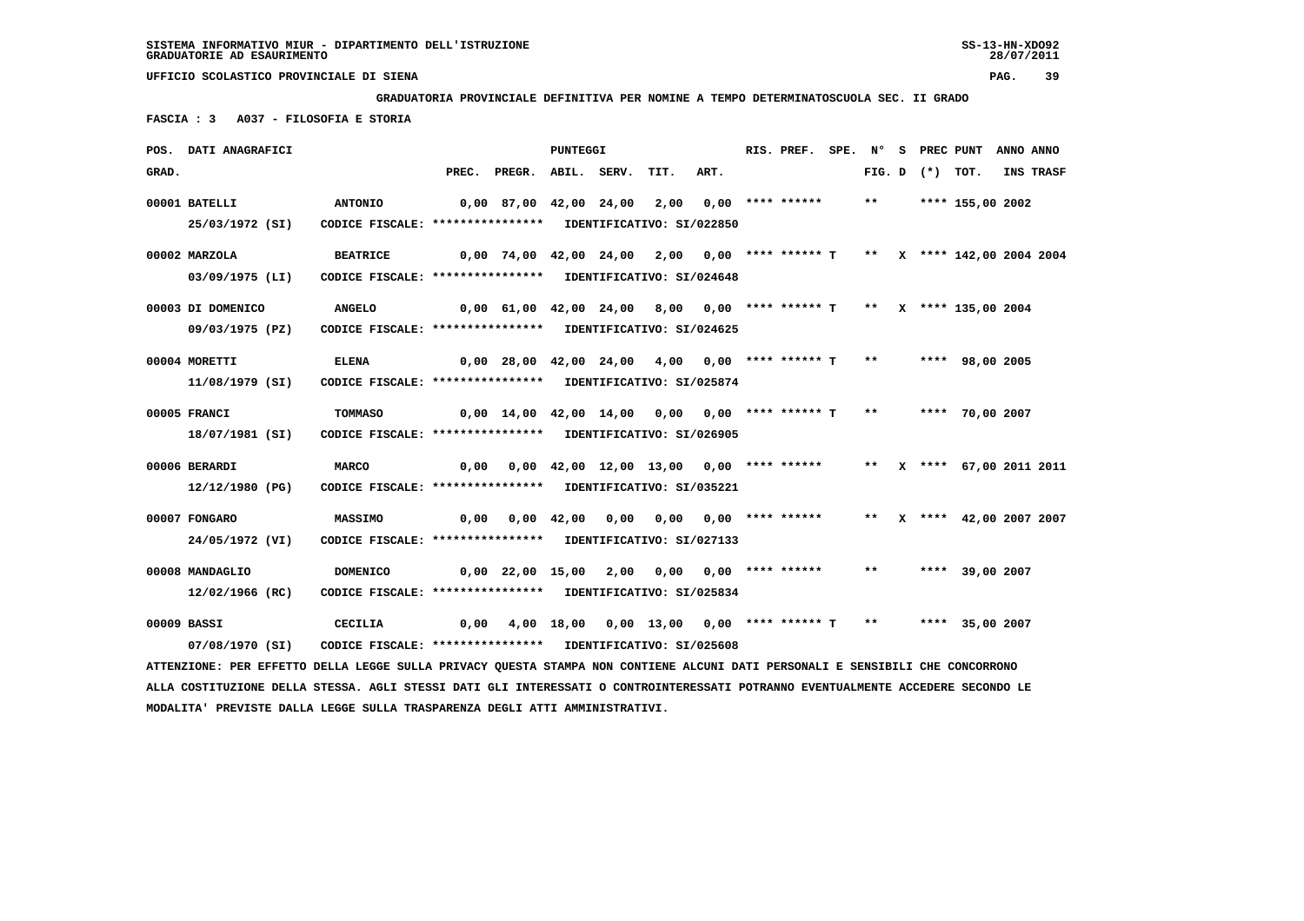**GRADUATORIA PROVINCIALE DEFINITIVA PER NOMINE A TEMPO DETERMINATOSCUOLA SEC. II GRADO**

 **FASCIA : 3 A037 - FILOSOFIA E STORIA**

|       | POS. DATI ANAGRAFICI                                                                                                            |                                                            |      |                                                                           | <b>PUNTEGGI</b> |                                             |      | RIS. PREF. |              |                   | SPE. N° S PREC PUNT       | ANNO ANNO |
|-------|---------------------------------------------------------------------------------------------------------------------------------|------------------------------------------------------------|------|---------------------------------------------------------------------------|-----------------|---------------------------------------------|------|------------|--------------|-------------------|---------------------------|-----------|
| GRAD. |                                                                                                                                 |                                                            |      | PREC. PREGR. ABIL. SERV.                                                  |                 | TIT.                                        | ART. |            |              | FIG. D $(*)$ TOT. |                           | INS TRASF |
|       | 00001 BATELLI                                                                                                                   | <b>ANTONIO</b>                                             |      | 0,00 87,00 42,00 24,00 2,00 0,00 **** ******                              |                 |                                             |      |            | $***$        |                   | **** 155,00 2002          |           |
|       | 25/03/1972 (SI)                                                                                                                 | CODICE FISCALE: **************** IDENTIFICATIVO: SI/022850 |      |                                                                           |                 |                                             |      |            |              |                   |                           |           |
|       | 00002 MARZOLA                                                                                                                   | <b>BEATRICE</b>                                            |      | 0,00 74,00 42,00 24,00 2,00 0,00 **** ****** T ** X **** 142,00 2004 2004 |                 |                                             |      |            |              |                   |                           |           |
|       | 03/09/1975 (LI)                                                                                                                 | CODICE FISCALE: **************** IDENTIFICATIVO: SI/024648 |      |                                                                           |                 |                                             |      |            |              |                   |                           |           |
|       | 00003 DI DOMENICO                                                                                                               | <b>ANGELO</b>                                              |      | $0,00$ 61,00 42,00 24,00 8,00 0,00 **** ****** T ** X **** 135,00 2004    |                 |                                             |      |            |              |                   |                           |           |
|       | 09/03/1975 (PZ)                                                                                                                 | CODICE FISCALE: **************** IDENTIFICATIVO: SI/024625 |      |                                                                           |                 |                                             |      |            |              |                   |                           |           |
|       | 00004 MORETTI                                                                                                                   | ELENA                                                      |      | $0,00$ 28,00 42,00 24,00 4,00 0,00 **** ****** T **                       |                 |                                             |      |            |              |                   | **** 98,00 2005           |           |
|       | 11/08/1979 (SI)                                                                                                                 | CODICE FISCALE: **************** IDENTIFICATIVO: SI/025874 |      |                                                                           |                 |                                             |      |            |              |                   |                           |           |
|       | 00005 FRANCI                                                                                                                    | TOMMASO                                                    |      | $0,00$ 14,00 42,00 14,00 0,00 0,00 **** ****** T                          |                 |                                             |      |            |              |                   | ** **** 70,00 2007        |           |
|       | 18/07/1981 (SI)                                                                                                                 | CODICE FISCALE: **************** IDENTIFICATIVO: SI/026905 |      |                                                                           |                 |                                             |      |            |              |                   |                           |           |
|       | 00006 BERARDI                                                                                                                   | <b>MARCO</b>                                               | 0,00 |                                                                           |                 | $0,00$ 42,00 12,00 13,00 0,00 **** ******   |      |            |              |                   | ** X **** 67,00 2011 2011 |           |
|       | 12/12/1980 (PG)                                                                                                                 | CODICE FISCALE: **************** IDENTIFICATIVO: SI/035221 |      |                                                                           |                 |                                             |      |            |              |                   |                           |           |
|       | 00007 FONGARO                                                                                                                   | <b>MASSIMO</b>                                             |      | $0,00$ $0,00$ $42,00$ $0,00$ $0,00$ $0,00$ $***$                          |                 |                                             |      |            |              |                   | ** X **** 42,00 2007 2007 |           |
|       | 24/05/1972 (VI)                                                                                                                 | CODICE FISCALE: **************** IDENTIFICATIVO: SI/027133 |      |                                                                           |                 |                                             |      |            |              |                   |                           |           |
|       | 00008 MANDAGLIO                                                                                                                 | <b>DOMENICO</b>                                            |      | $0,00$ 22,00 15,00 2,00 0,00 0,00 **** ******                             |                 |                                             |      |            | $\star\star$ |                   | **** 39,00 2007           |           |
|       | 12/02/1966 (RC)                                                                                                                 | CODICE FISCALE: **************** IDENTIFICATIVO: SI/025834 |      |                                                                           |                 |                                             |      |            |              |                   |                           |           |
|       | 00009 BASSI                                                                                                                     | CECILIA                                                    | 0.00 |                                                                           |                 | 4,00 18,00 0,00 13,00 0,00 **** ****** T ** |      |            |              |                   | **** 35,00 2007           |           |
|       | 07/08/1970 (SI)                                                                                                                 | CODICE FISCALE: **************** IDENTIFICATIVO: SI/025608 |      |                                                                           |                 |                                             |      |            |              |                   |                           |           |
|       | ATTENZIONE: PER EFFETTO DELLA LEGGE SULLA PRIVACY QUESTA STAMPA NON CONTIENE ALCUNI DATI PERSONALI E SENSIBILI CHE CONCORRONO   |                                                            |      |                                                                           |                 |                                             |      |            |              |                   |                           |           |
|       | ALLA COSTITUZIONE DELLA STESSA. AGLI STESSI DATI GLI INTERESSATI O CONTROINTERESSATI POTRANNO EVENTUALMENTE ACCEDERE SECONDO LE |                                                            |      |                                                                           |                 |                                             |      |            |              |                   |                           |           |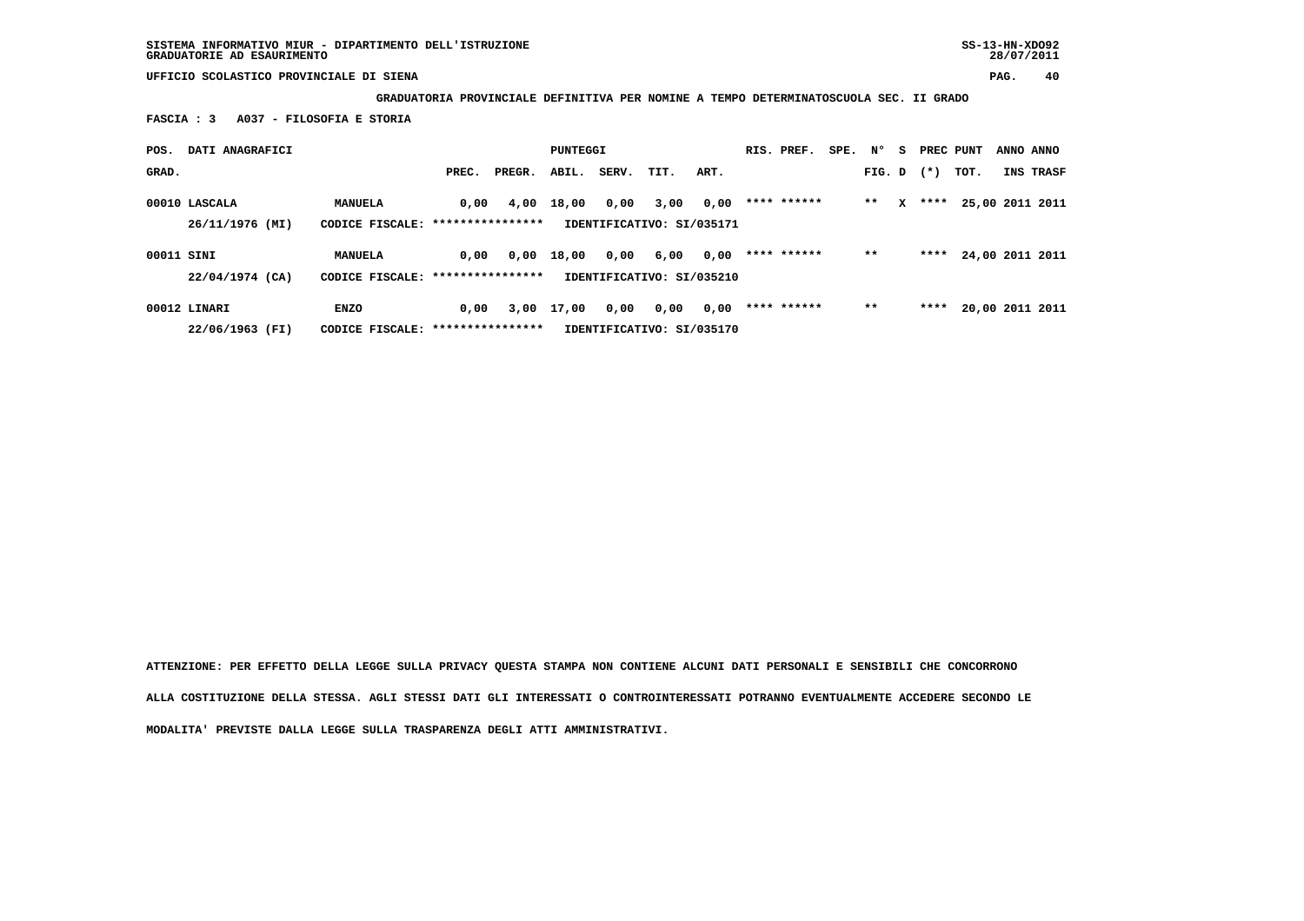**GRADUATORIA PROVINCIALE DEFINITIVA PER NOMINE A TEMPO DETERMINATOSCUOLA SEC. II GRADO**

 **FASCIA : 3 A037 - FILOSOFIA E STORIA**

| POS.       | DATI ANAGRAFICI                  |                                |                          |        | PUNTEGGI |       |                                   |      | RIS. PREF.  | SPE. | N°     | s. | PREC PUNT |      | ANNO ANNO       |
|------------|----------------------------------|--------------------------------|--------------------------|--------|----------|-------|-----------------------------------|------|-------------|------|--------|----|-----------|------|-----------------|
| GRAD.      |                                  |                                | PREC.                    | PREGR. | ABIL.    | SERV. | TIT.                              | ART. |             |      | FIG. D |    | $(*)$     | TOT. | INS TRASF       |
|            | 00010 LASCALA<br>26/11/1976 (MI) | MANUELA<br>CODICE FISCALE:     | 0,00<br>**************** | 4,00   | 18,00    | 0,00  | 3,00<br>IDENTIFICATIVO: SI/035171 | 0,00 | **** ****** |      | $* *$  | x  | ****      |      | 25,00 2011 2011 |
| 00011 SINI | 22/04/1974 (CA)                  | MANUELA<br>CODICE FISCALE:     | 0,00<br>**************** | 0,00   | 18,00    | 0,00  | 6,00<br>IDENTIFICATIVO: SI/035210 | 0,00 | **** ****** |      | $***$  |    | ****      |      | 24,00 2011 2011 |
|            | 00012 LINARI<br>22/06/1963 (FI)  | <b>ENZO</b><br>CODICE FISCALE: | 0.00<br>**************** | 3,00   | 17,00    | 0,00  | 0,00<br>IDENTIFICATIVO: SI/035170 | 0,00 | **** ****** |      | $***$  |    | ****      |      | 20,00 2011 2011 |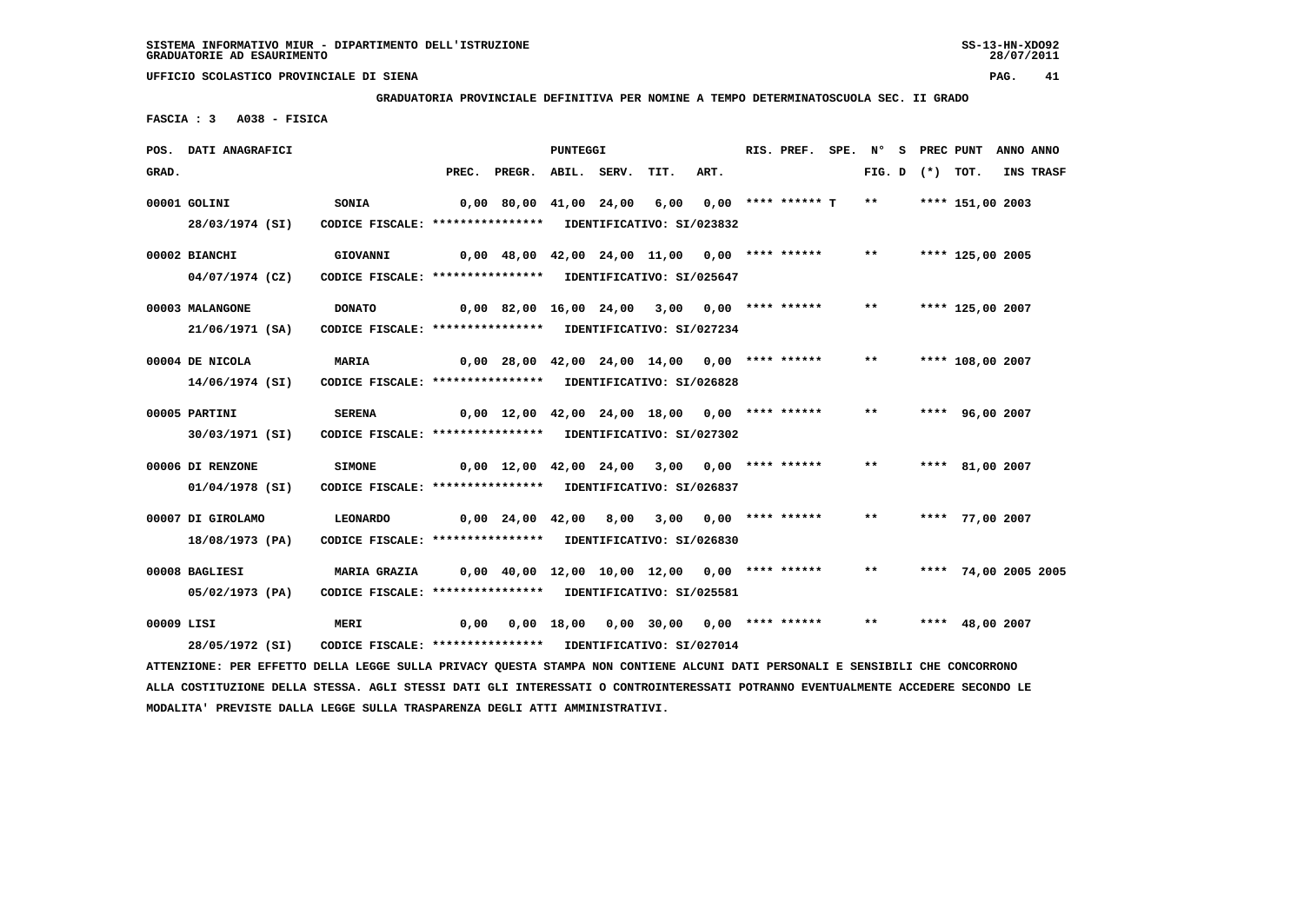**GRADUATORIA PROVINCIALE DEFINITIVA PER NOMINE A TEMPO DETERMINATOSCUOLA SEC. II GRADO**

 **FASCIA : 3 A038 - FISICA**

|            | POS. DATI ANAGRAFICI                                                                                                            |                                                                            |       |                                                 | <b>PUNTEGGI</b> |                                          |      | RIS. PREF.            | SPE. N° |        |          | S PREC PUNT          | ANNO ANNO |
|------------|---------------------------------------------------------------------------------------------------------------------------------|----------------------------------------------------------------------------|-------|-------------------------------------------------|-----------------|------------------------------------------|------|-----------------------|---------|--------|----------|----------------------|-----------|
| GRAD.      |                                                                                                                                 |                                                                            | PREC. | PREGR. ABIL. SERV.                              |                 | TIT.                                     | ART. |                       |         | FIG. D | (*) TOT. |                      | INS TRASF |
|            | 00001 GOLINI<br>28/03/1974 (SI)                                                                                                 | <b>SONIA</b><br>CODICE FISCALE: **************** IDENTIFICATIVO: SI/023832 |       | 0,00 80,00 41,00 24,00 6,00                     |                 |                                          |      | $0,00$ **** ****** T  |         | $***$  |          | **** 151,00 2003     |           |
|            | 00002 BIANCHI                                                                                                                   | GIOVANNI                                                                   |       | $0.00$ 48.00 42.00 24.00 11.00 0.00 **** ****** |                 |                                          |      |                       |         | $***$  |          | **** 125,00 2005     |           |
|            | 04/07/1974 (CZ)                                                                                                                 | CODICE FISCALE: **************** IDENTIFICATIVO: SI/025647                 |       |                                                 |                 |                                          |      |                       |         |        |          |                      |           |
|            | 00003 MALANGONE                                                                                                                 | <b>DONATO</b>                                                              |       | $0,00$ 82,00 16,00 24,00 3,00 0,00 **** ******  |                 |                                          |      |                       |         | $***$  |          | **** 125,00 2007     |           |
|            | 21/06/1971 (SA)                                                                                                                 | CODICE FISCALE: **************** IDENTIFICATIVO: SI/027234                 |       |                                                 |                 |                                          |      |                       |         |        |          |                      |           |
|            | 00004 DE NICOLA                                                                                                                 | <b>MARIA</b>                                                               |       | $0,00$ 28,00 42,00 24,00 14,00 0,00 **** ****** |                 |                                          |      |                       |         | $***$  |          | **** 108,00 2007     |           |
|            | 14/06/1974 (SI)                                                                                                                 | CODICE FISCALE: **************** IDENTIFICATIVO: SI/026828                 |       |                                                 |                 |                                          |      |                       |         |        |          |                      |           |
|            | 00005 PARTINI                                                                                                                   | <b>SERENA</b>                                                              |       | $0,00$ 12,00 42,00 24,00 18,00 0,00 **** ****** |                 |                                          |      |                       |         | $* *$  |          | **** 96,00 2007      |           |
|            | 30/03/1971 (SI)                                                                                                                 | CODICE FISCALE: **************** IDENTIFICATIVO: SI/027302                 |       |                                                 |                 |                                          |      |                       |         |        |          |                      |           |
|            | 00006 DI RENZONE                                                                                                                | <b>SIMONE</b>                                                              |       | $0,00$ 12,00 42,00 24,00 3,00 0,00 **** ******  |                 |                                          |      |                       |         | $***$  |          | **** 81,00 2007      |           |
|            | 01/04/1978 (SI)                                                                                                                 | CODICE FISCALE: **************** IDENTIFICATIVO: SI/026837                 |       |                                                 |                 |                                          |      |                       |         |        |          |                      |           |
|            | 00007 DI GIROLAMO                                                                                                               | LEONARDO                                                                   |       | $0,00$ $24,00$ $42,00$ $8,00$                   |                 |                                          |      | 3,00 0,00 **** ****** |         | $* *$  |          | **** 77,00 2007      |           |
|            | 18/08/1973 (PA)                                                                                                                 | CODICE FISCALE: **************** IDENTIFICATIVO: SI/026830                 |       |                                                 |                 |                                          |      |                       |         |        |          |                      |           |
|            | 00008 BAGLIESI                                                                                                                  | <b>MARIA GRAZIA</b>                                                        |       | $0,00$ 40,00 12,00 10,00 12,00 0,00 **** ****** |                 |                                          |      |                       |         | $***$  |          | **** 74,00 2005 2005 |           |
|            | 05/02/1973 (PA)                                                                                                                 | CODICE FISCALE: **************** IDENTIFICATIVO: SI/025581                 |       |                                                 |                 |                                          |      |                       |         |        |          |                      |           |
| 00009 LISI |                                                                                                                                 | MERI                                                                       | 0,00  |                                                 |                 | $0,00$ 18,00 0,00 30,00 0,00 **** ****** |      |                       |         | $***$  |          | **** 48,00 2007      |           |
|            | 28/05/1972 (SI)                                                                                                                 | CODICE FISCALE: **************** IDENTIFICATIVO: SI/027014                 |       |                                                 |                 |                                          |      |                       |         |        |          |                      |           |
|            | ATTENZIONE: PER EFFETTO DELLA LEGGE SULLA PRIVACY QUESTA STAMPA NON CONTIENE ALCUNI DATI PERSONALI E SENSIBILI CHE CONCORRONO   |                                                                            |       |                                                 |                 |                                          |      |                       |         |        |          |                      |           |
|            | ALLA COSTITUZIONE DELLA STESSA. AGLI STESSI DATI GLI INTERESSATI O CONTROINTERESSATI POTRANNO EVENTUALMENTE ACCEDERE SECONDO LE |                                                                            |       |                                                 |                 |                                          |      |                       |         |        |          |                      |           |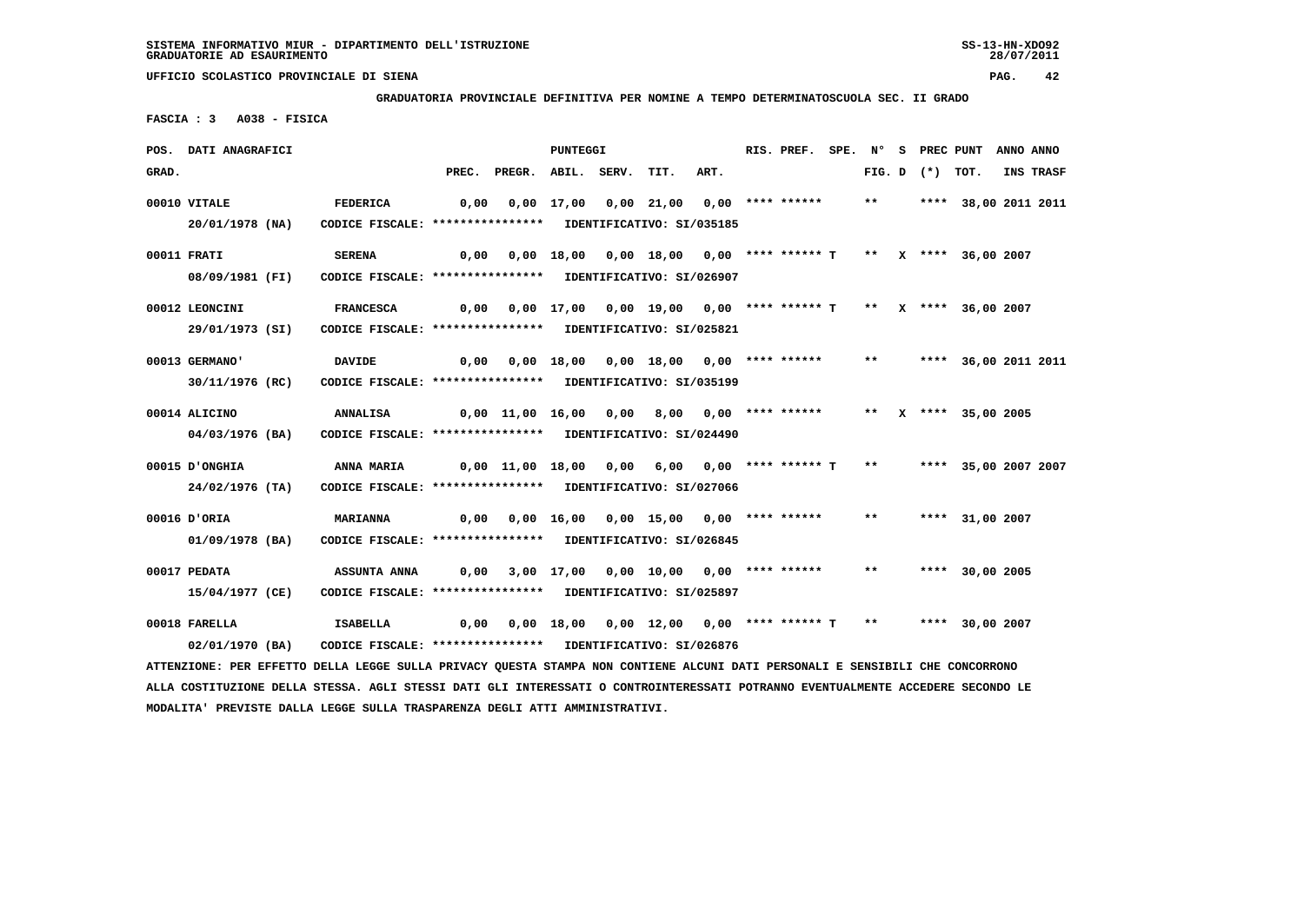**UFFICIO SCOLASTICO PROVINCIALE DI SIENA PAG. 42 GRADUATORIA PROVINCIALE DEFINITIVA PER NOMINE A TEMPO DETERMINATOSCUOLA SEC. II GRADO FASCIA : 3 A038 - FISICA POS. DATI ANAGRAFICI PUNTEGGI RIS. PREF. SPE. N° S PREC PUNT ANNO ANNO**GRAD. **BRAD.** PREC. PREGR. ABIL. SERV. TIT. ART. FIG. D (\*) TOT. INS TRASF  **00010 VITALE FEDERICA 0,00 0,00 17,00 0,00 21,00 0,00 \*\*\*\* \*\*\*\*\*\* \*\* \*\*\*\* 38,00 2011 2011 20/01/1978 (NA) CODICE FISCALE: \*\*\*\*\*\*\*\*\*\*\*\*\*\*\*\* IDENTIFICATIVO: SI/035185 00011 FRATI SERENA 0,00 0,00 18,00 0,00 18,00 0,00 \*\*\*\* \*\*\*\*\*\* T \*\* X \*\*\*\* 36,00 2007 08/09/1981 (FI) CODICE FISCALE: \*\*\*\*\*\*\*\*\*\*\*\*\*\*\*\* IDENTIFICATIVO: SI/026907 00012 LEONCINI FRANCESCA 0,00 0,00 17,00 0,00 19,00 0,00 \*\*\*\* \*\*\*\*\*\* T \*\* X \*\*\*\* 36,00 2007 29/01/1973 (SI) CODICE FISCALE: \*\*\*\*\*\*\*\*\*\*\*\*\*\*\*\* IDENTIFICATIVO: SI/025821 00013 GERMANO' DAVIDE 0,00 0,00 18,00 0,00 18,00 0,00 \*\*\*\* \*\*\*\*\*\* \*\* \*\*\*\* 36,00 2011 2011 30/11/1976 (RC) CODICE FISCALE: \*\*\*\*\*\*\*\*\*\*\*\*\*\*\*\* IDENTIFICATIVO: SI/035199**

 **00014 ALICINO ANNALISA 0,00 11,00 16,00 0,00 8,00 0,00 \*\*\*\* \*\*\*\*\*\* \*\* X \*\*\*\* 35,00 2005 04/03/1976 (BA) CODICE FISCALE: \*\*\*\*\*\*\*\*\*\*\*\*\*\*\*\* IDENTIFICATIVO: SI/024490**

 **00015 D'ONGHIA ANNA MARIA 0,00 11,00 18,00 0,00 6,00 0,00 \*\*\*\* \*\*\*\*\*\* T \*\* \*\*\*\* 35,00 2007 2007 24/02/1976 (TA) CODICE FISCALE: \*\*\*\*\*\*\*\*\*\*\*\*\*\*\*\* IDENTIFICATIVO: SI/027066**

 **00016 D'ORIA MARIANNA 0,00 0,00 16,00 0,00 15,00 0,00 \*\*\*\* \*\*\*\*\*\* \*\* \*\*\*\* 31,00 2007 01/09/1978 (BA) CODICE FISCALE: \*\*\*\*\*\*\*\*\*\*\*\*\*\*\*\* IDENTIFICATIVO: SI/026845**

 **00017 PEDATA ASSUNTA ANNA 0,00 3,00 17,00 0,00 10,00 0,00 \*\*\*\* \*\*\*\*\*\* \*\* \*\*\*\* 30,00 2005 15/04/1977 (CE) CODICE FISCALE: \*\*\*\*\*\*\*\*\*\*\*\*\*\*\*\* IDENTIFICATIVO: SI/025897**

 **00018 FARELLA ISABELLA 0,00 0,00 18,00 0,00 12,00 0,00 \*\*\*\* \*\*\*\*\*\* T \*\* \*\*\*\* 30,00 2007 02/01/1970 (BA) CODICE FISCALE: \*\*\*\*\*\*\*\*\*\*\*\*\*\*\*\* IDENTIFICATIVO: SI/026876**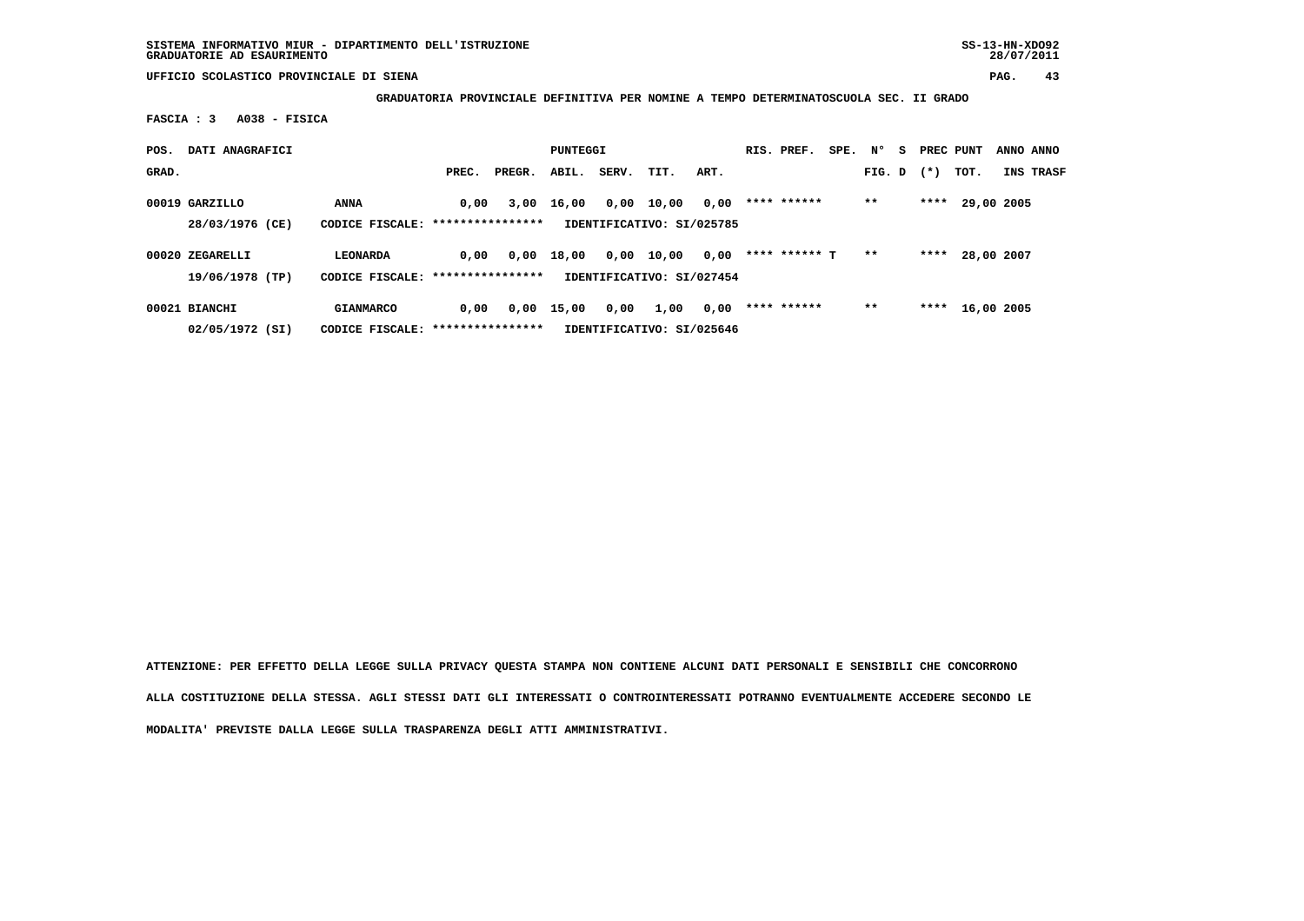**SISTEMA INFORMATIVO MIUR - DIPARTIMENTO DELL'ISTRUZIONE SS-13-HN-XDO92 GRADUATORIE AD ESAURIMENTO 28/07/2011**

 **UFFICIO SCOLASTICO PROVINCIALE DI SIENA PAG. 43**

 **GRADUATORIA PROVINCIALE DEFINITIVA PER NOMINE A TEMPO DETERMINATOSCUOLA SEC. II GRADO**

 **FASCIA : 3 A038 - FISICA**

| POS.  | DATI ANAGRAFICI                    |                                                       |       |        | PUNTEGGI |       |                                    |      | RIS. PREF.    | SPE. | N°     | s. | PREC PUNT |            | ANNO ANNO |
|-------|------------------------------------|-------------------------------------------------------|-------|--------|----------|-------|------------------------------------|------|---------------|------|--------|----|-----------|------------|-----------|
| GRAD. |                                    |                                                       | PREC. | PREGR. | ABIL.    | SERV. | TIT.                               | ART. |               |      | FIG. D |    | $(*)$     | тот.       | INS TRASF |
|       | 00019 GARZILLO<br>28/03/1976 (CE)  | ANNA<br>CODICE FISCALE: *****************             | 0.00  | 3,00   | 16,00    | 0,00  | 10,00<br>IDENTIFICATIVO: SI/025785 | 0,00 | **** ******   |      | $* *$  |    | ****      | 29,00 2005 |           |
|       | 00020 ZEGARELLI<br>19/06/1978 (TP) | LEONARDA<br>CODICE FISCALE: ****************          | 0.00  | 0,00   | 18,00    | 0,00  | 10,00<br>IDENTIFICATIVO: SI/027454 | 0,00 | **** ****** T |      | $* *$  |    | ****      | 28,00 2007 |           |
|       | 00021 BIANCHI<br>02/05/1972 (SI)   | <b>GIANMARCO</b><br>CODICE FISCALE: ***************** | 0.00  | 0,00   | 15,00    | 0,00  | 1,00<br>IDENTIFICATIVO: SI/025646  | 0,00 | **** ******   |      | $* *$  |    | ****      | 16,00 2005 |           |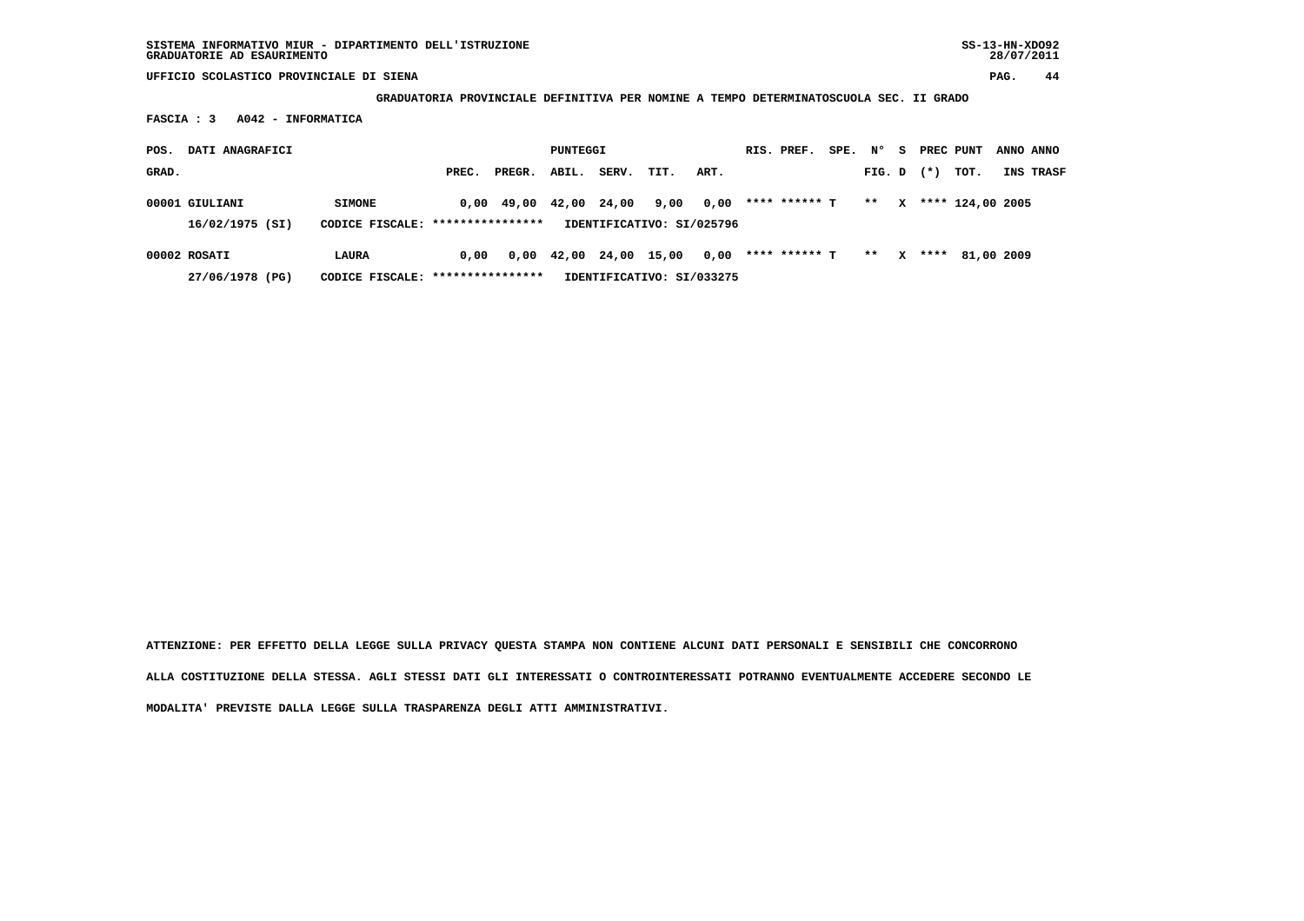**GRADUATORIA PROVINCIALE DEFINITIVA PER NOMINE A TEMPO DETERMINATOSCUOLA SEC. II GRADO**

 **FASCIA : 3 A042 - INFORMATICA**

| POS.  | DATI ANAGRAFICI                   |                                                   |       |                                            | PUNTEGGI |                                            |                                   |      | RIS. PREF.    | SPE. | $N^{\circ}$ | - S          | PREC PUNT |                  | ANNO ANNO |
|-------|-----------------------------------|---------------------------------------------------|-------|--------------------------------------------|----------|--------------------------------------------|-----------------------------------|------|---------------|------|-------------|--------------|-----------|------------------|-----------|
| GRAD. |                                   |                                                   | PREC. | PREGR.                                     | ABIL.    | SERV.                                      | TIT.                              | ART. |               |      | FIG. D      |              | $(*)$     | тот.             | INS TRASF |
|       | 00001 GIULIANI<br>16/02/1975 (SI) | <b>SIMONE</b><br>CODICE FISCALE: **************** |       | $0.00 \quad 49.00 \quad 42.00 \quad 24.00$ |          |                                            | 9,00<br>IDENTIFICATIVO: SI/025796 | 0,00 | **** ****** T |      | $* *$       | $\mathbf{x}$ |           | **** 124,00 2005 |           |
|       | 00002 ROSATI<br>27/06/1978 (PG)   | LAURA<br>CODICE FISCALE: ****************         | 0.00  |                                            |          | $0,00 \quad 42,00 \quad 24,00 \quad 15,00$ | IDENTIFICATIVO: SI/033275         | 0,00 | **** ****** T |      | $***$       | $\mathbf{x}$ |           | **** 81,00 2009  |           |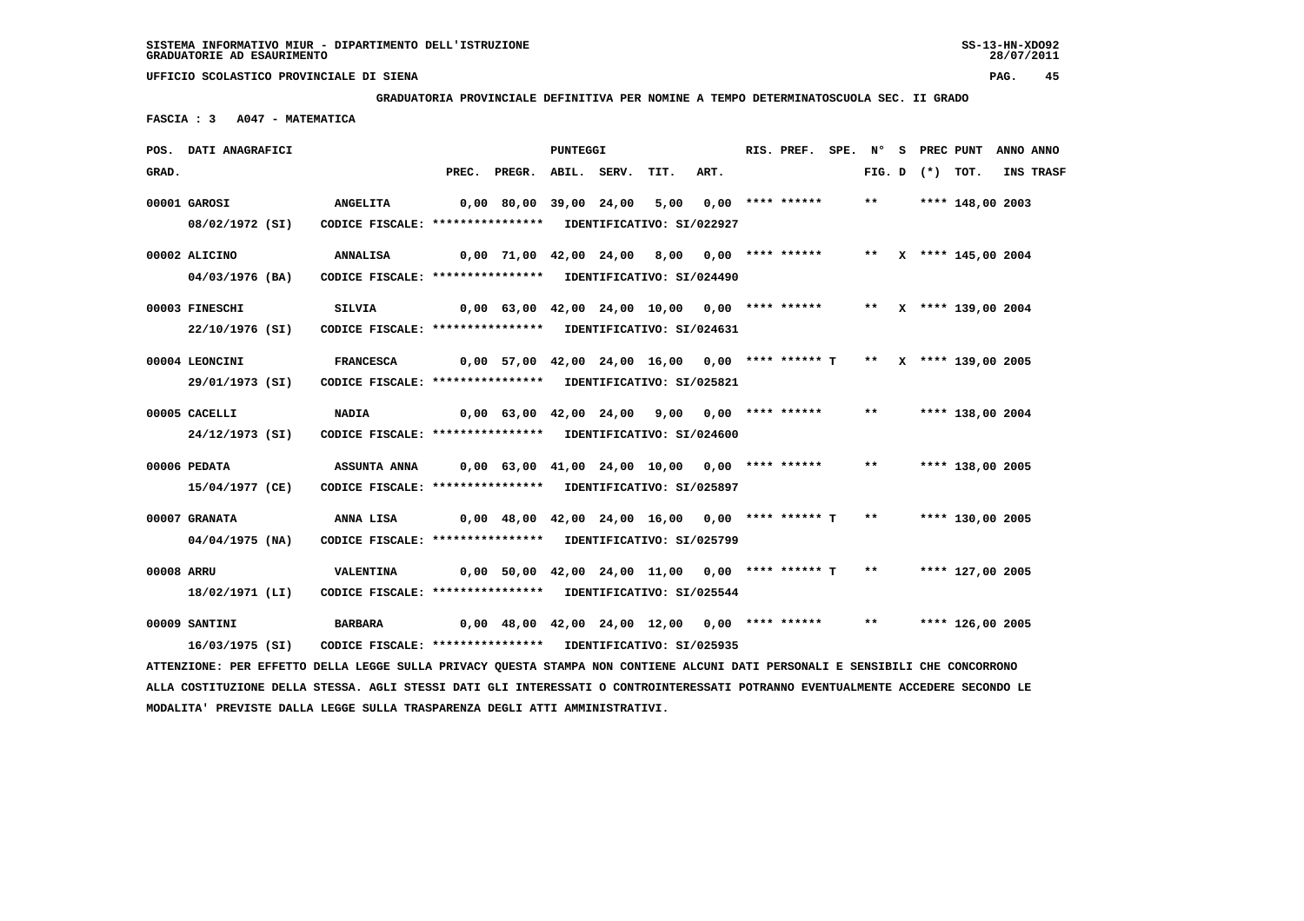**GRADUATORIA PROVINCIALE DEFINITIVA PER NOMINE A TEMPO DETERMINATOSCUOLA SEC. II GRADO**

 **FASCIA : 3 A047 - MATEMATICA**

|            | POS. DATI ANAGRAFICI                                                                                                          |                                                            |                                                                             |                                                                       | PUNTEGGI |      |      | RIS. PREF. |       |                   | SPE. N° S PREC PUNT ANNO ANNO |           |
|------------|-------------------------------------------------------------------------------------------------------------------------------|------------------------------------------------------------|-----------------------------------------------------------------------------|-----------------------------------------------------------------------|----------|------|------|------------|-------|-------------------|-------------------------------|-----------|
| GRAD.      |                                                                                                                               |                                                            |                                                                             | PREC. PREGR. ABIL. SERV.                                              |          | TIT. | ART. |            |       | FIG. D $(*)$ TOT. |                               | INS TRASF |
|            | 00001 GAROSI                                                                                                                  | <b>ANGELITA</b>                                            |                                                                             | 0,00 80,00 39,00 24,00 5,00 0,00 **** ******                          |          |      |      |            |       |                   | ** **** 148,00 2003           |           |
|            | 08/02/1972 (SI)                                                                                                               | CODICE FISCALE: **************** IDENTIFICATIVO: SI/022927 |                                                                             |                                                                       |          |      |      |            |       |                   |                               |           |
|            | 00002 ALICINO                                                                                                                 | <b>ANNALISA</b>                                            | 0,00 71,00 42,00 24,00  8,00  0,00 **** ******       **  x **** 145,00 2004 |                                                                       |          |      |      |            |       |                   |                               |           |
|            | 04/03/1976 (BA)                                                                                                               | CODICE FISCALE: **************** IDENTIFICATIVO: SI/024490 |                                                                             |                                                                       |          |      |      |            |       |                   |                               |           |
|            | 00003 FINESCHI                                                                                                                | SILVIA                                                     |                                                                             | 0,00 63,00 42,00 24,00 10,00 0,00 **** ******                         |          |      |      |            |       |                   | ** $X$ **** 139,00 2004       |           |
|            | 22/10/1976 (SI)                                                                                                               | CODICE FISCALE: **************** IDENTIFICATIVO: SI/024631 |                                                                             |                                                                       |          |      |      |            |       |                   |                               |           |
|            | 00004 LEONCINI                                                                                                                | <b>FRANCESCA</b>                                           |                                                                             | 0,00 57,00 42,00 24,00 16,00 0,00 **** ****** T ** X **** 139,00 2005 |          |      |      |            |       |                   |                               |           |
|            | 29/01/1973 (SI)                                                                                                               | CODICE FISCALE: **************** IDENTIFICATIVO: SI/025821 |                                                                             |                                                                       |          |      |      |            |       |                   |                               |           |
|            | 00005 CACELLI                                                                                                                 | <b>NADIA</b>                                               |                                                                             | 0,00 63,00 42,00 24,00 9,00 0,00 **** ****** ** **** 138,00 2004      |          |      |      |            |       |                   |                               |           |
|            | 24/12/1973 (SI)                                                                                                               | CODICE FISCALE: **************** IDENTIFICATIVO: SI/024600 |                                                                             |                                                                       |          |      |      |            |       |                   |                               |           |
|            | 00006 PEDATA                                                                                                                  | ASSUNTA ANNA                                               |                                                                             | 0,00 63,00 41,00 24,00 10,00 0,00 **** ******                         |          |      |      |            | $***$ |                   | **** 138,00 2005              |           |
|            | 15/04/1977 (CE)                                                                                                               | CODICE FISCALE: **************** IDENTIFICATIVO: SI/025897 |                                                                             |                                                                       |          |      |      |            |       |                   |                               |           |
|            | 00007 GRANATA                                                                                                                 | ANNA LISA                                                  |                                                                             | $0,00$ 48,00 42,00 24,00 16,00 0,00 **** ****** T                     |          |      |      |            | $***$ |                   | **** 130,00 2005              |           |
|            | 04/04/1975 (NA)                                                                                                               | CODICE FISCALE: **************** IDENTIFICATIVO: SI/025799 |                                                                             |                                                                       |          |      |      |            |       |                   |                               |           |
| 00008 ARRU |                                                                                                                               | VALENTINA                                                  |                                                                             |                                                                       |          |      |      |            |       |                   |                               |           |
|            | 18/02/1971 (LI)                                                                                                               | CODICE FISCALE: **************** IDENTIFICATIVO: SI/025544 |                                                                             |                                                                       |          |      |      |            |       |                   |                               |           |
|            | 00009 SANTINI                                                                                                                 | <b>BARBARA</b>                                             |                                                                             | $0,00$ 48,00 42,00 24,00 12,00 0,00 **** ****** **                    |          |      |      |            |       |                   | **** 126,00 2005              |           |
|            | 16/03/1975 (SI)                                                                                                               | CODICE FISCALE: **************** IDENTIFICATIVO: SI/025935 |                                                                             |                                                                       |          |      |      |            |       |                   |                               |           |
|            | ATTENZIONE: PER EFFETTO DELLA LEGGE SULLA PRIVACY QUESTA STAMPA NON CONTIENE ALCUNI DATI PERSONALI E SENSIBILI CHE CONCORRONO |                                                            |                                                                             |                                                                       |          |      |      |            |       |                   |                               |           |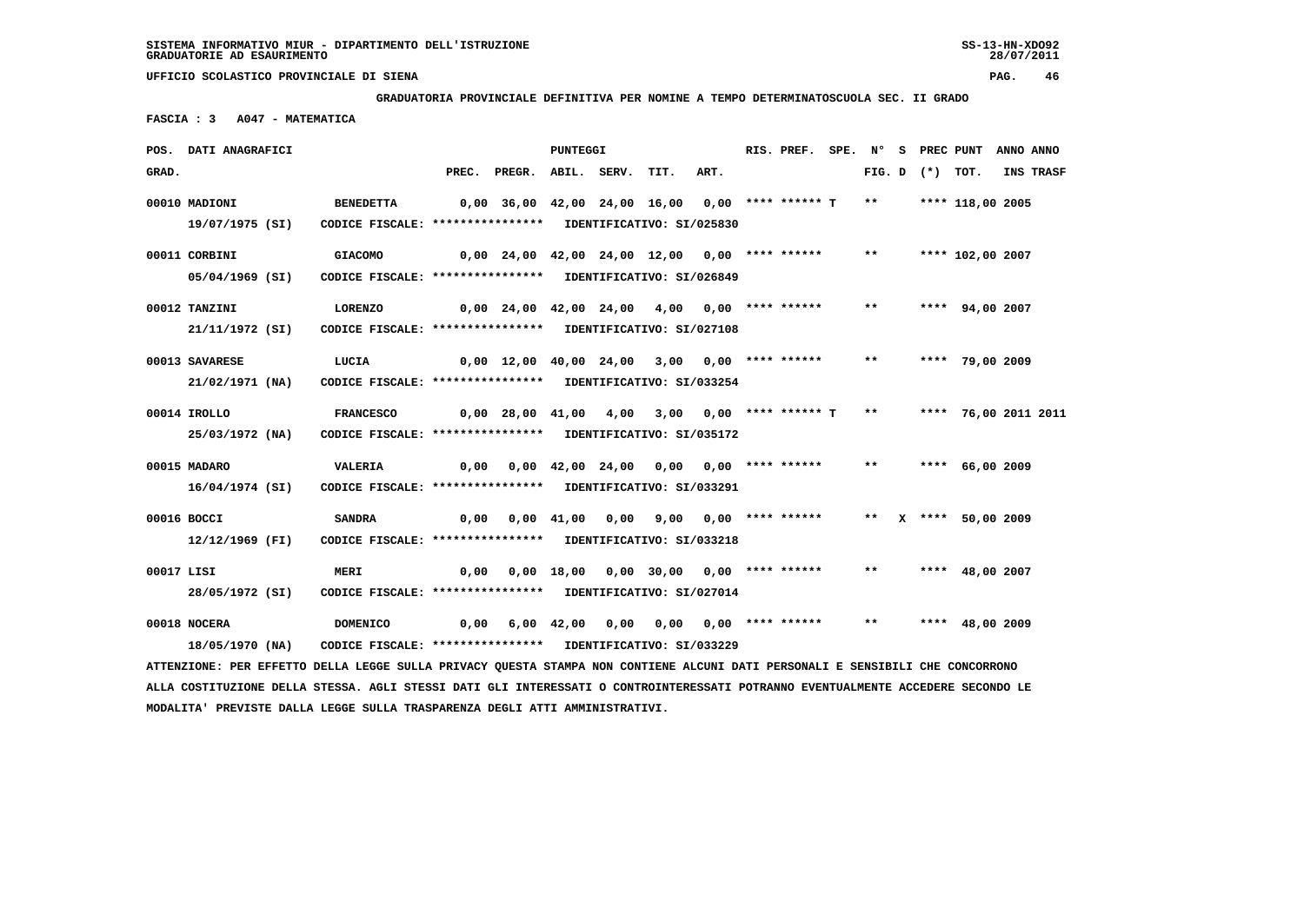**MODALITA' PREVISTE DALLA LEGGE SULLA TRASPARENZA DEGLI ATTI AMMINISTRATIVI.**

 **UFFICIO SCOLASTICO PROVINCIALE DI SIENA PAG. 46**

 **GRADUATORIA PROVINCIALE DEFINITIVA PER NOMINE A TEMPO DETERMINATOSCUOLA SEC. II GRADO**

 **FASCIA : 3 A047 - MATEMATICA**

|            | POS. DATI ANAGRAFICI                                                                                                            |                                                                                |                                              |                                                  | PUNTEGGI |                                          |      | RIS. PREF. | SPE. N° |       |                   | S PREC PUNT          | ANNO ANNO |
|------------|---------------------------------------------------------------------------------------------------------------------------------|--------------------------------------------------------------------------------|----------------------------------------------|--------------------------------------------------|----------|------------------------------------------|------|------------|---------|-------|-------------------|----------------------|-----------|
| GRAD.      |                                                                                                                                 |                                                                                | PREC.                                        | PREGR. ABIL. SERV.                               |          | TIT.                                     | ART. |            |         |       | FIG. D $(*)$ TOT. |                      | INS TRASF |
|            | 00010 MADIONI<br>19/07/1975 (SI)                                                                                                | <b>BENEDETTA</b><br>CODICE FISCALE: **************** IDENTIFICATIVO: SI/025830 |                                              | 0,00 36,00 42,00 24,00 16,00 0,00 **** ****** T  |          |                                          |      |            |         | $***$ |                   | **** 118,00 2005     |           |
|            | 00011 CORBINI<br>05/04/1969 (SI)                                                                                                | <b>GIACOMO</b><br>CODICE FISCALE: **************** IDENTIFICATIVO: SI/026849   |                                              | $0,00$ 24,00 42,00 24,00 12,00 0,00 **** ******  |          |                                          |      |            |         | $***$ |                   | **** 102,00 2007     |           |
|            | 00012 TANZINI<br>21/11/1972 (SI)                                                                                                | <b>LORENZO</b><br>CODICE FISCALE: **************** IDENTIFICATIVO: SI/027108   |                                              | $0,00$ 24,00 42,00 24,00 4,00 0,00 **** ******   |          |                                          |      |            |         | $***$ |                   | **** 94,00 2007      |           |
|            | 00013 SAVARESE<br>21/02/1971 (NA)                                                                                               | LUCIA<br>CODICE FISCALE: **************** IDENTIFICATIVO: SI/033254            | 0,00 12,00 40,00 24,00 3,00 0,00 **** ****** |                                                  |          |                                          |      |            |         | $***$ |                   | **** 79,00 2009      |           |
|            | 00014 IROLLO<br>25/03/1972 (NA)                                                                                                 | <b>FRANCESCO</b><br>CODICE FISCALE: **************** IDENTIFICATIVO: SI/035172 |                                              | $0,00$ 28,00 41,00 4,00 3,00 0,00 **** ****** T  |          |                                          |      |            |         | $***$ |                   | **** 76,00 2011 2011 |           |
|            | 00015 MADARO<br>16/04/1974 (SI)                                                                                                 | VALERIA<br>CODICE FISCALE: **************** IDENTIFICATIVO: SI/033291          | 0,00                                         |                                                  |          | $0,00$ 42,00 24,00 0,00 0,00 **** ****** |      |            |         | $***$ |                   | **** 66,00 2009      |           |
|            | 00016 BOCCI<br>12/12/1969 (FI)                                                                                                  | <b>SANDRA</b><br>CODICE FISCALE: **************** IDENTIFICATIVO: SI/033218    |                                              | $0,00$ $0,00$ $41,00$ $0,00$ $9,00$ $0,00$ $***$ |          |                                          |      |            |         |       |                   | ** X **** 50,00 2009 |           |
| 00017 LISI | 28/05/1972 (SI)                                                                                                                 | <b>MERI</b><br>CODICE FISCALE: **************** IDENTIFICATIVO: SI/027014      | 0,00                                         |                                                  |          | 0,00 18,00 0,00 30,00 0,00 **** ******   |      |            |         | $***$ |                   | **** $48,00$ 2007    |           |
|            | 00018 NOCERA<br>18/05/1970 (NA)                                                                                                 | <b>DOMENICO</b><br>CODICE FISCALE: **************** IDENTIFICATIVO: SI/033229  |                                              | 0,00 6,00 42,00                                  |          | $0,00$ $0,00$ $0,00$ $***$ **** ******   |      |            |         | $***$ |                   | **** $48,00$ 2009    |           |
|            | ATTENZIONE: PER EFFETTO DELLA LEGGE SULLA PRIVACY QUESTA STAMPA NON CONTIENE ALCUNI DATI PERSONALI E SENSIBILI CHE CONCORRONO   |                                                                                |                                              |                                                  |          |                                          |      |            |         |       |                   |                      |           |
|            | ALLA COSTITUZIONE DELLA STESSA. AGLI STESSI DATI GLI INTERESSATI O CONTROINTERESSATI POTRANNO EVENTUALMENTE ACCEDERE SECONDO LE |                                                                                |                                              |                                                  |          |                                          |      |            |         |       |                   |                      |           |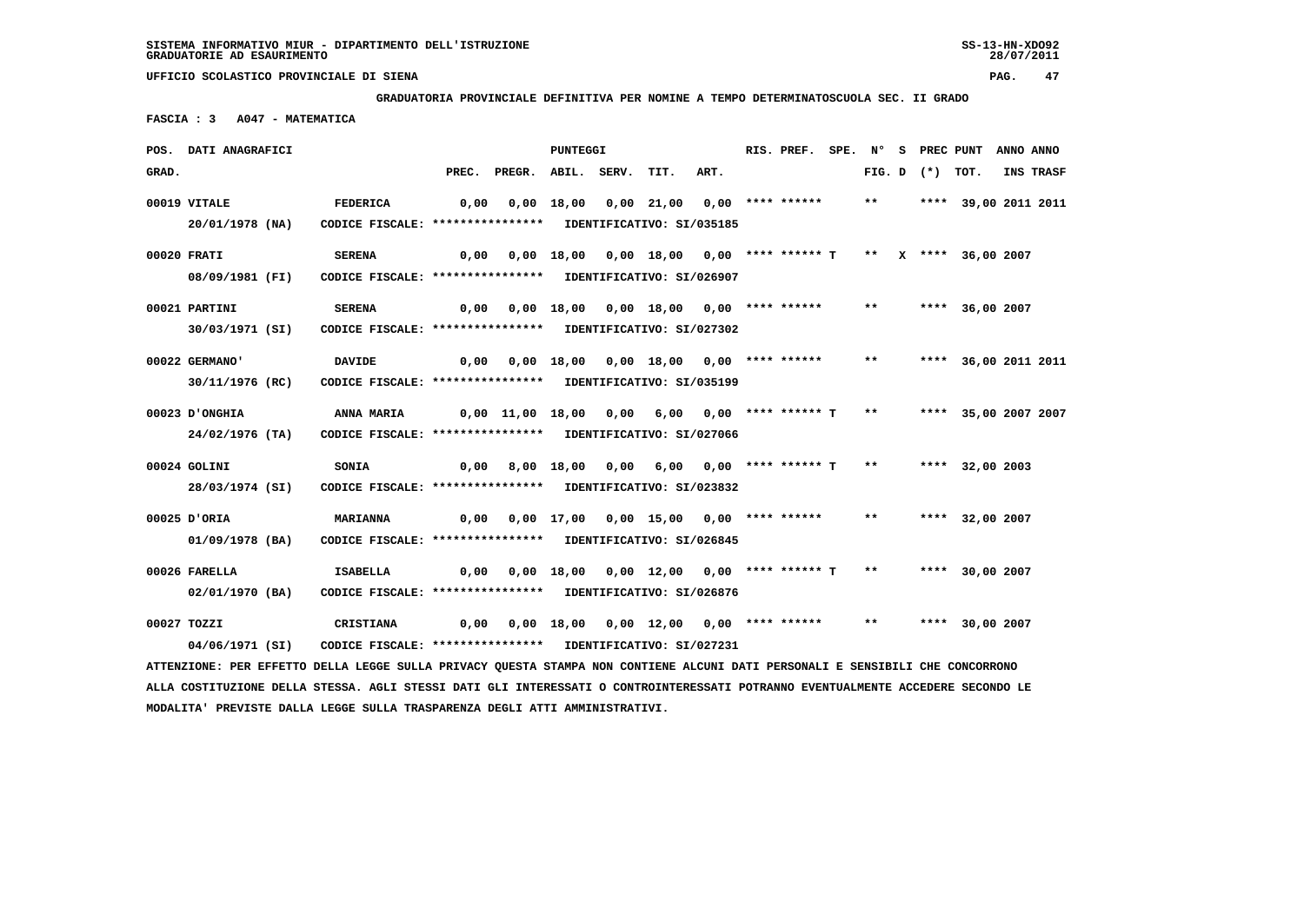**MODALITA' PREVISTE DALLA LEGGE SULLA TRASPARENZA DEGLI ATTI AMMINISTRATIVI.**

 **GRADUATORIA PROVINCIALE DEFINITIVA PER NOMINE A TEMPO DETERMINATOSCUOLA SEC. II GRADO**

 **FASCIA : 3 A047 - MATEMATICA**

|       | POS. DATI ANAGRAFICI                                                                                                            |                                                            |      |                                                                    | PUNTEGGI |                                          |      | RIS. PREF. |       |                   | SPE. N° S PREC PUNT     | ANNO ANNO |
|-------|---------------------------------------------------------------------------------------------------------------------------------|------------------------------------------------------------|------|--------------------------------------------------------------------|----------|------------------------------------------|------|------------|-------|-------------------|-------------------------|-----------|
| GRAD. |                                                                                                                                 |                                                            |      | PREC. PREGR. ABIL. SERV. TIT.                                      |          |                                          | ART. |            |       | FIG. D $(*)$ TOT. |                         | INS TRASF |
|       | 00019 VITALE                                                                                                                    | <b>FEDERICA</b>                                            | 0,00 |                                                                    |          | $0,00$ 18,00 0,00 21,00 0,00 **** ****** |      |            |       |                   | ** **** 39,00 2011 2011 |           |
|       | 20/01/1978 (NA)                                                                                                                 | CODICE FISCALE: **************** IDENTIFICATIVO: SI/035185 |      |                                                                    |          |                                          |      |            |       |                   |                         |           |
|       | 00020 FRATI                                                                                                                     | <b>SERENA</b>                                              |      | 0,00 0,00 18,00 0,00 18,00 0,00 **** ****** T ** X **** 36,00 2007 |          |                                          |      |            |       |                   |                         |           |
|       | 08/09/1981 (FI)                                                                                                                 | CODICE FISCALE: **************** IDENTIFICATIVO: SI/026907 |      |                                                                    |          |                                          |      |            |       |                   |                         |           |
|       | 00021 PARTINI                                                                                                                   | <b>SERENA</b>                                              |      | $0,00$ $0,00$ $18,00$ $0,00$ $18,00$ $0,00$ **** ****** **         |          |                                          |      |            |       |                   | **** 36,00 2007         |           |
|       | 30/03/1971 (SI)                                                                                                                 | CODICE FISCALE: **************** IDENTIFICATIVO: SI/027302 |      |                                                                    |          |                                          |      |            |       |                   |                         |           |
|       | 00022 GERMANO'                                                                                                                  | <b>DAVIDE</b>                                              |      |                                                                    |          |                                          |      |            | $***$ |                   | **** 36,00 2011 2011    |           |
|       | 30/11/1976 (RC)                                                                                                                 | CODICE FISCALE: **************** IDENTIFICATIVO: SI/035199 |      |                                                                    |          |                                          |      |            |       |                   |                         |           |
|       | 00023 D'ONGHIA                                                                                                                  | ANNA MARIA                                                 |      | 0,00 11,00 18,00 0,00 6,00 0,00 **** ****** T **                   |          |                                          |      |            |       |                   | **** 35,00 2007 2007    |           |
|       | 24/02/1976 (TA)                                                                                                                 | CODICE FISCALE: **************** IDENTIFICATIVO: SI/027066 |      |                                                                    |          |                                          |      |            |       |                   |                         |           |
|       | 00024 GOLINI                                                                                                                    | <b>SONIA</b>                                               |      | 0,00 8,00 18,00 0,00 6,00 0,00 **** ****** T ** ***** 32,00 2003   |          |                                          |      |            |       |                   |                         |           |
|       | 28/03/1974 (SI)                                                                                                                 | CODICE FISCALE: **************** IDENTIFICATIVO: SI/023832 |      |                                                                    |          |                                          |      |            |       |                   |                         |           |
|       | 00025 D'ORIA                                                                                                                    | <b>MARIANNA</b>                                            |      | $0,00$ $0,00$ $17,00$ $0,00$ $15,00$ $0,00$ $***$ **** ******      |          |                                          |      |            | $***$ |                   | **** 32,00 2007         |           |
|       | 01/09/1978 (BA)                                                                                                                 | CODICE FISCALE: **************** IDENTIFICATIVO: SI/026845 |      |                                                                    |          |                                          |      |            |       |                   |                         |           |
|       | 00026 FARELLA                                                                                                                   | <b>ISABELLA</b>                                            |      | 0,00 0,00 18,00 0,00 12,00 0,00 **** ****** T ** ***** 30,00 2007  |          |                                          |      |            |       |                   |                         |           |
|       | 02/01/1970 (BA)                                                                                                                 | CODICE FISCALE: **************** IDENTIFICATIVO: SI/026876 |      |                                                                    |          |                                          |      |            |       |                   |                         |           |
|       | 00027 TOZZI                                                                                                                     | CRISTIANA                                                  |      | 0,00  0,00  18,00  0,00  12,00  0,00  ****  ******                 |          |                                          |      |            | $***$ |                   | **** 30,00 2007         |           |
|       | 04/06/1971 (SI)                                                                                                                 | CODICE FISCALE: **************** IDENTIFICATIVO: SI/027231 |      |                                                                    |          |                                          |      |            |       |                   |                         |           |
|       | ATTENZIONE: PER EFFETTO DELLA LEGGE SULLA PRIVACY QUESTA STAMPA NON CONTIENE ALCUNI DATI PERSONALI E SENSIBILI CHE CONCORRONO   |                                                            |      |                                                                    |          |                                          |      |            |       |                   |                         |           |
|       | ALLA COSTITUZIONE DELLA STESSA. AGLI STESSI DATI GLI INTERESSATI O CONTROINTERESSATI POTRANNO EVENTUALMENTE ACCEDERE SECONDO LE |                                                            |      |                                                                    |          |                                          |      |            |       |                   |                         |           |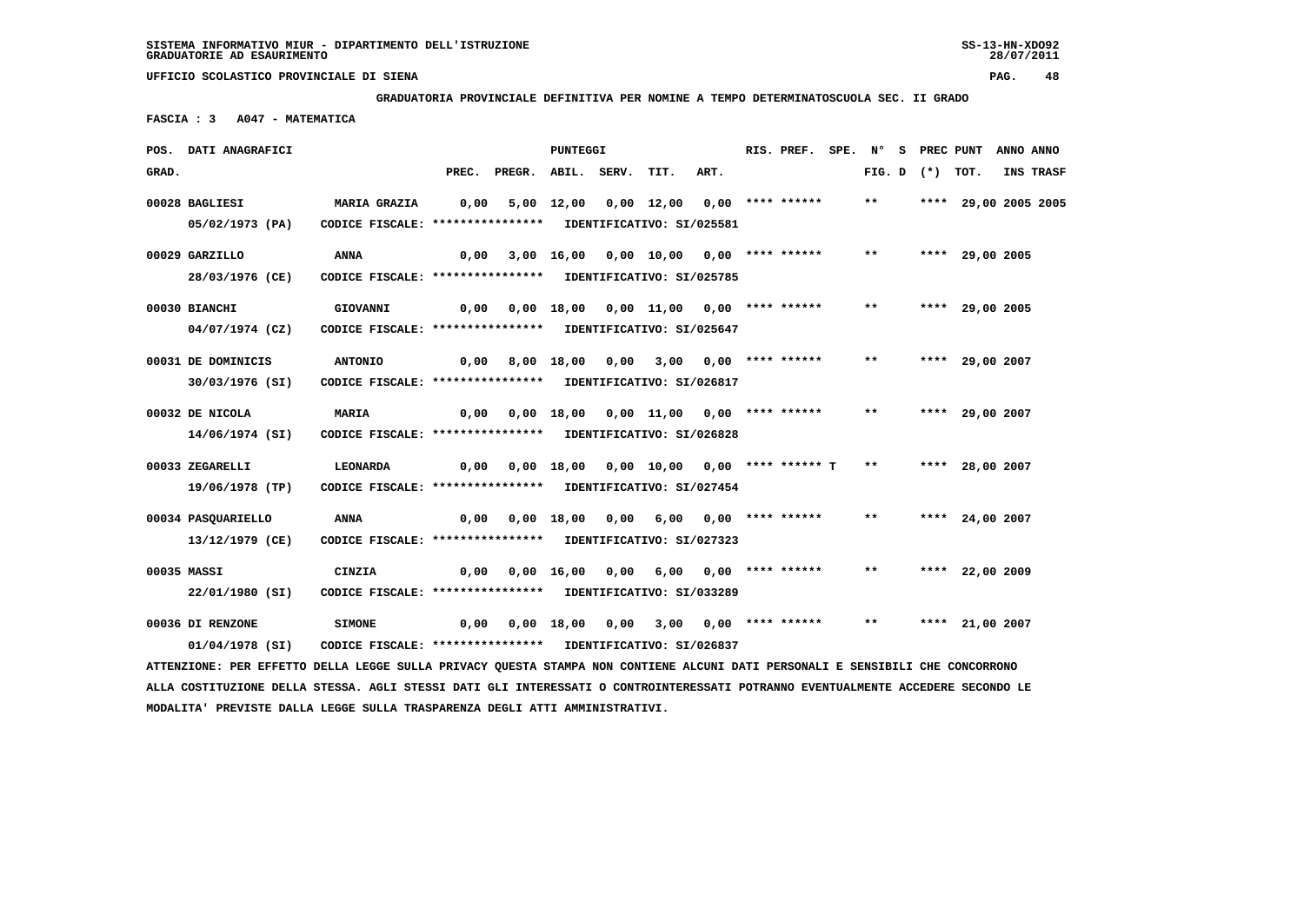**GRADUATORIA PROVINCIALE DEFINITIVA PER NOMINE A TEMPO DETERMINATOSCUOLA SEC. II GRADO**

 **FASCIA : 3 A047 - MATEMATICA**

|       | POS. DATI ANAGRAFICI                                                                                                          |                                                            |      |                                                                  | <b>PUNTEGGI</b>       |                                        |                           | RIS. PREF. |              |                     | SPE. N° S PREC PUNT ANNO ANNO |           |
|-------|-------------------------------------------------------------------------------------------------------------------------------|------------------------------------------------------------|------|------------------------------------------------------------------|-----------------------|----------------------------------------|---------------------------|------------|--------------|---------------------|-------------------------------|-----------|
| GRAD. |                                                                                                                               |                                                            |      | PREC. PREGR. ABIL. SERV.                                         |                       | TIT.                                   | ART.                      |            |              | FIG. $D$ $(*)$ TOT. |                               | INS TRASF |
|       | 00028 BAGLIESI                                                                                                                | <b>MARIA GRAZIA</b>                                        | 0,00 |                                                                  |                       | 5,00 12,00 0,00 12,00 0,00 **** ****** |                           |            | $***$        |                     | **** 29,00 2005 2005          |           |
|       | 05/02/1973 (PA)                                                                                                               | CODICE FISCALE: **************** IDENTIFICATIVO: SI/025581 |      |                                                                  |                       |                                        |                           |            |              |                     |                               |           |
|       | 00029 GARZILLO                                                                                                                | ANNA                                                       | 0,00 |                                                                  |                       | 3,00 16,00 0,00 10,00 0,00 **** ****** |                           |            | $\star\star$ |                     | **** 29,00 2005               |           |
|       | 28/03/1976 (CE)                                                                                                               | CODICE FISCALE: **************** IDENTIFICATIVO: SI/025785 |      |                                                                  |                       |                                        |                           |            |              |                     |                               |           |
|       | 00030 BIANCHI                                                                                                                 | <b>GIOVANNI</b>                                            |      | 0,00  0,00  18,00  0,00  11,00  0,00  ****  ******               |                       |                                        |                           |            | $***$        |                     | **** 29,00 2005               |           |
|       | 04/07/1974 (CZ)                                                                                                               | CODICE FISCALE: **************** IDENTIFICATIVO: SI/025647 |      |                                                                  |                       |                                        |                           |            |              |                     |                               |           |
|       | 00031 DE DOMINICIS                                                                                                            | <b>ANTONIO</b>                                             |      | 0,00 8,00 18,00 0,00 3,00 0,00 **** ******                       |                       |                                        |                           |            | $***$        |                     | **** 29,00 2007               |           |
|       | 30/03/1976 (SI)                                                                                                               | CODICE FISCALE: **************** IDENTIFICATIVO: SI/026817 |      |                                                                  |                       |                                        |                           |            |              |                     |                               |           |
|       | 00032 DE NICOLA                                                                                                               | <b>MARIA</b>                                               | 0,00 |                                                                  |                       | 0,00 18,00 0,00 11,00 0,00 **** ****** |                           |            | $***$        |                     | **** 29,00 2007               |           |
|       | 14/06/1974 (SI)                                                                                                               | CODICE FISCALE: **************** IDENTIFICATIVO: SI/026828 |      |                                                                  |                       |                                        |                           |            |              |                     |                               |           |
|       | 00033 ZEGARELLI                                                                                                               | <b>LEONARDA</b>                                            |      | $0,00$ $0,00$ $18,00$ $0,00$ $10,00$ $0,00$ $***$ *** ***** T ** |                       |                                        |                           |            |              |                     | **** 28,00 2007               |           |
|       | 19/06/1978 (TP)                                                                                                               | CODICE FISCALE: **************** IDENTIFICATIVO: SI/027454 |      |                                                                  |                       |                                        |                           |            |              |                     |                               |           |
|       | 00034 PASQUARIELLO                                                                                                            | ANNA                                                       | 0,00 |                                                                  | $0,00$ $18,00$ $0,00$ | 6,00 0,00 **** ******                  |                           |            | $***$        |                     | **** 24,00 2007               |           |
|       | 13/12/1979 (CE)                                                                                                               | CODICE FISCALE: **************** IDENTIFICATIVO: SI/027323 |      |                                                                  |                       |                                        |                           |            |              |                     |                               |           |
|       | 00035 MASSI                                                                                                                   | <b>CINZIA</b>                                              |      | $0,00$ $0,00$ $16,00$ $0,00$ $6,00$ $0,00$ $***$                 |                       |                                        |                           |            | $***$        |                     | **** 22,00 2009               |           |
|       | 22/01/1980 (SI)                                                                                                               | CODICE FISCALE: **************** IDENTIFICATIVO: SI/033289 |      |                                                                  |                       |                                        |                           |            |              |                     |                               |           |
|       | 00036 DI RENZONE                                                                                                              | <b>SIMONE</b>                                              | 0,00 |                                                                  | 0,00 18,00 0,00       |                                        | $3,00$ $0,00$ **** ****** |            | $***$        |                     | **** 21,00 2007               |           |
|       | 01/04/1978 (SI)                                                                                                               | CODICE FISCALE: **************** IDENTIFICATIVO: SI/026837 |      |                                                                  |                       |                                        |                           |            |              |                     |                               |           |
|       | ATTENZIONE: PER EFFETTO DELLA LEGGE SULLA PRIVACY QUESTA STAMPA NON CONTIENE ALCUNI DATI PERSONALI E SENSIBILI CHE CONCORRONO |                                                            |      |                                                                  |                       |                                        |                           |            |              |                     |                               |           |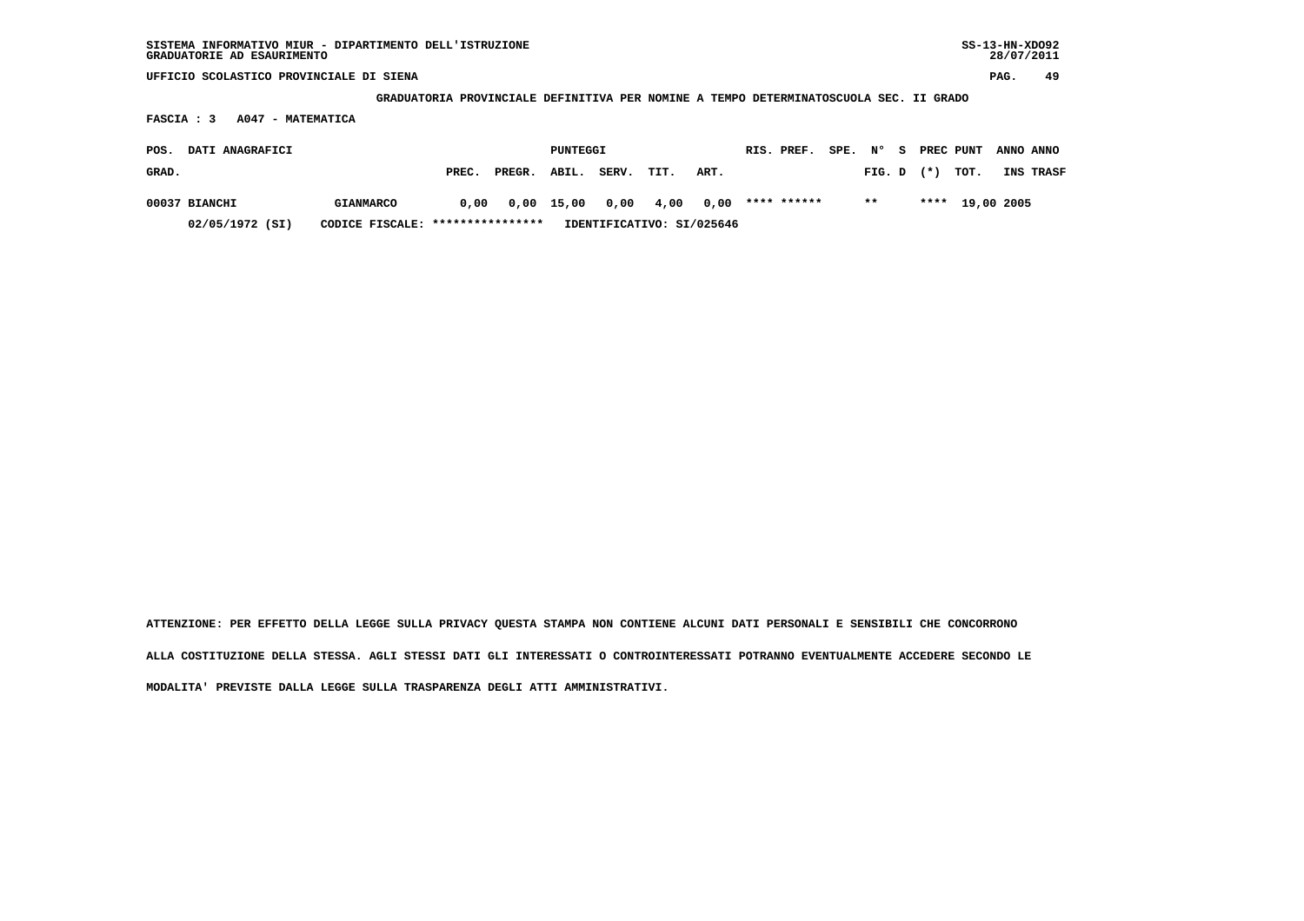**GRADUATORIA PROVINCIALE DEFINITIVA PER NOMINE A TEMPO DETERMINATOSCUOLA SEC. II GRADO**

 **FASCIA : 3 A047 - MATEMATICA**

| POS.  | DATI ANAGRAFICI |                                  |       |              | PUNTEGGI |       |      |                           | RIS. PREF.  | SPE. N° |       |                | S PREC PUNT     | <b>ANNO ANNO</b> |
|-------|-----------------|----------------------------------|-------|--------------|----------|-------|------|---------------------------|-------------|---------|-------|----------------|-----------------|------------------|
| GRAD. |                 |                                  | PREC. | PREGR. ABIL. |          | SERV. | TIT. | ART.                      |             |         |       | $FIG. D$ $(*)$ | тот.            | INS TRASF        |
|       | 00037 BIANCHI   | <b>GIANMARCO</b>                 | 0,00  | 0,00 15,00   |          |       |      | 0,00 4,00 0,00            | **** ****** |         | $***$ |                | **** 19,00 2005 |                  |
|       | 02/05/1972 (SI) | CODICE FISCALE: **************** |       |              |          |       |      | IDENTIFICATIVO: SI/025646 |             |         |       |                |                 |                  |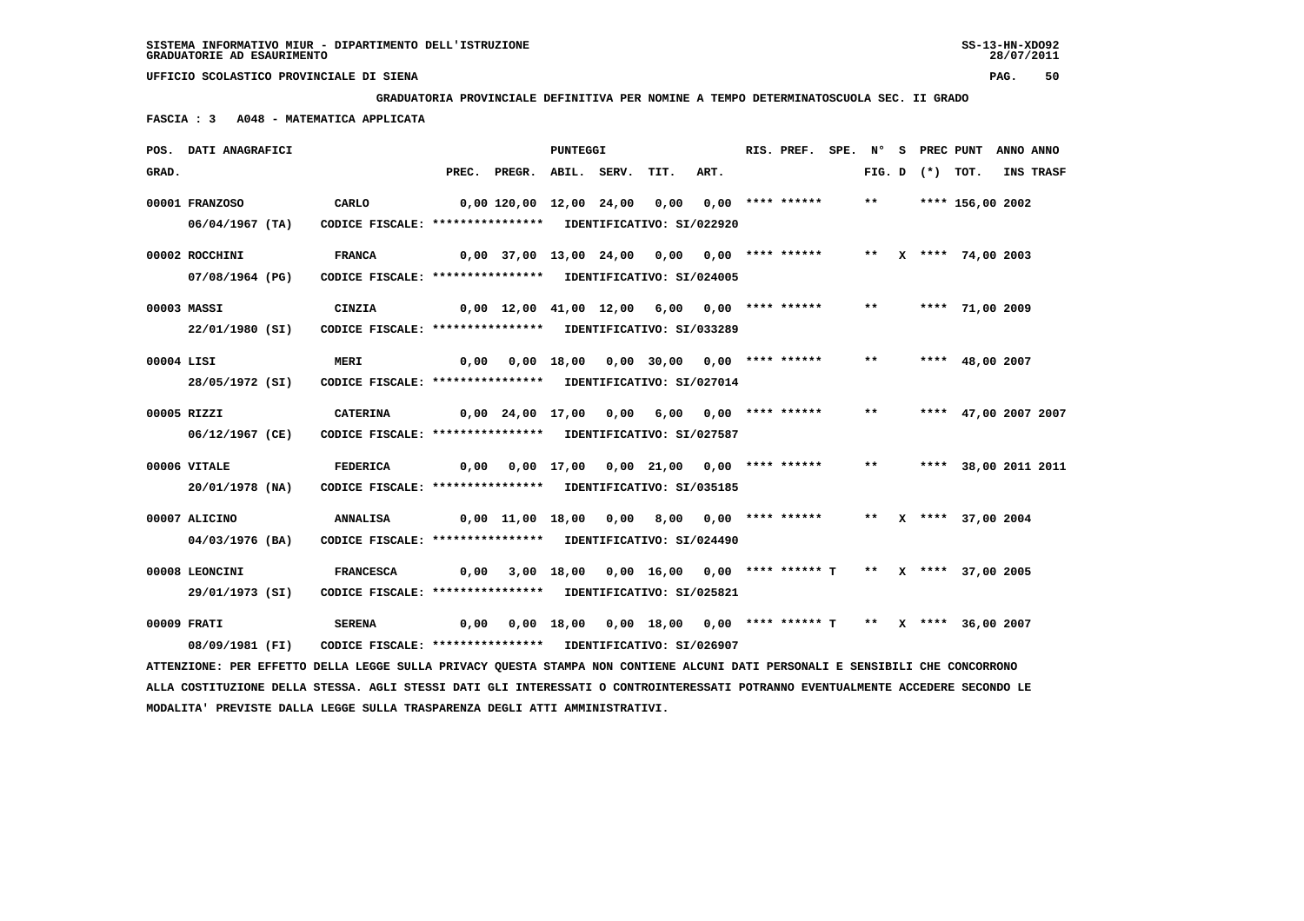**GRADUATORIA PROVINCIALE DEFINITIVA PER NOMINE A TEMPO DETERMINATOSCUOLA SEC. II GRADO**

 **FASCIA : 3 A048 - MATEMATICA APPLICATA**

|            | POS. DATI ANAGRAFICI                                                                                                          |                                                            |      |                                                    | PUNTEGGI |                                                                 |      | RIS. PREF.         | SPE. | N°    | S. |                   | PREC PUNT              | ANNO ANNO |
|------------|-------------------------------------------------------------------------------------------------------------------------------|------------------------------------------------------------|------|----------------------------------------------------|----------|-----------------------------------------------------------------|------|--------------------|------|-------|----|-------------------|------------------------|-----------|
| GRAD.      |                                                                                                                               |                                                            |      | PREC. PREGR. ABIL. SERV.                           |          | TIT.                                                            | ART. |                    |      |       |    | FIG. D $(*)$ TOT. |                        | INS TRASF |
|            | 00001 FRANZOSO                                                                                                                | CARLO                                                      |      | $0,00$ 120,00 12,00 24,00 0,00                     |          |                                                                 |      | $0.00$ **** ****** |      | $***$ |    |                   | **** 156,00 2002       |           |
|            | $06/04/1967$ (TA)                                                                                                             | CODICE FISCALE: **************** IDENTIFICATIVO: SI/022920 |      |                                                    |          |                                                                 |      |                    |      |       |    |                   |                        |           |
|            | 00002 ROCCHINI                                                                                                                | <b>FRANCA</b>                                              |      | 0,00 37,00 13,00 24,00 0,00 0,00 **** ******       |          |                                                                 |      |                    |      |       |    |                   | ** $X$ **** 74,00 2003 |           |
|            | 07/08/1964 (PG)                                                                                                               | CODICE FISCALE: **************** IDENTIFICATIVO: SI/024005 |      |                                                    |          |                                                                 |      |                    |      |       |    |                   |                        |           |
|            | 00003 MASSI                                                                                                                   | CINZIA                                                     |      | $0,00$ 12,00 41,00 12,00 6,00 0,00 **** ******     |          |                                                                 |      |                    |      | $***$ |    |                   | **** 71,00 2009        |           |
|            | 22/01/1980 (SI)                                                                                                               | CODICE FISCALE: **************** IDENTIFICATIVO: SI/033289 |      |                                                    |          |                                                                 |      |                    |      |       |    |                   |                        |           |
| 00004 LISI |                                                                                                                               | <b>MERI</b>                                                |      | $0,00$ $0,00$ $18,00$ $0,00$ $30,00$ $0,00$ $***$  |          |                                                                 |      |                    |      | $***$ |    |                   | **** 48,00 2007        |           |
|            | 28/05/1972 (SI)                                                                                                               | CODICE FISCALE: **************** IDENTIFICATIVO: SI/027014 |      |                                                    |          |                                                                 |      |                    |      |       |    |                   |                        |           |
|            | 00005 RIZZI                                                                                                                   | <b>CATERINA</b>                                            |      | 0,00 24,00 17,00 0,00                              |          | 6,00                                                            |      | 0,00 **** ******   |      | $***$ |    |                   | **** 47,00 2007 2007   |           |
|            | 06/12/1967 (CE)                                                                                                               | CODICE FISCALE: **************** IDENTIFICATIVO: SI/027587 |      |                                                    |          |                                                                 |      |                    |      |       |    |                   |                        |           |
|            | 00006 VITALE                                                                                                                  | <b>FEDERICA</b>                                            |      | 0,00  0,00  17,00  0,00  21,00  0,00  ****  ****** |          |                                                                 |      |                    |      | $***$ |    |                   | **** 38,00 2011 2011   |           |
|            | 20/01/1978 (NA)                                                                                                               | CODICE FISCALE: **************** IDENTIFICATIVO: SI/035185 |      |                                                    |          |                                                                 |      |                    |      |       |    |                   |                        |           |
|            | 00007 ALICINO                                                                                                                 | <b>ANNALISA</b>                                            |      | 0,00 11,00 18,00 0,00 8,00 0,00 **** ******        |          |                                                                 |      |                    |      |       |    |                   | ** X **** 37,00 2004   |           |
|            | 04/03/1976 (BA)                                                                                                               | CODICE FISCALE: **************** IDENTIFICATIVO: SI/024490 |      |                                                    |          |                                                                 |      |                    |      |       |    |                   |                        |           |
|            | 00008 LEONCINI                                                                                                                | <b>FRANCESCA</b>                                           | 0,00 |                                                    |          | 3,00 18,00 0,00 16,00 0,00 **** ****** T ** X **** 37,00 2005   |      |                    |      |       |    |                   |                        |           |
|            | 29/01/1973 (SI)                                                                                                               | CODICE FISCALE: **************** IDENTIFICATIVO: SI/025821 |      |                                                    |          |                                                                 |      |                    |      |       |    |                   |                        |           |
|            | 00009 FRATI                                                                                                                   | <b>SERENA</b>                                              | 0,00 |                                                    |          | $0,00$ 18,00 0,00 18,00 0,00 **** ****** T ** X **** 36,00 2007 |      |                    |      |       |    |                   |                        |           |
|            | 08/09/1981 (FI)                                                                                                               | CODICE FISCALE: **************** IDENTIFICATIVO: SI/026907 |      |                                                    |          |                                                                 |      |                    |      |       |    |                   |                        |           |
|            | ATTENZIONE: PER EFFETTO DELLA LEGGE SULLA PRIVACY QUESTA STAMPA NON CONTIENE ALCUNI DATI PERSONALI E SENSIBILI CHE CONCORRONO |                                                            |      |                                                    |          |                                                                 |      |                    |      |       |    |                   |                        |           |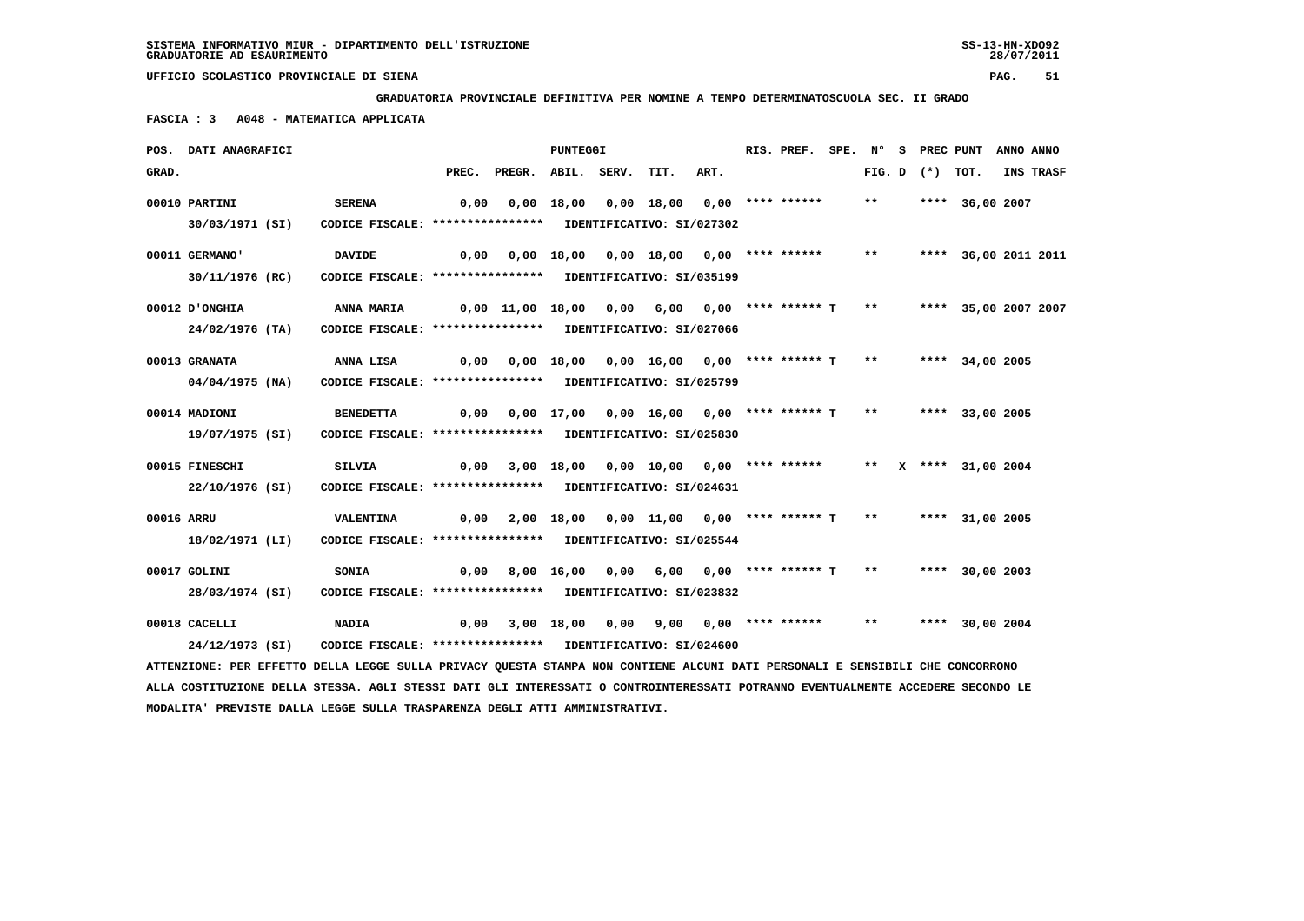**GRADUATORIA PROVINCIALE DEFINITIVA PER NOMINE A TEMPO DETERMINATOSCUOLA SEC. II GRADO**

 **FASCIA : 3 A048 - MATEMATICA APPLICATA**

|            | POS. DATI ANAGRAFICI                                                                                                          |                                                                             |      |                                                                     | PUNTEGGI |                                                            |      | RIS. PREF. SPE. N° S PREC PUNT |       |                   |                        | ANNO ANNO        |
|------------|-------------------------------------------------------------------------------------------------------------------------------|-----------------------------------------------------------------------------|------|---------------------------------------------------------------------|----------|------------------------------------------------------------|------|--------------------------------|-------|-------------------|------------------------|------------------|
| GRAD.      |                                                                                                                               |                                                                             |      | PREC. PREGR. ABIL. SERV.                                            |          | TIT.                                                       | ART. |                                |       | FIG. D $(*)$ TOT. |                        | <b>INS TRASF</b> |
|            | 00010 PARTINI<br>30/03/1971 (SI)                                                                                              | <b>SERENA</b><br>CODICE FISCALE: **************** IDENTIFICATIVO: SI/027302 | 0,00 |                                                                     |          | $0,00$ 18,00 0,00 18,00 0,00 **** ******                   |      |                                | $***$ |                   | **** 36,00 2007        |                  |
|            |                                                                                                                               |                                                                             |      |                                                                     |          |                                                            |      |                                |       |                   |                        |                  |
|            | 00011 GERMANO'                                                                                                                | <b>DAVIDE</b>                                                               |      | 0,00  0,00  18,00  0,00  18,00  0,00  ****  ******  **              |          |                                                            |      |                                |       |                   | **** 36,00 2011 2011   |                  |
|            | 30/11/1976 (RC)                                                                                                               | CODICE FISCALE: **************** IDENTIFICATIVO: SI/035199                  |      |                                                                     |          |                                                            |      |                                |       |                   |                        |                  |
|            | O0012 D'ONGHIA                                                                                                                | <b>ANNA MARIA</b>                                                           |      | $0,00$ 11,00 18,00 0,00 6,00 0,00 **** ****** T **                  |          |                                                            |      |                                |       |                   | **** 35,00 2007 2007   |                  |
|            | 24/02/1976 (TA)                                                                                                               | CODICE FISCALE: **************** IDENTIFICATIVO: SI/027066                  |      |                                                                     |          |                                                            |      |                                |       |                   |                        |                  |
|            | 00013 GRANATA                                                                                                                 | ANNA LISA                                                                   |      | 0,00 0,00 18,00 0,00 16,00 0,00 **** ****** T ** ***** 34,00 2005   |          |                                                            |      |                                |       |                   |                        |                  |
|            | 04/04/1975 (NA)                                                                                                               | CODICE FISCALE: **************** IDENTIFICATIVO: SI/025799                  |      |                                                                     |          |                                                            |      |                                |       |                   |                        |                  |
|            | 00014 MADIONI                                                                                                                 | <b>BENEDETTA</b>                                                            |      | 0,00 0,00 17,00 0,00 16,00 0,00 **** ****** T ** ***** 33,00 2005   |          |                                                            |      |                                |       |                   |                        |                  |
|            | 19/07/1975 (SI)                                                                                                               | CODICE FISCALE: **************** IDENTIFICATIVO: SI/025830                  |      |                                                                     |          |                                                            |      |                                |       |                   |                        |                  |
|            | 00015 FINESCHI                                                                                                                | <b>SILVIA</b>                                                               | 0,00 |                                                                     |          | 3,00 18,00 0,00 10,00 0,00 **** ******                     |      |                                |       |                   | ** $X$ **** 31,00 2004 |                  |
|            | 22/10/1976 (SI)                                                                                                               | CODICE FISCALE: **************** IDENTIFICATIVO: SI/024631                  |      |                                                                     |          |                                                            |      |                                |       |                   |                        |                  |
| 00016 ARRU |                                                                                                                               | VALENTINA                                                                   |      | $0,00$ 2,00 18,00 0,00 11,00 0,00 **** ****** T ** ***** 31,00 2005 |          |                                                            |      |                                |       |                   |                        |                  |
|            | 18/02/1971 (LI)                                                                                                               | CODICE FISCALE: **************** IDENTIFICATIVO: SI/025544                  |      |                                                                     |          |                                                            |      |                                |       |                   |                        |                  |
|            | 00017 GOLINI                                                                                                                  | <b>SONIA</b>                                                                | 0,00 |                                                                     |          | 8,00 16,00 0,00 6,00 0,00 **** ****** T ** **** 30,00 2003 |      |                                |       |                   |                        |                  |
|            | 28/03/1974 (SI)                                                                                                               | CODICE FISCALE: **************** IDENTIFICATIVO: SI/023832                  |      |                                                                     |          |                                                            |      |                                |       |                   |                        |                  |
|            | 00018 CACELLI                                                                                                                 | <b>NADIA</b>                                                                | 0,00 |                                                                     |          | 3,00 18,00 0,00 9,00 0,00 **** ****** ** **                |      |                                |       |                   | **** 30,00 2004        |                  |
|            | 24/12/1973 (SI)                                                                                                               | CODICE FISCALE: **************** IDENTIFICATIVO: SI/024600                  |      |                                                                     |          |                                                            |      |                                |       |                   |                        |                  |
|            | ATTENZIONE: PER EFFETTO DELLA LEGGE SULLA PRIVACY QUESTA STAMPA NON CONTIENE ALCUNI DATI PERSONALI E SENSIBILI CHE CONCORRONO |                                                                             |      |                                                                     |          |                                                            |      |                                |       |                   |                        |                  |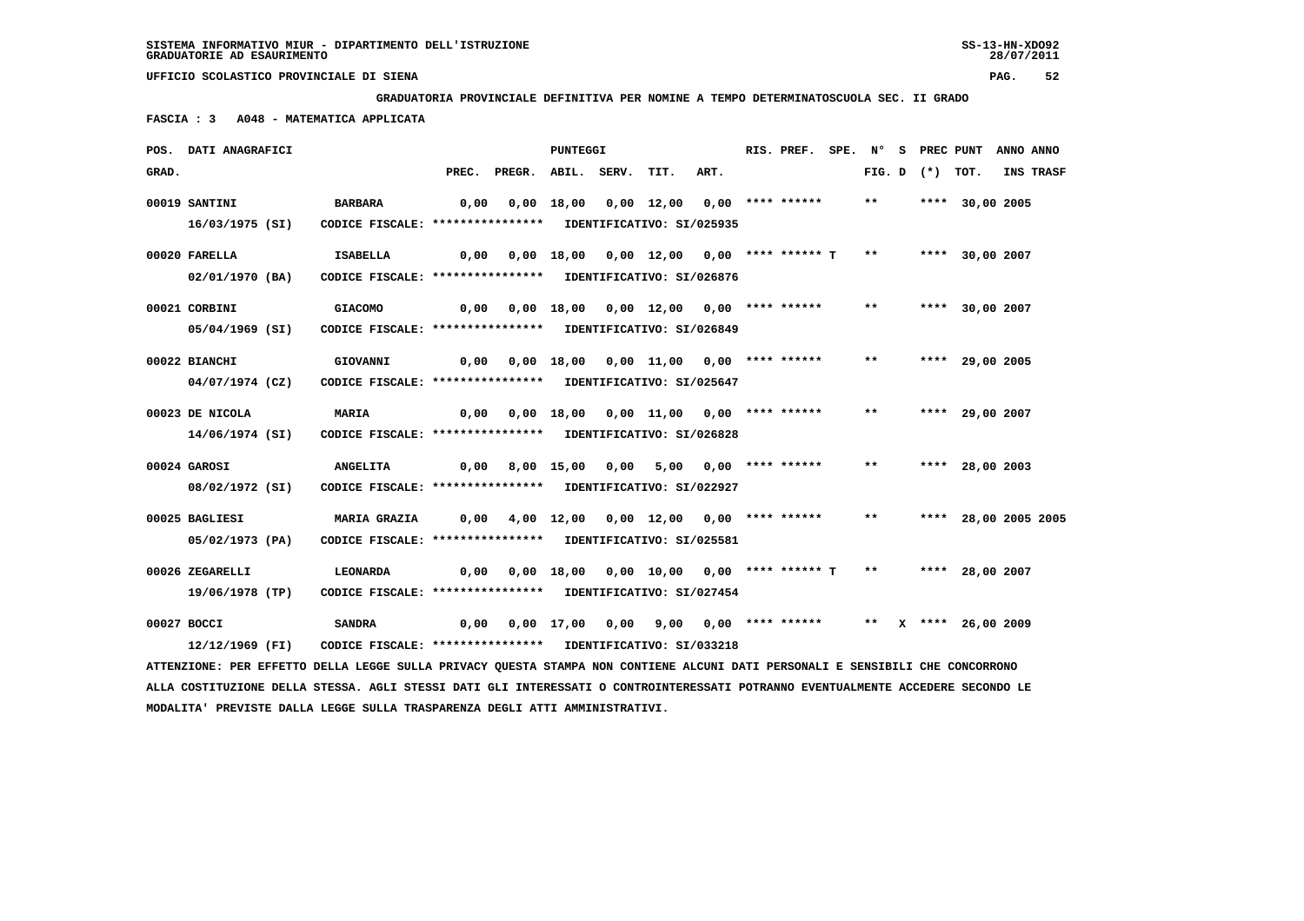**GRADUATORIA PROVINCIALE DEFINITIVA PER NOMINE A TEMPO DETERMINATOSCUOLA SEC. II GRADO**

 **FASCIA : 3 A048 - MATEMATICA APPLICATA**

|       | POS. DATI ANAGRAFICI                                                                                                          |                                                            |       |                                                    | <b>PUNTEGGI</b> |                                            |      | RIS. PREF. | SPE. N° |              |                   | S PREC PUNT          | ANNO ANNO |
|-------|-------------------------------------------------------------------------------------------------------------------------------|------------------------------------------------------------|-------|----------------------------------------------------|-----------------|--------------------------------------------|------|------------|---------|--------------|-------------------|----------------------|-----------|
| GRAD. |                                                                                                                               |                                                            | PREC. | PREGR. ABIL. SERV.                                 |                 | TIT.                                       | ART. |            |         |              | FIG. D $(*)$ TOT. |                      | INS TRASF |
|       | 00019 SANTINI                                                                                                                 | <b>BARBARA</b>                                             | 0,00  |                                                    |                 | $0,00$ 18,00 0,00 12,00 0,00 **** ******   |      |            |         | $***$        |                   | **** 30,00 2005      |           |
|       | 16/03/1975 (SI)                                                                                                               | CODICE FISCALE: **************** IDENTIFICATIVO: SI/025935 |       |                                                    |                 |                                            |      |            |         |              |                   |                      |           |
|       | 00020 FARELLA                                                                                                                 | ISABELLA                                                   | 0,00  |                                                    |                 | $0,00$ 18,00 0,00 12,00 0,00 **** ****** T |      |            |         | $\star\star$ |                   | **** 30,00 2007      |           |
|       | 02/01/1970 (BA)                                                                                                               | CODICE FISCALE: **************** IDENTIFICATIVO: SI/026876 |       |                                                    |                 |                                            |      |            |         |              |                   |                      |           |
|       | 00021 CORBINI                                                                                                                 | <b>GIACOMO</b>                                             | 0,00  |                                                    |                 | 0,00 18,00 0,00 12,00 0,00 **** ******     |      |            |         | $***$        |                   | **** 30,00 2007      |           |
|       | 05/04/1969 (SI)                                                                                                               | CODICE FISCALE: **************** IDENTIFICATIVO: SI/026849 |       |                                                    |                 |                                            |      |            |         |              |                   |                      |           |
|       | 00022 BIANCHI                                                                                                                 | GIOVANNI                                                   |       | 0,00  0,00  18,00  0,00  11,00  0,00  ****  ****** |                 |                                            |      |            |         | $***$        |                   | **** 29,00 2005      |           |
|       | 04/07/1974 (CZ)                                                                                                               | CODICE FISCALE: **************** IDENTIFICATIVO: SI/025647 |       |                                                    |                 |                                            |      |            |         |              |                   |                      |           |
|       | 00023 DE NICOLA                                                                                                               | <b>MARIA</b>                                               | 0,00  |                                                    |                 | 0,00 18,00 0,00 11,00 0,00 **** ******     |      |            |         | $***$        |                   | **** 29,00 2007      |           |
|       | 14/06/1974 (SI)                                                                                                               | CODICE FISCALE: **************** IDENTIFICATIVO: SI/026828 |       |                                                    |                 |                                            |      |            |         |              |                   |                      |           |
|       | 00024 GAROSI                                                                                                                  | <b>ANGELITA</b>                                            | 0,00  |                                                    |                 | 8,00 15,00 0,00 5,00 0,00 **** ******      |      |            |         | $***$        |                   | **** 28,00 2003      |           |
|       | 08/02/1972 (SI)                                                                                                               | CODICE FISCALE: **************** IDENTIFICATIVO: SI/022927 |       |                                                    |                 |                                            |      |            |         |              |                   |                      |           |
|       | 00025 BAGLIESI                                                                                                                | <b>MARIA GRAZIA</b>                                        | 0,00  |                                                    |                 | $4,00$ 12,00 0,00 12,00 0,00 **** ******   |      |            |         | $***$        |                   | **** 28,00 2005 2005 |           |
|       | 05/02/1973 (PA)                                                                                                               | CODICE FISCALE: **************** IDENTIFICATIVO: SI/025581 |       |                                                    |                 |                                            |      |            |         |              |                   |                      |           |
|       | 00026 ZEGARELLI                                                                                                               | LEONARDA                                                   | 0,00  |                                                    |                 | $0,00$ 18,00 0,00 10,00 0,00 **** ****** T |      |            |         | $***$        |                   | **** 28,00 2007      |           |
|       | 19/06/1978 (TP)                                                                                                               | CODICE FISCALE: **************** IDENTIFICATIVO: SI/027454 |       |                                                    |                 |                                            |      |            |         |              |                   |                      |           |
|       | 00027 BOCCI                                                                                                                   | <b>SANDRA</b>                                              | 0,00  |                                                    |                 | 0,00 17,00 0,00 9,00 0,00 **** ******      |      |            |         |              |                   | ** X **** 26,00 2009 |           |
|       | 12/12/1969 (FI)                                                                                                               | CODICE FISCALE: **************** IDENTIFICATIVO: SI/033218 |       |                                                    |                 |                                            |      |            |         |              |                   |                      |           |
|       | ATTENZIONE: PER EFFETTO DELLA LEGGE SULLA PRIVACY QUESTA STAMPA NON CONTIENE ALCUNI DATI PERSONALI E SENSIBILI CHE CONCORRONO |                                                            |       |                                                    |                 |                                            |      |            |         |              |                   |                      |           |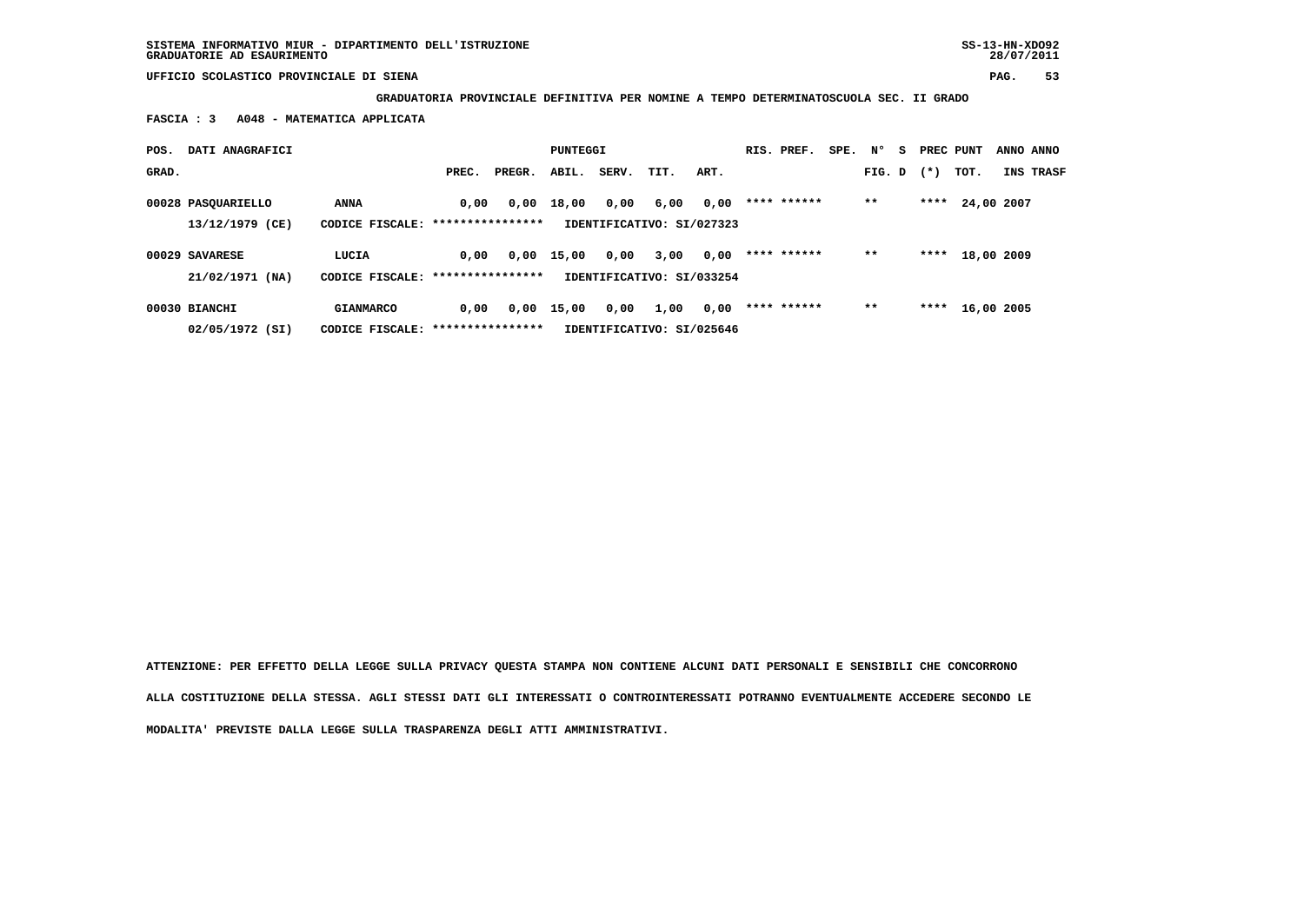**GRADUATORIA PROVINCIALE DEFINITIVA PER NOMINE A TEMPO DETERMINATOSCUOLA SEC. II GRADO**

 **FASCIA : 3 A048 - MATEMATICA APPLICATA**

| POS.  | DATI ANAGRAFICI    |                                   |       |        | PUNTEGGI |       |                           |      | RIS. PREF.  | SPE. N° |        | s. | PREC PUNT |            | ANNO ANNO        |
|-------|--------------------|-----------------------------------|-------|--------|----------|-------|---------------------------|------|-------------|---------|--------|----|-----------|------------|------------------|
| GRAD. |                    |                                   | PREC. | PREGR. | ABIL.    | SERV. | TIT.                      | ART. |             |         | FIG. D |    | $(*)$     | TOT.       | <b>INS TRASF</b> |
|       | 00028 PASQUARIELLO | ANNA                              | 0.00  | 0,00   | 18,00    | 0,00  | 6,00                      | 0,00 | **** ****** |         | $***$  |    | ****      | 24,00 2007 |                  |
|       | 13/12/1979 (CE)    | CODICE FISCALE: ***************** |       |        |          |       | IDENTIFICATIVO: SI/027323 |      |             |         |        |    |           |            |                  |
|       | 00029 SAVARESE     | LUCIA                             | 0.00  | 0,00   | 15,00    | 0,00  | 3,00                      | 0,00 | **** ****** |         | $***$  |    | ****      | 18,00 2009 |                  |
|       | 21/02/1971 (NA)    | CODICE FISCALE: ****************  |       |        |          |       | IDENTIFICATIVO: SI/033254 |      |             |         |        |    |           |            |                  |
|       | 00030 BIANCHI      | <b>GIANMARCO</b>                  | 0.00  | 0,00   | 15,00    | 0,00  | 1,00                      | 0,00 | **** ****** |         | $* *$  |    | ****      | 16,00 2005 |                  |
|       | 02/05/1972 (SI)    | CODICE FISCALE: ***************** |       |        |          |       | IDENTIFICATIVO: SI/025646 |      |             |         |        |    |           |            |                  |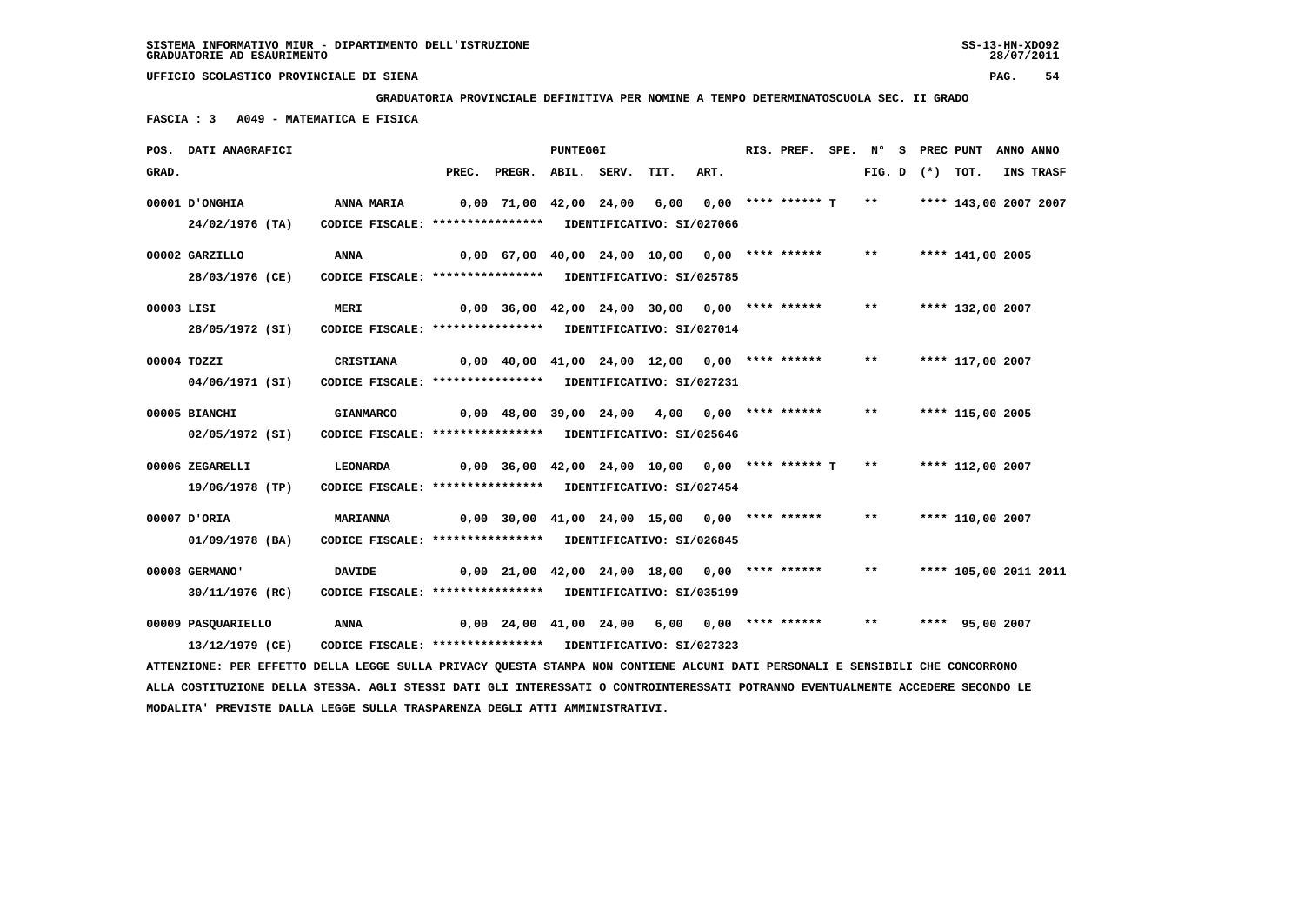**GRADUATORIA PROVINCIALE DEFINITIVA PER NOMINE A TEMPO DETERMINATOSCUOLA SEC. II GRADO**

 **FASCIA : 3 A049 - MATEMATICA E FISICA**

| POS. DATI ANAGRAFICI |                                                                                                                               |                                                   | <b>PUNTEGGI</b> |      |      | RIS. PREF.           | SPE. N° |       |                   | S PREC PUNT           | ANNO ANNO |
|----------------------|-------------------------------------------------------------------------------------------------------------------------------|---------------------------------------------------|-----------------|------|------|----------------------|---------|-------|-------------------|-----------------------|-----------|
| GRAD.                |                                                                                                                               | PREC. PREGR. ABIL. SERV.                          |                 | TIT. | ART. |                      |         |       | FIG. D $(*)$ TOT. |                       | INS TRASF |
| O0001 D'ONGHIA       | ANNA MARIA                                                                                                                    | 0,00 71,00 42,00 24,00 6,00                       |                 |      |      | $0,00$ **** ****** T |         | $***$ |                   | **** 143,00 2007 2007 |           |
| 24/02/1976 (TA)      | CODICE FISCALE: **************** IDENTIFICATIVO: SI/027066                                                                    |                                                   |                 |      |      |                      |         |       |                   |                       |           |
| 00002 GARZILLO       | ANNA                                                                                                                          | 0,00 67,00 40,00 24,00 10,00 0,00 **** ******     |                 |      |      |                      |         | $***$ |                   | **** 141,00 2005      |           |
| 28/03/1976 (CE)      | CODICE FISCALE: **************** IDENTIFICATIVO: SI/025785                                                                    |                                                   |                 |      |      |                      |         |       |                   |                       |           |
| 00003 LISI           | <b>MERI</b>                                                                                                                   | $0,00$ 36,00 42,00 24,00 30,00 0,00 **** ******   |                 |      |      |                      |         | $***$ |                   | **** 132,00 2007      |           |
| 28/05/1972 (SI)      | CODICE FISCALE: **************** IDENTIFICATIVO: SI/027014                                                                    |                                                   |                 |      |      |                      |         |       |                   |                       |           |
| 00004 TOZZI          | CRISTIANA                                                                                                                     | $0,00$ 40,00 41,00 24,00 12,00 0,00 **** ******   |                 |      |      |                      |         | $***$ |                   | **** 117,00 2007      |           |
| 04/06/1971 (SI)      | CODICE FISCALE: **************** IDENTIFICATIVO: SI/027231                                                                    |                                                   |                 |      |      |                      |         |       |                   |                       |           |
| 00005 BIANCHI        | <b>GIANMARCO</b>                                                                                                              | $0.00$ 48.00 39.00 24.00 4.00 0.00 **** ******    |                 |      |      |                      |         | $***$ |                   | **** 115,00 2005      |           |
| 02/05/1972 (SI)      | CODICE FISCALE: **************** IDENTIFICATIVO: SI/025646                                                                    |                                                   |                 |      |      |                      |         |       |                   |                       |           |
| 00006 ZEGARELLI      | <b>LEONARDA</b>                                                                                                               | $0,00$ 36,00 42,00 24,00 10,00 0,00 **** ****** T |                 |      |      |                      |         | $***$ |                   | **** 112,00 2007      |           |
| 19/06/1978 (TP)      | CODICE FISCALE: **************** IDENTIFICATIVO: SI/027454                                                                    |                                                   |                 |      |      |                      |         |       |                   |                       |           |
| 00007 D'ORIA         | <b>MARIANNA</b>                                                                                                               | 0,00 30,00 41,00 24,00 15,00 0,00 **** ******     |                 |      |      |                      |         | $***$ |                   | **** 110,00 2007      |           |
| 01/09/1978 (BA)      | CODICE FISCALE: **************** IDENTIFICATIVO: SI/026845                                                                    |                                                   |                 |      |      |                      |         |       |                   |                       |           |
| 00008 GERMANO'       | <b>DAVIDE</b>                                                                                                                 | $0,00$ 21,00 42,00 24,00 18,00 0,00 **** ******   |                 |      |      |                      |         | $***$ |                   | **** 105,00 2011 2011 |           |
| 30/11/1976 (RC)      | CODICE FISCALE: **************** IDENTIFICATIVO: SI/035199                                                                    |                                                   |                 |      |      |                      |         |       |                   |                       |           |
| 00009 PASQUARIELLO   | ANNA                                                                                                                          | 0,00 24,00 41,00 24,00 6,00 0,00 **** ******      |                 |      |      |                      |         | $***$ |                   | **** 95,00 2007       |           |
| 13/12/1979 (CE)      | CODICE FISCALE: **************** IDENTIFICATIVO: SI/027323                                                                    |                                                   |                 |      |      |                      |         |       |                   |                       |           |
|                      | ATTENZIONE: PER EFFETTO DELLA LEGGE SULLA PRIVACY QUESTA STAMPA NON CONTIENE ALCUNI DATI PERSONALI E SENSIBILI CHE CONCORRONO |                                                   |                 |      |      |                      |         |       |                   |                       |           |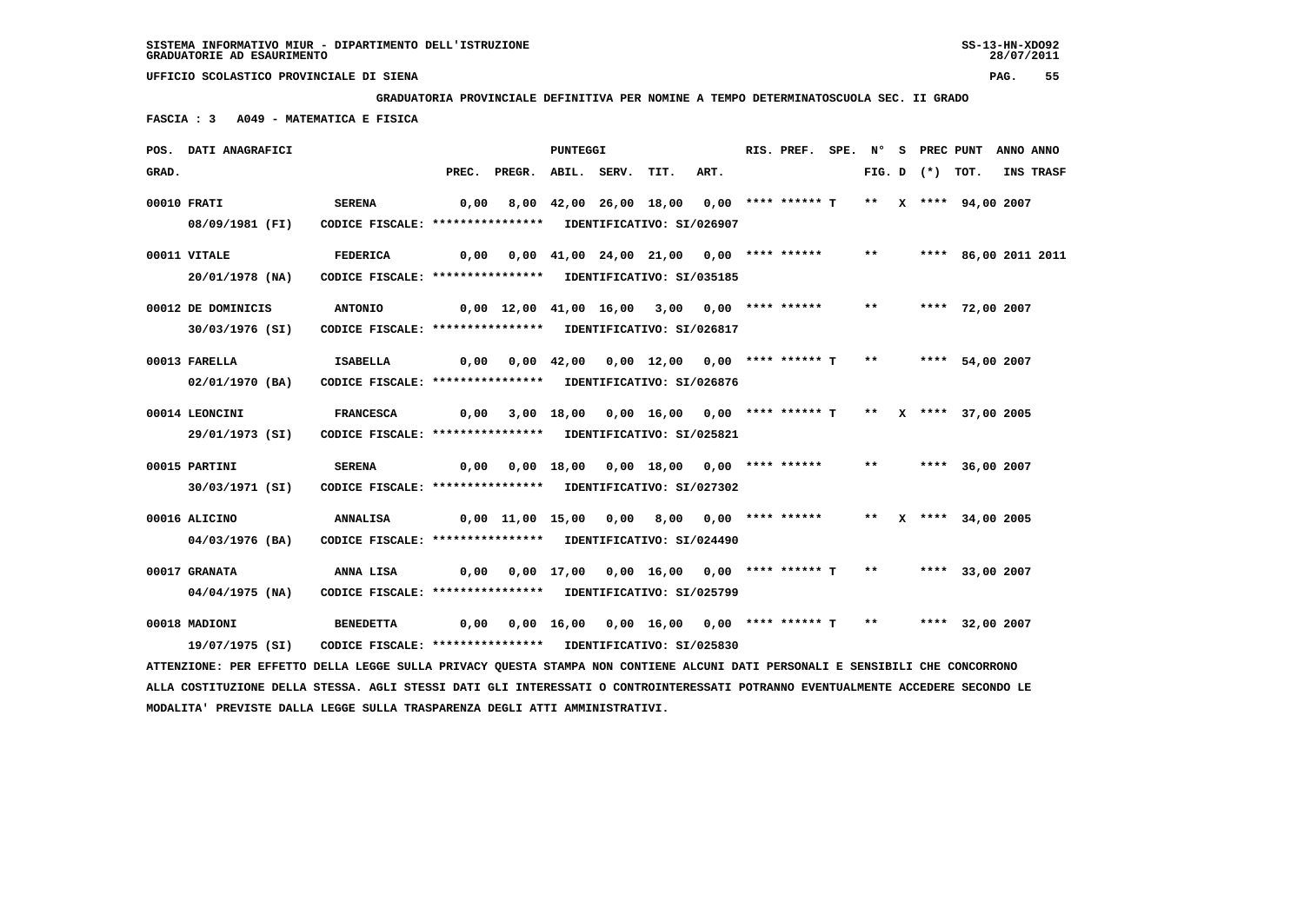**GRADUATORIA PROVINCIALE DEFINITIVA PER NOMINE A TEMPO DETERMINATOSCUOLA SEC. II GRADO**

 **FASCIA : 3 A049 - MATEMATICA E FISICA**

|       | POS. DATI ANAGRAFICI                                                                                                            |                                                                              |      |                                                                               | PUNTEGGI |                                                             |      | RIS. PREF. |       |                   | SPE. N° S PREC PUNT    | ANNO ANNO |
|-------|---------------------------------------------------------------------------------------------------------------------------------|------------------------------------------------------------------------------|------|-------------------------------------------------------------------------------|----------|-------------------------------------------------------------|------|------------|-------|-------------------|------------------------|-----------|
| GRAD. |                                                                                                                                 |                                                                              |      | PREC. PREGR. ABIL. SERV.                                                      |          | TIT.                                                        | ART. |            |       | FIG. D $(*)$ TOT. |                        | INS TRASF |
|       | 00010 FRATI<br>08/09/1981 (FI)                                                                                                  | <b>SERENA</b><br>CODICE FISCALE: **************** IDENTIFICATIVO: SI/026907  | 0,00 |                                                                               |          | 8,00 42,00 26,00 18,00 0,00 **** ****** T                   |      |            |       |                   | ** X **** 94,00 2007   |           |
|       | 00011 VITALE                                                                                                                    | FEDERICA                                                                     |      | 0,00  0,00  41,00  24,00  21,00  0,00  ****  ******                           |          |                                                             |      |            | $***$ |                   | **** 86,00 2011 2011   |           |
|       | 20/01/1978 (NA)                                                                                                                 | CODICE FISCALE: **************** IDENTIFICATIVO: SI/035185                   |      |                                                                               |          |                                                             |      |            |       |                   |                        |           |
|       | 00012 DE DOMINICIS<br>30/03/1976 (SI)                                                                                           | <b>ANTONIO</b><br>CODICE FISCALE: **************** IDENTIFICATIVO: SI/026817 |      | 0,00 12,00 41,00 16,00 3,00 0,00 **** ****** **                               |          |                                                             |      |            |       |                   | **** 72,00 2007        |           |
|       |                                                                                                                                 |                                                                              |      |                                                                               |          |                                                             |      |            |       |                   |                        |           |
|       | 00013 FARELLA                                                                                                                   | <b>ISABELLA</b>                                                              | 0,00 |                                                                               |          | 0,00 42,00 0,00 12,00 0,00 **** ****** T ** **** 54,00 2007 |      |            |       |                   |                        |           |
|       | 02/01/1970 (BA)                                                                                                                 | CODICE FISCALE: **************** IDENTIFICATIVO: SI/026876                   |      |                                                                               |          |                                                             |      |            |       |                   |                        |           |
|       | 00014 LEONCINI                                                                                                                  | <b>FRANCESCA</b>                                                             |      | 0,00 3,00 18,00 0,00 16,00 0,00 **** ****** T ** X **** 37,00 2005            |          |                                                             |      |            |       |                   |                        |           |
|       | 29/01/1973 (SI)                                                                                                                 | CODICE FISCALE: **************** IDENTIFICATIVO: SI/025821                   |      |                                                                               |          |                                                             |      |            |       |                   |                        |           |
|       | 00015 PARTINI                                                                                                                   | <b>SERENA</b>                                                                |      |                                                                               |          |                                                             |      |            |       |                   | ** **** 36,00 2007     |           |
|       | 30/03/1971 (SI)                                                                                                                 | CODICE FISCALE: **************** IDENTIFICATIVO: SI/027302                   |      |                                                                               |          |                                                             |      |            |       |                   |                        |           |
|       | 00016 ALICINO                                                                                                                   | ANNALISA                                                                     |      | 0,00 11,00 15,00 0,00 8,00 0,00 **** ******                                   |          |                                                             |      |            |       |                   | ** $X$ **** 34,00 2005 |           |
|       | 04/03/1976 (BA)                                                                                                                 | CODICE FISCALE: **************** IDENTIFICATIVO: SI/024490                   |      |                                                                               |          |                                                             |      |            |       |                   |                        |           |
|       | 00017 GRANATA                                                                                                                   | ANNA LISA                                                                    |      | $0,00$ $0,00$ $17,00$ $0,00$ $16,00$ $0,00$ **** ****** T ** ***** 33,00 2007 |          |                                                             |      |            |       |                   |                        |           |
|       | 04/04/1975 (NA)                                                                                                                 | CODICE FISCALE: **************** IDENTIFICATIVO: SI/025799                   |      |                                                                               |          |                                                             |      |            |       |                   |                        |           |
|       | 00018 MADIONI                                                                                                                   | <b>BENEDETTA</b>                                                             |      | 0,00 0,00 16,00 0,00 16,00 0,00 **** ****** T ** ***** 32,00 2007             |          |                                                             |      |            |       |                   |                        |           |
|       | 19/07/1975 (SI)                                                                                                                 | CODICE FISCALE: **************** IDENTIFICATIVO: SI/025830                   |      |                                                                               |          |                                                             |      |            |       |                   |                        |           |
|       | ATTENZIONE: PER EFFETTO DELLA LEGGE SULLA PRIVACY QUESTA STAMPA NON CONTIENE ALCUNI DATI PERSONALI E SENSIBILI CHE CONCORRONO   |                                                                              |      |                                                                               |          |                                                             |      |            |       |                   |                        |           |
|       | ALLA COSTITUZIONE DELLA STESSA. AGLI STESSI DATI GLI INTERESSATI O CONTROINTERESSATI POTRANNO EVENTUALMENTE ACCEDERE SECONDO LE |                                                                              |      |                                                                               |          |                                                             |      |            |       |                   |                        |           |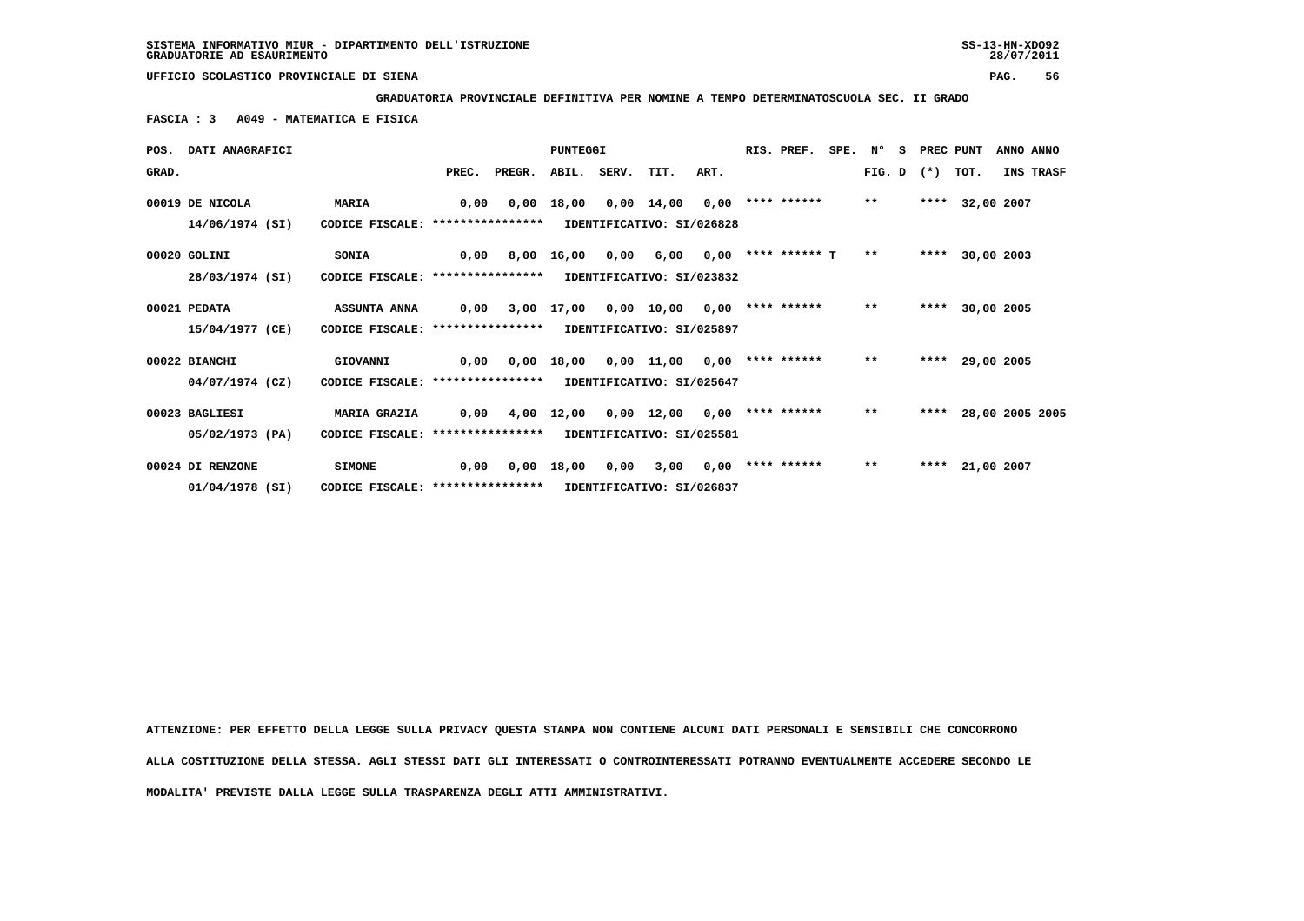**GRADUATORIA PROVINCIALE DEFINITIVA PER NOMINE A TEMPO DETERMINATOSCUOLA SEC. II GRADO**

 **FASCIA : 3 A049 - MATEMATICA E FISICA**

|       | POS. DATI ANAGRAFICI |                                   |       |        | PUNTEGGI     |                  |                           |      | RIS. PREF.           | SPE. | N°     | - S | PREC PUNT |                 |            | ANNO ANNO        |
|-------|----------------------|-----------------------------------|-------|--------|--------------|------------------|---------------------------|------|----------------------|------|--------|-----|-----------|-----------------|------------|------------------|
| GRAD. |                      |                                   | PREC. | PREGR. |              | ABIL. SERV. TIT. |                           | ART. |                      |      | FIG. D |     | $(* )$    | TOT.            |            | <b>INS TRASF</b> |
|       | 00019 DE NICOLA      | <b>MARIA</b>                      | 0,00  | 0,00   | 18,00        |                  | 0,00 14,00                | 0,00 | **** ******          |      | $***$  |     | ****      |                 | 32,00 2007 |                  |
|       | 14/06/1974 (SI)      | CODICE FISCALE: ****************  |       |        |              |                  | IDENTIFICATIVO: SI/026828 |      |                      |      |        |     |           |                 |            |                  |
|       | 00020 GOLINI         | <b>SONIA</b>                      | 0,00  |        | 8,00 16,00   | 0,00             | 6,00                      |      | $0.00$ **** ****** T |      | $**$   |     |           | **** 30,00 2003 |            |                  |
|       | 28/03/1974 (SI)      | CODICE FISCALE: ****************  |       |        |              |                  | IDENTIFICATIVO: SI/023832 |      |                      |      |        |     |           |                 |            |                  |
|       | 00021 PEDATA         | <b>ASSUNTA ANNA</b>               | 0.00  |        | 3,00 17,00   |                  | 0,00 10,00                | 0,00 | **** ******          |      | $***$  |     | ****      |                 | 30,00 2005 |                  |
|       | 15/04/1977 (CE)      | CODICE FISCALE: ***************** |       |        |              |                  | IDENTIFICATIVO: SI/025897 |      |                      |      |        |     |           |                 |            |                  |
|       | 00022 BIANCHI        | GIOVANNI                          | 0,00  |        | $0,00$ 18,00 |                  | 0,00 11,00                | 0,00 | **** ******          |      | $***$  |     |           | **** 29,00 2005 |            |                  |
|       | $04/07/1974$ (CZ)    | CODICE FISCALE: ****************  |       |        |              |                  | IDENTIFICATIVO: SI/025647 |      |                      |      |        |     |           |                 |            |                  |
|       | 00023 BAGLIESI       | <b>MARIA GRAZIA</b>               | 0,00  |        |              |                  | 4,00 12,00 0,00 12,00     |      | $0,00$ **** ******   |      | $***$  |     | ****      |                 |            | 28,00 2005 2005  |
|       | 05/02/1973 (PA)      | CODICE FISCALE: ****************  |       |        |              |                  | IDENTIFICATIVO: SI/025581 |      |                      |      |        |     |           |                 |            |                  |
|       | 00024 DI RENZONE     | <b>SIMONE</b>                     | 0.00  | 0,00   | 18,00        | 0,00             | 3,00                      | 0.00 | **** ******          |      | $***$  |     |           | **** 21,00 2007 |            |                  |
|       | 01/04/1978 (SI)      | CODICE FISCALE: ****************  |       |        |              |                  | IDENTIFICATIVO: SI/026837 |      |                      |      |        |     |           |                 |            |                  |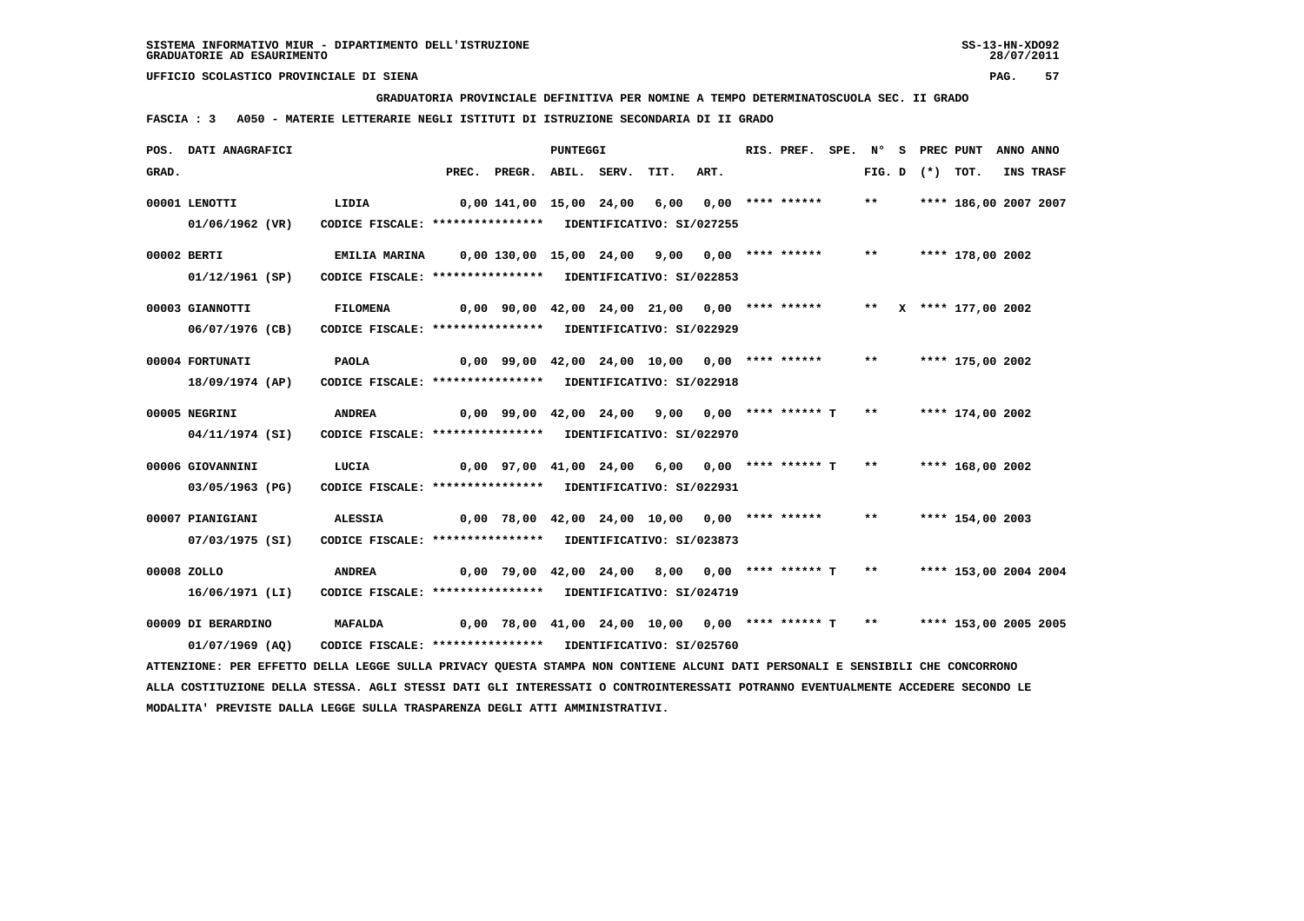**GRADUATORIA PROVINCIALE DEFINITIVA PER NOMINE A TEMPO DETERMINATOSCUOLA SEC. II GRADO**

 **FASCIA : 3 A050 - MATERIE LETTERARIE NEGLI ISTITUTI DI ISTRUZIONE SECONDARIA DI II GRADO**

|       | POS. DATI ANAGRAFICI                                                                                                            |                                                            |       |                                                   | <b>PUNTEGGI</b> |                           |                             | RIS. PREF.         | SPE. N° |        | S PREC PUNT |                       | ANNO ANNO |
|-------|---------------------------------------------------------------------------------------------------------------------------------|------------------------------------------------------------|-------|---------------------------------------------------|-----------------|---------------------------|-----------------------------|--------------------|---------|--------|-------------|-----------------------|-----------|
| GRAD. |                                                                                                                                 |                                                            | PREC. | PREGR. ABIL. SERV.                                |                 | TIT.                      | ART.                        |                    |         | FIG. D | $(*)$ TOT.  |                       | INS TRASF |
|       | 00001 LENOTTI                                                                                                                   | LIDIA                                                      |       | 0,00 141,00 15,00 24,00                           |                 | 6,00                      |                             | $0.00$ **** ****** |         | $***$  |             | **** 186,00 2007 2007 |           |
|       | 01/06/1962 (VR)                                                                                                                 | CODICE FISCALE: **************** IDENTIFICATIVO: SI/027255 |       |                                                   |                 |                           |                             |                    |         |        |             |                       |           |
|       | 00002 BERTI                                                                                                                     | EMILIA MARINA                                              |       | $0,00$ 130,00 15,00 24,00 9,00 0,00 **** ******   |                 |                           |                             |                    |         | $***$  |             | **** 178,00 2002      |           |
|       | 01/12/1961 (SP)                                                                                                                 | CODICE FISCALE: **************** IDENTIFICATIVO: SI/022853 |       |                                                   |                 |                           |                             |                    |         |        |             |                       |           |
|       | 00003 GIANNOTTI                                                                                                                 | <b>FILOMENA</b>                                            |       | $0,00$ 90,00 42,00 24,00 21,00 0,00 **** ******   |                 |                           |                             |                    |         |        |             | ** X **** 177,00 2002 |           |
|       | 06/07/1976 (CB)                                                                                                                 | CODICE FISCALE: **************** IDENTIFICATIVO: SI/022929 |       |                                                   |                 |                           |                             |                    |         |        |             |                       |           |
|       | 00004 FORTUNATI                                                                                                                 | <b>PAOLA</b>                                               |       | $0,00$ 99,00 42,00 24,00 10,00 0,00 **** ******   |                 |                           |                             |                    |         | $***$  |             | **** 175,00 2002      |           |
|       | 18/09/1974 (AP)                                                                                                                 | CODICE FISCALE: **************** IDENTIFICATIVO: SI/022918 |       |                                                   |                 |                           |                             |                    |         |        |             |                       |           |
|       |                                                                                                                                 |                                                            |       |                                                   |                 |                           |                             |                    |         |        |             |                       |           |
|       | 00005 NEGRINI                                                                                                                   | <b>ANDREA</b>                                              |       | $0,00$ 99,00 42,00 24,00 9,00 0,00 **** ****** T  |                 |                           |                             |                    |         | $***$  |             | **** 174,00 2002      |           |
|       | 04/11/1974 (SI)                                                                                                                 | CODICE FISCALE: *****************                          |       |                                                   |                 | IDENTIFICATIVO: SI/022970 |                             |                    |         |        |             |                       |           |
|       | 00006 GIOVANNINI                                                                                                                | LUCIA                                                      |       | $0,00$ 97,00 41,00 24,00 6,00 0,00 **** ****** T  |                 |                           |                             |                    |         | $***$  |             | **** 168,00 2002      |           |
|       | 03/05/1963 (PG)                                                                                                                 | CODICE FISCALE: **************** IDENTIFICATIVO: SI/022931 |       |                                                   |                 |                           |                             |                    |         |        |             |                       |           |
|       | 00007 PIANIGIANI                                                                                                                | <b>ALESSIA</b>                                             |       | $0,00$ 78,00 42,00 24,00 10,00 0,00 **** ******   |                 |                           |                             |                    |         | **     |             | **** 154,00 2003      |           |
|       | 07/03/1975 (SI)                                                                                                                 | CODICE FISCALE: *****************                          |       |                                                   |                 | IDENTIFICATIVO: SI/023873 |                             |                    |         |        |             |                       |           |
|       | 00008 ZOLLO                                                                                                                     | <b>ANDREA</b>                                              |       | 0,00 79,00 42,00 24,00                            |                 |                           | $8,00$ $0,00$ **** ****** T |                    |         | $***$  |             | **** 153,00 2004 2004 |           |
|       | 16/06/1971 (LI)                                                                                                                 | CODICE FISCALE: **************** IDENTIFICATIVO: SI/024719 |       |                                                   |                 |                           |                             |                    |         |        |             |                       |           |
|       | 00009 DI BERARDINO                                                                                                              | <b>MAFALDA</b>                                             |       | $0,00$ 78,00 41,00 24,00 10,00 0,00 **** ****** T |                 |                           |                             |                    |         | $***$  |             | **** 153,00 2005 2005 |           |
|       | $01/07/1969$ (AO)                                                                                                               | CODICE FISCALE: **************** IDENTIFICATIVO: SI/025760 |       |                                                   |                 |                           |                             |                    |         |        |             |                       |           |
|       | ATTENZIONE: PER EFFETTO DELLA LEGGE SULLA PRIVACY QUESTA STAMPA NON CONTIENE ALCUNI DATI PERSONALI E SENSIBILI CHE CONCORRONO   |                                                            |       |                                                   |                 |                           |                             |                    |         |        |             |                       |           |
|       | ALLA COSTITUZIONE DELLA STESSA. AGLI STESSI DATI GLI INTERESSATI O CONTROINTERESSATI POTRANNO EVENTUALMENTE ACCEDERE SECONDO LE |                                                            |       |                                                   |                 |                           |                             |                    |         |        |             |                       |           |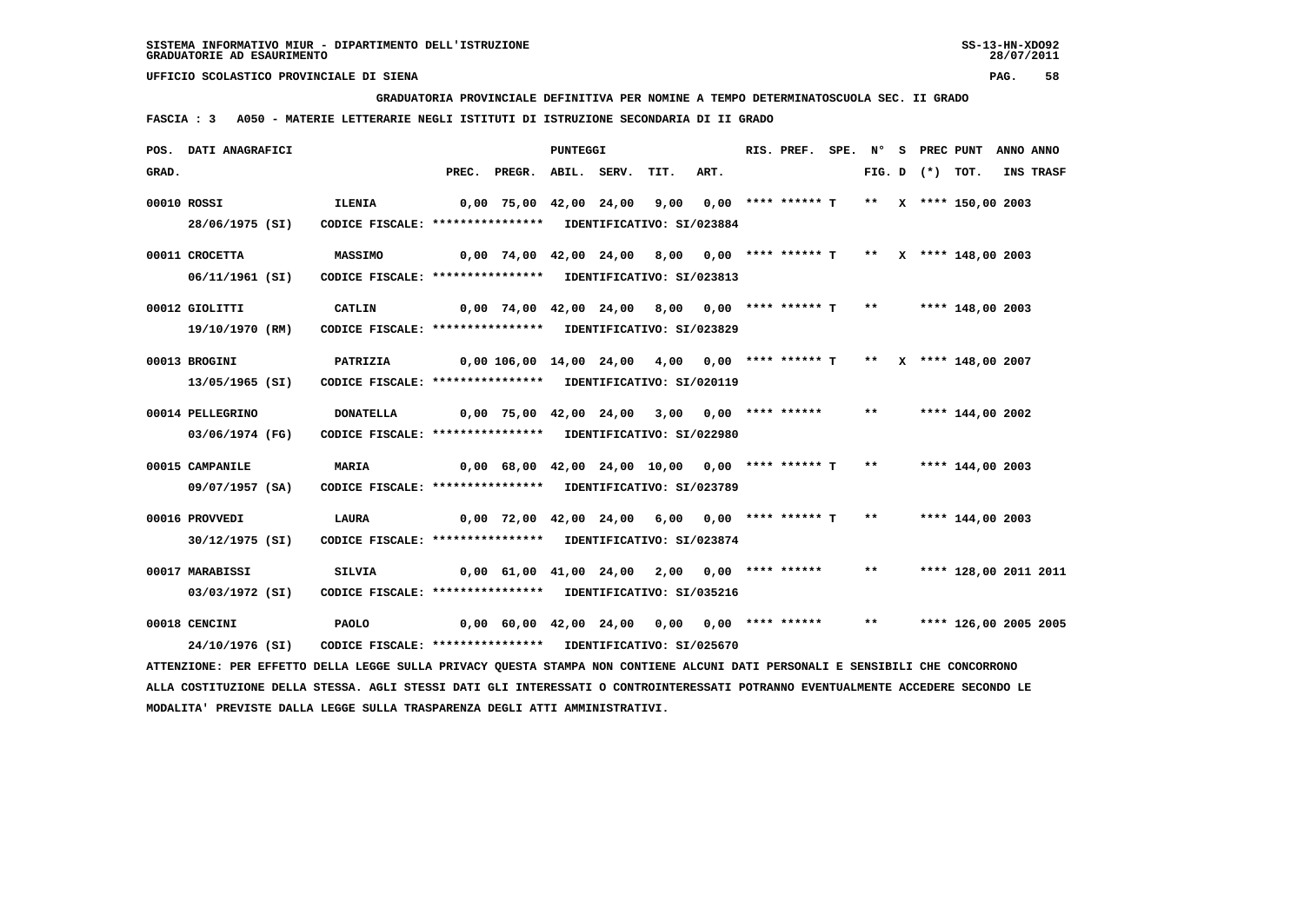**GRADUATORIA PROVINCIALE DEFINITIVA PER NOMINE A TEMPO DETERMINATOSCUOLA SEC. II GRADO**

 **FASCIA : 3 A050 - MATERIE LETTERARIE NEGLI ISTITUTI DI ISTRUZIONE SECONDARIA DI II GRADO**

|       | POS. DATI ANAGRAFICI                                                                                                            |                                                            |                                                                                           | <b>PUNTEGGI</b> |      |      | RIS. PREF. SPE. N° S PREC PUNT |       |                   |                       | ANNO ANNO |
|-------|---------------------------------------------------------------------------------------------------------------------------------|------------------------------------------------------------|-------------------------------------------------------------------------------------------|-----------------|------|------|--------------------------------|-------|-------------------|-----------------------|-----------|
| GRAD. |                                                                                                                                 |                                                            | PREC. PREGR. ABIL. SERV.                                                                  |                 | TIT. | ART. |                                |       | FIG. D $(*)$ TOT. |                       | INS TRASF |
|       | 00010 ROSSI                                                                                                                     | <b>ILENIA</b>                                              | 0,00 75,00 42,00 24,00  9,00  0,00 **** ****** T  **  x **** 150,00 2003                  |                 |      |      |                                |       |                   |                       |           |
|       | 28/06/1975 (SI)                                                                                                                 | CODICE FISCALE: **************** IDENTIFICATIVO: SI/023884 |                                                                                           |                 |      |      |                                |       |                   |                       |           |
|       |                                                                                                                                 |                                                            |                                                                                           |                 |      |      |                                |       |                   |                       |           |
|       | 00011 CROCETTA                                                                                                                  | <b>MASSIMO</b>                                             | $0,00$ 74,00 42,00 24,00 8,00 0,00 **** ****** T ** X **** 148,00 2003                    |                 |      |      |                                |       |                   |                       |           |
|       | 06/11/1961 (SI)                                                                                                                 | CODICE FISCALE: **************** IDENTIFICATIVO: SI/023813 |                                                                                           |                 |      |      |                                |       |                   |                       |           |
|       | 00012 GIOLITTI                                                                                                                  | CATLIN                                                     | $0,00$ $74,00$ $42,00$ $24,00$ $8,00$ $0,00$ $***$ $**$ $**$ $T$ $**$ $***$ $148,00$ 2003 |                 |      |      |                                |       |                   |                       |           |
|       | 19/10/1970 (RM)                                                                                                                 | CODICE FISCALE: **************** IDENTIFICATIVO: SI/023829 |                                                                                           |                 |      |      |                                |       |                   |                       |           |
|       |                                                                                                                                 |                                                            |                                                                                           |                 |      |      |                                |       |                   |                       |           |
|       | 00013 BROGINI                                                                                                                   | PATRIZIA                                                   | $0,00$ 106,00 14,00 24,00 4,00 0,00 **** ****** T ** X **** 148,00 2007                   |                 |      |      |                                |       |                   |                       |           |
|       | 13/05/1965 (SI)                                                                                                                 | CODICE FISCALE: **************** IDENTIFICATIVO: SI/020119 |                                                                                           |                 |      |      |                                |       |                   |                       |           |
|       | 00014 PELLEGRINO                                                                                                                | <b>DONATELLA</b>                                           | $0,00$ 75,00 42,00 24,00 3,00 0,00 **** ****** **                                         |                 |      |      |                                |       |                   | **** 144,00 2002      |           |
|       |                                                                                                                                 |                                                            |                                                                                           |                 |      |      |                                |       |                   |                       |           |
|       | 03/06/1974 (FG)                                                                                                                 | CODICE FISCALE: **************** IDENTIFICATIVO: SI/022980 |                                                                                           |                 |      |      |                                |       |                   |                       |           |
|       | 00015 CAMPANILE                                                                                                                 | <b>MARIA</b>                                               | $0,00$ 68,00 42,00 24,00 10,00 0,00 **** ****** T **                                      |                 |      |      |                                |       |                   | **** 144,00 2003      |           |
|       | 09/07/1957 (SA)                                                                                                                 | CODICE FISCALE: **************** IDENTIFICATIVO: SI/023789 |                                                                                           |                 |      |      |                                |       |                   |                       |           |
|       |                                                                                                                                 |                                                            |                                                                                           |                 |      |      |                                |       |                   |                       |           |
|       | 00016 PROVVEDI                                                                                                                  | <b>LAURA</b>                                               | $0.00$ 72.00 42.00 24.00 6.00 0.00 **** ****** T                                          |                 |      |      |                                | $***$ |                   | **** 144,00 2003      |           |
|       | 30/12/1975 (SI)                                                                                                                 | CODICE FISCALE: **************** IDENTIFICATIVO: SI/023874 |                                                                                           |                 |      |      |                                |       |                   |                       |           |
|       | 00017 MARABISSI                                                                                                                 | SILVIA                                                     | $0,00$ 61,00 41,00 24,00 2,00 0,00 **** ******                                            |                 |      |      |                                | $***$ |                   | **** 128,00 2011 2011 |           |
|       | 03/03/1972 (SI)                                                                                                                 | CODICE FISCALE: **************** IDENTIFICATIVO: SI/035216 |                                                                                           |                 |      |      |                                |       |                   |                       |           |
|       |                                                                                                                                 |                                                            |                                                                                           |                 |      |      |                                |       |                   |                       |           |
|       | 00018 CENCINI                                                                                                                   | <b>PAOLO</b>                                               | $0,00$ 60,00 42,00 24,00 0,00 0,00 **** ******                                            |                 |      |      |                                | $***$ |                   | **** 126,00 2005 2005 |           |
|       | 24/10/1976 (SI)                                                                                                                 | CODICE FISCALE: **************** IDENTIFICATIVO: SI/025670 |                                                                                           |                 |      |      |                                |       |                   |                       |           |
|       | ATTENZIONE: PER EFFETTO DELLA LEGGE SULLA PRIVACY QUESTA STAMPA NON CONTIENE ALCUNI DATI PERSONALI E SENSIBILI CHE CONCORRONO   |                                                            |                                                                                           |                 |      |      |                                |       |                   |                       |           |
|       | ALLA COSTITUZIONE DELLA STESSA. AGLI STESSI DATI GLI INTERESSATI O CONTROINTERESSATI POTRANNO EVENTUALMENTE ACCEDERE SECONDO LE |                                                            |                                                                                           |                 |      |      |                                |       |                   |                       |           |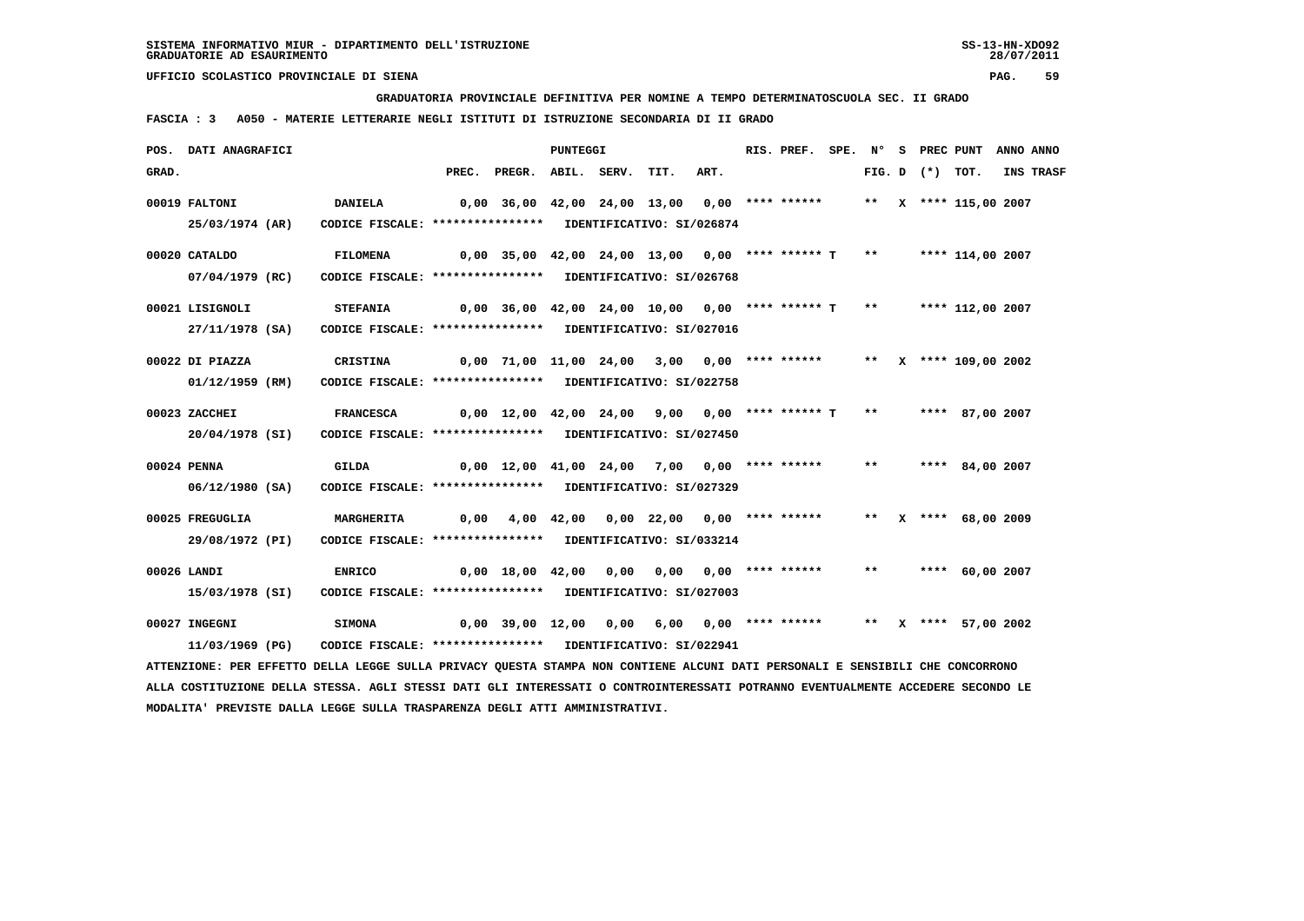**GRADUATORIA PROVINCIALE DEFINITIVA PER NOMINE A TEMPO DETERMINATOSCUOLA SEC. II GRADO**

 **FASCIA : 3 A050 - MATERIE LETTERARIE NEGLI ISTITUTI DI ISTRUZIONE SECONDARIA DI II GRADO**

|       | POS. DATI ANAGRAFICI                                                                                                          |                                                            |                                                                                   |                                                                        | <b>PUNTEGGI</b> |  |      | RIS. PREF. SPE. N° S PREC PUNT ANNO ANNO |       |                   |                      |           |
|-------|-------------------------------------------------------------------------------------------------------------------------------|------------------------------------------------------------|-----------------------------------------------------------------------------------|------------------------------------------------------------------------|-----------------|--|------|------------------------------------------|-------|-------------------|----------------------|-----------|
| GRAD. |                                                                                                                               |                                                            |                                                                                   | PREC. PREGR. ABIL. SERV. TIT.                                          |                 |  | ART. |                                          |       | FIG. D $(*)$ TOT. |                      | INS TRASF |
|       | 00019 FALTONI                                                                                                                 | <b>DANIELA</b>                                             | 0,00 36,00 42,00 24,00 13,00 0,00 **** ******     **   X **** 115,00 2007         |                                                                        |                 |  |      |                                          |       |                   |                      |           |
|       | 25/03/1974 (AR)                                                                                                               | CODICE FISCALE: **************** IDENTIFICATIVO: SI/026874 |                                                                                   |                                                                        |                 |  |      |                                          |       |                   |                      |           |
|       | 00020 CATALDO                                                                                                                 | FILOMENA                                                   |                                                                                   |                                                                        |                 |  |      |                                          |       |                   |                      |           |
|       | 07/04/1979 (RC)                                                                                                               | CODICE FISCALE: **************** IDENTIFICATIVO: SI/026768 |                                                                                   |                                                                        |                 |  |      |                                          |       |                   |                      |           |
|       | 00021 LISIGNOLI                                                                                                               | <b>STEFANIA</b>                                            |                                                                                   | $0,00$ 36,00 42,00 24,00 10,00 0,00 **** ****** T ** ***** 112,00 2007 |                 |  |      |                                          |       |                   |                      |           |
|       | 27/11/1978 (SA)                                                                                                               | CODICE FISCALE: **************** IDENTIFICATIVO: SI/027016 |                                                                                   |                                                                        |                 |  |      |                                          |       |                   |                      |           |
|       | 00022 DI PIAZZA                                                                                                               | CRISTINA                                                   | 0,00 71,00 11,00 24,00 3,00 0,00 **** ****** *** x **** 109,00 2002               |                                                                        |                 |  |      |                                          |       |                   |                      |           |
|       | 01/12/1959 (RM)                                                                                                               | CODICE FISCALE: **************** IDENTIFICATIVO: SI/022758 |                                                                                   |                                                                        |                 |  |      |                                          |       |                   |                      |           |
|       | 00023 ZACCHEI                                                                                                                 | <b>FRANCESCA</b>                                           | 0,00 12,00 42,00 24,00  9,00  0,00 **** ****** <sub>T</sub> **    **** 87,00 2007 |                                                                        |                 |  |      |                                          |       |                   |                      |           |
|       | 20/04/1978 (SI)                                                                                                               | CODICE FISCALE: **************** IDENTIFICATIVO: SI/027450 |                                                                                   |                                                                        |                 |  |      |                                          |       |                   |                      |           |
|       | 00024 PENNA                                                                                                                   | GILDA                                                      |                                                                                   | 0,00 12,00 41,00 24,00 7,00 0,00 **** ******                           |                 |  |      |                                          | $***$ |                   | **** 84,00 2007      |           |
|       | 06/12/1980 (SA)                                                                                                               | CODICE FISCALE: **************** IDENTIFICATIVO: SI/027329 |                                                                                   |                                                                        |                 |  |      |                                          |       |                   |                      |           |
|       | 00025 FREGUGLIA                                                                                                               | MARGHERITA                                                 |                                                                                   | 0,00  4,00  42,00  0,00  22,00  0,00  ****  ******                     |                 |  |      |                                          |       |                   | ** X **** 68,00 2009 |           |
|       | 29/08/1972 (PI)                                                                                                               | CODICE FISCALE: **************** IDENTIFICATIVO: SI/033214 |                                                                                   |                                                                        |                 |  |      |                                          |       |                   |                      |           |
|       | 00026 LANDI                                                                                                                   | <b>ENRICO</b>                                              |                                                                                   | 0,00 18,00 42,00 0,00 0,00 0,00 **** ****** ** **** 60,00 2007         |                 |  |      |                                          |       |                   |                      |           |
|       | 15/03/1978 (SI)                                                                                                               | CODICE FISCALE: **************** IDENTIFICATIVO: SI/027003 |                                                                                   |                                                                        |                 |  |      |                                          |       |                   |                      |           |
|       | 00027 INGEGNI                                                                                                                 | <b>SIMONA</b>                                              | 0,00 39,00 12,00 0,00 6,00 0,00 **** ******   **  x **** 57,00 2002               |                                                                        |                 |  |      |                                          |       |                   |                      |           |
|       | 11/03/1969 (PG)                                                                                                               | CODICE FISCALE: **************** IDENTIFICATIVO: SI/022941 |                                                                                   |                                                                        |                 |  |      |                                          |       |                   |                      |           |
|       | ATTENZIONE: PER EFFETTO DELLA LEGGE SULLA PRIVACY QUESTA STAMPA NON CONTIENE ALCUNI DATI PERSONALI E SENSIBILI CHE CONCORRONO |                                                            |                                                                                   |                                                                        |                 |  |      |                                          |       |                   |                      |           |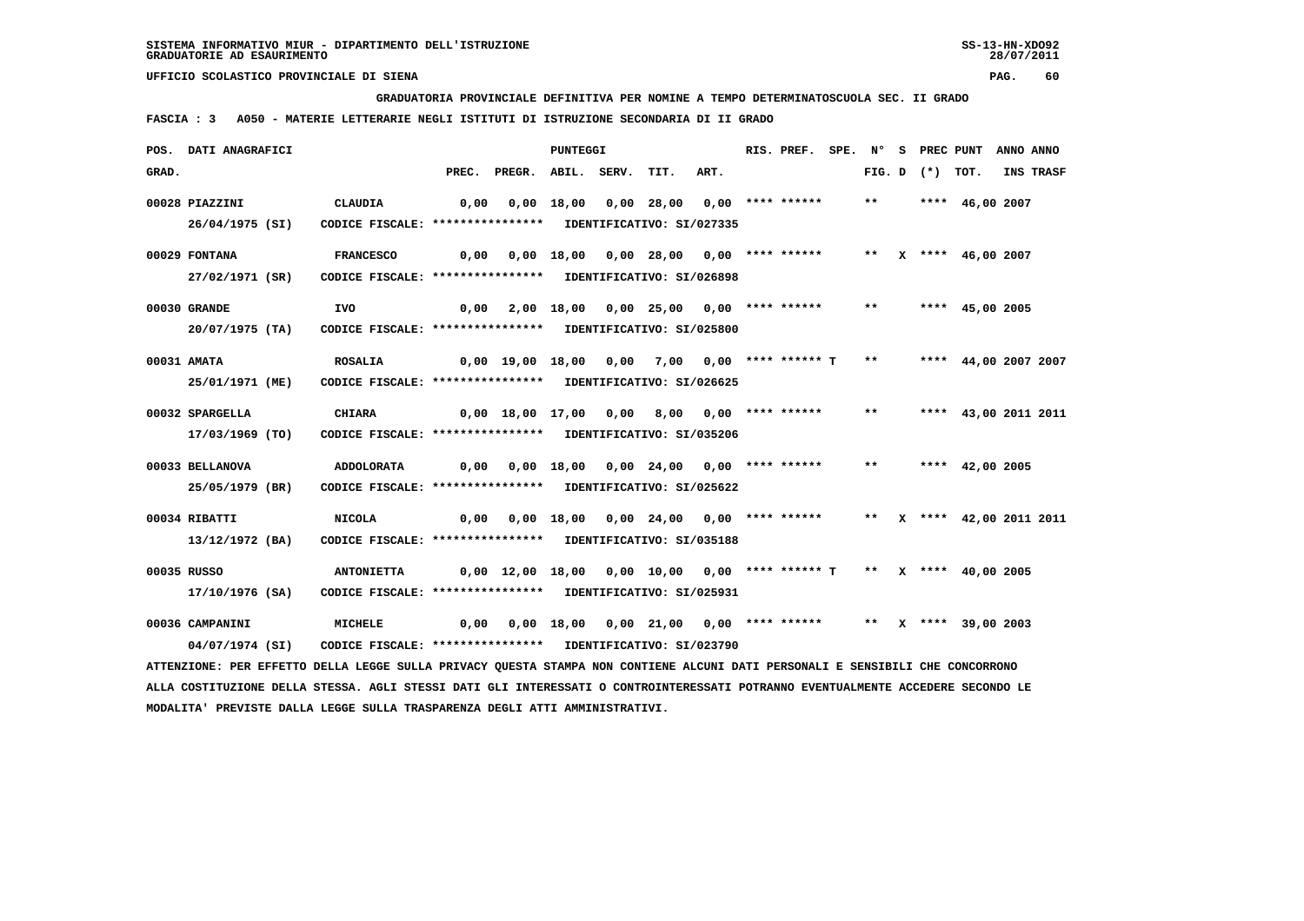**GRADUATORIA PROVINCIALE DEFINITIVA PER NOMINE A TEMPO DETERMINATOSCUOLA SEC. II GRADO**

 **FASCIA : 3 A050 - MATERIE LETTERARIE NEGLI ISTITUTI DI ISTRUZIONE SECONDARIA DI II GRADO**

|       | POS. DATI ANAGRAFICI                                                                                                            |                                                            |       |                                                                       | PUNTEGGI   |            |                                                               | RIS. PREF. SPE. Nº |                           | s | PREC PUNT      |                           | ANNO ANNO |
|-------|---------------------------------------------------------------------------------------------------------------------------------|------------------------------------------------------------|-------|-----------------------------------------------------------------------|------------|------------|---------------------------------------------------------------|--------------------|---------------------------|---|----------------|---------------------------|-----------|
| GRAD. |                                                                                                                                 |                                                            | PREC. | PREGR. ABIL. SERV.                                                    |            | TIT.       | ART.                                                          |                    |                           |   | $FIG. D$ $(*)$ | тот.                      | INS TRASF |
|       | 00028 PIAZZINI                                                                                                                  | <b>CLAUDIA</b>                                             | 0.00  |                                                                       | 0,00 18,00 | 0,00 28,00 |                                                               | 0,00 **** ******   | $***$                     |   |                | **** $46,00$ 2007         |           |
|       | 26/04/1975 (SI)                                                                                                                 | CODICE FISCALE: **************** IDENTIFICATIVO: SI/027335 |       |                                                                       |            |            |                                                               |                    |                           |   |                |                           |           |
|       | 00029 FONTANA                                                                                                                   | <b>FRANCESCO</b>                                           | 0,00  |                                                                       |            |            | $0.00$ 18.00 0.00 28.00 0.00 **** ******                      |                    | $***$                     |   |                | X **** 46,00 2007         |           |
|       | 27/02/1971 (SR)                                                                                                                 | CODICE FISCALE: **************** IDENTIFICATIVO: SI/026898 |       |                                                                       |            |            |                                                               |                    |                           |   |                |                           |           |
|       | 00030 GRANDE                                                                                                                    | IVO                                                        | 0,00  |                                                                       |            |            | 2,00 18,00 0,00 25,00 0,00 **** ******                        |                    | $***$                     |   |                | **** 45,00 2005           |           |
|       | $20/07/1975$ (TA)                                                                                                               | CODICE FISCALE: **************** IDENTIFICATIVO: SI/025800 |       |                                                                       |            |            |                                                               |                    |                           |   |                |                           |           |
|       | 00031 AMATA                                                                                                                     | <b>ROSALIA</b>                                             |       | 0,00 19,00 18,00 0,00                                                 |            |            | 7,00 0,00 **** ****** T                                       |                    | $\boldsymbol{\star\star}$ |   |                | **** 44,00 2007 2007      |           |
|       | 25/01/1971 (ME)                                                                                                                 | CODICE FISCALE: **************** IDENTIFICATIVO: SI/026625 |       |                                                                       |            |            |                                                               |                    |                           |   |                |                           |           |
|       | 00032 SPARGELLA                                                                                                                 | <b>CHIARA</b>                                              |       | 0,00 18,00 17,00 0,00 8,00 0,00 **** ******                           |            |            |                                                               |                    | $***$                     |   |                | **** 43,00 2011 2011      |           |
|       | 17/03/1969 (TO)                                                                                                                 | CODICE FISCALE: **************** IDENTIFICATIVO: SI/035206 |       |                                                                       |            |            |                                                               |                    |                           |   |                |                           |           |
|       | 00033 BELLANOVA                                                                                                                 | <b>ADDOLORATA</b>                                          | 0,00  |                                                                       |            |            | $0,00$ 18,00 0,00 24,00 0,00 **** ******                      |                    | $***$                     |   |                | **** $42,00$ 2005         |           |
|       | 25/05/1979 (BR)                                                                                                                 | CODICE FISCALE: **************** IDENTIFICATIVO: SI/025622 |       |                                                                       |            |            |                                                               |                    |                           |   |                |                           |           |
|       | 00034 RIBATTI                                                                                                                   | NICOLA                                                     |       | 0,00  0,00  18,00  0,00  24,00  0,00  ****  ******                    |            |            |                                                               |                    |                           |   |                | ** X **** 42,00 2011 2011 |           |
|       | 13/12/1972 (BA)                                                                                                                 | CODICE FISCALE: **************** IDENTIFICATIVO: SI/035188 |       |                                                                       |            |            |                                                               |                    |                           |   |                |                           |           |
|       | 00035 RUSSO                                                                                                                     | <b>ANTONIETTA</b>                                          |       | $0,00$ 12,00 18,00 0,00 10,00 0,00 **** ****** T ** X **** 40,00 2005 |            |            |                                                               |                    |                           |   |                |                           |           |
|       | 17/10/1976 (SA)                                                                                                                 | CODICE FISCALE: **************** IDENTIFICATIVO: SI/025931 |       |                                                                       |            |            |                                                               |                    |                           |   |                |                           |           |
|       | 00036 CAMPANINI                                                                                                                 | MICHELE                                                    | 0,00  |                                                                       |            |            | $0,00$ 18,00 0,00 21,00 0,00 **** ****** ** X **** 39.00 2003 |                    |                           |   |                |                           |           |
|       | 04/07/1974 (SI)                                                                                                                 | CODICE FISCALE: **************** IDENTIFICATIVO: SI/023790 |       |                                                                       |            |            |                                                               |                    |                           |   |                |                           |           |
|       | ATTENZIONE: PER EFFETTO DELLA LEGGE SULLA PRIVACY QUESTA STAMPA NON CONTIENE ALCUNI DATI PERSONALI E SENSIBILI CHE CONCORRONO   |                                                            |       |                                                                       |            |            |                                                               |                    |                           |   |                |                           |           |
|       | ALLA COSTITUZIONE DELLA STESSA. AGLI STESSI DATI GLI INTERESSATI O CONTROINTERESSATI POTRANNO EVENTUALMENTE ACCEDERE SECONDO LE |                                                            |       |                                                                       |            |            |                                                               |                    |                           |   |                |                           |           |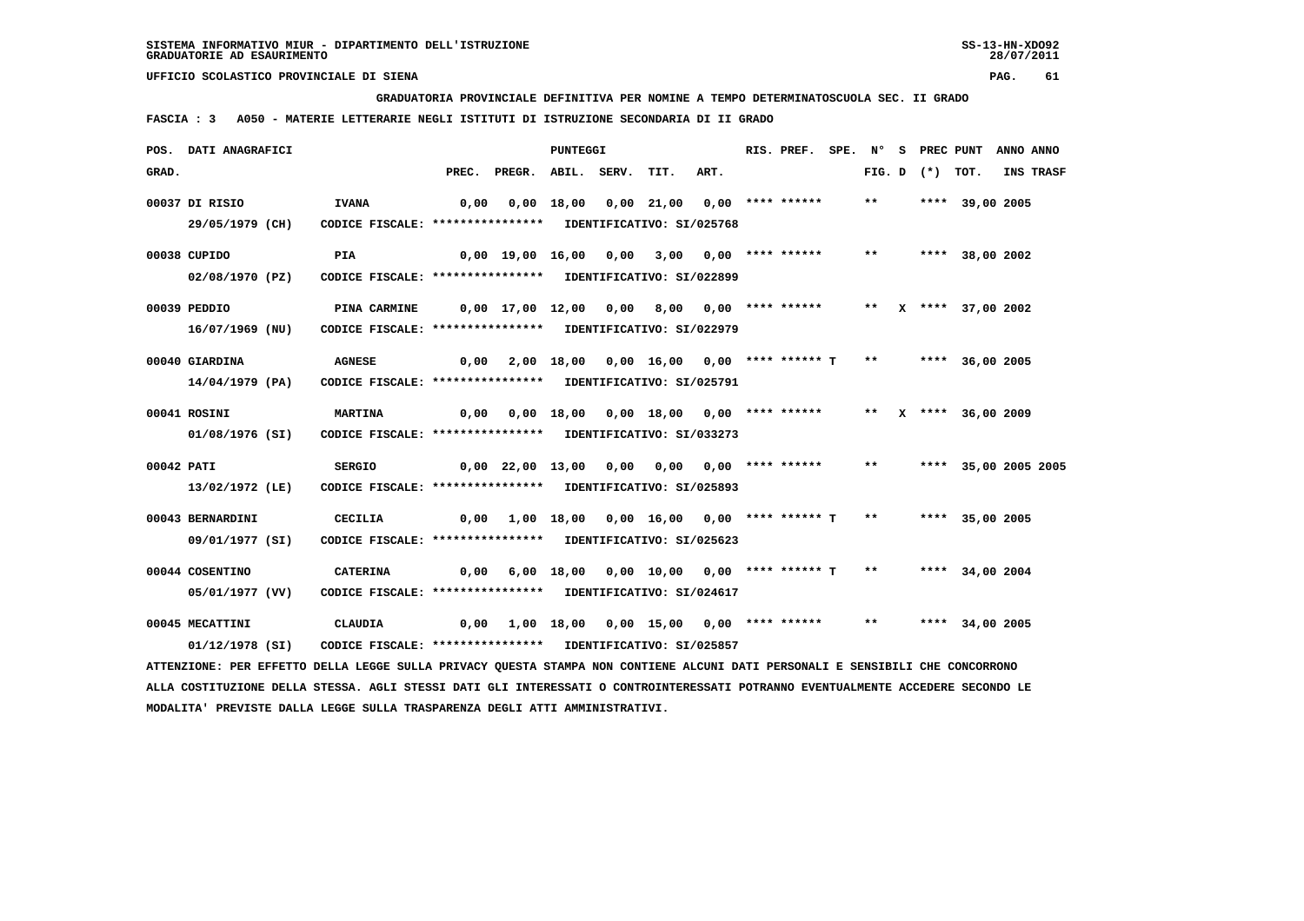**GRADUATORIA PROVINCIALE DEFINITIVA PER NOMINE A TEMPO DETERMINATOSCUOLA SEC. II GRADO**

 **FASCIA : 3 A050 - MATERIE LETTERARIE NEGLI ISTITUTI DI ISTRUZIONE SECONDARIA DI II GRADO**

|            | POS. DATI ANAGRAFICI                                                                                                          |                                                            |       |                                                   | PUNTEGGI |                                                              |                         | RIS. PREF. | $SPE.$ N° |                   | S PREC PUNT            | ANNO ANNO |
|------------|-------------------------------------------------------------------------------------------------------------------------------|------------------------------------------------------------|-------|---------------------------------------------------|----------|--------------------------------------------------------------|-------------------------|------------|-----------|-------------------|------------------------|-----------|
| GRAD.      |                                                                                                                               |                                                            | PREC. | PREGR. ABIL. SERV.                                |          | TIT.                                                         | ART.                    |            |           | FIG. D $(*)$ TOT. |                        | INS TRASF |
|            | 00037 DI RISIO                                                                                                                | <b>IVANA</b>                                               | 0,00  |                                                   |          | $0,00$ 18,00 0,00 21,00 0,00 **** ******                     |                         |            | $***$     |                   | **** 39,00 2005        |           |
|            | 29/05/1979 (CH)                                                                                                               | CODICE FISCALE: **************** IDENTIFICATIVO: SI/025768 |       |                                                   |          |                                                              |                         |            |           |                   |                        |           |
|            | 00038 CUPIDO                                                                                                                  | PIA                                                        |       | 0,00 19,00 16,00 0,00                             |          |                                                              | $3,00$ 0,00 **** ****** |            | $***$     |                   | **** 38,00 2002        |           |
|            | 02/08/1970 (PZ)                                                                                                               | CODICE FISCALE: **************** IDENTIFICATIVO: SI/022899 |       |                                                   |          |                                                              |                         |            |           |                   |                        |           |
|            | 00039 PEDDIO                                                                                                                  | PINA CARMINE                                               |       | 0,00 17,00 12,00 0,00 8,00 0,00 **** ******       |          |                                                              |                         |            |           |                   | ** X **** 37,00 2002   |           |
|            | 16/07/1969 (NU)                                                                                                               | CODICE FISCALE: **************** IDENTIFICATIVO: SI/022979 |       |                                                   |          |                                                              |                         |            |           |                   |                        |           |
|            |                                                                                                                               |                                                            |       |                                                   |          |                                                              |                         |            |           |                   |                        |           |
|            | 00040 GIARDINA                                                                                                                | <b>AGNESE</b>                                              | 0,00  |                                                   |          | 2,00 18,00 0,00 16,00 0,00 **** ****** T ** ***** 36,00 2005 |                         |            |           |                   |                        |           |
|            | 14/04/1979 (PA)                                                                                                               | CODICE FISCALE: **************** IDENTIFICATIVO: SI/025791 |       |                                                   |          |                                                              |                         |            |           |                   |                        |           |
|            | 00041 ROSINI                                                                                                                  | <b>MARTINA</b>                                             |       | $0,00$ $0,00$ $18,00$ $0,00$ $18,00$ $0,00$ $***$ |          |                                                              |                         |            |           |                   | ** $X$ **** 36,00 2009 |           |
|            | 01/08/1976 (SI)                                                                                                               | CODICE FISCALE: **************** IDENTIFICATIVO: SI/033273 |       |                                                   |          |                                                              |                         |            |           |                   |                        |           |
| 00042 PATI |                                                                                                                               | <b>SERGIO</b>                                              |       | 0,00 22,00 13,00 0,00 0,00 0,00 **** ******       |          |                                                              |                         |            | $***$     |                   | **** 35,00 2005 2005   |           |
|            | 13/02/1972 (LE)                                                                                                               | CODICE FISCALE: **************** IDENTIFICATIVO: SI/025893 |       |                                                   |          |                                                              |                         |            |           |                   |                        |           |
|            |                                                                                                                               |                                                            |       |                                                   |          |                                                              |                         |            |           |                   |                        |           |
|            | 00043 BERNARDINI                                                                                                              | CECILIA                                                    | 0,00  |                                                   |          | $1,00$ 18,00 0,00 16,00 0,00 **** ****** T                   |                         |            |           |                   | ** **** 35,00 2005     |           |
|            | 09/01/1977 (SI)                                                                                                               | CODICE FISCALE: **************** IDENTIFICATIVO: SI/025623 |       |                                                   |          |                                                              |                         |            |           |                   |                        |           |
|            | 00044 COSENTINO                                                                                                               | CATERINA                                                   | 0,00  |                                                   |          | 6,00 18,00 0,00 10,00 0,00 **** ****** T                     |                         |            | $***$     |                   | **** 34,00 2004        |           |
|            | 05/01/1977 (VV)                                                                                                               | CODICE FISCALE: **************** IDENTIFICATIVO: SI/024617 |       |                                                   |          |                                                              |                         |            |           |                   |                        |           |
|            | 00045 MECATTINI                                                                                                               | CLAUDIA                                                    | 0,00  |                                                   |          | 1,00 18,00 0,00 15,00 0,00 **** ******                       |                         |            | $* *$     |                   | **** 34,00 2005        |           |
|            | 01/12/1978 (SI)                                                                                                               | CODICE FISCALE: **************** IDENTIFICATIVO: SI/025857 |       |                                                   |          |                                                              |                         |            |           |                   |                        |           |
|            | ATTENZIONE: PER EFFETTO DELLA LEGGE SULLA PRIVACY QUESTA STAMPA NON CONTIENE ALCUNI DATI PERSONALI E SENSIBILI CHE CONCORRONO |                                                            |       |                                                   |          |                                                              |                         |            |           |                   |                        |           |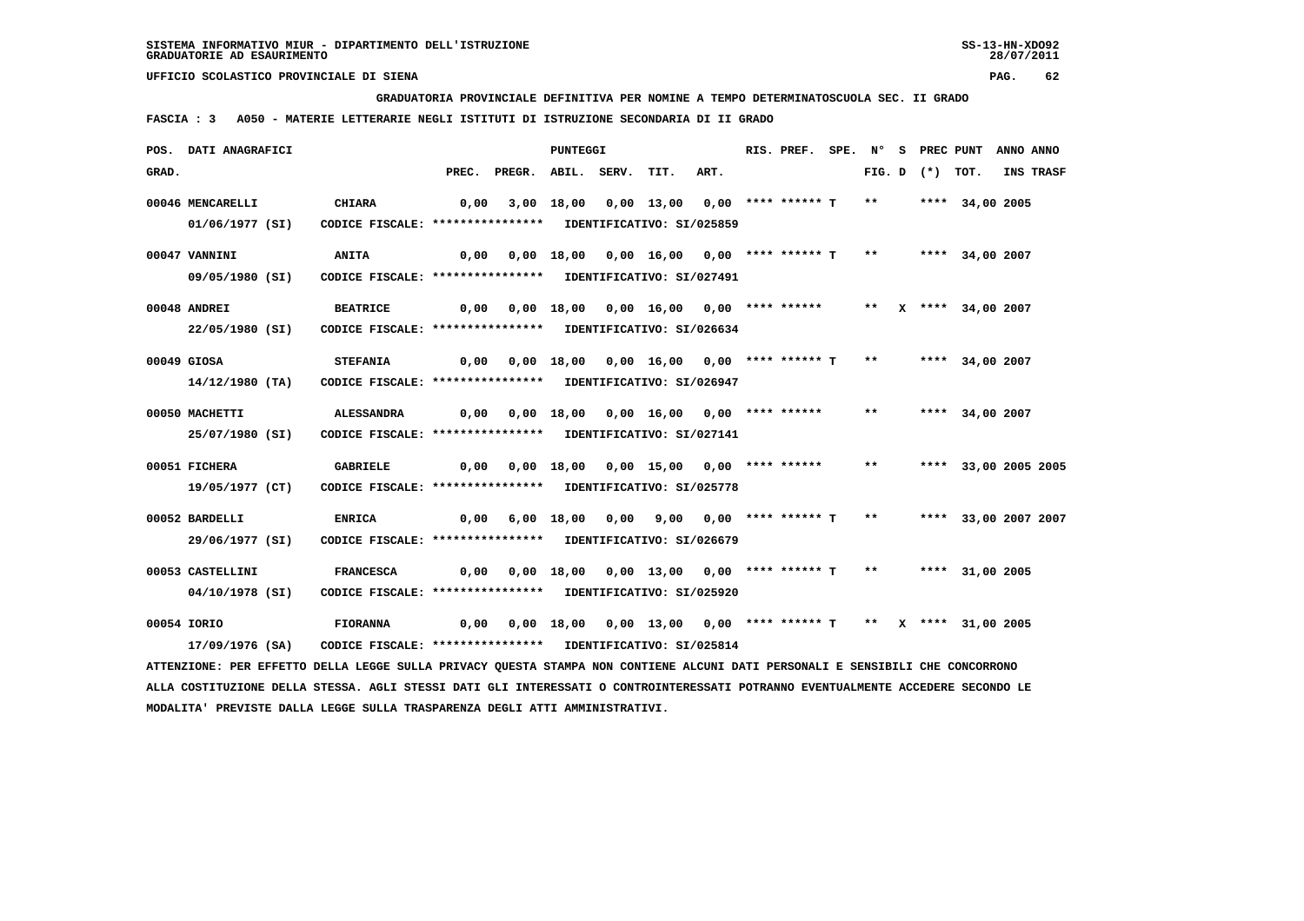**GRADUATORIA PROVINCIALE DEFINITIVA PER NOMINE A TEMPO DETERMINATOSCUOLA SEC. II GRADO**

 **FASCIA : 3 A050 - MATERIE LETTERARIE NEGLI ISTITUTI DI ISTRUZIONE SECONDARIA DI II GRADO**

|       | POS. DATI ANAGRAFICI                                                                                                            |                                                            |      |                                                                                 | <b>PUNTEGGI</b> |      |                                          | RIS. PREF. SPE. N° S PREC PUNT |              |                   |                      | ANNO ANNO |
|-------|---------------------------------------------------------------------------------------------------------------------------------|------------------------------------------------------------|------|---------------------------------------------------------------------------------|-----------------|------|------------------------------------------|--------------------------------|--------------|-------------------|----------------------|-----------|
| GRAD. |                                                                                                                                 |                                                            |      | PREC. PREGR. ABIL. SERV.                                                        |                 | TIT. | ART.                                     |                                |              | FIG. D $(*)$ TOT. |                      | INS TRASF |
|       | 00046 MENCARELLI                                                                                                                | <b>CHIARA</b>                                              | 0,00 |                                                                                 |                 |      | 3,00 18,00 0,00 13,00 0,00 **** ****** T |                                | $\star\star$ |                   | **** 34,00 2005      |           |
|       | 01/06/1977 (SI)                                                                                                                 | CODICE FISCALE: **************** IDENTIFICATIVO: SI/025859 |      |                                                                                 |                 |      |                                          |                                |              |                   |                      |           |
|       | 00047 VANNINI                                                                                                                   | <b>ANITA</b>                                               | 0,00 |                                                                                 |                 |      | 0,00 18,00 0,00 16,00 0,00 **** ****** T |                                | $***$        |                   | **** 34,00 2007      |           |
|       | 09/05/1980 (SI)                                                                                                                 | CODICE FISCALE: **************** IDENTIFICATIVO: SI/027491 |      |                                                                                 |                 |      |                                          |                                |              |                   |                      |           |
|       | 00048 ANDREI                                                                                                                    | <b>BEATRICE</b>                                            |      | 0,00 0,00 18,00 0,00 16,00 0,00 **** ****** ** ** ** *** 34,00 2007             |                 |      |                                          |                                |              |                   |                      |           |
|       | 22/05/1980 (SI)                                                                                                                 | CODICE FISCALE: **************** IDENTIFICATIVO: SI/026634 |      |                                                                                 |                 |      |                                          |                                |              |                   |                      |           |
|       | 00049 GIOSA                                                                                                                     | <b>STEFANIA</b>                                            |      | 0,00 0,00 18,00 0,00 16,00 0,00 **** ****** T **                                |                 |      |                                          |                                |              |                   | **** 34,00 2007      |           |
|       | 14/12/1980 (TA)                                                                                                                 | CODICE FISCALE: **************** IDENTIFICATIVO: SI/026947 |      |                                                                                 |                 |      |                                          |                                |              |                   |                      |           |
|       | 00050 MACHETTI                                                                                                                  | <b>ALESSANDRA</b>                                          |      | 0,00 0,00 18,00 0,00 16,00 0,00 **** ******                                     |                 |      |                                          |                                | $***$        |                   | **** 34,00 2007      |           |
|       | 25/07/1980 (SI)                                                                                                                 | CODICE FISCALE: **************** IDENTIFICATIVO: SI/027141 |      |                                                                                 |                 |      |                                          |                                |              |                   |                      |           |
|       | 00051 FICHERA                                                                                                                   | <b>GABRIELE</b>                                            | 0,00 |                                                                                 |                 |      | 0,00 18,00 0,00 15,00 0,00 **** ******   |                                | $***$        |                   | **** 33,00 2005 2005 |           |
|       | 19/05/1977 (CT)                                                                                                                 | CODICE FISCALE: **************** IDENTIFICATIVO: SI/025778 |      |                                                                                 |                 |      |                                          |                                |              |                   |                      |           |
|       | 00052 BARDELLI                                                                                                                  | <b>ENRICA</b>                                              |      | $0,00$ 6,00 18,00 0,00 9,00 0,00 **** ****** T                                  |                 |      |                                          |                                | $\star\star$ |                   | **** 33,00 2007 2007 |           |
|       | 29/06/1977 (SI)                                                                                                                 | CODICE FISCALE: **************** IDENTIFICATIVO: SI/026679 |      |                                                                                 |                 |      |                                          |                                |              |                   |                      |           |
|       | 00053 CASTELLINI                                                                                                                | <b>FRANCESCA</b>                                           |      | 0,00 0,00 18,00 0,00 13,00 0,00 **** ****** T ** ***** 31,00 2005               |                 |      |                                          |                                |              |                   |                      |           |
|       | 04/10/1978 (SI)                                                                                                                 | CODICE FISCALE: **************** IDENTIFICATIVO: SI/025920 |      |                                                                                 |                 |      |                                          |                                |              |                   |                      |           |
|       | 00054 IORIO                                                                                                                     | <b>FIORANNA</b>                                            |      | 0,00  0,00  18,00  0,00  13,00  0,00  ****  ******  T  **  X  ****  31,00  2005 |                 |      |                                          |                                |              |                   |                      |           |
|       | 17/09/1976 (SA)                                                                                                                 | CODICE FISCALE: **************** IDENTIFICATIVO: SI/025814 |      |                                                                                 |                 |      |                                          |                                |              |                   |                      |           |
|       | ATTENZIONE: PER EFFETTO DELLA LEGGE SULLA PRIVACY QUESTA STAMPA NON CONTIENE ALCUNI DATI PERSONALI E SENSIBILI CHE CONCORRONO   |                                                            |      |                                                                                 |                 |      |                                          |                                |              |                   |                      |           |
|       | ALLA COSTITUZIONE DELLA STESSA. AGLI STESSI DATI GLI INTERESSATI O CONTROINTERESSATI POTRANNO EVENTUALMENTE ACCEDERE SECONDO LE |                                                            |      |                                                                                 |                 |      |                                          |                                |              |                   |                      |           |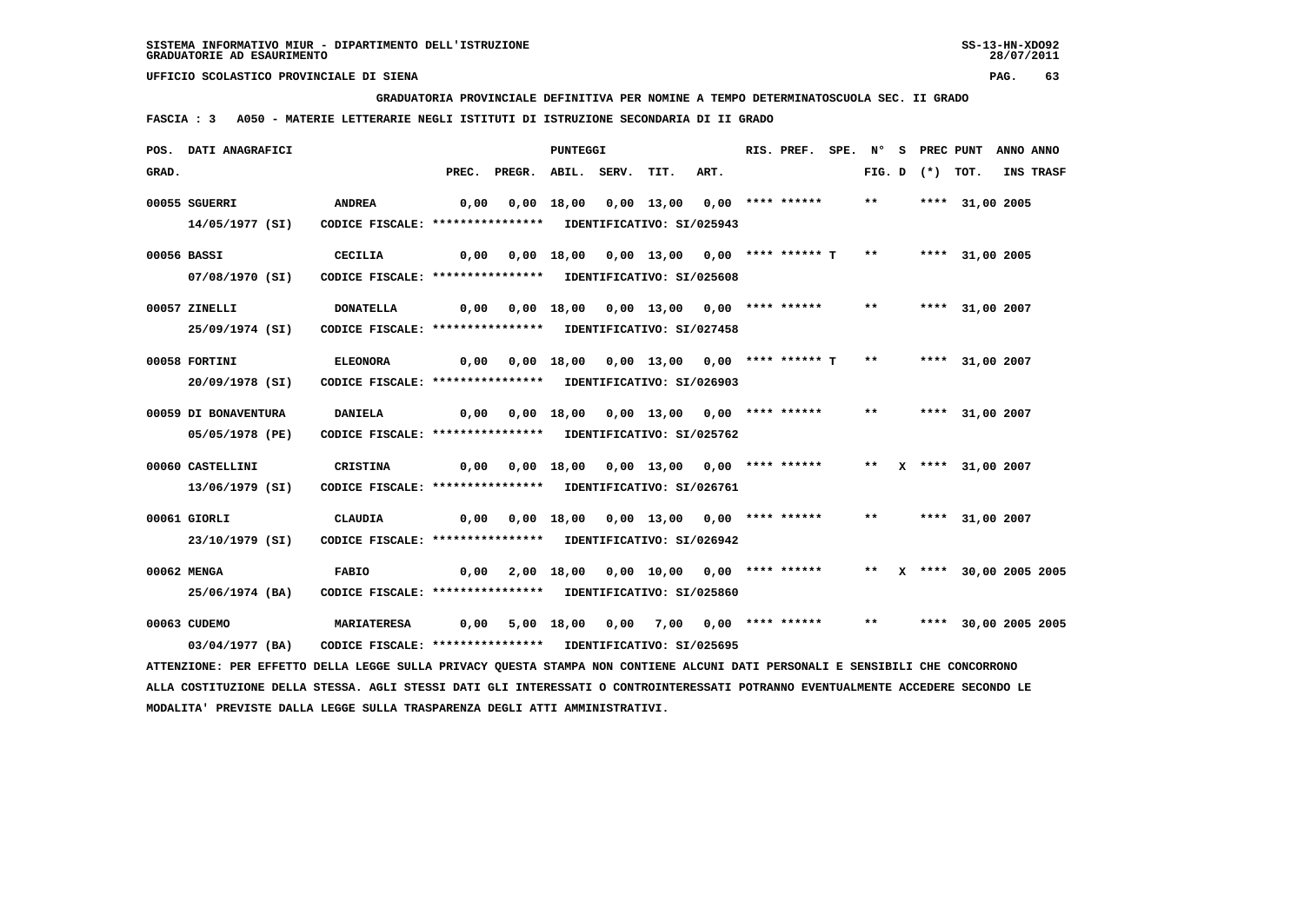**GRADUATORIA PROVINCIALE DEFINITIVA PER NOMINE A TEMPO DETERMINATOSCUOLA SEC. II GRADO**

 **FASCIA : 3 A050 - MATERIE LETTERARIE NEGLI ISTITUTI DI ISTRUZIONE SECONDARIA DI II GRADO**

|       | POS. DATI ANAGRAFICI                                                                                                            |                                                            |       |                                                    | PUNTEGGI |                                          |      | RIS. PREF. | SPE. N° |                   | S PREC PUNT            | ANNO ANNO |
|-------|---------------------------------------------------------------------------------------------------------------------------------|------------------------------------------------------------|-------|----------------------------------------------------|----------|------------------------------------------|------|------------|---------|-------------------|------------------------|-----------|
| GRAD. |                                                                                                                                 |                                                            | PREC. | PREGR. ABIL. SERV.                                 |          | TIT.                                     | ART. |            |         | FIG. D $(*)$ TOT. |                        | INS TRASF |
|       | 00055 SGUERRI                                                                                                                   | <b>ANDREA</b>                                              | 0,00  |                                                    |          | $0,00$ 18,00 0,00 13,00 0,00 **** ****** |      |            | $***$   |                   | **** 31,00 2005        |           |
|       | 14/05/1977 (SI)                                                                                                                 | CODICE FISCALE: **************** IDENTIFICATIVO: SI/025943 |       |                                                    |          |                                          |      |            |         |                   |                        |           |
|       | 00056 BASSI                                                                                                                     | <b>CECILIA</b>                                             | 0,00  |                                                    |          | 0,00 18,00 0,00 13,00 0,00 **** ****** T |      |            | $***$   |                   | **** 31,00 2005        |           |
|       | 07/08/1970 (SI)                                                                                                                 | CODICE FISCALE: **************** IDENTIFICATIVO: SI/025608 |       |                                                    |          |                                          |      |            |         |                   |                        |           |
|       | 00057 ZINELLI                                                                                                                   | <b>DONATELLA</b>                                           |       | 0,00  0,00  18,00  0,00  13,00  0,00  ****  ****** |          |                                          |      |            | $***$   |                   | **** 31,00 2007        |           |
|       | 25/09/1974 (SI)                                                                                                                 | CODICE FISCALE: **************** IDENTIFICATIVO: SI/027458 |       |                                                    |          |                                          |      |            |         |                   |                        |           |
|       | 00058 FORTINI                                                                                                                   | <b>ELEONORA</b>                                            | 0,00  |                                                    |          | 0,00 18,00 0,00 13,00 0,00 **** ****** T |      |            | $***$   |                   | **** 31,00 2007        |           |
|       | 20/09/1978 (SI)                                                                                                                 | CODICE FISCALE: **************** IDENTIFICATIVO: SI/026903 |       |                                                    |          |                                          |      |            |         |                   |                        |           |
|       | 00059 DI BONAVENTURA                                                                                                            | <b>DANIELA</b>                                             | 0,00  |                                                    |          | 0,00 18,00 0,00 13,00 0,00 **** ******   |      |            | $***$   |                   | **** 31,00 2007        |           |
|       | 05/05/1978 (PE)                                                                                                                 | CODICE FISCALE: **************** IDENTIFICATIVO: SI/025762 |       |                                                    |          |                                          |      |            |         |                   |                        |           |
|       | 00060 CASTELLINI                                                                                                                | CRISTINA                                                   | 0,00  |                                                    |          | 0,00 18,00 0,00 13,00 0,00 **** ******   |      |            | $***$   |                   | X **** 31,00 2007      |           |
|       | 13/06/1979 (SI)                                                                                                                 | CODICE FISCALE: **************** IDENTIFICATIVO: SI/026761 |       |                                                    |          |                                          |      |            |         |                   |                        |           |
|       | 00061 GIORLI                                                                                                                    | <b>CLAUDIA</b>                                             |       | $0,00$ $0,00$ $18,00$ $0,00$ $13,00$ $0,00$ $***$  |          |                                          |      |            | $***$   |                   | **** 31,00 2007        |           |
|       | 23/10/1979 (SI)                                                                                                                 | CODICE FISCALE: **************** IDENTIFICATIVO: SI/026942 |       |                                                    |          |                                          |      |            |         |                   |                        |           |
|       | 00062 MENGA                                                                                                                     | <b>FABIO</b>                                               | 0,00  |                                                    |          | 2,00 18,00 0,00 10,00 0,00 **** ******   |      |            | $***$   |                   | X **** 30,00 2005 2005 |           |
|       | 25/06/1974 (BA)                                                                                                                 | CODICE FISCALE: **************** IDENTIFICATIVO: SI/025860 |       |                                                    |          |                                          |      |            |         |                   |                        |           |
|       | 00063 CUDEMO                                                                                                                    | <b>MARIATERESA</b>                                         | 0,00  |                                                    |          | 5,00 18,00 0,00 7,00 0,00 **** ******    |      |            | $***$   |                   | **** 30,00 2005 2005   |           |
|       | 03/04/1977 (BA)                                                                                                                 | CODICE FISCALE: **************** IDENTIFICATIVO: SI/025695 |       |                                                    |          |                                          |      |            |         |                   |                        |           |
|       | ATTENZIONE: PER EFFETTO DELLA LEGGE SULLA PRIVACY QUESTA STAMPA NON CONTIENE ALCUNI DATI PERSONALI E SENSIBILI CHE CONCORRONO   |                                                            |       |                                                    |          |                                          |      |            |         |                   |                        |           |
|       | ALLA COSTITUZIONE DELLA STESSA. AGLI STESSI DATI GLI INTERESSATI O CONTROINTERESSATI POTRANNO EVENTUALMENTE ACCEDERE SECONDO LE |                                                            |       |                                                    |          |                                          |      |            |         |                   |                        |           |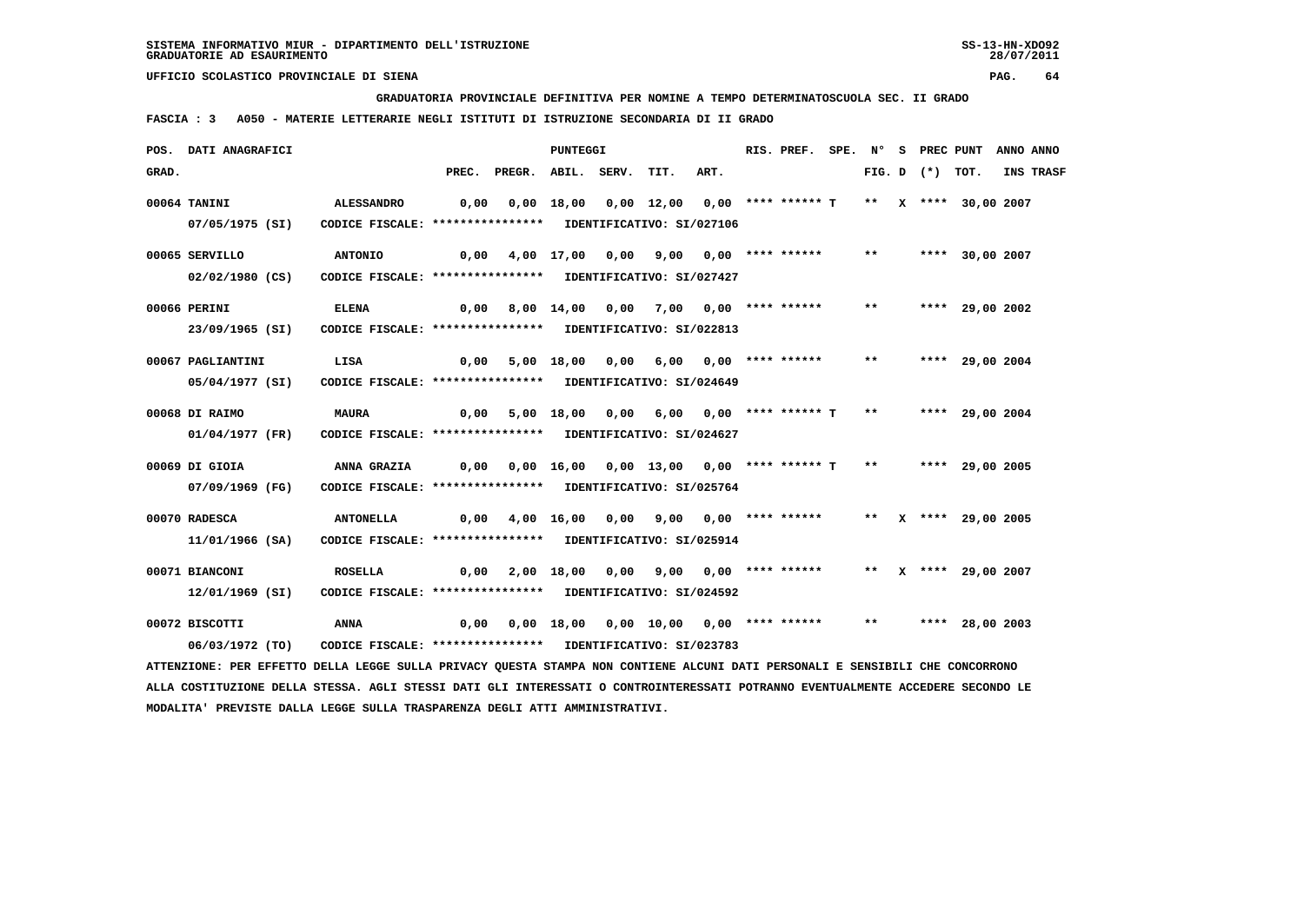**GRADUATORIA PROVINCIALE DEFINITIVA PER NOMINE A TEMPO DETERMINATOSCUOLA SEC. II GRADO**

 **FASCIA : 3 A050 - MATERIE LETTERARIE NEGLI ISTITUTI DI ISTRUZIONE SECONDARIA DI II GRADO**

|       | POS. DATI ANAGRAFICI                                                                                                          |                                                            |      |                                                                                | PUNTEGGI |                                                               |      | RIS. PREF. |       |                   | SPE. N° S PREC PUNT | ANNO ANNO |
|-------|-------------------------------------------------------------------------------------------------------------------------------|------------------------------------------------------------|------|--------------------------------------------------------------------------------|----------|---------------------------------------------------------------|------|------------|-------|-------------------|---------------------|-----------|
| GRAD. |                                                                                                                               |                                                            |      | PREC. PREGR. ABIL. SERV.                                                       |          | TIT.                                                          | ART. |            |       | FIG. D $(*)$ TOT. |                     | INS TRASF |
|       | 00064 TANINI                                                                                                                  | <b>ALESSANDRO</b>                                          |      | $0,00$ $0,00$ $18,00$ $0,00$ $12,00$ $0,00$ **** ****** T ** X **** 30,00 2007 |          |                                                               |      |            |       |                   |                     |           |
|       | 07/05/1975 (SI)                                                                                                               | CODICE FISCALE: **************** IDENTIFICATIVO: SI/027106 |      |                                                                                |          |                                                               |      |            |       |                   |                     |           |
|       | 00065 SERVILLO                                                                                                                | <b>ANTONIO</b>                                             | 0,00 |                                                                                |          | 4,00 17,00 0,00 9,00 0,00 **** ******                         |      |            | $***$ |                   | **** 30,00 2007     |           |
|       | $02/02/1980$ (CS)                                                                                                             | CODICE FISCALE: **************** IDENTIFICATIVO: SI/027427 |      |                                                                                |          |                                                               |      |            |       |                   |                     |           |
|       | 00066 PERINI                                                                                                                  | <b>ELENA</b>                                               | 0,00 |                                                                                |          | 8,00 14,00 0,00 7,00 0,00 **** ******                         |      |            | $***$ |                   | **** 29,00 2002     |           |
|       | 23/09/1965 (SI)                                                                                                               | CODICE FISCALE: **************** IDENTIFICATIVO: SI/022813 |      |                                                                                |          |                                                               |      |            |       |                   |                     |           |
|       | 00067 PAGLIANTINI                                                                                                             | LISA                                                       |      | $0,00$ 5,00 18,00 0,00 6,00 0,00 **** ****** **                                |          |                                                               |      |            |       |                   | **** 29,00 2004     |           |
|       | 05/04/1977 (SI)                                                                                                               | CODICE FISCALE: **************** IDENTIFICATIVO: SI/024649 |      |                                                                                |          |                                                               |      |            |       |                   |                     |           |
|       | 00068 DI RAIMO                                                                                                                | <b>MAURA</b>                                               | 0,00 |                                                                                |          | 5,00 18,00 0,00 6,00 0,00 **** ****** T ** ***** 29,00 2004   |      |            |       |                   |                     |           |
|       | 01/04/1977 (FR)                                                                                                               | CODICE FISCALE: **************** IDENTIFICATIVO: SI/024627 |      |                                                                                |          |                                                               |      |            |       |                   |                     |           |
|       | 00069 DI GIOIA                                                                                                                | <b>ANNA GRAZIA</b>                                         |      | $0,00$ $0,00$ $16,00$ $0,00$ $13,00$ $0,00$ $***$ **** ***** T                 |          |                                                               |      |            | $***$ |                   | **** 29,00 2005     |           |
|       | 07/09/1969 (FG)                                                                                                               | CODICE FISCALE: **************** IDENTIFICATIVO: SI/025764 |      |                                                                                |          |                                                               |      |            |       |                   |                     |           |
|       | 00070 RADESCA                                                                                                                 | <b>ANTONELLA</b>                                           |      | 0,00 4,00 16,00 0,00 9,00 0,00 **** ****** ** ** ** *** 29,00 2005             |          |                                                               |      |            |       |                   |                     |           |
|       | 11/01/1966 (SA)                                                                                                               | CODICE FISCALE: **************** IDENTIFICATIVO: SI/025914 |      |                                                                                |          |                                                               |      |            |       |                   |                     |           |
|       | 00071 BIANCONI                                                                                                                | <b>ROSELLA</b>                                             | 0,00 |                                                                                |          | 2,00 18,00 0,00 9,00 0,00 **** ****** ** ** ** *** 29,00 2007 |      |            |       |                   |                     |           |
|       | 12/01/1969 (SI)                                                                                                               | CODICE FISCALE: **************** IDENTIFICATIVO: SI/024592 |      |                                                                                |          |                                                               |      |            |       |                   |                     |           |
|       | 00072 BISCOTTI                                                                                                                | ANNA                                                       | 0,00 |                                                                                |          | 0,00 18,00 0,00 10,00 0,00 **** ******                        |      |            |       |                   | ** **** 28,00 2003  |           |
|       | 06/03/1972 (TO)                                                                                                               | CODICE FISCALE: **************** IDENTIFICATIVO: SI/023783 |      |                                                                                |          |                                                               |      |            |       |                   |                     |           |
|       | ATTENZIONE: PER EFFETTO DELLA LEGGE SULLA PRIVACY QUESTA STAMPA NON CONTIENE ALCUNI DATI PERSONALI E SENSIBILI CHE CONCORRONO |                                                            |      |                                                                                |          |                                                               |      |            |       |                   |                     |           |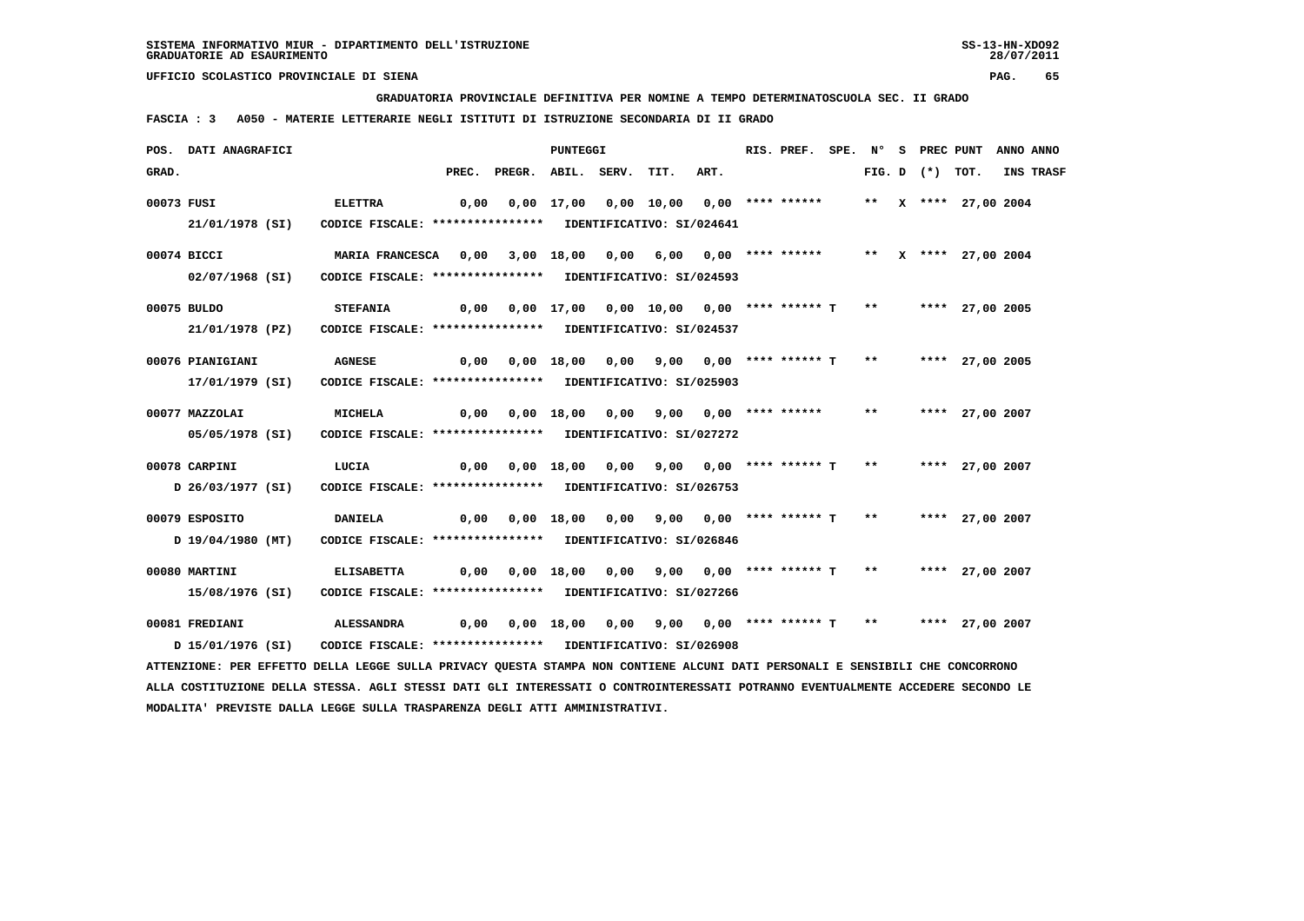**GRADUATORIA PROVINCIALE DEFINITIVA PER NOMINE A TEMPO DETERMINATOSCUOLA SEC. II GRADO**

 **FASCIA : 3 A050 - MATERIE LETTERARIE NEGLI ISTITUTI DI ISTRUZIONE SECONDARIA DI II GRADO**

|            | POS. DATI ANAGRAFICI                                                                                                          |                                                            |                                                                   | PUNTEGGI |                                       |      | RIS. PREF. |  |                   | SPE. N° S PREC PUNT  | ANNO ANNO |
|------------|-------------------------------------------------------------------------------------------------------------------------------|------------------------------------------------------------|-------------------------------------------------------------------|----------|---------------------------------------|------|------------|--|-------------------|----------------------|-----------|
| GRAD.      |                                                                                                                               |                                                            | PREC. PREGR. ABIL. SERV.                                          |          | TIT.                                  | ART. |            |  | FIG. D $(*)$ TOT. |                      | INS TRASF |
| 00073 FUSI |                                                                                                                               | <b>ELETTRA</b>                                             |                                                                   |          |                                       |      |            |  |                   | ** X **** 27,00 2004 |           |
|            | 21/01/1978 (SI)                                                                                                               | CODICE FISCALE: **************** IDENTIFICATIVO: SI/024641 |                                                                   |          |                                       |      |            |  |                   |                      |           |
|            | 00074 BICCI                                                                                                                   | MARIA FRANCESCA 0,00                                       |                                                                   |          | 3,00 18,00 0,00 6,00 0,00 **** ****** |      |            |  |                   | ** X **** 27,00 2004 |           |
|            | 02/07/1968 (SI)                                                                                                               | CODICE FISCALE: **************** IDENTIFICATIVO: SI/024593 |                                                                   |          |                                       |      |            |  |                   |                      |           |
|            | 00075 BULDO                                                                                                                   | <b>STEFANIA</b>                                            | 0,00 0,00 17,00 0,00 10,00 0,00 **** ****** T ** ***** 27,00 2005 |          |                                       |      |            |  |                   |                      |           |
|            | 21/01/1978 (PZ)                                                                                                               | CODICE FISCALE: **************** IDENTIFICATIVO: SI/024537 |                                                                   |          |                                       |      |            |  |                   |                      |           |
|            | 00076 PIANIGIANI                                                                                                              | <b>AGNESE</b>                                              | 0,00 0,00 18,00 0,00 9,00 0,00 **** ****** T ** ***** 27,00 2005  |          |                                       |      |            |  |                   |                      |           |
|            | 17/01/1979 (SI)                                                                                                               | CODICE FISCALE: **************** IDENTIFICATIVO: SI/025903 |                                                                   |          |                                       |      |            |  |                   |                      |           |
|            | 00077 MAZZOLAI                                                                                                                | <b>MICHELA</b>                                             | 0,00 0,00 18,00 0,00 9,00 0,00 **** ****** **                     |          |                                       |      |            |  |                   | **** 27,00 2007      |           |
|            | 05/05/1978 (SI)                                                                                                               | CODICE FISCALE: **************** IDENTIFICATIVO: SI/027272 |                                                                   |          |                                       |      |            |  |                   |                      |           |
|            | 00078 CARPINI                                                                                                                 | LUCIA                                                      | 0,00 0,00 18,00 0,00 9,00 0,00 **** ****** T ** ***** 27,00 2007  |          |                                       |      |            |  |                   |                      |           |
|            | D 26/03/1977 (SI)                                                                                                             | CODICE FISCALE: **************** IDENTIFICATIVO: SI/026753 |                                                                   |          |                                       |      |            |  |                   |                      |           |
|            | 00079 ESPOSITO                                                                                                                | <b>DANIELA</b>                                             | 0,00 0,00 18,00 0,00 9,00 0,00 **** ****** T ** ***** 27,00 2007  |          |                                       |      |            |  |                   |                      |           |
|            | D 19/04/1980 (MT)                                                                                                             | CODICE FISCALE: **************** IDENTIFICATIVO: SI/026846 |                                                                   |          |                                       |      |            |  |                   |                      |           |
|            | 00080 MARTINI                                                                                                                 | <b>ELISABETTA</b>                                          | $0,00$ $0,00$ $18,00$ $0,00$ $9,00$ $0,00$ $***$ **** ***** T **  |          |                                       |      |            |  |                   | **** 27,00 2007      |           |
|            | 15/08/1976 (SI)                                                                                                               | CODICE FISCALE: **************** IDENTIFICATIVO: SI/027266 |                                                                   |          |                                       |      |            |  |                   |                      |           |
|            | 00081 FREDIANI                                                                                                                | <b>ALESSANDRA</b>                                          | 0,00 0,00 18,00 0,00 9,00 0,00 **** ****** T ** ***** 27,00 2007  |          |                                       |      |            |  |                   |                      |           |
|            | D 15/01/1976 (SI)                                                                                                             | CODICE FISCALE: **************** IDENTIFICATIVO: SI/026908 |                                                                   |          |                                       |      |            |  |                   |                      |           |
|            | ATTENZIONE: PER EFFETTO DELLA LEGGE SULLA PRIVACY QUESTA STAMPA NON CONTIENE ALCUNI DATI PERSONALI E SENSIBILI CHE CONCORRONO |                                                            |                                                                   |          |                                       |      |            |  |                   |                      |           |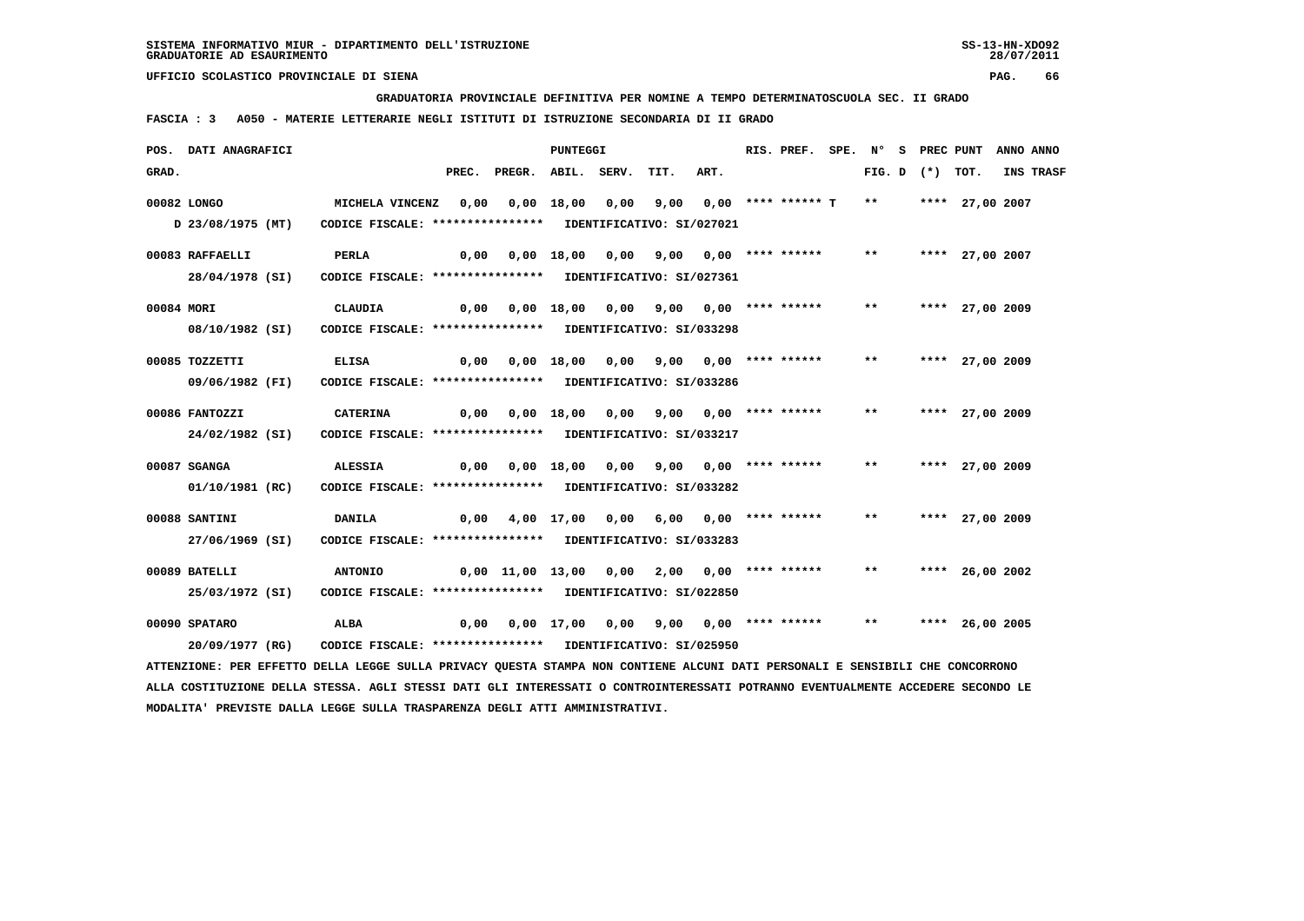**GRADUATORIA PROVINCIALE DEFINITIVA PER NOMINE A TEMPO DETERMINATOSCUOLA SEC. II GRADO**

 **FASCIA : 3 A050 - MATERIE LETTERARIE NEGLI ISTITUTI DI ISTRUZIONE SECONDARIA DI II GRADO**

|            | POS. DATI ANAGRAFICI                                                                                                          |                                                                 |      |                                                   | PUNTEGGI |                                       |      | RIS. PREF. |       |                   | SPE. N° S PREC PUNT ANNO ANNO |           |
|------------|-------------------------------------------------------------------------------------------------------------------------------|-----------------------------------------------------------------|------|---------------------------------------------------|----------|---------------------------------------|------|------------|-------|-------------------|-------------------------------|-----------|
| GRAD.      |                                                                                                                               |                                                                 |      | PREC. PREGR. ABIL. SERV.                          |          | TIT.                                  | ART. |            |       | FIG. D $(*)$ TOT. |                               | INS TRASF |
|            | 00082 LONGO                                                                                                                   | MICHELA VINCENZ 0,00 0,00 18,00 0,00 9,00 0,00 **** ****** T ** |      |                                                   |          |                                       |      |            |       |                   | **** 27,00 2007               |           |
|            |                                                                                                                               |                                                                 |      |                                                   |          |                                       |      |            |       |                   |                               |           |
|            | D 23/08/1975 (MT)                                                                                                             | CODICE FISCALE: **************** IDENTIFICATIVO: SI/027021      |      |                                                   |          |                                       |      |            |       |                   |                               |           |
|            | 00083 RAFFAELLI                                                                                                               | PERLA                                                           | 0,00 |                                                   |          | 0,00 18,00 0,00 9,00 0,00 **** ****** |      |            | $***$ |                   | **** 27,00 2007               |           |
|            | 28/04/1978 (SI)                                                                                                               | CODICE FISCALE: **************** IDENTIFICATIVO: SI/027361      |      |                                                   |          |                                       |      |            |       |                   |                               |           |
|            |                                                                                                                               |                                                                 |      |                                                   |          |                                       |      |            |       |                   |                               |           |
| 00084 MORI |                                                                                                                               | CLAUDIA                                                         |      | 0,00  0,00  18,00  0,00  9,00  0,00  ****  ****** |          |                                       |      |            | $***$ |                   | **** 27,00 2009               |           |
|            | 08/10/1982 (SI)                                                                                                               | CODICE FISCALE: **************** IDENTIFICATIVO: SI/033298      |      |                                                   |          |                                       |      |            |       |                   |                               |           |
|            | 00085 TOZZETTI                                                                                                                | <b>ELISA</b>                                                    |      | 0,00 0,00 18,00 0,00 9,00 0,00 **** ****** **     |          |                                       |      |            |       |                   | **** 27,00 2009               |           |
|            | 09/06/1982 (FI)                                                                                                               | CODICE FISCALE: **************** IDENTIFICATIVO: SI/033286      |      |                                                   |          |                                       |      |            |       |                   |                               |           |
|            |                                                                                                                               |                                                                 |      |                                                   |          |                                       |      |            |       |                   |                               |           |
|            | 00086 FANTOZZI                                                                                                                | CATERINA                                                        |      |                                                   |          |                                       |      |            | $***$ |                   | **** 27,00 2009               |           |
|            | 24/02/1982 (SI)                                                                                                               | CODICE FISCALE: **************** IDENTIFICATIVO: SI/033217      |      |                                                   |          |                                       |      |            |       |                   |                               |           |
|            |                                                                                                                               |                                                                 |      |                                                   |          |                                       |      |            |       |                   |                               |           |
|            | 00087 SGANGA                                                                                                                  | <b>ALESSIA</b>                                                  | 0,00 |                                                   |          | 0,00 18,00 0,00 9,00 0,00 **** ****** |      |            | $***$ |                   | **** 27,00 2009               |           |
|            | 01/10/1981 (RC)                                                                                                               | CODICE FISCALE: **************** IDENTIFICATIVO: SI/033282      |      |                                                   |          |                                       |      |            |       |                   |                               |           |
|            | 00088 SANTINI                                                                                                                 | <b>DANILA</b>                                                   |      | $0,00$ 4,00 17,00 0,00 6,00 0,00 **** ****** **   |          |                                       |      |            |       |                   | **** 27,00 2009               |           |
|            | 27/06/1969 (SI)                                                                                                               | CODICE FISCALE: **************** IDENTIFICATIVO: SI/033283      |      |                                                   |          |                                       |      |            |       |                   |                               |           |
|            |                                                                                                                               |                                                                 |      |                                                   |          |                                       |      |            |       |                   |                               |           |
|            | 00089 BATELLI                                                                                                                 | <b>ANTONIO</b>                                                  |      |                                                   |          |                                       |      |            | $***$ |                   | **** 26,00 2002               |           |
|            | 25/03/1972 (SI)                                                                                                               | CODICE FISCALE: **************** IDENTIFICATIVO: SI/022850      |      |                                                   |          |                                       |      |            |       |                   |                               |           |
|            |                                                                                                                               |                                                                 |      |                                                   |          |                                       |      |            |       |                   |                               |           |
|            | 00090 SPATARO                                                                                                                 | ALBA                                                            | 0,00 |                                                   |          | 0,00 17,00 0,00 9,00 0,00 **** ****** |      |            | $***$ |                   | **** 26,00 2005               |           |
|            | 20/09/1977 (RG)                                                                                                               | CODICE FISCALE: **************** IDENTIFICATIVO: SI/025950      |      |                                                   |          |                                       |      |            |       |                   |                               |           |
|            | ATTENZIONE: PER EFFETTO DELLA LEGGE SULLA PRIVACY QUESTA STAMPA NON CONTIENE ALCUNI DATI PERSONALI E SENSIBILI CHE CONCORRONO |                                                                 |      |                                                   |          |                                       |      |            |       |                   |                               |           |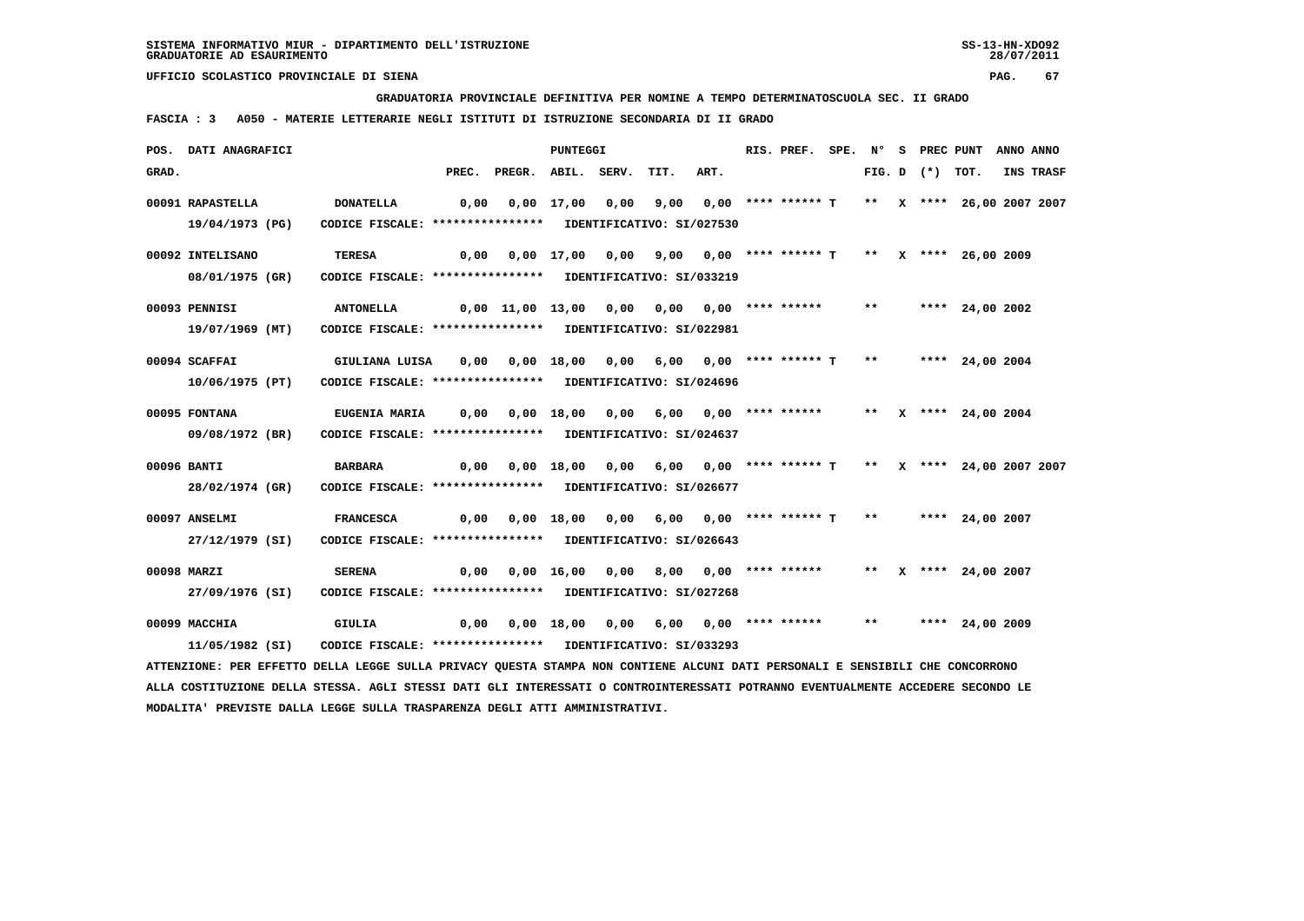**GRADUATORIA PROVINCIALE DEFINITIVA PER NOMINE A TEMPO DETERMINATOSCUOLA SEC. II GRADO**

 **FASCIA : 3 A050 - MATERIE LETTERARIE NEGLI ISTITUTI DI ISTRUZIONE SECONDARIA DI II GRADO**

|       | POS. DATI ANAGRAFICI                                                                                                          |                                                                                 |                                                                          |                                                                              | PUNTEGGI |                                                              |      | RIS. PREF. SPE. N° S PREC PUNT |  |                   |                      | ANNO ANNO |
|-------|-------------------------------------------------------------------------------------------------------------------------------|---------------------------------------------------------------------------------|--------------------------------------------------------------------------|------------------------------------------------------------------------------|----------|--------------------------------------------------------------|------|--------------------------------|--|-------------------|----------------------|-----------|
| GRAD. |                                                                                                                               |                                                                                 |                                                                          | PREC. PREGR. ABIL. SERV.                                                     |          | TIT.                                                         | ART. |                                |  | FIG. D $(*)$ TOT. |                      | INS TRASF |
|       | 00091 RAPASTELLA                                                                                                              | <b>DONATELLA</b>                                                                | 0,00 0,00 17,00 0,00 9,00 0,00 **** ****** T  **  x **** 26,00 2007 2007 |                                                                              |          |                                                              |      |                                |  |                   |                      |           |
|       | 19/04/1973 (PG)                                                                                                               | CODICE FISCALE: **************** IDENTIFICATIVO: SI/027530                      |                                                                          |                                                                              |          |                                                              |      |                                |  |                   |                      |           |
|       | 00092 INTELISANO                                                                                                              | <b>TERESA</b>                                                                   | 0,00                                                                     |                                                                              |          | 0,00 17,00 0,00 9,00 0,00 **** ****** T ** X **** 26,00 2009 |      |                                |  |                   |                      |           |
|       | 08/01/1975 (GR)                                                                                                               | CODICE FISCALE: **************** IDENTIFICATIVO: SI/033219                      |                                                                          |                                                                              |          |                                                              |      |                                |  |                   |                      |           |
|       | 00093 PENNISI                                                                                                                 | <b>ANTONELLA</b>                                                                |                                                                          | $0,00$ 11,00 13,00 0,00 0,00 0,00 **** ****** ** **** 24,00 2002             |          |                                                              |      |                                |  |                   |                      |           |
|       | 19/07/1969 (MT)                                                                                                               | CODICE FISCALE: **************** IDENTIFICATIVO: SI/022981                      |                                                                          |                                                                              |          |                                                              |      |                                |  |                   |                      |           |
|       | 00094 SCAFFAI                                                                                                                 | GIULIANA LUISA 0,00 0,00 18,00 0,00 6,00 0,00 **** ****** T ** ***** 24,00 2004 |                                                                          |                                                                              |          |                                                              |      |                                |  |                   |                      |           |
|       | 10/06/1975 (PT)                                                                                                               | CODICE FISCALE: **************** IDENTIFICATIVO: SI/024696                      |                                                                          |                                                                              |          |                                                              |      |                                |  |                   |                      |           |
|       | 00095 FONTANA                                                                                                                 | <b>EUGENIA MARIA</b>                                                            | 0,00                                                                     |                                                                              |          | 0,00 18,00 0,00 6,00 0,00 **** ****** ** X **** 24,00 2004   |      |                                |  |                   |                      |           |
|       | 09/08/1972 (BR)                                                                                                               | CODICE FISCALE: **************** IDENTIFICATIVO: SI/024637                      |                                                                          |                                                                              |          |                                                              |      |                                |  |                   |                      |           |
|       | 00096 BANTI                                                                                                                   | BARBARA                                                                         |                                                                          | 0,00 0,00 18,00 0,00 6,00 0,00 **** ****** T ** X **** 24,00 2007 2007       |          |                                                              |      |                                |  |                   |                      |           |
|       | 28/02/1974 (GR)                                                                                                               | CODICE FISCALE: **************** IDENTIFICATIVO: SI/026677                      |                                                                          |                                                                              |          |                                                              |      |                                |  |                   |                      |           |
|       | 00097 ANSELMI                                                                                                                 | <b>FRANCESCA</b>                                                                |                                                                          | $0,00$ $0,00$ $18,00$ $0,00$ $6,00$ $0,00$ **** ****** T ** ***** 24,00 2007 |          |                                                              |      |                                |  |                   |                      |           |
|       | 27/12/1979 (SI)                                                                                                               | CODICE FISCALE: **************** IDENTIFICATIVO: SI/026643                      |                                                                          |                                                                              |          |                                                              |      |                                |  |                   |                      |           |
|       | 00098 MARZI                                                                                                                   | <b>SERENA</b>                                                                   |                                                                          | 0,00  0,00  16,00  0,00  8,00  0,00  ****  ******                            |          |                                                              |      |                                |  |                   | ** X **** 24,00 2007 |           |
|       | 27/09/1976 (SI)                                                                                                               | CODICE FISCALE: **************** IDENTIFICATIVO: SI/027268                      |                                                                          |                                                                              |          |                                                              |      |                                |  |                   |                      |           |
|       | 00099 MACCHIA                                                                                                                 | GIULIA                                                                          |                                                                          | $0,00$ $0,00$ $18,00$ $0,00$ $6,00$ $0,00$ $***$ **** ****** **              |          |                                                              |      |                                |  |                   | **** 24,00 2009      |           |
|       | 11/05/1982 (SI)                                                                                                               | CODICE FISCALE: **************** IDENTIFICATIVO: SI/033293                      |                                                                          |                                                                              |          |                                                              |      |                                |  |                   |                      |           |
|       | ATTENZIONE: PER EFFETTO DELLA LEGGE SULLA PRIVACY QUESTA STAMPA NON CONTIENE ALCUNI DATI PERSONALI E SENSIBILI CHE CONCORRONO |                                                                                 |                                                                          |                                                                              |          |                                                              |      |                                |  |                   |                      |           |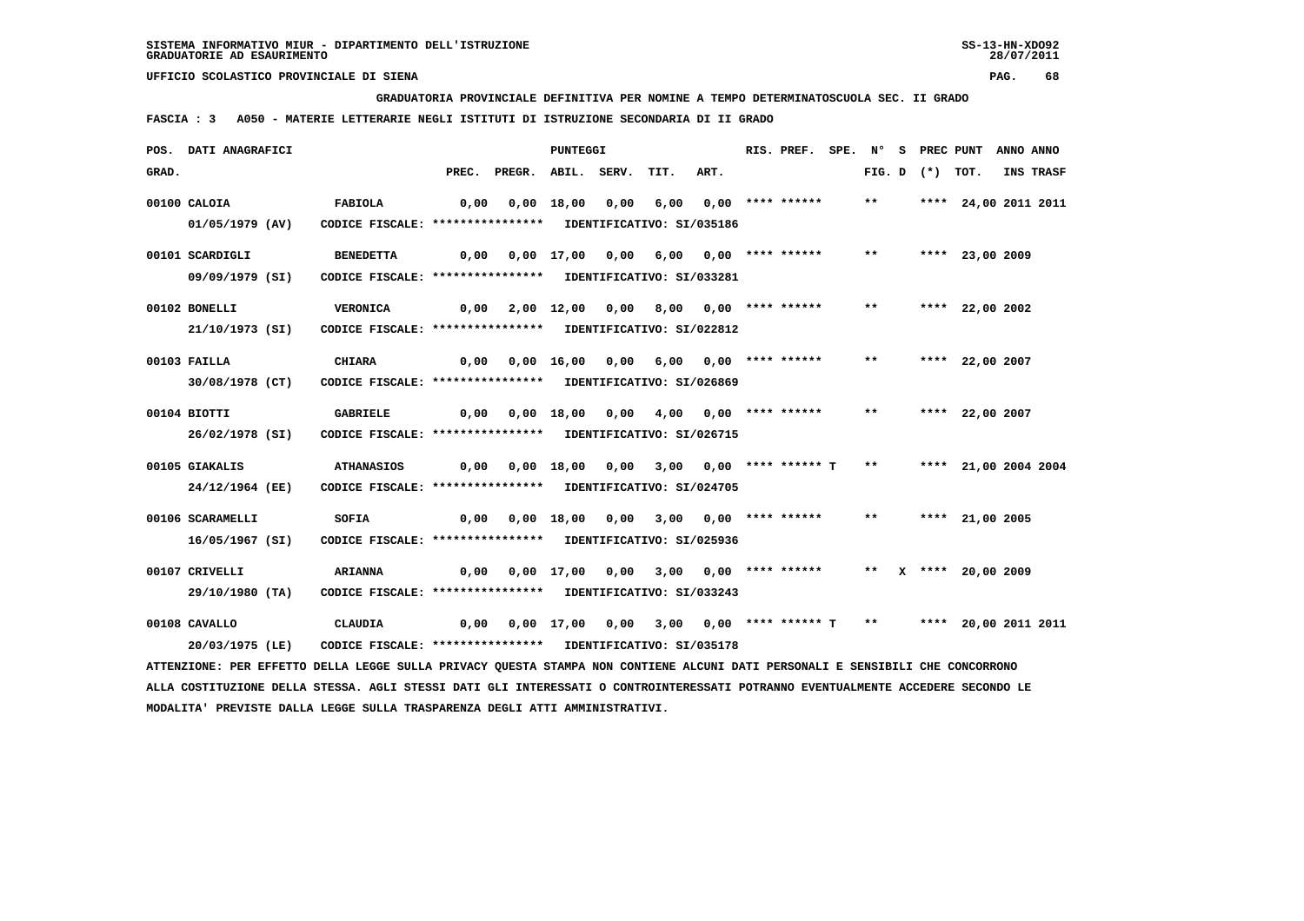**GRADUATORIA PROVINCIALE DEFINITIVA PER NOMINE A TEMPO DETERMINATOSCUOLA SEC. II GRADO**

 **FASCIA : 3 A050 - MATERIE LETTERARIE NEGLI ISTITUTI DI ISTRUZIONE SECONDARIA DI II GRADO**

|       | POS. DATI ANAGRAFICI                                                                                                            |                                                            |       |                                                                  | <b>PUNTEGGI</b> |      |                                         |                                 | RIS. PREF.         | SPE. N° |                   | S PREC PUNT          | ANNO ANNO |
|-------|---------------------------------------------------------------------------------------------------------------------------------|------------------------------------------------------------|-------|------------------------------------------------------------------|-----------------|------|-----------------------------------------|---------------------------------|--------------------|---------|-------------------|----------------------|-----------|
| GRAD. |                                                                                                                                 |                                                            | PREC. | PREGR. ABIL. SERV.                                               |                 |      | TIT.                                    | ART.                            |                    |         | FIG. D $(*)$ TOT. |                      | INS TRASF |
|       | 00100 CALOIA                                                                                                                    | <b>FABIOLA</b>                                             | 0,00  |                                                                  | $0.00$ 18,00    | 0,00 | 6,00                                    |                                 | $0.00$ **** ****** | $***$   |                   | **** 24,00 2011 2011 |           |
|       | $01/05/1979$ (AV)                                                                                                               | CODICE FISCALE: **************** IDENTIFICATIVO: SI/035186 |       |                                                                  |                 |      |                                         |                                 |                    |         |                   |                      |           |
|       |                                                                                                                                 |                                                            |       |                                                                  |                 |      |                                         |                                 |                    |         |                   |                      |           |
|       | 00101 SCARDIGLI                                                                                                                 | <b>BENEDETTA</b>                                           |       | $0,00$ $0,00$ $17,00$ $0,00$                                     |                 |      | 6,00 0,00 **** ******                   |                                 |                    | $***$   |                   | **** 23,00 2009      |           |
|       | 09/09/1979 (SI)                                                                                                                 | CODICE FISCALE: **************** IDENTIFICATIVO: SI/033281 |       |                                                                  |                 |      |                                         |                                 |                    |         |                   |                      |           |
|       | 00102 BONELLI                                                                                                                   | <b>VERONICA</b>                                            | 0,00  |                                                                  | 2,00 12,00      | 0,00 |                                         | $8,00$ $0,00$ $***$ **** ****** |                    | $***$   |                   | **** 22,00 2002      |           |
|       | 21/10/1973 (SI)                                                                                                                 | CODICE FISCALE: **************** IDENTIFICATIVO: SI/022812 |       |                                                                  |                 |      |                                         |                                 |                    |         |                   |                      |           |
|       |                                                                                                                                 |                                                            |       |                                                                  |                 |      |                                         |                                 |                    |         |                   |                      |           |
|       | 00103 FAILLA                                                                                                                    | <b>CHIARA</b>                                              | 0,00  |                                                                  |                 |      | 0,00 16,00 0,00 6,00 0,00 **** ******   |                                 |                    | **      |                   | **** 22,00 2007      |           |
|       | 30/08/1978 (CT)                                                                                                                 | CODICE FISCALE: **************** IDENTIFICATIVO: SI/026869 |       |                                                                  |                 |      |                                         |                                 |                    |         |                   |                      |           |
|       | 00104 BIOTTI                                                                                                                    | <b>GABRIELE</b>                                            | 0,00  |                                                                  | 0,00 18,00 0,00 |      | 4,00 0,00 **** ******                   |                                 |                    | $***$   |                   | **** 22,00 2007      |           |
|       | 26/02/1978 (SI)                                                                                                                 | CODICE FISCALE: **************** IDENTIFICATIVO: SI/026715 |       |                                                                  |                 |      |                                         |                                 |                    |         |                   |                      |           |
|       |                                                                                                                                 |                                                            |       |                                                                  |                 |      |                                         |                                 |                    |         |                   |                      |           |
|       | 00105 GIAKALIS                                                                                                                  | <b>ATHANASIOS</b>                                          |       | $0,00$ $0,00$ $18,00$ $0,00$ $3,00$ $0,00$ $***$ **** ***** T    |                 |      |                                         |                                 |                    | $* *$   |                   | **** 21,00 2004 2004 |           |
|       | 24/12/1964 (EE)                                                                                                                 | CODICE FISCALE: **************** IDENTIFICATIVO: SI/024705 |       |                                                                  |                 |      |                                         |                                 |                    |         |                   |                      |           |
|       | 00106 SCARAMELLI                                                                                                                | SOFIA                                                      | 0,00  |                                                                  | 0,00 18,00      | 0,00 |                                         | $3,00$ $0,00$ **** ******       |                    | **      |                   | **** 21,00 2005      |           |
|       | 16/05/1967 (SI)                                                                                                                 | CODICE FISCALE: **************** IDENTIFICATIVO: SI/025936 |       |                                                                  |                 |      |                                         |                                 |                    |         |                   |                      |           |
|       |                                                                                                                                 |                                                            |       |                                                                  |                 |      |                                         |                                 |                    |         |                   |                      |           |
|       | 00107 CRIVELLI                                                                                                                  | <b>ARIANNA</b>                                             | 0,00  |                                                                  |                 |      | $0,00$ 17,00 0,00 3,00 0,00 **** ****** |                                 |                    |         |                   | ** X **** 20,00 2009 |           |
|       | 29/10/1980 (TA)                                                                                                                 | CODICE FISCALE: **************** IDENTIFICATIVO: SI/033243 |       |                                                                  |                 |      |                                         |                                 |                    |         |                   |                      |           |
|       | 00108 CAVALLO                                                                                                                   | <b>CLAUDIA</b>                                             |       | $0,00$ $0,00$ $17,00$ $0,00$ $3,00$ $0,00$ $***$ **** ***** T ** |                 |      |                                         |                                 |                    |         |                   | **** 20,00 2011 2011 |           |
|       | 20/03/1975 (LE)                                                                                                                 | CODICE FISCALE: **************** IDENTIFICATIVO: SI/035178 |       |                                                                  |                 |      |                                         |                                 |                    |         |                   |                      |           |
|       | ATTENZIONE: PER EFFETTO DELLA LEGGE SULLA PRIVACY QUESTA STAMPA NON CONTIENE ALCUNI DATI PERSONALI E SENSIBILI CHE CONCORRONO   |                                                            |       |                                                                  |                 |      |                                         |                                 |                    |         |                   |                      |           |
|       | ALLA COSTITUZIONE DELLA STESSA. AGLI STESSI DATI GLI INTERESSATI O CONTROINTERESSATI POTRANNO EVENTUALMENTE ACCEDERE SECONDO LE |                                                            |       |                                                                  |                 |      |                                         |                                 |                    |         |                   |                      |           |
|       | MODALITA' PREVISTE DALLA LEGGE SULLA TRASPARENZA DEGLI ATTI AMMINISTRATIVI.                                                     |                                                            |       |                                                                  |                 |      |                                         |                                 |                    |         |                   |                      |           |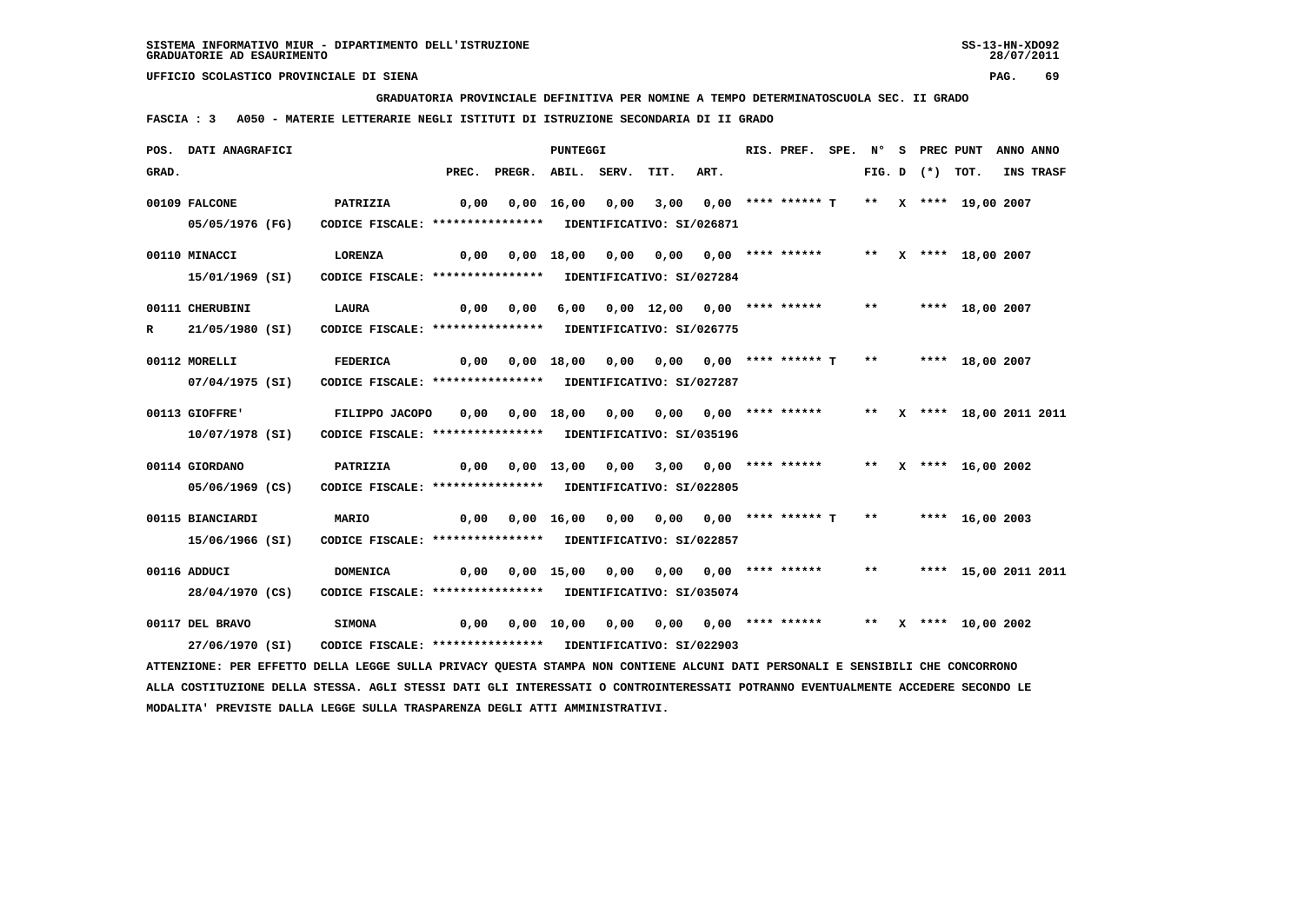**GRADUATORIA PROVINCIALE DEFINITIVA PER NOMINE A TEMPO DETERMINATOSCUOLA SEC. II GRADO**

 **FASCIA : 3 A050 - MATERIE LETTERARIE NEGLI ISTITUTI DI ISTRUZIONE SECONDARIA DI II GRADO**

|       | POS. DATI ANAGRAFICI                                                                                                          |                                                            |      |                                                                              | PUNTEGGI |                                                                    |      | RIS. PREF. SPE. Nº S PREC PUNT ANNO ANNO |  |                   |                         |           |
|-------|-------------------------------------------------------------------------------------------------------------------------------|------------------------------------------------------------|------|------------------------------------------------------------------------------|----------|--------------------------------------------------------------------|------|------------------------------------------|--|-------------------|-------------------------|-----------|
| GRAD. |                                                                                                                               |                                                            |      | PREC. PREGR. ABIL. SERV.                                                     |          | TIT.                                                               | ART. |                                          |  | FIG. D $(*)$ TOT. |                         | INS TRASF |
|       | 00109 FALCONE                                                                                                                 | <b>PATRIZIA</b>                                            | 0,00 |                                                                              |          | $0,00$ 16,00 0,00 3,00 0,00 **** ****** T ** X **** 19,00 2007     |      |                                          |  |                   |                         |           |
|       | 05/05/1976 (FG)                                                                                                               | CODICE FISCALE: **************** IDENTIFICATIVO: SI/026871 |      |                                                                              |          |                                                                    |      |                                          |  |                   |                         |           |
|       | 00110 MINACCI                                                                                                                 | LORENZA                                                    | 0,00 |                                                                              |          | 0,00 18,00 0,00 0,00 0,00 **** ******     **   x   **** 18,00 2007 |      |                                          |  |                   |                         |           |
|       | 15/01/1969 (SI)                                                                                                               | CODICE FISCALE: **************** IDENTIFICATIVO: SI/027284 |      |                                                                              |          |                                                                    |      |                                          |  |                   |                         |           |
|       | 00111 CHERUBINI                                                                                                               | LAURA                                                      |      | 0,00 0,00                                                                    |          | 6,00 0,00 12,00 0,00 **** ****** ** **** 18,00 2007                |      |                                          |  |                   |                         |           |
| R     | 21/05/1980 (SI)                                                                                                               | CODICE FISCALE: **************** IDENTIFICATIVO: SI/026775 |      |                                                                              |          |                                                                    |      |                                          |  |                   |                         |           |
|       |                                                                                                                               |                                                            |      |                                                                              |          |                                                                    |      |                                          |  |                   |                         |           |
|       | 00112 MORELLI                                                                                                                 | <b>FEDERICA</b>                                            |      |                                                                              |          |                                                                    |      |                                          |  |                   |                         |           |
|       | 07/04/1975 (SI)                                                                                                               | CODICE FISCALE: **************** IDENTIFICATIVO: SI/027287 |      |                                                                              |          |                                                                    |      |                                          |  |                   |                         |           |
|       | 00113 GIOFFRE'                                                                                                                | FILIPPO JACOPO                                             |      | 0,00 0,00 18,00 0,00 0,00 0,00 **** ****** ** ** ** *** 18,00 2011 2011      |          |                                                                    |      |                                          |  |                   |                         |           |
|       | 10/07/1978 (SI)                                                                                                               | CODICE FISCALE: **************** IDENTIFICATIVO: SI/035196 |      |                                                                              |          |                                                                    |      |                                          |  |                   |                         |           |
|       |                                                                                                                               |                                                            |      |                                                                              |          |                                                                    |      |                                          |  |                   |                         |           |
|       | 00114 GIORDANO                                                                                                                | PATRIZIA                                                   |      | 0,00 0,00 13,00 0,00 3,00 0,00 **** ****** ** X **** 16,00 2002              |          |                                                                    |      |                                          |  |                   |                         |           |
|       | 05/06/1969 (CS)                                                                                                               | CODICE FISCALE: **************** IDENTIFICATIVO: SI/022805 |      |                                                                              |          |                                                                    |      |                                          |  |                   |                         |           |
|       | 00115 BIANCIARDI                                                                                                              | <b>MARIO</b>                                               | 0,00 |                                                                              |          | $0,00$ 16,00 0,00 0,00 0,00 **** ****** T ** ***** 16,00 2003      |      |                                          |  |                   |                         |           |
|       | 15/06/1966 (SI)                                                                                                               | CODICE FISCALE: **************** IDENTIFICATIVO: SI/022857 |      |                                                                              |          |                                                                    |      |                                          |  |                   |                         |           |
|       |                                                                                                                               |                                                            |      |                                                                              |          |                                                                    |      |                                          |  |                   |                         |           |
|       | 00116 ADDUCI                                                                                                                  | DOMENICA                                                   |      | 0,00  0,00  15,00  0,00  0,00  0,00  ****  ******                            |          |                                                                    |      |                                          |  |                   | ** **** 15,00 2011 2011 |           |
|       | 28/04/1970 (CS)                                                                                                               | CODICE FISCALE: **************** IDENTIFICATIVO: SI/035074 |      |                                                                              |          |                                                                    |      |                                          |  |                   |                         |           |
|       | 00117 DEL BRAVO                                                                                                               | <b>SIMONA</b>                                              |      | $0,00$ $0,00$ $10,00$ $0,00$ $0,00$ $0,00$ **** ****** *** X **** 10,00 2002 |          |                                                                    |      |                                          |  |                   |                         |           |
|       | 27/06/1970 (SI)                                                                                                               | CODICE FISCALE: **************** IDENTIFICATIVO: SI/022903 |      |                                                                              |          |                                                                    |      |                                          |  |                   |                         |           |
|       | ATTENZIONE: PER EFFETTO DELLA LEGGE SULLA PRIVACY QUESTA STAMPA NON CONTIENE ALCUNI DATI PERSONALI E SENSIBILI CHE CONCORRONO |                                                            |      |                                                                              |          |                                                                    |      |                                          |  |                   |                         |           |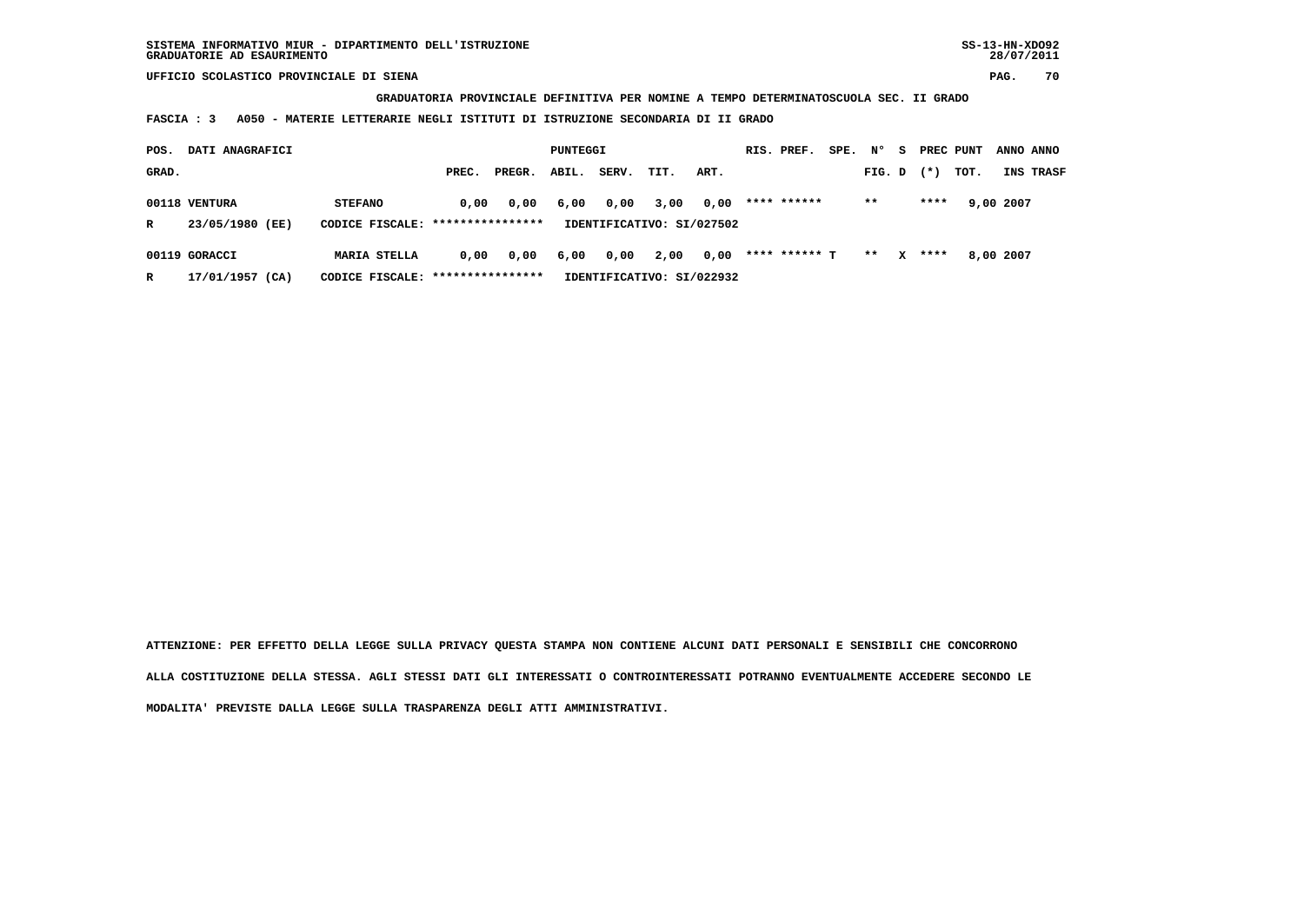**GRADUATORIA PROVINCIALE DEFINITIVA PER NOMINE A TEMPO DETERMINATOSCUOLA SEC. II GRADO**

 **FASCIA : 3 A050 - MATERIE LETTERARIE NEGLI ISTITUTI DI ISTRUZIONE SECONDARIA DI II GRADO**

| POS.  | DATI ANAGRAFICI |                                   | PUNTEGGI |        |       |       | RIS. PREF.                | SPE. | N°            | - S | PREC PUNT |              |       | ANNO ANNO |           |           |
|-------|-----------------|-----------------------------------|----------|--------|-------|-------|---------------------------|------|---------------|-----|-----------|--------------|-------|-----------|-----------|-----------|
| GRAD. |                 |                                   | PREC.    | PREGR. | ABIL. | SERV. | TIT.                      | ART. |               |     | FIG. D    |              | $(*)$ | TOT.      |           | INS TRASF |
|       | 00118 VENTURA   | <b>STEFANO</b>                    | 0.00     | 0,00   | 6,00  | 0,00  | 3,00                      | 0,00 | **** ******   |     | $* *$     |              | ****  |           | 9,00 2007 |           |
| R     | 23/05/1980 (EE) | CODICE FISCALE: ****************  |          |        |       |       | IDENTIFICATIVO: SI/027502 |      |               |     |           |              |       |           |           |           |
|       | 00119 GORACCI   | <b>MARIA STELLA</b>               | 0.00     | 0,00   | 6,00  | 0,00  | 2,00                      | 0,00 | **** ****** ጥ |     | $* *$     | $\mathbf{x}$ | ****  |           | 8,00 2007 |           |
| R     | 17/01/1957 (CA) | CODICE FISCALE: ***************** |          |        |       |       | IDENTIFICATIVO: SI/022932 |      |               |     |           |              |       |           |           |           |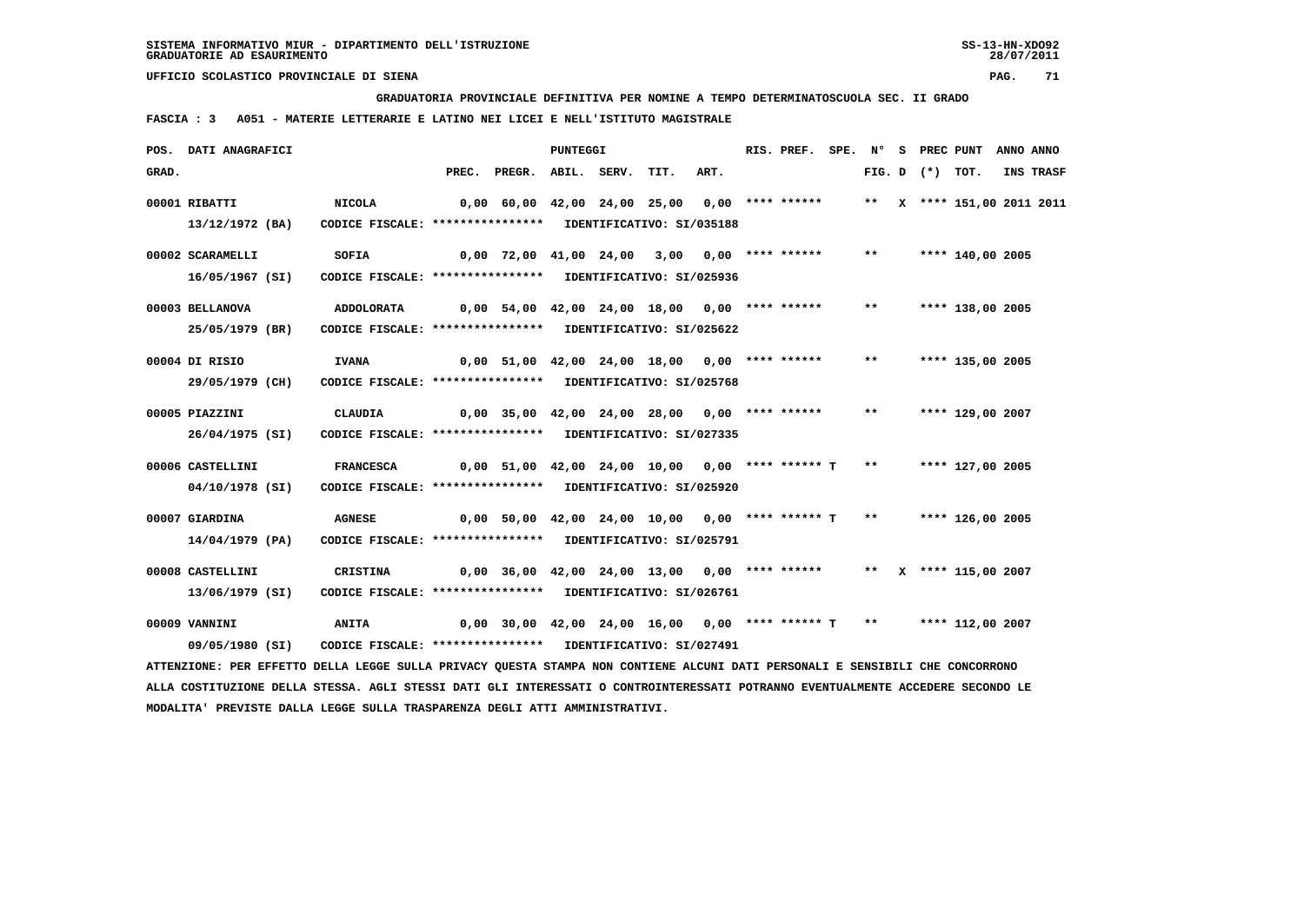**GRADUATORIA PROVINCIALE DEFINITIVA PER NOMINE A TEMPO DETERMINATOSCUOLA SEC. II GRADO**

 **FASCIA : 3 A051 - MATERIE LETTERARIE E LATINO NEI LICEI E NELL'ISTITUTO MAGISTRALE**

 **MODALITA' PREVISTE DALLA LEGGE SULLA TRASPARENZA DEGLI ATTI AMMINISTRATIVI.**

|       | POS. DATI ANAGRAFICI                                                                                                          |                                                            |                                                      | PUNTEGGI |      |      | RIS. PREF. |       |  | SPE. N° S PREC PUNT        | ANNO ANNO |
|-------|-------------------------------------------------------------------------------------------------------------------------------|------------------------------------------------------------|------------------------------------------------------|----------|------|------|------------|-------|--|----------------------------|-----------|
| GRAD. |                                                                                                                               |                                                            | PREC. PREGR. ABIL. SERV.                             |          | TIT. | ART. |            |       |  | FIG. D $(*)$ TOT.          | INS TRASF |
|       | 00001 RIBATTI                                                                                                                 | <b>NICOLA</b>                                              | 0,00 60,00 42,00 24,00 25,00 0,00 **** ******        |          |      |      |            |       |  | ** X **** 151,00 2011 2011 |           |
|       | 13/12/1972 (BA)                                                                                                               | CODICE FISCALE: **************** IDENTIFICATIVO: SI/035188 |                                                      |          |      |      |            |       |  |                            |           |
|       | 00002 SCARAMELLI                                                                                                              | SOFIA                                                      | 0,00 72,00 41,00 24,00 3,00 0,00 **** ******         |          |      |      |            | $***$ |  | **** 140,00 2005           |           |
|       | 16/05/1967 (SI)                                                                                                               | CODICE FISCALE: **************** IDENTIFICATIVO: SI/025936 |                                                      |          |      |      |            |       |  |                            |           |
|       | 00003 BELLANOVA                                                                                                               | <b>ADDOLORATA</b>                                          | $0,00$ 54,00 42,00 24,00 18,00 0,00 **** ******      |          |      |      |            | $***$ |  | **** 138,00 2005           |           |
|       | 25/05/1979 (BR)                                                                                                               | CODICE FISCALE: **************** IDENTIFICATIVO: SI/025622 |                                                      |          |      |      |            |       |  |                            |           |
|       | 00004 DI RISIO                                                                                                                | <b>IVANA</b>                                               | 0,00 51,00 42,00 24,00 18,00 0,00 **** ******        |          |      |      |            | $***$ |  | **** 135,00 2005           |           |
|       | 29/05/1979 (CH)                                                                                                               | CODICE FISCALE: **************** IDENTIFICATIVO: SI/025768 |                                                      |          |      |      |            |       |  |                            |           |
|       | 00005 PIAZZINI                                                                                                                | CLAUDIA                                                    | 0,00 35,00 42,00 24,00 28,00 0,00 **** ******        |          |      |      |            | $***$ |  | **** 129,00 2007           |           |
|       | 26/04/1975 (SI)                                                                                                               | CODICE FISCALE: **************** IDENTIFICATIVO: SI/027335 |                                                      |          |      |      |            |       |  |                            |           |
|       | 00006 CASTELLINI                                                                                                              | <b>FRANCESCA</b>                                           | $0,00$ 51,00 42,00 24,00 10,00 0,00 **** ****** T    |          |      |      |            | $***$ |  | **** 127,00 2005           |           |
|       | 04/10/1978 (SI)                                                                                                               | CODICE FISCALE: **************** IDENTIFICATIVO: SI/025920 |                                                      |          |      |      |            |       |  |                            |           |
|       | 00007 GIARDINA                                                                                                                | <b>AGNESE</b>                                              | $0,00$ 50,00 42,00 24,00 10,00 0,00 **** ****** T ** |          |      |      |            |       |  | **** 126,00 2005           |           |
|       | 14/04/1979 (PA)                                                                                                               | CODICE FISCALE: **************** IDENTIFICATIVO: SI/025791 |                                                      |          |      |      |            |       |  |                            |           |
|       | 00008 CASTELLINI                                                                                                              | CRISTINA                                                   | 0,00 36,00 42,00 24,00 13,00 0,00 **** ******        |          |      |      |            |       |  | ** $X$ **** 115,00 2007    |           |
|       | 13/06/1979 (SI)                                                                                                               | CODICE FISCALE: **************** IDENTIFICATIVO: SI/026761 |                                                      |          |      |      |            |       |  |                            |           |
|       | 00009 VANNINI                                                                                                                 | <b>ANITA</b>                                               | $0,00$ 30,00 42,00 24,00 16,00 0,00 **** ****** T ** |          |      |      |            |       |  | **** 112,00 2007           |           |
|       | 09/05/1980 (SI)                                                                                                               | CODICE FISCALE: **************** IDENTIFICATIVO: SI/027491 |                                                      |          |      |      |            |       |  |                            |           |
|       | ATTENZIONE: PER EFFETTO DELLA LEGGE SULLA PRIVACY QUESTA STAMPA NON CONTIENE ALCUNI DATI PERSONALI E SENSIBILI CHE CONCORRONO |                                                            |                                                      |          |      |      |            |       |  |                            |           |

 **ALLA COSTITUZIONE DELLA STESSA. AGLI STESSI DATI GLI INTERESSATI O CONTROINTERESSATI POTRANNO EVENTUALMENTE ACCEDERE SECONDO LE**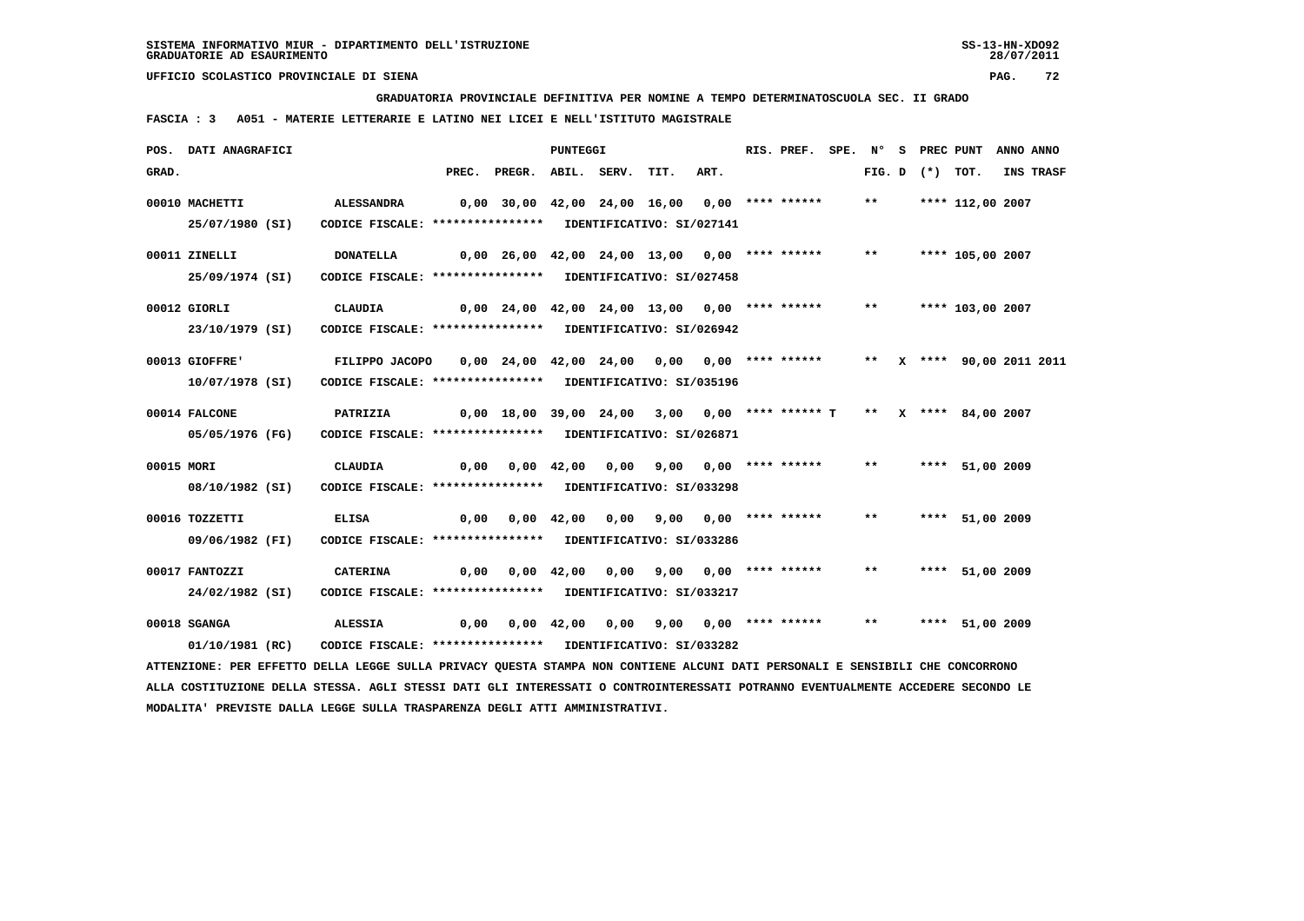**GRADUATORIA PROVINCIALE DEFINITIVA PER NOMINE A TEMPO DETERMINATOSCUOLA SEC. II GRADO**

 **FASCIA : 3 A051 - MATERIE LETTERARIE E LATINO NEI LICEI E NELL'ISTITUTO MAGISTRALE**

|            | POS. DATI ANAGRAFICI                                                                                                          |                                                                                                                                                                                    |                                                                         |                                                                   | PUNTEGGI |                                       |      | RIS. PREF. |              |                   | SPE. N° S PREC PUNT ANNO ANNO |           |
|------------|-------------------------------------------------------------------------------------------------------------------------------|------------------------------------------------------------------------------------------------------------------------------------------------------------------------------------|-------------------------------------------------------------------------|-------------------------------------------------------------------|----------|---------------------------------------|------|------------|--------------|-------------------|-------------------------------|-----------|
| GRAD.      |                                                                                                                               |                                                                                                                                                                                    |                                                                         | PREC. PREGR. ABIL. SERV. TIT.                                     |          |                                       | ART. |            |              | FIG. D $(*)$ TOT. |                               | INS TRASF |
|            | 00010 MACHETTI<br>25/07/1980 (SI)                                                                                             | ALESSANDRA<br>CODICE FISCALE: **************** IDENTIFICATIVO: SI/027141                                                                                                           | 0,00 30,00 42,00 24,00 16,00 0,00 **** ******                           |                                                                   |          |                                       |      |            | $***$        |                   | **** 112,00 2007              |           |
|            | 00011 ZINELLI<br>25/09/1974 (SI)                                                                                              | <b>DONATELLA</b><br>CODICE FISCALE: **************** IDENTIFICATIVO: SI/027458                                                                                                     | 0,00 26,00 42,00 24,00 13,00 0,00 **** ******                           |                                                                   |          |                                       |      |            | $***$        |                   | **** 105,00 2007              |           |
|            | 00012 GIORLI<br>23/10/1979 (SI)                                                                                               | CLAUDIA<br>CODICE FISCALE: **************** IDENTIFICATIVO: SI/026942                                                                                                              |                                                                         | 0,00 24,00 42,00 24,00 13,00 0,00 **** ****** ** **** 103,00 2007 |          |                                       |      |            |              |                   |                               |           |
|            | 00013 GIOFFRE'<br>10/07/1978 (SI)                                                                                             | FILIPPO JACOPO     0,00   24,00   42,00   24,00    0,00   0,00   **** ******        **    x   ****   90,00 2011 2011<br>CODICE FISCALE: **************** IDENTIFICATIVO: SI/035196 |                                                                         |                                                                   |          |                                       |      |            |              |                   |                               |           |
|            | 00014 FALCONE<br>05/05/1976 (FG)                                                                                              | PATRIZIA<br>CODICE FISCALE: **************** IDENTIFICATIVO: SI/026871                                                                                                             | 0,00 18,00 39,00 24,00  3,00  0,00 **** ****** T  **  x **** 84,00 2007 |                                                                   |          |                                       |      |            |              |                   |                               |           |
| 00015 MORI | 08/10/1982 (SI)                                                                                                               | <b>CLAUDIA</b><br>CODICE FISCALE: **************** IDENTIFICATIVO: SI/033298                                                                                                       |                                                                         | 0,00  0,00  42,00  0,00  9,00  0,00  ****  ******                 |          |                                       |      |            | $***$        |                   | **** 51,00 2009               |           |
|            | 00016 TOZZETTI<br>09/06/1982 (FI)                                                                                             | <b>ELISA</b><br>CODICE FISCALE: **************** IDENTIFICATIVO: SI/033286                                                                                                         |                                                                         | 0,00  0,00  42,00  0,00  9,00  0,00  ****  ******                 |          |                                       |      |            | $***$        |                   | **** 51,00 2009               |           |
|            | 00017 FANTOZZI<br>24/02/1982 (SI)                                                                                             | CATERINA<br>CODICE FISCALE: **************** IDENTIFICATIVO: SI/033217                                                                                                             |                                                                         |                                                                   |          |                                       |      |            | $\star\star$ |                   | **** 51,00 2009               |           |
|            | 00018 SGANGA<br>01/10/1981 (RC)                                                                                               | ALESSIA<br>CODICE FISCALE: **************** IDENTIFICATIVO: SI/033282                                                                                                              | 0,00                                                                    |                                                                   |          | 0,00 42,00 0,00 9,00 0,00 **** ****** |      |            | $***$        |                   | **** 51,00 2009               |           |
|            | ATTENZIONE: PER EFFETTO DELLA LEGGE SULLA PRIVACY QUESTA STAMPA NON CONTIENE ALCUNI DATI PERSONALI E SENSIBILI CHE CONCORRONO |                                                                                                                                                                                    |                                                                         |                                                                   |          |                                       |      |            |              |                   |                               |           |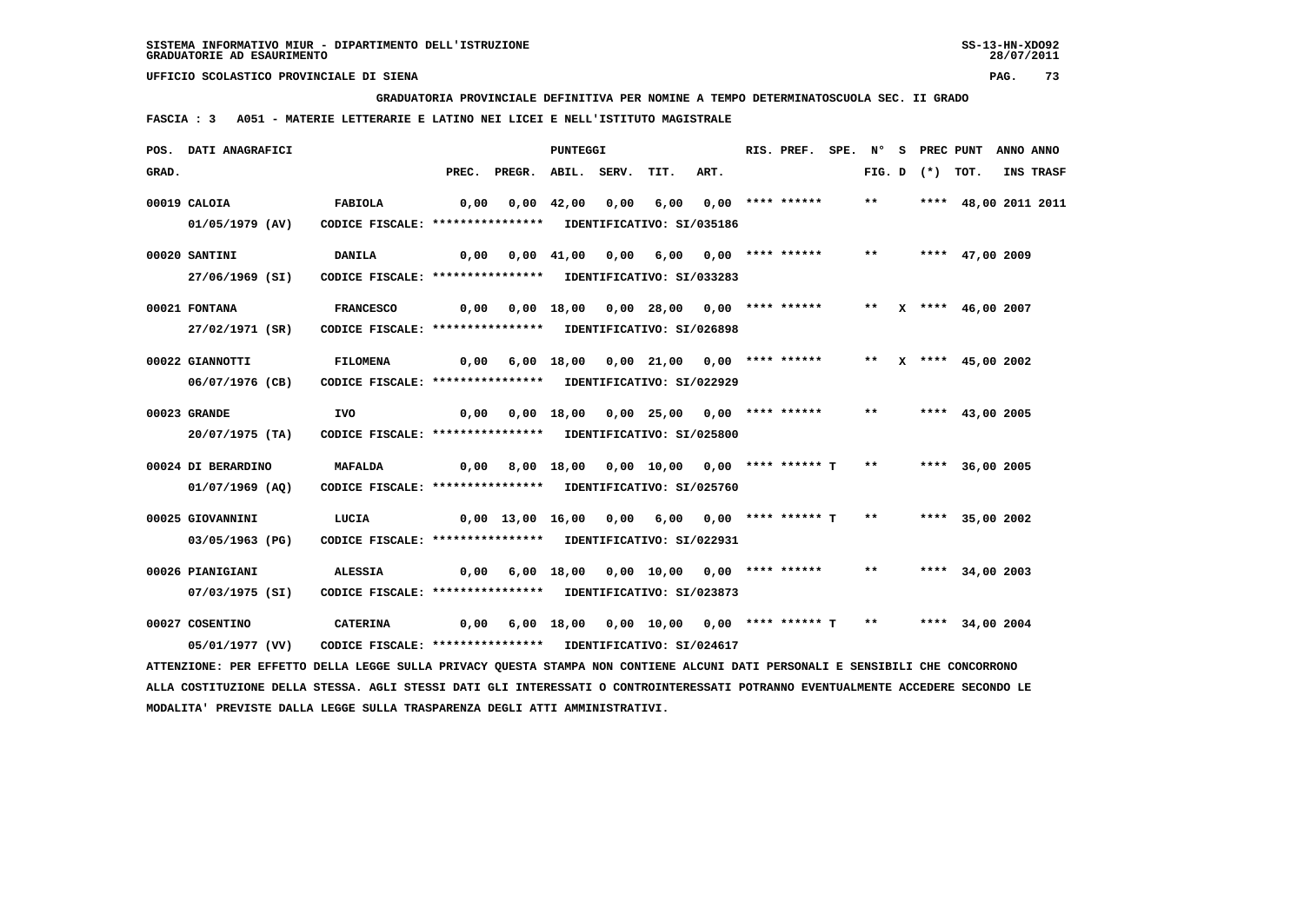**GRADUATORIA PROVINCIALE DEFINITIVA PER NOMINE A TEMPO DETERMINATOSCUOLA SEC. II GRADO**

 **FASCIA : 3 A051 - MATERIE LETTERARIE E LATINO NEI LICEI E NELL'ISTITUTO MAGISTRALE**

|       | POS. DATI ANAGRAFICI                                                                                                          |                                                            |      |                                                                    | PUNTEGGI   |      |                                             | RIS. PREF.            |  |              | SPE. N° S PREC PUNT | ANNO ANNO              |           |
|-------|-------------------------------------------------------------------------------------------------------------------------------|------------------------------------------------------------|------|--------------------------------------------------------------------|------------|------|---------------------------------------------|-----------------------|--|--------------|---------------------|------------------------|-----------|
| GRAD. |                                                                                                                               |                                                            |      | PREC. PREGR. ABIL. SERV.                                           |            |      | TIT.                                        | ART.                  |  |              | FIG. D $(*)$ TOT.   |                        | INS TRASF |
|       | 00019 CALOIA                                                                                                                  | <b>FABIOLA</b>                                             | 0,00 |                                                                    |            |      | 0,00 42,00 0,00 6,00 0,00 **** ******       |                       |  | $***$        |                     | **** 48,00 2011 2011   |           |
|       | 01/05/1979 (AV)                                                                                                               | CODICE FISCALE: **************** IDENTIFICATIVO: SI/035186 |      |                                                                    |            |      |                                             |                       |  |              |                     |                        |           |
|       | 00020 SANTINI                                                                                                                 | DANILA                                                     | 0,00 |                                                                    | 0,00 41,00 | 0,00 |                                             | 6,00 0,00 **** ****** |  | $***$        |                     | **** 47,00 2009        |           |
|       | 27/06/1969 (SI)                                                                                                               | CODICE FISCALE: **************** IDENTIFICATIVO: SI/033283 |      |                                                                    |            |      |                                             |                       |  |              |                     |                        |           |
|       | 00021 FONTANA                                                                                                                 | <b>FRANCESCO</b>                                           | 0,00 |                                                                    |            |      | 0,00 18,00 0,00 28,00 0,00 **** ******      |                       |  |              |                     | ** $X$ **** 46,00 2007 |           |
|       | 27/02/1971 (SR)                                                                                                               | CODICE FISCALE: **************** IDENTIFICATIVO: SI/026898 |      |                                                                    |            |      |                                             |                       |  |              |                     |                        |           |
|       | 00022 GIANNOTTI                                                                                                               | <b>FILOMENA</b>                                            |      | $0,00$ 6,00 18,00 0,00 21,00 0,00 **** ****** ** X **** 45,00 2002 |            |      |                                             |                       |  |              |                     |                        |           |
|       | 06/07/1976 (CB)                                                                                                               | CODICE FISCALE: **************** IDENTIFICATIVO: SI/022929 |      |                                                                    |            |      |                                             |                       |  |              |                     |                        |           |
|       | 00023 GRANDE                                                                                                                  | <b>IVO</b>                                                 | 0,00 |                                                                    |            |      | 0,00 18,00 0,00 25,00 0,00 **** ******      |                       |  | $\star\star$ |                     | **** $43,00$ 2005      |           |
|       | 20/07/1975 (TA)                                                                                                               | CODICE FISCALE: **************** IDENTIFICATIVO: SI/025800 |      |                                                                    |            |      |                                             |                       |  |              |                     |                        |           |
|       | 00024 DI BERARDINO                                                                                                            | MAFALDA                                                    | 0,00 |                                                                    |            |      | 8,00 18,00 0,00 10,00 0,00 **** ****** T    |                       |  | $***$        |                     | **** 36,00 2005        |           |
|       | 01/07/1969 (AO)                                                                                                               | CODICE FISCALE: **************** IDENTIFICATIVO: SI/025760 |      |                                                                    |            |      |                                             |                       |  |              |                     |                        |           |
|       | 00025 GIOVANNINI                                                                                                              | LUCIA                                                      |      | $0,00$ 13,00 16,00 0,00 6,00 0,00 **** ****** T                    |            |      |                                             |                       |  | $***$        |                     | **** 35,00 2002        |           |
|       | 03/05/1963 (PG)                                                                                                               | CODICE FISCALE: **************** IDENTIFICATIVO: SI/022931 |      |                                                                    |            |      |                                             |                       |  |              |                     |                        |           |
|       | 00026 PIANIGIANI                                                                                                              | <b>ALESSIA</b>                                             |      | 0,00 6,00 18,00 0,00 10,00 0,00 **** ******                        |            |      |                                             |                       |  | $***$        |                     | **** 34,00 2003        |           |
|       | 07/03/1975 (SI)                                                                                                               | CODICE FISCALE: **************** IDENTIFICATIVO: SI/023873 |      |                                                                    |            |      |                                             |                       |  |              |                     |                        |           |
|       | 00027 COSENTINO                                                                                                               | <b>CATERINA</b>                                            | 0,00 |                                                                    |            |      | 6,00 18,00 0,00 10,00 0,00 **** ****** T ** |                       |  |              |                     | **** 34,00 2004        |           |
|       | 05/01/1977 (VV)                                                                                                               | CODICE FISCALE: **************** IDENTIFICATIVO: SI/024617 |      |                                                                    |            |      |                                             |                       |  |              |                     |                        |           |
|       | ATTENZIONE: PER EFFETTO DELLA LEGGE SULLA PRIVACY QUESTA STAMPA NON CONTIENE ALCUNI DATI PERSONALI E SENSIBILI CHE CONCORRONO |                                                            |      |                                                                    |            |      |                                             |                       |  |              |                     |                        |           |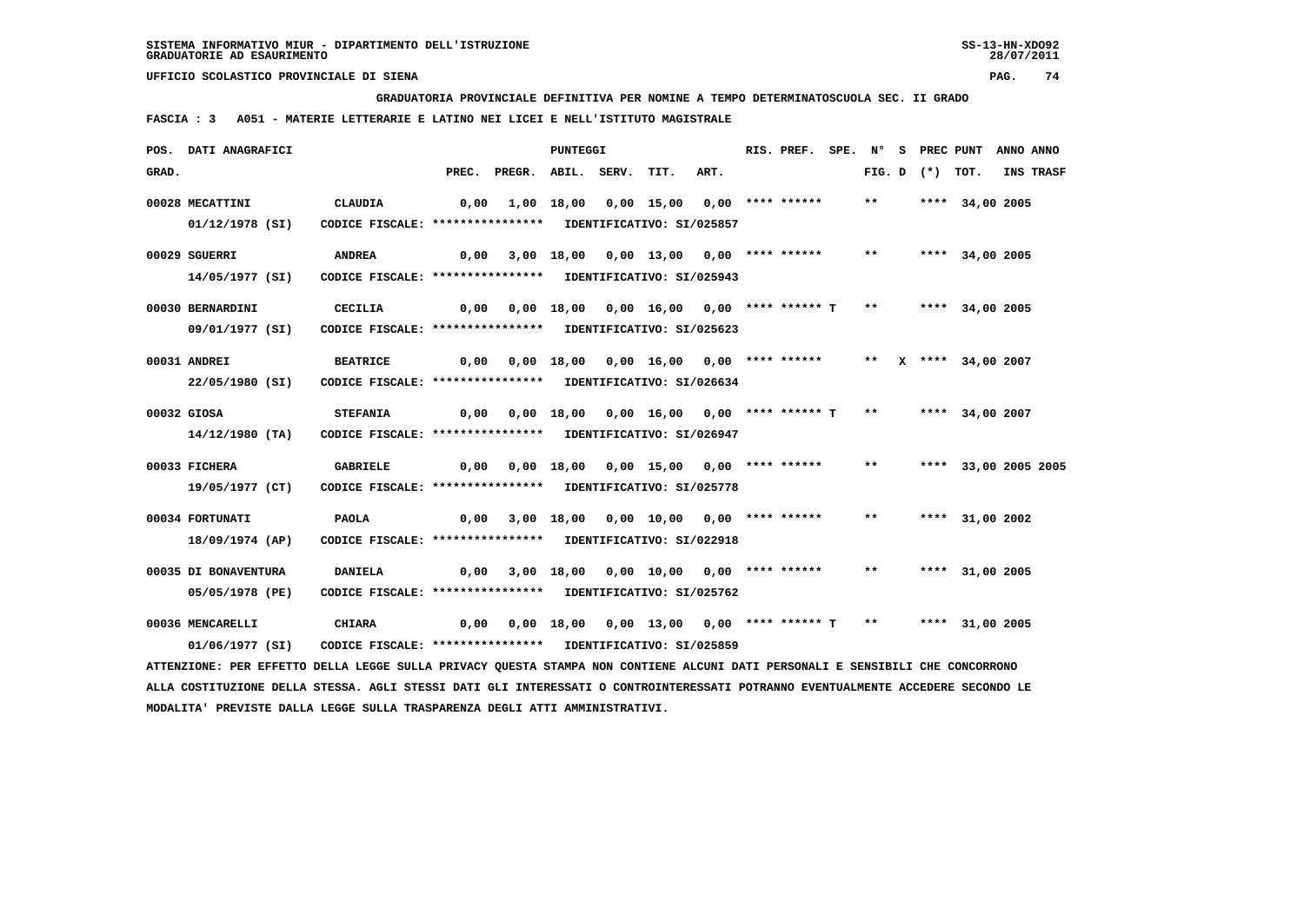**GRADUATORIA PROVINCIALE DEFINITIVA PER NOMINE A TEMPO DETERMINATOSCUOLA SEC. II GRADO**

 **FASCIA : 3 A051 - MATERIE LETTERARIE E LATINO NEI LICEI E NELL'ISTITUTO MAGISTRALE**

|       | POS. DATI ANAGRAFICI                                                                                                          |                                                                               |       |                                                                              | PUNTEGGI |                                        |      | RIS. PREF. |       |                   | SPE. N° S PREC PUNT  | ANNO ANNO |
|-------|-------------------------------------------------------------------------------------------------------------------------------|-------------------------------------------------------------------------------|-------|------------------------------------------------------------------------------|----------|----------------------------------------|------|------------|-------|-------------------|----------------------|-----------|
| GRAD. |                                                                                                                               |                                                                               | PREC. | PREGR. ABIL. SERV.                                                           |          | TIT.                                   | ART. |            |       | FIG. D $(*)$ TOT. |                      | INS TRASF |
|       | 00028 MECATTINI<br>$01/12/1978$ (SI)                                                                                          | CLAUDIA<br>CODICE FISCALE: **************** IDENTIFICATIVO: SI/025857         | 0,00  |                                                                              |          | 1,00 18,00 0,00 15,00 0,00 **** ****** |      |            | $***$ |                   | **** 34,00 2005      |           |
|       | 00029 SGUERRI<br>14/05/1977 (SI)                                                                                              | <b>ANDREA</b><br>CODICE FISCALE: **************** IDENTIFICATIVO: SI/025943   | 0,00  |                                                                              |          | 3,00 18,00 0,00 13,00 0,00 **** ****** |      |            | $***$ |                   | **** 34,00 2005      |           |
|       | 00030 BERNARDINI<br>09/01/1977 (SI)                                                                                           | CECILIA<br>CODICE FISCALE: **************** IDENTIFICATIVO: SI/025623         |       | 0,00 0,00 18,00 0,00 16,00 0,00 **** ****** T ** ***** 34,00 2005            |          |                                        |      |            |       |                   |                      |           |
|       | 00031 ANDREI<br>22/05/1980 (SI)                                                                                               | <b>BEATRICE</b><br>CODICE FISCALE: **************** IDENTIFICATIVO: SI/026634 |       | $0,00$ $0,00$ $18,00$ $0,00$ $16,00$ $0,00$ **** ****** ** X **** 34,00 2007 |          |                                        |      |            |       |                   |                      |           |
|       | 00032 GIOSA<br>$14/12/1980$ (TA)                                                                                              | <b>STEFANIA</b><br>CODICE FISCALE: **************** IDENTIFICATIVO: SI/026947 |       | $0,00$ $0,00$ $18,00$ $0,00$ $16,00$ $0,00$ $***$ **** ***** T               |          |                                        |      |            | $***$ |                   | **** 34,00 2007      |           |
|       | 00033 FICHERA<br>19/05/1977 (CT)                                                                                              | GABRIELE<br>CODICE FISCALE: **************** IDENTIFICATIVO: SI/025778        |       | 0,00 0,00 18,00 0,00 15,00 0,00 **** ******                                  |          |                                        |      |            | $***$ |                   | **** 33,00 2005 2005 |           |
|       | 00034 FORTUNATI<br>18/09/1974 (AP)                                                                                            | <b>PAOLA</b><br>CODICE FISCALE: **************** IDENTIFICATIVO: SI/022918    | 0,00  |                                                                              |          | 3,00 18,00 0,00 10,00 0,00 **** ****** |      |            | $***$ |                   | **** 31,00 2002      |           |
|       | 00035 DI BONAVENTURA<br>05/05/1978 (PE)                                                                                       | <b>DANIELA</b><br>CODICE FISCALE: **************** IDENTIFICATIVO: SI/025762  | 0,00  |                                                                              |          | 3,00 18,00 0,00 10,00 0,00 **** ****** |      |            | $***$ |                   | **** 31,00 2005      |           |
|       | 00036 MENCARELLI<br>01/06/1977 (SI)                                                                                           | <b>CHIARA</b><br>CODICE FISCALE: **************** IDENTIFICATIVO: SI/025859   |       | $0,00$ $0,00$ $18,00$ $0,00$ $13,00$ $0,00$ $***$ *** ***** T **             |          |                                        |      |            |       |                   | **** 31,00 2005      |           |
|       | ATTENZIONE: PER EFFETTO DELLA LEGGE SULLA PRIVACY QUESTA STAMPA NON CONTIENE ALCUNI DATI PERSONALI E SENSIBILI CHE CONCORRONO |                                                                               |       |                                                                              |          |                                        |      |            |       |                   |                      |           |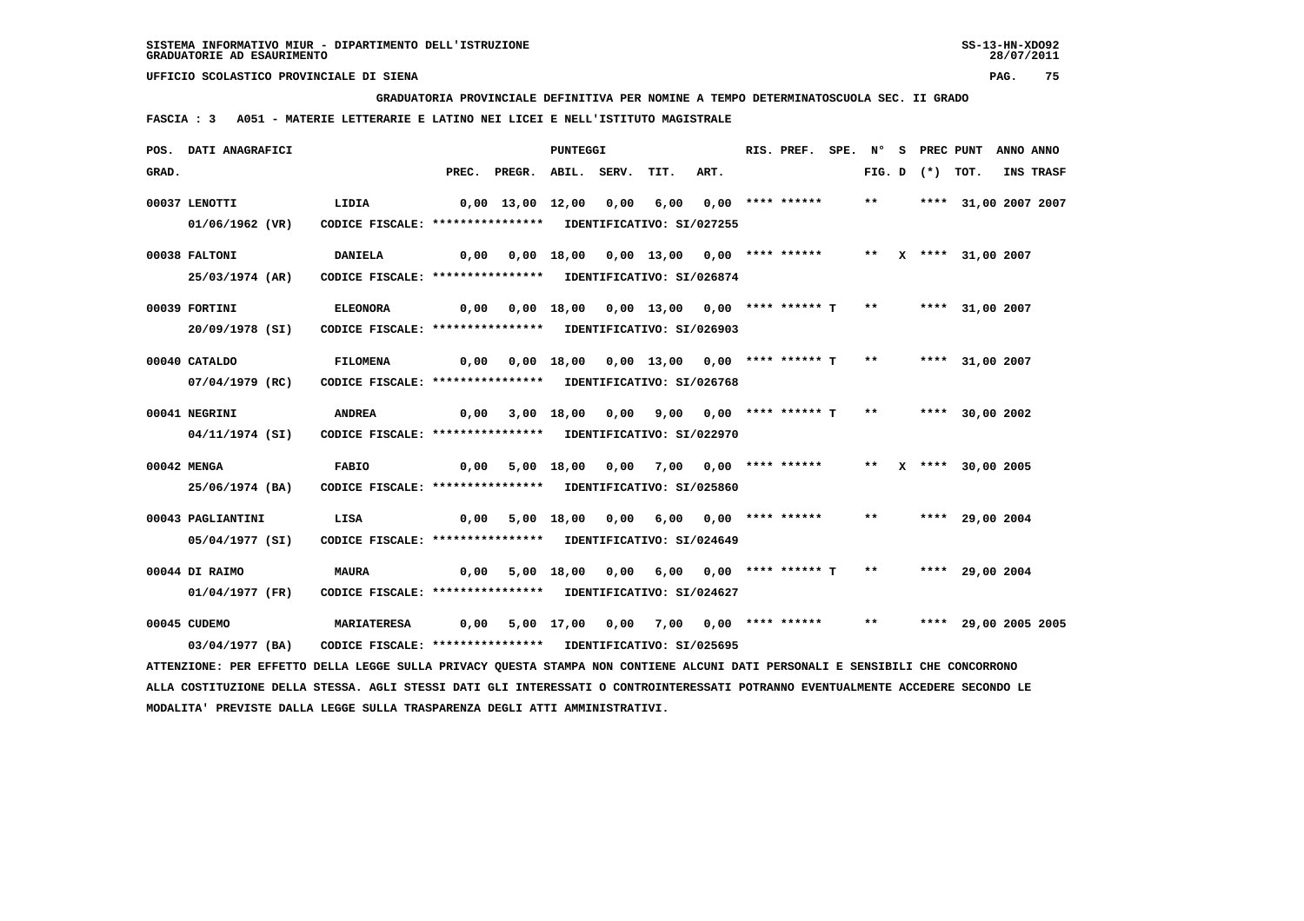**GRADUATORIA PROVINCIALE DEFINITIVA PER NOMINE A TEMPO DETERMINATOSCUOLA SEC. II GRADO**

 **FASCIA : 3 A051 - MATERIE LETTERARIE E LATINO NEI LICEI E NELL'ISTITUTO MAGISTRALE**

|       | POS. DATI ANAGRAFICI                                                                                                            |                                                            |      |                                                                  | <b>PUNTEGGI</b> |                                                               |      |      | RIS. PREF. |       |                   | SPE. N° S PREC PUNT ANNO ANNO |                  |
|-------|---------------------------------------------------------------------------------------------------------------------------------|------------------------------------------------------------|------|------------------------------------------------------------------|-----------------|---------------------------------------------------------------|------|------|------------|-------|-------------------|-------------------------------|------------------|
| GRAD. |                                                                                                                                 |                                                            |      | PREC. PREGR. ABIL. SERV.                                         |                 |                                                               | TIT. | ART. |            |       | FIG. D $(*)$ TOT. |                               | <b>INS TRASF</b> |
|       | 00037 LENOTTI                                                                                                                   | LIDIA                                                      |      | 0,00 13,00 12,00 0,00 6,00 0,00 **** ******                      |                 |                                                               |      |      |            | $***$ |                   | **** 31,00 2007 2007          |                  |
|       | 01/06/1962 (VR)                                                                                                                 | CODICE FISCALE: **************** IDENTIFICATIVO: SI/027255 |      |                                                                  |                 |                                                               |      |      |            |       |                   |                               |                  |
|       | 00038 FALTONI                                                                                                                   | <b>DANIELA</b>                                             |      | $0,00$ $0,00$ $18,00$ $0,00$ $13,00$ $0,00$ $***$                |                 |                                                               |      |      |            |       |                   | ** X **** 31,00 2007          |                  |
|       | 25/03/1974 (AR)                                                                                                                 | CODICE FISCALE: **************** IDENTIFICATIVO: SI/026874 |      |                                                                  |                 |                                                               |      |      |            |       |                   |                               |                  |
|       | 00039 FORTINI                                                                                                                   | <b>ELEONORA</b>                                            |      | $0,00$ $0,00$ $18,00$ $0,00$ $13,00$ $0,00$ **** ****** T **     |                 |                                                               |      |      |            |       |                   | **** 31,00 2007               |                  |
|       | 20/09/1978 (SI)                                                                                                                 | CODICE FISCALE: **************** IDENTIFICATIVO: SI/026903 |      |                                                                  |                 |                                                               |      |      |            |       |                   |                               |                  |
|       | 00040 CATALDO                                                                                                                   | <b>FILOMENA</b>                                            |      | 0,00 0,00 18,00 0,00 13,00 0,00 **** ****** T **                 |                 |                                                               |      |      |            |       |                   | **** 31,00 2007               |                  |
|       | 07/04/1979 (RC)                                                                                                                 | CODICE FISCALE: **************** IDENTIFICATIVO: SI/026768 |      |                                                                  |                 |                                                               |      |      |            |       |                   |                               |                  |
|       | 00041 NEGRINI                                                                                                                   | <b>ANDREA</b>                                              |      | 0,00 3,00 18,00 0,00 9,00 0,00 **** ****** T ** ***** 30,00 2002 |                 |                                                               |      |      |            |       |                   |                               |                  |
|       | 04/11/1974 (SI)                                                                                                                 | CODICE FISCALE: **************** IDENTIFICATIVO: SI/022970 |      |                                                                  |                 |                                                               |      |      |            |       |                   |                               |                  |
|       | 00042 MENGA                                                                                                                     | <b>FABIO</b>                                               | 0,00 |                                                                  |                 | 5,00 18,00 0,00 7,00 0,00 **** ****** ** ** ** *** 30,00 2005 |      |      |            |       |                   |                               |                  |
|       | 25/06/1974 (BA)                                                                                                                 | CODICE FISCALE: **************** IDENTIFICATIVO: SI/025860 |      |                                                                  |                 |                                                               |      |      |            |       |                   |                               |                  |
|       | 00043 PAGLIANTINI                                                                                                               | LISA                                                       |      | 0,00 5,00 18,00 0,00 6,00 0,00 **** ******                       |                 |                                                               |      |      |            | $***$ |                   | **** 29,00 2004               |                  |
|       | 05/04/1977 (SI)                                                                                                                 | CODICE FISCALE: **************** IDENTIFICATIVO: SI/024649 |      |                                                                  |                 |                                                               |      |      |            |       |                   |                               |                  |
|       | 00044 DI RAIMO                                                                                                                  | <b>MAURA</b>                                               | 0,00 |                                                                  |                 | 5,00 18,00 0,00 6,00 0,00 **** ****** T ** ***** 29,00 2004   |      |      |            |       |                   |                               |                  |
|       | 01/04/1977 (FR)                                                                                                                 | CODICE FISCALE: **************** IDENTIFICATIVO: SI/024627 |      |                                                                  |                 |                                                               |      |      |            |       |                   |                               |                  |
|       | 00045 CUDEMO                                                                                                                    | <b>MARIATERESA</b>                                         |      | 0,00 5,00 17,00 0,00 7,00 0,00 **** ******                       |                 |                                                               |      |      |            | $***$ |                   | **** 29,00 2005 2005          |                  |
|       | 03/04/1977 (BA)                                                                                                                 | CODICE FISCALE: **************** IDENTIFICATIVO: SI/025695 |      |                                                                  |                 |                                                               |      |      |            |       |                   |                               |                  |
|       | ATTENZIONE: PER EFFETTO DELLA LEGGE SULLA PRIVACY QUESTA STAMPA NON CONTIENE ALCUNI DATI PERSONALI E SENSIBILI CHE CONCORRONO   |                                                            |      |                                                                  |                 |                                                               |      |      |            |       |                   |                               |                  |
|       | ALLA COSTITUZIONE DELLA STESSA. AGLI STESSI DATI GLI INTERESSATI O CONTROINTERESSATI POTRANNO EVENTUALMENTE ACCEDERE SECONDO LE |                                                            |      |                                                                  |                 |                                                               |      |      |            |       |                   |                               |                  |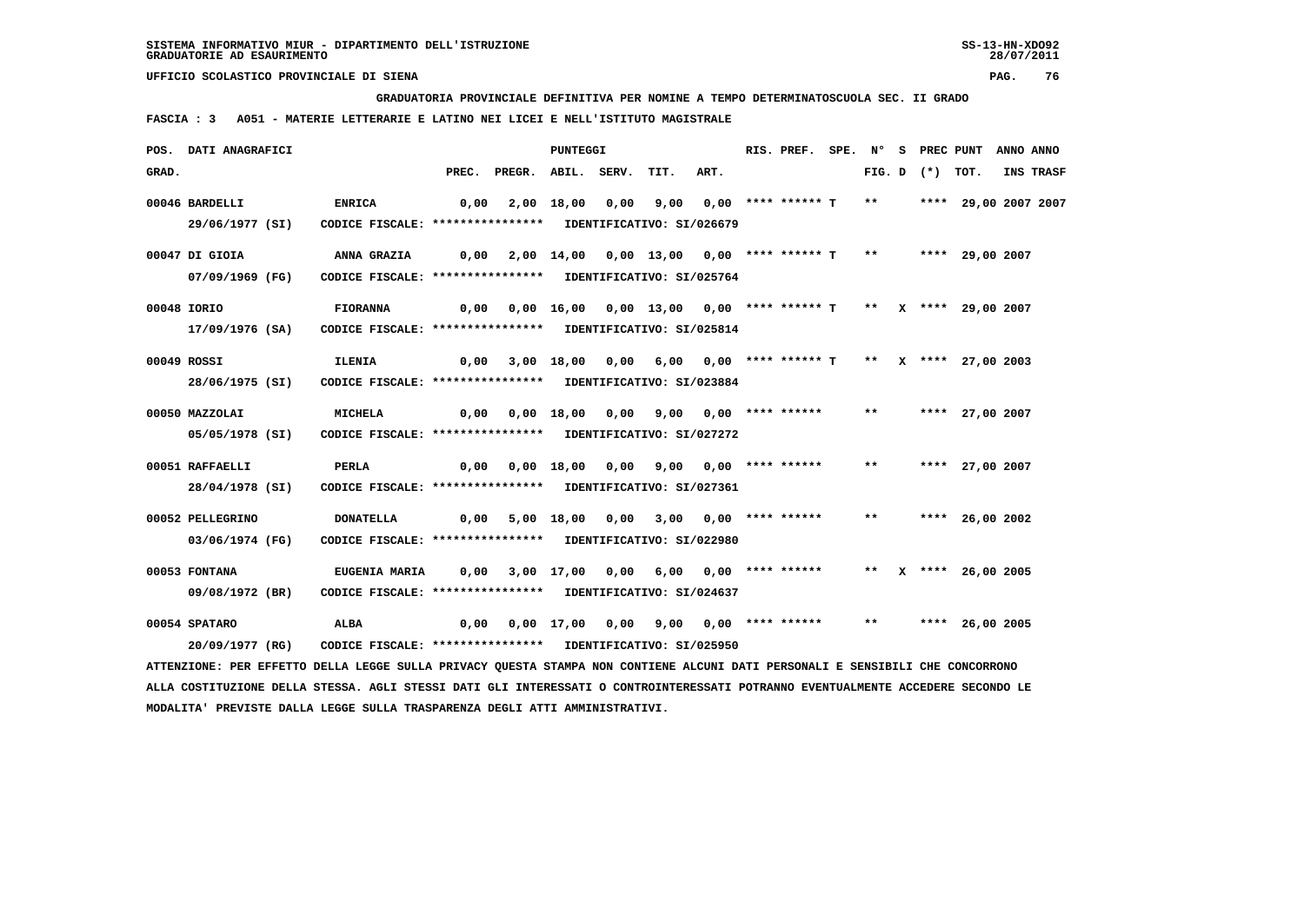**GRADUATORIA PROVINCIALE DEFINITIVA PER NOMINE A TEMPO DETERMINATOSCUOLA SEC. II GRADO**

 **FASCIA : 3 A051 - MATERIE LETTERARIE E LATINO NEI LICEI E NELL'ISTITUTO MAGISTRALE**

|       | POS. DATI ANAGRAFICI                                                                                                          |                                                            |                                                                    |                                                                                | PUNTEGGI |  |                                                                  | RIS. PREF. |  |       | SPE. N° S PREC PUNT | ANNO ANNO       |           |
|-------|-------------------------------------------------------------------------------------------------------------------------------|------------------------------------------------------------|--------------------------------------------------------------------|--------------------------------------------------------------------------------|----------|--|------------------------------------------------------------------|------------|--|-------|---------------------|-----------------|-----------|
| GRAD. |                                                                                                                               |                                                            |                                                                    | PREC. PREGR. ABIL. SERV.                                                       |          |  | TIT.                                                             | ART.       |  |       | FIG. D $(*)$ TOT.   |                 | INS TRASF |
|       | 00046 BARDELLI                                                                                                                | <b>ENRICA</b>                                              | 0,00                                                               |                                                                                |          |  | 2,00 18,00 0,00 9,00 0,00 **** ****** T ** ***** 29,00 2007 2007 |            |  |       |                     |                 |           |
|       | 29/06/1977 (SI)                                                                                                               | CODICE FISCALE: **************** IDENTIFICATIVO: SI/026679 |                                                                    |                                                                                |          |  |                                                                  |            |  |       |                     |                 |           |
|       | 00047 DI GIOIA                                                                                                                |                                                            |                                                                    |                                                                                |          |  | 2,00 14,00 0,00 13,00 0,00 **** ****** T ** ***** 29,00 2007     |            |  |       |                     |                 |           |
|       | 07/09/1969 (FG)                                                                                                               | CODICE FISCALE: **************** IDENTIFICATIVO: SI/025764 |                                                                    |                                                                                |          |  |                                                                  |            |  |       |                     |                 |           |
|       | 00048 IORIO                                                                                                                   | <b>FIORANNA</b>                                            |                                                                    | $0,00$ $0,00$ $16,00$ $0,00$ $13,00$ $0,00$ **** ****** T ** X **** 29,00 2007 |          |  |                                                                  |            |  |       |                     |                 |           |
|       | 17/09/1976 (SA)                                                                                                               | CODICE FISCALE: **************** IDENTIFICATIVO: SI/025814 |                                                                    |                                                                                |          |  |                                                                  |            |  |       |                     |                 |           |
|       | 00049 ROSSI                                                                                                                   | <b>ILENIA</b>                                              |                                                                    | 0,00 3,00 18,00 0,00 6,00 0,00 **** ****** T ** X **** 27,00 2003              |          |  |                                                                  |            |  |       |                     |                 |           |
|       | 28/06/1975 (SI)                                                                                                               | CODICE FISCALE: **************** IDENTIFICATIVO: SI/023884 |                                                                    |                                                                                |          |  |                                                                  |            |  |       |                     |                 |           |
|       | 00050 MAZZOLAI                                                                                                                | <b>MICHELA</b>                                             | 0,00                                                               |                                                                                |          |  | 0,00 18,00 0,00 9,00 0,00 **** ****** ** **** 27,00 2007         |            |  |       |                     |                 |           |
|       | 05/05/1978 (SI)                                                                                                               | CODICE FISCALE: **************** IDENTIFICATIVO: SI/027272 |                                                                    |                                                                                |          |  |                                                                  |            |  |       |                     |                 |           |
|       | 00051 RAFFAELLI                                                                                                               | <b>PERLA</b>                                               |                                                                    | 0,00  0,00  18,00  0,00  9,00  0,00  ****  ******                              |          |  |                                                                  |            |  | $***$ |                     | **** 27,00 2007 |           |
|       | 28/04/1978 (SI)                                                                                                               | CODICE FISCALE: **************** IDENTIFICATIVO: SI/027361 |                                                                    |                                                                                |          |  |                                                                  |            |  |       |                     |                 |           |
|       | 00052 PELLEGRINO                                                                                                              | <b>DONATELLA</b>                                           |                                                                    | 0,00 5,00 18,00 0,00 3,00 0,00 **** ******                                     |          |  |                                                                  |            |  | $***$ |                     | **** 26,00 2002 |           |
|       | 03/06/1974 (FG)                                                                                                               | CODICE FISCALE: **************** IDENTIFICATIVO: SI/022980 |                                                                    |                                                                                |          |  |                                                                  |            |  |       |                     |                 |           |
|       | 00053 FONTANA                                                                                                                 | <b>EUGENIA MARIA</b>                                       | 0,00 3,00 17,00 0,00 6,00 0,00 **** ******   **  x **** 26,00 2005 |                                                                                |          |  |                                                                  |            |  |       |                     |                 |           |
|       | 09/08/1972 (BR)                                                                                                               | CODICE FISCALE: **************** IDENTIFICATIVO: SI/024637 |                                                                    |                                                                                |          |  |                                                                  |            |  |       |                     |                 |           |
|       | 00054 SPATARO                                                                                                                 | <b>ALBA</b>                                                |                                                                    | $0,00$ $0,00$ $17,00$ $0,00$ $9,00$ $0,00$ $***$ **** ***** **                 |          |  |                                                                  |            |  |       |                     | **** 26,00 2005 |           |
|       | 20/09/1977 (RG)                                                                                                               | CODICE FISCALE: **************** IDENTIFICATIVO: SI/025950 |                                                                    |                                                                                |          |  |                                                                  |            |  |       |                     |                 |           |
|       | ATTENZIONE: PER EFFETTO DELLA LEGGE SULLA PRIVACY QUESTA STAMPA NON CONTIENE ALCUNI DATI PERSONALI E SENSIBILI CHE CONCORRONO |                                                            |                                                                    |                                                                                |          |  |                                                                  |            |  |       |                     |                 |           |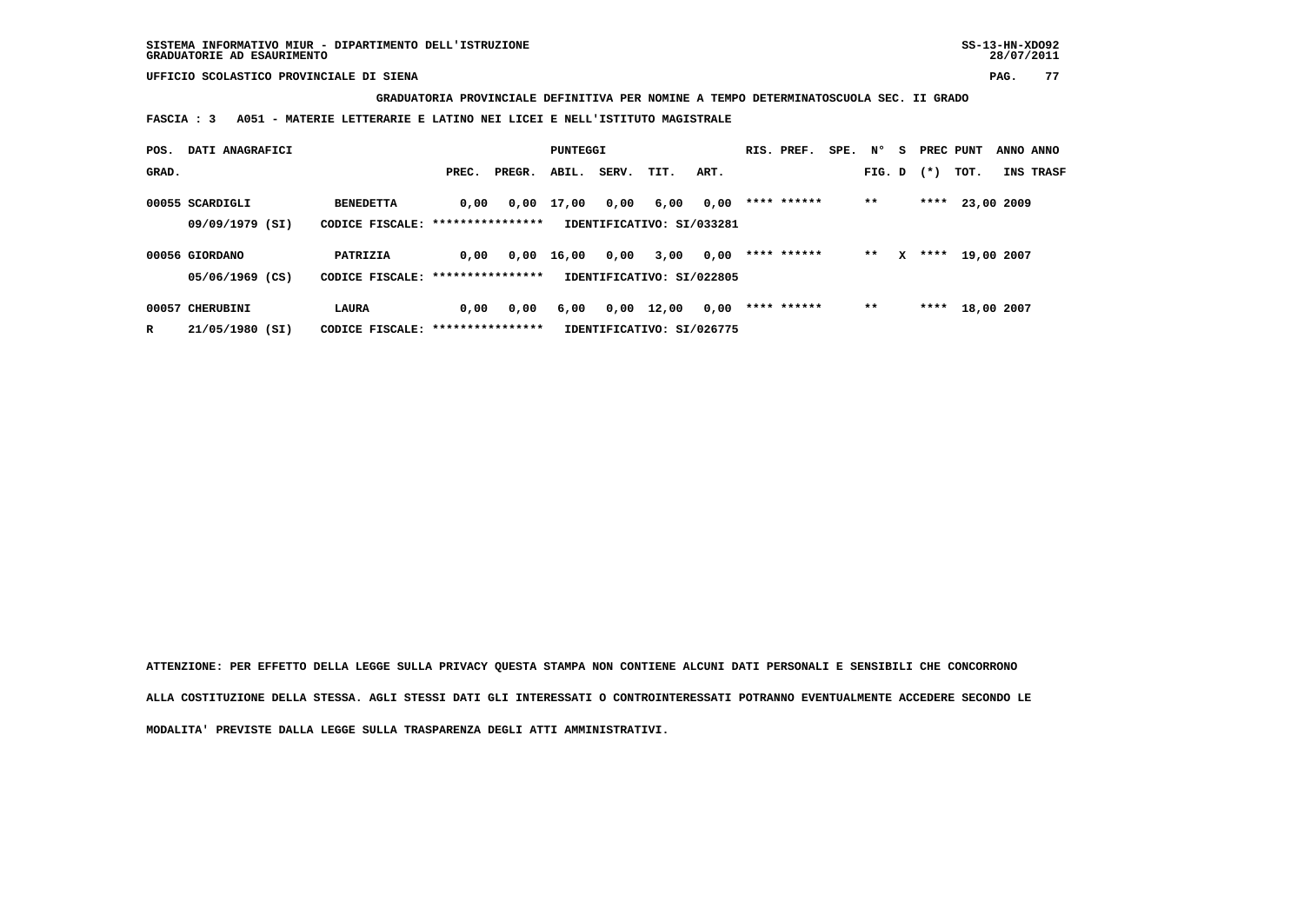**GRADUATORIA PROVINCIALE DEFINITIVA PER NOMINE A TEMPO DETERMINATOSCUOLA SEC. II GRADO**

 **FASCIA : 3 A051 - MATERIE LETTERARIE E LATINO NEI LICEI E NELL'ISTITUTO MAGISTRALE**

| POS.  | DATI ANAGRAFICI |                                   |       |        | PUNTEGGI   |       |                           |      | RIS. PREF.  | SPE. | $N^{\circ}$ | S. | PREC PUNT |                 | ANNO ANNO |
|-------|-----------------|-----------------------------------|-------|--------|------------|-------|---------------------------|------|-------------|------|-------------|----|-----------|-----------------|-----------|
| GRAD. |                 |                                   | PREC. | PREGR. | ABIL.      | SERV. | TIT.                      | ART. |             |      | FIG. D      |    | $(*)$     | TOT.            | INS TRASF |
|       | 00055 SCARDIGLI | <b>BENEDETTA</b>                  | 0,00  |        | 0,00 17,00 | 0,00  | 6,00                      | 0,00 | **** ****** |      | $***$       |    |           | **** 23,00 2009 |           |
|       | 09/09/1979 (SI) | CODICE FISCALE: ***************** |       |        |            |       | IDENTIFICATIVO: SI/033281 |      |             |      |             |    |           |                 |           |
|       | 00056 GIORDANO  | PATRIZIA                          | 0,00  | 0,00   | 16,00      | 0,00  | 3,00                      | 0,00 | **** ****** |      | $* *$       | x  | ****      | 19,00 2007      |           |
|       | 05/06/1969 (CS) | CODICE FISCALE: ***************** |       |        |            |       | IDENTIFICATIVO: SI/022805 |      |             |      |             |    |           |                 |           |
|       | 00057 CHERUBINI | <b>LAURA</b>                      | 0,00  | 0,00   | 6,00       | 0,00  | 12,00                     | 0,00 | **** ****** |      | $***$       |    | ****      | 18,00 2007      |           |
| R     | 21/05/1980 (SI) | CODICE FISCALE: ***************** |       |        |            |       | IDENTIFICATIVO: SI/026775 |      |             |      |             |    |           |                 |           |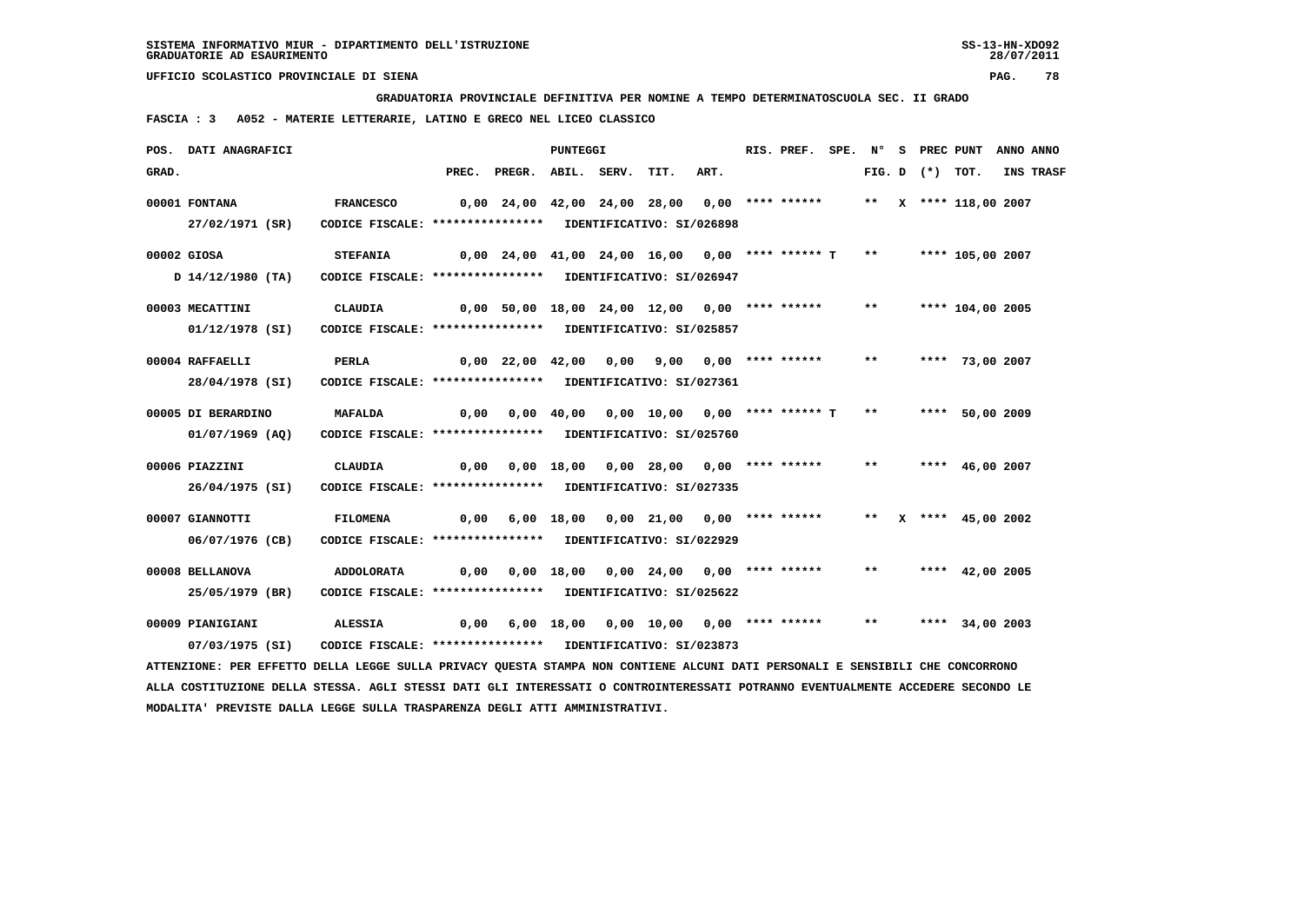**GRADUATORIA PROVINCIALE DEFINITIVA PER NOMINE A TEMPO DETERMINATOSCUOLA SEC. II GRADO**

 **FASCIA : 3 A052 - MATERIE LETTERARIE, LATINO E GRECO NEL LICEO CLASSICO**

|             | POS. DATI ANAGRAFICI                                                                                                                             |                                                                                |                                               |                                                                      | PUNTEGGI |                                             |      | RIS. PREF. |              |                   | SPE. N° S PREC PUNT   | ANNO ANNO |
|-------------|--------------------------------------------------------------------------------------------------------------------------------------------------|--------------------------------------------------------------------------------|-----------------------------------------------|----------------------------------------------------------------------|----------|---------------------------------------------|------|------------|--------------|-------------------|-----------------------|-----------|
| GRAD.       |                                                                                                                                                  |                                                                                |                                               | PREC. PREGR. ABIL. SERV.                                             |          | TIT.                                        | ART. |            |              | FIG. D $(*)$ TOT. |                       | INS TRASF |
|             | 00001 FONTANA<br>27/02/1971 (SR)                                                                                                                 | <b>FRANCESCO</b><br>CODICE FISCALE: **************** IDENTIFICATIVO: SI/026898 | 0,00 24,00 42,00 24,00 28,00 0,00 **** ****** |                                                                      |          |                                             |      |            |              |                   | ** X **** 118,00 2007 |           |
| 00002 GIOSA | D 14/12/1980 (TA)                                                                                                                                | <b>STEFANIA</b><br>CODICE FISCALE: **************** IDENTIFICATIVO: SI/026947  |                                               | 0,00 24,00 41,00 24,00 16,00 0,00 **** ****** T ** ***** 105,00 2007 |          |                                             |      |            |              |                   |                       |           |
|             | 00003 MECATTINI<br>01/12/1978 (SI)                                                                                                               | CLAUDIA<br>CODICE FISCALE: **************** IDENTIFICATIVO: SI/025857          |                                               | 0,00 50,00 18,00 24,00 12,00 0,00 **** ******                        |          |                                             |      |            |              |                   | ** **** 104,00 2005   |           |
|             | 00004 RAFFAELLI<br>28/04/1978 (SI)                                                                                                               | PERLA<br>CODICE FISCALE: **************** IDENTIFICATIVO: SI/027361            |                                               | 0,00 22,00 42,00 0,00 9,00 0,00 **** ****** **                       |          |                                             |      |            |              |                   | **** 73,00 2007       |           |
|             | 00005 DI BERARDINO<br>$01/07/1969$ (AQ)                                                                                                          | MAFALDA<br>CODICE FISCALE: **************** IDENTIFICATIVO: SI/025760          | 0,00                                          |                                                                      |          | 0,00 40,00 0,00 10,00 0,00 **** ****** T ** |      |            |              |                   | **** 50,00 2009       |           |
|             | 00006 PIAZZINI<br>26/04/1975 (SI)                                                                                                                | <b>CLAUDIA</b><br>CODICE FISCALE: **************** IDENTIFICATIVO: SI/027335   |                                               | 0,00  0,00  18,00  0,00  28,00  0,00  ****  ******                   |          |                                             |      |            | $***$        |                   | **** 46,00 2007       |           |
|             | 00007 GIANNOTTI<br>06/07/1976 (CB)                                                                                                               | <b>FILOMENA</b><br>CODICE FISCALE: **************** IDENTIFICATIVO: SI/022929  |                                               | $0,00$ 6,00 18,00 0,00 21,00 0,00 **** ******                        |          |                                             |      |            |              |                   | ** X **** 45,00 2002  |           |
|             | 00008 BELLANOVA                                                                                                                                  | ADDOLORATA                                                                     | 0,00                                          |                                                                      |          | $0,00$ 18,00 0,00 24,00 0,00 **** ******    |      |            | $\star\star$ |                   | **** 42,00 2005       |           |
|             | 25/05/1979 (BR)<br>00009 PIANIGIANI                                                                                                              | CODICE FISCALE: **************** IDENTIFICATIVO: SI/025622<br>ALESSIA          | 0,00                                          |                                                                      |          | 6,00 18,00 0,00 10,00 0,00 **** ******      |      |            | $***$        |                   | **** 34,00 2003       |           |
|             | 07/03/1975 (SI)<br>ATTENZIONE: PER EFFETTO DELLA LEGGE SULLA PRIVACY QUESTA STAMPA NON CONTIENE ALCUNI DATI PERSONALI E SENSIBILI CHE CONCORRONO | CODICE FISCALE: **************** IDENTIFICATIVO: SI/023873                     |                                               |                                                                      |          |                                             |      |            |              |                   |                       |           |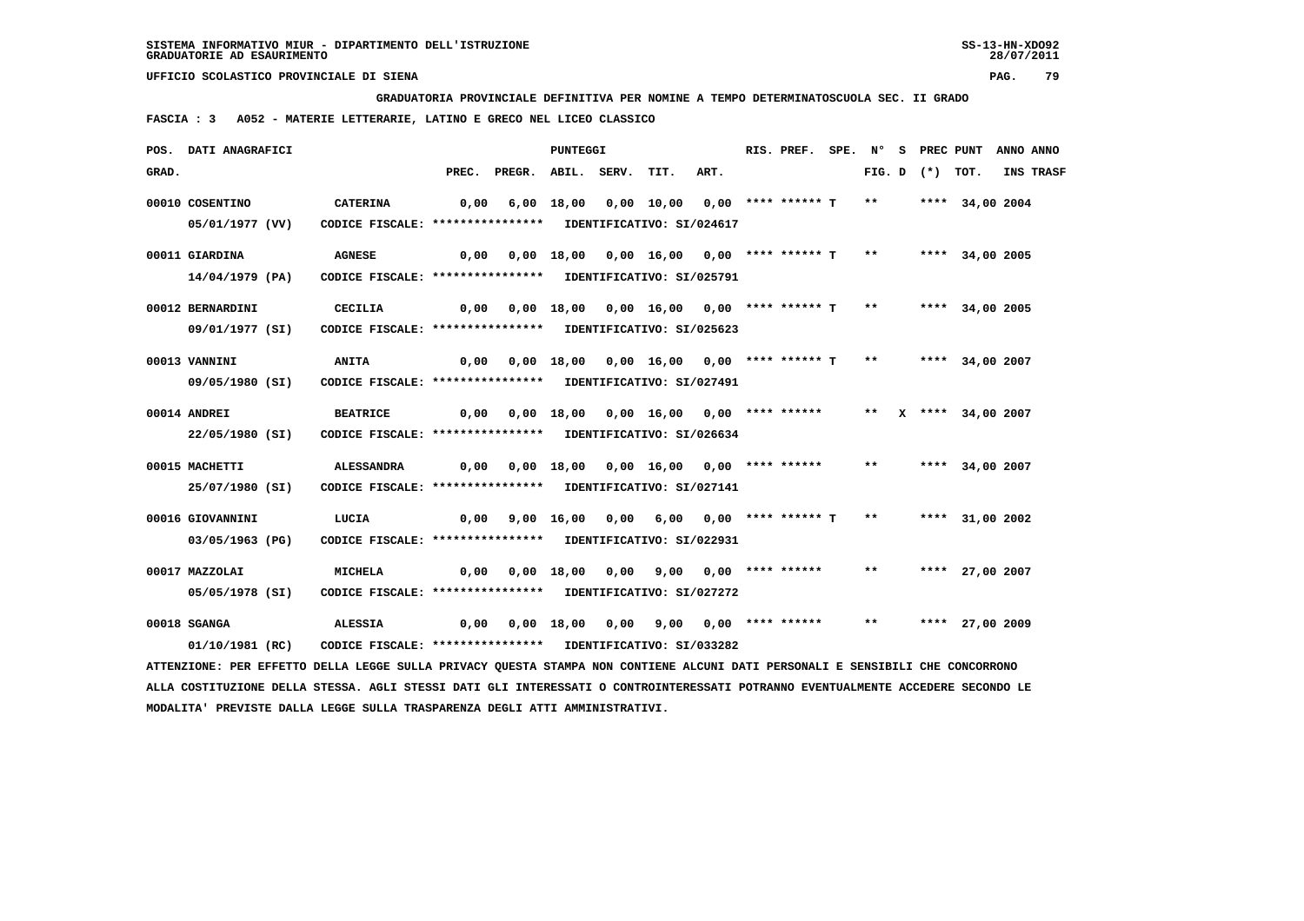**GRADUATORIA PROVINCIALE DEFINITIVA PER NOMINE A TEMPO DETERMINATOSCUOLA SEC. II GRADO**

 **FASCIA : 3 A052 - MATERIE LETTERARIE, LATINO E GRECO NEL LICEO CLASSICO**

|       | POS. DATI ANAGRAFICI                                                                                                          |                                                            |      |                                                                              | PUNTEGGI |                                                              | RIS. PREF. |  |       | SPE. N° S PREC PUNT | ANNO ANNO       |                  |
|-------|-------------------------------------------------------------------------------------------------------------------------------|------------------------------------------------------------|------|------------------------------------------------------------------------------|----------|--------------------------------------------------------------|------------|--|-------|---------------------|-----------------|------------------|
| GRAD. |                                                                                                                               |                                                            |      | PREC. PREGR. ABIL. SERV.                                                     |          | TIT.                                                         | ART.       |  |       | FIG. D $(*)$ TOT.   |                 | <b>INS TRASF</b> |
|       | 00010 COSENTINO                                                                                                               | <b>CATERINA</b>                                            | 0,00 |                                                                              |          | 6,00 18,00 0,00 10,00 0,00 **** ****** T **                  |            |  |       |                     | **** 34,00 2004 |                  |
|       | 05/01/1977 (VV)                                                                                                               | CODICE FISCALE: **************** IDENTIFICATIVO: SI/024617 |      |                                                                              |          |                                                              |            |  |       |                     |                 |                  |
|       | 00011 GIARDINA                                                                                                                | <b>AGNESE</b>                                              | 0,00 |                                                                              |          | 0,00 18,00 0,00 16,00 0,00 **** ****** T ** ***** 34,00 2005 |            |  |       |                     |                 |                  |
|       | 14/04/1979 (PA)                                                                                                               | CODICE FISCALE: **************** IDENTIFICATIVO: SI/025791 |      |                                                                              |          |                                                              |            |  |       |                     |                 |                  |
|       | 00012 BERNARDINI                                                                                                              | CECILIA                                                    | 0,00 |                                                                              |          | 0,00 18,00 0,00 16,00 0,00 **** ****** T                     |            |  | $***$ |                     | **** 34,00 2005 |                  |
|       | 09/01/1977 (SI)                                                                                                               | CODICE FISCALE: **************** IDENTIFICATIVO: SI/025623 |      |                                                                              |          |                                                              |            |  |       |                     |                 |                  |
|       | 00013 VANNINI                                                                                                                 | <b>ANITA</b>                                               |      | 0,00 0,00 18,00 0,00 16,00 0,00 **** ****** T ** ***** 34,00 2007            |          |                                                              |            |  |       |                     |                 |                  |
|       | 09/05/1980 (SI)                                                                                                               | CODICE FISCALE: **************** IDENTIFICATIVO: SI/027491 |      |                                                                              |          |                                                              |            |  |       |                     |                 |                  |
|       | 00014 ANDREI                                                                                                                  | <b>BEATRICE</b>                                            |      | $0,00$ $0,00$ $18,00$ $0,00$ $16,00$ $0,00$ **** ****** ** X **** 34,00 2007 |          |                                                              |            |  |       |                     |                 |                  |
|       | 22/05/1980 (SI)                                                                                                               | CODICE FISCALE: **************** IDENTIFICATIVO: SI/026634 |      |                                                                              |          |                                                              |            |  |       |                     |                 |                  |
|       | 00015 MACHETTI                                                                                                                | ALESSANDRA                                                 |      | 0,00 0,00 18,00 0,00 16,00 0,00 **** ******                                  |          |                                                              |            |  | $***$ |                     | **** 34,00 2007 |                  |
|       | 25/07/1980 (SI)                                                                                                               | CODICE FISCALE: **************** IDENTIFICATIVO: SI/027141 |      |                                                                              |          |                                                              |            |  |       |                     |                 |                  |
|       | 00016 GIOVANNINI                                                                                                              | LUCIA                                                      | 0,00 |                                                                              |          | 9,00 16,00 0,00 6,00 0,00 **** ******* T                     |            |  | $***$ |                     | **** 31,00 2002 |                  |
|       | 03/05/1963 (PG)                                                                                                               | CODICE FISCALE: **************** IDENTIFICATIVO: SI/022931 |      |                                                                              |          |                                                              |            |  |       |                     |                 |                  |
|       | 00017 MAZZOLAI                                                                                                                | <b>MICHELA</b>                                             | 0,00 |                                                                              |          | 0,00 18,00 0,00 9,00 0,00 **** ******                        |            |  | $***$ |                     | **** 27,00 2007 |                  |
|       | 05/05/1978 (SI)                                                                                                               | CODICE FISCALE: **************** IDENTIFICATIVO: SI/027272 |      |                                                                              |          |                                                              |            |  |       |                     |                 |                  |
|       | 00018 SGANGA                                                                                                                  | <b>ALESSIA</b>                                             | 0,00 |                                                                              |          | 0,00 18,00 0,00 9,00 0,00 **** ******                        |            |  | $***$ |                     | **** 27,00 2009 |                  |
|       | 01/10/1981 (RC)                                                                                                               | CODICE FISCALE: **************** IDENTIFICATIVO: SI/033282 |      |                                                                              |          |                                                              |            |  |       |                     |                 |                  |
|       | ATTENZIONE: PER EFFETTO DELLA LEGGE SULLA PRIVACY QUESTA STAMPA NON CONTIENE ALCUNI DATI PERSONALI E SENSIBILI CHE CONCORRONO |                                                            |      |                                                                              |          |                                                              |            |  |       |                     |                 |                  |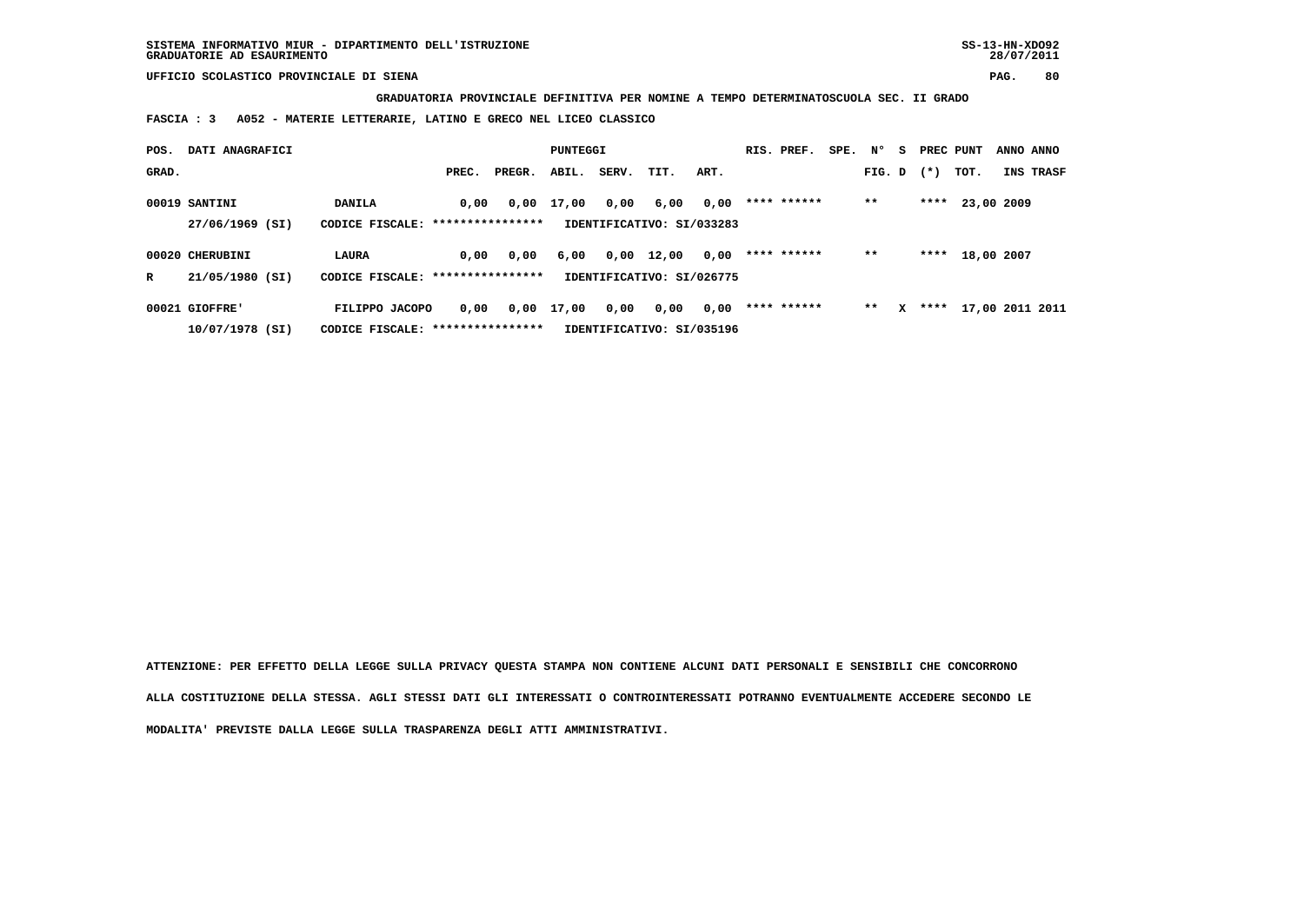**GRADUATORIA PROVINCIALE DEFINITIVA PER NOMINE A TEMPO DETERMINATOSCUOLA SEC. II GRADO**

 **FASCIA : 3 A052 - MATERIE LETTERARIE, LATINO E GRECO NEL LICEO CLASSICO**

| POS.  | DATI ANAGRAFICI |                                   | PUNTEGGI         |        |       |       | RIS. PREF.                | SPE. | N°          | - S | PREC PUNT |   | ANNO ANNO |            |  |                 |
|-------|-----------------|-----------------------------------|------------------|--------|-------|-------|---------------------------|------|-------------|-----|-----------|---|-----------|------------|--|-----------------|
| GRAD. |                 |                                   | PREC.            | PREGR. | ABIL. | SERV. | TIT.                      | ART. |             |     | FIG. D    |   | $(* )$    | TOT.       |  | INS TRASF       |
|       | 00019 SANTINI   | DANILA                            | 0,00             | 0,00   | 17,00 | 0,00  | 6,00                      | 0,00 | **** ****** |     | $* *$     |   | ****      | 23,00 2009 |  |                 |
|       | 27/06/1969 (SI) | CODICE FISCALE: ***************** |                  |        |       |       | IDENTIFICATIVO: SI/033283 |      |             |     |           |   |           |            |  |                 |
|       | 00020 CHERUBINI | LAURA                             | 0,00             | 0,00   | 6,00  | 0,00  | 12,00                     | 0,00 | **** ****** |     | $***$     |   | ****      | 18,00 2007 |  |                 |
| R     | 21/05/1980 (SI) | CODICE FISCALE:                   | **************** |        |       |       | IDENTIFICATIVO: SI/026775 |      |             |     |           |   |           |            |  |                 |
|       | 00021 GIOFFRE'  | FILIPPO JACOPO                    | 0.00             | 0,00   | 17,00 | 0,00  | 0,00                      | 0,00 | **** ****** |     | $* *$     | x | ****      |            |  | 17,00 2011 2011 |
|       | 10/07/1978 (SI) | CODICE FISCALE: ****************  |                  |        |       |       | IDENTIFICATIVO: SI/035196 |      |             |     |           |   |           |            |  |                 |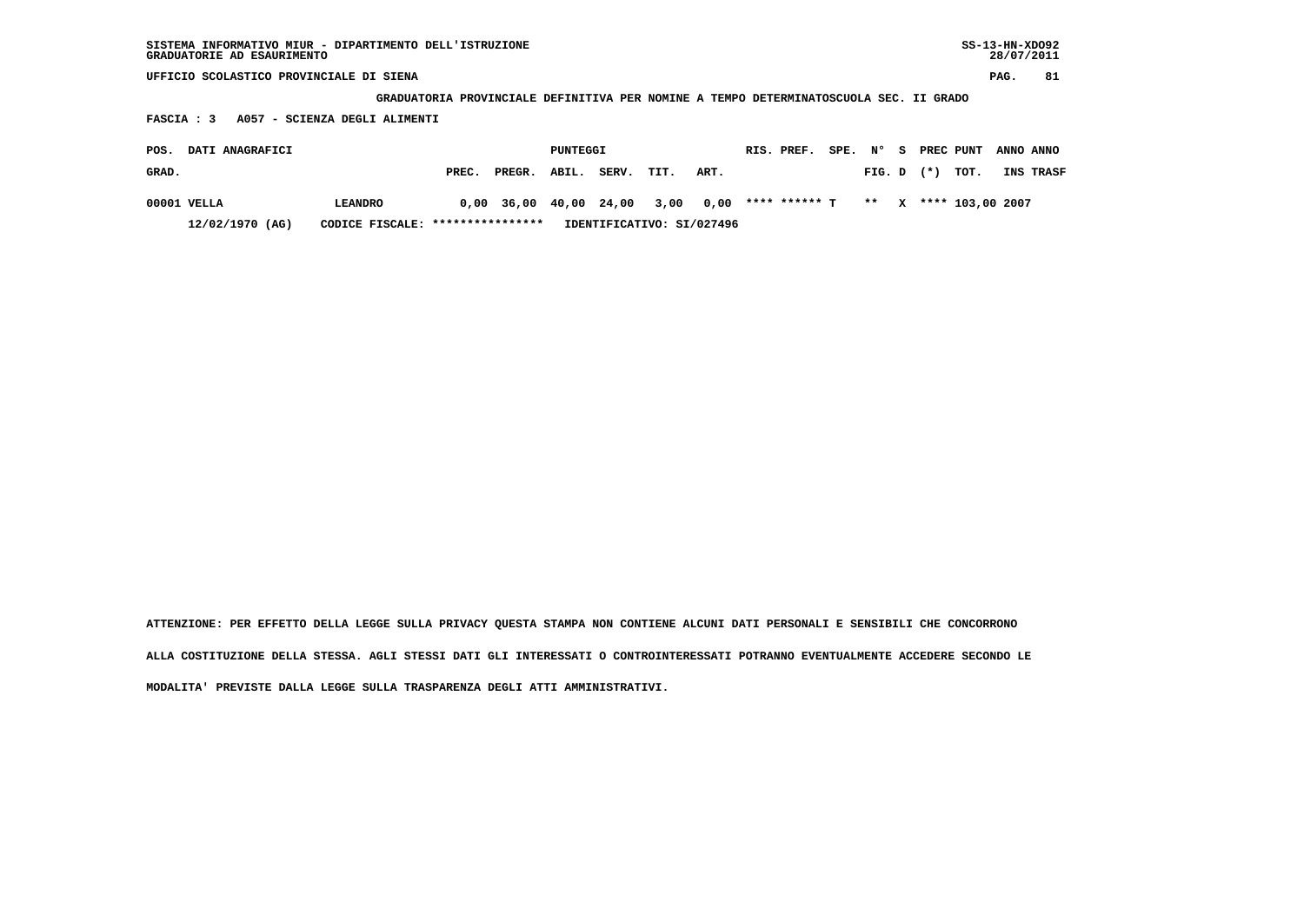| SISTEMA INFORMATIVO MIUR - DIPARTIMENTO DELL'ISTRUZIONE<br>GRADUATORIE AD ESAURIMENTO |       |        |          |       |      |      |  |               |           |        |       |                  | $SS-13-HN-XDO92$<br>28/07/2011 |           |
|---------------------------------------------------------------------------------------|-------|--------|----------|-------|------|------|--|---------------|-----------|--------|-------|------------------|--------------------------------|-----------|
| UFFICIO SCOLASTICO PROVINCIALE DI SIENA                                               |       |        |          |       |      |      |  |               |           |        |       |                  | PAG.                           | 81        |
| GRADUATORIA PROVINCIALE DEFINITIVA PER NOMINE A TEMPO DETERMINATOSCUOLA SEC. II GRADO |       |        |          |       |      |      |  |               |           |        |       |                  |                                |           |
| A057 - SCIENZA DEGLI ALIMENTI<br>FASCIA : 3                                           |       |        |          |       |      |      |  |               |           |        |       |                  |                                |           |
| DATI ANAGRAFICI<br>POS.                                                               |       |        | PUNTEGGI |       |      |      |  | RIS. PREF.    | SPE. Nº S |        |       | PREC PUNT        | ANNO ANNO                      |           |
| GRAD.                                                                                 | PREC. | PREGR. | ABIL.    | SERV. | TIT. | ART. |  |               |           | FIG. D | $(*)$ | TOT.             |                                | INS TRASF |
| 00001 VELLA<br><b>LEANDRO</b>                                                         | 0.00  | 36,00  | 40,00    | 24,00 | 3,00 | 0,00 |  | **** ****** ጥ |           | $* *$  |       | **** 103,00 2007 |                                |           |

 **12/02/1970 (AG) CODICE FISCALE: \*\*\*\*\*\*\*\*\*\*\*\*\*\*\*\* IDENTIFICATIVO: SI/027496**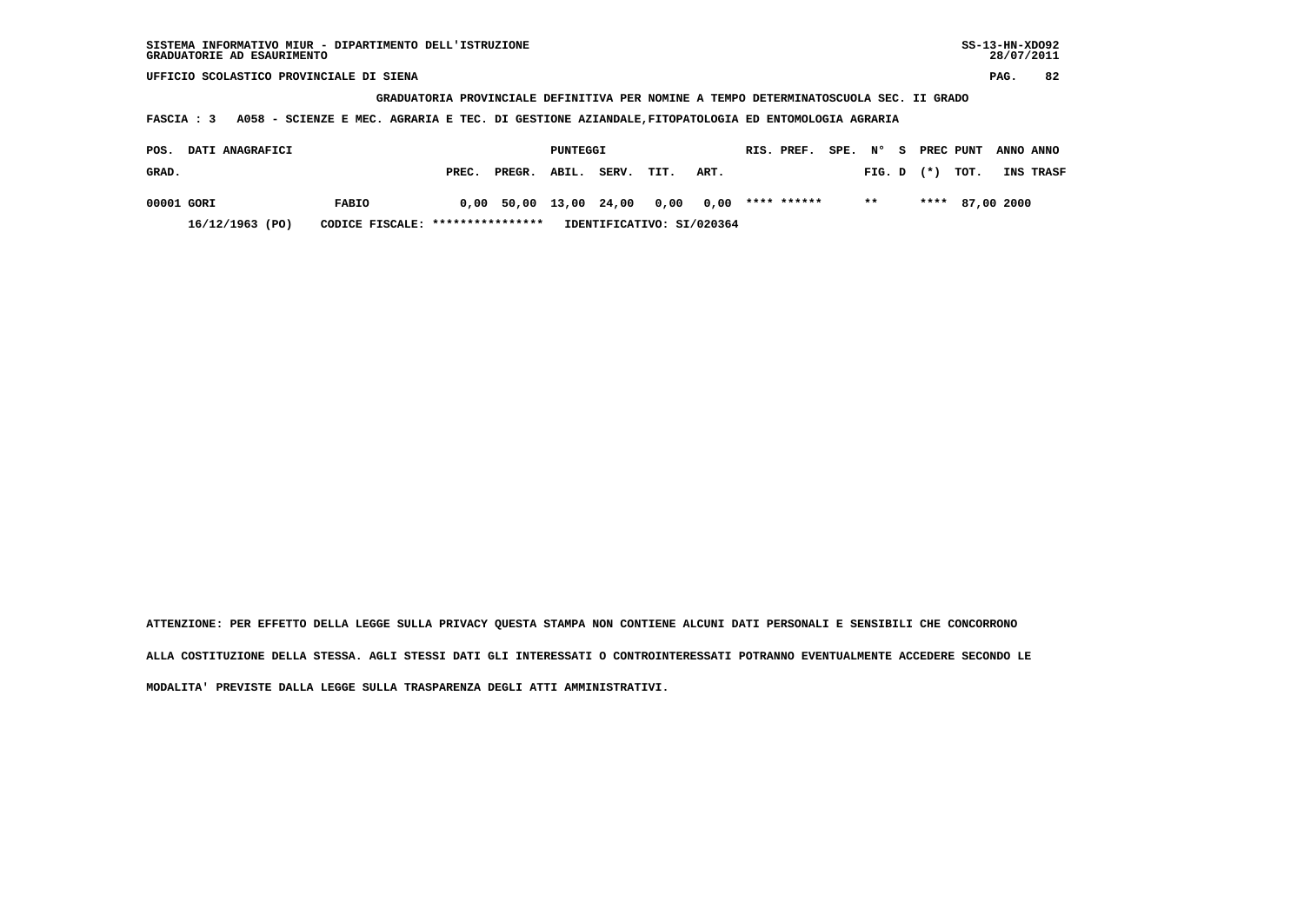| SISTEMA INFORMATIVO MIUR - DIPARTIMENTO DELL'ISTRUZIONE | SS-13-HN-XD092 |
|---------------------------------------------------------|----------------|
| GRADUATORIE AD ESAURIMENTO                              | 28/07/2011     |

 **GRADUATORIA PROVINCIALE DEFINITIVA PER NOMINE A TEMPO DETERMINATOSCUOLA SEC. II GRADO**

 **FASCIA : 3 A058 - SCIENZE E MEC. AGRARIA E TEC. DI GESTIONE AZIANDALE,FITOPATOLOGIA ED ENTOMOLOGIA AGRARIA**

| POS.       | <b>DATI ANAGRAFICI</b> |                                  |       |                                                | PUNTEGGI |       |      |                           | RIS. PREF. | SPE. N°       |                |  | S PREC PUNT     | ANNO ANNO        |
|------------|------------------------|----------------------------------|-------|------------------------------------------------|----------|-------|------|---------------------------|------------|---------------|----------------|--|-----------------|------------------|
| GRAD.      |                        |                                  | PREC. | PREGR. ABIL.                                   |          | SERV. | TIT. | ART.                      |            |               | $FIG. D$ $(*)$ |  | тот.            | <b>INS TRASF</b> |
| 00001 GORI |                        | <b>FABIO</b>                     |       | $0.00$ 50.00 13.00 24.00 0.00 0.00 **** ****** |          |       |      |                           |            | $\star \star$ |                |  | **** 87,00 2000 |                  |
|            | 16/12/1963 (PO)        | CODICE FISCALE: **************** |       |                                                |          |       |      | IDENTIFICATIVO: SI/020364 |            |               |                |  |                 |                  |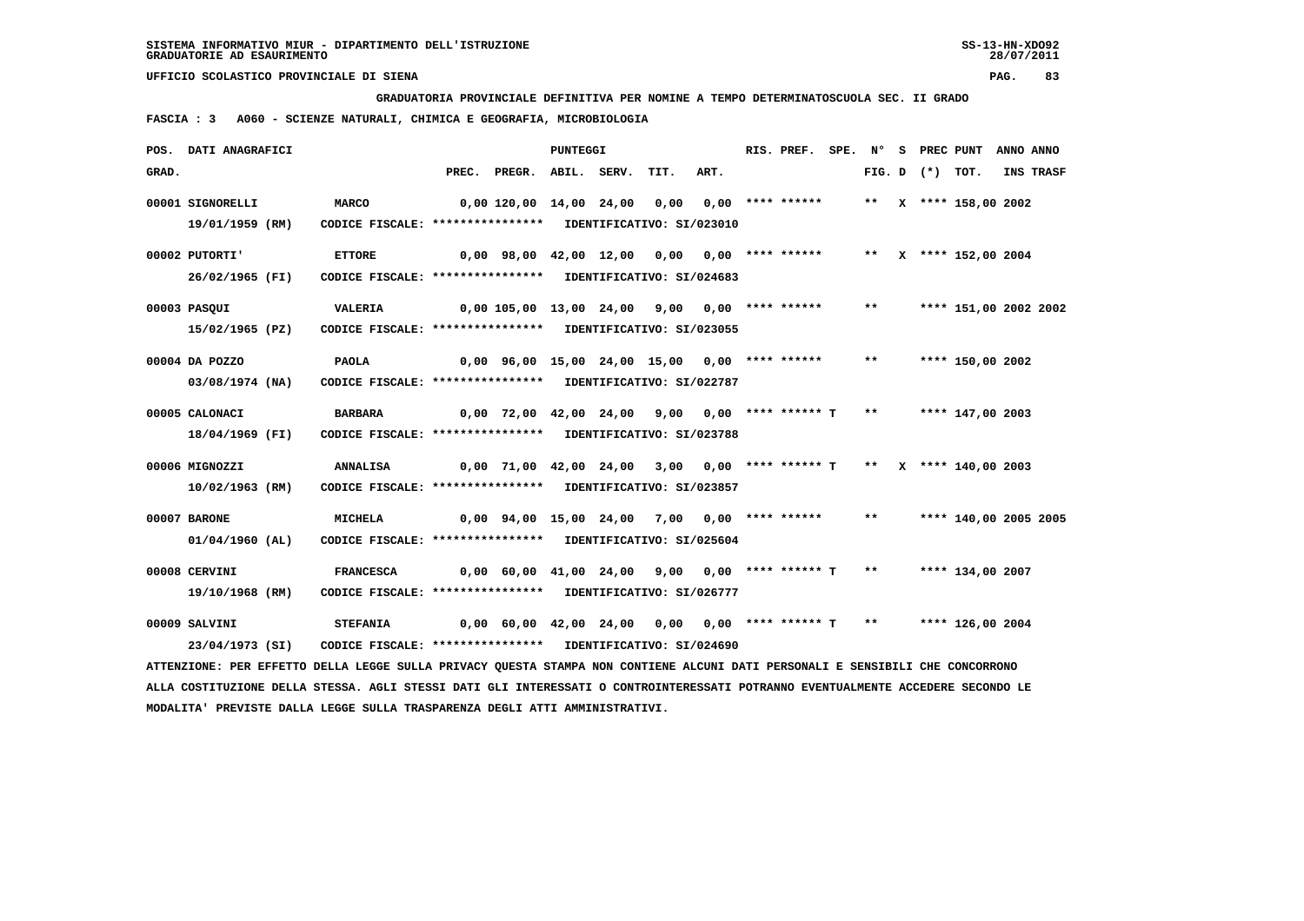**GRADUATORIA PROVINCIALE DEFINITIVA PER NOMINE A TEMPO DETERMINATOSCUOLA SEC. II GRADO**

 **FASCIA : 3 A060 - SCIENZE NATURALI, CHIMICA E GEOGRAFIA, MICROBIOLOGIA**

|       | POS. DATI ANAGRAFICI                                                                                                            |                                                            |                                                                    | PUNTEGGI |      |      | RIS. PREF. SPE. Nº |       |                   | S PREC PUNT           | ANNO ANNO |           |
|-------|---------------------------------------------------------------------------------------------------------------------------------|------------------------------------------------------------|--------------------------------------------------------------------|----------|------|------|--------------------|-------|-------------------|-----------------------|-----------|-----------|
| GRAD. |                                                                                                                                 |                                                            | PREC. PREGR. ABIL. SERV.                                           |          | TIT. | ART. |                    |       | FIG. D $(*)$ TOT. |                       |           | INS TRASF |
|       | 00001 SIGNORELLI                                                                                                                | MARCO                                                      | 0,00 120,00 14,00 24,00                                            |          | 0,00 |      | $0.00$ **** ****** |       |                   | ** X **** 158,00 2002 |           |           |
|       | 19/01/1959 (RM)                                                                                                                 | CODICE FISCALE: **************** IDENTIFICATIVO: SI/023010 |                                                                    |          |      |      |                    |       |                   |                       |           |           |
|       | 00002 PUTORTI'                                                                                                                  | <b>ETTORE</b>                                              | $0,00$ 98,00 42,00 12,00 0,00 0,00 **** ******                     |          |      |      |                    |       |                   | ** X **** 152,00 2004 |           |           |
|       | 26/02/1965 (FI)                                                                                                                 | CODICE FISCALE: **************** IDENTIFICATIVO: SI/024683 |                                                                    |          |      |      |                    |       |                   |                       |           |           |
|       | 00003 PASQUI                                                                                                                    | VALERIA                                                    | $0,00$ 105,00 13,00 24,00 9,00 0,00 **** ******                    |          |      |      |                    | $***$ |                   | **** 151,00 2002 2002 |           |           |
|       | 15/02/1965 (PZ)                                                                                                                 | CODICE FISCALE: **************** IDENTIFICATIVO: SI/023055 |                                                                    |          |      |      |                    |       |                   |                       |           |           |
|       | 00004 DA POZZO                                                                                                                  | PAOLA                                                      | 0,00 96,00 15,00 24,00 15,00 0,00 **** ******                      |          |      |      |                    | $***$ |                   | **** 150,00 2002      |           |           |
|       | 03/08/1974 (NA)                                                                                                                 | CODICE FISCALE: **************** IDENTIFICATIVO: SI/022787 |                                                                    |          |      |      |                    |       |                   |                       |           |           |
|       | 00005 CALONACI                                                                                                                  | <b>BARBARA</b>                                             | $0,00$ 72,00 42,00 24,00 9,00 0,00 **** ****** T **                |          |      |      |                    |       |                   | **** 147,00 2003      |           |           |
|       | 18/04/1969 (FI)                                                                                                                 | CODICE FISCALE: **************** IDENTIFICATIVO: SI/023788 |                                                                    |          |      |      |                    |       |                   |                       |           |           |
|       | 00006 MIGNOZZI                                                                                                                  | <b>ANNALISA</b>                                            |                                                                    |          |      |      |                    |       |                   |                       |           |           |
|       | 10/02/1963 (RM)                                                                                                                 | CODICE FISCALE: **************** IDENTIFICATIVO: SI/023857 |                                                                    |          |      |      |                    |       |                   |                       |           |           |
|       | 00007 BARONE                                                                                                                    | <b>MICHELA</b>                                             | $0,00$ 94,00 15,00 24,00 7,00 0,00 **** ******                     |          |      |      |                    | $***$ |                   | **** 140,00 2005 2005 |           |           |
|       | 01/04/1960 (AL)                                                                                                                 | CODICE FISCALE: **************** IDENTIFICATIVO: SI/025604 |                                                                    |          |      |      |                    |       |                   |                       |           |           |
|       | 00008 CERVINI                                                                                                                   | <b>FRANCESCA</b>                                           | 0,00 60,00 41,00 24,00 9,00 0,00 **** ****** T ** **** 134,00 2007 |          |      |      |                    |       |                   |                       |           |           |
|       | 19/10/1968 (RM)                                                                                                                 | CODICE FISCALE: **************** IDENTIFICATIVO: SI/026777 |                                                                    |          |      |      |                    |       |                   |                       |           |           |
|       | 00009 SALVINI                                                                                                                   | <b>STEFANIA</b>                                            | $0,00$ 60,00 42,00 24,00 0,00 0,00 **** ****** T **                |          |      |      |                    |       |                   | **** 126,00 2004      |           |           |
|       | 23/04/1973 (SI)                                                                                                                 | CODICE FISCALE: **************** IDENTIFICATIVO: SI/024690 |                                                                    |          |      |      |                    |       |                   |                       |           |           |
|       | ATTENZIONE: PER EFFETTO DELLA LEGGE SULLA PRIVACY QUESTA STAMPA NON CONTIENE ALCUNI DATI PERSONALI E SENSIBILI CHE CONCORRONO   |                                                            |                                                                    |          |      |      |                    |       |                   |                       |           |           |
|       | ALLA COSTITUZIONE DELLA STESSA. AGLI STESSI DATI GLI INTERESSATI O CONTROINTERESSATI POTRANNO EVENTUALMENTE ACCEDERE SECONDO LE |                                                            |                                                                    |          |      |      |                    |       |                   |                       |           |           |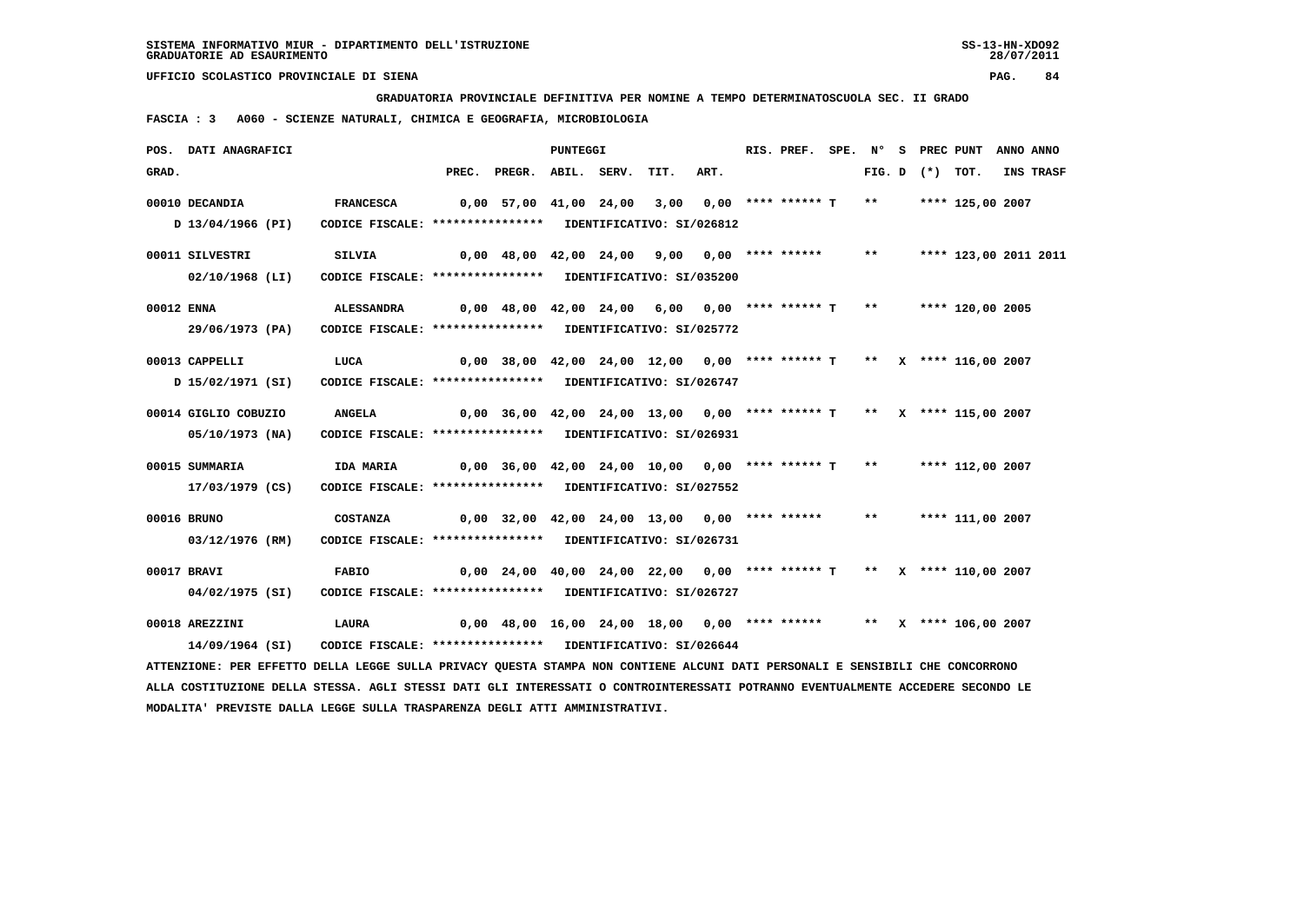**GRADUATORIA PROVINCIALE DEFINITIVA PER NOMINE A TEMPO DETERMINATOSCUOLA SEC. II GRADO**

 **FASCIA : 3 A060 - SCIENZE NATURALI, CHIMICA E GEOGRAFIA, MICROBIOLOGIA**

|            | POS. DATI ANAGRAFICI                                                                                                          |                                                            |                                                                         | <b>PUNTEGGI</b> |      |      | RIS. PREF. | SPE. N° |               |                   | S PREC PUNT ANNO ANNO |                  |
|------------|-------------------------------------------------------------------------------------------------------------------------------|------------------------------------------------------------|-------------------------------------------------------------------------|-----------------|------|------|------------|---------|---------------|-------------------|-----------------------|------------------|
| GRAD.      |                                                                                                                               |                                                            | PREC. PREGR. ABIL. SERV.                                                |                 | TIT. | ART. |            |         |               | FIG. D $(*)$ TOT. |                       | <b>INS TRASF</b> |
|            | 00010 DECANDIA                                                                                                                | <b>FRANCESCA</b>                                           | $0,00$ 57,00 41,00 24,00 3,00 0,00 **** ****** T                        |                 |      |      |            |         | $***$         |                   | **** 125,00 2007      |                  |
|            | D 13/04/1966 (PI)                                                                                                             | CODICE FISCALE: **************** IDENTIFICATIVO: SI/026812 |                                                                         |                 |      |      |            |         |               |                   |                       |                  |
|            | 00011 SILVESTRI                                                                                                               | SILVIA                                                     | $0,00$ 48,00 42,00 24,00 9,00 0,00 **** ******                          |                 |      |      |            |         | $***$         |                   | **** 123,00 2011 2011 |                  |
|            | $02/10/1968$ (LI)                                                                                                             | CODICE FISCALE: **************** IDENTIFICATIVO: SI/035200 |                                                                         |                 |      |      |            |         |               |                   |                       |                  |
| 00012 ENNA |                                                                                                                               | <b>ALESSANDRA</b>                                          | $0,00$ 48,00 42,00 24,00 6,00 0,00 **** ****** T **                     |                 |      |      |            |         |               |                   | **** 120,00 2005      |                  |
|            | 29/06/1973 (PA)                                                                                                               | CODICE FISCALE: **************** IDENTIFICATIVO: SI/025772 |                                                                         |                 |      |      |            |         |               |                   |                       |                  |
|            | 00013 CAPPELLI                                                                                                                | LUCA                                                       | $0,00$ 38,00 42,00 24,00 12,00 0,00 **** ****** T ** X **** 116,00 2007 |                 |      |      |            |         |               |                   |                       |                  |
|            | D 15/02/1971 (SI)                                                                                                             | CODICE FISCALE: **************** IDENTIFICATIVO: SI/026747 |                                                                         |                 |      |      |            |         |               |                   |                       |                  |
|            | 00014 GIGLIO COBUZIO                                                                                                          | <b>ANGELA</b>                                              | $0,00$ 36,00 42,00 24,00 13,00 0,00 **** ****** T ** X **** 115,00 2007 |                 |      |      |            |         |               |                   |                       |                  |
|            | 05/10/1973 (NA)                                                                                                               | CODICE FISCALE: **************** IDENTIFICATIVO: SI/026931 |                                                                         |                 |      |      |            |         |               |                   |                       |                  |
|            | 00015 SUMMARIA                                                                                                                | IDA MARIA                                                  | $0,00$ 36,00 42,00 24,00 10,00 0,00 **** ****** T                       |                 |      |      |            |         | $\star \star$ |                   | **** 112,00 2007      |                  |
|            | 17/03/1979 (CS)                                                                                                               | CODICE FISCALE: **************** IDENTIFICATIVO: SI/027552 |                                                                         |                 |      |      |            |         |               |                   |                       |                  |
|            | 00016 BRUNO                                                                                                                   | <b>COSTANZA</b>                                            | $0,00$ 32,00 42,00 24,00 13,00 0,00 **** ****** ** **** 111,00 2007     |                 |      |      |            |         |               |                   |                       |                  |
|            | 03/12/1976 (RM)                                                                                                               | CODICE FISCALE: **************** IDENTIFICATIVO: SI/026731 |                                                                         |                 |      |      |            |         |               |                   |                       |                  |
|            | 00017 BRAVI                                                                                                                   | <b>FABIO</b>                                               | 0,00 24,00 40,00 24,00 22,00 0,00 **** ****** T ** X **** 110,00 2007   |                 |      |      |            |         |               |                   |                       |                  |
|            | 04/02/1975 (SI)                                                                                                               | CODICE FISCALE: **************** IDENTIFICATIVO: SI/026727 |                                                                         |                 |      |      |            |         |               |                   |                       |                  |
|            | 00018 AREZZINI                                                                                                                | LAURA                                                      | 0,00 48,00 16,00 24,00 18,00 0,00 **** ****** ** X **** 106,00 2007     |                 |      |      |            |         |               |                   |                       |                  |
|            | 14/09/1964 (SI)                                                                                                               | CODICE FISCALE: **************** IDENTIFICATIVO: SI/026644 |                                                                         |                 |      |      |            |         |               |                   |                       |                  |
|            | ATTENZIONE: PER EFFETTO DELLA LEGGE SULLA PRIVACY QUESTA STAMPA NON CONTIENE ALCUNI DATI PERSONALI E SENSIBILI CHE CONCORRONO |                                                            |                                                                         |                 |      |      |            |         |               |                   |                       |                  |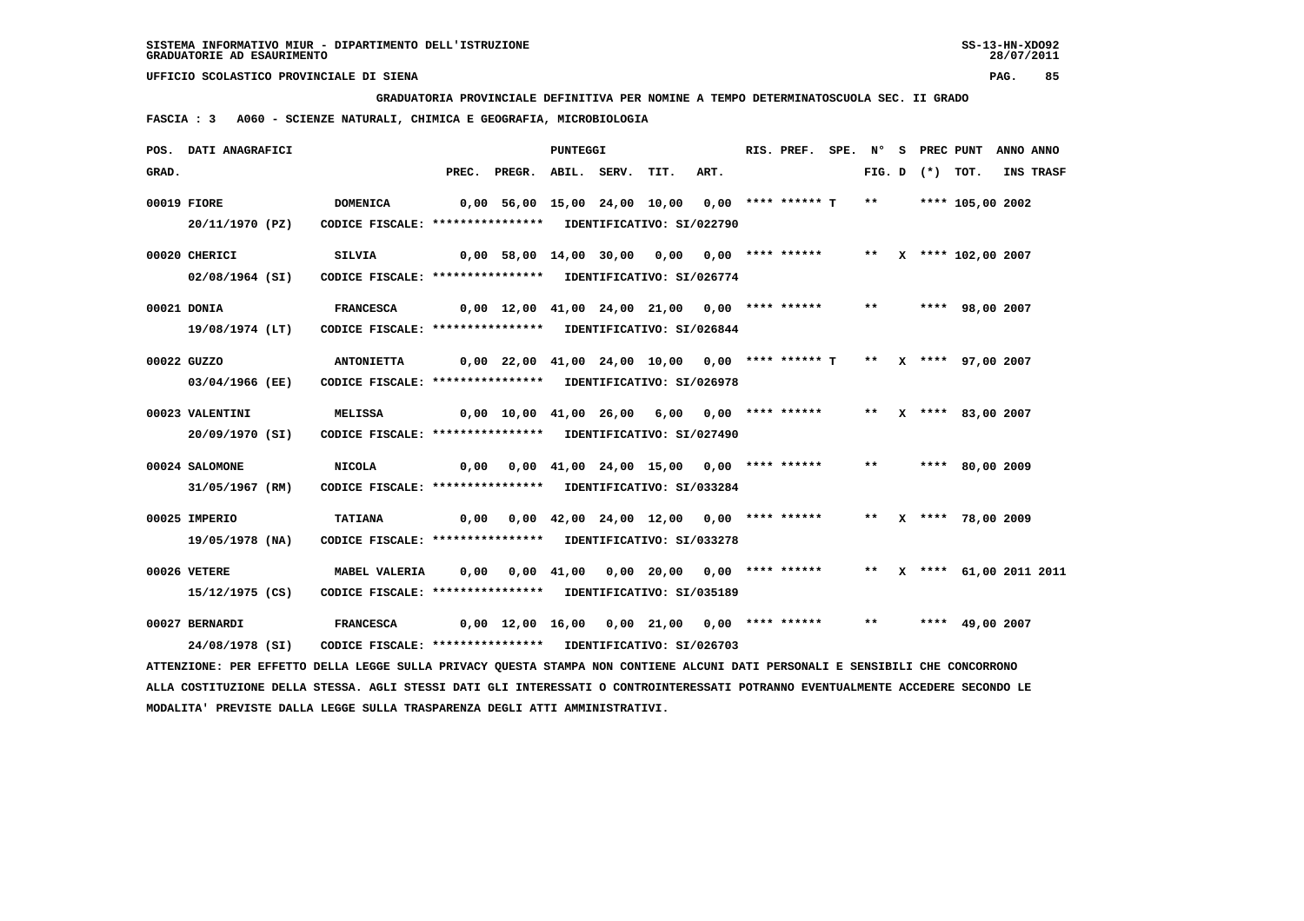**GRADUATORIA PROVINCIALE DEFINITIVA PER NOMINE A TEMPO DETERMINATOSCUOLA SEC. II GRADO**

 **FASCIA : 3 A060 - SCIENZE NATURALI, CHIMICA E GEOGRAFIA, MICROBIOLOGIA**

|       | POS. DATI ANAGRAFICI                                                                                                            |                                                                                 |       |                                                                        | PUNTEGGI |                                                                                 |      | RIS. PREF. | SPE. N° |       |                     | S PREC PUNT               | ANNO ANNO |
|-------|---------------------------------------------------------------------------------------------------------------------------------|---------------------------------------------------------------------------------|-------|------------------------------------------------------------------------|----------|---------------------------------------------------------------------------------|------|------------|---------|-------|---------------------|---------------------------|-----------|
| GRAD. |                                                                                                                                 |                                                                                 | PREC. | PREGR. ABIL. SERV.                                                     |          | TIT.                                                                            | ART. |            |         |       | FIG. $D$ $(*)$ TOT. |                           | INS TRASF |
|       | 00019 FIORE<br>20/11/1970 (PZ)                                                                                                  | <b>DOMENICA</b><br>CODICE FISCALE: **************** IDENTIFICATIVO: SI/022790   |       | 0,00 56,00 15,00 24,00 10,00 0,00 **** ****** T                        |          |                                                                                 |      |            |         | $***$ |                     | **** 105,00 2002          |           |
|       | 00020 CHERICI<br>02/08/1964 (SI)                                                                                                | <b>SILVIA</b><br>CODICE FISCALE: **************** IDENTIFICATIVO: SI/026774     |       | $0,00$ 58,00 14,00 30,00 0,00 0,00 **** ******                         |          |                                                                                 |      |            |         |       |                     | ** X **** 102,00 2007     |           |
|       | 00021 DONIA<br>19/08/1974 (LT)                                                                                                  | <b>FRANCESCA</b><br>CODICE FISCALE: **************** IDENTIFICATIVO: SI/026844  |       | $0,00$ 12,00 41,00 24,00 21,00 0,00 **** ******                        |          |                                                                                 |      |            |         | $***$ |                     | **** 98,00 2007           |           |
|       | 00022 GUZZO<br>03/04/1966 (EE)                                                                                                  | <b>ANTONIETTA</b><br>CODICE FISCALE: **************** IDENTIFICATIVO: SI/026978 |       | $0,00$ 22,00 41,00 24,00 10,00 0,00 **** ****** T ** X **** 97,00 2007 |          |                                                                                 |      |            |         |       |                     |                           |           |
|       | 00023 VALENTINI<br>20/09/1970 (SI)                                                                                              | <b>MELISSA</b><br>CODICE FISCALE: **************** IDENTIFICATIVO: SI/027490    |       | $0,00$ $10,00$ $41,00$ $26,00$ $6,00$ $0,00$ **** ******               |          |                                                                                 |      |            |         | $***$ |                     | X **** 83,00 2007         |           |
|       | 00024 SALOMONE<br>31/05/1967 (RM)                                                                                               | <b>NICOLA</b><br>CODICE FISCALE: **************** IDENTIFICATIVO: SI/033284     | 0,00  |                                                                        |          | $0.00 \quad 41.00 \quad 24.00 \quad 15.00 \quad 0.00 \quad *** \quad *** \quad$ |      |            |         | $***$ |                     | **** 80,00 2009           |           |
|       | 00025 IMPERIO<br>19/05/1978 (NA)                                                                                                | <b>TATIANA</b><br>CODICE FISCALE: **************** IDENTIFICATIVO: SI/033278    |       | $0,00$ $0,00$ $42,00$ $24,00$ $12,00$ $0,00$ **** ******               |          |                                                                                 |      |            |         |       |                     | ** X **** 78,00 2009      |           |
|       | 00026 VETERE<br>15/12/1975 (CS)                                                                                                 | MABEL VALERIA<br>CODICE FISCALE: **************** IDENTIFICATIVO: SI/035189     |       | $0,00$ $0,00$ $41,00$ $0,00$ $20,00$ $0,00$ $***$                      |          |                                                                                 |      |            |         |       |                     | ** X **** 61,00 2011 2011 |           |
|       | 00027 BERNARDI<br>24/08/1978 (SI)                                                                                               | <b>FRANCESCA</b><br>CODICE FISCALE: **************** IDENTIFICATIVO: SI/026703  |       | $0,00$ 12,00 16,00 0,00 21,00 0,00 **** ******                         |          |                                                                                 |      |            |         | $***$ |                     | **** 49,00 2007           |           |
|       | ATTENZIONE: PER EFFETTO DELLA LEGGE SULLA PRIVACY QUESTA STAMPA NON CONTIENE ALCUNI DATI PERSONALI E SENSIBILI CHE CONCORRONO   |                                                                                 |       |                                                                        |          |                                                                                 |      |            |         |       |                     |                           |           |
|       | ALLA COSTITUZIONE DELLA STESSA. AGLI STESSI DATI GLI INTERESSATI O CONTROINTERESSATI POTRANNO EVENTUALMENTE ACCEDERE SECONDO LE |                                                                                 |       |                                                                        |          |                                                                                 |      |            |         |       |                     |                           |           |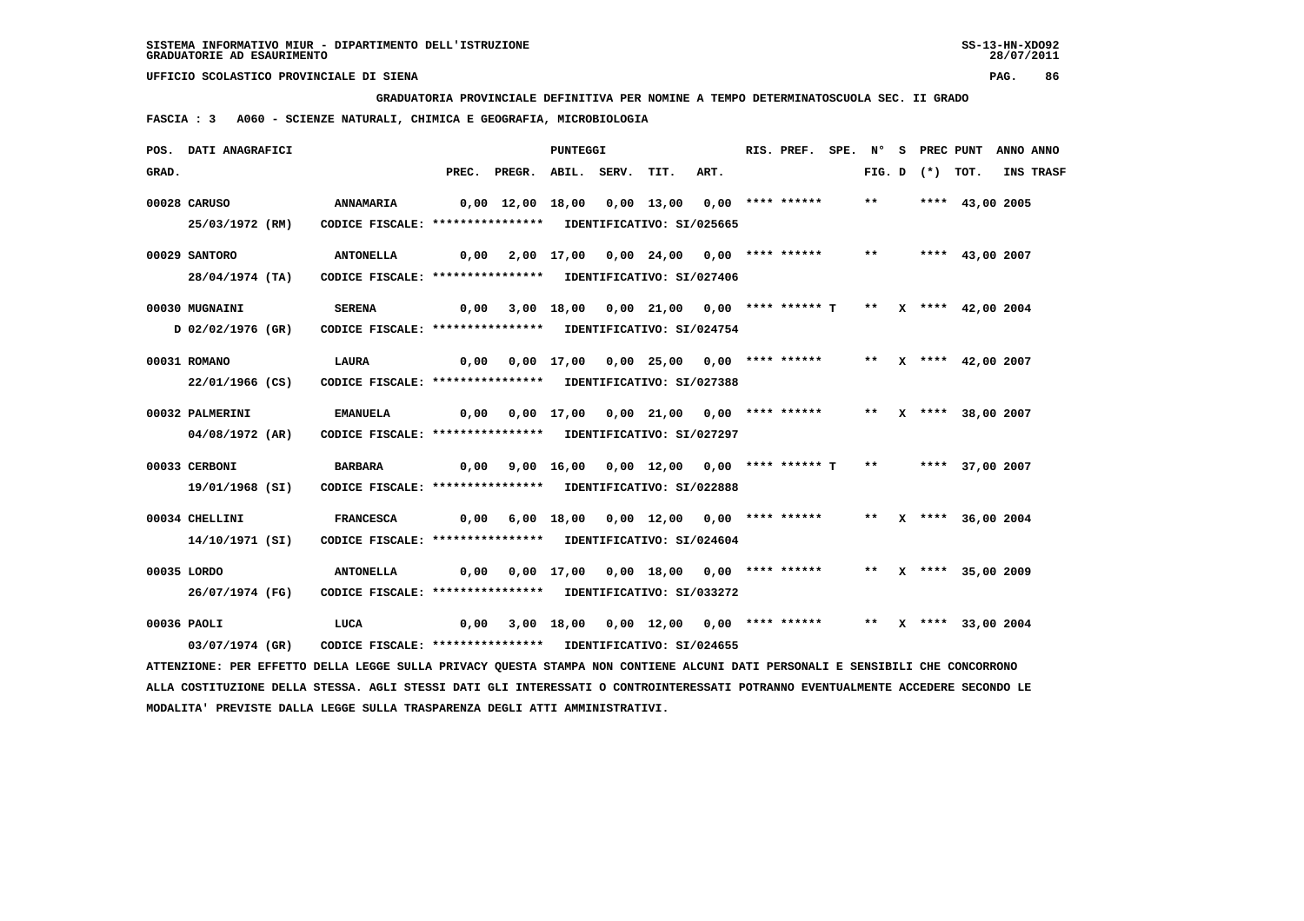**GRADUATORIA PROVINCIALE DEFINITIVA PER NOMINE A TEMPO DETERMINATOSCUOLA SEC. II GRADO**

 **FASCIA : 3 A060 - SCIENZE NATURALI, CHIMICA E GEOGRAFIA, MICROBIOLOGIA**

|       | POS. DATI ANAGRAFICI                                                                                                          |                                                            |                                              |                                                                                   | <b>PUNTEGGI</b> |                                                                |      | RIS. PREF. |       |                   | SPE. N° S PREC PUNT ANNO ANNO |           |
|-------|-------------------------------------------------------------------------------------------------------------------------------|------------------------------------------------------------|----------------------------------------------|-----------------------------------------------------------------------------------|-----------------|----------------------------------------------------------------|------|------------|-------|-------------------|-------------------------------|-----------|
| GRAD. |                                                                                                                               |                                                            |                                              | PREC. PREGR. ABIL. SERV.                                                          |                 | TIT.                                                           | ART. |            |       | FIG. D $(*)$ TOT. |                               | INS TRASF |
|       | 00028 CARUSO                                                                                                                  | <b>ANNAMARIA</b>                                           | 0,00 12,00 18,00 0,00 13,00 0,00 **** ****** |                                                                                   |                 |                                                                |      |            | $***$ |                   | **** 43,00 2005               |           |
|       | 25/03/1972 (RM)                                                                                                               | CODICE FISCALE: **************** IDENTIFICATIVO: SI/025665 |                                              |                                                                                   |                 |                                                                |      |            |       |                   |                               |           |
|       | 00029 SANTORO                                                                                                                 | <b>ANTONELLA</b>                                           | 0,00                                         |                                                                                   |                 | 2,00 17,00 0,00 24,00 0,00 **** ******                         |      |            | $***$ |                   | **** 43,00 2007               |           |
|       | 28/04/1974 (TA)                                                                                                               | CODICE FISCALE: **************** IDENTIFICATIVO: SI/027406 |                                              |                                                                                   |                 |                                                                |      |            |       |                   |                               |           |
|       | 00030 MUGNAINI                                                                                                                | <b>SERENA</b>                                              | 0,00                                         |                                                                                   |                 | 3,00 18,00 0,00 21,00 0,00 **** ****** T ** X **** 42,00 2004  |      |            |       |                   |                               |           |
|       | D 02/02/1976 (GR)                                                                                                             | CODICE FISCALE: **************** IDENTIFICATIVO: SI/024754 |                                              |                                                                                   |                 |                                                                |      |            |       |                   |                               |           |
|       | 00031 ROMANO                                                                                                                  | <b>LAURA</b>                                               |                                              | 0,00  0,00  17,00  0,00  25,00  0,00  ****  ******  **    **    ****  42,00  2007 |                 |                                                                |      |            |       |                   |                               |           |
|       | 22/01/1966 (CS)                                                                                                               | CODICE FISCALE: **************** IDENTIFICATIVO: SI/027388 |                                              |                                                                                   |                 |                                                                |      |            |       |                   |                               |           |
|       | 00032 PALMERINI                                                                                                               | <b>EMANUELA</b>                                            | 0,00                                         |                                                                                   |                 | 0,00 17,00 0,00 21,00 0,00 **** ******                         |      |            |       |                   | ** X **** 38,00 2007          |           |
|       | 04/08/1972 (AR)                                                                                                               | CODICE FISCALE: **************** IDENTIFICATIVO: SI/027297 |                                              |                                                                                   |                 |                                                                |      |            |       |                   |                               |           |
|       | 00033 CERBONI                                                                                                                 | BARBARA                                                    | 0,00                                         |                                                                                   |                 | 9,00 16,00 0,00 12,00 0,00 **** ****** T                       |      |            |       |                   | ** **** 37,00 2007            |           |
|       | 19/01/1968 (SI)                                                                                                               | CODICE FISCALE: **************** IDENTIFICATIVO: SI/022888 |                                              |                                                                                   |                 |                                                                |      |            |       |                   |                               |           |
|       | 00034 CHELLINI                                                                                                                | <b>FRANCESCA</b>                                           |                                              | $0,00$ 6,00 18,00 0,00 12,00 0,00 **** ****** ** X **** 36,00 2004                |                 |                                                                |      |            |       |                   |                               |           |
|       | 14/10/1971 (SI)                                                                                                               | CODICE FISCALE: **************** IDENTIFICATIVO: SI/024604 |                                              |                                                                                   |                 |                                                                |      |            |       |                   |                               |           |
|       | 00035 LORDO                                                                                                                   | <b>ANTONELLA</b>                                           |                                              | 0,00  0,00  17,00  0,00  18,00  0,00  ****  ******  **    **    ****  35,00  2009 |                 |                                                                |      |            |       |                   |                               |           |
|       | 26/07/1974 (FG)                                                                                                               | CODICE FISCALE: **************** IDENTIFICATIVO: SI/033272 |                                              |                                                                                   |                 |                                                                |      |            |       |                   |                               |           |
|       | 00036 PAOLI                                                                                                                   | LUCA                                                       | 0,00                                         |                                                                                   |                 | 3,00 18,00 0,00 12,00 0,00 **** ****** ** ** X **** 33,00 2004 |      |            |       |                   |                               |           |
|       | 03/07/1974 (GR)                                                                                                               | CODICE FISCALE: **************** IDENTIFICATIVO: SI/024655 |                                              |                                                                                   |                 |                                                                |      |            |       |                   |                               |           |
|       | ATTENZIONE: PER EFFETTO DELLA LEGGE SULLA PRIVACY QUESTA STAMPA NON CONTIENE ALCUNI DATI PERSONALI E SENSIBILI CHE CONCORRONO |                                                            |                                              |                                                                                   |                 |                                                                |      |            |       |                   |                               |           |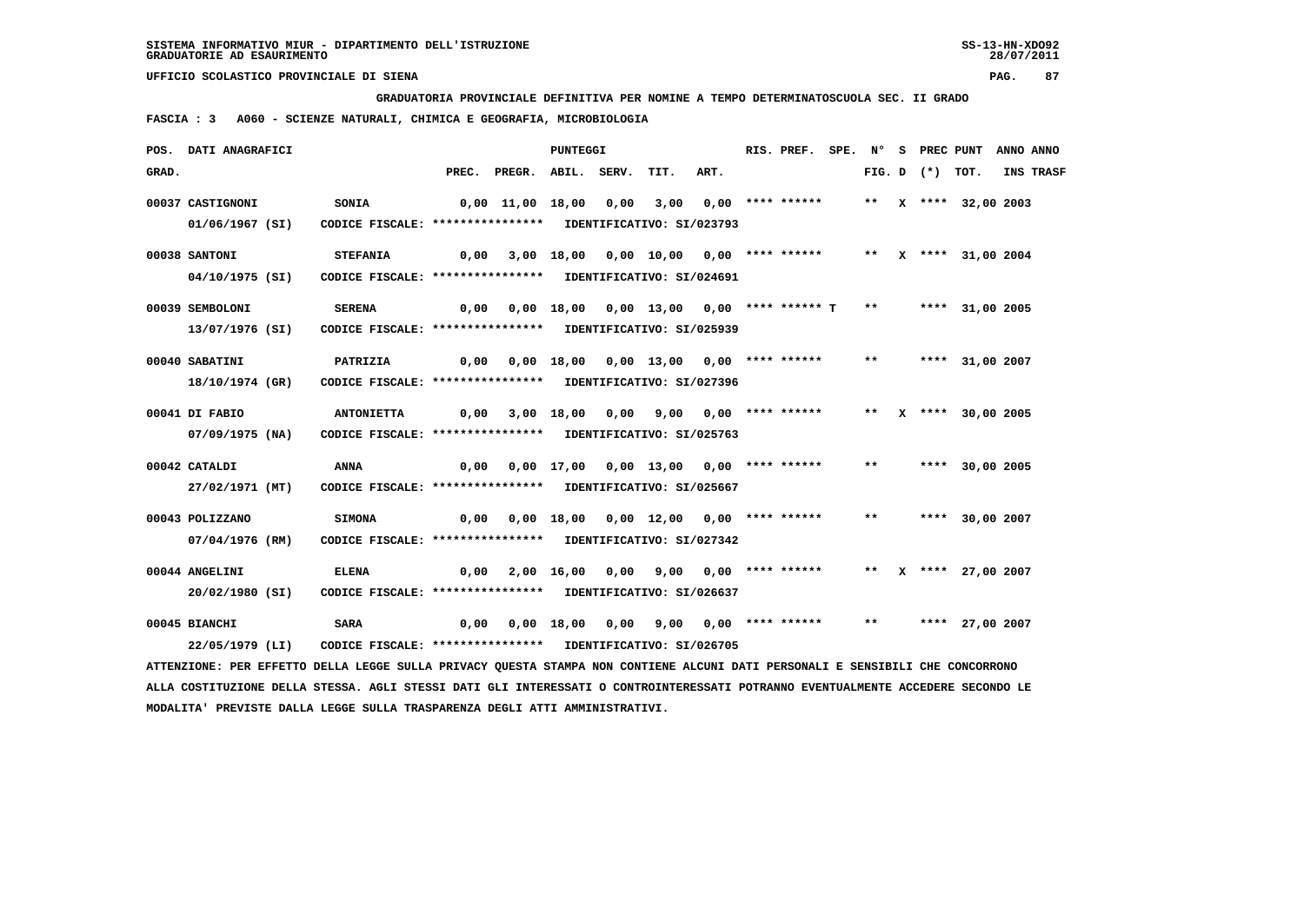**GRADUATORIA PROVINCIALE DEFINITIVA PER NOMINE A TEMPO DETERMINATOSCUOLA SEC. II GRADO**

 **FASCIA : 3 A060 - SCIENZE NATURALI, CHIMICA E GEOGRAFIA, MICROBIOLOGIA**

|       | POS. DATI ANAGRAFICI                                                                                                          |                                                            |      |                                                    | <b>PUNTEGGI</b> |                                                            |      | RIS. PREF.       |       |  | SPE. N° S PREC PUNT ANNO ANNO |           |
|-------|-------------------------------------------------------------------------------------------------------------------------------|------------------------------------------------------------|------|----------------------------------------------------|-----------------|------------------------------------------------------------|------|------------------|-------|--|-------------------------------|-----------|
| GRAD. |                                                                                                                               |                                                            |      | PREC. PREGR. ABIL. SERV.                           |                 | TIT.                                                       | ART. |                  |       |  | FIG. D $(*)$ TOT.             | INS TRASF |
|       | 00037 CASTIGNONI                                                                                                              | <b>SONIA</b>                                               |      | $0,00$ $11,00$ $18,00$ $0,00$                      |                 | 3,00                                                       |      | 0,00 **** ****** |       |  | ** $X$ **** 32,00 2003        |           |
|       | 01/06/1967 (SI)                                                                                                               | CODICE FISCALE: **************** IDENTIFICATIVO: SI/023793 |      |                                                    |                 |                                                            |      |                  |       |  |                               |           |
|       | 00038 SANTONI                                                                                                                 | <b>STEFANIA</b>                                            | 0,00 |                                                    |                 | 3,00 18,00 0,00 10,00 0,00 **** ****** ** ** ** 31,00 2004 |      |                  |       |  |                               |           |
|       | 04/10/1975 (SI)                                                                                                               | CODICE FISCALE: **************** IDENTIFICATIVO: SI/024691 |      |                                                    |                 |                                                            |      |                  |       |  |                               |           |
|       | 00039 SEMBOLONI                                                                                                               | <b>SERENA</b>                                              | 0,00 |                                                    |                 | 0,00 18,00 0,00 13,00 0,00 **** ****** T                   |      |                  | $***$ |  | **** 31,00 2005               |           |
|       | 13/07/1976 (SI)                                                                                                               | CODICE FISCALE: **************** IDENTIFICATIVO: SI/025939 |      |                                                    |                 |                                                            |      |                  |       |  |                               |           |
|       | 00040 SABATINI                                                                                                                | PATRIZIA                                                   |      | 0,00  0,00  18,00  0,00  13,00  0,00  ****  ****** |                 |                                                            |      |                  | $***$ |  | **** 31,00 2007               |           |
|       | 18/10/1974 (GR)                                                                                                               | CODICE FISCALE: **************** IDENTIFICATIVO: SI/027396 |      |                                                    |                 |                                                            |      |                  |       |  |                               |           |
|       | 00041 DI FABIO                                                                                                                | <b>ANTONIETTA</b>                                          | 0,00 |                                                    |                 | 3,00 18,00 0,00 9,00 0,00 **** ******                      |      |                  |       |  | ** X **** 30,00 2005          |           |
|       | $07/09/1975$ (NA)                                                                                                             | CODICE FISCALE: **************** IDENTIFICATIVO: SI/025763 |      |                                                    |                 |                                                            |      |                  |       |  |                               |           |
|       | 00042 CATALDI                                                                                                                 | ANNA                                                       | 0,00 |                                                    |                 | 0,00 17,00 0,00 13,00 0,00 **** ******                     |      |                  | $***$ |  | **** 30,00 2005               |           |
|       | 27/02/1971 (MT)                                                                                                               | CODICE FISCALE: **************** IDENTIFICATIVO: SI/025667 |      |                                                    |                 |                                                            |      |                  |       |  |                               |           |
|       | 00043 POLIZZANO                                                                                                               | <b>SIMONA</b>                                              | 0,00 |                                                    |                 | $0,00$ 18,00 0,00 12,00 0,00 **** ******                   |      |                  | $***$ |  | **** 30,00 2007               |           |
|       | 07/04/1976 (RM)                                                                                                               | CODICE FISCALE: **************** IDENTIFICATIVO: SI/027342 |      |                                                    |                 |                                                            |      |                  |       |  |                               |           |
|       | 00044 ANGELINI                                                                                                                | <b>ELENA</b>                                               | 0,00 |                                                    |                 | 2,00 16,00 0,00 9,00 0,00 **** ******                      |      |                  |       |  | ** X **** 27,00 2007          |           |
|       | 20/02/1980 (SI)                                                                                                               | CODICE FISCALE: **************** IDENTIFICATIVO: SI/026637 |      |                                                    |                 |                                                            |      |                  |       |  |                               |           |
|       | 00045 BIANCHI                                                                                                                 | <b>SARA</b>                                                | 0,00 |                                                    |                 | 0,00 18,00 0,00 9,00 0,00 **** ******                      |      |                  | $***$ |  | **** 27,00 2007               |           |
|       | 22/05/1979 (LI)                                                                                                               | CODICE FISCALE: **************** IDENTIFICATIVO: SI/026705 |      |                                                    |                 |                                                            |      |                  |       |  |                               |           |
|       | ATTENZIONE: PER EFFETTO DELLA LEGGE SULLA PRIVACY QUESTA STAMPA NON CONTIENE ALCUNI DATI PERSONALI E SENSIBILI CHE CONCORRONO |                                                            |      |                                                    |                 |                                                            |      |                  |       |  |                               |           |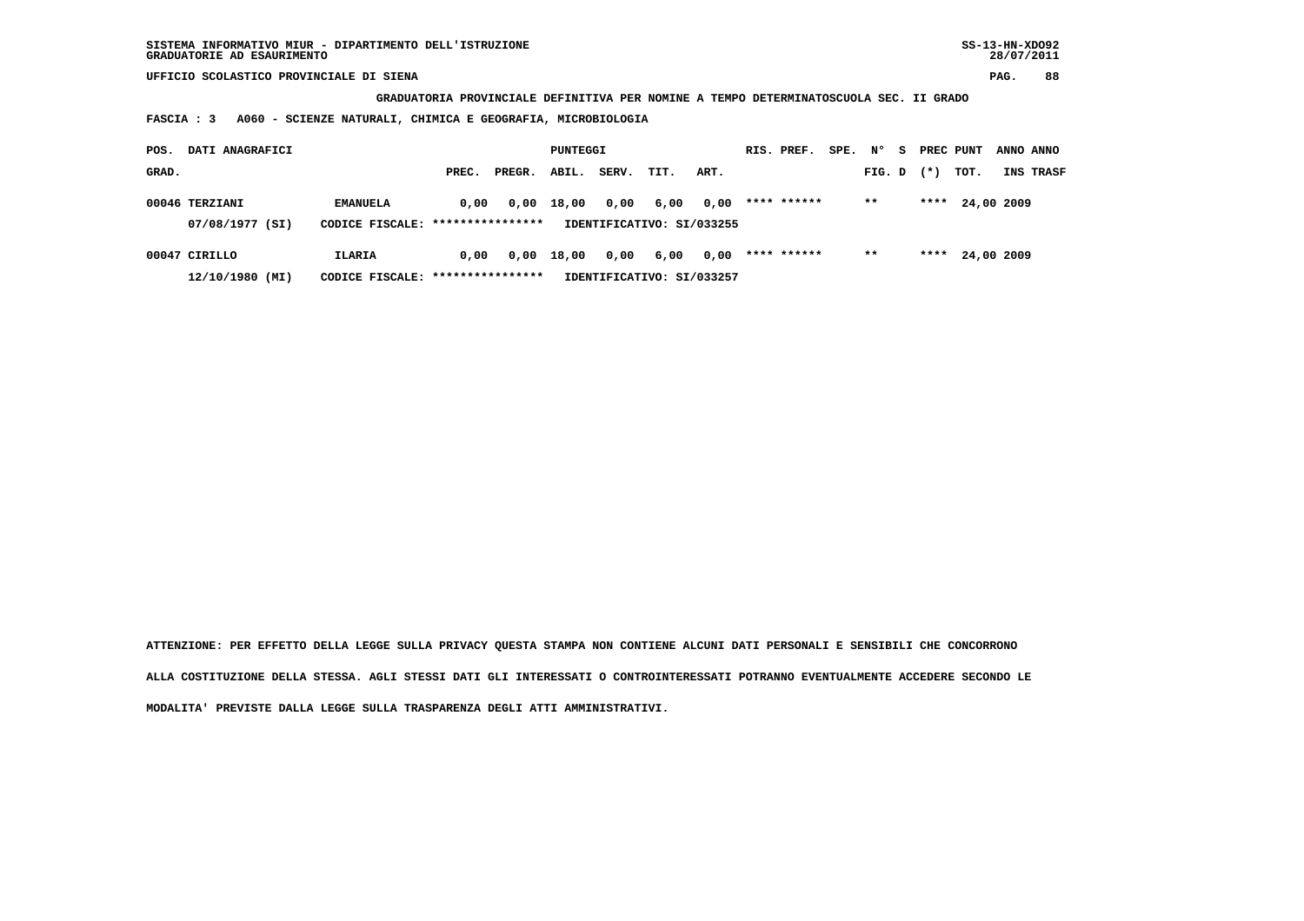**GRADUATORIA PROVINCIALE DEFINITIVA PER NOMINE A TEMPO DETERMINATOSCUOLA SEC. II GRADO**

 **FASCIA : 3 A060 - SCIENZE NATURALI, CHIMICA E GEOGRAFIA, MICROBIOLOGIA**

| POS.  | DATI ANAGRAFICI                   |                                                     | PUNTEGGI |        |       |       | RIS. PREF.                        | SPE. | $\mathbf{N}^{\mathsf{o}}$ | - S | PREC PUNT |  | ANNO ANNO |            |           |
|-------|-----------------------------------|-----------------------------------------------------|----------|--------|-------|-------|-----------------------------------|------|---------------------------|-----|-----------|--|-----------|------------|-----------|
| GRAD. |                                   |                                                     | PREC.    | PREGR. | ABIL. | SERV. | TIT.                              | ART. |                           |     | FIG. D    |  | $(*)$     | тот.       | INS TRASF |
|       | 00046 TERZIANI<br>07/08/1977 (SI) | <b>EMANUELA</b><br>CODICE FISCALE: **************** | 0.00     | 0,00   | 18,00 | 0,00  | 6,00<br>IDENTIFICATIVO: SI/033255 | 0,00 | **** ******               |     | $* *$     |  | ****      | 24,00 2009 |           |
|       | 00047 CIRILLO<br>12/10/1980 (MI)  | <b>ILARIA</b><br>CODICE FISCALE: *****************  | 0.00     | 0,00   | 18,00 | 0,00  | 6,00<br>IDENTIFICATIVO: SI/033257 | 0,00 | **** ******               |     | $* *$     |  | ****      | 24,00 2009 |           |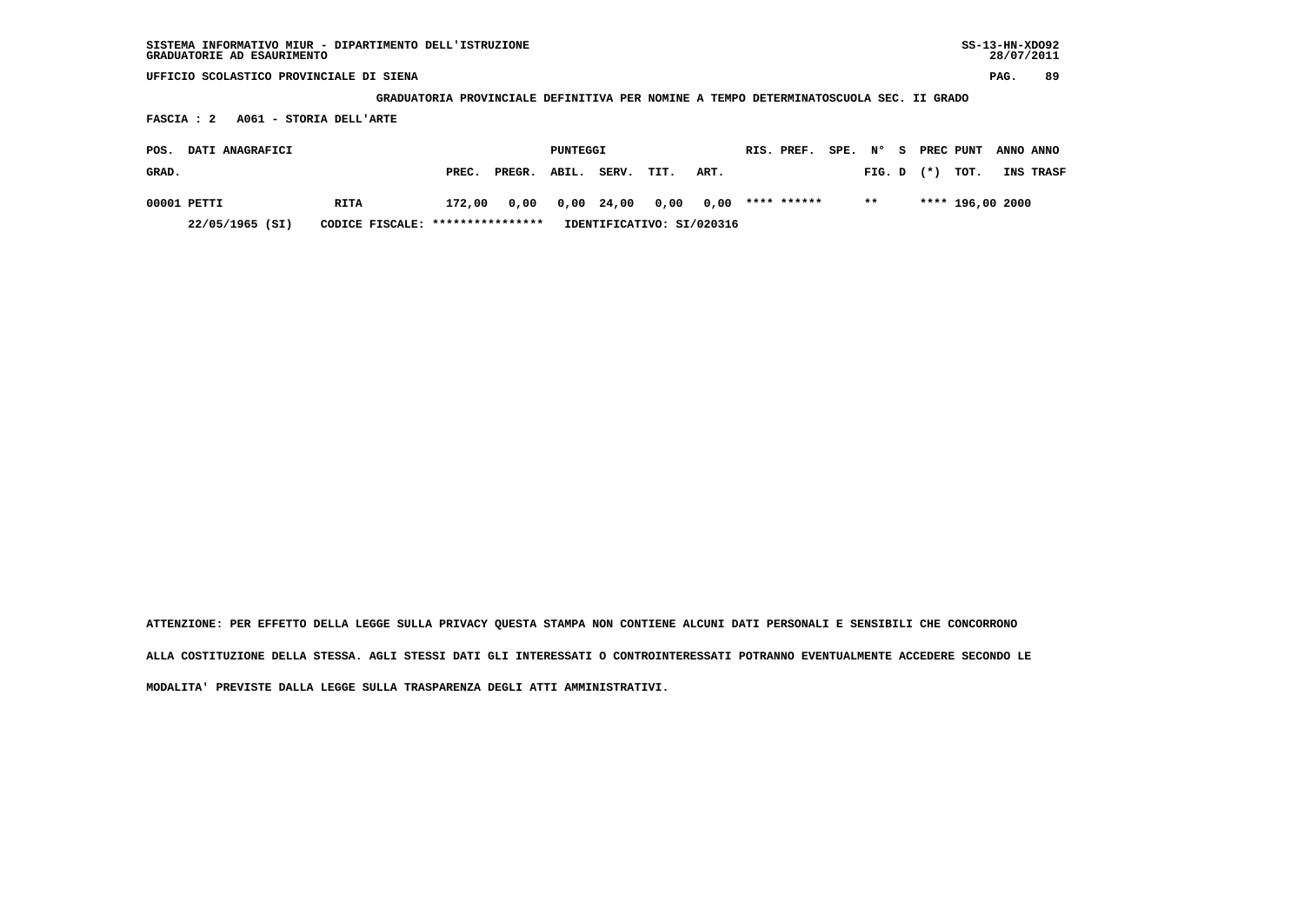| SISTEMA INFORMATIVO MIUR - DIPARTIMENTO DELL'ISTRUZIONE | $SS-13-HN-XDO92$ |
|---------------------------------------------------------|------------------|
| GRADUATORIE AD ESAURIMENTO                              | 28/07/2011       |

 **GRADUATORIA PROVINCIALE DEFINITIVA PER NOMINE A TEMPO DETERMINATOSCUOLA SEC. II GRADO**

 **FASCIA : 2 A061 - STORIA DELL'ARTE**

| POS.  | <b>DATI ANAGRAFICI</b> |                                  |        |                           | PUNTEGGI |                           |      |      | RIS. PREF.  | SPE. | N°    | - SI |                | PREC PUNT        | ANNO ANNO |
|-------|------------------------|----------------------------------|--------|---------------------------|----------|---------------------------|------|------|-------------|------|-------|------|----------------|------------------|-----------|
| GRAD. |                        |                                  | PREC.  | PREGR.                    | ABIL.    | SERV.                     | TIT. | ART. |             |      |       |      | $FIG. D$ $(*)$ | тот.             | INS TRASF |
|       | 00001 PETTI            | RITA                             | 172,00 |                           |          | 0,00 0,00 24,00 0,00 0,00 |      |      | **** ****** |      | $***$ |      |                | **** 196,00 2000 |           |
|       | 22/05/1965 (SI)        | CODICE FISCALE: **************** |        | IDENTIFICATIVO: SI/020316 |          |                           |      |      |             |      |       |      |                |                  |           |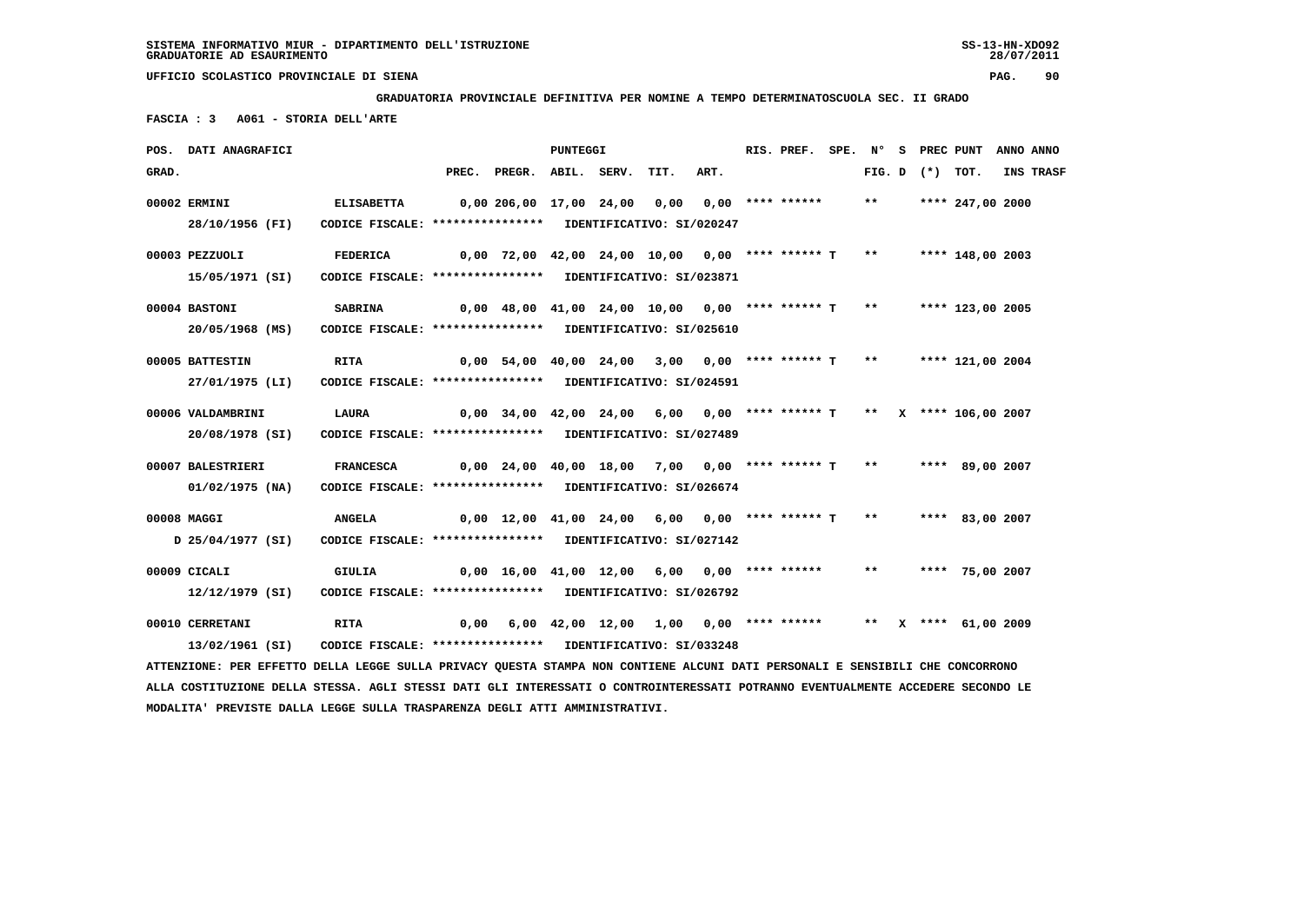**GRADUATORIA PROVINCIALE DEFINITIVA PER NOMINE A TEMPO DETERMINATOSCUOLA SEC. II GRADO**

 **FASCIA : 3 A061 - STORIA DELL'ARTE**

|             | POS. DATI ANAGRAFICI                                                                                                          |                                                            |                                                                   |                                                                         | PUNTEGGI |      |      | RIS. PREF. |       |                   | SPE. N° S PREC PUNT | ANNO ANNO        |
|-------------|-------------------------------------------------------------------------------------------------------------------------------|------------------------------------------------------------|-------------------------------------------------------------------|-------------------------------------------------------------------------|----------|------|------|------------|-------|-------------------|---------------------|------------------|
| GRAD.       |                                                                                                                               |                                                            |                                                                   | PREC. PREGR. ABIL. SERV.                                                |          | TIT. | ART. |            |       | FIG. D $(*)$ TOT. |                     | <b>INS TRASF</b> |
|             | 00002 ERMINI                                                                                                                  | <b>ELISABETTA</b>                                          |                                                                   | 0,00 206,00 17,00 24,00 0,00 0,00 **** ******                           |          |      |      |            | $***$ |                   | **** 247,00 2000    |                  |
|             |                                                                                                                               |                                                            |                                                                   |                                                                         |          |      |      |            |       |                   |                     |                  |
|             | 28/10/1956 (FI)                                                                                                               | CODICE FISCALE: **************** IDENTIFICATIVO: SI/020247 |                                                                   |                                                                         |          |      |      |            |       |                   |                     |                  |
|             | 00003 PEZZUOLI                                                                                                                | FEDERICA                                                   |                                                                   | 0,00 72,00 42,00 24,00 10,00  0,00 **** ****** T  **   **** 148,00 2003 |          |      |      |            |       |                   |                     |                  |
|             | 15/05/1971 (SI)                                                                                                               | CODICE FISCALE: **************** IDENTIFICATIVO: SI/023871 |                                                                   |                                                                         |          |      |      |            |       |                   |                     |                  |
|             |                                                                                                                               |                                                            |                                                                   |                                                                         |          |      |      |            |       |                   |                     |                  |
|             | 00004 BASTONI                                                                                                                 | <b>SABRINA</b>                                             |                                                                   | $0,00$ 48,00 41,00 24,00 10,00 0,00 **** ****** T                       |          |      |      |            | $***$ |                   | **** 123,00 2005    |                  |
|             | 20/05/1968 (MS)                                                                                                               | CODICE FISCALE: **************** IDENTIFICATIVO: SI/025610 |                                                                   |                                                                         |          |      |      |            |       |                   |                     |                  |
|             |                                                                                                                               |                                                            |                                                                   |                                                                         |          |      |      |            |       |                   |                     |                  |
|             | 00005 BATTESTIN                                                                                                               | <b>RITA</b>                                                |                                                                   | $0,00$ 54,00 40,00 24,00 3,00 0,00 **** ****** T **                     |          |      |      |            |       |                   | **** 121,00 2004    |                  |
|             | 27/01/1975 (LI)                                                                                                               | CODICE FISCALE: **************** IDENTIFICATIVO: SI/024591 |                                                                   |                                                                         |          |      |      |            |       |                   |                     |                  |
|             | 00006 VALDAMBRINI                                                                                                             | LAURA                                                      |                                                                   | $0.00$ 34.00 42.00 24.00 6.00 0.00 **** ****** T ** X **** 106.00 2007  |          |      |      |            |       |                   |                     |                  |
|             |                                                                                                                               |                                                            |                                                                   |                                                                         |          |      |      |            |       |                   |                     |                  |
|             | 20/08/1978 (SI)                                                                                                               | CODICE FISCALE: **************** IDENTIFICATIVO: SI/027489 |                                                                   |                                                                         |          |      |      |            |       |                   |                     |                  |
|             | 00007 BALESTRIERI                                                                                                             | <b>FRANCESCA</b>                                           |                                                                   | 0,00 24,00 40,00 18,00 7,00 0,00 **** ****** T **                       |          |      |      |            |       |                   | **** 89,00 2007     |                  |
|             | $01/02/1975$ (NA)                                                                                                             | CODICE FISCALE: **************** IDENTIFICATIVO: SI/026674 |                                                                   |                                                                         |          |      |      |            |       |                   |                     |                  |
|             |                                                                                                                               |                                                            |                                                                   |                                                                         |          |      |      |            |       |                   |                     |                  |
| 00008 MAGGI |                                                                                                                               | <b>ANGELA</b>                                              |                                                                   | $0,00$ 12,00 41,00 24,00 6,00 0,00 **** ****** T                        |          |      |      |            | $***$ |                   | **** 83,00 2007     |                  |
|             | D 25/04/1977 (SI)                                                                                                             | CODICE FISCALE: **************** IDENTIFICATIVO: SI/027142 |                                                                   |                                                                         |          |      |      |            |       |                   |                     |                  |
|             |                                                                                                                               |                                                            |                                                                   |                                                                         |          |      |      |            |       |                   |                     |                  |
|             | 00009 CICALI                                                                                                                  | <b>GIULIA</b>                                              |                                                                   | $0,00$ 16,00 41,00 12,00 6,00 0,00 **** ******                          |          |      |      |            | $***$ |                   | **** 75,00 2007     |                  |
|             | 12/12/1979 (SI)                                                                                                               | CODICE FISCALE: **************** IDENTIFICATIVO: SI/026792 |                                                                   |                                                                         |          |      |      |            |       |                   |                     |                  |
|             | 00010 CERRETANI                                                                                                               | <b>RITA</b>                                                | 0,00 6,00 42,00 12,00 1,00 0,00 **** ****** ** ** **** 61,00 2009 |                                                                         |          |      |      |            |       |                   |                     |                  |
|             | 13/02/1961 (SI)                                                                                                               | CODICE FISCALE: **************** IDENTIFICATIVO: SI/033248 |                                                                   |                                                                         |          |      |      |            |       |                   |                     |                  |
|             | ATTENZIONE: PER EFFETTO DELLA LEGGE SULLA PRIVACY QUESTA STAMPA NON CONTIENE ALCUNI DATI PERSONALI E SENSIBILI CHE CONCORRONO |                                                            |                                                                   |                                                                         |          |      |      |            |       |                   |                     |                  |
|             |                                                                                                                               |                                                            |                                                                   |                                                                         |          |      |      |            |       |                   |                     |                  |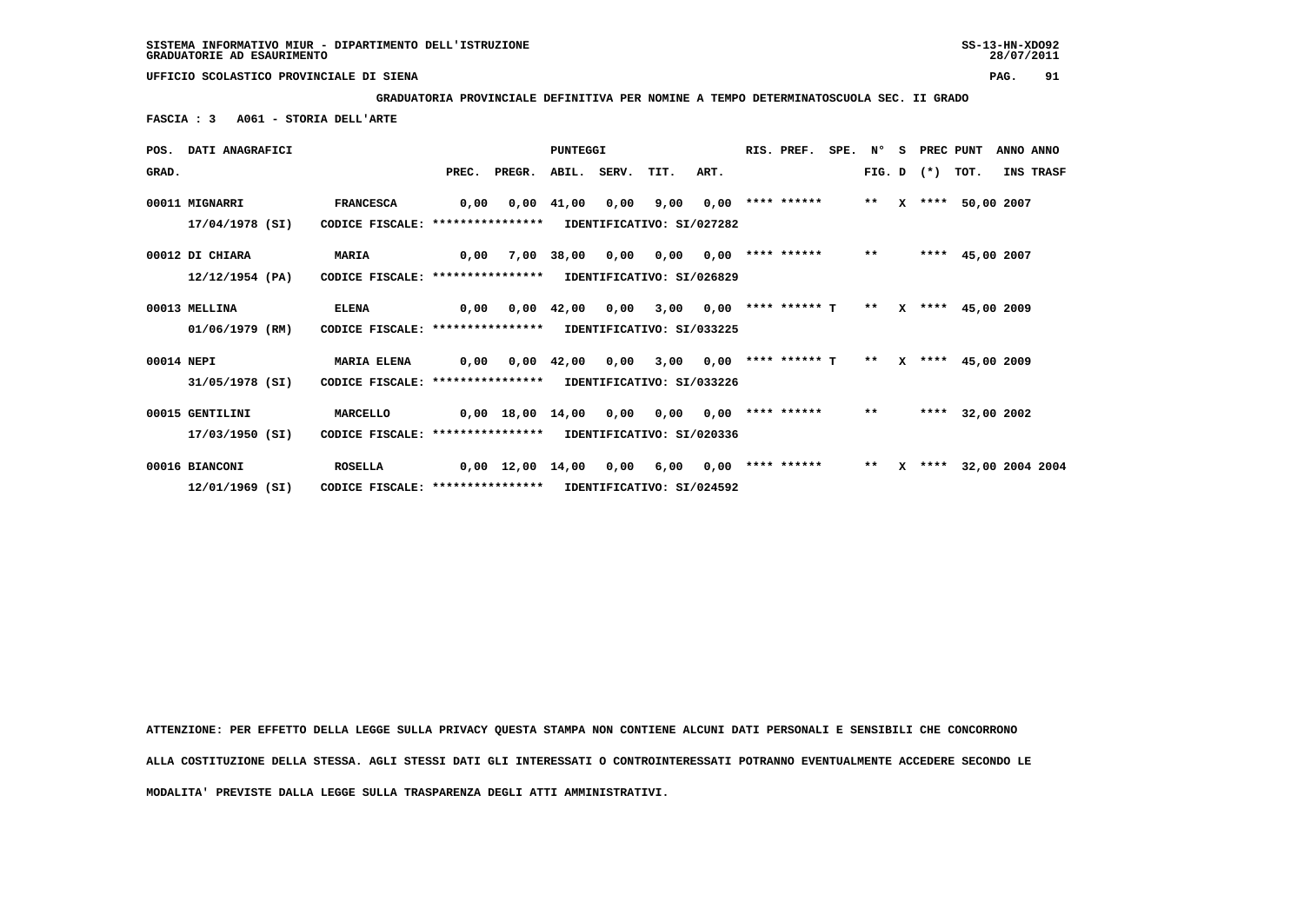**GRADUATORIA PROVINCIALE DEFINITIVA PER NOMINE A TEMPO DETERMINATOSCUOLA SEC. II GRADO**

 **FASCIA : 3 A061 - STORIA DELL'ARTE**

|            | POS. DATI ANAGRAFICI |                                   |      |                                | <b>PUNTEGGI</b>    |      |                           |      | RIS. PREF.           | SPE. N° |       | S.           | PREC PUNT    |                      | ANNO ANNO  |                  |
|------------|----------------------|-----------------------------------|------|--------------------------------|--------------------|------|---------------------------|------|----------------------|---------|-------|--------------|--------------|----------------------|------------|------------------|
| GRAD.      |                      |                                   |      | PREC. PREGR. ABIL. SERV. TIT.  |                    |      |                           | ART. |                      |         |       |              | FIG. D $(*)$ | тот.                 |            | <b>INS TRASF</b> |
|            | 00011 MIGNARRI       | <b>FRANCESCA</b>                  | 0,00 | 0,00                           | 41,00              | 0,00 | 9,00                      | 0,00 | **** ******          |         | $**$  | x            |              | **** 50,00 2007      |            |                  |
|            | 17/04/1978 (SI)      | CODICE FISCALE: ****************  |      |                                |                    |      | IDENTIFICATIVO: SI/027282 |      |                      |         |       |              |              |                      |            |                  |
|            | 00012 DI CHIARA      | <b>MARIA</b>                      | 0,00 |                                | 7,00 38,00         | 0,00 | 0.00                      |      | $0,00$ **** ******   |         | $* *$ |              |              | **** 45,00 2007      |            |                  |
|            | 12/12/1954 (PA)      | CODICE FISCALE: ***************** |      |                                |                    |      | IDENTIFICATIVO: SI/026829 |      |                      |         |       |              |              |                      |            |                  |
|            | 00013 MELLINA        | <b>ELENA</b>                      | 0,00 | 0,00                           | 42,00              | 0,00 | 3,00                      | 0,00 | **** ****** T        |         | $***$ | $\mathbf{x}$ |              | **** 45,00 2009      |            |                  |
|            | 01/06/1979 (RM)      | CODICE FISCALE: ***************** |      |                                |                    |      | IDENTIFICATIVO: SI/033225 |      |                      |         |       |              |              |                      |            |                  |
| 00014 NEPI |                      | <b>MARIA ELENA</b>                | 0,00 |                                | $0.00 \quad 42.00$ | 0,00 | 3,00                      |      | $0.00$ **** ****** T |         | $* *$ |              |              | X **** 45,00 2009    |            |                  |
|            | 31/05/1978 (SI)      | CODICE FISCALE: ****************  |      |                                |                    |      | IDENTIFICATIVO: SI/033226 |      |                      |         |       |              |              |                      |            |                  |
|            | 00015 GENTILINI      | MARCELLO                          |      | 0,00 18,00 14,00 0,00          |                    |      | 0,00                      | 0,00 | **** ******          |         | $***$ |              | ****         |                      | 32,00 2002 |                  |
|            | 17/03/1950 (SI)      | CODICE FISCALE: ****************  |      |                                |                    |      | IDENTIFICATIVO: SI/020336 |      |                      |         |       |              |              |                      |            |                  |
|            | 00016 BIANCONI       | <b>ROSELLA</b>                    |      | $0,00 \quad 12,00 \quad 14,00$ |                    | 0,00 | 6,00                      | 0.00 | **** ******          |         | $***$ | x            |              | **** 32,00 2004 2004 |            |                  |
|            | 12/01/1969 (SI)      | CODICE FISCALE: ****************  |      |                                |                    |      | IDENTIFICATIVO: SI/024592 |      |                      |         |       |              |              |                      |            |                  |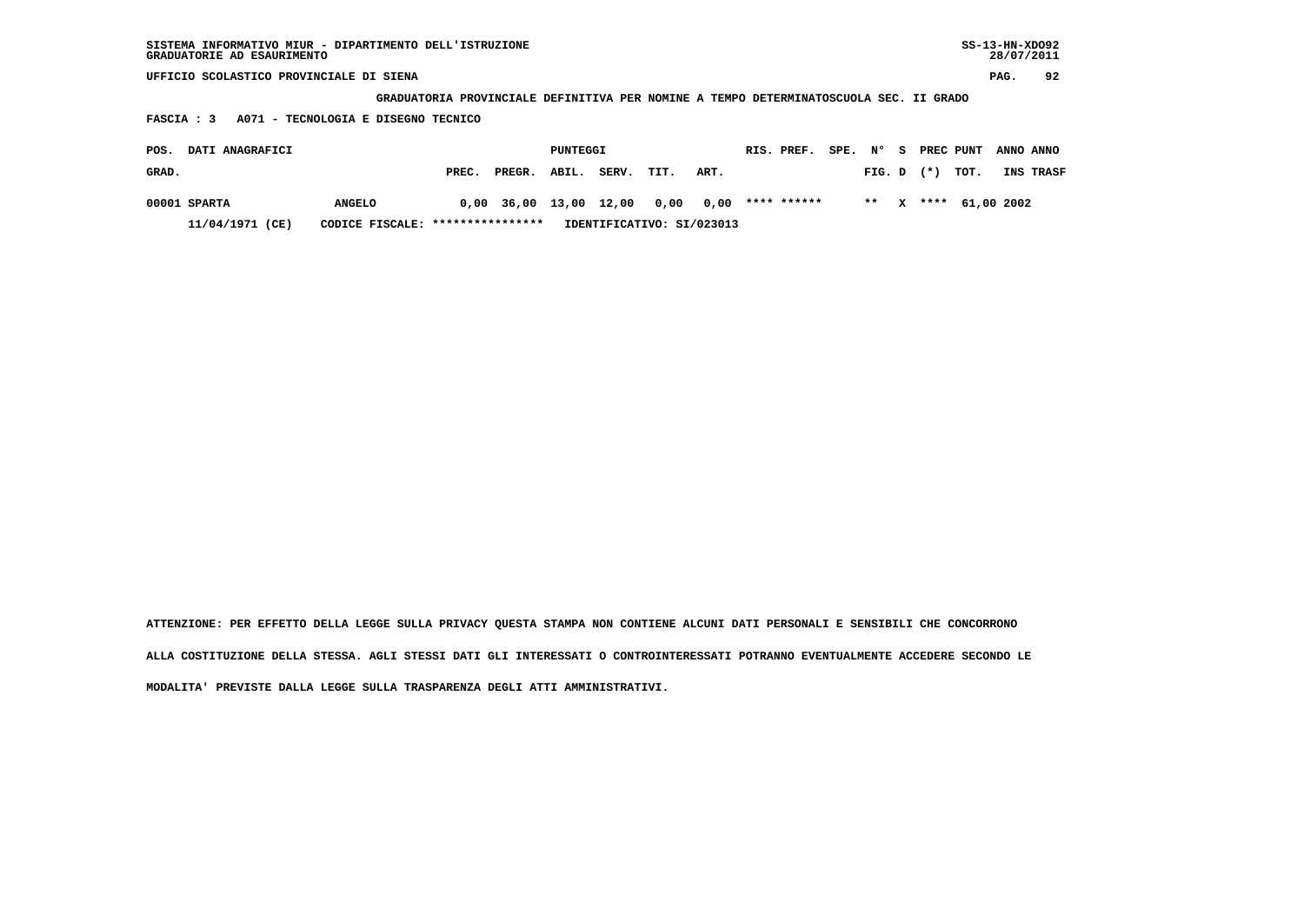| SISTEMA INFORMATIVO MIUR - DIPARTIMENTO DELL'ISTRUZIONE<br>GRADUATORIE AD ESAURIMENTO |               |       |        |          |       |      |      |  |             |      |        |    |       |           | $SS-13-HN-XDO92$<br>28/07/2011 |           |
|---------------------------------------------------------------------------------------|---------------|-------|--------|----------|-------|------|------|--|-------------|------|--------|----|-------|-----------|--------------------------------|-----------|
| UFFICIO SCOLASTICO PROVINCIALE DI SIENA                                               |               |       |        |          |       |      |      |  |             |      |        |    |       |           | PAG.                           | 92        |
| GRADUATORIA PROVINCIALE DEFINITIVA PER NOMINE A TEMPO DETERMINATOSCUOLA SEC. II GRADO |               |       |        |          |       |      |      |  |             |      |        |    |       |           |                                |           |
| A071 - TECNOLOGIA E DISEGNO TECNICO<br><b>FASCIA: 3</b>                               |               |       |        |          |       |      |      |  |             |      |        |    |       |           |                                |           |
| DATI ANAGRAFICI<br>POS.                                                               |               |       |        | PUNTEGGI |       |      |      |  | RIS. PREF.  | SPE. | N°     | s. |       | PREC PUNT |                                | ANNO ANNO |
| GRAD.                                                                                 |               | PREC. | PREGR. | ABIL.    | SERV. | TIT. | ART. |  |             |      | FIG. D |    | $(*)$ | TOT.      |                                | INS TRASF |
| 00001 SPARTA                                                                          | <b>ANGELO</b> | 0.00  | 36,00  | 13,00    | 12,00 | 0,00 | 0,00 |  | **** ****** |      | $* *$  |    | ****  |           | 61,00 2002                     |           |

 **11/04/1971 (CE) CODICE FISCALE: \*\*\*\*\*\*\*\*\*\*\*\*\*\*\*\* IDENTIFICATIVO: SI/023013**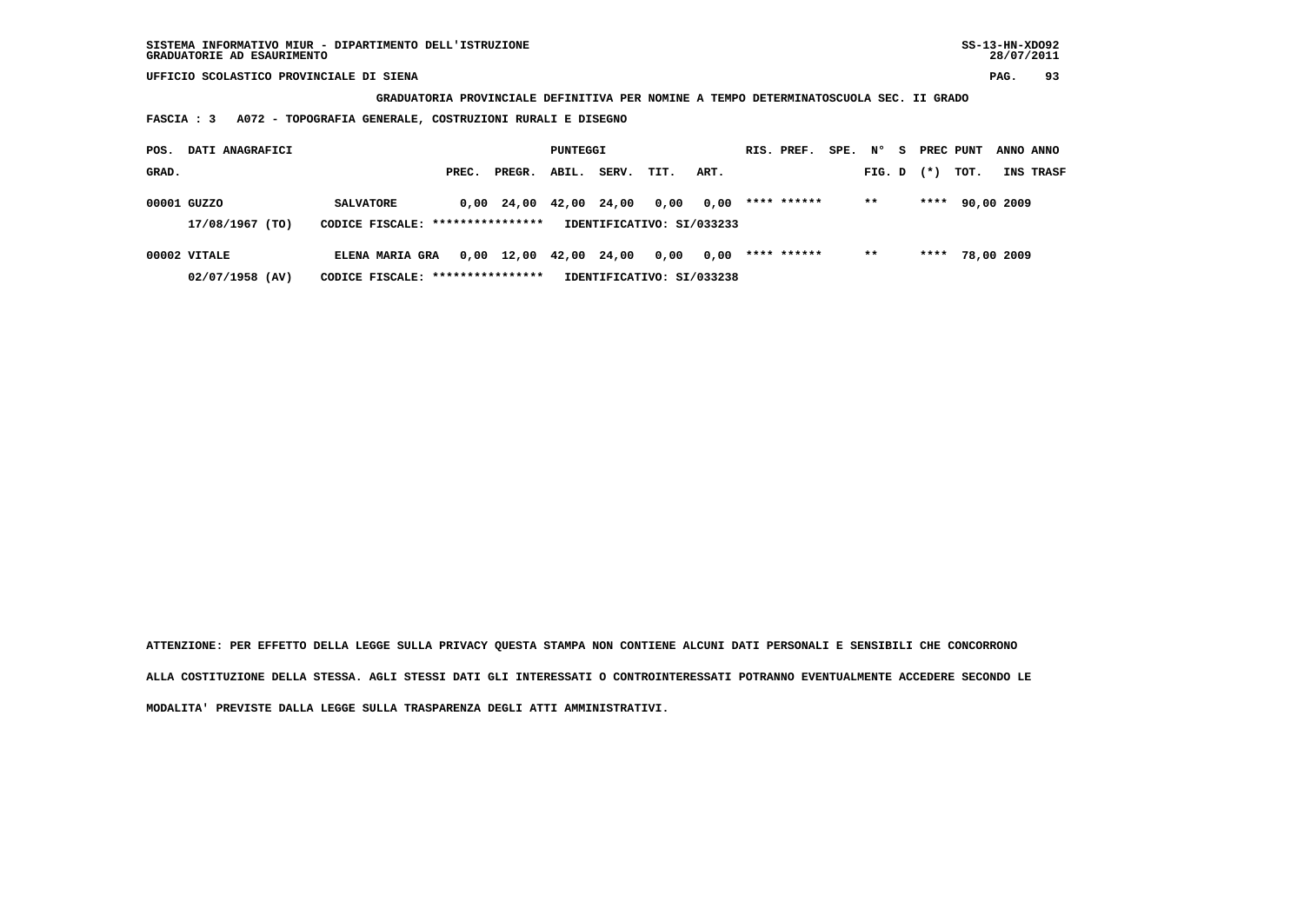**GRADUATORIA PROVINCIALE DEFINITIVA PER NOMINE A TEMPO DETERMINATOSCUOLA SEC. II GRADO**

 **FASCIA : 3 A072 - TOPOGRAFIA GENERALE, COSTRUZIONI RURALI E DISEGNO**

| POS.  | DATI ANAGRAFICI |                                   | PUNTEGGI |                                            |             |       | RIS. PREF.                | SPE. | N°          | s. | PREC PUNT |  | ANNO ANNO |            |                  |
|-------|-----------------|-----------------------------------|----------|--------------------------------------------|-------------|-------|---------------------------|------|-------------|----|-----------|--|-----------|------------|------------------|
| GRAD. |                 |                                   | PREC.    | PREGR.                                     | ABIL.       | SERV. | TIT.                      | ART. |             |    | FIG. D    |  | $(*)$     | тот.       | <b>INS TRASF</b> |
|       | 00001 GUZZO     | <b>SALVATORE</b>                  |          | 0,00 24,00                                 | 42,00 24,00 |       | 0,00                      | 0.00 | **** ****** |    | $* *$     |  | ****      | 90,00 2009 |                  |
|       | 17/08/1967 (TO) | CODICE FISCALE: ****************  |          |                                            |             |       | IDENTIFICATIVO: SI/033233 |      |             |    |           |  |           |            |                  |
|       | 00002 VITALE    | <b>ELENA MARIA GRA</b>            |          | $0,00 \quad 12,00 \quad 42,00 \quad 24,00$ |             |       | 0,00                      | 0.00 | **** ****** |    | $* *$     |  | ****      | 78,00 2009 |                  |
|       | 02/07/1958 (AV) | CODICE FISCALE: ***************** |          |                                            |             |       | IDENTIFICATIVO: SI/033238 |      |             |    |           |  |           |            |                  |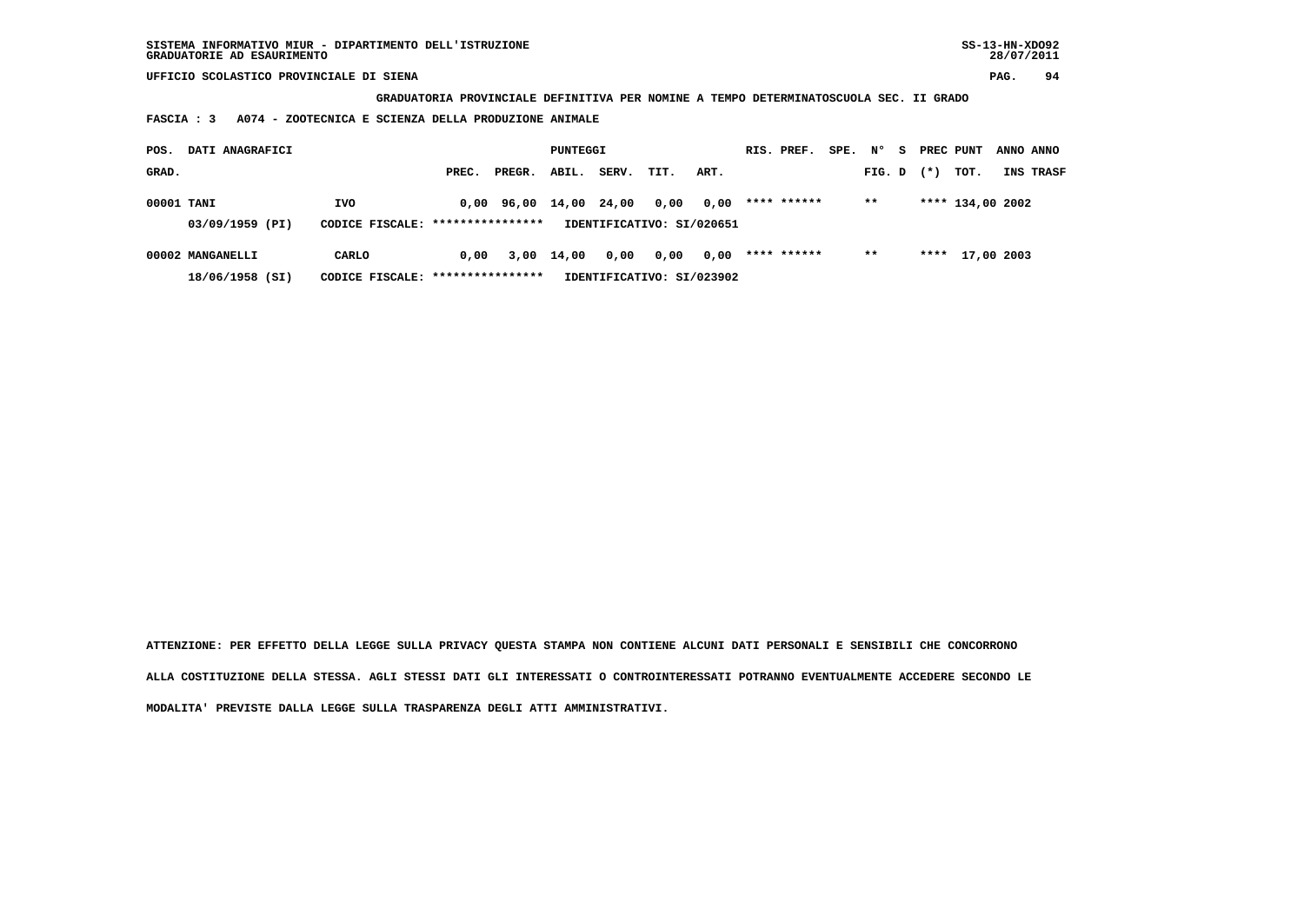**SISTEMA INFORMATIVO MIUR - DIPARTIMENTO DELL'ISTRUZIONE SS-13-HN-XDO92 GRADUATORIE AD ESAURIMENTO 28/07/2011**

 **UFFICIO SCOLASTICO PROVINCIALE DI SIENA PAG. 94**

 **GRADUATORIA PROVINCIALE DEFINITIVA PER NOMINE A TEMPO DETERMINATOSCUOLA SEC. II GRADO**

 **FASCIA : 3 A074 - ZOOTECNICA E SCIENZA DELLA PRODUZIONE ANIMALE**

| POS.       | DATI ANAGRAFICI  |                                   |       | PUNTEGGI               |            |       |                           | RIS. PREF. | SPE.        | N° | s.     | PREC PUNT |       | ANNO ANNO        |           |
|------------|------------------|-----------------------------------|-------|------------------------|------------|-------|---------------------------|------------|-------------|----|--------|-----------|-------|------------------|-----------|
| GRAD.      |                  |                                   | PREC. | PREGR.                 | ABIL.      | SERV. | TIT.                      | ART.       |             |    | FIG. D |           | $(*)$ | тот.             | INS TRASF |
| 00001 TANI |                  | <b>IVO</b>                        |       | 0,00 96,00 14,00 24,00 |            |       | 0,00                      | 0.00       | **** ****** |    | $* *$  |           |       | **** 134,00 2002 |           |
|            | 03/09/1959 (PI)  | CODICE FISCALE: ****************  |       |                        |            |       | IDENTIFICATIVO: SI/020651 |            |             |    |        |           |       |                  |           |
|            | 00002 MANGANELLI | CARLO                             | 0.00  |                        | 3,00 14,00 | 0,00  | 0,00                      | 0,00       | **** ****** |    | $* *$  |           |       | **** 17,00 2003  |           |
|            | 18/06/1958 (SI)  | CODICE FISCALE: ***************** |       |                        |            |       | IDENTIFICATIVO: SI/023902 |            |             |    |        |           |       |                  |           |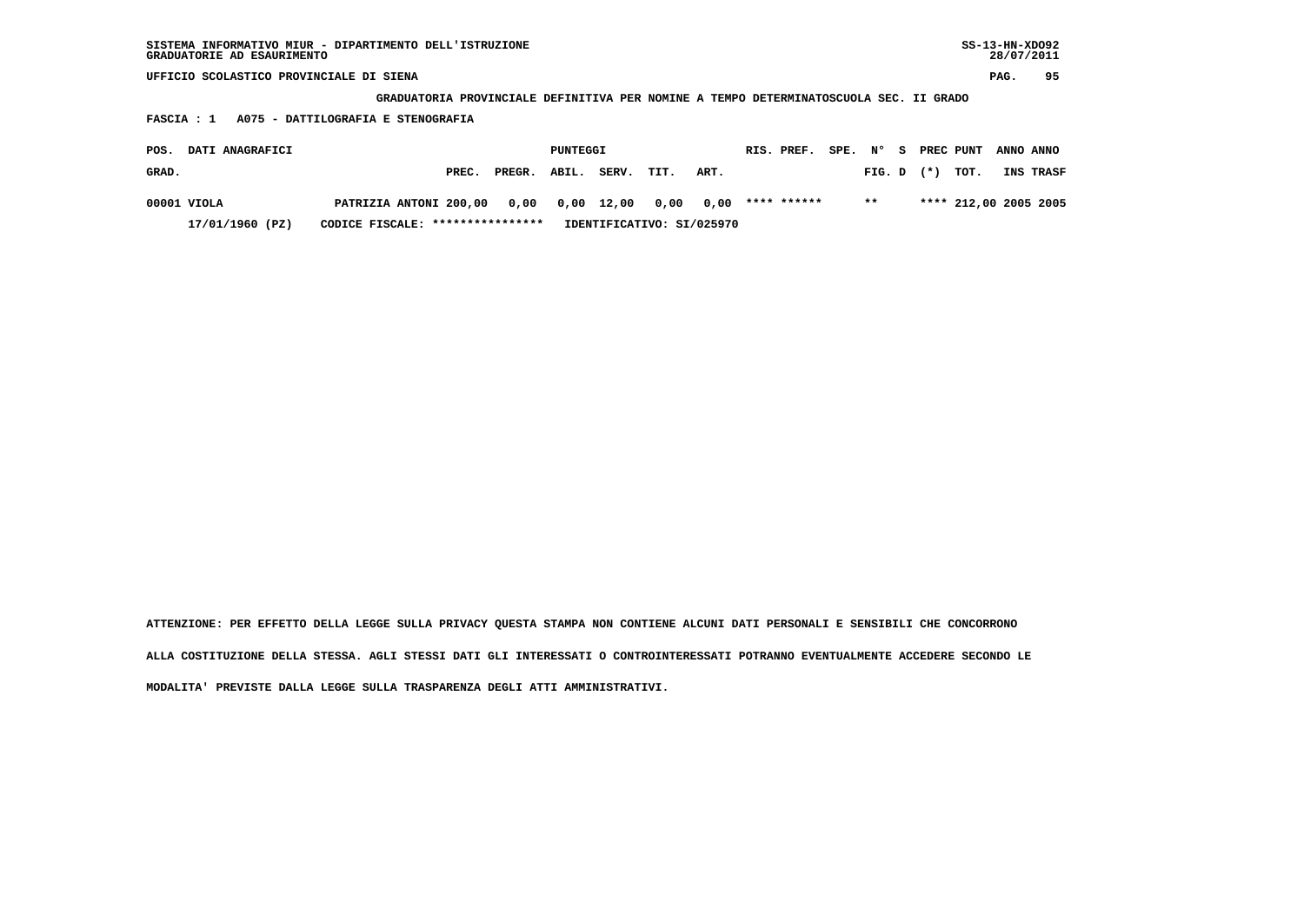**GRADUATORIA PROVINCIALE DEFINITIVA PER NOMINE A TEMPO DETERMINATOSCUOLA SEC. II GRADO**

 **FASCIA : 1 A075 - DATTILOGRAFIA E STENOGRAFIA**

| POS.  | <b>DATI ANAGRAFICI</b> |                                                  |       |        | PUNTEGGI |                           |      |      | RIS. PREF.  | SPE. N° |       |              | PREC PUNT             | ANNO ANNO |
|-------|------------------------|--------------------------------------------------|-------|--------|----------|---------------------------|------|------|-------------|---------|-------|--------------|-----------------------|-----------|
| GRAD. |                        |                                                  | PREC. | PREGR. | ABIL.    | SERV.                     | TIT. | ART. |             |         |       | FIG. D $(*)$ | тот.                  | INS TRASF |
|       | 00001 VIOLA            | PATRIZIA ANTONI 200,00 0,00 0,00 12,00 0,00 0,00 |       |        |          |                           |      |      | **** ****** |         | $* *$ |              | **** 212,00 2005 2005 |           |
|       | 17/01/1960 (PZ)        | CODICE FISCALE: ****************                 |       |        |          | IDENTIFICATIVO: SI/025970 |      |      |             |         |       |              |                       |           |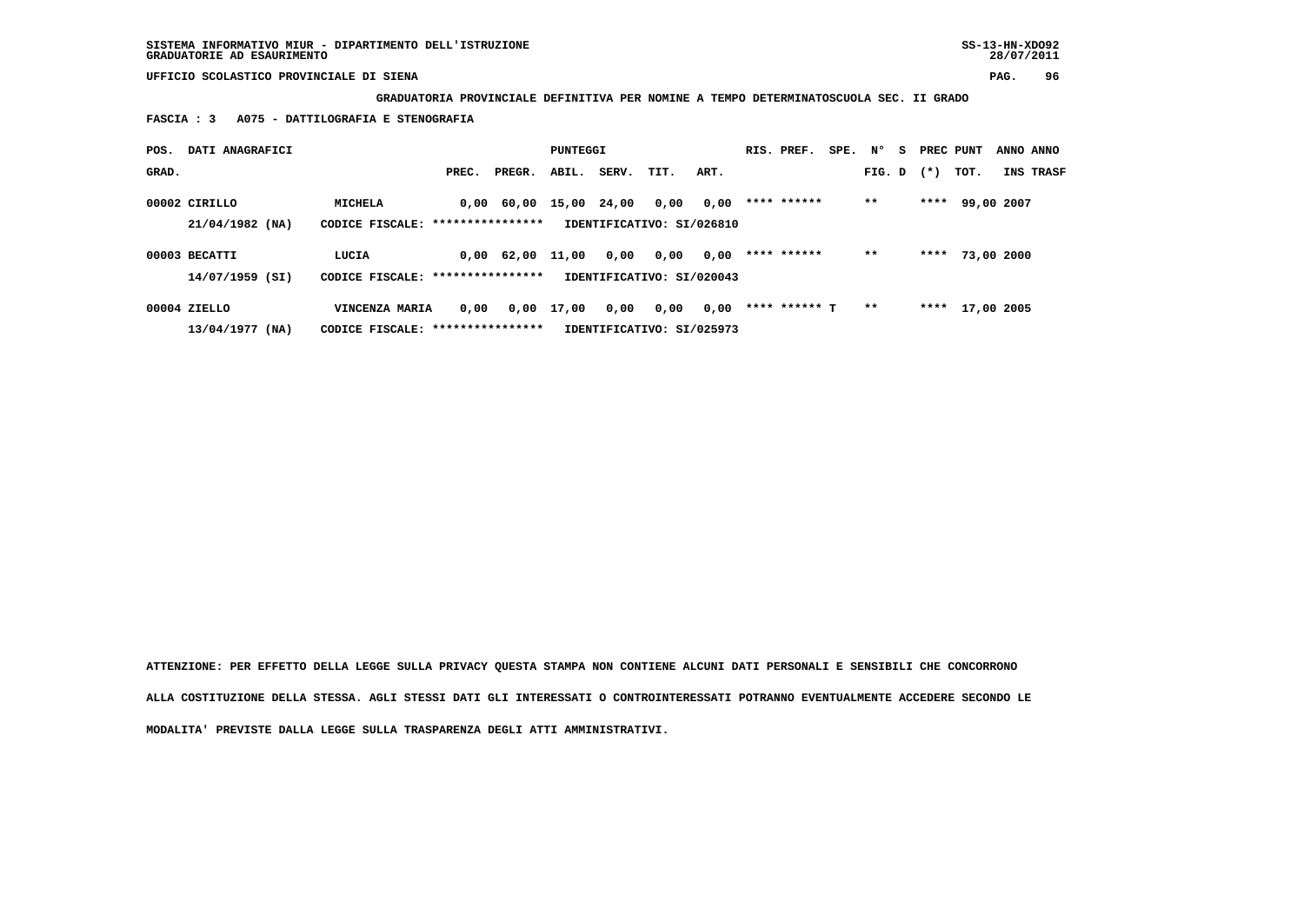**GRADUATORIA PROVINCIALE DEFINITIVA PER NOMINE A TEMPO DETERMINATOSCUOLA SEC. II GRADO**

 **FASCIA : 3 A075 - DATTILOGRAFIA E STENOGRAFIA**

| POS.  | DATI ANAGRAFICI                    |                                                     |       |                    | PUNTEGGI   |       |                                   |      | RIS. PREF.    | SPE. N° |        | s. | PREC PUNT |                 | ANNO ANNO |
|-------|------------------------------------|-----------------------------------------------------|-------|--------------------|------------|-------|-----------------------------------|------|---------------|---------|--------|----|-----------|-----------------|-----------|
| GRAD. |                                    |                                                     | PREC. | PREGR.             | ABIL.      | SERV. | TIT.                              | ART. |               |         | FIG. D |    | $(*)$     | тот.            | INS TRASF |
|       | 00002 CIRILLO<br>$21/04/1982$ (NA) | <b>MICHELA</b><br>CODICE FISCALE: ***************** |       | $0,00$ 60,00 15,00 |            | 24,00 | 0,00<br>IDENTIFICATIVO: SI/026810 | 0,00 | **** ******   |         | $***$  |    | ****      | 99,00 2007      |           |
|       | 00003 BECATTI<br>$14/07/1959$ (SI) | LUCIA<br>CODICE FISCALE: *****************          |       | 0,00 62,00         | 11,00      | 0,00  | 0,00<br>IDENTIFICATIVO: SI/020043 | 0,00 | **** ******   |         | $* *$  |    | ****      | 73,00 2000      |           |
|       | 00004 ZIELLO<br>$13/04/1977$ (NA)  | VINCENZA MARIA<br>CODICE FISCALE: ****************  | 0.00  |                    | 0,00 17,00 | 0,00  | 0,00<br>IDENTIFICATIVO: SI/025973 | 0,00 | **** ****** T |         | $* *$  |    |           | **** 17,00 2005 |           |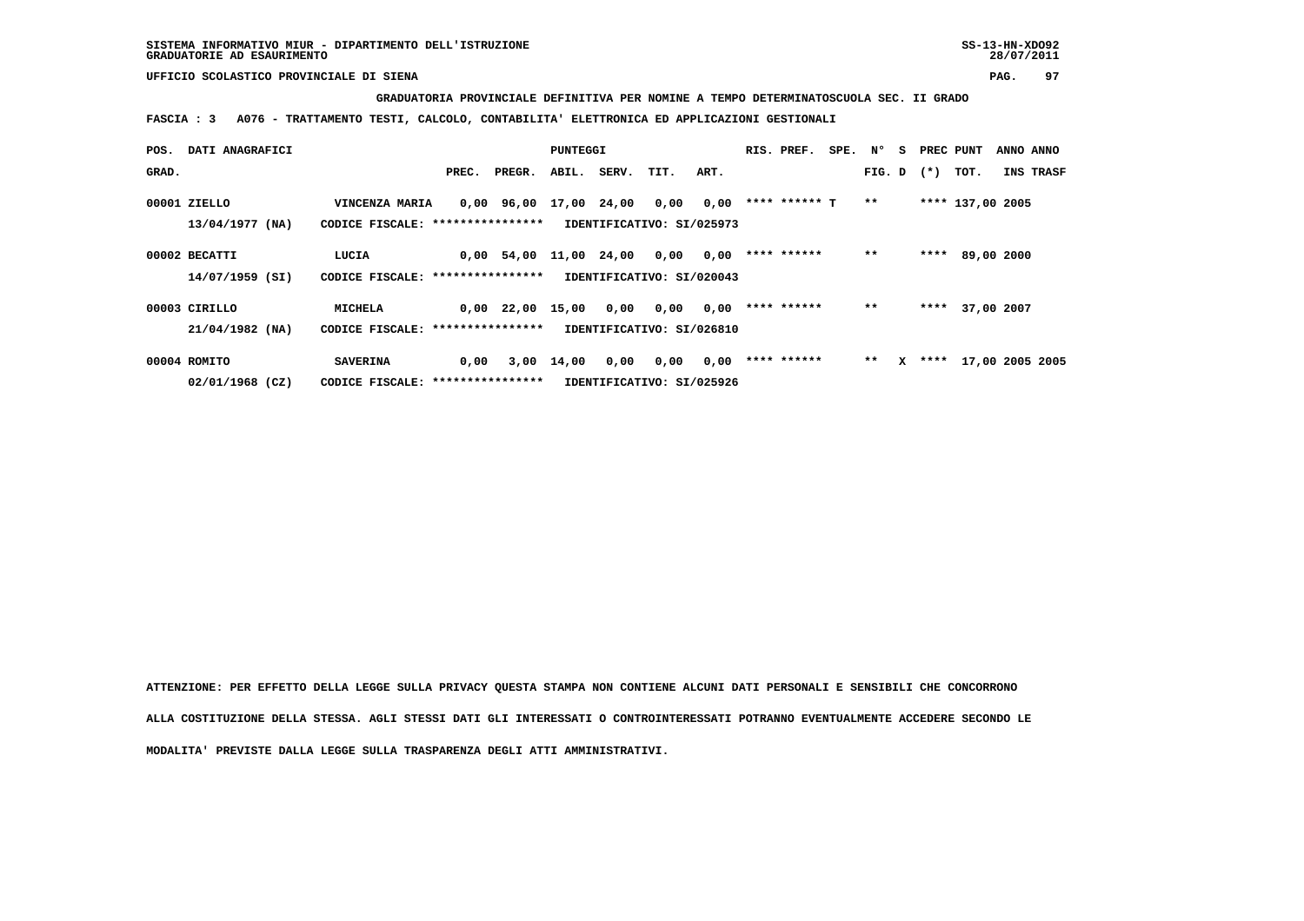## **GRADUATORIA PROVINCIALE DEFINITIVA PER NOMINE A TEMPO DETERMINATOSCUOLA SEC. II GRADO**

 **FASCIA : 3 A076 - TRATTAMENTO TESTI, CALCOLO, CONTABILITA' ELETTRONICA ED APPLICAZIONI GESTIONALI**

| POS.  | DATI ANAGRAFICI                   |                                                      |       |              | PUNTEGGI    |            |                                   |      | RIS. PREF.    | SPE. | N°             | s | PREC PUNT |                  | ANNO ANNO       |
|-------|-----------------------------------|------------------------------------------------------|-------|--------------|-------------|------------|-----------------------------------|------|---------------|------|----------------|---|-----------|------------------|-----------------|
| GRAD. |                                   |                                                      | PREC. | PREGR.       | ABIL.       | SERV. TIT. |                                   | ART. |               |      | $FIG. D$ $(*)$ |   |           | тот.             | INS TRASF       |
|       | 00001 ZIELLO<br>13/04/1977 (NA)   | VINCENZA MARIA<br>CODICE FISCALE: *****************  |       | 0,00 96,00   | 17,00 24,00 |            | 0,00<br>IDENTIFICATIVO: SI/025973 | 0,00 | **** ****** T |      | $* *$          |   |           | **** 137,00 2005 |                 |
|       | 00002 BECATTI<br>14/07/1959 (SI)  | LUCIA<br>CODICE FISCALE: ****************            |       | $0,00$ 54,00 | 11,00 24,00 |            | 0,00<br>IDENTIFICATIVO: SI/020043 | 0,00 | **** ******   |      | $* *$          |   | ****      | 89,00 2000       |                 |
|       | 00003 CIRILLO<br>21/04/1982 (NA)  | MICHELA<br>CODICE FISCALE: ****************          |       | $0,00$ 22,00 | 15,00       | 0,00       | 0,00<br>IDENTIFICATIVO: SI/026810 | 0,00 | **** ******   |      | $* *$          |   |           | **** 37,00 2007  |                 |
|       | 00004 ROMITO<br>$02/01/1968$ (CZ) | <b>SAVERINA</b><br>CODICE FISCALE: ***************** | 0,00  | 3,00         | 14,00       | 0,00       | 0,00<br>IDENTIFICATIVO: SI/025926 | 0,00 | **** ******   |      | $* *$          |   | $X$ ****  |                  | 17,00 2005 2005 |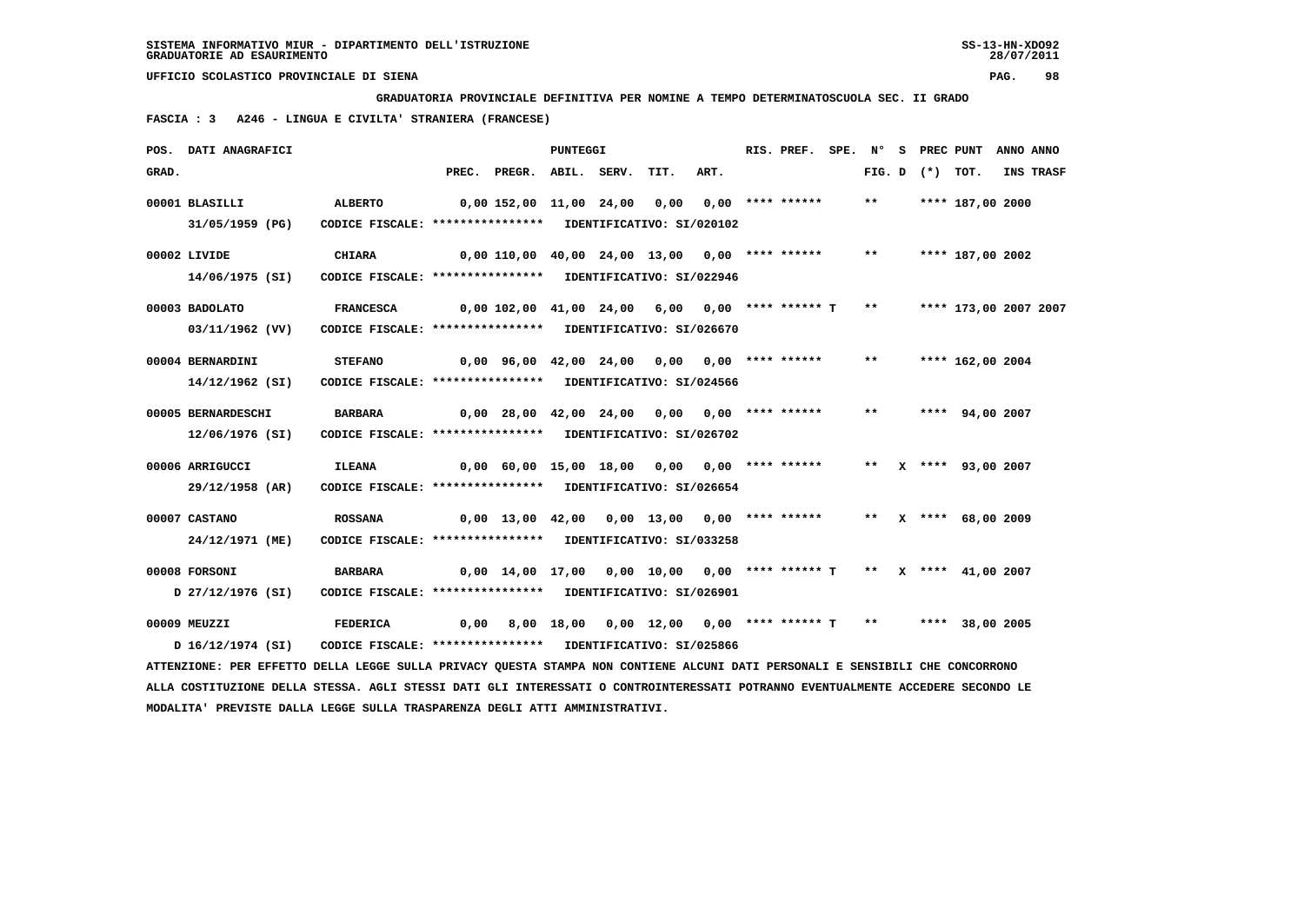**GRADUATORIA PROVINCIALE DEFINITIVA PER NOMINE A TEMPO DETERMINATOSCUOLA SEC. II GRADO**

 **FASCIA : 3 A246 - LINGUA E CIVILTA' STRANIERA (FRANCESE)**

|       | POS. DATI ANAGRAFICI                                                                                                            |                                                            |       |                                                                     | PUNTEGGI |                                          |      | RIS. PREF. | SPE. N° |                   | S PREC PUNT           | ANNO ANNO |
|-------|---------------------------------------------------------------------------------------------------------------------------------|------------------------------------------------------------|-------|---------------------------------------------------------------------|----------|------------------------------------------|------|------------|---------|-------------------|-----------------------|-----------|
| GRAD. |                                                                                                                                 |                                                            | PREC. | PREGR. ABIL. SERV.                                                  |          | TIT.                                     | ART. |            |         | FIG. D $(*)$ TOT. |                       | INS TRASF |
|       | 00001 BLASILLI                                                                                                                  | ALBERTO                                                    |       | 0,00 152,00 11,00 24,00 0,00 0,00 **** ******                       |          |                                          |      |            | $***$   |                   | **** 187,00 2000      |           |
|       | 31/05/1959 (PG)                                                                                                                 | CODICE FISCALE: **************** IDENTIFICATIVO: SI/020102 |       |                                                                     |          |                                          |      |            |         |                   |                       |           |
|       | 00002 LIVIDE                                                                                                                    | <b>CHIARA</b>                                              |       | $0,00$ 110,00 40,00 24,00 13,00 0,00 **** ******                    |          |                                          |      |            | $***$   |                   | **** 187,00 2002      |           |
|       | 14/06/1975 (SI)                                                                                                                 | CODICE FISCALE: **************** IDENTIFICATIVO: SI/022946 |       |                                                                     |          |                                          |      |            |         |                   |                       |           |
|       | 00003 BADOLATO                                                                                                                  | <b>FRANCESCA</b>                                           |       | $0,00$ 102,00 41,00 24,00 6,00 0,00 **** ****** T                   |          |                                          |      |            | $***$   |                   | **** 173,00 2007 2007 |           |
|       | 03/11/1962 (VV)                                                                                                                 | CODICE FISCALE: **************** IDENTIFICATIVO: SI/026670 |       |                                                                     |          |                                          |      |            |         |                   |                       |           |
|       |                                                                                                                                 |                                                            |       |                                                                     |          |                                          |      |            |         |                   |                       |           |
|       | 00004 BERNARDINI                                                                                                                | <b>STEFANO</b>                                             |       | $0,00$ 96,00 42,00 24,00 0,00 0,00 **** ******                      |          |                                          |      |            | $***$   |                   | **** 162,00 2004      |           |
|       | $14/12/1962$ (SI)                                                                                                               | CODICE FISCALE: **************** IDENTIFICATIVO: SI/024566 |       |                                                                     |          |                                          |      |            |         |                   |                       |           |
|       | 00005 BERNARDESCHI                                                                                                              | <b>BARBARA</b>                                             |       | $0,00$ 28,00 42,00 24,00 0,00 0,00 **** ******                      |          |                                          |      |            | $***$   |                   | **** 94,00 2007       |           |
|       | 12/06/1976 (SI)                                                                                                                 | CODICE FISCALE: **************** IDENTIFICATIVO: SI/026702 |       |                                                                     |          |                                          |      |            |         |                   |                       |           |
|       |                                                                                                                                 |                                                            |       |                                                                     |          |                                          |      |            |         |                   |                       |           |
|       | 00006 ARRIGUCCI                                                                                                                 | <b>ILEANA</b>                                              |       | 0,00 60,00 15,00 18,00 0,00 0,00 **** ******                        |          |                                          |      |            |         |                   | ** X **** 93,00 2007  |           |
|       | 29/12/1958 (AR)                                                                                                                 | CODICE FISCALE: **************** IDENTIFICATIVO: SI/026654 |       |                                                                     |          |                                          |      |            |         |                   |                       |           |
|       | 00007 CASTANO                                                                                                                   | <b>ROSSANA</b>                                             |       | $0,00$ 13,00 42,00 0,00 13,00 0,00 **** ******                      |          |                                          |      |            |         |                   | ** X **** 68,00 2009  |           |
|       | 24/12/1971 (ME)                                                                                                                 | CODICE FISCALE: **************** IDENTIFICATIVO: SI/033258 |       |                                                                     |          |                                          |      |            |         |                   |                       |           |
|       |                                                                                                                                 |                                                            |       |                                                                     |          |                                          |      |            |         |                   |                       |           |
|       | 00008 FORSONI                                                                                                                   | <b>BARBARA</b>                                             |       | 0,00 14,00 17,00 0,00 10,00 0,00 **** ****** T ** X **** 41,00 2007 |          |                                          |      |            |         |                   |                       |           |
|       | D 27/12/1976 (SI)                                                                                                               | CODICE FISCALE: **************** IDENTIFICATIVO: SI/026901 |       |                                                                     |          |                                          |      |            |         |                   |                       |           |
|       | 00009 MEUZZI                                                                                                                    | <b>FEDERICA</b>                                            | 0,00  |                                                                     |          | 8,00 18,00 0,00 12,00 0,00 **** ****** T |      |            | $***$   |                   | **** 38,00 2005       |           |
|       | D 16/12/1974 (SI)                                                                                                               | CODICE FISCALE: **************** IDENTIFICATIVO: SI/025866 |       |                                                                     |          |                                          |      |            |         |                   |                       |           |
|       | ATTENZIONE: PER EFFETTO DELLA LEGGE SULLA PRIVACY QUESTA STAMPA NON CONTIENE ALCUNI DATI PERSONALI E SENSIBILI CHE CONCORRONO   |                                                            |       |                                                                     |          |                                          |      |            |         |                   |                       |           |
|       | ALLA COSTITUZIONE DELLA STESSA. AGLI STESSI DATI GLI INTERESSATI O CONTROINTERESSATI POTRANNO EVENTUALMENTE ACCEDERE SECONDO LE |                                                            |       |                                                                     |          |                                          |      |            |         |                   |                       |           |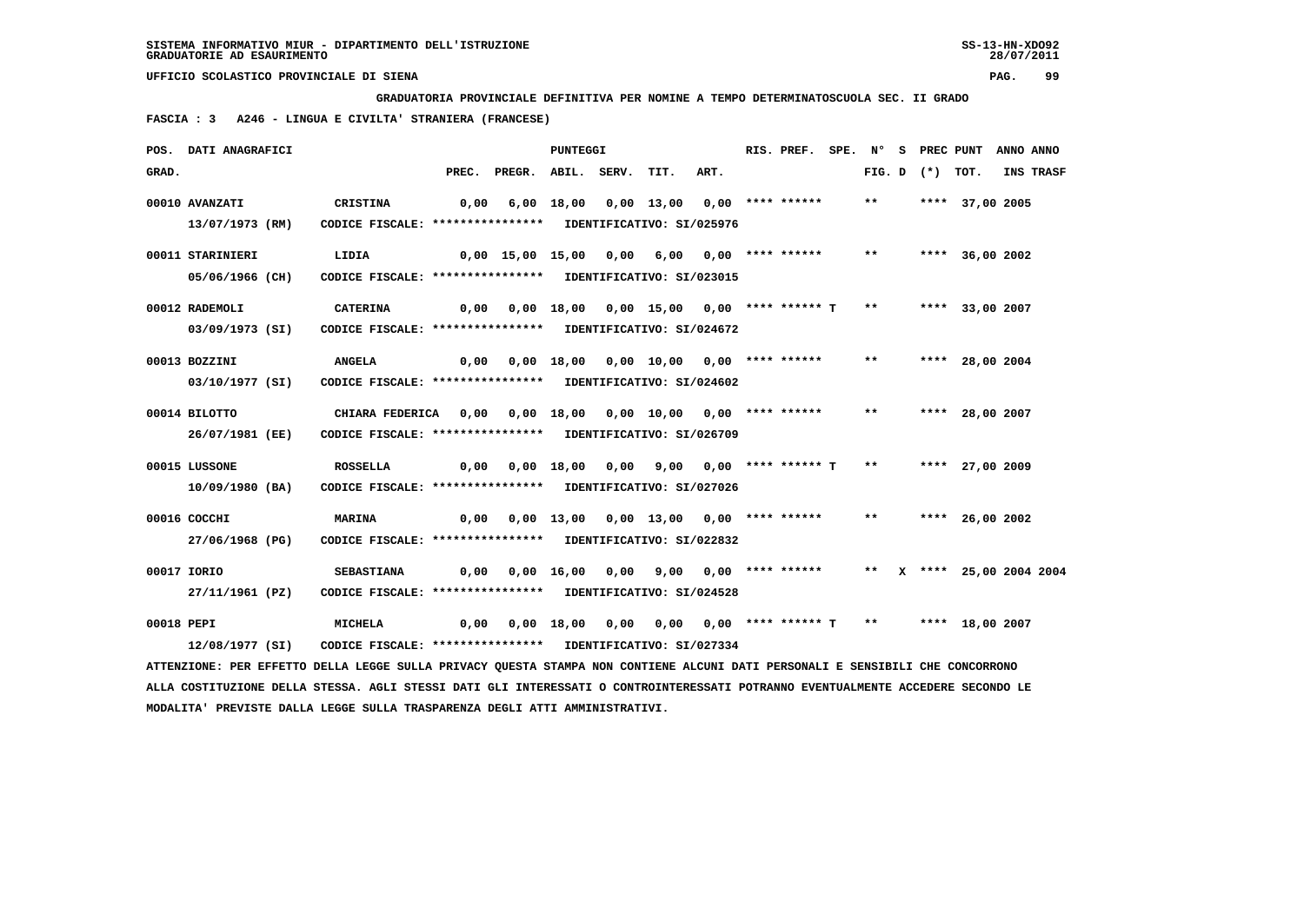**GRADUATORIA PROVINCIALE DEFINITIVA PER NOMINE A TEMPO DETERMINATOSCUOLA SEC. II GRADO**

 **FASCIA : 3 A246 - LINGUA E CIVILTA' STRANIERA (FRANCESE)**

|            | POS. DATI ANAGRAFICI                                                                                                            |                                                             |      |                                                                               | <b>PUNTEGGI</b> |                                        |      | RIS. PREF. SPE. Nº S PREC PUNT ANNO ANNO |       |                   |                    |                  |
|------------|---------------------------------------------------------------------------------------------------------------------------------|-------------------------------------------------------------|------|-------------------------------------------------------------------------------|-----------------|----------------------------------------|------|------------------------------------------|-------|-------------------|--------------------|------------------|
| GRAD.      |                                                                                                                                 |                                                             |      | PREC. PREGR. ABIL. SERV. TIT.                                                 |                 |                                        | ART. |                                          |       | FIG. D $(*)$ TOT. |                    | <b>INS TRASF</b> |
|            | 00010 AVANZATI                                                                                                                  | CRISTINA                                                    | 0,00 |                                                                               |                 |                                        |      |                                          | $***$ |                   | **** 37,00 2005    |                  |
|            | 13/07/1973 (RM)                                                                                                                 | CODICE FISCALE: **************** IDENTIFICATIVO: SI/025976  |      |                                                                               |                 |                                        |      |                                          |       |                   |                    |                  |
|            | 00011 STARINIERI                                                                                                                | LIDIA                                                       |      | 0,00 15,00 15,00 0,00 6,00 0,00 **** ******                                   |                 |                                        |      |                                          | $***$ |                   | **** 36,00 2002    |                  |
|            | 05/06/1966 (CH)                                                                                                                 | CODICE FISCALE: **************** IDENTIFICATIVO: SI/023015  |      |                                                                               |                 |                                        |      |                                          |       |                   |                    |                  |
|            | 00012 RADEMOLI                                                                                                                  | CATERINA                                                    |      | $0,00$ $0,00$ $18,00$ $0,00$ $15,00$ $0,00$ $***$ *** ****** T **             |                 |                                        |      |                                          |       |                   | **** 33,00 2007    |                  |
|            | 03/09/1973 (SI)                                                                                                                 | CODICE FISCALE: **************** IDENTIFICATIVO: SI/024672  |      |                                                                               |                 |                                        |      |                                          |       |                   |                    |                  |
|            | 00013 BOZZINI                                                                                                                   | <b>ANGELA</b>                                               | 0,00 |                                                                               |                 | 0,00 18,00 0,00 10,00 0,00 **** ****** |      |                                          | $***$ |                   | **** 28,00 2004    |                  |
|            | 03/10/1977 (SI)                                                                                                                 | CODICE FISCALE: **************** IDENTIFICATIVO: SI/024602  |      |                                                                               |                 |                                        |      |                                          |       |                   |                    |                  |
|            | 00014 BILOTTO                                                                                                                   | CHIARA FEDERICA 0,00 0,00 18,00 0,00 10,00 0,00 **** ****** |      |                                                                               |                 |                                        |      |                                          | $* *$ |                   | **** 28,00 2007    |                  |
|            | 26/07/1981 (EE)                                                                                                                 | CODICE FISCALE: **************** IDENTIFICATIVO: SI/026709  |      |                                                                               |                 |                                        |      |                                          |       |                   |                    |                  |
|            | 00015 LUSSONE                                                                                                                   | <b>ROSSELLA</b>                                             |      | $0,00$ $0,00$ $18,00$ $0,00$ $9,00$ $0,00$ $***$ **** ***** T                 |                 |                                        |      |                                          |       |                   | ** **** 27,00 2009 |                  |
|            | 10/09/1980 (BA)                                                                                                                 | CODICE FISCALE: **************** IDENTIFICATIVO: SI/027026  |      |                                                                               |                 |                                        |      |                                          |       |                   |                    |                  |
|            | 00016 COCCHI                                                                                                                    | <b>MARINA</b>                                               |      | $0,00$ $0,00$ $13,00$ $0,00$ $13,00$ $0,00$ $***$                             |                 |                                        |      |                                          | $***$ |                   | **** 26,00 2002    |                  |
|            | 27/06/1968 (PG)                                                                                                                 | CODICE FISCALE: **************** IDENTIFICATIVO: SI/022832  |      |                                                                               |                 |                                        |      |                                          |       |                   |                    |                  |
|            | 00017 IORIO                                                                                                                     | <b>SEBASTIANA</b>                                           |      | 0,00 0,00 16,00 0,00 9,00 0,00 **** ****** ** ** ** *** 25,00 2004 2004       |                 |                                        |      |                                          |       |                   |                    |                  |
|            | 27/11/1961 (PZ)                                                                                                                 | CODICE FISCALE: **************** IDENTIFICATIVO: SI/024528  |      |                                                                               |                 |                                        |      |                                          |       |                   |                    |                  |
| 00018 PEPI |                                                                                                                                 | <b>MICHELA</b>                                              |      | $0,00$ $0,00$ $18,00$ $0,00$ $0,00$ $0,00$ $***$ **** $T$ ** ***** 18,00 2007 |                 |                                        |      |                                          |       |                   |                    |                  |
|            | 12/08/1977 (SI)                                                                                                                 | CODICE FISCALE: **************** IDENTIFICATIVO: SI/027334  |      |                                                                               |                 |                                        |      |                                          |       |                   |                    |                  |
|            | ATTENZIONE: PER EFFETTO DELLA LEGGE SULLA PRIVACY QUESTA STAMPA NON CONTIENE ALCUNI DATI PERSONALI E SENSIBILI CHE CONCORRONO   |                                                             |      |                                                                               |                 |                                        |      |                                          |       |                   |                    |                  |
|            | ALLA COSTITUZIONE DELLA STESSA. AGLI STESSI DATI GLI INTERESSATI O CONTROINTERESSATI POTRANNO EVENTUALMENTE ACCEDERE SECONDO LE |                                                             |      |                                                                               |                 |                                        |      |                                          |       |                   |                    |                  |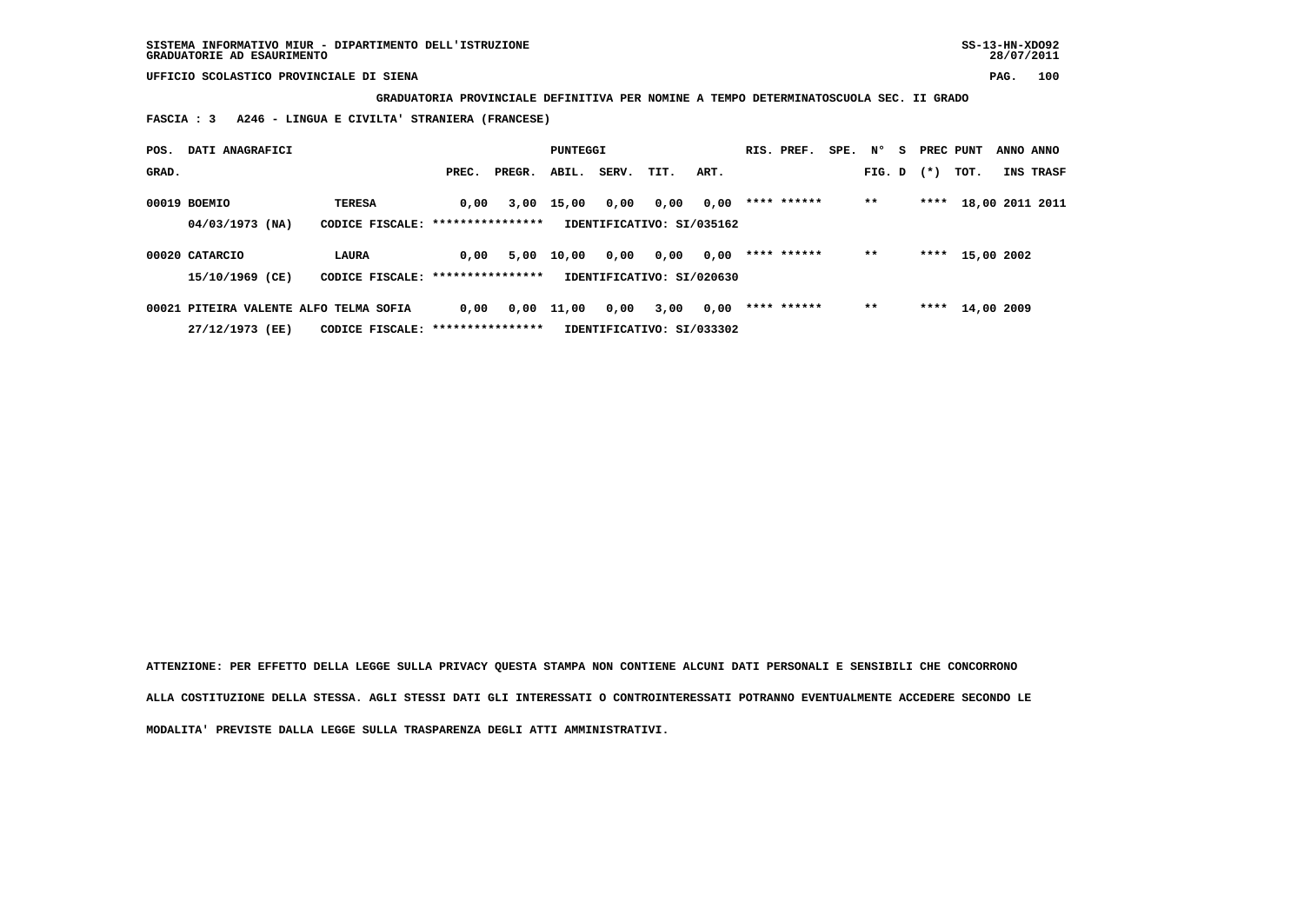**GRADUATORIA PROVINCIALE DEFINITIVA PER NOMINE A TEMPO DETERMINATOSCUOLA SEC. II GRADO**

 **FASCIA : 3 A246 - LINGUA E CIVILTA' STRANIERA (FRANCESE)**

| POS.  | DATI ANAGRAFICI                                           |                                                    |       |        | PUNTEGGI     |       |                                   |      | RIS. PREF.  | SPE. N° |        | s. | PREC PUNT |                 | ANNO ANNO |
|-------|-----------------------------------------------------------|----------------------------------------------------|-------|--------|--------------|-------|-----------------------------------|------|-------------|---------|--------|----|-----------|-----------------|-----------|
| GRAD. |                                                           |                                                    | PREC. | PREGR. | ABIL.        | SERV. | TIT.                              | ART. |             |         | FIG. D |    | $(*)$     | тот.            | INS TRASF |
|       | 00019 BOEMIO<br>04/03/1973 (NA)                           | <b>TERESA</b><br>CODICE FISCALE: ***************** | 0,00  |        | 3,00 15,00   | 0,00  | 0,00<br>IDENTIFICATIVO: SI/035162 | 0,00 | **** ****** |         | $* *$  |    | ****      | 18,00 2011 2011 |           |
|       | 00020 CATARCIO<br>15/10/1969 (CE)                         | <b>LAURA</b><br>CODICE FISCALE: ****************   | 0,00  | 5,00   | 10,00        | 0,00  | 0,00<br>IDENTIFICATIVO: SI/020630 | 0,00 | **** ****** |         | $* *$  |    |           | **** 15,00 2002 |           |
|       | 00021 PITEIRA VALENTE ALFO TELMA SOFIA<br>27/12/1973 (EE) | CODICE FISCALE: ****************                   | 0.00  |        | $0,00$ 11,00 | 0,00  | 3,00<br>IDENTIFICATIVO: SI/033302 | 0,00 | **** ****** |         | $* *$  |    |           | **** 14,00 2009 |           |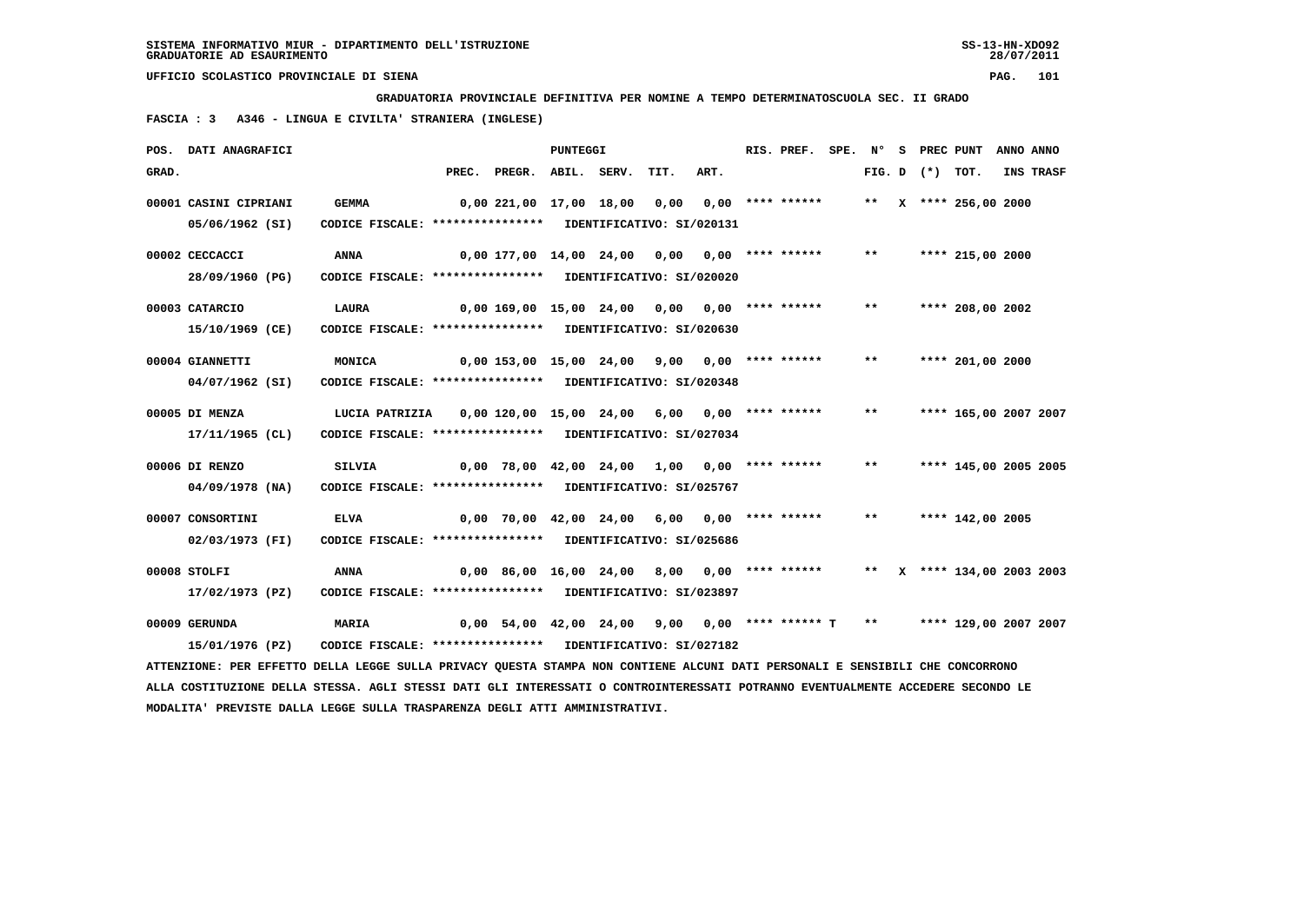**GRADUATORIA PROVINCIALE DEFINITIVA PER NOMINE A TEMPO DETERMINATOSCUOLA SEC. II GRADO**

 **FASCIA : 3 A346 - LINGUA E CIVILTA' STRANIERA (INGLESE)**

|       | POS. DATI ANAGRAFICI                                                                                                            |                                                            |       |                                                  | PUNTEGGI |      |      | RIS. PREF.         | SPE. N° |       | S PREC PUNT    |                            | ANNO ANNO |           |
|-------|---------------------------------------------------------------------------------------------------------------------------------|------------------------------------------------------------|-------|--------------------------------------------------|----------|------|------|--------------------|---------|-------|----------------|----------------------------|-----------|-----------|
| GRAD. |                                                                                                                                 |                                                            | PREC. | PREGR. ABIL. SERV.                               |          | TIT. | ART. |                    |         |       | $FIG. D$ $(*)$ | TOT.                       |           | INS TRASF |
|       | 00001 CASINI CIPRIANI                                                                                                           | <b>GEMMA</b>                                               |       | 0,00 221,00 17,00 18,00                          |          | 0,00 |      | 0,00 **** ******   |         |       |                | ** $\,$ x **** 256,00 2000 |           |           |
|       | 05/06/1962 (SI)                                                                                                                 | CODICE FISCALE: **************** IDENTIFICATIVO: SI/020131 |       |                                                  |          |      |      |                    |         |       |                |                            |           |           |
|       | 00002 CECCACCI                                                                                                                  | <b>ANNA</b>                                                |       | 0,00 177,00 14,00 24,00                          |          | 0,00 |      | $0.00$ **** ****** |         | $***$ |                | **** 215,00 2000           |           |           |
|       | 28/09/1960 (PG)                                                                                                                 | CODICE FISCALE: **************** IDENTIFICATIVO: SI/020020 |       |                                                  |          |      |      |                    |         |       |                |                            |           |           |
|       | 00003 CATARCIO                                                                                                                  | <b>LAURA</b>                                               |       | $0,00$ 169,00 15,00 24,00 0,00 0,00 **** ******  |          |      |      |                    |         | $* *$ |                | **** 208,00 2002           |           |           |
|       | 15/10/1969 (CE)                                                                                                                 | CODICE FISCALE: **************** IDENTIFICATIVO: SI/020630 |       |                                                  |          |      |      |                    |         |       |                |                            |           |           |
|       | 00004 GIANNETTI                                                                                                                 | MONICA                                                     |       | $0,00$ 153,00 15,00 24,00 9,00 0,00 **** ******  |          |      |      |                    |         | $***$ |                | **** 201,00 2000           |           |           |
|       | 04/07/1962 (SI)                                                                                                                 | CODICE FISCALE: **************** IDENTIFICATIVO: SI/020348 |       |                                                  |          |      |      |                    |         |       |                |                            |           |           |
|       | 00005 DI MENZA                                                                                                                  | LUCIA PATRIZIA                                             |       | $0,00$ 120,00 15,00 24,00 6,00 0,00 **** ******  |          |      |      |                    |         | $***$ |                | **** 165,00 2007 2007      |           |           |
|       | 17/11/1965 (CL)                                                                                                                 | CODICE FISCALE: **************** IDENTIFICATIVO: SI/027034 |       |                                                  |          |      |      |                    |         |       |                |                            |           |           |
|       | 00006 DI RENZO                                                                                                                  | SILVIA                                                     |       | 0,00 78,00 42,00 24,00 1,00                      |          |      |      | $0.00$ **** ****** |         | $***$ |                | **** 145,00 2005 2005      |           |           |
|       | $04/09/1978$ (NA)                                                                                                               | CODICE FISCALE: **************** IDENTIFICATIVO: SI/025767 |       |                                                  |          |      |      |                    |         |       |                |                            |           |           |
|       | 00007 CONSORTINI                                                                                                                | <b>ELVA</b>                                                |       | $0,00$ 70,00 42,00 24,00 6,00 0,00 **** ******   |          |      |      |                    |         | $***$ |                | **** 142,00 2005           |           |           |
|       | 02/03/1973 (FI)                                                                                                                 | CODICE FISCALE: **************** IDENTIFICATIVO: SI/025686 |       |                                                  |          |      |      |                    |         |       |                |                            |           |           |
|       | 00008 STOLFI                                                                                                                    | <b>ANNA</b>                                                |       | $0,00$ 86,00 16,00 24,00 8,00 0,00 **** ******   |          |      |      |                    |         |       |                | ** X **** 134,00 2003 2003 |           |           |
|       | 17/02/1973 (PZ)                                                                                                                 | CODICE FISCALE: **************** IDENTIFICATIVO: SI/023897 |       |                                                  |          |      |      |                    |         |       |                |                            |           |           |
|       | 00009 GERUNDA                                                                                                                   | MARIA                                                      |       | $0,00$ 54,00 42,00 24,00 9,00 0,00 **** ****** T |          |      |      |                    |         | $***$ |                | **** 129,00 2007 2007      |           |           |
|       | 15/01/1976 (PZ)                                                                                                                 | CODICE FISCALE: **************** IDENTIFICATIVO: SI/027182 |       |                                                  |          |      |      |                    |         |       |                |                            |           |           |
|       | ATTENZIONE: PER EFFETTO DELLA LEGGE SULLA PRIVACY QUESTA STAMPA NON CONTIENE ALCUNI DATI PERSONALI E SENSIBILI CHE CONCORRONO   |                                                            |       |                                                  |          |      |      |                    |         |       |                |                            |           |           |
|       | ALLA COSTITUZIONE DELLA STESSA. AGLI STESSI DATI GLI INTERESSATI O CONTROINTERESSATI POTRANNO EVENTUALMENTE ACCEDERE SECONDO LE |                                                            |       |                                                  |          |      |      |                    |         |       |                |                            |           |           |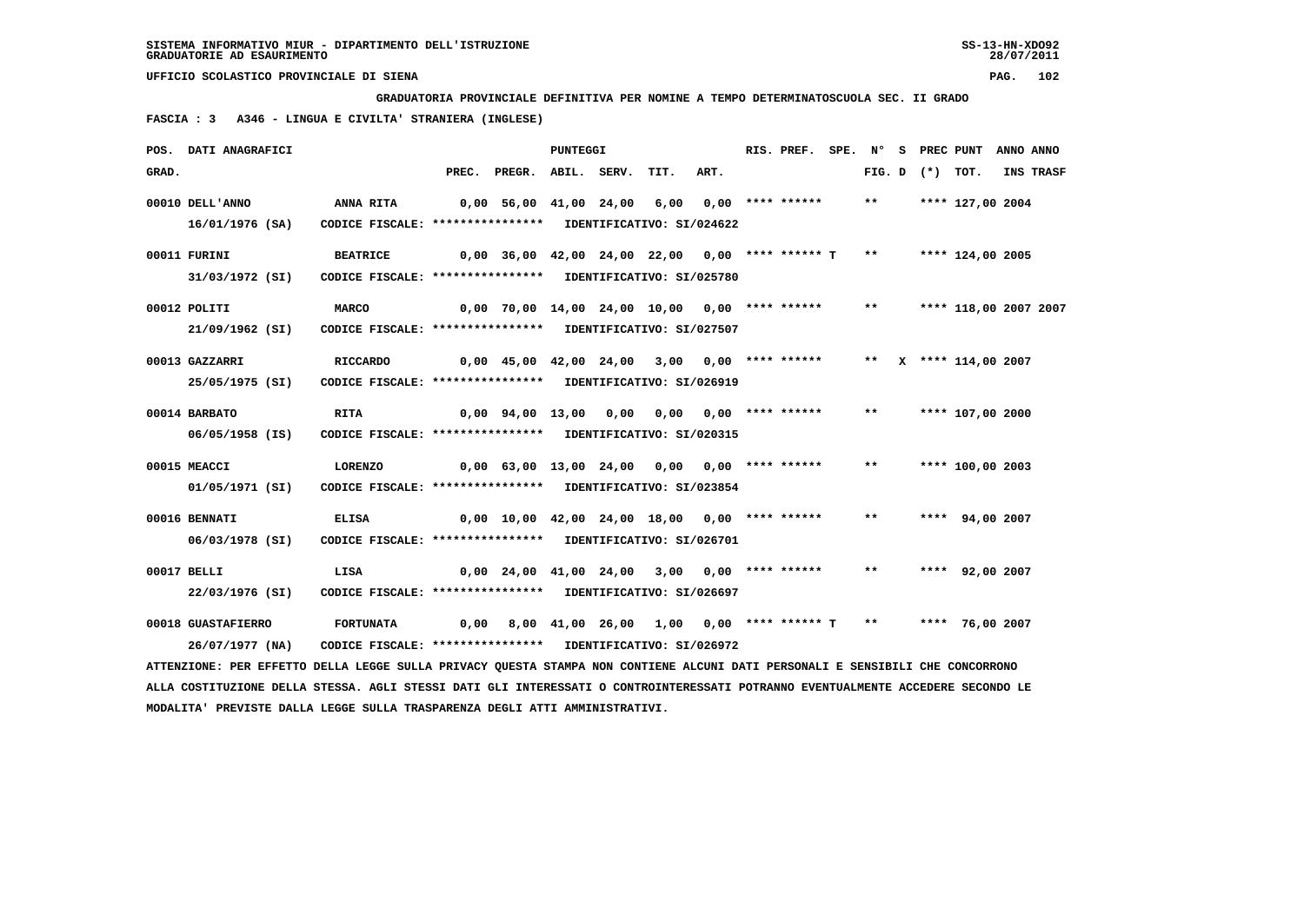**GRADUATORIA PROVINCIALE DEFINITIVA PER NOMINE A TEMPO DETERMINATOSCUOLA SEC. II GRADO**

 **FASCIA : 3 A346 - LINGUA E CIVILTA' STRANIERA (INGLESE)**

|       | POS. DATI ANAGRAFICI                                                                                                          |                                                            |                                              |                                                                        | <b>PUNTEGGI</b> |                                             |      | RIS. PREF. | SPE. N° |                   | S PREC PUNT           | ANNO ANNO |
|-------|-------------------------------------------------------------------------------------------------------------------------------|------------------------------------------------------------|----------------------------------------------|------------------------------------------------------------------------|-----------------|---------------------------------------------|------|------------|---------|-------------------|-----------------------|-----------|
| GRAD. |                                                                                                                               |                                                            |                                              | PREC. PREGR. ABIL. SERV.                                               |                 | TIT.                                        | ART. |            |         | FIG. D $(*)$ TOT. |                       | INS TRASF |
|       | 00010 DELL'ANNO                                                                                                               | ANNA RITA                                                  | 0,00 56,00 41,00 24,00 6,00 0,00 **** ****** |                                                                        |                 |                                             |      |            | $***$   |                   | **** 127,00 2004      |           |
|       | 16/01/1976 (SA)                                                                                                               | CODICE FISCALE: **************** IDENTIFICATIVO: SI/024622 |                                              |                                                                        |                 |                                             |      |            |         |                   |                       |           |
|       | 00011 FURINI                                                                                                                  | <b>BEATRICE</b>                                            |                                              | $0,00$ 36,00 42,00 24,00 22,00 0,00 **** ****** T ** ***** 124,00 2005 |                 |                                             |      |            |         |                   |                       |           |
|       | 31/03/1972 (SI)                                                                                                               | CODICE FISCALE: **************** IDENTIFICATIVO: SI/025780 |                                              |                                                                        |                 |                                             |      |            |         |                   |                       |           |
|       | 00012 POLITI                                                                                                                  | <b>MARCO</b>                                               |                                              | 0,00 70,00 14,00 24,00 10,00 0,00 **** ******                          |                 |                                             |      |            | $***$   |                   | **** 118,00 2007 2007 |           |
|       | 21/09/1962 (SI)                                                                                                               | CODICE FISCALE: **************** IDENTIFICATIVO: SI/027507 |                                              |                                                                        |                 |                                             |      |            |         |                   |                       |           |
|       | 00013 GAZZARRI                                                                                                                | <b>RICCARDO</b>                                            |                                              | 0,00 45,00 42,00 24,00 3,00 0,00 **** ****** ** ** ** **** 114,00 2007 |                 |                                             |      |            |         |                   |                       |           |
|       | 25/05/1975 (SI)                                                                                                               | CODICE FISCALE: **************** IDENTIFICATIVO: SI/026919 |                                              |                                                                        |                 |                                             |      |            |         |                   |                       |           |
|       | 00014 BARBATO                                                                                                                 | <b>RITA</b>                                                | 0,00 94,00 13,00 0,00 0,00 0,00 **** ******  |                                                                        |                 |                                             |      |            | $***$   |                   | **** 107,00 2000      |           |
|       | 06/05/1958 (IS)                                                                                                               | CODICE FISCALE: **************** IDENTIFICATIVO: SI/020315 |                                              |                                                                        |                 |                                             |      |            |         |                   |                       |           |
|       | 00015 MEACCI                                                                                                                  | LORENZO                                                    |                                              | $0,00$ 63,00 13,00 24,00 0,00 0,00 **** ******                         |                 |                                             |      |            | $***$   |                   | **** 100,00 2003      |           |
|       | 01/05/1971 (SI)                                                                                                               | CODICE FISCALE: **************** IDENTIFICATIVO: SI/023854 |                                              |                                                                        |                 |                                             |      |            |         |                   |                       |           |
|       | 00016 BENNATI                                                                                                                 | <b>ELISA</b>                                               |                                              | $0,00$ 10,00 42,00 24,00 18,00 0,00 **** ******                        |                 |                                             |      |            | $***$   |                   | **** 94,00 2007       |           |
|       | 06/03/1978 (SI)                                                                                                               | CODICE FISCALE: **************** IDENTIFICATIVO: SI/026701 |                                              |                                                                        |                 |                                             |      |            |         |                   |                       |           |
|       | 00017 BELLI                                                                                                                   | LISA                                                       |                                              | 0,00 24,00 41,00 24,00 3,00 0,00 **** ******                           |                 |                                             |      |            | $***$   |                   | **** 92,00 2007       |           |
|       | 22/03/1976 (SI)                                                                                                               | CODICE FISCALE: **************** IDENTIFICATIVO: SI/026697 |                                              |                                                                        |                 |                                             |      |            |         |                   |                       |           |
|       | 00018 GUASTAFIERRO                                                                                                            | <b>FORTUNATA</b>                                           | 0.00                                         |                                                                        |                 | 8,00 41,00 26,00 1,00 0,00 **** ****** T ** |      |            |         |                   | **** 76,00 2007       |           |
|       | 26/07/1977 (NA)                                                                                                               | CODICE FISCALE: **************** IDENTIFICATIVO: SI/026972 |                                              |                                                                        |                 |                                             |      |            |         |                   |                       |           |
|       | ATTENZIONE: PER EFFETTO DELLA LEGGE SULLA PRIVACY QUESTA STAMPA NON CONTIENE ALCUNI DATI PERSONALI E SENSIBILI CHE CONCORRONO |                                                            |                                              |                                                                        |                 |                                             |      |            |         |                   |                       |           |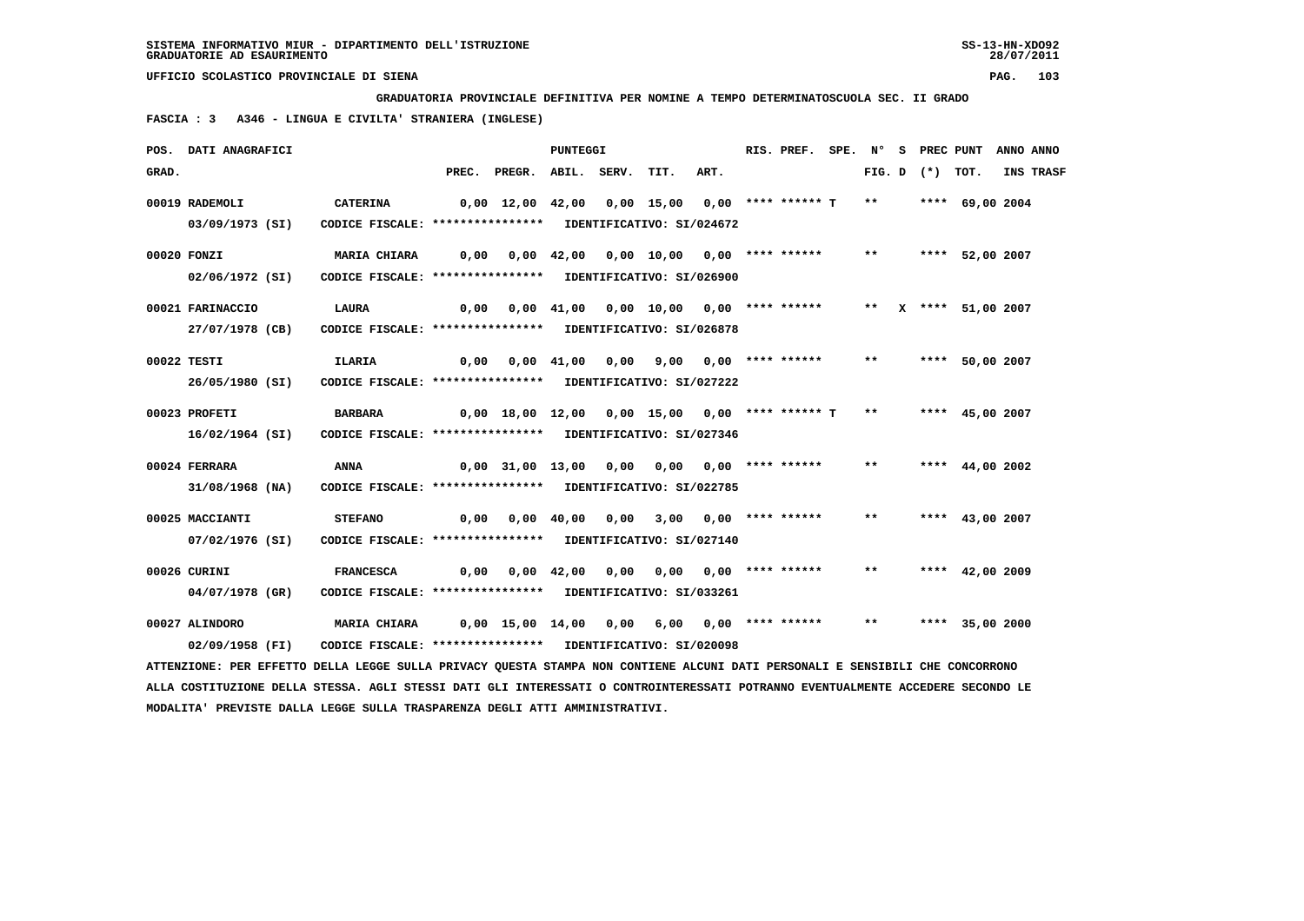**GRADUATORIA PROVINCIALE DEFINITIVA PER NOMINE A TEMPO DETERMINATOSCUOLA SEC. II GRADO**

 **FASCIA : 3 A346 - LINGUA E CIVILTA' STRANIERA (INGLESE)**

|       | POS. DATI ANAGRAFICI                                                                                                            |                                                                                |       |                                                                     | <b>PUNTEGGI</b> |      |      | RIS. PREF. | SPE. N°      |                   | S PREC PUNT       | ANNO ANNO |
|-------|---------------------------------------------------------------------------------------------------------------------------------|--------------------------------------------------------------------------------|-------|---------------------------------------------------------------------|-----------------|------|------|------------|--------------|-------------------|-------------------|-----------|
| GRAD. |                                                                                                                                 |                                                                                | PREC. | PREGR. ABIL. SERV.                                                  |                 | TIT. | ART. |            |              | FIG. D $(*)$ TOT. |                   | INS TRASF |
|       | 00019 RADEMOLI<br>03/09/1973 (SI)                                                                                               | <b>CATERINA</b><br>CODICE FISCALE: **************** IDENTIFICATIVO: SI/024672  |       | 0,00 12,00 42,00 0,00 15,00 0,00 **** ****** T                      |                 |      |      |            | $***$        |                   | **** 69,00 2004   |           |
|       | 00020 FONZI                                                                                                                     | MARIA CHIARA                                                                   |       | $0,00$ $0,00$ $42,00$ $0,00$ $10,00$ $0,00$ $***$                   |                 |      |      |            | $***$        |                   | **** 52,00 2007   |           |
|       | 02/06/1972 (SI)<br>00021 FARINACCIO                                                                                             | CODICE FISCALE: **************** IDENTIFICATIVO: SI/026900<br><b>LAURA</b>     |       | 0,00 0,00 41,00 0,00 10,00 0,00 **** ****** ** ** ** *** 51,00 2007 |                 |      |      |            |              |                   |                   |           |
|       | 27/07/1978 (CB)<br>00022 TESTI                                                                                                  | CODICE FISCALE: **************** IDENTIFICATIVO: SI/026878<br>ILARIA           |       | 0,00  0,00  41,00  0,00  9,00  0,00  ****  ******                   |                 |      |      |            | $***$        |                   | **** 50,00 2007   |           |
|       | 26/05/1980 (SI)<br>00023 PROFETI                                                                                                | CODICE FISCALE: **************** IDENTIFICATIVO: SI/027222<br><b>BARBARA</b>   |       | $0,00$ 18,00 12,00 0,00 15,00 0,00 **** ****** T                    |                 |      |      |            | $***$        |                   | **** 45,00 2007   |           |
|       | 16/02/1964 (SI)                                                                                                                 | CODICE FISCALE: **************** IDENTIFICATIVO: SI/027346                     |       |                                                                     |                 |      |      |            |              |                   |                   |           |
|       | 00024 FERRARA<br>31/08/1968 (NA)                                                                                                | ANNA<br>CODICE FISCALE: **************** IDENTIFICATIVO: SI/022785             |       | 0,00 31,00 13,00 0,00 0,00 0,00 **** ******                         |                 |      |      |            | $***$        |                   | **** $44,00$ 2002 |           |
|       | 00025 MACCIANTI<br>07/02/1976 (SI)                                                                                              | <b>STEFANO</b><br>CODICE FISCALE: **************** IDENTIFICATIVO: SI/027140   |       | 0,00  0,00  40,00  0,00  3,00  0,00  ****  ******                   |                 |      |      |            | $* *$        |                   | **** $43,00$ 2007 |           |
|       | 00026 CURINI<br>04/07/1978 (GR)                                                                                                 | <b>FRANCESCA</b><br>CODICE FISCALE: **************** IDENTIFICATIVO: SI/033261 |       | $0,00$ $0,00$ $42,00$ $0,00$ $0,00$ $0,00$ $***$                    |                 |      |      |            | $\star\star$ |                   | **** $42,00$ 2009 |           |
|       | 00027 ALINDORO<br>02/09/1958 (FI)                                                                                               | MARIA CHIARA<br>CODICE FISCALE: **************** IDENTIFICATIVO: SI/020098     |       | 0,00 15,00 14,00 0,00 6,00 0,00 **** ******                         |                 |      |      |            | $***$        |                   | **** 35,00 2000   |           |
|       | ATTENZIONE: PER EFFETTO DELLA LEGGE SULLA PRIVACY QUESTA STAMPA NON CONTIENE ALCUNI DATI PERSONALI E SENSIBILI CHE CONCORRONO   |                                                                                |       |                                                                     |                 |      |      |            |              |                   |                   |           |
|       | ALLA COSTITUZIONE DELLA STESSA. AGLI STESSI DATI GLI INTERESSATI O CONTROINTERESSATI POTRANNO EVENTUALMENTE ACCEDERE SECONDO LE |                                                                                |       |                                                                     |                 |      |      |            |              |                   |                   |           |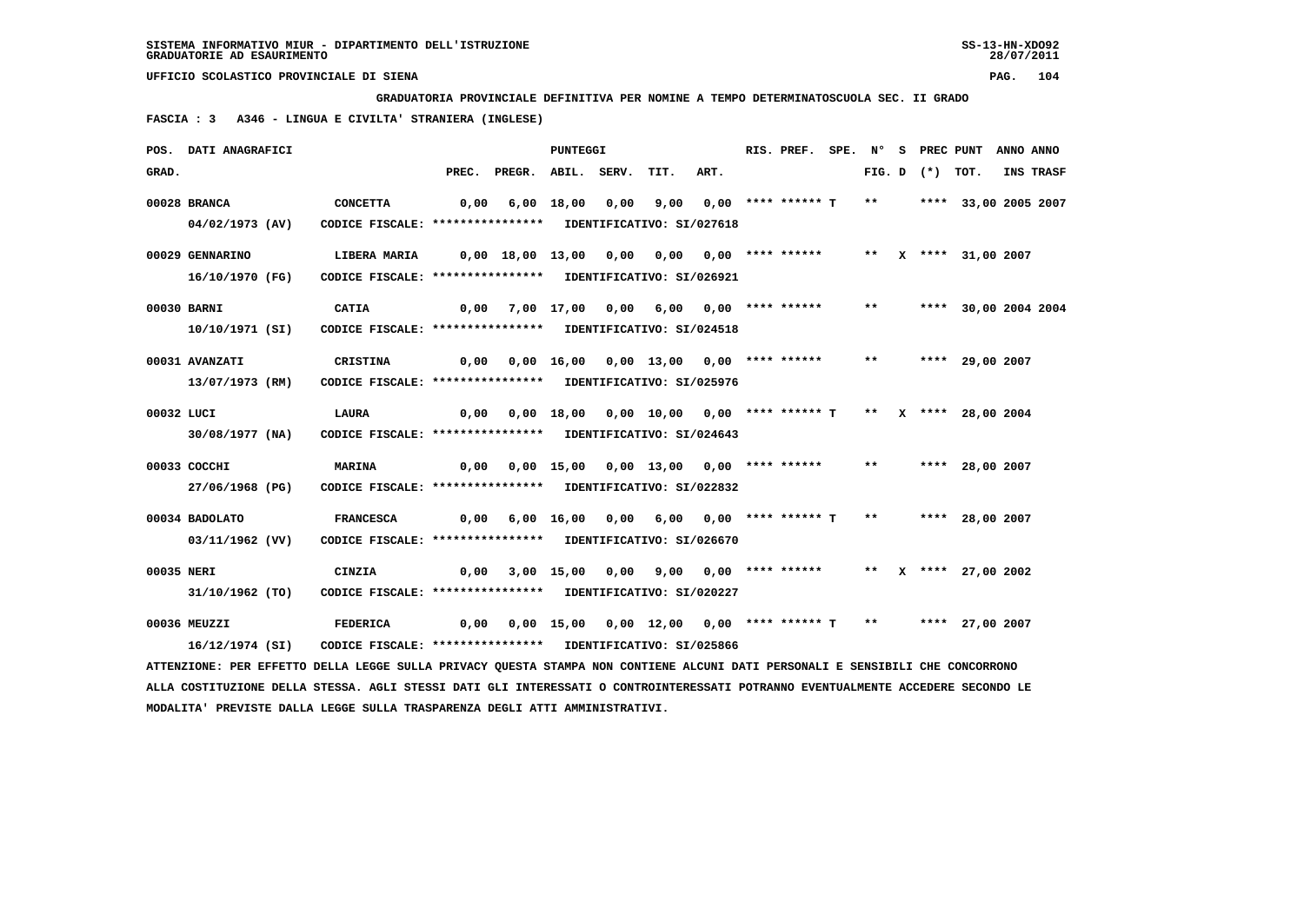**GRADUATORIA PROVINCIALE DEFINITIVA PER NOMINE A TEMPO DETERMINATOSCUOLA SEC. II GRADO**

 **FASCIA : 3 A346 - LINGUA E CIVILTA' STRANIERA (INGLESE)**

|            | POS. DATI ANAGRAFICI                                                                                                          |                                                                                                      |      |                                                                   | PUNTEGGI |                                                                 |      | RIS. PREF. SPE. N° S PREC PUNT ANNO ANNO |       |  |                         |           |
|------------|-------------------------------------------------------------------------------------------------------------------------------|------------------------------------------------------------------------------------------------------|------|-------------------------------------------------------------------|----------|-----------------------------------------------------------------|------|------------------------------------------|-------|--|-------------------------|-----------|
| GRAD.      |                                                                                                                               |                                                                                                      |      | PREC. PREGR. ABIL. SERV.                                          |          | TIT.                                                            | ART. |                                          |       |  | FIG. D $(*)$ TOT.       | INS TRASF |
|            | 00028 BRANCA                                                                                                                  | CONCETTA                                                                                             | 0,00 |                                                                   |          | 6,00 18,00 0,00 9,00 0,00 **** ****** T                         |      |                                          |       |  | ** **** 33,00 2005 2007 |           |
|            | 04/02/1973 (AV)                                                                                                               | CODICE FISCALE: **************** IDENTIFICATIVO: SI/027618                                           |      |                                                                   |          |                                                                 |      |                                          |       |  |                         |           |
|            | 00029 GENNARINO                                                                                                               | LIBERA MARIA       0,00  18,00  13,00   0,00   0,00   0,00  **** *****      **   x  ****  31,00 2007 |      |                                                                   |          |                                                                 |      |                                          |       |  |                         |           |
|            | 16/10/1970 (FG)                                                                                                               | CODICE FISCALE: **************** IDENTIFICATIVO: SI/026921                                           |      |                                                                   |          |                                                                 |      |                                          |       |  |                         |           |
|            | 00030 BARNI                                                                                                                   | <b>CATIA</b>                                                                                         | 0,00 |                                                                   |          | 7,00 17,00 0,00 6,00 0,00 **** ******                           |      |                                          | $***$ |  | **** 30,00 2004 2004    |           |
|            | 10/10/1971 (SI)                                                                                                               | CODICE FISCALE: **************** IDENTIFICATIVO: SI/024518                                           |      |                                                                   |          |                                                                 |      |                                          |       |  |                         |           |
|            | 00031 AVANZATI                                                                                                                | <b>CRISTINA</b>                                                                                      |      | 0,00 0,00 16,00 0,00 13,00 0,00 **** ****** ** **** 29,00 2007    |          |                                                                 |      |                                          |       |  |                         |           |
|            | 13/07/1973 (RM)                                                                                                               | CODICE FISCALE: **************** IDENTIFICATIVO: SI/025976                                           |      |                                                                   |          |                                                                 |      |                                          |       |  |                         |           |
| 00032 LUCI |                                                                                                                               | LAURA                                                                                                | 0,00 |                                                                   |          | $0,00$ 18,00 0,00 10,00 0,00 **** ****** T ** X **** 28,00 2004 |      |                                          |       |  |                         |           |
|            | 30/08/1977 (NA)                                                                                                               | CODICE FISCALE: **************** IDENTIFICATIVO: SI/024643                                           |      |                                                                   |          |                                                                 |      |                                          |       |  |                         |           |
|            | 00033 COCCHI                                                                                                                  | <b>MARINA</b>                                                                                        | 0,00 |                                                                   |          | 0,00 15,00 0,00 13,00 0,00 **** ******                          |      |                                          |       |  | ** **** 28,00 2007      |           |
|            | 27/06/1968 (PG)                                                                                                               | CODICE FISCALE: **************** IDENTIFICATIVO: SI/022832                                           |      |                                                                   |          |                                                                 |      |                                          |       |  |                         |           |
|            | 00034 BADOLATO                                                                                                                | <b>FRANCESCA</b>                                                                                     |      | $0,00$ 6,00 16,00 0,00 6,00 0,00 **** ****** T **                 |          |                                                                 |      |                                          |       |  | **** 28,00 2007         |           |
|            | 03/11/1962 (VV)                                                                                                               | CODICE FISCALE: **************** IDENTIFICATIVO: SI/026670                                           |      |                                                                   |          |                                                                 |      |                                          |       |  |                         |           |
| 00035 NERI |                                                                                                                               | CINZIA                                                                                               | 0,00 |                                                                   |          | 3,00 15,00 0,00 9,00 0,00 **** ****** ** ** ** *** 27,00 2002   |      |                                          |       |  |                         |           |
|            | 31/10/1962 (TO)                                                                                                               | CODICE FISCALE: **************** IDENTIFICATIVO: SI/020227                                           |      |                                                                   |          |                                                                 |      |                                          |       |  |                         |           |
|            | 00036 MEUZZI                                                                                                                  | FEDERICA                                                                                             |      | 0,00 0,00 15,00 0,00 12,00 0,00 **** ****** T ** ***** 27,00 2007 |          |                                                                 |      |                                          |       |  |                         |           |
|            | 16/12/1974 (SI)                                                                                                               | CODICE FISCALE: **************** IDENTIFICATIVO: SI/025866                                           |      |                                                                   |          |                                                                 |      |                                          |       |  |                         |           |
|            | ATTENZIONE: PER EFFETTO DELLA LEGGE SULLA PRIVACY QUESTA STAMPA NON CONTIENE ALCUNI DATI PERSONALI E SENSIBILI CHE CONCORRONO |                                                                                                      |      |                                                                   |          |                                                                 |      |                                          |       |  |                         |           |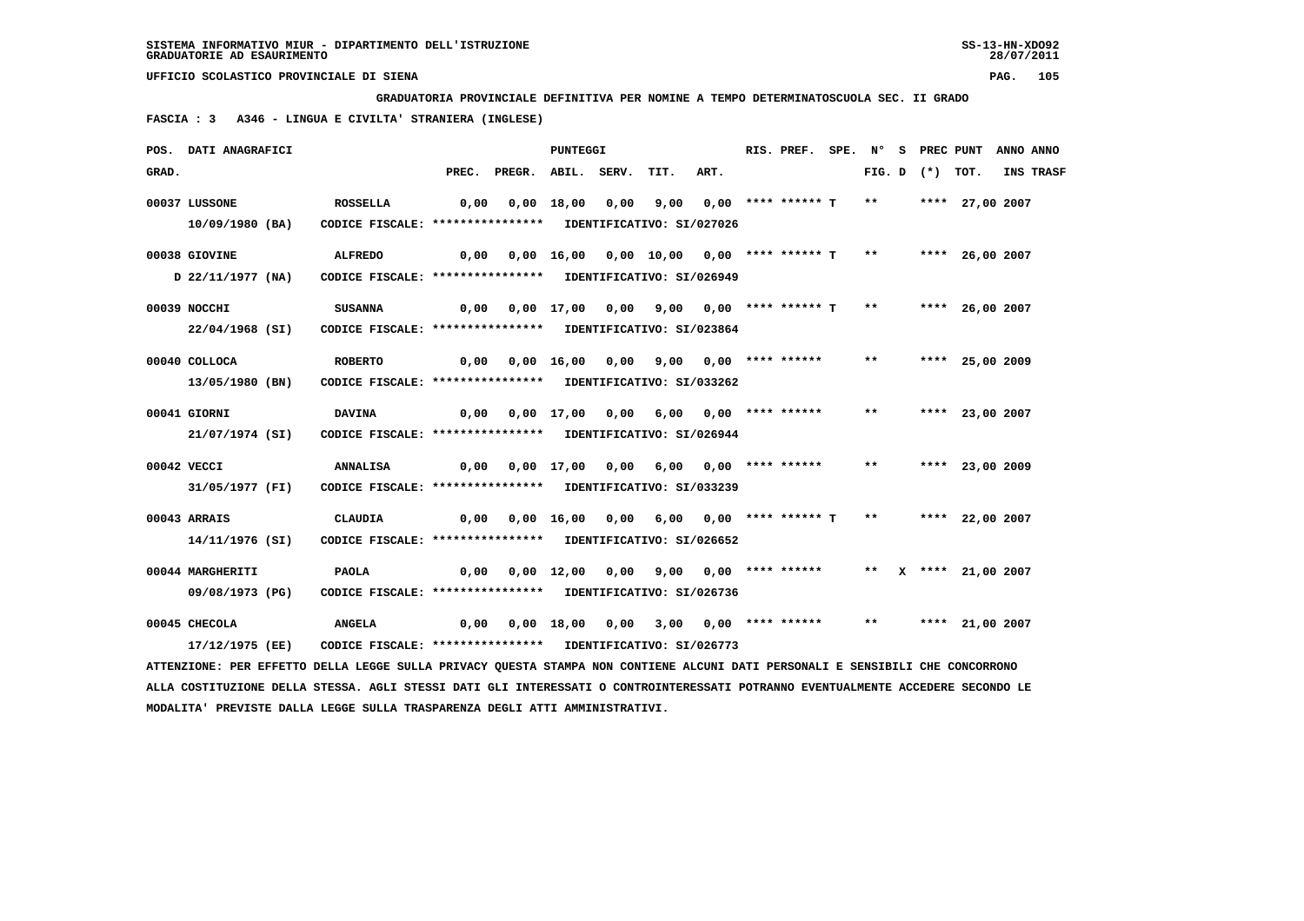**GRADUATORIA PROVINCIALE DEFINITIVA PER NOMINE A TEMPO DETERMINATOSCUOLA SEC. II GRADO**

 **FASCIA : 3 A346 - LINGUA E CIVILTA' STRANIERA (INGLESE)**

|       | POS. DATI ANAGRAFICI                                                                                                          |                                                            |                                                                   |                                                                     | <b>PUNTEGGI</b> |                                         |      | RIS. PREF. |       |                   | SPE. N° S PREC PUNT ANNO ANNO |                  |
|-------|-------------------------------------------------------------------------------------------------------------------------------|------------------------------------------------------------|-------------------------------------------------------------------|---------------------------------------------------------------------|-----------------|-----------------------------------------|------|------------|-------|-------------------|-------------------------------|------------------|
| GRAD. |                                                                                                                               |                                                            |                                                                   | PREC. PREGR. ABIL. SERV.                                            |                 | TIT.                                    | ART. |            |       | FIG. D $(*)$ TOT. |                               | <b>INS TRASF</b> |
|       | 00037 LUSSONE                                                                                                                 | ROSSELLA                                                   | 0,00                                                              |                                                                     |                 | 0,00 18,00 0,00 9,00 0,00 **** ****** T |      |            |       |                   | ** **** 27,00 2007            |                  |
|       | 10/09/1980 (BA)                                                                                                               | CODICE FISCALE: **************** IDENTIFICATIVO: SI/027026 |                                                                   |                                                                     |                 |                                         |      |            |       |                   |                               |                  |
|       | 00038 GIOVINE                                                                                                                 | <b>ALFREDO</b>                                             |                                                                   | 0,00 0,00 16,00 0,00 10,00 0,00 **** ****** T  **   **** 26,00 2007 |                 |                                         |      |            |       |                   |                               |                  |
|       | D 22/11/1977 (NA)                                                                                                             | CODICE FISCALE: **************** IDENTIFICATIVO: SI/026949 |                                                                   |                                                                     |                 |                                         |      |            |       |                   |                               |                  |
|       | 00039 NOCCHI                                                                                                                  | SUSANNA                                                    |                                                                   | $0,00$ $0,00$ $17,00$ $0,00$ $9,00$ $0,00$ $***$ ******* T **       |                 |                                         |      |            |       |                   | **** 26,00 2007               |                  |
|       | 22/04/1968 (SI)                                                                                                               | CODICE FISCALE: **************** IDENTIFICATIVO: SI/023864 |                                                                   |                                                                     |                 |                                         |      |            |       |                   |                               |                  |
|       | 00040 COLLOCA                                                                                                                 | <b>ROBERTO</b>                                             |                                                                   | 0,00 0,00 16,00 0,00 9,00 0,00 **** ****** **                       |                 |                                         |      |            |       |                   | **** 25,00 2009               |                  |
|       | 13/05/1980 (BN)                                                                                                               | CODICE FISCALE: **************** IDENTIFICATIVO: SI/033262 |                                                                   |                                                                     |                 |                                         |      |            |       |                   |                               |                  |
|       | 00041 GIORNI                                                                                                                  | <b>DAVINA</b>                                              | 0,00 0,00 17,00 0,00 6,00 0,00 **** ******   **   **** 23,00 2007 |                                                                     |                 |                                         |      |            |       |                   |                               |                  |
|       | 21/07/1974 (SI)                                                                                                               | CODICE FISCALE: **************** IDENTIFICATIVO: SI/026944 |                                                                   |                                                                     |                 |                                         |      |            |       |                   |                               |                  |
|       | 00042 VECCI                                                                                                                   | <b>ANNALISA</b>                                            |                                                                   | 0,00  0,00  17,00  0,00  6,00  0,00  ****  ******                   |                 |                                         |      |            | $***$ |                   | **** 23,00 2009               |                  |
|       | 31/05/1977 (FI)                                                                                                               | CODICE FISCALE: **************** IDENTIFICATIVO: SI/033239 |                                                                   |                                                                     |                 |                                         |      |            |       |                   |                               |                  |
|       | 00043 ARRAIS                                                                                                                  | <b>CLAUDIA</b>                                             |                                                                   | $0,00$ $0,00$ $16,00$ $0,00$ $6,00$ $0,00$ $***$ **** ****** T      |                 |                                         |      |            |       |                   | ** **** 22,00 2007            |                  |
|       | 14/11/1976 (SI)                                                                                                               | CODICE FISCALE: **************** IDENTIFICATIVO: SI/026652 |                                                                   |                                                                     |                 |                                         |      |            |       |                   |                               |                  |
|       | 00044 MARGHERITI                                                                                                              | <b>PAOLA</b>                                               |                                                                   | 0,00 0,00 12,00 0,00 9,00 0,00 **** ****** ** ** ** 21,00 2007      |                 |                                         |      |            |       |                   |                               |                  |
|       | 09/08/1973 (PG)                                                                                                               | CODICE FISCALE: **************** IDENTIFICATIVO: SI/026736 |                                                                   |                                                                     |                 |                                         |      |            |       |                   |                               |                  |
|       | 00045 CHECOLA                                                                                                                 | <b>ANGELA</b>                                              |                                                                   |                                                                     |                 |                                         |      |            |       |                   | ** **** 21,00 2007            |                  |
|       | 17/12/1975 (EE)                                                                                                               | CODICE FISCALE: **************** IDENTIFICATIVO: SI/026773 |                                                                   |                                                                     |                 |                                         |      |            |       |                   |                               |                  |
|       | ATTENZIONE: PER EFFETTO DELLA LEGGE SULLA PRIVACY QUESTA STAMPA NON CONTIENE ALCUNI DATI PERSONALI E SENSIBILI CHE CONCORRONO |                                                            |                                                                   |                                                                     |                 |                                         |      |            |       |                   |                               |                  |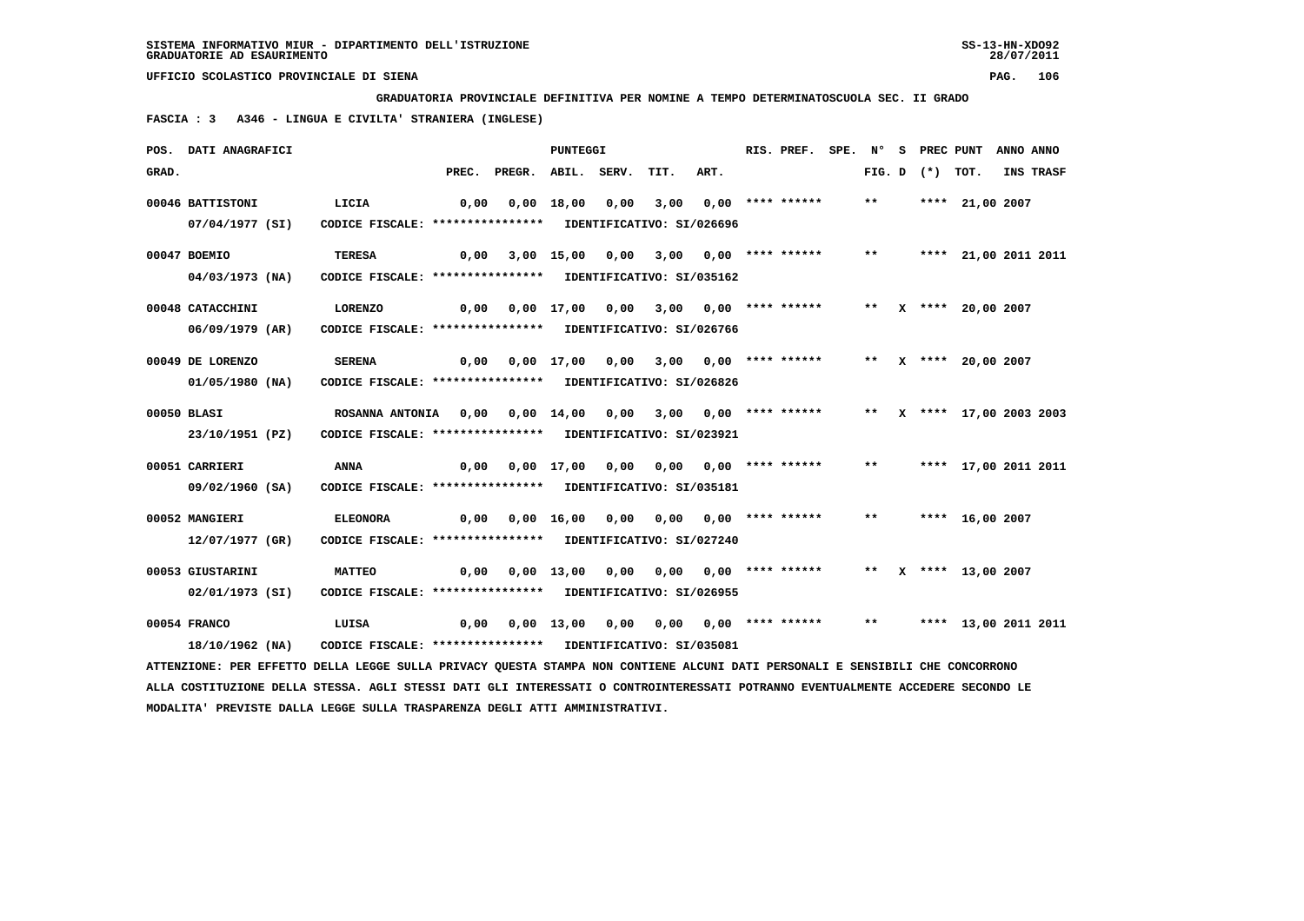**GRADUATORIA PROVINCIALE DEFINITIVA PER NOMINE A TEMPO DETERMINATOSCUOLA SEC. II GRADO**

 **FASCIA : 3 A346 - LINGUA E CIVILTA' STRANIERA (INGLESE)**

|       | POS. DATI ANAGRAFICI                                                                                                            |                                                            |       |                                                                    | <b>PUNTEGGI</b>   |                                       |      |                                                | RIS. PREF. SPE. N° |       | S PREC PUNT       |                           | ANNO ANNO |           |
|-------|---------------------------------------------------------------------------------------------------------------------------------|------------------------------------------------------------|-------|--------------------------------------------------------------------|-------------------|---------------------------------------|------|------------------------------------------------|--------------------|-------|-------------------|---------------------------|-----------|-----------|
| GRAD. |                                                                                                                                 |                                                            | PREC. | PREGR. ABIL. SERV.                                                 |                   |                                       | TIT. | ART.                                           |                    |       | FIG. D $(*)$ TOT. |                           |           | INS TRASF |
|       | 00046 BATTISTONI                                                                                                                | LICIA                                                      | 0,00  |                                                                    | 0,00 18,00        | 0,00                                  | 3,00 |                                                | $0.00$ **** ****** | $***$ |                   | **** 21,00 2007           |           |           |
|       | 07/04/1977 (SI)                                                                                                                 | CODICE FISCALE: **************** IDENTIFICATIVO: SI/026696 |       |                                                                    |                   |                                       |      |                                                |                    |       |                   |                           |           |           |
|       |                                                                                                                                 |                                                            |       |                                                                    |                   |                                       |      |                                                |                    |       |                   |                           |           |           |
|       | 00047 BOEMIO                                                                                                                    | <b>TERESA</b>                                              | 0,00  |                                                                    |                   | 3,00 15,00 0,00 3,00 0,00 **** ****** |      |                                                |                    | $***$ |                   | **** 21,00 2011 2011      |           |           |
|       | 04/03/1973 (NA)                                                                                                                 | CODICE FISCALE: **************** IDENTIFICATIVO: SI/035162 |       |                                                                    |                   |                                       |      |                                                |                    |       |                   |                           |           |           |
|       | 00048 CATACCHINI                                                                                                                | <b>LORENZO</b>                                             |       | $0,00$ $0,00$ $17,00$ $0,00$ $3,00$ $0,00$ $***$ **** ******       |                   |                                       |      |                                                |                    |       |                   | ** $X$ **** 20,00 2007    |           |           |
|       | 06/09/1979 (AR)                                                                                                                 | CODICE FISCALE: **************** IDENTIFICATIVO: SI/026766 |       |                                                                    |                   |                                       |      |                                                |                    |       |                   |                           |           |           |
|       |                                                                                                                                 |                                                            |       |                                                                    |                   |                                       |      |                                                |                    |       |                   |                           |           |           |
|       | 00049 DE LORENZO                                                                                                                | <b>SERENA</b>                                              |       | 0,00 0,00 17,00 0,00                                               |                   |                                       |      | $3,00$ $0,00$ **** ******                      |                    |       |                   | ** X **** 20,00 2007      |           |           |
|       | 01/05/1980 (NA)                                                                                                                 | CODICE FISCALE: **************** IDENTIFICATIVO: SI/026826 |       |                                                                    |                   |                                       |      |                                                |                    |       |                   |                           |           |           |
|       | 00050 BLASI                                                                                                                     | ROSANNA ANTONIA 0,00 0,00 14,00 0,00 3,00 0,00 **** ****** |       |                                                                    |                   |                                       |      |                                                |                    |       |                   | ** X **** 17,00 2003 2003 |           |           |
|       | 23/10/1951 (PZ)                                                                                                                 | CODICE FISCALE: **************** IDENTIFICATIVO: SI/023921 |       |                                                                    |                   |                                       |      |                                                |                    |       |                   |                           |           |           |
|       |                                                                                                                                 |                                                            |       |                                                                    |                   |                                       |      |                                                |                    |       |                   |                           |           |           |
|       | 00051 CARRIERI                                                                                                                  | ANNA                                                       |       |                                                                    |                   |                                       |      |                                                |                    | $***$ |                   | **** 17,00 2011 2011      |           |           |
|       | 09/02/1960 (SA)                                                                                                                 | CODICE FISCALE: **************** IDENTIFICATIVO: SI/035181 |       |                                                                    |                   |                                       |      |                                                |                    |       |                   |                           |           |           |
|       | 00052 MANGIERI                                                                                                                  | <b>ELEONORA</b>                                            |       | 0,00  0,00  16,00  0,00  0,00  0,00  ****  ******                  |                   |                                       |      |                                                |                    | $***$ |                   | **** 16,00 2007           |           |           |
|       | 12/07/1977 (GR)                                                                                                                 | CODICE FISCALE: **************** IDENTIFICATIVO: SI/027240 |       |                                                                    |                   |                                       |      |                                                |                    |       |                   |                           |           |           |
|       |                                                                                                                                 |                                                            |       |                                                                    |                   |                                       |      |                                                |                    |       |                   |                           |           |           |
|       | 00053 GIUSTARINI                                                                                                                | <b>MATTEO</b>                                              | 0,00  |                                                                    | $0,00$ 13,00 0,00 |                                       |      | $0,00$ $0,00$ **** ****** ** X **** 13,00 2007 |                    |       |                   |                           |           |           |
|       | 02/01/1973 (SI)                                                                                                                 | CODICE FISCALE: **************** IDENTIFICATIVO: SI/026955 |       |                                                                    |                   |                                       |      |                                                |                    |       |                   |                           |           |           |
|       | 00054 FRANCO                                                                                                                    | LUISA                                                      |       | 0,00 0,00 13,00 0,00 0,00 0,00 **** ****** ** **** 13,00 2011 2011 |                   |                                       |      |                                                |                    |       |                   |                           |           |           |
|       | 18/10/1962 (NA)                                                                                                                 | CODICE FISCALE: **************** IDENTIFICATIVO: SI/035081 |       |                                                                    |                   |                                       |      |                                                |                    |       |                   |                           |           |           |
|       | ATTENZIONE: PER EFFETTO DELLA LEGGE SULLA PRIVACY QUESTA STAMPA NON CONTIENE ALCUNI DATI PERSONALI E SENSIBILI CHE CONCORRONO   |                                                            |       |                                                                    |                   |                                       |      |                                                |                    |       |                   |                           |           |           |
|       | ALLA COSTITUZIONE DELLA STESSA. AGLI STESSI DATI GLI INTERESSATI O CONTROINTERESSATI POTRANNO EVENTUALMENTE ACCEDERE SECONDO LE |                                                            |       |                                                                    |                   |                                       |      |                                                |                    |       |                   |                           |           |           |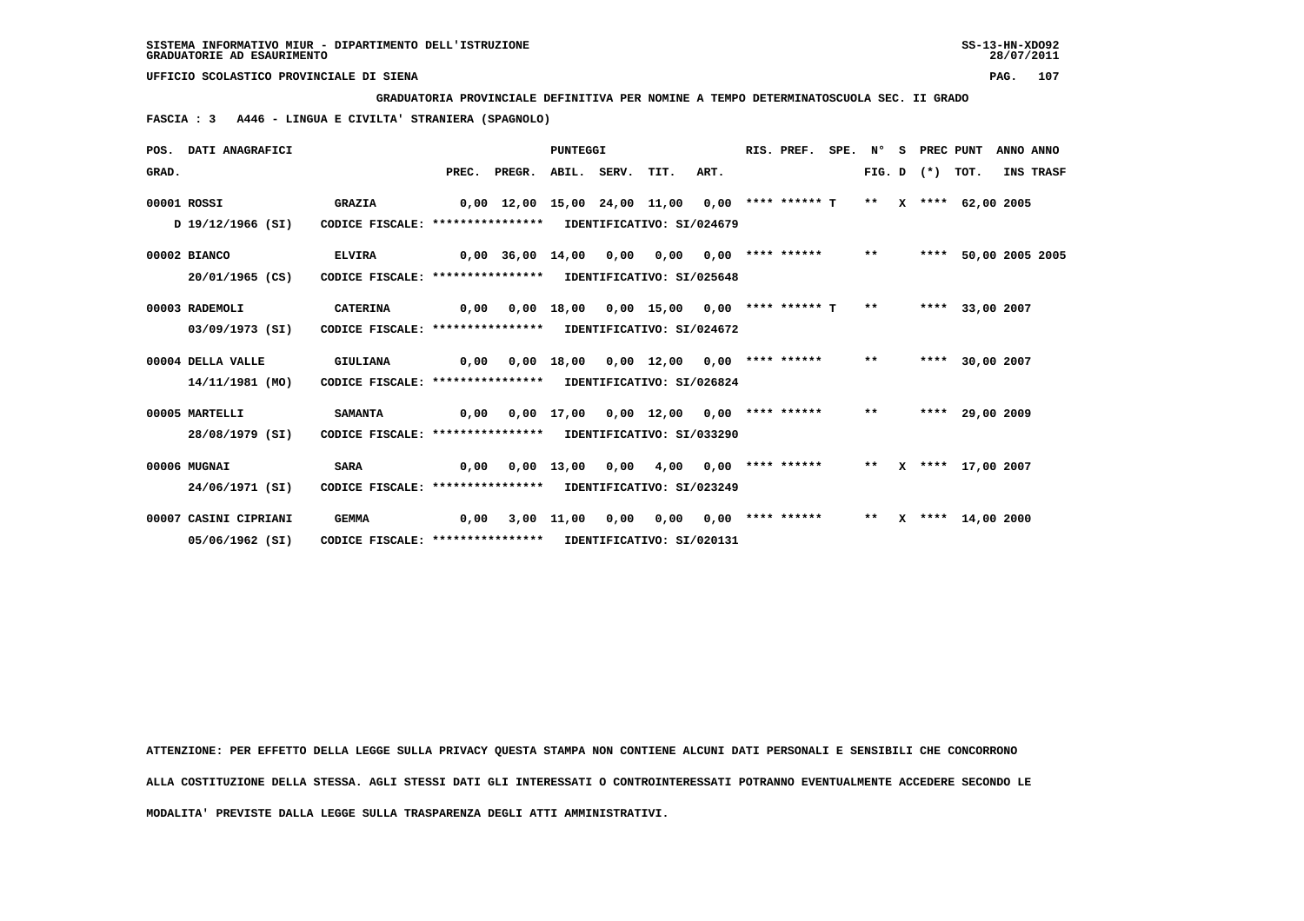**GRADUATORIA PROVINCIALE DEFINITIVA PER NOMINE A TEMPO DETERMINATOSCUOLA SEC. II GRADO**

 **FASCIA : 3 A446 - LINGUA E CIVILTA' STRANIERA (SPAGNOLO)**

|                                                                               | POS. DATI ANAGRAFICI                                                            |                                                            | <b>PUNTEGGI</b> |                                                                      |                       |      |                                             |      |  | RIS. PREF.            | SPE. N° |       | s.           | PREC PUNT         |                   |  | ANNO ANNO       |
|-------------------------------------------------------------------------------|---------------------------------------------------------------------------------|------------------------------------------------------------|-----------------|----------------------------------------------------------------------|-----------------------|------|---------------------------------------------|------|--|-----------------------|---------|-------|--------------|-------------------|-------------------|--|-----------------|
| GRAD.                                                                         |                                                                                 |                                                            |                 | PREC. PREGR. ABIL. SERV. TIT.                                        |                       |      |                                             | ART. |  |                       |         |       |              | FIG. D $(*)$ TOT. |                   |  | INS TRASF       |
|                                                                               | 00001 ROSSI                                                                     | <b>GRAZIA</b>                                              |                 | 0,00 12,00 15,00 24,00 11,00 0,00 **** ****** T ** X **** 62,00 2005 |                       |      |                                             |      |  |                       |         |       |              |                   |                   |  |                 |
|                                                                               | D 19/12/1966 (SI)<br>CODICE FISCALE: **************** IDENTIFICATIVO: SI/024679 |                                                            |                 |                                                                      |                       |      |                                             |      |  |                       |         |       |              |                   |                   |  |                 |
|                                                                               | 00002 BIANCO                                                                    | <b>ELVIRA</b>                                              |                 | 0,00 36,00 14,00 0,00 0,00                                           |                       |      |                                             |      |  | $0,00$ **** ****** ** |         |       |              | ****              |                   |  | 50,00 2005 2005 |
| CODICE FISCALE: **************** IDENTIFICATIVO: SI/025648<br>20/01/1965 (CS) |                                                                                 |                                                            |                 |                                                                      |                       |      |                                             |      |  |                       |         |       |              |                   |                   |  |                 |
|                                                                               | 00003 RADEMOLI                                                                  | <b>CATERINA</b>                                            | 0,00            |                                                                      | 0,00 18,00            |      | $0,00$ 15,00 0,00 **** ****** T             |      |  |                       |         | $***$ |              |                   | **** 33,00 2007   |  |                 |
|                                                                               | 03/09/1973 (SI)<br>CODICE FISCALE: **************** IDENTIFICATIVO: SI/024672   |                                                            |                 |                                                                      |                       |      |                                             |      |  |                       |         |       |              |                   |                   |  |                 |
|                                                                               | 00004 DELLA VALLE                                                               | GIULIANA                                                   | 0,00            |                                                                      |                       |      | $0,00$ 18,00 0,00 12,00 0,00 **** ****** ** |      |  |                       |         |       |              |                   | **** 30,00 2007   |  |                 |
|                                                                               | CODICE FISCALE: **************** IDENTIFICATIVO: SI/026824<br>14/11/1981 (MO)   |                                                            |                 |                                                                      |                       |      |                                             |      |  |                       |         |       |              |                   |                   |  |                 |
|                                                                               | 00005 MARTELLI                                                                  | <b>SAMANTA</b>                                             | 0,00            |                                                                      |                       |      | 0,00 17,00 0,00 12,00                       |      |  | $0.00$ **** ****** ** |         |       |              |                   | **** 29,00 2009   |  |                 |
|                                                                               | 28/08/1979 (SI)                                                                 | CODICE FISCALE: **************** IDENTIFICATIVO: SI/033290 |                 |                                                                      |                       |      |                                             |      |  |                       |         |       |              |                   |                   |  |                 |
|                                                                               | 00006 MUGNAI                                                                    | <b>SARA</b>                                                | 0,00            |                                                                      | $0,00$ $13,00$ $0,00$ |      | 4,00                                        |      |  | $0.00$ **** ****** ** |         |       |              |                   | X **** 17,00 2007 |  |                 |
|                                                                               | 24/06/1971 (SI)                                                                 | CODICE FISCALE: **************** IDENTIFICATIVO: SI/023249 |                 |                                                                      |                       |      |                                             |      |  |                       |         |       |              |                   |                   |  |                 |
|                                                                               | 00007 CASINI CIPRIANI                                                           | <b>GEMMA</b>                                               | 0,00            |                                                                      | 3,00 11,00            | 0.00 | 0,00                                        |      |  | $0,00$ **** ******    |         | $***$ | $\mathbf{x}$ |                   | **** 14,00 2000   |  |                 |
|                                                                               | 05/06/1962 (SI)<br>CODICE FISCALE: **************** IDENTIFICATIVO: SI/020131   |                                                            |                 |                                                                      |                       |      |                                             |      |  |                       |         |       |              |                   |                   |  |                 |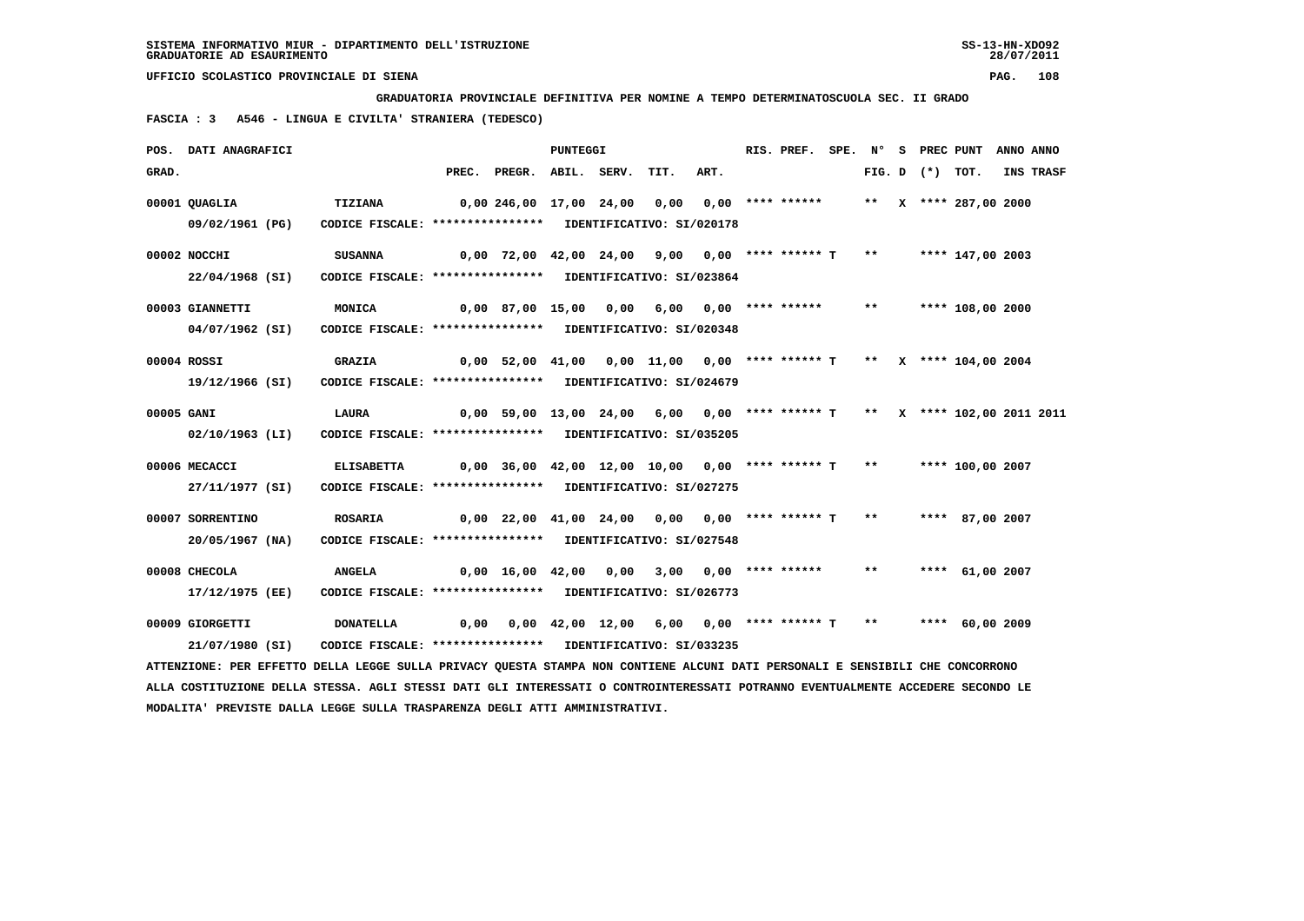**GRADUATORIA PROVINCIALE DEFINITIVA PER NOMINE A TEMPO DETERMINATOSCUOLA SEC. II GRADO**

 **FASCIA : 3 A546 - LINGUA E CIVILTA' STRANIERA (TEDESCO)**

|            | POS. DATI ANAGRAFICI                                                                                                                                                | PUNTEGGI                                                                                                                           |                                               |                                                                               |  |  |      |                         | RIS. PREF. |       |                   | SPE. N° S PREC PUNT   | ANNO ANNO |
|------------|---------------------------------------------------------------------------------------------------------------------------------------------------------------------|------------------------------------------------------------------------------------------------------------------------------------|-----------------------------------------------|-------------------------------------------------------------------------------|--|--|------|-------------------------|------------|-------|-------------------|-----------------------|-----------|
| GRAD.      |                                                                                                                                                                     |                                                                                                                                    |                                               | PREC. PREGR. ABIL. SERV.                                                      |  |  | TIT. | ART.                    |            |       | FIG. D $(*)$ TOT. |                       | INS TRASF |
|            | 00001 QUAGLIA<br>09/02/1961 (PG)                                                                                                                                    | TIZIANA<br>CODICE FISCALE: **************** IDENTIFICATIVO: SI/020178                                                              | 0,00 246,00 17,00 24,00 0,00 0,00 **** ****** |                                                                               |  |  |      |                         |            |       |                   | ** X **** 287,00 2000 |           |
|            | 00002 NOCCHI                                                                                                                                                        | <b>SUSANNA</b>                                                                                                                     |                                               | $0,00$ 72,00 42,00 24,00 9,00 0,00 **** ****** T ** ***** 147,00 2003         |  |  |      |                         |            |       |                   |                       |           |
|            | 22/04/1968 (SI)<br>00003 GIANNETTI<br>04/07/1962 (SI)                                                                                                               | CODICE FISCALE: **************** IDENTIFICATIVO: SI/023864<br>MONICA<br>CODICE FISCALE: **************** IDENTIFICATIVO: SI/020348 |                                               | $0,00$ 87,00 15,00 0,00 6,00 0,00 **** ****** **                              |  |  |      |                         |            |       |                   | **** 108,00 2000      |           |
|            | 00004 ROSSI<br>19/12/1966 (SI)                                                                                                                                      | <b>GRAZIA</b><br>CODICE FISCALE: **************** IDENTIFICATIVO: SI/024679                                                        |                                               | $0.00$ 52,00 41,00 0,00 11,00 0,00 **** ****** T ** X **** 104,00 2004        |  |  |      |                         |            |       |                   |                       |           |
| 00005 GANI | 02/10/1963 (LI)                                                                                                                                                     | <b>LAURA</b><br>CODICE FISCALE: **************** IDENTIFICATIVO: SI/035205                                                         |                                               | 0,00 59,00 13,00 24,00 6,00 0,00 **** ****** T ** X **** 102,00 2011 2011     |  |  |      |                         |            |       |                   |                       |           |
|            | 00006 MECACCI<br>27/11/1977 (SI)                                                                                                                                    | <b>ELISABETTA</b><br>CODICE FISCALE: **************** IDENTIFICATIVO: SI/027275                                                    |                                               | $0,00$ 36,00 42,00 12,00 10,00 0,00 **** ****** T **                          |  |  |      |                         |            |       |                   | **** 100,00 2007      |           |
|            | 00007 SORRENTINO<br>20/05/1967 (NA)                                                                                                                                 | <b>ROSARIA</b><br>CODICE FISCALE: **************** IDENTIFICATIVO: SI/027548                                                       |                                               | $0,00$ 22,00 41,00 24,00 0,00 0,00 **** ****** T ** ***** 87,00 2007          |  |  |      |                         |            |       |                   |                       |           |
|            | 00008 CHECOLA<br>17/12/1975 (EE)                                                                                                                                    | <b>ANGELA</b><br>CODICE FISCALE: **************** IDENTIFICATIVO: SI/026773                                                        |                                               | 0,00 16,00 42,00 0,00                                                         |  |  |      | $3,00$ 0,00 **** ****** |            | $***$ |                   | **** 61,00 2007       |           |
|            | 00009 GIORGETTI<br>21/07/1980 (SI)<br>ATTENZIONE: PER EFFETTO DELLA LEGGE SULLA PRIVACY QUESTA STAMPA NON CONTIENE ALCUNI DATI PERSONALI E SENSIBILI CHE CONCORRONO | <b>DONATELLA</b><br>CODICE FISCALE: **************** IDENTIFICATIVO: SI/033235                                                     |                                               | $0,00$ $0,00$ $42,00$ $12,00$ $6,00$ $0,00$ **** ****** T ** ***** 60,00 2009 |  |  |      |                         |            |       |                   |                       |           |
|            |                                                                                                                                                                     |                                                                                                                                    |                                               |                                                                               |  |  |      |                         |            |       |                   |                       |           |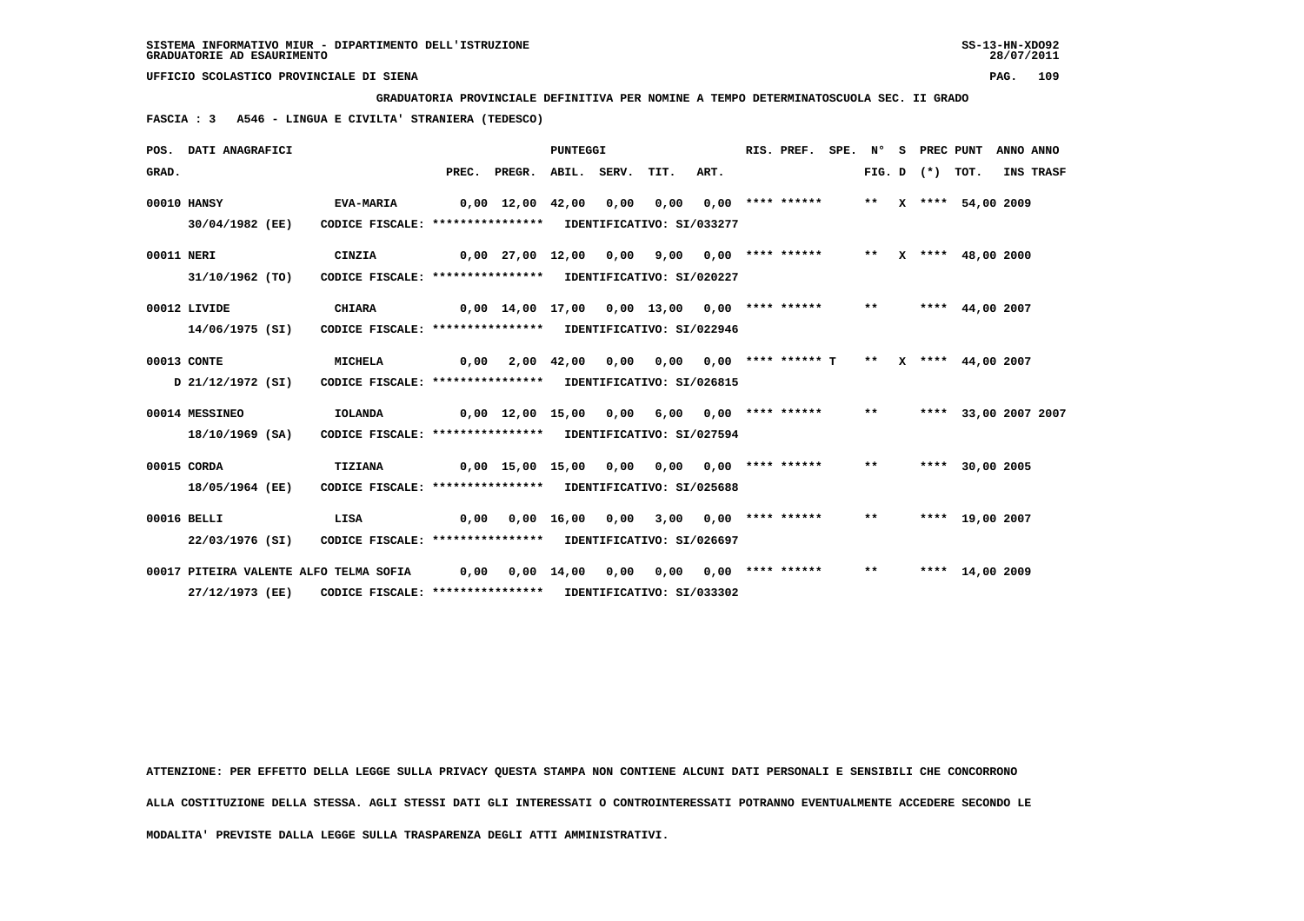**GRADUATORIA PROVINCIALE DEFINITIVA PER NOMINE A TEMPO DETERMINATOSCUOLA SEC. II GRADO**

 **FASCIA : 3 A546 - LINGUA E CIVILTA' STRANIERA (TEDESCO)**

|            | POS. DATI ANAGRAFICI                                           |                                                                              |                                                                     |                                              | <b>PUNTEGGI</b> |      |                                                              |                       | RIS. PREF.         | SPE. N° |       | S PREC PUNT       |                      | ANNO ANNO |
|------------|----------------------------------------------------------------|------------------------------------------------------------------------------|---------------------------------------------------------------------|----------------------------------------------|-----------------|------|--------------------------------------------------------------|-----------------------|--------------------|---------|-------|-------------------|----------------------|-----------|
| GRAD.      |                                                                |                                                                              | PREC.                                                               | PREGR. ABIL. SERV.                           |                 |      | TIT.                                                         | ART.                  |                    |         |       | FIG. D $(*)$ TOT. |                      | INS TRASF |
|            | 00010 HANSY<br>30/04/1982 (EE)                                 | EVA-MARIA<br>CODICE FISCALE: **************** IDENTIFICATIVO: SI/033277      | 0,00 12,00 42,00 0,00                                               |                                              |                 |      | 0.00                                                         |                       | $0,00$ **** ****** |         |       |                   | ** X **** 54,00 2009 |           |
| 00011 NERI | 31/10/1962 (TO)                                                | CINZIA<br>CODICE FISCALE: **************** IDENTIFICATIVO: SI/020227         | 0,00 27,00 12,00 0,00 9,00 0,00 **** ******   **  x **** 48,00 2000 |                                              |                 |      |                                                              |                       |                    |         |       |                   |                      |           |
|            | 00012 LIVIDE<br>14/06/1975 (SI)                                | <b>CHIARA</b><br>CODICE FISCALE: **************** IDENTIFICATIVO: SI/022946  |                                                                     | 0,00 14,00 17,00 0,00 13,00 0,00 **** ****** |                 |      |                                                              |                       |                    |         | $***$ |                   | **** 44,00 2007      |           |
|            | 00013 CONTE<br>D 21/12/1972 (SI)                               | <b>MICHELA</b><br>CODICE FISCALE: **************** IDENTIFICATIVO: SI/026815 | 0,00                                                                |                                              |                 |      | 2,00 42,00 0,00 0,00 0,00 **** ****** T ** X **** 44,00 2007 |                       |                    |         |       |                   |                      |           |
|            | 00014 MESSINEO<br>18/10/1969 (SA)                              | <b>IOLANDA</b><br>CODICE FISCALE: **************** IDENTIFICATIVO: SI/027594 | 0,00 12,00 15,00 0,00 6,00 0,00 **** ****** ***                     |                                              |                 |      |                                                              |                       |                    |         |       |                   | **** 33,00 2007 2007 |           |
|            | 00015 CORDA<br>18/05/1964 (EE)                                 | TIZIANA<br>CODICE FISCALE: **************** IDENTIFICATIVO: SI/025688        |                                                                     | 0,00 15,00 15,00 0,00 0,00 0,00 **** ******  |                 |      |                                                              |                       |                    |         | $***$ |                   | **** 30,00 2005      |           |
|            | 00016 BELLI<br>22/03/1976 (SI)                                 | LISA<br>CODICE FISCALE: **************** IDENTIFICATIVO: SI/026697           | 0,00                                                                |                                              |                 |      | $0,00$ 16,00 0,00 3,00 0,00 **** ****** **                   |                       |                    |         |       |                   | **** 19,00 2007      |           |
|            | 00017 PITEIRA VALENTE ALFO TELMA SOFIA 0,00<br>27/12/1973 (EE) | CODICE FISCALE: **************** IDENTIFICATIVO: SI/033302                   |                                                                     |                                              | $0,00$ 14,00    | 0,00 |                                                              | 0,00 0,00 **** ****** |                    |         | $***$ |                   | **** 14,00 2009      |           |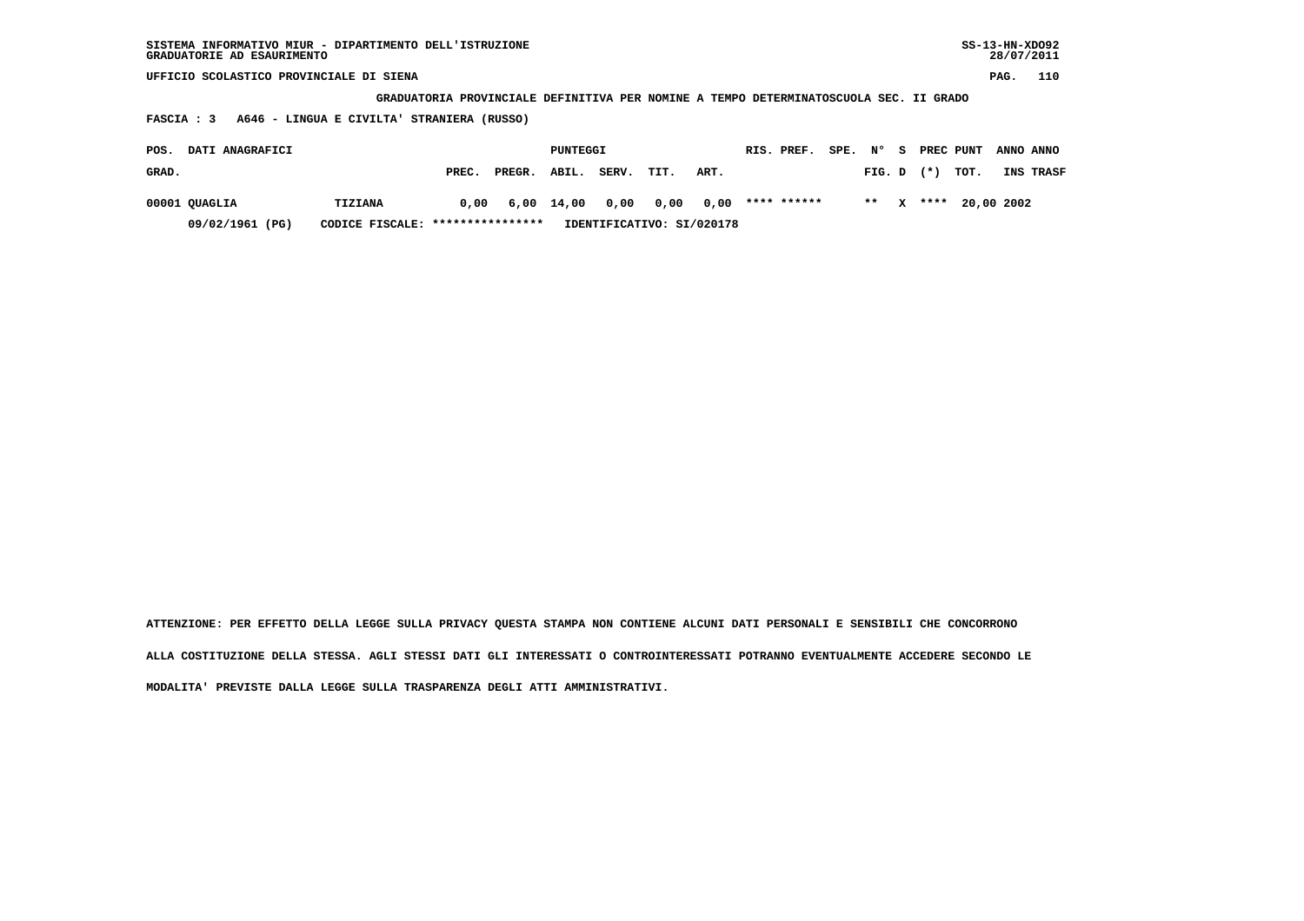| SISTEMA INFORMATIVO MIUR - DIPARTIMENTO DELL'ISTRUZIONE<br>GRADUATORIE AD ESAURIMENTO |                                                                                       |       |        |                 |       |      |      |  |             |           |        |   |           |      | $SS-13-HN-XDO92$<br>28/07/2011 |           |
|---------------------------------------------------------------------------------------|---------------------------------------------------------------------------------------|-------|--------|-----------------|-------|------|------|--|-------------|-----------|--------|---|-----------|------|--------------------------------|-----------|
| UFFICIO SCOLASTICO PROVINCIALE DI SIENA                                               |                                                                                       |       |        |                 |       |      |      |  |             |           |        |   |           |      | PAG.                           | 110       |
|                                                                                       | GRADUATORIA PROVINCIALE DEFINITIVA PER NOMINE A TEMPO DETERMINATOSCUOLA SEC. II GRADO |       |        |                 |       |      |      |  |             |           |        |   |           |      |                                |           |
| A646 - LINGUA E CIVILTA' STRANIERA (RUSSO)<br><b>FASCIA : 3</b>                       |                                                                                       |       |        |                 |       |      |      |  |             |           |        |   |           |      |                                |           |
| DATI ANAGRAFICI<br>POS.                                                               |                                                                                       |       |        | <b>PUNTEGGI</b> |       |      |      |  | RIS. PREF.  | SPE. N° S |        |   | PREC PUNT |      |                                | ANNO ANNO |
| GRAD.                                                                                 |                                                                                       | PREC. | PREGR. | ABIL.           | SERV. | TIT. | ART. |  |             |           | FIG. D |   | $(* )$    | TOT. |                                | INS TRASF |
| 00001 QUAGLIA                                                                         | <b>TIZIANA</b>                                                                        | 0.00  |        | 6,00 14,00      | 0,00  | 0,00 | 0,00 |  | **** ****** |           | $* *$  | x | ****      |      | 20,00 2002                     |           |

 **09/02/1961 (PG) CODICE FISCALE: \*\*\*\*\*\*\*\*\*\*\*\*\*\*\*\* IDENTIFICATIVO: SI/020178**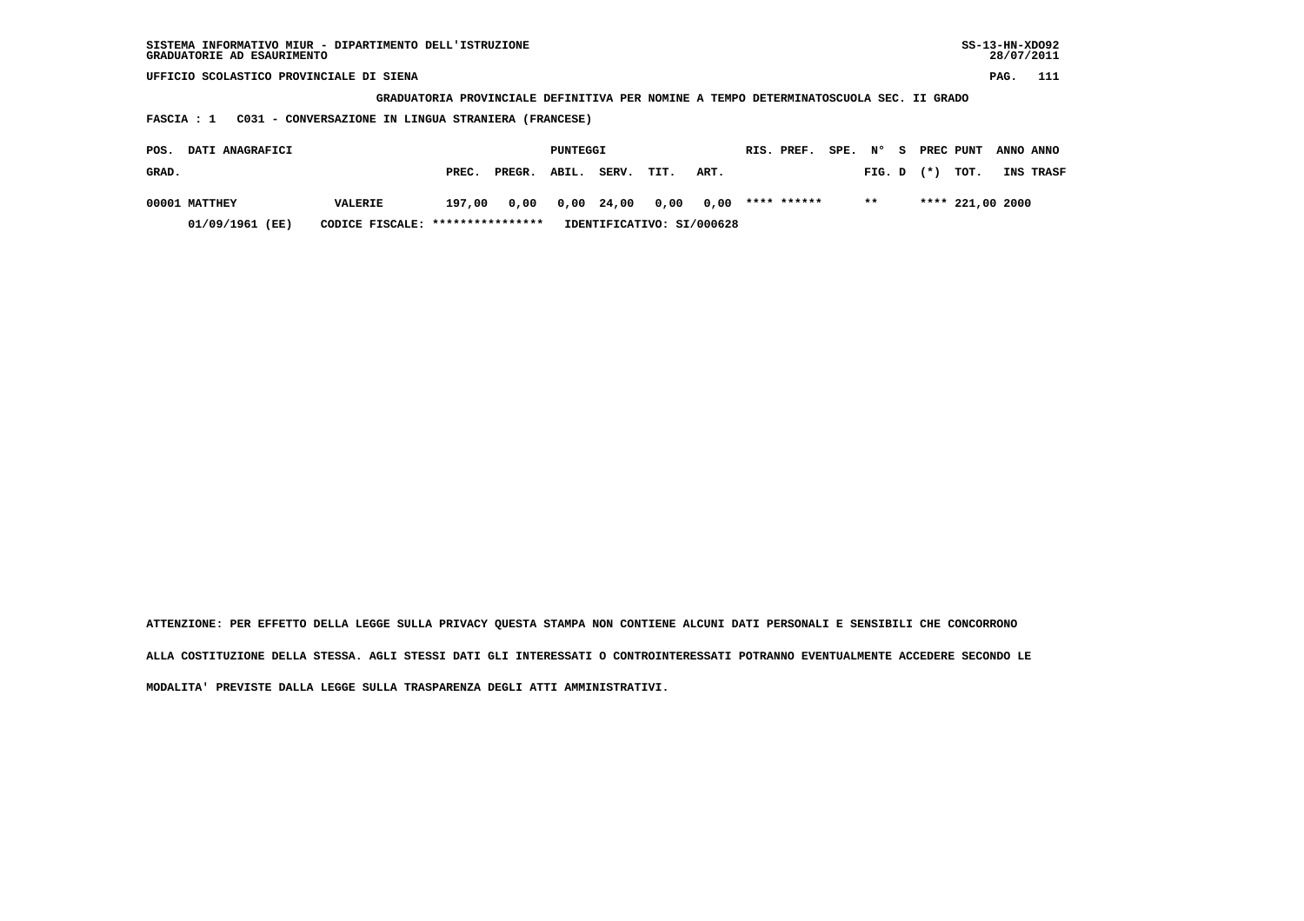| SISTEMA INFORMATIVO MIUR - DIPARTIMENTO DELL'ISTRUZIONE<br>GRADUATORIE AD ESAURIMENTO |                                                                                       |        |        |          |       |      |      |  |             |           |        |  |           | $SS-13-HN-XDO92$ |      | 28/07/2011 |
|---------------------------------------------------------------------------------------|---------------------------------------------------------------------------------------|--------|--------|----------|-------|------|------|--|-------------|-----------|--------|--|-----------|------------------|------|------------|
| UFFICIO SCOLASTICO PROVINCIALE DI SIENA                                               |                                                                                       |        |        |          |       |      |      |  |             |           |        |  |           |                  | PAG. | 111        |
|                                                                                       | GRADUATORIA PROVINCIALE DEFINITIVA PER NOMINE A TEMPO DETERMINATOSCUOLA SEC. II GRADO |        |        |          |       |      |      |  |             |           |        |  |           |                  |      |            |
| C031 - CONVERSAZIONE IN LINGUA STRANIERA (FRANCESE)<br><b>FASCIA : 1</b>              |                                                                                       |        |        |          |       |      |      |  |             |           |        |  |           |                  |      |            |
| DATI ANAGRAFICI<br>POS.                                                               |                                                                                       |        |        | PUNTEGGI |       |      |      |  | RIS. PREF.  | SPE. N° S |        |  | PREC PUNT |                  |      | ANNO ANNO  |
| GRAD.                                                                                 |                                                                                       | PREC.  | PREGR. | ABIL.    | SERV. | TIT. | ART. |  |             |           | FIG. D |  | $(*)$     | TOT.             |      | INS TRASF  |
| 00001 MATTHEY                                                                         | <b>VALERIE</b>                                                                        | 197,00 | 0,00   | 0,00     | 24,00 | 0,00 | 0,00 |  | **** ****** |           | $* *$  |  |           | **** 221,00 2000 |      |            |

 **01/09/1961 (EE) CODICE FISCALE: \*\*\*\*\*\*\*\*\*\*\*\*\*\*\*\* IDENTIFICATIVO: SI/000628**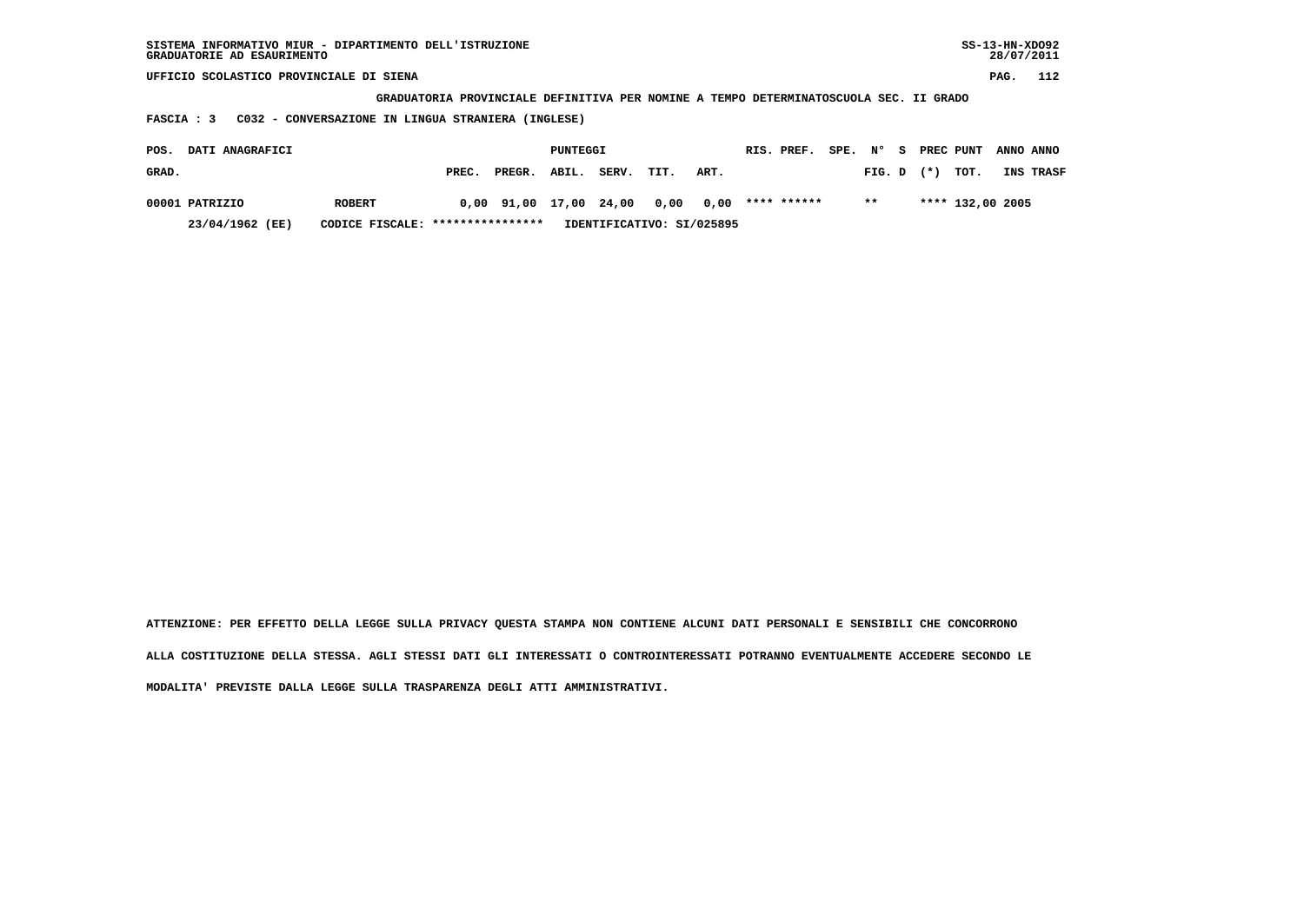| SISTEMA INFORMATIVO MIUR - DIPARTIMENTO DELL'ISTRUZIONE<br>GRADUATORIE AD ESAURIMENTO |                                                                                       |       |        |          |       |      |      |  |             |           |        |  |       | $SS-13-HN-XDO92$ | 28/07/2011 |           |
|---------------------------------------------------------------------------------------|---------------------------------------------------------------------------------------|-------|--------|----------|-------|------|------|--|-------------|-----------|--------|--|-------|------------------|------------|-----------|
| UFFICIO SCOLASTICO PROVINCIALE DI SIENA                                               |                                                                                       |       |        |          |       |      |      |  |             |           |        |  |       |                  | PAG.       | 112       |
|                                                                                       | GRADUATORIA PROVINCIALE DEFINITIVA PER NOMINE A TEMPO DETERMINATOSCUOLA SEC. II GRADO |       |        |          |       |      |      |  |             |           |        |  |       |                  |            |           |
| C032 - CONVERSAZIONE IN LINGUA STRANIERA (INGLESE)<br>FASCIA : 3                      |                                                                                       |       |        |          |       |      |      |  |             |           |        |  |       |                  |            |           |
| DATI ANAGRAFICI<br>POS.                                                               |                                                                                       |       |        | PUNTEGGI |       |      |      |  | RIS. PREF.  | SPE. N° S |        |  |       | PREC PUNT        |            | ANNO ANNO |
| GRAD.                                                                                 |                                                                                       | PREC. | PREGR. | ABIL.    | SERV. | TIT. | ART. |  |             |           | FIG. D |  | $(*)$ | TOT.             |            | INS TRASF |
| 00001 PATRIZIO                                                                        | <b>ROBERT</b>                                                                         | 0,00  | 91,00  | 17,00    | 24,00 | 0,00 | 0,00 |  | **** ****** |           | $* *$  |  |       | **** 132,00 2005 |            |           |

 **23/04/1962 (EE) CODICE FISCALE: \*\*\*\*\*\*\*\*\*\*\*\*\*\*\*\* IDENTIFICATIVO: SI/025895**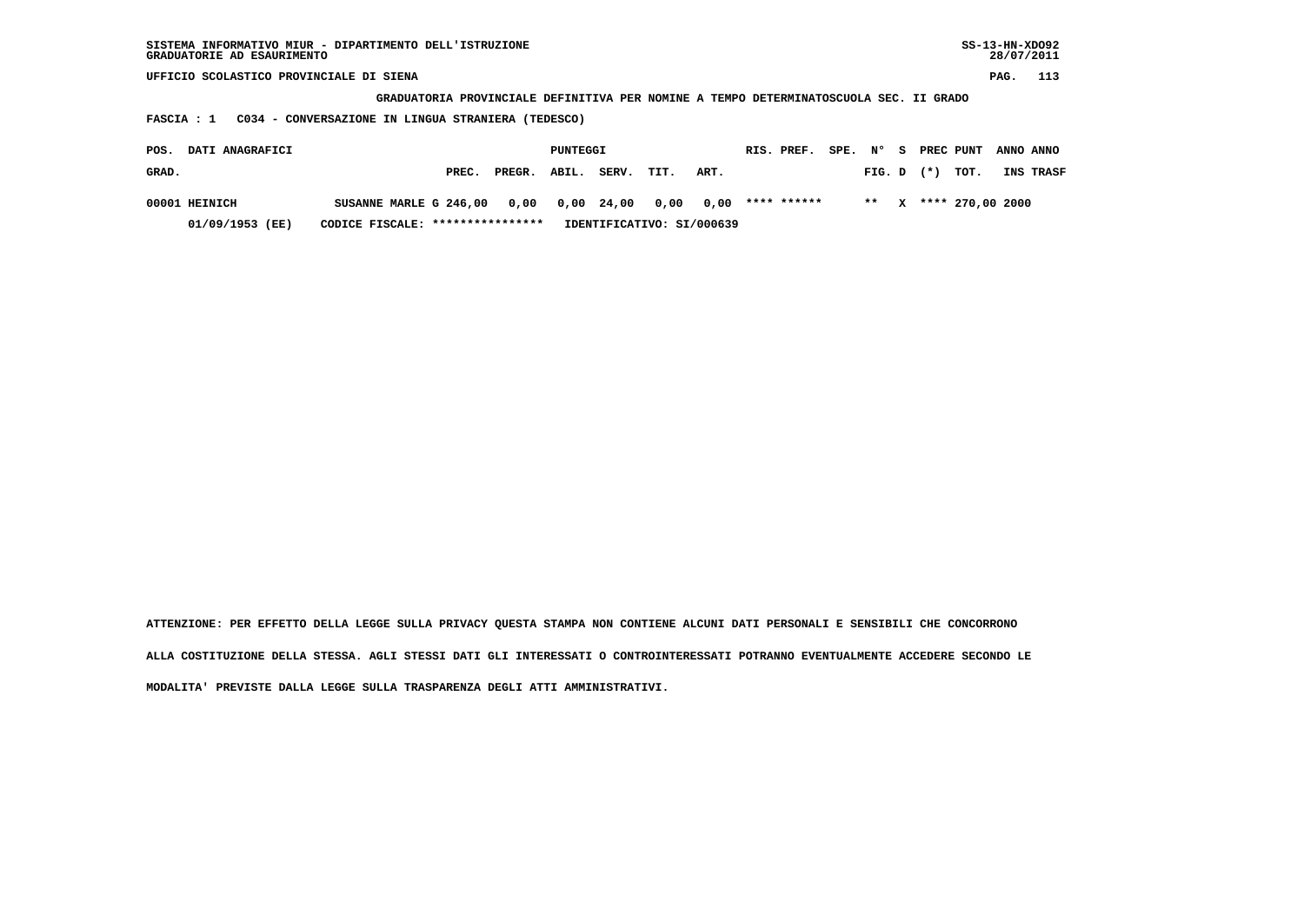| SISTEMA INFORMATIVO MIUR - DIPARTIMENTO DELL'ISTRUZIONE<br>GRADUATORIE AD ESAURIMENTO |                                                                                       |                  |        |          |       |      |                           |  |             |  |           |  |           |                  | $SS-13-HN-XDO92$<br>28/07/2011 |           |
|---------------------------------------------------------------------------------------|---------------------------------------------------------------------------------------|------------------|--------|----------|-------|------|---------------------------|--|-------------|--|-----------|--|-----------|------------------|--------------------------------|-----------|
| UFFICIO SCOLASTICO PROVINCIALE DI SIENA                                               |                                                                                       |                  |        |          |       |      |                           |  |             |  |           |  |           |                  | PAG.                           | 113       |
|                                                                                       | GRADUATORIA PROVINCIALE DEFINITIVA PER NOMINE A TEMPO DETERMINATOSCUOLA SEC. II GRADO |                  |        |          |       |      |                           |  |             |  |           |  |           |                  |                                |           |
| C034 - CONVERSAZIONE IN LINGUA STRANIERA (TEDESCO)<br>FASCIA : 1                      |                                                                                       |                  |        |          |       |      |                           |  |             |  |           |  |           |                  |                                |           |
| DATI ANAGRAFICI<br>POS.                                                               |                                                                                       |                  |        | PUNTEGGI |       |      |                           |  | RIS. PREF.  |  | SPE, N° S |  | PREC PUNT |                  | ANNO ANNO                      |           |
| GRAD.                                                                                 |                                                                                       | PREC.            | PREGR. | ABIL.    | SERV. | TIT. | ART.                      |  |             |  | FIG. D    |  | $(* )$    | TOT.             |                                | INS TRASF |
| 00001 HEINICH                                                                         | SUSANNE MARLE G 246,00                                                                |                  | 0,00   | 0,00     | 24,00 | 0,00 | 0.00                      |  | **** ****** |  | $**$      |  |           | **** 270,00 2000 |                                |           |
| 01/09/1953 (EE)                                                                       | CODICE FISCALE:                                                                       | **************** |        |          |       |      | IDENTIFICATIVO: SI/000639 |  |             |  |           |  |           |                  |                                |           |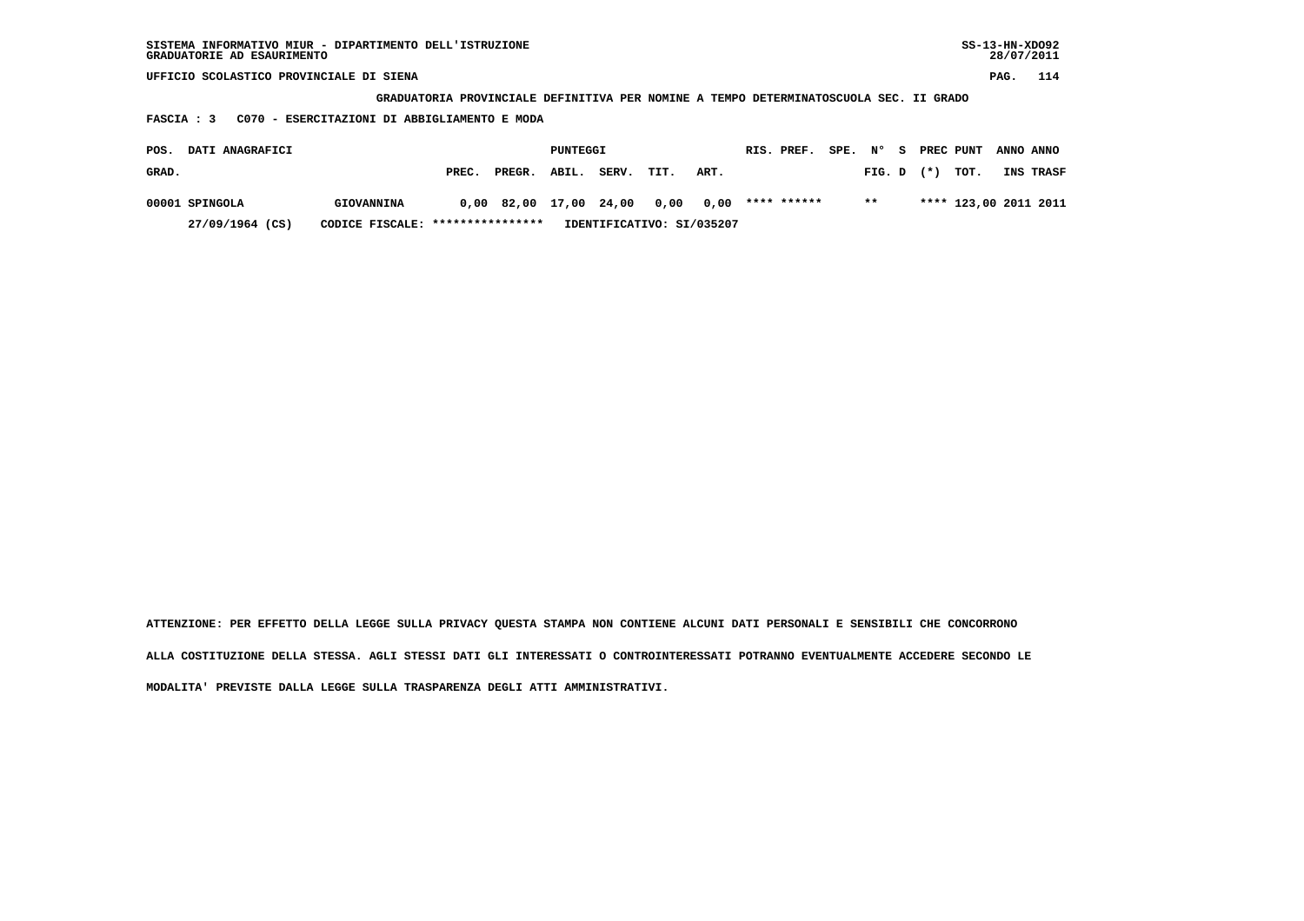| SISTEMA INFORMATIVO MIUR - DIPARTIMENTO DELL'ISTRUZIONE<br>GRADUATORIE AD ESAURIMENTO |                                                                                       |       |        |             |       |      |      |  |             |         |        |    |           |      | $SS-13-HN-XDO92$<br>28/07/2011 |                       |
|---------------------------------------------------------------------------------------|---------------------------------------------------------------------------------------|-------|--------|-------------|-------|------|------|--|-------------|---------|--------|----|-----------|------|--------------------------------|-----------------------|
| UFFICIO SCOLASTICO PROVINCIALE DI SIENA                                               |                                                                                       |       |        |             |       |      |      |  |             |         |        |    |           |      | PAG.                           | 114                   |
|                                                                                       | GRADUATORIA PROVINCIALE DEFINITIVA PER NOMINE A TEMPO DETERMINATOSCUOLA SEC. II GRADO |       |        |             |       |      |      |  |             |         |        |    |           |      |                                |                       |
| C070 - ESERCITAZIONI DI ABBIGLIAMENTO E MODA<br>FASCIA : 3                            |                                                                                       |       |        |             |       |      |      |  |             |         |        |    |           |      |                                |                       |
| DATI ANAGRAFICI<br>POS.                                                               |                                                                                       |       |        | PUNTEGGI    |       |      |      |  | RIS. PREF.  | SPE, N° |        | s. | PREC PUNT |      | ANNO ANNO                      |                       |
| GRAD.                                                                                 |                                                                                       | PREC. | PREGR. | ABIL.       | SERV. | TIT. | ART. |  |             |         | FIG. D |    | $(* )$    | TOT. |                                | INS TRASF             |
| 00001 SPINGOLA                                                                        | GIOVANNINA                                                                            | 0.00  | 82,00  | 17,00 24,00 |       | 0,00 | 0.00 |  | **** ****** |         | $* *$  |    |           |      |                                | **** 123,00 2011 2011 |

 **27/09/1964 (CS) CODICE FISCALE: \*\*\*\*\*\*\*\*\*\*\*\*\*\*\*\* IDENTIFICATIVO: SI/035207**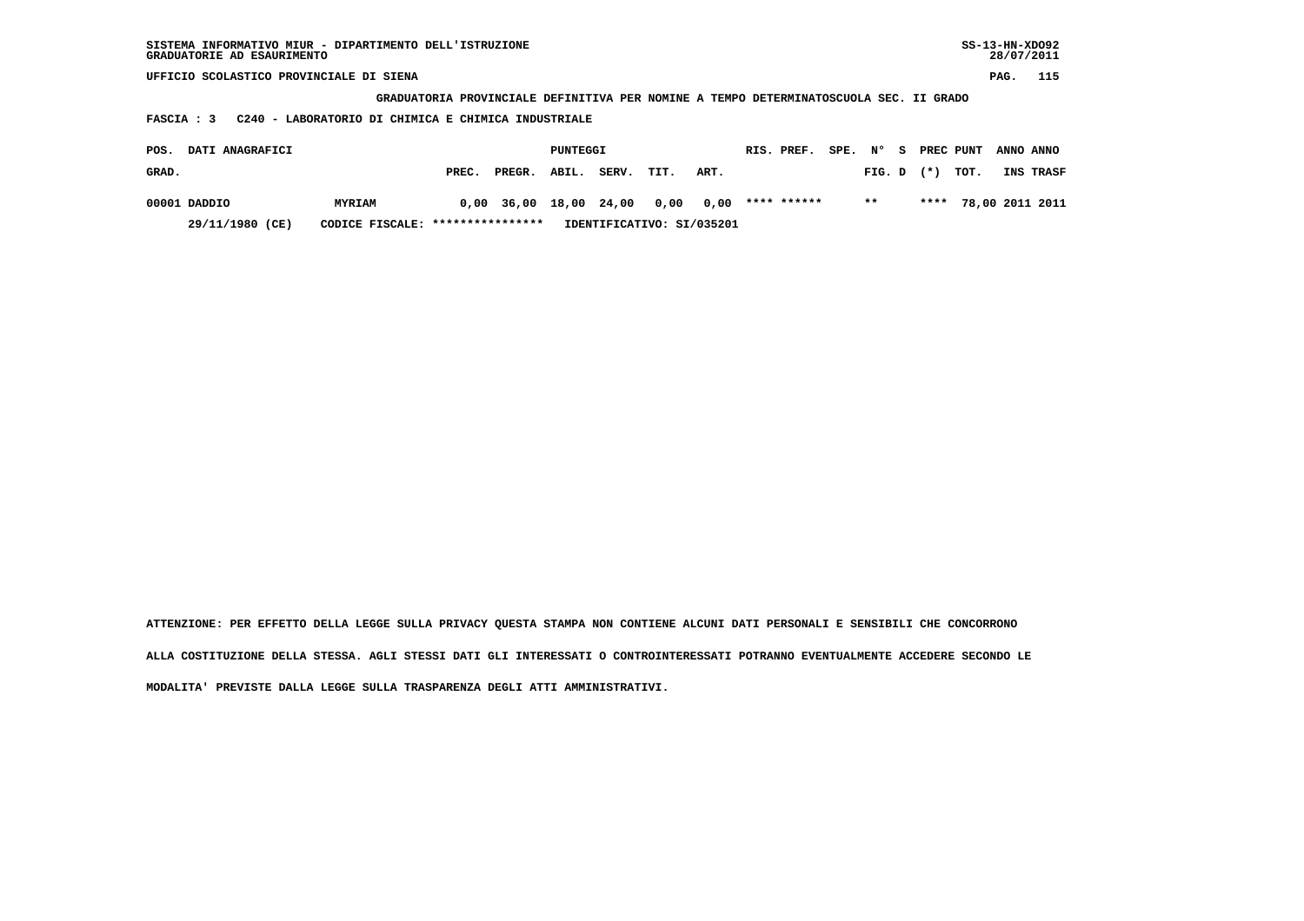| SISTEMA INFORMATIVO MIUR - DIPARTIMENTO DELL'ISTRUZIONE<br>GRADUATORIE AD ESAURIMENTO |       |        |             |       |      |      |  |             |         |        |     |       |           | $SS-13-HN-XDO92$<br>28/07/2011 |                 |
|---------------------------------------------------------------------------------------|-------|--------|-------------|-------|------|------|--|-------------|---------|--------|-----|-------|-----------|--------------------------------|-----------------|
| UFFICIO SCOLASTICO PROVINCIALE DI SIENA                                               |       |        |             |       |      |      |  |             |         |        |     |       |           | PAG.                           | 115             |
| GRADUATORIA PROVINCIALE DEFINITIVA PER NOMINE A TEMPO DETERMINATOSCUOLA SEC. II GRADO |       |        |             |       |      |      |  |             |         |        |     |       |           |                                |                 |
| C240 - LABORATORIO DI CHIMICA E CHIMICA INDUSTRIALE<br>FASCIA : 3                     |       |        |             |       |      |      |  |             |         |        |     |       |           |                                |                 |
| DATI ANAGRAFICI<br>POS.                                                               |       |        |             |       |      |      |  | RIS. PREF.  | SPE. N° |        | 8 S |       | PREC PUNT | ANNO ANNO                      |                 |
|                                                                                       |       |        | PUNTEGGI    |       |      |      |  |             |         |        |     |       |           |                                |                 |
| GRAD.                                                                                 | PREC. | PREGR. | ABIL.       | SERV. | TIT. | ART. |  |             |         | FIG. D |     | $(*)$ | TOT.      |                                | INS TRASF       |
| 00001 DADDIO<br><b>MYRIAM</b>                                                         | 0,00  |        | 36,00 18,00 | 24,00 | 0,00 | 0,00 |  | **** ****** |         | $***$  |     | ****  |           |                                | 78,00 2011 2011 |

 **29/11/1980 (CE) CODICE FISCALE: \*\*\*\*\*\*\*\*\*\*\*\*\*\*\*\* IDENTIFICATIVO: SI/035201**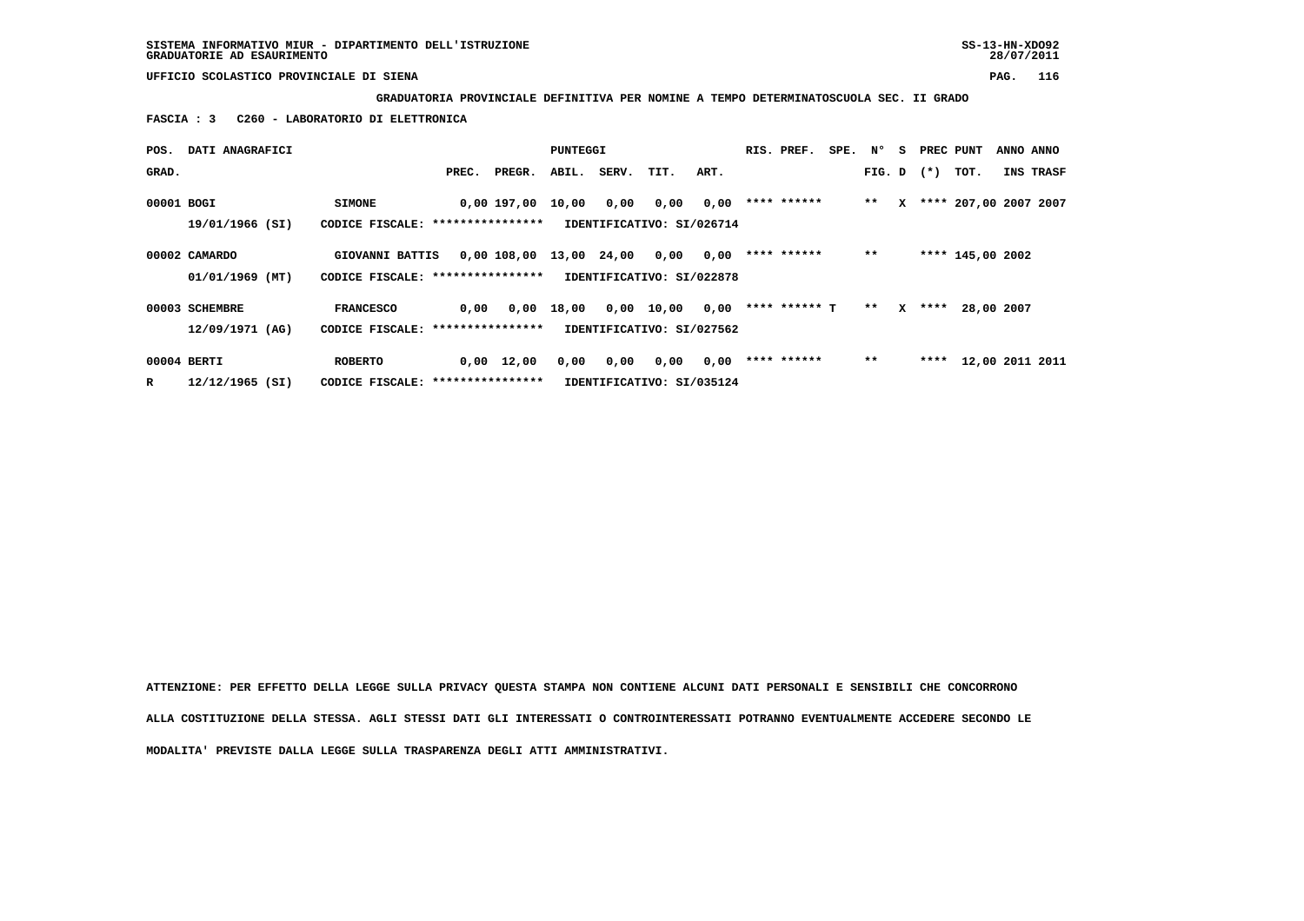**GRADUATORIA PROVINCIALE DEFINITIVA PER NOMINE A TEMPO DETERMINATOSCUOLA SEC. II GRADO**

 **FASCIA : 3 C260 - LABORATORIO DI ELETTRONICA**

| POS.       | DATI ANAGRAFICI                  |                                                     |       |                         | PUNTEGGI |            |                                   |      | RIS. PREF.    | SPE. | Ν°           | s            | PREC PUNT |                       | ANNO ANNO |
|------------|----------------------------------|-----------------------------------------------------|-------|-------------------------|----------|------------|-----------------------------------|------|---------------|------|--------------|--------------|-----------|-----------------------|-----------|
| GRAD.      |                                  |                                                     | PREC. | PREGR.                  | ABIL.    | SERV. TIT. |                                   | ART. |               |      | FIG. D $(*)$ |              |           | тот.                  | INS TRASF |
| 00001 BOGI | 19/01/1966 (SI)                  | <b>SIMONE</b><br>CODICE FISCALE: *****************  |       | 0,00 197,00             | 10,00    | 0,00       | 0,00<br>IDENTIFICATIVO: SI/026714 | 0,00 | **** ******   |      | $* *$        | x            |           | **** 207,00 2007 2007 |           |
|            | 00002 CAMARDO<br>01/01/1969 (MT) | GIOVANNI BATTIS<br>CODICE FISCALE: **************** |       | 0,00 108,00 13,00 24,00 |          |            | 0,00<br>IDENTIFICATIVO: SI/022878 | 0,00 | **** ******   |      | $* *$        |              |           | **** 145,00 2002      |           |
|            | 00003 SCHEMBRE                   | <b>FRANCESCO</b>                                    | 0,00  | 0,00                    | 18,00    |            | 0,00 10,00                        | 0,00 | **** ****** T |      | $* *$        | $\mathbf{x}$ |           | **** 28,00 2007       |           |
|            | 12/09/1971 (AG)                  | CODICE FISCALE: ****************                    |       |                         |          |            | IDENTIFICATIVO: SI/027562         |      |               |      |              |              |           |                       |           |
|            | 00004 BERTI                      | <b>ROBERTO</b>                                      |       | $0,00 \quad 12,00$      | 0,00     | 0,00       | 0,00                              | 0,00 | **** ******   |      | $* *$        |              |           | **** 12,00 2011 2011  |           |
| R          | $12/12/1965$ (SI)                | CODICE FISCALE: *****************                   |       |                         |          |            | IDENTIFICATIVO: SI/035124         |      |               |      |              |              |           |                       |           |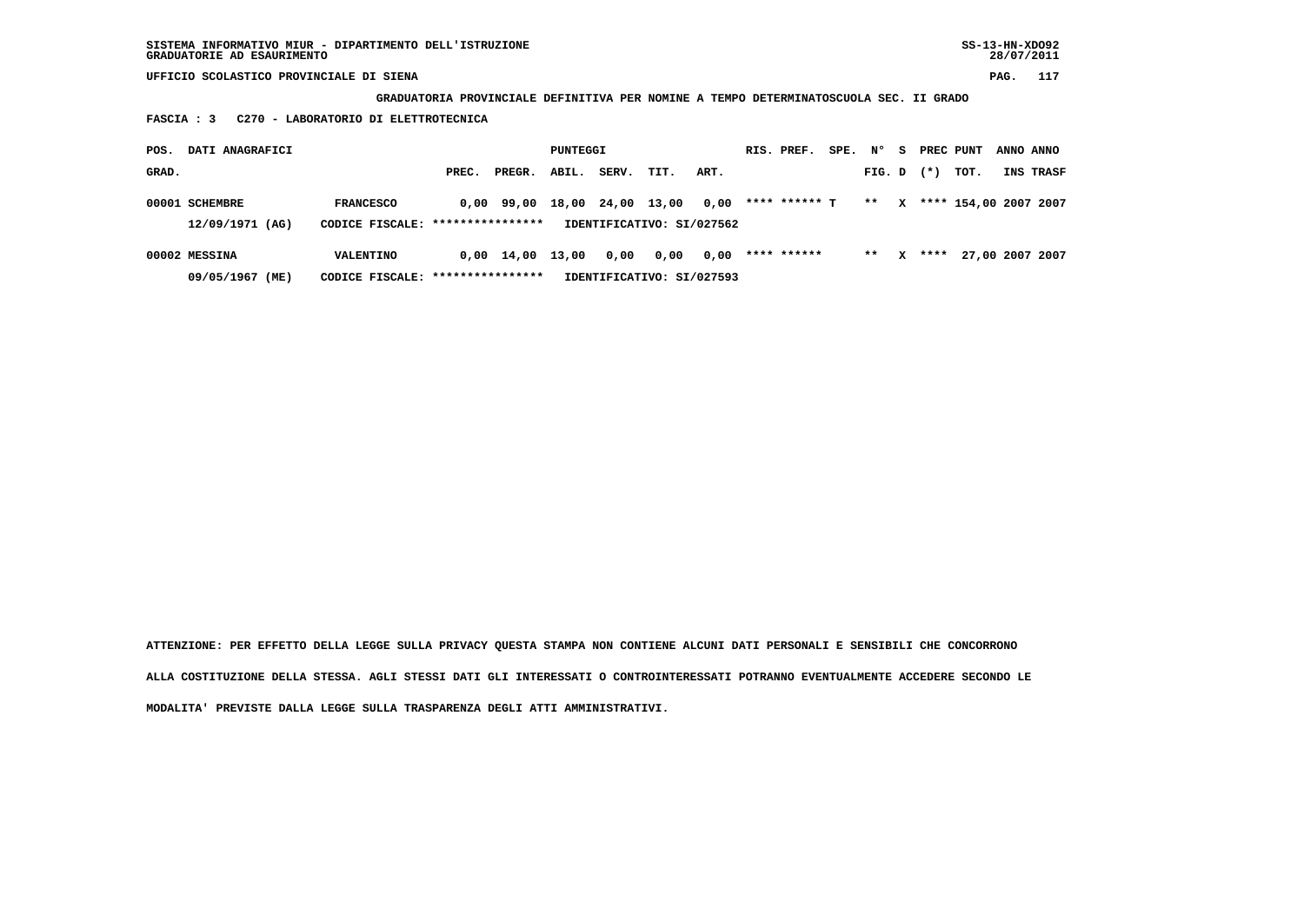**GRADUATORIA PROVINCIALE DEFINITIVA PER NOMINE A TEMPO DETERMINATOSCUOLA SEC. II GRADO**

 **FASCIA : 3 C270 - LABORATORIO DI ELETTROTECNICA**

| POS.  | DATI ANAGRAFICI                   |                                                      |       |                    | PUNTEGGI |             |                                   |      | RIS. PREF.    | SPE. | N°     | s | PREC PUNT |                       | ANNO ANNO       |
|-------|-----------------------------------|------------------------------------------------------|-------|--------------------|----------|-------------|-----------------------------------|------|---------------|------|--------|---|-----------|-----------------------|-----------------|
| GRAD. |                                   |                                                      | PREC. | PREGR.             | ABIL.    | SERV.       | TIT.                              | ART. |               |      | FIG. D |   | $(* )$    | тот.                  | INS TRASF       |
|       | 00001 SCHEMBRE<br>12/09/1971 (AG) | <b>FRANCESCO</b><br>CODICE FISCALE: **************** |       | $0.00$ 99.00       | 18,00    | 24,00 13,00 | IDENTIFICATIVO: SI/027562         | 0,00 | **** ****** T |      | $* *$  | x |           | **** 154,00 2007 2007 |                 |
|       | 00002 MESSINA<br>09/05/1967 (ME)  | VALENTINO<br>CODICE FISCALE: ****************        |       | $0,00 \quad 14,00$ | 13,00    | 0,00        | 0,00<br>IDENTIFICATIVO: SI/027593 | 0,00 | **** ******   |      | $***$  | x | ****      |                       | 27,00 2007 2007 |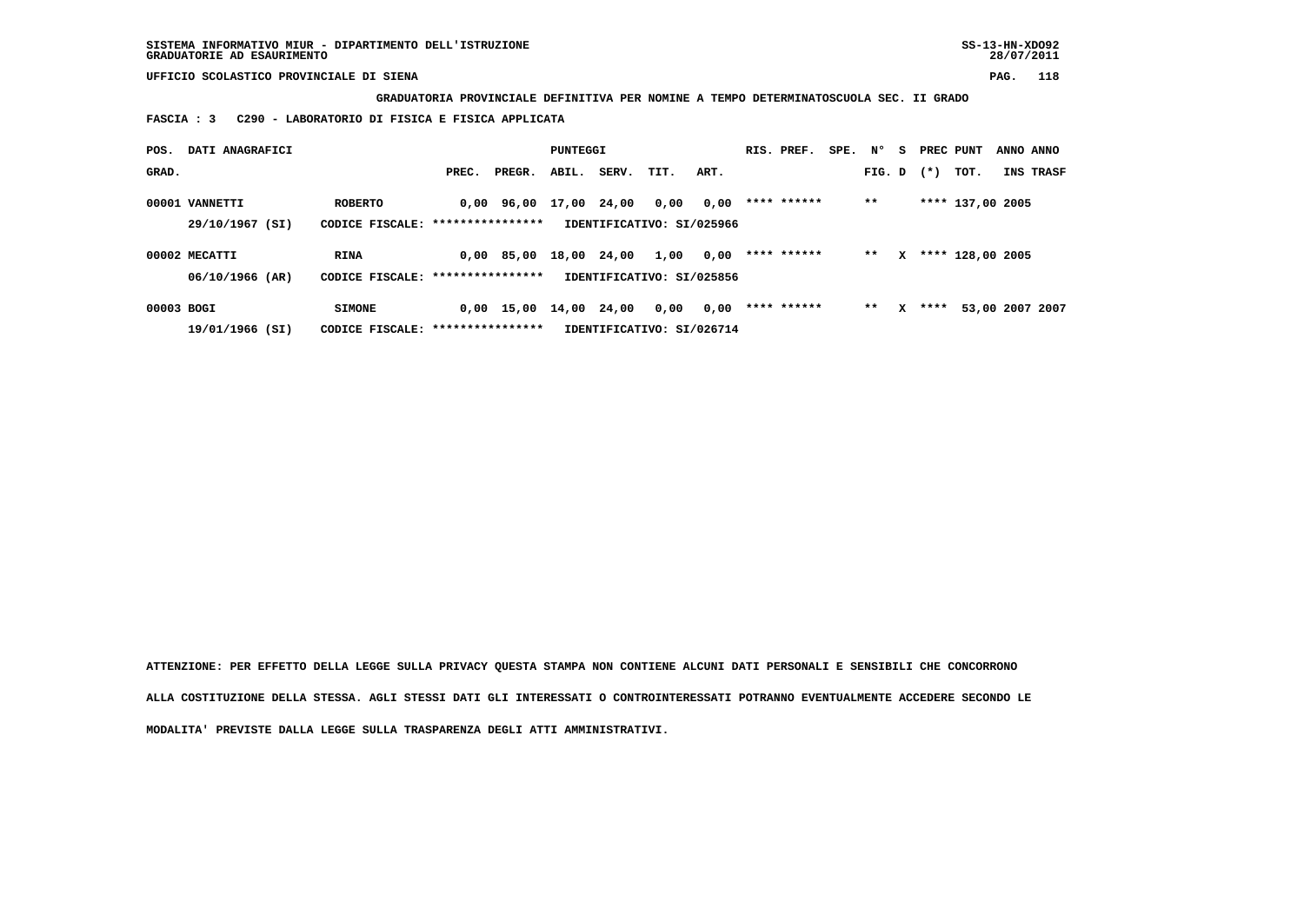**GRADUATORIA PROVINCIALE DEFINITIVA PER NOMINE A TEMPO DETERMINATOSCUOLA SEC. II GRADO**

 **FASCIA : 3 C290 - LABORATORIO DI FISICA E FISICA APPLICATA**

| POS.       | DATI ANAGRAFICI |                                   |                  |              | PUNTEGGI    |       |                           |      | RIS. PREF.  | SPE. | N°     | s. | PREC PUNT |                  | ANNO ANNO       |
|------------|-----------------|-----------------------------------|------------------|--------------|-------------|-------|---------------------------|------|-------------|------|--------|----|-----------|------------------|-----------------|
| GRAD.      |                 |                                   | PREC.            | PREGR.       | ABIL.       | SERV. | TIT.                      | ART. |             |      | FIG. D |    | $(* )$    | TOT.             | INS TRASF       |
|            | 00001 VANNETTI  | <b>ROBERTO</b>                    |                  | 0,00 96,00   | 17,00 24,00 |       | 0,00                      | 0,00 | **** ****** |      | $***$  |    |           | **** 137,00 2005 |                 |
|            | 29/10/1967 (SI) | CODICE FISCALE:                   | **************** |              |             |       | IDENTIFICATIVO: SI/025966 |      |             |      |        |    |           |                  |                 |
|            | 00002 MECATTI   | <b>RINA</b>                       |                  | $0.00$ 85.00 | 18,00       | 24,00 | 1,00                      | 0,00 | **** ****** |      | **     | x  |           | **** 128,00 2005 |                 |
|            | 06/10/1966 (AR) | CODICE FISCALE: ***************** |                  |              |             |       | IDENTIFICATIVO: SI/025856 |      |             |      |        |    |           |                  |                 |
| 00003 BOGI |                 | <b>SIMONE</b>                     |                  | $0,00$ 15,00 | 14,00       | 24,00 | 0,00                      | 0,00 | **** ****** |      | $* *$  | x  | ****      |                  | 53,00 2007 2007 |
|            | 19/01/1966 (SI) | CODICE FISCALE:                   | **************** |              |             |       | IDENTIFICATIVO: SI/026714 |      |             |      |        |    |           |                  |                 |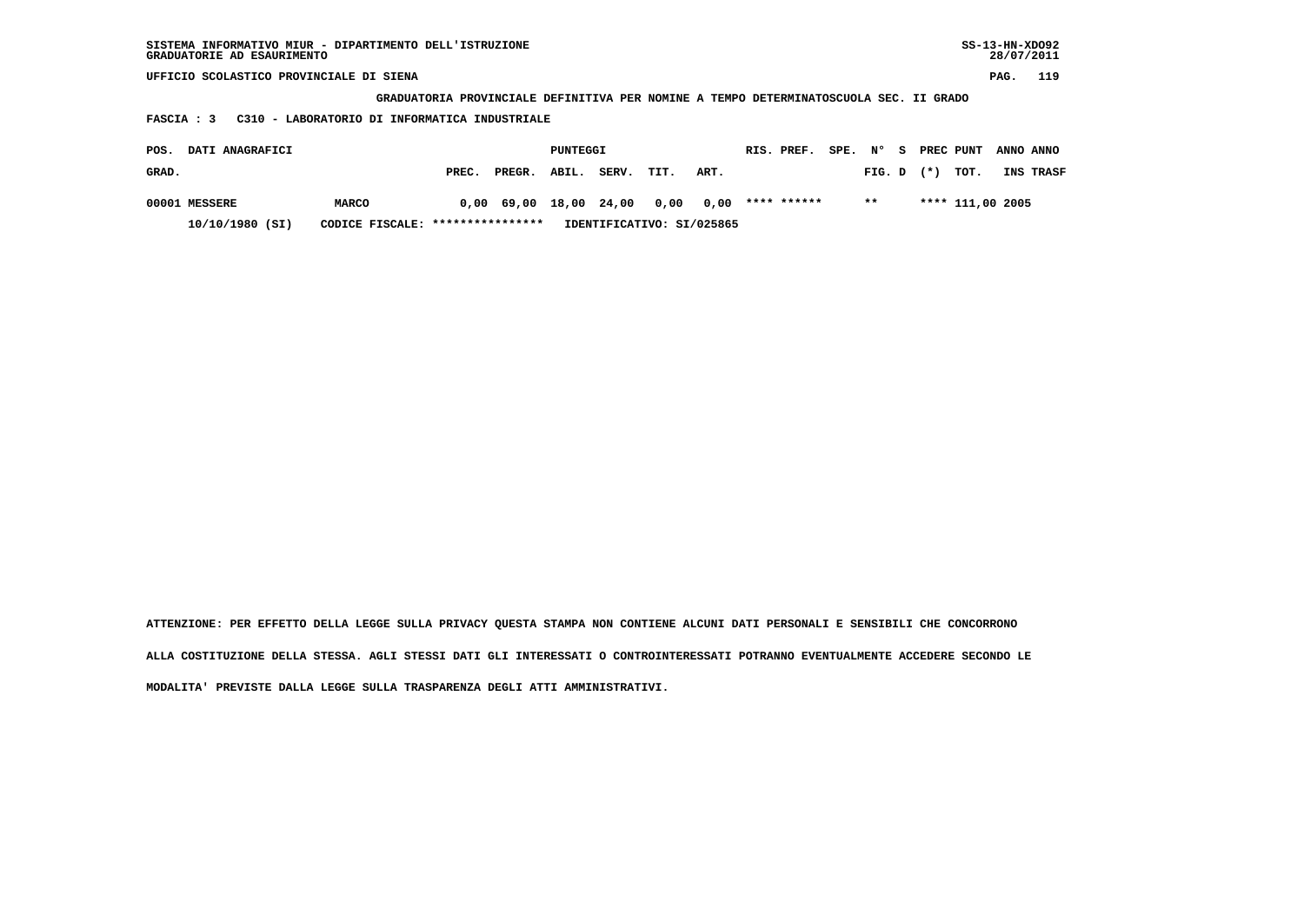| SISTEMA INFORMATIVO MIUR - DIPARTIMENTO DELL'ISTRUZIONE<br>GRADUATORIE AD ESAURIMENTO |                                                                                       |       |        |          |       |      |      |  |             |  |           |  |       |                  | $SS-13-HN-XDO92$<br>28/07/2011 |           |
|---------------------------------------------------------------------------------------|---------------------------------------------------------------------------------------|-------|--------|----------|-------|------|------|--|-------------|--|-----------|--|-------|------------------|--------------------------------|-----------|
| UFFICIO SCOLASTICO PROVINCIALE DI SIENA                                               |                                                                                       |       |        |          |       |      |      |  |             |  |           |  |       |                  | PAG.                           | 119       |
|                                                                                       | GRADUATORIA PROVINCIALE DEFINITIVA PER NOMINE A TEMPO DETERMINATOSCUOLA SEC. II GRADO |       |        |          |       |      |      |  |             |  |           |  |       |                  |                                |           |
| C310 - LABORATORIO DI INFORMATICA INDUSTRIALE<br>FASCIA : 3                           |                                                                                       |       |        |          |       |      |      |  |             |  |           |  |       |                  |                                |           |
| DATI ANAGRAFICI<br>POS.                                                               |                                                                                       |       |        | PUNTEGGI |       |      |      |  | RIS. PREF.  |  | SPE. Nº S |  |       | PREC PUNT        |                                | ANNO ANNO |
| GRAD.                                                                                 |                                                                                       | PREC. | PREGR. | ABIL.    | SERV. | TIT. | ART. |  |             |  | FIG. D    |  | $(*)$ | TOT.             |                                | INS TRASF |
| 00001 MESSERE                                                                         | <b>MARCO</b>                                                                          | 0.00  | 69,00  | 18,00    | 24,00 | 0,00 | 0,00 |  | **** ****** |  | $* *$     |  |       | **** 111,00 2005 |                                |           |

 **10/10/1980 (SI) CODICE FISCALE: \*\*\*\*\*\*\*\*\*\*\*\*\*\*\*\* IDENTIFICATIVO: SI/025865**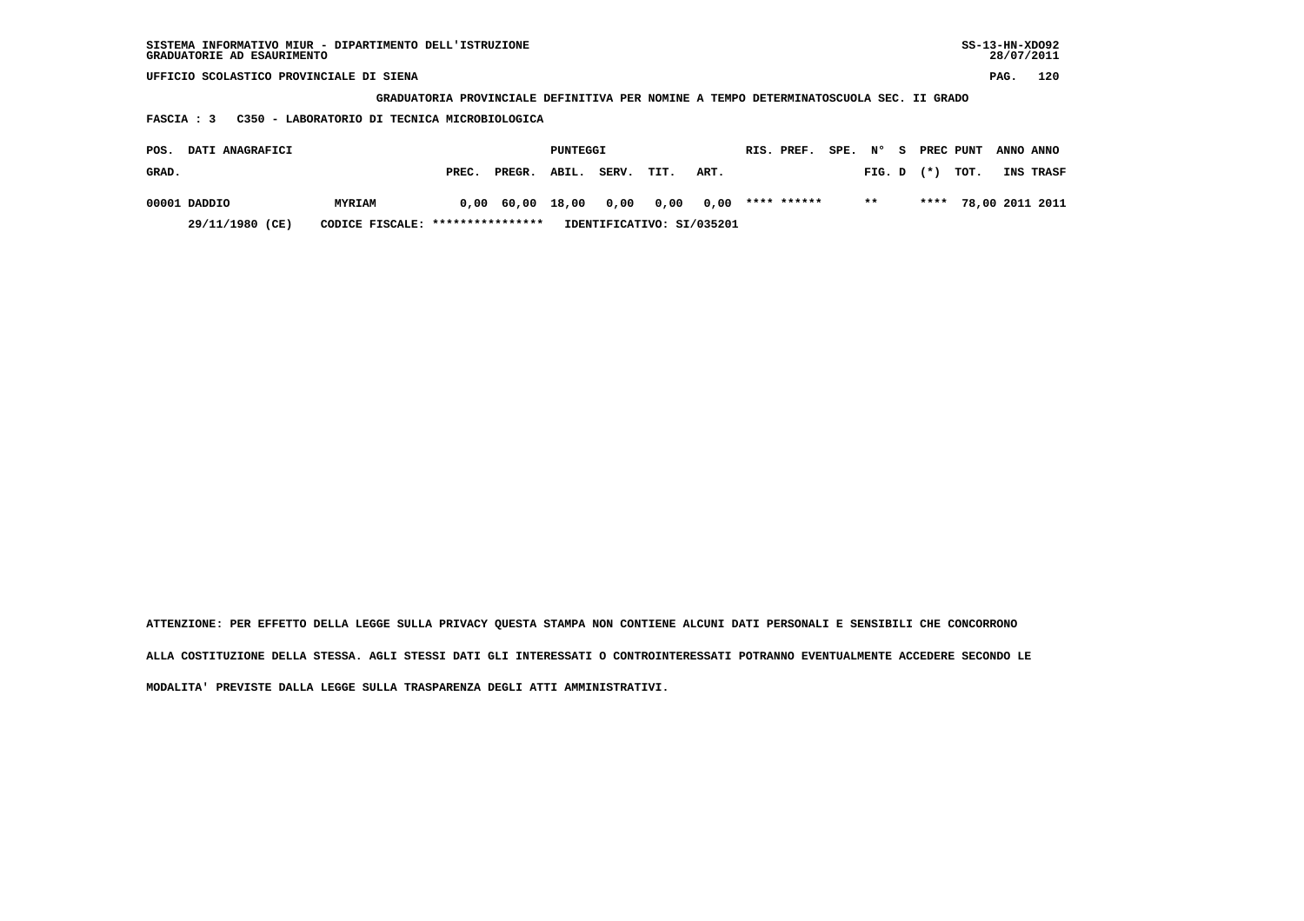| SISTEMA INFORMATIVO MIUR - DIPARTIMENTO DELL'ISTRUZIONE | SS-13-HN-XD092 |
|---------------------------------------------------------|----------------|
| GRADUATORIE AD ESAURIMENTO                              | 28/07/2011     |

 **GRADUATORIA PROVINCIALE DEFINITIVA PER NOMINE A TEMPO DETERMINATOSCUOLA SEC. II GRADO**

 **FASCIA : 3 C350 - LABORATORIO DI TECNICA MICROBIOLOGICA**

| <b>DATI ANAGRAFICI</b><br>POS. |                                  |       |                  |       |       | PUNTEGGI |                           |  |             | SPE. N°<br>RIS. PREF. |                |  | S PREC PUNT          | ANNO ANNO |
|--------------------------------|----------------------------------|-------|------------------|-------|-------|----------|---------------------------|--|-------------|-----------------------|----------------|--|----------------------|-----------|
| GRAD.                          |                                  | PREC. | PREGR.           | ABIL. | SERV. | TIT.     | ART.                      |  |             |                       | $FIG. D$ $(*)$ |  | тот.                 | INS TRASF |
| 00001 DADDIO                   | <b>MYRIAM</b>                    |       | 0,00 60,00 18,00 |       |       |          | 0,00 0,00 0,00            |  | **** ****** |                       | $***$          |  | **** 78,00 2011 2011 |           |
| 29/11/1980 (CE)                | CODICE FISCALE: **************** |       |                  |       |       |          | IDENTIFICATIVO: SI/035201 |  |             |                       |                |  |                      |           |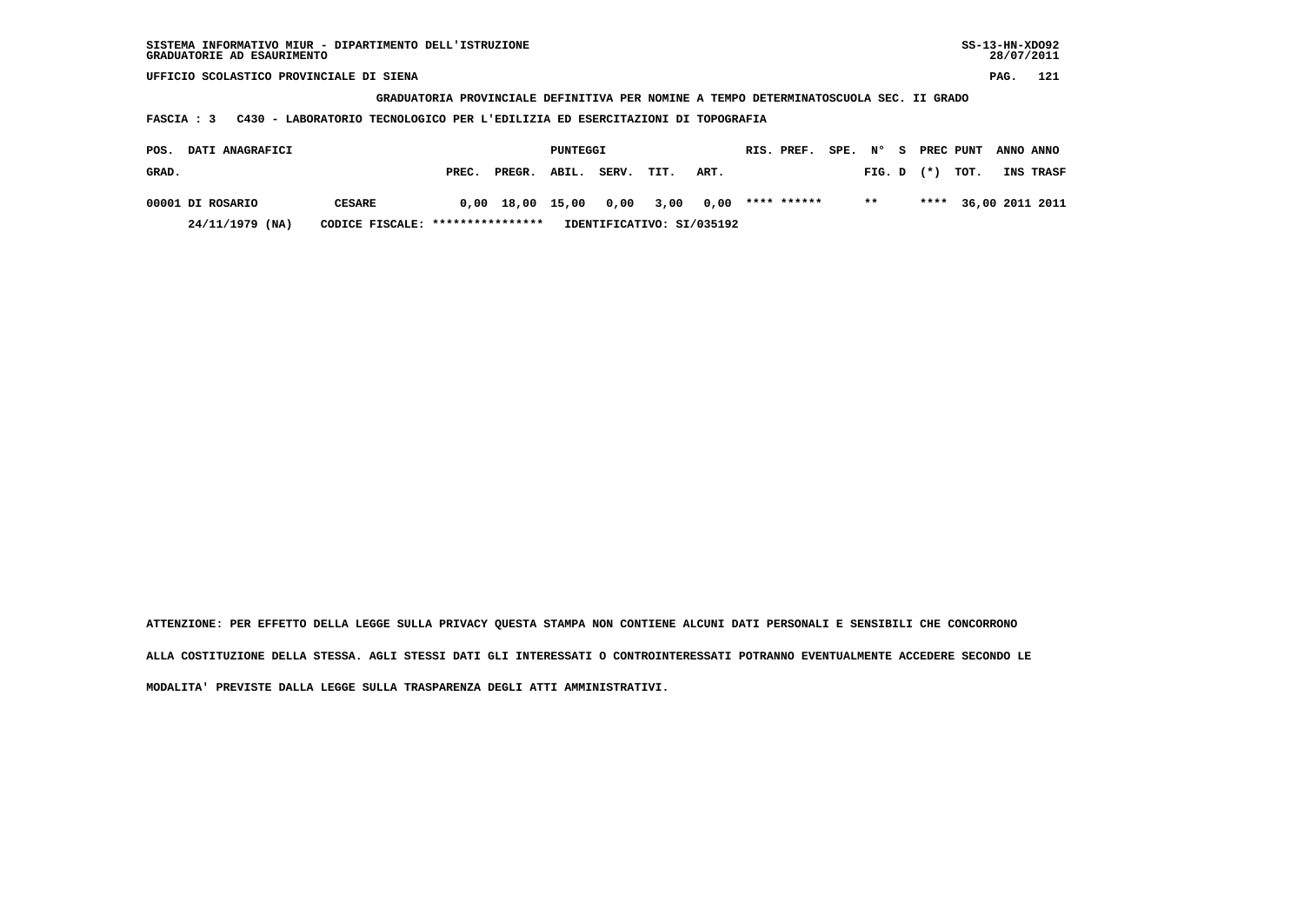**GRADUATORIA PROVINCIALE DEFINITIVA PER NOMINE A TEMPO DETERMINATOSCUOLA SEC. II GRADO**

 **FASCIA : 3 C430 - LABORATORIO TECNOLOGICO PER L'EDILIZIA ED ESERCITAZIONI DI TOPOGRAFIA**

| <b>DATI ANAGRAFICI</b><br>POS. |                  |               |                                                                |                  | PUNTEGGI |       |                | RIS. PREF. | SPE. N° |             | - S | PREC PUNT      | ANNO ANNO |                      |           |
|--------------------------------|------------------|---------------|----------------------------------------------------------------|------------------|----------|-------|----------------|------------|---------|-------------|-----|----------------|-----------|----------------------|-----------|
| GRAD.                          |                  |               | PREC.                                                          | PREGR. ABIL.     |          | SERV. | TIT.           | ART.       |         |             |     | $FIG. D$ $(*)$ |           | тот.                 | INS TRASF |
|                                | 00001 DI ROSARIO | <b>CESARE</b> |                                                                | 0,00 18,00 15,00 |          |       | 0,00 3,00 0,00 |            |         | **** ****** |     | $***$          |           | **** 36,00 2011 2011 |           |
|                                | 24/11/1979 (NA)  |               | CODICE FISCALE: *****************<br>IDENTIFICATIVO: SI/035192 |                  |          |       |                |            |         |             |     |                |           |                      |           |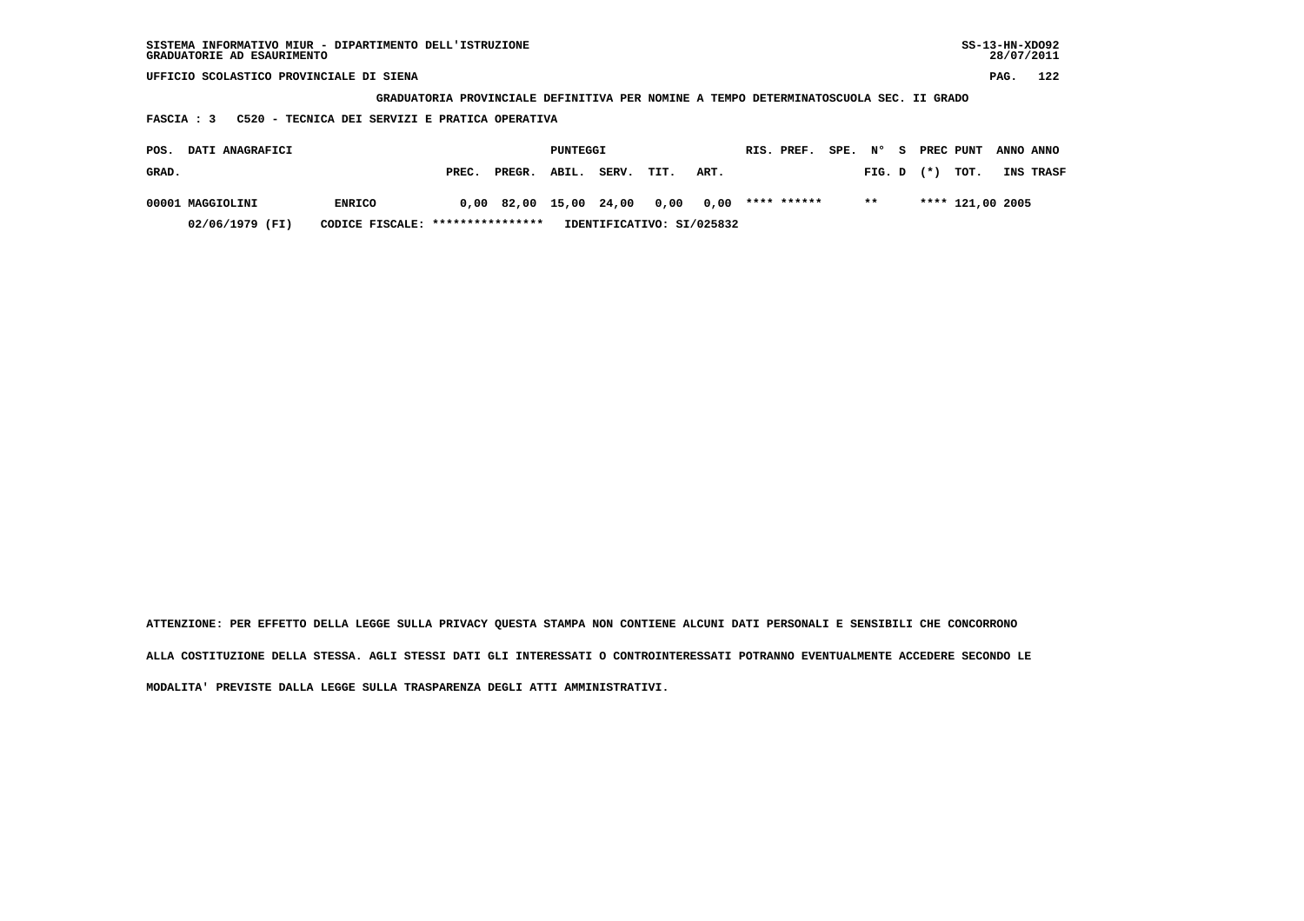| SISTEMA INFORMATIVO MIUR - DIPARTIMENTO DELL'ISTRUZIONE<br>GRADUATORIE AD ESAURIMENTO |                        |       |        |       |       |      |      |  |             |           |        |           |       | $SS-13-HN-XDO92$<br>28/07/2011 |      |           |  |
|---------------------------------------------------------------------------------------|------------------------|-------|--------|-------|-------|------|------|--|-------------|-----------|--------|-----------|-------|--------------------------------|------|-----------|--|
| UFFICIO SCOLASTICO PROVINCIALE DI SIENA                                               |                        |       |        |       |       |      |      |  |             |           |        |           |       |                                | PAG. | 122       |  |
| GRADUATORIA PROVINCIALE DEFINITIVA PER NOMINE A TEMPO DETERMINATOSCUOLA SEC. II GRADO |                        |       |        |       |       |      |      |  |             |           |        |           |       |                                |      |           |  |
| C520 - TECNICA DEI SERVIZI E PRATICA OPERATIVA<br><b>FASCIA: 3</b>                    |                        |       |        |       |       |      |      |  |             |           |        |           |       |                                |      |           |  |
| DATI ANAGRAFICI<br>POS.                                                               | PUNTEGGI<br>RIS. PREF. |       |        |       |       | SPE. | N° S |  |             | PREC PUNT |        | ANNO ANNO |       |                                |      |           |  |
| GRAD.                                                                                 |                        | PREC. | PREGR. | ABIL. | SERV. | TIT. | ART. |  |             |           | FIG. D |           | $(*)$ | TOT.                           |      | INS TRASF |  |
| 00001 MAGGIOLINI                                                                      | <b>ENRICO</b>          | 0.00  | 82,00  | 15,00 | 24,00 | 0,00 | 0,00 |  | **** ****** |           | $* *$  |           |       | **** 121,00 2005               |      |           |  |

 **02/06/1979 (FI) CODICE FISCALE: \*\*\*\*\*\*\*\*\*\*\*\*\*\*\*\* IDENTIFICATIVO: SI/025832**